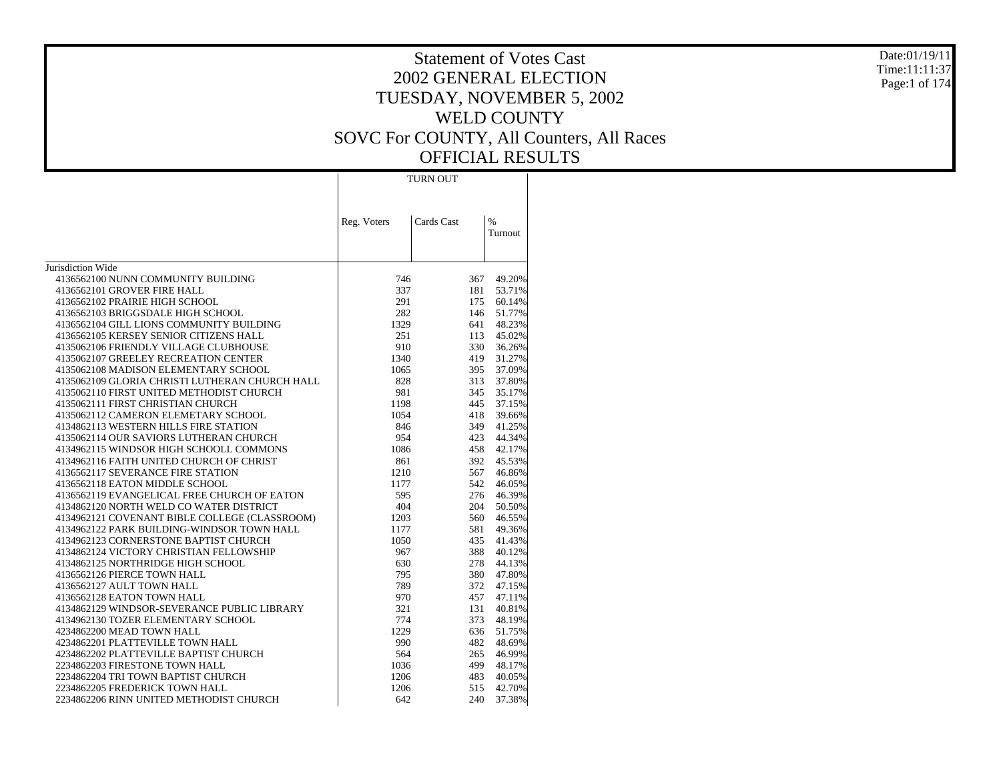Date:01/19/11 Time:11:11:37 Page:1 of 174

# Statement of Votes Cast 2002 GENERAL ELECTION TUESDAY, NOVEMBER 5, 2002 WELD COUNTY SOVC For COUNTY, All Counters, All Races OFFICIAL RESULTS

TURN OUT

|                                                | Reg. Voters | Cards Cast | $\%$    |
|------------------------------------------------|-------------|------------|---------|
|                                                |             |            | Turnout |
| Jurisdiction Wide                              |             |            |         |
| 4136562100 NUNN COMMUNITY BUILDING             | 746         | 367        | 49.20%  |
| 4136562101 GROVER FIRE HALL                    | 337         | 181        | 53.71%  |
| 4136562102 PRAIRIE HIGH SCHOOL                 | 291         | 175        | 60.14%  |
| 4136562103 BRIGGSDALE HIGH SCHOOL              | 282         | 146        | 51.77%  |
| 4136562104 GILL LIONS COMMUNITY BUILDING       | 1329        | 641        | 48.23%  |
| 4136562105 KERSEY SENIOR CITIZENS HALL         | 251         | 113        | 45.02%  |
| 4135062106 FRIENDLY VILLAGE CLUBHOUSE          | 910         | 330        | 36.26%  |
| 4135062107 GREELEY RECREATION CENTER           | 1340        | 419        | 31.27%  |
| 4135062108 MADISON ELEMENTARY SCHOOL           | 1065        | 395        | 37.09%  |
| 4135062109 GLORIA CHRISTI LUTHERAN CHURCH HALL | 828         | 313        | 37.80%  |
| 4135062110 FIRST UNITED METHODIST CHURCH       | 981         | 345        | 35.17%  |
| 4135062111 FIRST CHRISTIAN CHURCH              | 1198        | 445        | 37.15%  |
| 4135062112 CAMERON ELEMETARY SCHOOL            | 1054        | 418        | 39.66%  |
| 4134862113 WESTERN HILLS FIRE STATION          | 846         | 349        | 41.25%  |
| 4135062114 OUR SAVIORS LUTHERAN CHURCH         | 954         | 423        | 44.34%  |
| 4134962115 WINDSOR HIGH SCHOOLL COMMONS        | 1086        | 458        | 42.17%  |
| 4134962116 FAITH UNITED CHURCH OF CHRIST       | 861         | 392        | 45.53%  |
| 4136562117 SEVERANCE FIRE STATION              | 1210        | 567        | 46.86%  |
| 4136562118 EATON MIDDLE SCHOOL                 | 1177        | 542        | 46.05%  |
| 4136562119 EVANGELICAL FREE CHURCH OF EATON    | 595         | 276        | 46.39%  |
| 4134862120 NORTH WELD CO WATER DISTRICT        | 404         | 204        | 50.50%  |
| 4134962121 COVENANT BIBLE COLLEGE (CLASSROOM)  | 1203        | 560        | 46.55%  |
| 4134962122 PARK BUILDING-WINDSOR TOWN HALL     | 1177        | 581        | 49.36%  |
| 4134962123 CORNERSTONE BAPTIST CHURCH          | 1050        | 435        | 41.43%  |
| 4134862124 VICTORY CHRISTIAN FELLOWSHIP        | 967         | 388        | 40.12%  |
| 4134862125 NORTHRIDGE HIGH SCHOOL              | 630         | 278        | 44.13%  |
| 4136562126 PIERCE TOWN HALL                    | 795         | 380        | 47.80%  |
| 4136562127 AULT TOWN HALL                      | 789         | 372        | 47.15%  |
| 4136562128 EATON TOWN HALL                     | 970         | 457        | 47.11%  |
| 4134862129 WINDSOR-SEVERANCE PUBLIC LIBRARY    | 321         | 131        | 40.81%  |
| 4134962130 TOZER ELEMENTARY SCHOOL             | 774         | 373        | 48.19%  |
| 4234862200 MEAD TOWN HALL                      | 1229        | 636        | 51.75%  |
| 4234862201 PLATTEVILLE TOWN HALL               | 990         | 482        | 48.69%  |
| 4234862202 PLATTEVILLE BAPTIST CHURCH          | 564         | 265        | 46.99%  |
| 2234862203 FIRESTONE TOWN HALL                 | 1036        | 499        | 48.17%  |
| 2234862204 TRI TOWN BAPTIST CHURCH             | 1206        | 483        | 40.05%  |
| 2234862205 FREDERICK TOWN HALL                 | 1206        | 515        | 42.70%  |
| 2234862206 RINN UNITED METHODIST CHURCH        | 642         | 240        | 37.38%  |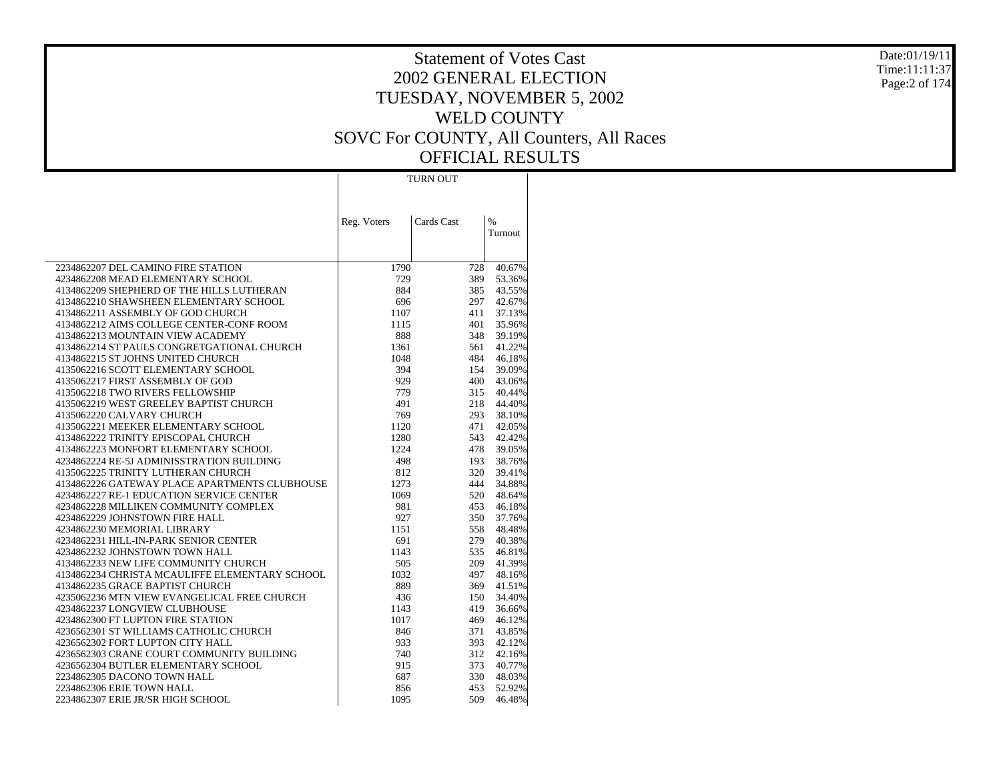Date:01/19/11 Time:11:11:37 Page:2 of 174

|                                                                                     | <b>TURN OUT</b> |            |                  |  |  |
|-------------------------------------------------------------------------------------|-----------------|------------|------------------|--|--|
|                                                                                     |                 |            |                  |  |  |
|                                                                                     | Reg. Voters     | Cards Cast | %<br>Turnout     |  |  |
| 2234862207 DEL CAMINO FIRE STATION                                                  |                 |            |                  |  |  |
|                                                                                     | 1790            | 728        | 40.67%           |  |  |
| 4234862208 MEAD ELEMENTARY SCHOOL                                                   | 729             | 389        | 53.36%           |  |  |
| 4134862209 SHEPHERD OF THE HILLS LUTHERAN                                           | 884             | 385        | 43.55%           |  |  |
| 4134862210 SHAWSHEEN ELEMENTARY SCHOOL                                              | 696             | 297        | 42.67%           |  |  |
| 4134862211 ASSEMBLY OF GOD CHURCH                                                   | 1107            | 411        | 37.13%           |  |  |
| 4134862212 AIMS COLLEGE CENTER-CONF ROOM<br>4134862213 MOUNTAIN VIEW ACADEMY        | 1115<br>888     | 401<br>348 | 35.96%<br>39.19% |  |  |
| 4134862214 ST PAULS CONGRETGATIONAL CHURCH                                          |                 |            | 41.22%           |  |  |
|                                                                                     | 1361            | 561        |                  |  |  |
| 4134862215 ST JOHNS UNITED CHURCH<br>4135062216 SCOTT ELEMENTARY SCHOOL             | 1048<br>394     | 484<br>154 | 46.18%           |  |  |
| 4135062217 FIRST ASSEMBLY OF GOD                                                    | 929             | 400        | 39.09%<br>43.06% |  |  |
| 4135062218 TWO RIVERS FELLOWSHIP                                                    | 779             | 315        | 40.44%           |  |  |
| 4135062219 WEST GREELEY BAPTIST CHURCH                                              | 491             | 218        | 44.40%           |  |  |
| 4135062220 CALVARY CHURCH                                                           | 769             | 293        | 38.10%           |  |  |
| 4135062221 MEEKER ELEMENTARY SCHOOL                                                 |                 | 471        | 42.05%           |  |  |
| 4134862222 TRINITY EPISCOPAL CHURCH                                                 | 1120<br>1280    | 543        |                  |  |  |
| 4134862223 MONFORT ELEMENTARY SCHOOL                                                | 1224            | 478        | 42.42%<br>39.05% |  |  |
| 4234862224 RE-5J ADMINISSTRATION BUILDING                                           | 498             | 193        | 38.76%           |  |  |
|                                                                                     | 812             | 320        |                  |  |  |
| 4135062225 TRINITY LUTHERAN CHURCH<br>4134862226 GATEWAY PLACE APARTMENTS CLUBHOUSE | 1273            | 444        | 39.41%<br>34.88% |  |  |
| 4234862227 RE-1 EDUCATION SERVICE CENTER                                            | 1069            | 520        | 48.64%           |  |  |
| 4234862228 MILLIKEN COMMUNITY COMPLEX                                               | 981             | 453        | 46.18%           |  |  |
| 4234862229 JOHNSTOWN FIRE HALL                                                      | 927             | 350        | 37.76%           |  |  |
| 4234862230 MEMORIAL LIBRARY                                                         | 1151            | 558        | 48.48%           |  |  |
|                                                                                     |                 |            |                  |  |  |
| 4234862231 HILL-IN-PARK SENIOR CENTER<br>4234862232 JOHNSTOWN TOWN HALL             | 691<br>1143     | 279<br>535 | 40.38%<br>46.81% |  |  |
| 4134862233 NEW LIFE COMMUNITY CHURCH                                                | 505             | 209        | 41.39%           |  |  |
| 4134862234 CHRISTA MCAULIFFE ELEMENTARY SCHOOL                                      | 1032            | 497        | 48.16%           |  |  |
| 4134862235 GRACE BAPTIST CHURCH                                                     | 889             | 369        | 41.51%           |  |  |
| 4235062236 MTN VIEW EVANGELICAL FREE CHURCH                                         | 436             | 150        | 34.40%           |  |  |
| 4234862237 LONGVIEW CLUBHOUSE                                                       | 1143            | 419        | 36.66%           |  |  |
| 4234862300 FT LUPTON FIRE STATION                                                   | 1017            | 469        | 46.12%           |  |  |
| 4236562301 ST WILLIAMS CATHOLIC CHURCH                                              | 846             | 371        | 43.85%           |  |  |
| 4236562302 FORT LUPTON CITY HALL                                                    | 933             | 393        | 42.12%           |  |  |
| 4236562303 CRANE COURT COMMUNITY BUILDING                                           | 740             | 312        | 42.16%           |  |  |
| 4236562304 BUTLER ELEMENTARY SCHOOL                                                 | 915             | 373        | 40.77%           |  |  |
| 2234862305 DACONO TOWN HALL                                                         | 687             | 330        | 48.03%           |  |  |
| 2234862306 ERIE TOWN HALL                                                           | 856             | 453        | 52.92%           |  |  |
|                                                                                     |                 | 509        | 46.48%           |  |  |
| 2234862307 ERIE JR/SR HIGH SCHOOL                                                   | 1095            |            |                  |  |  |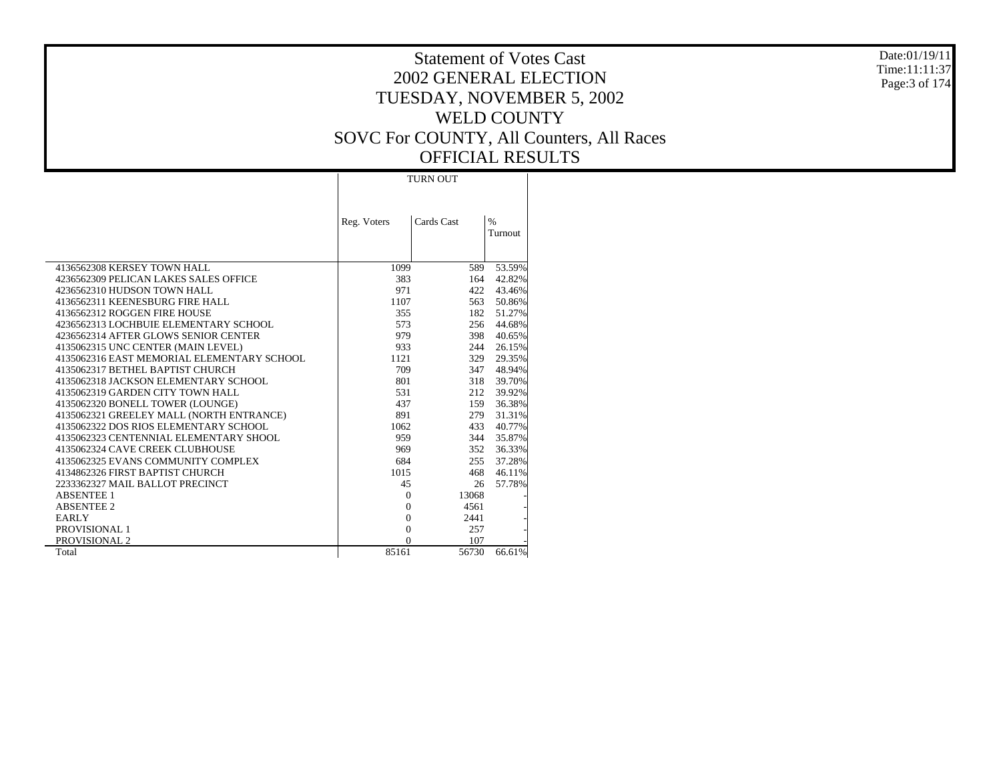#### Date:01/19/11 Time:11:11:37 Page:3 of 174

|                                            |                | <b>TURN OUT</b> |                 |  |  |  |
|--------------------------------------------|----------------|-----------------|-----------------|--|--|--|
|                                            | Reg. Voters    | Cards Cast      | $\%$<br>Turnout |  |  |  |
| 4136562308 KERSEY TOWN HALL                | 1099           | 589             | 53.59%          |  |  |  |
| 4236562309 PELICAN LAKES SALES OFFICE      | 383            | 164             | 42.82%          |  |  |  |
| 4236562310 HUDSON TOWN HALL                | 971            | 422             | 43.46%          |  |  |  |
| 4136562311 KEENESBURG FIRE HALL            | 1107           | 563             | 50.86%          |  |  |  |
| 4136562312 ROGGEN FIRE HOUSE               | 355            | 182             | 51.27%          |  |  |  |
| 4236562313 LOCHBUIE ELEMENTARY SCHOOL      | 573            | 256             | 44.68%          |  |  |  |
| 4236562314 AFTER GLOWS SENIOR CENTER       | 979            | 398             | 40.65%          |  |  |  |
| 4135062315 UNC CENTER (MAIN LEVEL)         | 933            | 244             | 26.15%          |  |  |  |
| 4135062316 EAST MEMORIAL ELEMENTARY SCHOOL | 1121           | 329             | 29.35%          |  |  |  |
| 4135062317 BETHEL BAPTIST CHURCH           | 709            | 347             | 48.94%          |  |  |  |
| 4135062318 JACKSON ELEMENTARY SCHOOL       | 801            | 318             | 39.70%          |  |  |  |
| 4135062319 GARDEN CITY TOWN HALL           | 531            | 212             | 39.92%          |  |  |  |
| 4135062320 BONELL TOWER (LOUNGE)           | 437            | 159             | 36.38%          |  |  |  |
| 4135062321 GREELEY MALL (NORTH ENTRANCE)   | 891            | 279             | 31.31%          |  |  |  |
| 4135062322 DOS RIOS ELEMENTARY SCHOOL      | 1062           | 433             | 40.77%          |  |  |  |
| 4135062323 CENTENNIAL ELEMENTARY SHOOL     | 959            | 344             | 35.87%          |  |  |  |
| 4135062324 CAVE CREEK CLUBHOUSE            | 969            | 352             | 36.33%          |  |  |  |
| 4135062325 EVANS COMMUNITY COMPLEX         | 684            | 255             | 37.28%          |  |  |  |
| 4134862326 FIRST BAPTIST CHURCH            | 1015           | 468             | 46.11%          |  |  |  |
| 2233362327 MAIL BALLOT PRECINCT            | 45             | 26              | 57.78%          |  |  |  |
| <b>ABSENTEE 1</b>                          | $\Omega$       | 13068           |                 |  |  |  |
| <b>ABSENTEE 2</b>                          | $\Omega$       | 4561            |                 |  |  |  |
| <b>EARLY</b>                               | $\Omega$       | 2441            |                 |  |  |  |
| PROVISIONAL 1                              | $\overline{0}$ | 257             |                 |  |  |  |
| PROVISIONAL 2                              | $\Omega$       | 107             |                 |  |  |  |
| Total                                      | 85161          | 56730           | 66.61%          |  |  |  |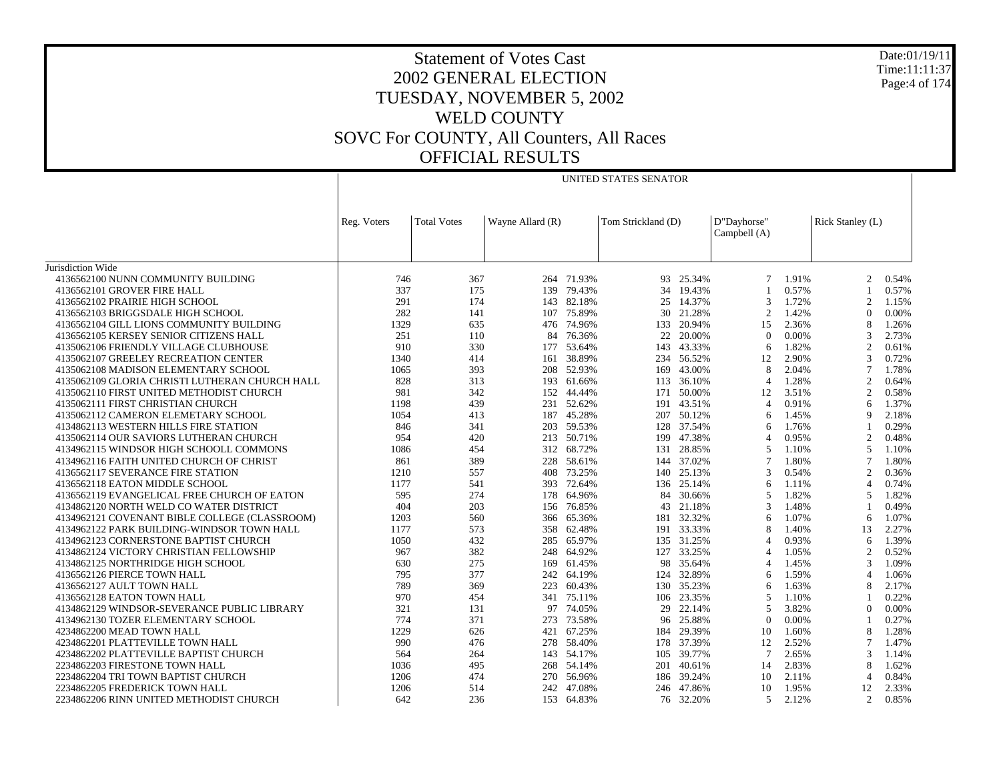UNITED STATES SENATOR

Jurisdiction Wide 4136562100 NUNN COMMUNITY BUILDING 4136562101 GROVER FIRE HALL 4136562102 PRAIRIE HIGH SCHOOL 4136562103 BRIGGSDALE HIGH SCHOOL 4136562104 GILL LIONS COMMUNITY BUILDING 4136562105 KERSEY SENIOR CITIZENS HALL 4135062106 FRIENDLY VILLAGE CLUBHOUSE 4135062107 GREELEY RECREATION CENTER 4135062108 MADISON ELEMENTARY SCHOOL 4135062109 GLORIA CHRISTI LUTHERAN CHURCH HALL 4135062110 FIRST UNITED METHODIST CHURCH 4135062111 FIRST CHRISTIAN CHURCH 4135062112 CAMERON ELEMETARY SCHOOL 4134862113 WESTERN HILLS FIRE STATION 4135062114 OUR SAVIORS LUTHERAN CHURCH 4134962115 WINDSOR HIGH SCHOOLL COMMONS 4134962116 FAITH UNITED CHURCH OF CHRIST 4136562117 SEVERANCE FIRE STATION 4136562118 EATON MIDDLE SCHOOL 4136562119 EVANGELICAL FREE CHURCH OF EATON 4134862120 NORTH WELD CO WATER DISTRICT 4134962121 COVENANT BIBLE COLLEGE (CLASSROOM) 4134962122 PARK BUILDING-WINDSOR TOWN HALL 4134962123 CORNERSTONE BAPTIST CHURCH 4134862124 VICTORY CHRISTIAN FELLOWSHIP 4134862125 NORTHRIDGE HIGH SCHOOL 4136562126 PIERCE TOWN HALL 4136562127 AULT TOWN HALL 4136562128 EATON TOWN HALL 4134862129 WINDSOR-SEVERANCE PUBLIC LIBRARY 4134962130 TOZER ELEMENTARY SCHOOL 4234862200 MEAD TOWN HALL 4234862201 PLATTEVILLE TOWN HALL 4234862202 PLATTEVILLE BAPTIST CHURCH 2234862203 FIRESTONE TOWN HALL 2234862204 TRI TOWN BAPTIST CHURCH 2234862205 FREDERICK TOWN HALL 2234862206 RINN UNITED METHODIST CHURCHReg. Voters Total Votes Wayne Allard (R) Tom Strickland (D) D"Dayhorse" Campbell (A) Rick Stanley (L) 746 367 264 71.93% 93 25.34% 7 1.91% 2 0.54% 337 175 139 79.43% 34 19.43% 1 0.57% 1 0.57% 291 174 143 82.18% 25 14.37% 3 1.72% 2 1.15% 282 141 107 75.89% 30 21.28% 2 1.42% 0 0.00% 1329 635 476 74.96% 133 20.94% 15 2.36% 8 1.26% 251 110 84 76.36% 22 20.00% 0 0.00% 3 2.73% 910 330 177 53.64% 143 43.33% 6 1.82% 2 0.61% 1340 414 161 38.89% 234 56.52% 12 2.90% 3 0.72% 1065 393 208 52.93% 169 43.00% 8 2.04% 7 1.78% 828 313 193 61.66% 113 36.10% 4 1.28% 2 0.64% 981 342 152 44.44% 171 50.00% 12 3.51% 2 0.58% 1198 439 231 52.62% 191 43.51% 4 0.91% 6 1.37% 1054 413 187 45.28% 207 50.12% 6 1.45% 9 2.18% 846 341 203 59.53% 128 37.54% 6 1.76% 1 0.29% 954 420 213 50.71% 199 47.38% 4 0.95% 2 0.48% 1086 454 312 68.72% 131 28.85% 5 1.10% 5 1.10% 861 389 228 58.61% 144 37.02% 7 1.80% 7 1.80% 1210 557 408 73.25% 140 25.13% 3 0.54% 2 0.36% 1177 541 393 72.64% 136 25.14% 6 1.11% 4 0.74% 595 274 178 64.96% 84 30.66% 5 1.82% 5 1.82% 404 203 156 76.85% 43 21.18% 3 1.48% 1 0.49% 1203 560 366 65.36% 181 32.32% 6 1.07% 6 1.07% 1177 573 358 62.48% 191 33.33% 8 1.40% 13 2.27% 1050 432 285 65.97% 135 31.25% 4 0.93% 6 1.39% 967 382 248 64.92% 127 33.25% 4 1.05% 2 0.52% 630 275 169 61.45% 98 35.64% 4 1.45% 3 1.09% 795 377 242 64.19% 124 32.89% 6 1.59% 4 1.06% 789 369 223 60.43% 130 35.23% 6 1.63% 8 2.17% 970 454 341 75.11% 106 23.35% 5 1.10% 1 0.22% 321 131 97 74.05% 29 22.14% 5 3.82% 0 0.00% 774 371 273 73.58% 96 25.88% 0 0.00% 1 0.27% 1229 626 421 67.25% 184 29.39% 10 1.60% 8 1.28% 990 476 278 58.40% 178 37.39% 12 2.52% 7 1.47% 564 264 143 54.17% 105 39.77% 7 2.65% 3 1.14% 1036 495 268 54.14% 201 40.61% 14 2.83% 8 1.62% 1206 474 270 56.96% 186 39.24% 10 2.11% 4 0.84% 1206 514 242 47.08% 246 47.86% 10 1.95% 12 2.33% 642 236 153 64.83%76 32.20% 5 2.12% 2 0.85%

Date:01/19/11Time:11:11:37Page:4 of 174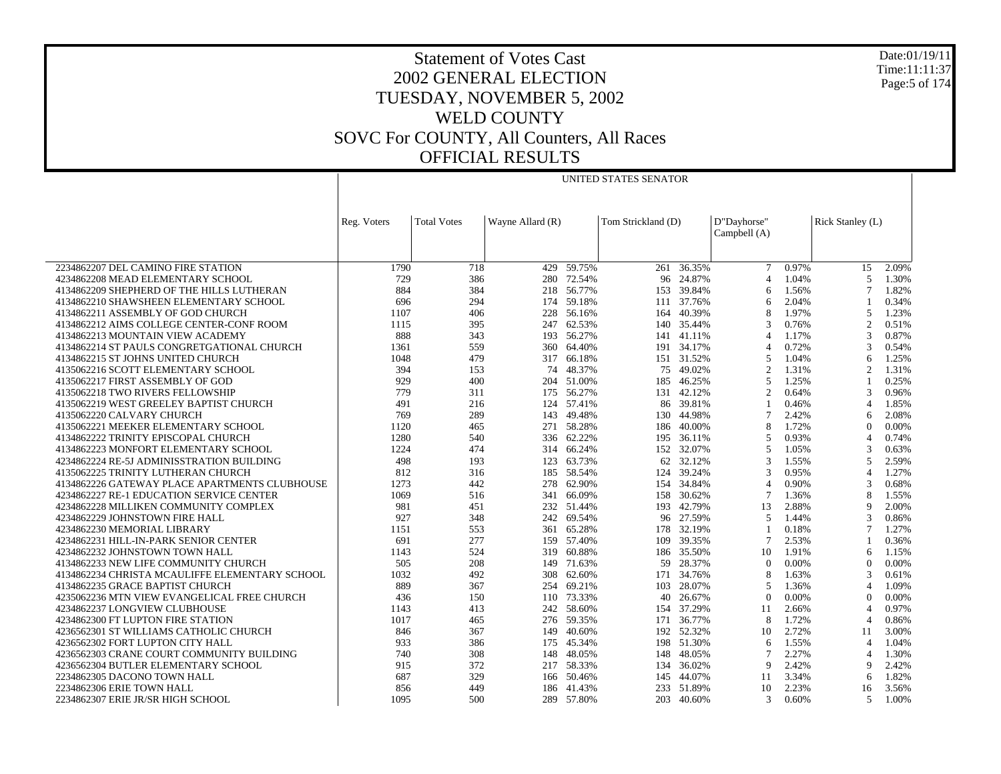Date:01/19/11 Time:11:11:37 Page:5 of 174

## Statement of Votes Cast 2002 GENERAL ELECTION TUESDAY, NOVEMBER 5, 2002 WELD COUNTY SOVC For COUNTY, All Counters, All Races OFFICIAL RESULTS

UNITED STATES SENATOR

|                                                | Reg. Voters | <b>Total Votes</b> | Wayne Allard (R) |            | Tom Strickland (D) |            | D"Dayhorse"<br>Campbell (A) |       | Rick Stanley (L) |          |
|------------------------------------------------|-------------|--------------------|------------------|------------|--------------------|------------|-----------------------------|-------|------------------|----------|
|                                                |             |                    |                  |            |                    |            |                             |       |                  |          |
| 2234862207 DEL CAMINO FIRE STATION             | 1790        | 718                | 429              | 59.75%     | 261                | 36.35%     | 7                           | 0.97% | 15               | 2.09%    |
| 4234862208 MEAD ELEMENTARY SCHOOL              | 729         | 386                | 280              | 72.54%     | 96                 | 24.87%     | 4                           | 1.04% | 5                | 1.30%    |
| 4134862209 SHEPHERD OF THE HILLS LUTHERAN      | 884         | 384                | 218              | 56.77%     | 153                | 39.84%     | 6                           | 1.56% | $\overline{7}$   | 1.82%    |
| 4134862210 SHAWSHEEN ELEMENTARY SCHOOL         | 696         | 294                |                  | 174 59.18% |                    | 111 37.76% | 6                           | 2.04% |                  | 0.34%    |
| 4134862211 ASSEMBLY OF GOD CHURCH              | 1107        | 406                | 228              | 56.16%     | 164                | 40.39%     | 8                           | 1.97% | 5                | 1.23%    |
| 4134862212 AIMS COLLEGE CENTER-CONF ROOM       | 1115        | 395                | 247              | 62.53%     | 140                | 35.44%     | 3                           | 0.76% | $\overline{2}$   | 0.51%    |
| 4134862213 MOUNTAIN VIEW ACADEMY               | 888         | 343                |                  | 193 56.27% |                    | 141 41.11% | $\Delta$                    | 1.17% | 3                | 0.87%    |
| 4134862214 ST PAULS CONGRETGATIONAL CHURCH     | 1361        | 559                | 360              | 64.40%     | 191                | 34.17%     | $\overline{4}$              | 0.72% | 3                | 0.54%    |
| 4134862215 ST JOHNS UNITED CHURCH              | 1048        | 479                | 317              | 66.18%     |                    | 151 31.52% | 5                           | 1.04% | 6                | 1.25%    |
| 4135062216 SCOTT ELEMENTARY SCHOOL             | 394         | 153                | 74               | 48.37%     | 75                 | 49.02%     | $\overline{c}$              | 1.31% | $\overline{c}$   | 1.31%    |
| 4135062217 FIRST ASSEMBLY OF GOD               | 929         | 400                | 204              | 51.00%     | 185                | 46.25%     | $\overline{5}$              | 1.25% | $\overline{1}$   | 0.25%    |
| 4135062218 TWO RIVERS FELLOWSHIP               | 779         | 311                |                  | 175 56.27% |                    | 131 42.12% | $\overline{2}$              | 0.64% | 3                | 0.96%    |
| 4135062219 WEST GREELEY BAPTIST CHURCH         | 491         | 216                | 124              | 57.41%     | 86                 | 39.81%     |                             | 0.46% | $\overline{4}$   | 1.85%    |
| 4135062220 CALVARY CHURCH                      | 769         | 289                | 143              | 49.48%     | 130                | 44.98%     | $\tau$                      | 2.42% | 6                | 2.08%    |
| 4135062221 MEEKER ELEMENTARY SCHOOL            | 1120        | 465                | 271              | 58.28%     | 186                | 40.00%     | 8                           | 1.72% | $\Omega$         | 0.00%    |
| 4134862222 TRINITY EPISCOPAL CHURCH            | 1280        | 540                | 336              | 62.22%     | 195                | 36.11%     | 5                           | 0.93% | $\overline{4}$   | 0.74%    |
| 4134862223 MONFORT ELEMENTARY SCHOOL           | 1224        | 474                | 314              | 66.24%     | 152                | 32.07%     | 5                           | 1.05% | 3                | 0.63%    |
| 4234862224 RE-5J ADMINISSTRATION BUILDING      | 498         | 193                | 123              | 63.73%     | 62                 | 32.12%     | $\mathcal{R}$               | 1.55% | 5                | 2.59%    |
| 4135062225 TRINITY LUTHERAN CHURCH             | 812         | 316                | 185              | 58.54%     | 124                | 39.24%     | 3                           | 0.95% | $\overline{4}$   | 1.27%    |
| 4134862226 GATEWAY PLACE APARTMENTS CLUBHOUSE  | 1273        | 442                | 278              | 62.90%     |                    | 154 34.84% | 4                           | 0.90% | 3                | 0.68%    |
| 4234862227 RE-1 EDUCATION SERVICE CENTER       | 1069        | 516                | 341              | 66.09%     | 158                | 30.62%     | 7                           | 1.36% | 8                | 1.55%    |
| 4234862228 MILLIKEN COMMUNITY COMPLEX          | 981         | 451                | 232              | 51.44%     | 193                | 42.79%     | 13                          | 2.88% | 9                | 2.00%    |
| 4234862229 JOHNSTOWN FIRE HALL                 | 927         | 348                | 242              | 69.54%     |                    | 96 27.59%  | 5                           | 1.44% | 3                | 0.86%    |
| 4234862230 MEMORIAL LIBRARY                    | 1151        | 553                | 361              | 65.28%     | 178                | 32.19%     |                             | 0.18% | $\overline{7}$   | 1.27%    |
| 4234862231 HILL-IN-PARK SENIOR CENTER          | 691         | 277                | 159              | 57.40%     | 109                | 39.35%     | $\tau$                      | 2.53% | $\overline{1}$   | 0.36%    |
| 4234862232 JOHNSTOWN TOWN HALL                 | 1143        | 524                | 319              | 60.88%     | 186                | 35.50%     | 10                          | 1.91% | 6                | 1.15%    |
| 4134862233 NEW LIFE COMMUNITY CHURCH           | 505         | 208                | 149              | 71.63%     | 59                 | 28.37%     | $\Omega$                    | 0.00% | $\theta$         | 0.00%    |
| 4134862234 CHRISTA MCAULIFFE ELEMENTARY SCHOOL | 1032        | 492                | 308              | 62.60%     | 171                | 34.76%     | 8                           | 1.63% | 3                | 0.61%    |
| 4134862235 GRACE BAPTIST CHURCH                | 889         | 367                | 254              | 69.21%     | 103                | 28.07%     | 5                           | 1.36% | $\overline{4}$   | 1.09%    |
| 4235062236 MTN VIEW EVANGELICAL FREE CHURCH    | 436         | 150                | 110              | 73.33%     | 40                 | 26.67%     | $\Omega$                    | 0.00% | $\Omega$         | $0.00\%$ |
| 4234862237 LONGVIEW CLUBHOUSE                  | 1143        | 413                | 242              | 58.60%     | 154                | 37.29%     | 11                          | 2.66% | $\overline{4}$   | 0.97%    |
| 4234862300 FT LUPTON FIRE STATION              | 1017        | 465                | 276              | 59.35%     | 171                | 36.77%     | 8                           | 1.72% | $\overline{4}$   | 0.86%    |
| 4236562301 ST WILLIAMS CATHOLIC CHURCH         | 846         | 367                | 149              | 40.60%     | 192                | 52.32%     | 10                          | 2.72% | 11               | 3.00%    |
| 4236562302 FORT LUPTON CITY HALL               | 933         | 386                | 175              | 45.34%     |                    | 198 51.30% | 6                           | 1.55% | $\overline{4}$   | 1.04%    |
| 4236562303 CRANE COURT COMMUNITY BUILDING      | 740         | 308                | 148              | 48.05%     | 148                | 48.05%     | 7                           | 2.27% | $\overline{4}$   | 1.30%    |
| 4236562304 BUTLER ELEMENTARY SCHOOL            | 915         | 372                | 217              | 58.33%     | 134                | 36.02%     | 9                           | 2.42% | 9                | 2.42%    |
| 2234862305 DACONO TOWN HALL                    | 687         | 329                |                  | 166 50.46% | 145                | 44.07%     | 11                          | 3.34% | 6                | 1.82%    |
| 2234862306 ERIE TOWN HALL                      | 856         | 449                | 186              | 41.43%     | 233                | 51.89%     | 10                          | 2.23% | 16               | 3.56%    |
| 2234862307 ERIE JR/SR HIGH SCHOOL              | 1095        | 500                |                  | 289 57.80% | 203                | 40.60%     | 3                           | 0.60% | 5                | 1.00%    |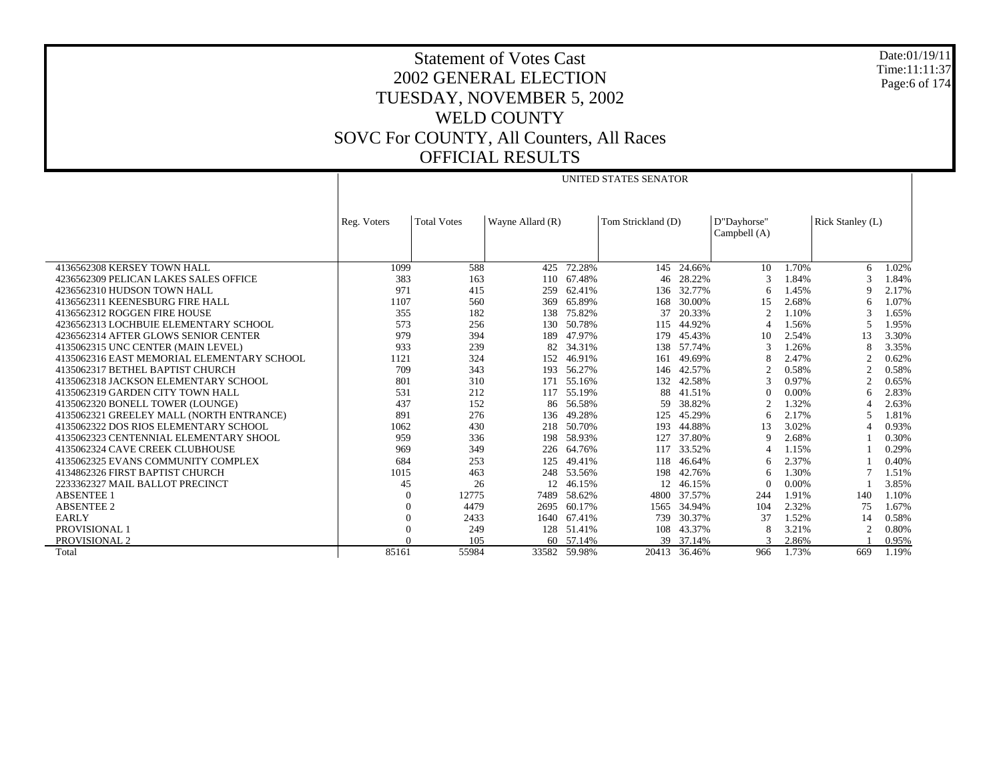Date:01/19/11 Time:11:11:37 Page:6 of 174

## Statement of Votes Cast 2002 GENERAL ELECTION TUESDAY, NOVEMBER 5, 2002 WELD COUNTY SOVC For COUNTY, All Counters, All Races OFFICIAL RESULTS

UNITED STATES SENATOR

|                                            | Reg. Voters | <b>Total Votes</b> | Tom Strickland (D)<br>Wayne Allard (R) |            |       | D"Dayhorse"<br>Campbell (A) | Rick Stanley (L) |       |                          |       |
|--------------------------------------------|-------------|--------------------|----------------------------------------|------------|-------|-----------------------------|------------------|-------|--------------------------|-------|
|                                            |             |                    |                                        |            |       |                             |                  |       |                          |       |
| 4136562308 KERSEY TOWN HALL                | 1099        | 588                | 425                                    | 72.28%     | 145   | 24.66%                      | 10               | 1.70% | 6                        | 1.02% |
| 4236562309 PELICAN LAKES SALES OFFICE      | 383         | 163                | 110                                    | 67.48%     | 46    | 28.22%                      | 3                | 1.84% | $\mathcal{R}$            | 1.84% |
| 4236562310 HUDSON TOWN HALL                | 971         | 415                | 259                                    | 62.41%     | 136   | 32.77%                      | 6                | 1.45% | 9                        | 2.17% |
| 4136562311 KEENESBURG FIRE HALL            | 1107        | 560                | 369                                    | 65.89%     | 168   | 30.00%                      | 15               | 2.68% | 6                        | 1.07% |
| 4136562312 ROGGEN FIRE HOUSE               | 355         | 182                | 138                                    | 75.82%     | 37    | 20.33%                      | $\mathfrak{D}$   | 1.10% | 3                        | 1.65% |
| 4236562313 LOCHBUIE ELEMENTARY SCHOOL      | 573         | 256                | 130                                    | 50.78%     | 115   | 44.92%                      |                  | 1.56% | 5                        | 1.95% |
| 4236562314 AFTER GLOWS SENIOR CENTER       | 979         | 394                | 189                                    | 47.97%     | 179   | 45.43%                      | 10               | 2.54% | 13                       | 3.30% |
| 4135062315 UNC CENTER (MAIN LEVEL)         | 933         | 239                | 82                                     | 34.31%     | 138   | 57.74%                      |                  | 1.26% | 8                        | 3.35% |
| 4135062316 EAST MEMORIAL ELEMENTARY SCHOOL | 1121        | 324                | 152                                    | 46.91%     | 161   | 49.69%                      |                  | 2.47% | $\overline{2}$           | 0.62% |
| 4135062317 BETHEL BAPTIST CHURCH           | 709         | 343                | 193                                    | 56.27%     | 146   | 42.57%                      |                  | 0.58% | $\mathfrak{D}$           | 0.58% |
| 4135062318 JACKSON ELEMENTARY SCHOOL       | 801         | 310                | 171                                    | 55.16%     | 132   | 42.58%                      |                  | 0.97% | $\overline{2}$           | 0.65% |
| 4135062319 GARDEN CITY TOWN HALL           | 531         | 212                | 117                                    | 55.19%     | 88    | 41.51%                      |                  | 0.00% | 6                        | 2.83% |
| 4135062320 BONELL TOWER (LOUNGE)           | 437         | 152                | 86                                     | 56.58%     | 59    | 38.82%                      |                  | 1.32% | $\overline{4}$           | 2.63% |
| 4135062321 GREELEY MALL (NORTH ENTRANCE)   | 891         | 276                | 136                                    | 49.28%     | 125   | 45.29%                      | 6                | 2.17% | $\overline{\phantom{0}}$ | 1.81% |
| 4135062322 DOS RIOS ELEMENTARY SCHOOL      | 1062        | 430                | 218                                    | 50.70%     | 193   | 44.88%                      | 13               | 3.02% | $\overline{4}$           | 0.93% |
| 4135062323 CENTENNIAL ELEMENTARY SHOOL     | 959         | 336                | 198                                    | 58.93%     | 127   | 37.80%                      | 9                | 2.68% |                          | 0.30% |
| 4135062324 CAVE CREEK CLUBHOUSE            | 969         | 349                | 226                                    | 64.76%     | 117   | 33.52%                      |                  | 1.15% |                          | 0.29% |
| 4135062325 EVANS COMMUNITY COMPLEX         | 684         | 253                | 125                                    | 49.41%     | 118   | 46.64%                      | 6                | 2.37% |                          | 0.40% |
| 4134862326 FIRST BAPTIST CHURCH            | 1015        | 463                | 248                                    | 53.56%     | 198   | 42.76%                      | 6                | 1.30% | 7                        | 1.51% |
| 2233362327 MAIL BALLOT PRECINCT            | 45          | 26                 | 12                                     | 46.15%     | 12    | 46.15%                      |                  | 0.00% |                          | 3.85% |
| <b>ABSENTEE 1</b>                          | 0           | 12775              | 7489                                   | 58.62%     | 4800  | 37.57%                      | 244              | 1.91% | 140                      | 1.10% |
| <b>ABSENTEE 2</b>                          |             | 4479               | 2695                                   | 60.17%     | 1565  | 34.94%                      | 104              | 2.32% | 75                       | 1.67% |
| <b>EARLY</b>                               | 0           | 2433               | 1640                                   | 67.41%     | 739   | 30.37%                      | 37               | 1.52% | 14                       | 0.58% |
| <b>PROVISIONAL1</b>                        |             | 249                |                                        | 128 51.41% | 108   | 43.37%                      |                  | 3.21% | $\mathfrak{D}$           | 0.80% |
| PROVISIONAL 2                              |             | 105                | 60                                     | 57.14%     |       | 39 37.14%                   |                  | 2.86% |                          | 0.95% |
| Total                                      | 85161       | 55984              | 33582                                  | 59.98%     | 20413 | 36.46%                      | 966              | 1.73% | 669                      | 1.19% |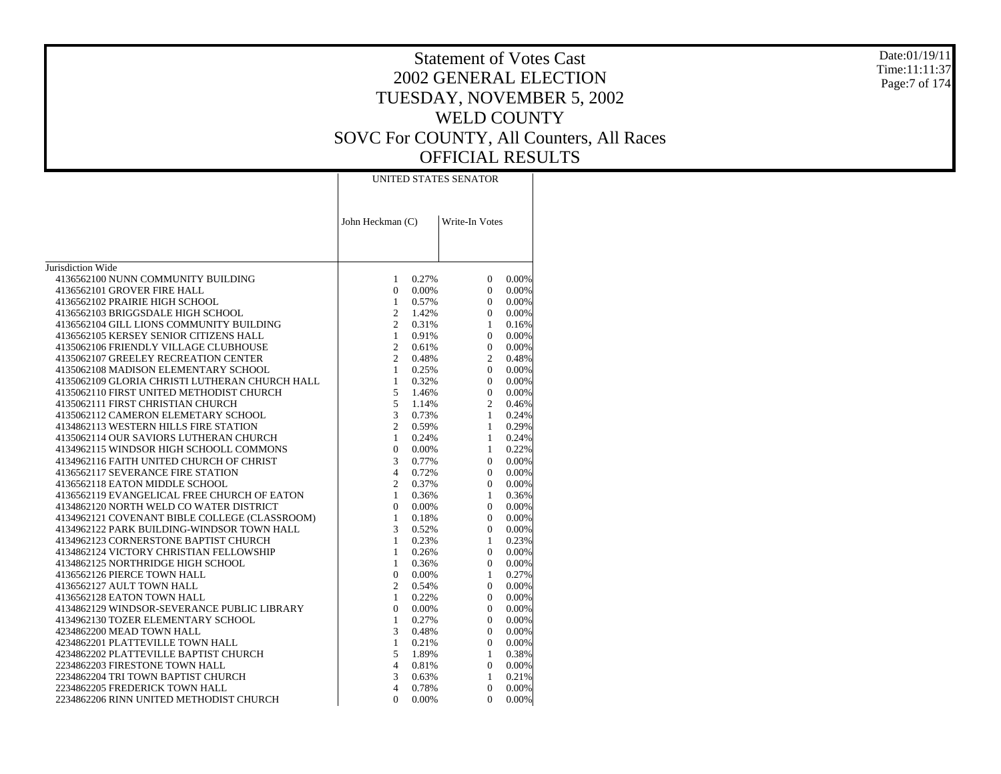#### Date:01/19/11 Time:11:11:37Page:7 of 174

|                                                | John Heckman (C) | UNITED STATES SENATOR<br>Write-In Votes<br>0.27%<br>$\mathbf{1}$<br>$\mathbf{0}$<br>$0.00\%$<br>1<br>0.57%<br>$\overline{2}$<br>1.42%<br>2<br>0.31%<br>$\mathbf{1}$<br>0.91%<br>$\overline{2}$<br>0.61%<br>$\overline{2}$<br>0.48%<br>$\mathbf{1}$<br>0.25%<br>0.32%<br>$\mathbf{1}$<br>5<br>1.46%<br>5<br>1.14%<br>$\overline{3}$<br>0.73%<br>$\overline{2}$<br>0.59%<br>$\mathbf{1}$<br>0.24%<br>$\mathbf{0}$<br>0.00%<br>$\overline{3}$<br>0.77%<br>$\overline{4}$<br>0.72%<br>2<br>0.37%<br>$\mathbf{1}$<br>0.36%<br>$\Omega$<br>0.00%<br>1<br>0.18%<br>3<br>0.52%<br>$\mathbf{1}$<br>0.23%<br>$\mathbf{1}$<br>0.26%<br>$\mathbf{1}$<br>0.36%<br>$\mathbf{0}$<br>$0.00\%$<br>2<br>0.54%<br>$\mathbf{1}$<br>0.22%<br>$\Omega$<br>0.00%<br>$\mathbf{1}$<br>0.27%<br>3<br>0.48%<br>$\mathbf{1}$<br>0.21%<br>5<br>1.89%<br>$\overline{4}$<br>0.81%<br>3<br>0.63%<br>$\overline{4}$<br>0.78% |                |       |
|------------------------------------------------|------------------|---------------------------------------------------------------------------------------------------------------------------------------------------------------------------------------------------------------------------------------------------------------------------------------------------------------------------------------------------------------------------------------------------------------------------------------------------------------------------------------------------------------------------------------------------------------------------------------------------------------------------------------------------------------------------------------------------------------------------------------------------------------------------------------------------------------------------------------------------------------------------------------------|----------------|-------|
|                                                |                  |                                                                                                                                                                                                                                                                                                                                                                                                                                                                                                                                                                                                                                                                                                                                                                                                                                                                                             |                |       |
|                                                |                  |                                                                                                                                                                                                                                                                                                                                                                                                                                                                                                                                                                                                                                                                                                                                                                                                                                                                                             |                |       |
| Jurisdiction Wide                              |                  |                                                                                                                                                                                                                                                                                                                                                                                                                                                                                                                                                                                                                                                                                                                                                                                                                                                                                             |                |       |
| 4136562100 NUNN COMMUNITY BUILDING             |                  |                                                                                                                                                                                                                                                                                                                                                                                                                                                                                                                                                                                                                                                                                                                                                                                                                                                                                             | $\overline{0}$ | 0.00% |
| 4136562101 GROVER FIRE HALL                    |                  |                                                                                                                                                                                                                                                                                                                                                                                                                                                                                                                                                                                                                                                                                                                                                                                                                                                                                             | $\overline{0}$ | 0.00% |
| 4136562102 PRAIRIE HIGH SCHOOL                 |                  |                                                                                                                                                                                                                                                                                                                                                                                                                                                                                                                                                                                                                                                                                                                                                                                                                                                                                             | $\overline{0}$ | 0.00% |
| 4136562103 BRIGGSDALE HIGH SCHOOL              |                  |                                                                                                                                                                                                                                                                                                                                                                                                                                                                                                                                                                                                                                                                                                                                                                                                                                                                                             | $\mathbf{0}$   | 0.00% |
| 4136562104 GILL LIONS COMMUNITY BUILDING       |                  |                                                                                                                                                                                                                                                                                                                                                                                                                                                                                                                                                                                                                                                                                                                                                                                                                                                                                             | $\mathbf{1}$   | 0.16% |
| 4136562105 KERSEY SENIOR CITIZENS HALL         |                  |                                                                                                                                                                                                                                                                                                                                                                                                                                                                                                                                                                                                                                                                                                                                                                                                                                                                                             | $\overline{0}$ | 0.00% |
| 4135062106 FRIENDLY VILLAGE CLUBHOUSE          |                  |                                                                                                                                                                                                                                                                                                                                                                                                                                                                                                                                                                                                                                                                                                                                                                                                                                                                                             | $\overline{0}$ | 0.00% |
| 4135062107 GREELEY RECREATION CENTER           |                  |                                                                                                                                                                                                                                                                                                                                                                                                                                                                                                                                                                                                                                                                                                                                                                                                                                                                                             | $\overline{2}$ | 0.48% |
| 4135062108 MADISON ELEMENTARY SCHOOL           |                  |                                                                                                                                                                                                                                                                                                                                                                                                                                                                                                                                                                                                                                                                                                                                                                                                                                                                                             | $\overline{0}$ | 0.00% |
| 4135062109 GLORIA CHRISTI LUTHERAN CHURCH HALL |                  |                                                                                                                                                                                                                                                                                                                                                                                                                                                                                                                                                                                                                                                                                                                                                                                                                                                                                             | $\Omega$       | 0.00% |
| 4135062110 FIRST UNITED METHODIST CHURCH       |                  |                                                                                                                                                                                                                                                                                                                                                                                                                                                                                                                                                                                                                                                                                                                                                                                                                                                                                             | $\mathbf{0}$   | 0.00% |
| 4135062111 FIRST CHRISTIAN CHURCH              |                  |                                                                                                                                                                                                                                                                                                                                                                                                                                                                                                                                                                                                                                                                                                                                                                                                                                                                                             | $\overline{c}$ | 0.46% |
| 4135062112 CAMERON ELEMETARY SCHOOL            |                  |                                                                                                                                                                                                                                                                                                                                                                                                                                                                                                                                                                                                                                                                                                                                                                                                                                                                                             | $\mathbf{1}$   | 0.24% |
| 4134862113 WESTERN HILLS FIRE STATION          |                  |                                                                                                                                                                                                                                                                                                                                                                                                                                                                                                                                                                                                                                                                                                                                                                                                                                                                                             | $\mathbf{1}$   | 0.29% |
| 4135062114 OUR SAVIORS LUTHERAN CHURCH         |                  |                                                                                                                                                                                                                                                                                                                                                                                                                                                                                                                                                                                                                                                                                                                                                                                                                                                                                             | $\mathbf{1}$   | 0.24% |
| 4134962115 WINDSOR HIGH SCHOOLL COMMONS        |                  |                                                                                                                                                                                                                                                                                                                                                                                                                                                                                                                                                                                                                                                                                                                                                                                                                                                                                             | $\mathbf{1}$   | 0.22% |
| 4134962116 FAITH UNITED CHURCH OF CHRIST       |                  |                                                                                                                                                                                                                                                                                                                                                                                                                                                                                                                                                                                                                                                                                                                                                                                                                                                                                             | $\Omega$       | 0.00% |
| 4136562117 SEVERANCE FIRE STATION              |                  |                                                                                                                                                                                                                                                                                                                                                                                                                                                                                                                                                                                                                                                                                                                                                                                                                                                                                             | $\Omega$       | 0.00% |
| 4136562118 EATON MIDDLE SCHOOL                 |                  |                                                                                                                                                                                                                                                                                                                                                                                                                                                                                                                                                                                                                                                                                                                                                                                                                                                                                             | $\theta$       | 0.00% |
| 4136562119 EVANGELICAL FREE CHURCH OF EATON    |                  |                                                                                                                                                                                                                                                                                                                                                                                                                                                                                                                                                                                                                                                                                                                                                                                                                                                                                             | $\mathbf{1}$   | 0.36% |
| 4134862120 NORTH WELD CO WATER DISTRICT        |                  |                                                                                                                                                                                                                                                                                                                                                                                                                                                                                                                                                                                                                                                                                                                                                                                                                                                                                             | $\Omega$       | 0.00% |
| 4134962121 COVENANT BIBLE COLLEGE (CLASSROOM)  |                  |                                                                                                                                                                                                                                                                                                                                                                                                                                                                                                                                                                                                                                                                                                                                                                                                                                                                                             | $\theta$       | 0.00% |
| 4134962122 PARK BUILDING-WINDSOR TOWN HALL     |                  |                                                                                                                                                                                                                                                                                                                                                                                                                                                                                                                                                                                                                                                                                                                                                                                                                                                                                             | $\theta$       | 0.00% |
| 4134962123 CORNERSTONE BAPTIST CHURCH          |                  |                                                                                                                                                                                                                                                                                                                                                                                                                                                                                                                                                                                                                                                                                                                                                                                                                                                                                             | $\mathbf{1}$   | 0.23% |
| 4134862124 VICTORY CHRISTIAN FELLOWSHIP        |                  |                                                                                                                                                                                                                                                                                                                                                                                                                                                                                                                                                                                                                                                                                                                                                                                                                                                                                             | $\overline{0}$ | 0.00% |
| 4134862125 NORTHRIDGE HIGH SCHOOL              |                  |                                                                                                                                                                                                                                                                                                                                                                                                                                                                                                                                                                                                                                                                                                                                                                                                                                                                                             | $\overline{0}$ | 0.00% |
| 4136562126 PIERCE TOWN HALL                    |                  |                                                                                                                                                                                                                                                                                                                                                                                                                                                                                                                                                                                                                                                                                                                                                                                                                                                                                             | $\mathbf{1}$   | 0.27% |
| 4136562127 AULT TOWN HALL                      |                  |                                                                                                                                                                                                                                                                                                                                                                                                                                                                                                                                                                                                                                                                                                                                                                                                                                                                                             | $\theta$       | 0.00% |
| 4136562128 EATON TOWN HALL                     |                  |                                                                                                                                                                                                                                                                                                                                                                                                                                                                                                                                                                                                                                                                                                                                                                                                                                                                                             | $\overline{0}$ | 0.00% |
| 4134862129 WINDSOR-SEVERANCE PUBLIC LIBRARY    |                  |                                                                                                                                                                                                                                                                                                                                                                                                                                                                                                                                                                                                                                                                                                                                                                                                                                                                                             | $\Omega$       | 0.00% |
| 4134962130 TOZER ELEMENTARY SCHOOL             |                  |                                                                                                                                                                                                                                                                                                                                                                                                                                                                                                                                                                                                                                                                                                                                                                                                                                                                                             | $\Omega$       | 0.00% |
| 4234862200 MEAD TOWN HALL                      |                  |                                                                                                                                                                                                                                                                                                                                                                                                                                                                                                                                                                                                                                                                                                                                                                                                                                                                                             | $\theta$       | 0.00% |
| 4234862201 PLATTEVILLE TOWN HALL               |                  |                                                                                                                                                                                                                                                                                                                                                                                                                                                                                                                                                                                                                                                                                                                                                                                                                                                                                             | $\Omega$       | 0.00% |
| 4234862202 PLATTEVILLE BAPTIST CHURCH          |                  |                                                                                                                                                                                                                                                                                                                                                                                                                                                                                                                                                                                                                                                                                                                                                                                                                                                                                             | $\mathbf{1}$   | 0.38% |
| 2234862203 FIRESTONE TOWN HALL                 |                  |                                                                                                                                                                                                                                                                                                                                                                                                                                                                                                                                                                                                                                                                                                                                                                                                                                                                                             | $\theta$       | 0.00% |
| 2234862204 TRI TOWN BAPTIST CHURCH             |                  |                                                                                                                                                                                                                                                                                                                                                                                                                                                                                                                                                                                                                                                                                                                                                                                                                                                                                             | 1              | 0.21% |
| 2234862205 FREDERICK TOWN HALL                 |                  |                                                                                                                                                                                                                                                                                                                                                                                                                                                                                                                                                                                                                                                                                                                                                                                                                                                                                             | $\theta$       | 0.00% |
| 2234862206 RINN UNITED METHODIST CHURCH        | $\Omega$         | 0.00%                                                                                                                                                                                                                                                                                                                                                                                                                                                                                                                                                                                                                                                                                                                                                                                                                                                                                       | $\mathbf{0}$   | 0.00% |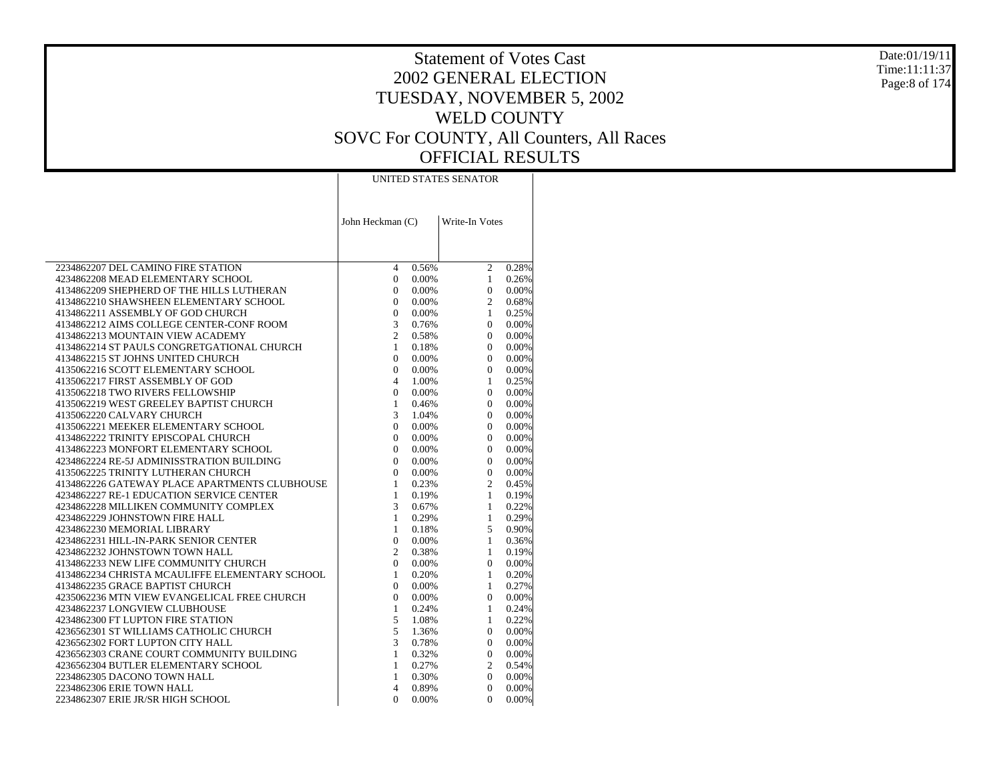#### Date:01/19/11 Time:11:11:37Page:8 of 174

|                                                | UNITED STATES SENATOR               |                         |  |  |  |  |
|------------------------------------------------|-------------------------------------|-------------------------|--|--|--|--|
|                                                |                                     |                         |  |  |  |  |
|                                                |                                     |                         |  |  |  |  |
|                                                |                                     |                         |  |  |  |  |
|                                                | John Heckman (C)                    | Write-In Votes          |  |  |  |  |
|                                                |                                     |                         |  |  |  |  |
|                                                |                                     |                         |  |  |  |  |
|                                                |                                     |                         |  |  |  |  |
| 2234862207 DEL CAMINO FIRE STATION             | $\overline{4}$<br>0.56%             | $\overline{c}$<br>0.28% |  |  |  |  |
| 4234862208 MEAD ELEMENTARY SCHOOL              | $\overline{0}$<br>0.00%<br>$\Omega$ | $\mathbf{1}$<br>0.26%   |  |  |  |  |
| 4134862209 SHEPHERD OF THE HILLS LUTHERAN      | 0.00%                               | $\overline{0}$<br>0.00% |  |  |  |  |
| 4134862210 SHAWSHEEN ELEMENTARY SCHOOL         | $\mathbf{0}$<br>0.00%               | $\overline{c}$<br>0.68% |  |  |  |  |
| 4134862211 ASSEMBLY OF GOD CHURCH              | $\mathbf{0}$<br>0.00%               | $\mathbf{1}$<br>0.25%   |  |  |  |  |
| 4134862212 AIMS COLLEGE CENTER-CONF ROOM       | 3<br>0.76%                          | $\overline{0}$<br>0.00% |  |  |  |  |
| 4134862213 MOUNTAIN VIEW ACADEMY               | $\overline{c}$<br>0.58%             | $\Omega$<br>0.00%       |  |  |  |  |
| 4134862214 ST PAULS CONGRETGATIONAL CHURCH     | $\mathbf{1}$<br>0.18%               | $\overline{0}$<br>0.00% |  |  |  |  |
| 4134862215 ST JOHNS UNITED CHURCH              | $\Omega$<br>0.00%                   | $\Omega$<br>0.00%       |  |  |  |  |
| 4135062216 SCOTT ELEMENTARY SCHOOL             | $\overline{0}$<br>0.00%             | $\overline{0}$<br>0.00% |  |  |  |  |
| 4135062217 FIRST ASSEMBLY OF GOD               | $\overline{4}$<br>1.00%             | $\mathbf{1}$<br>0.25%   |  |  |  |  |
| 4135062218 TWO RIVERS FELLOWSHIP               | $\mathbf{0}$<br>0.00%               | $\overline{0}$<br>0.00% |  |  |  |  |
| 4135062219 WEST GREELEY BAPTIST CHURCH         | $\mathbf{1}$<br>0.46%               | $\overline{0}$<br>0.00% |  |  |  |  |
| 4135062220 CALVARY CHURCH                      | 3<br>1.04%                          | $\overline{0}$<br>0.00% |  |  |  |  |
| 4135062221 MEEKER ELEMENTARY SCHOOL            | $\overline{0}$<br>0.00%             | $\overline{0}$<br>0.00% |  |  |  |  |
| 4134862222 TRINITY EPISCOPAL CHURCH            | $\mathbf{0}$<br>0.00%               | $\Omega$<br>0.00%       |  |  |  |  |
| 4134862223 MONFORT ELEMENTARY SCHOOL           | $\overline{0}$<br>0.00%             | $\overline{0}$<br>0.00% |  |  |  |  |
| 4234862224 RE-5J ADMINISSTRATION BUILDING      | $\Omega$<br>0.00%                   | $\Omega$<br>0.00%       |  |  |  |  |
| 4135062225 TRINITY LUTHERAN CHURCH             | $\mathbf{0}$<br>0.00%               | $\overline{0}$<br>0.00% |  |  |  |  |
| 4134862226 GATEWAY PLACE APARTMENTS CLUBHOUSE  | 1<br>0.23%                          | $\overline{2}$<br>0.45% |  |  |  |  |
| 4234862227 RE-1 EDUCATION SERVICE CENTER       | 1<br>0.19%                          | $\mathbf{1}$<br>0.19%   |  |  |  |  |
| 4234862228 MILLIKEN COMMUNITY COMPLEX          | 3<br>0.67%                          | $\mathbf{1}$<br>0.22%   |  |  |  |  |
| 4234862229 JOHNSTOWN FIRE HALL                 | 1<br>0.29%                          | $\mathbf{1}$<br>0.29%   |  |  |  |  |
| 4234862230 MEMORIAL LIBRARY                    | 1<br>0.18%                          | 5<br>0.90%              |  |  |  |  |
| 4234862231 HILL-IN-PARK SENIOR CENTER          | $\overline{0}$<br>$0.00\%$          | $\mathbf{1}$<br>0.36%   |  |  |  |  |
| 4234862232 JOHNSTOWN TOWN HALL                 | 2<br>0.38%                          | $\mathbf{1}$<br>0.19%   |  |  |  |  |
| 4134862233 NEW LIFE COMMUNITY CHURCH           | $\overline{0}$<br>0.00%             | $\overline{0}$<br>0.00% |  |  |  |  |
| 4134862234 CHRISTA MCAULIFFE ELEMENTARY SCHOOL | $\mathbf{1}$<br>0.20%               | 0.20%<br>$\mathbf{1}$   |  |  |  |  |
| 4134862235 GRACE BAPTIST CHURCH                | $\mathbf{0}$<br>0.00%               | 0.27%<br>$\mathbf{1}$   |  |  |  |  |
| 4235062236 MTN VIEW EVANGELICAL FREE CHURCH    | $\Omega$<br>0.00%                   | $\overline{0}$<br>0.00% |  |  |  |  |
| 4234862237 LONGVIEW CLUBHOUSE                  | 1<br>0.24%                          | $\mathbf{1}$<br>0.24%   |  |  |  |  |
| 4234862300 FT LUPTON FIRE STATION              | 5<br>1.08%                          | $\mathbf{1}$<br>0.22%   |  |  |  |  |
| 4236562301 ST WILLIAMS CATHOLIC CHURCH         | 5<br>1.36%                          | $\overline{0}$<br>0.00% |  |  |  |  |
| 4236562302 FORT LUPTON CITY HALL               | 3<br>0.78%                          | 0.00%<br>$\overline{0}$ |  |  |  |  |
| 4236562303 CRANE COURT COMMUNITY BUILDING      | $\mathbf{1}$<br>0.32%               | $\overline{0}$<br>0.00% |  |  |  |  |
| 4236562304 BUTLER ELEMENTARY SCHOOL            | $\mathbf{1}$<br>0.27%               | $\overline{c}$<br>0.54% |  |  |  |  |
| 2234862305 DACONO TOWN HALL                    | $\mathbf{1}$<br>0.30%               | $\overline{0}$<br>0.00% |  |  |  |  |
| 2234862306 ERIE TOWN HALL                      | $\overline{4}$<br>0.89%             | $\Omega$<br>0.00%       |  |  |  |  |
| 2234862307 ERIE JR/SR HIGH SCHOOL              | $\Omega$<br>0.00%                   | $\overline{0}$<br>0.00% |  |  |  |  |
|                                                |                                     |                         |  |  |  |  |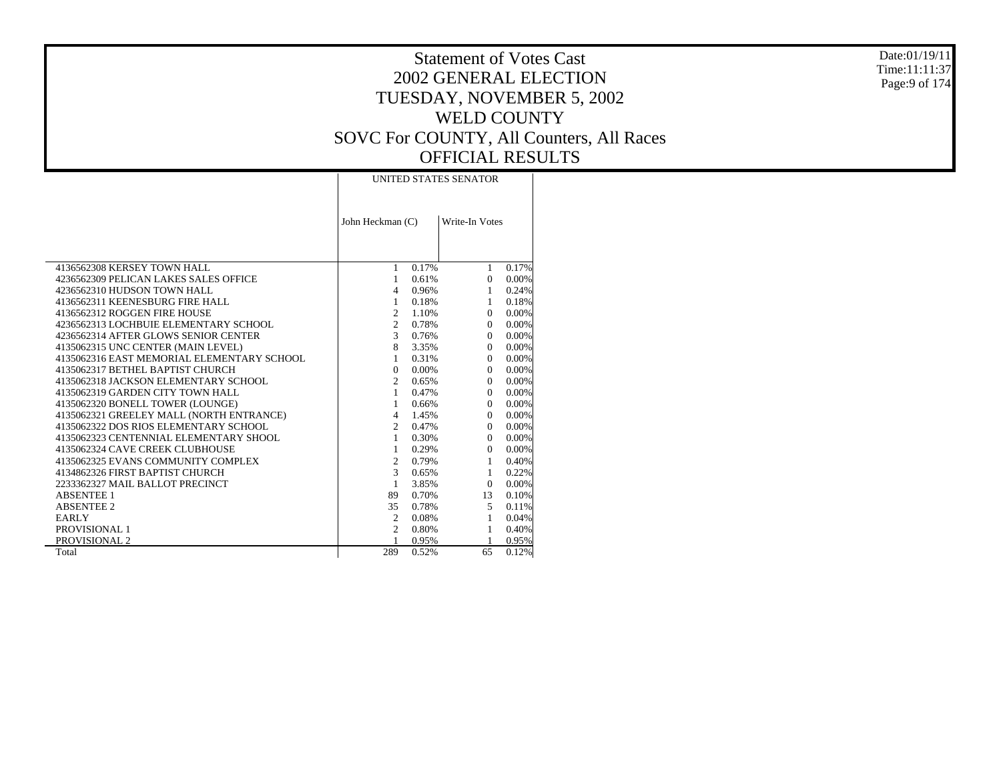#### Date:01/19/11 Time:11:11:37Page:9 of 174

|                                            | UNITED STATES SENATOR |                |              |          |  |  |  |  |  |
|--------------------------------------------|-----------------------|----------------|--------------|----------|--|--|--|--|--|
|                                            | John Heckman (C)      | Write-In Votes |              |          |  |  |  |  |  |
|                                            |                       |                |              |          |  |  |  |  |  |
| 4136562308 KERSEY TOWN HALL                | 1                     | 0.17%          | $\mathbf{1}$ | 0.17%    |  |  |  |  |  |
| 4236562309 PELICAN LAKES SALES OFFICE      | $\mathbf{1}$          | 0.61%          | $\Omega$     | $0.00\%$ |  |  |  |  |  |
| 4236562310 HUDSON TOWN HALL                | $\overline{4}$        | 0.96%          | $\mathbf{1}$ | 0.24%    |  |  |  |  |  |
| 4136562311 KEENESBURG FIRE HALL            | $\mathbf{1}$          | 0.18%          | $\mathbf{1}$ | 0.18%    |  |  |  |  |  |
| 4136562312 ROGGEN FIRE HOUSE               | $\overline{2}$        | 1.10%          | $\Omega$     | 0.00%    |  |  |  |  |  |
| 4236562313 LOCHBUIE ELEMENTARY SCHOOL      | $\overline{2}$        | 0.78%          | $\Omega$     | 0.00%    |  |  |  |  |  |
| 4236562314 AFTER GLOWS SENIOR CENTER       | 3                     | 0.76%          | $\Omega$     | $0.00\%$ |  |  |  |  |  |
| 4135062315 UNC CENTER (MAIN LEVEL)         | 8                     | 3.35%          | $\Omega$     | 0.00%    |  |  |  |  |  |
| 4135062316 EAST MEMORIAL ELEMENTARY SCHOOL | $\mathbf{1}$          | 0.31%          | $\Omega$     | 0.00%    |  |  |  |  |  |
| 4135062317 BETHEL BAPTIST CHURCH           | $\Omega$              | $0.00\%$       | $\Omega$     | 0.00%    |  |  |  |  |  |
| 4135062318 JACKSON ELEMENTARY SCHOOL       | $\overline{2}$        | 0.65%          | $\Omega$     | 0.00%    |  |  |  |  |  |
| 4135062319 GARDEN CITY TOWN HALL           | $\mathbf{1}$          | 0.47%          | $\Omega$     | $0.00\%$ |  |  |  |  |  |
| 4135062320 BONELL TOWER (LOUNGE)           | 1                     | 0.66%          | $\Omega$     | 0.00%    |  |  |  |  |  |
| 4135062321 GREELEY MALL (NORTH ENTRANCE)   | $\overline{4}$        | 1.45%          | $\Omega$     | 0.00%    |  |  |  |  |  |
| 4135062322 DOS RIOS ELEMENTARY SCHOOL      | $\overline{2}$        | 0.47%          | $\Omega$     | 0.00%    |  |  |  |  |  |
| 4135062323 CENTENNIAL ELEMENTARY SHOOL     | $\mathbf{1}$          | 0.30%          | $\Omega$     | 0.00%    |  |  |  |  |  |
| 4135062324 CAVE CREEK CLUBHOUSE            | $\mathbf{1}$          | 0.29%          | $\Omega$     | 0.00%    |  |  |  |  |  |
| 4135062325 EVANS COMMUNITY COMPLEX         | $\overline{2}$        | 0.79%          | $\mathbf{1}$ | 0.40%    |  |  |  |  |  |
| 4134862326 FIRST BAPTIST CHURCH            | $\mathcal{F}$         | 0.65%          | 1            | 0.22%    |  |  |  |  |  |
| 2233362327 MAIL BALLOT PRECINCT            | 1                     | 3.85%          | $\Omega$     | 0.00%    |  |  |  |  |  |
| <b>ABSENTEE 1</b>                          | 89                    | 0.70%          | 13           | 0.10%    |  |  |  |  |  |
| <b>ABSENTEE 2</b>                          | 35                    | 0.78%          | 5            | 0.11%    |  |  |  |  |  |
| <b>EARLY</b>                               | 2                     | 0.08%          | $\mathbf{1}$ | 0.04%    |  |  |  |  |  |
| PROVISIONAL 1                              | 2                     | 0.80%          | 1            | 0.40%    |  |  |  |  |  |
| PROVISIONAL 2                              |                       | 0.95%          |              | 0.95%    |  |  |  |  |  |
| Total                                      | 289                   | 0.52%          | 65           | 0.12%    |  |  |  |  |  |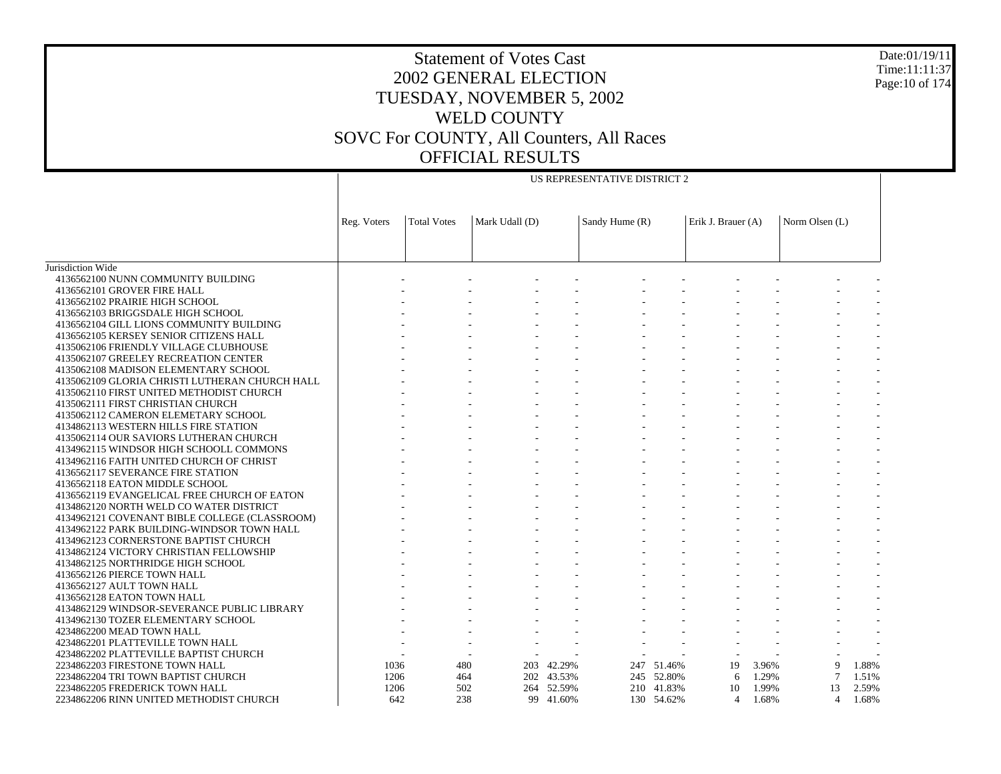US REPRESENTATIVE DISTRICT 2

Jurisdiction Wide 4136562100 NUNN COMMUNITY BUILDING 4136562101 GROVER FIRE HALL 4136562102 PRAIRIE HIGH SCHOOL 4136562103 BRIGGSDALE HIGH SCHOOL 4136562104 GILL LIONS COMMUNITY BUILDING 4136562105 KERSEY SENIOR CITIZENS HALL 4135062106 FRIENDLY VILLAGE CLUBHOUSE 4135062107 GREELEY RECREATION CENTER 4135062108 MADISON ELEMENTARY SCHOOL 4135062109 GLORIA CHRISTI LUTHERAN CHURCH HALL 4135062110 FIRST UNITED METHODIST CHURCH 4135062111 FIRST CHRISTIAN CHURCH 4135062112 CAMERON ELEMETARY SCHOOL 4134862113 WESTERN HILLS FIRE STATION 4135062114 OUR SAVIORS LUTHERAN CHURCH 4134962115 WINDSOR HIGH SCHOOLL COMMONS 4134962116 FAITH UNITED CHURCH OF CHRIST 4136562117 SEVERANCE FIRE STATION 4136562118 EATON MIDDLE SCHOOL 4136562119 EVANGELICAL FREE CHURCH OF EATON 4134862120 NORTH WELD CO WATER DISTRICT 4134962121 COVENANT BIBLE COLLEGE (CLASSROOM) 4134962122 PARK BUILDING-WINDSOR TOWN HALL 4134962123 CORNERSTONE BAPTIST CHURCH 4134862124 VICTORY CHRISTIAN FELLOWSHIP 4134862125 NORTHRIDGE HIGH SCHOOL 4136562126 PIERCE TOWN HALL 4136562127 AULT TOWN HALL 4136562128 EATON TOWN HALL 4134862129 WINDSOR-SEVERANCE PUBLIC LIBRARY 4134962130 TOZER ELEMENTARY SCHOOL 4234862200 MEAD TOWN HALL 4234862201 PLATTEVILLE TOWN HALL 4234862202 PLATTEVILLE BAPTIST CHURCH 2234862203 FIRESTONE TOWN HALL 2234862204 TRI TOWN BAPTIST CHURCH 2234862205 FREDERICK TOWN HALL 2234862206 RINN UNITED METHODIST CHURCHReg. Voters | Total Votes | Mark Udall (D) | Sandy Hume (R) | Erik J. Brauer (A) | Norm Olsen (L) - - - - - - - - - - - - - - - - - - - - - - - - - - - - - - - - - - - - - - - - - - - - - - - - - - - - - - - - - - - - - - - - - - - - - - - - - - - - - - - - - - - - - - - - - - - - - - - - - - - - - - - - - - - - - - - - - - - - - - - - - - - - - - - - - - - - - - - - - - - - - - - - - - - - - - - - - - - - - - - - - - - - - - - - - - - - - - - - - - - - - - - - - - - - - - - - - - - - - - - - - - - - - - - - - - - - - - - - - - - - - - - - - - - - - - - - - - - - - - - - - - - - - - - - - - - - - - - - - - - - - - - - - - - - - - - - - - - - - - - - - - - - - - - - - - - - - - - - - - - - - - - - - - 1036 480 203 42.29% 247 51.46% 19 3.96% 9 1.88% 1206 464 202 43.53% 245 52.80% 6 1.29% 7 1.51% 1206 502 264 52.59% 210 41.83% 10 1.99% 13 2.59% 642 238 99 41.60%130 54.62% 4 1.68% 4 1.68%

Date:01/19/11Time:11:11:37Page:10 of 174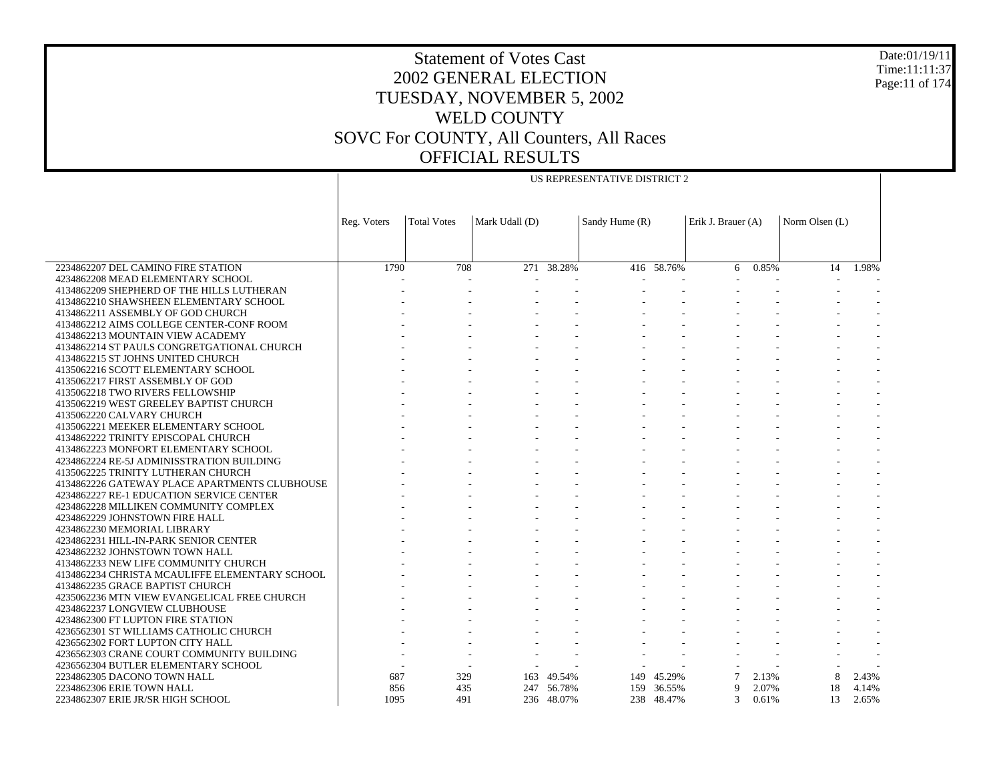US REPRESENTATIVE DISTRICT 2

Date:01/19/11 Time:11:11:37 Page:11 of 174

|                                                                        | Reg. Voters | <b>Total Votes</b> | Mark Udall (D) |            | Sandy Hume (R) |            | Erik J. Brauer (A) |       | Norm Olsen (L) |       |
|------------------------------------------------------------------------|-------------|--------------------|----------------|------------|----------------|------------|--------------------|-------|----------------|-------|
|                                                                        |             |                    |                |            |                |            |                    |       |                |       |
|                                                                        |             |                    |                |            |                |            |                    |       |                |       |
|                                                                        |             |                    |                |            |                |            |                    |       |                |       |
| 2234862207 DEL CAMINO FIRE STATION                                     | 1790        | 708                | 271            | 38.28%     |                | 416 58.76% | 6                  | 0.85% | 14             | 1.98% |
| 4234862208 MEAD ELEMENTARY SCHOOL                                      |             |                    |                |            |                |            |                    |       |                |       |
| 4134862209 SHEPHERD OF THE HILLS LUTHERAN                              |             |                    |                |            |                |            |                    |       |                |       |
| 4134862210 SHAWSHEEN ELEMENTARY SCHOOL                                 |             |                    |                |            |                |            |                    |       |                |       |
| 4134862211 ASSEMBLY OF GOD CHURCH                                      |             |                    |                |            |                |            |                    |       |                |       |
| 4134862212 AIMS COLLEGE CENTER-CONF ROOM                               |             |                    |                |            |                |            |                    |       |                |       |
| 4134862213 MOUNTAIN VIEW ACADEMY                                       |             |                    |                |            |                |            |                    |       |                |       |
| 4134862214 ST PAULS CONGRETGATIONAL CHURCH                             |             |                    |                |            |                |            |                    |       |                |       |
| 4134862215 ST JOHNS UNITED CHURCH                                      |             |                    |                |            |                |            |                    |       |                |       |
| 4135062216 SCOTT ELEMENTARY SCHOOL<br>4135062217 FIRST ASSEMBLY OF GOD |             |                    |                |            |                |            |                    |       |                |       |
| 4135062218 TWO RIVERS FELLOWSHIP                                       |             |                    |                |            |                |            |                    |       |                |       |
| 4135062219 WEST GREELEY BAPTIST CHURCH                                 |             |                    |                |            |                |            |                    |       |                |       |
| 4135062220 CALVARY CHURCH                                              |             |                    |                |            |                |            |                    |       |                |       |
| 4135062221 MEEKER ELEMENTARY SCHOOL                                    |             |                    |                |            |                |            |                    |       |                |       |
| 4134862222 TRINITY EPISCOPAL CHURCH                                    |             |                    |                |            |                |            |                    |       |                |       |
| 4134862223 MONFORT ELEMENTARY SCHOOL                                   |             |                    |                |            |                |            |                    |       |                |       |
| 4234862224 RE-5J ADMINISSTRATION BUILDING                              |             |                    |                |            |                |            |                    |       |                |       |
| 4135062225 TRINITY LUTHERAN CHURCH                                     |             |                    |                |            |                |            |                    |       |                |       |
| 4134862226 GATEWAY PLACE APARTMENTS CLUBHOUSE                          |             |                    |                |            |                |            |                    |       |                |       |
| 4234862227 RE-1 EDUCATION SERVICE CENTER                               |             |                    |                |            |                |            |                    |       |                |       |
| 4234862228 MILLIKEN COMMUNITY COMPLEX                                  |             |                    |                |            |                |            |                    |       |                |       |
| 4234862229 JOHNSTOWN FIRE HALL                                         |             |                    |                |            |                |            |                    |       |                |       |
| 4234862230 MEMORIAL LIBRARY                                            |             |                    |                |            |                |            |                    |       |                |       |
| 4234862231 HILL-IN-PARK SENIOR CENTER                                  |             |                    |                |            |                |            |                    |       |                |       |
| 4234862232 JOHNSTOWN TOWN HALL                                         |             |                    |                |            |                |            |                    |       |                |       |
| 4134862233 NEW LIFE COMMUNITY CHURCH                                   |             |                    |                |            |                |            |                    |       |                |       |
| 4134862234 CHRISTA MCAULIFFE ELEMENTARY SCHOOL                         |             |                    |                |            |                |            |                    |       |                |       |
| 4134862235 GRACE BAPTIST CHURCH                                        |             |                    |                |            |                |            |                    |       |                |       |
| 4235062236 MTN VIEW EVANGELICAL FREE CHURCH                            |             |                    |                |            |                |            |                    |       |                |       |
| 4234862237 LONGVIEW CLUBHOUSE                                          |             |                    |                |            |                |            |                    |       |                |       |
| 4234862300 FT LUPTON FIRE STATION                                      |             |                    |                |            |                |            |                    |       |                |       |
| 4236562301 ST WILLIAMS CATHOLIC CHURCH                                 |             |                    |                |            |                |            |                    |       |                |       |
| 4236562302 FORT LUPTON CITY HALL                                       |             |                    |                |            |                |            |                    |       |                |       |
| 4236562303 CRANE COURT COMMUNITY BUILDING                              |             |                    |                |            |                |            |                    |       |                |       |
| 4236562304 BUTLER ELEMENTARY SCHOOL                                    |             |                    |                |            |                |            |                    |       |                |       |
| 2234862305 DACONO TOWN HALL                                            | 687         | 329                |                | 163 49.54% | 149            | 45.29%     |                    | 2.13% |                | 2.43% |
| 2234862306 ERIE TOWN HALL                                              | 856         | 435                |                | 247 56.78% |                | 159 36.55% | 9                  | 2.07% | 18             | 4.14% |
| 2234862307 ERIE JR/SR HIGH SCHOOL                                      | 1095        | 491                |                | 236 48.07% |                | 238 48.47% | 3                  | 0.61% | 13             | 2.65% |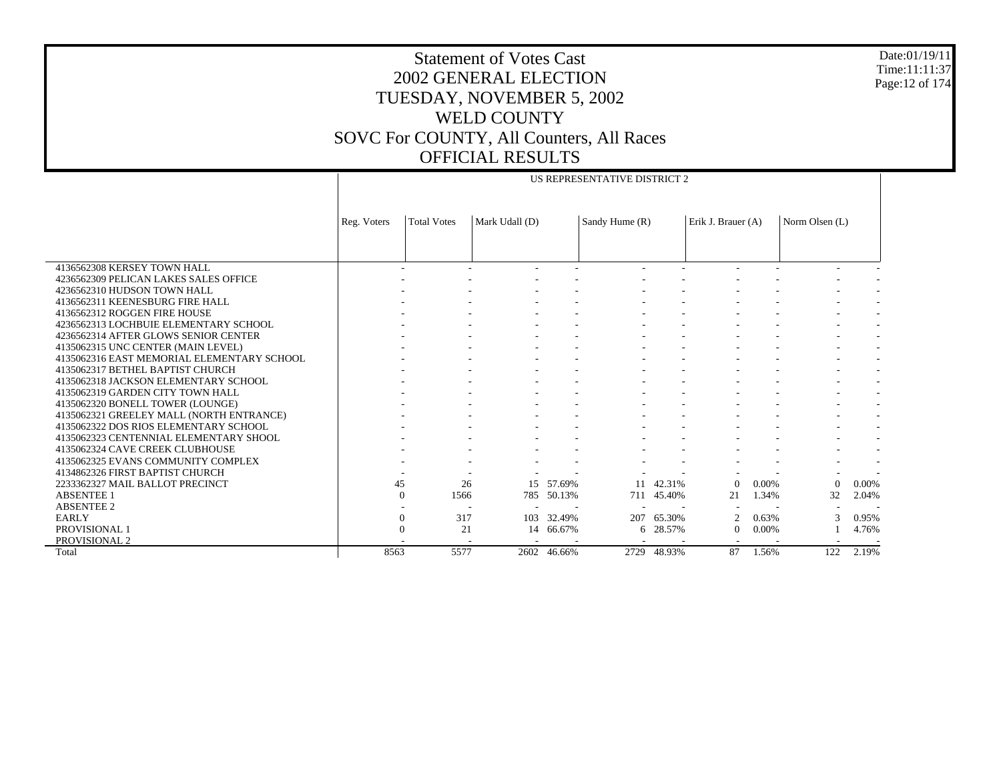US REPRESENTATIVE DISTRICT 2

Date:01/19/11 Time:11:11:37 Page:12 of 174

|                                            | Reg. Voters | <b>Total Votes</b> | Mark Udall (D) |            | Sandy Hume (R) |        | Erik J. Brauer (A) |       | Norm Olsen (L) |       |
|--------------------------------------------|-------------|--------------------|----------------|------------|----------------|--------|--------------------|-------|----------------|-------|
|                                            |             |                    |                |            |                |        |                    |       |                |       |
|                                            |             |                    |                |            |                |        |                    |       |                |       |
| 4136562308 KERSEY TOWN HALL                |             |                    |                |            |                |        |                    |       |                |       |
| 4236562309 PELICAN LAKES SALES OFFICE      |             |                    |                |            |                |        |                    |       |                |       |
| 4236562310 HUDSON TOWN HALL                |             |                    |                |            |                |        |                    |       |                |       |
| 4136562311 KEENESBURG FIRE HALL            |             |                    |                |            |                |        |                    |       |                |       |
| 4136562312 ROGGEN FIRE HOUSE               |             |                    |                |            |                |        |                    |       |                |       |
| 4236562313 LOCHBUIE ELEMENTARY SCHOOL      |             |                    |                |            |                |        |                    |       |                |       |
| 4236562314 AFTER GLOWS SENIOR CENTER       |             |                    |                |            |                |        |                    |       |                |       |
| 4135062315 UNC CENTER (MAIN LEVEL)         |             |                    |                |            |                |        |                    |       |                |       |
| 4135062316 EAST MEMORIAL ELEMENTARY SCHOOL |             |                    |                |            |                |        |                    |       |                |       |
| 4135062317 BETHEL BAPTIST CHURCH           |             |                    |                |            |                |        |                    |       |                |       |
| 4135062318 JACKSON ELEMENTARY SCHOOL       |             |                    |                |            |                |        |                    |       |                |       |
| 4135062319 GARDEN CITY TOWN HALL           |             |                    |                |            |                |        |                    |       |                |       |
| 4135062320 BONELL TOWER (LOUNGE)           |             |                    |                |            |                |        |                    |       |                |       |
| 4135062321 GREELEY MALL (NORTH ENTRANCE)   |             |                    |                |            |                |        |                    |       |                |       |
| 4135062322 DOS RIOS ELEMENTARY SCHOOL      |             |                    |                |            |                |        |                    |       |                |       |
| 4135062323 CENTENNIAL ELEMENTARY SHOOL     |             |                    |                |            |                |        |                    |       |                |       |
| 4135062324 CAVE CREEK CLUBHOUSE            |             |                    |                |            |                |        |                    |       |                |       |
| 4135062325 EVANS COMMUNITY COMPLEX         |             |                    |                |            |                |        |                    |       |                |       |
| 4134862326 FIRST BAPTIST CHURCH            |             |                    |                |            |                |        |                    |       |                |       |
| 2233362327 MAIL BALLOT PRECINCT            |             | 45                 | 26<br>15       | 57.69%     | 11             | 42.31% | $\Omega$           | 0.00% | $\Omega$       | 0.00% |
| <b>ABSENTEE 1</b>                          |             | 1566<br>$\Omega$   |                | 785 50.13% | 711            | 45.40% | 21                 | 1.34% | 32             | 2.04% |
| <b>ABSENTEE 2</b>                          |             |                    |                |            |                |        |                    |       |                |       |
| <b>EARLY</b>                               |             | 317<br>$\Omega$    | 103            | 32.49%     | 207            | 65.30% | $\mathcal{D}$      | 0.63% | 3              | 0.95% |
| PROVISIONAL 1                              |             | 21                 | 14             | 66.67%     | 6              | 28.57% | $\theta$           | 0.00% |                | 4.76% |
| PROVISIONAL 2                              |             |                    |                |            |                |        |                    |       |                |       |
| Total                                      | 8563        | 5577               | 2602           | 46.66%     | 2729           | 48.93% | 87                 | 1.56% | 122            | 2.19% |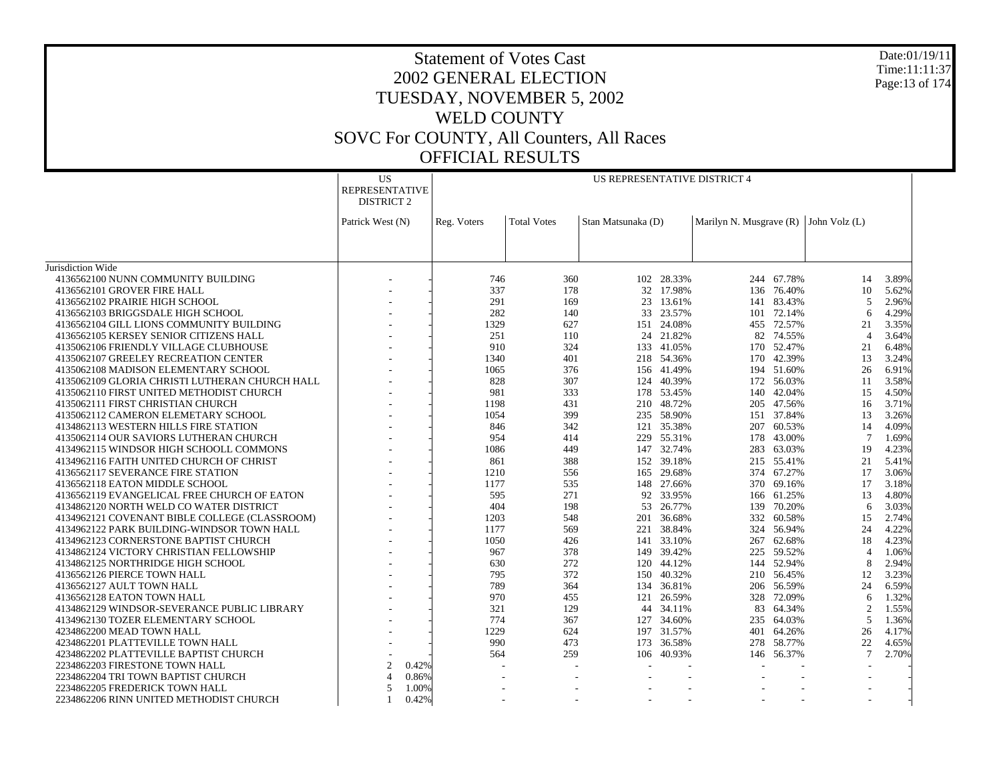Date:01/19/11 Time:11:11:37 Page:13 of 174

|                                                | US                             |             |                    | US REPRESENTATIVE DISTRICT 4 |            |                                           |            |                          |       |
|------------------------------------------------|--------------------------------|-------------|--------------------|------------------------------|------------|-------------------------------------------|------------|--------------------------|-------|
|                                                | <b>REPRESENTATIVE</b>          |             |                    |                              |            |                                           |            |                          |       |
|                                                | <b>DISTRICT 2</b>              |             |                    |                              |            |                                           |            |                          |       |
|                                                |                                |             |                    |                              |            |                                           |            |                          |       |
|                                                | Patrick West (N)               | Reg. Voters | <b>Total Votes</b> | Stan Matsunaka (D)           |            | Marilyn N. Musgrave $(R)$ John Volz $(L)$ |            |                          |       |
|                                                |                                |             |                    |                              |            |                                           |            |                          |       |
|                                                |                                |             |                    |                              |            |                                           |            |                          |       |
| Jurisdiction Wide                              |                                |             |                    |                              |            |                                           |            |                          |       |
| 4136562100 NUNN COMMUNITY BUILDING             |                                | 746         | 360                |                              | 102 28.33% |                                           | 244 67.78% | 14                       | 3.89% |
| 4136562101 GROVER FIRE HALL                    |                                | 337         | 178                |                              | 32 17.98%  |                                           | 136 76.40% | 10                       | 5.62% |
| 4136562102 PRAIRIE HIGH SCHOOL                 |                                | 291         | 169                | 23                           | 13.61%     | 141                                       | 83.43%     | $\overline{5}$           | 2.96% |
| 4136562103 BRIGGSDALE HIGH SCHOOL              |                                | 282         | 140                |                              | 33 23.57%  |                                           | 101 72.14% | 6                        | 4.29% |
| 4136562104 GILL LIONS COMMUNITY BUILDING       |                                | 1329        | 627                | 151                          | 24.08%     |                                           | 455 72.57% | 21                       | 3.35% |
| 4136562105 KERSEY SENIOR CITIZENS HALL         |                                | 251         | 110                |                              | 24 21.82%  |                                           | 82 74.55%  | $\overline{4}$           | 3.64% |
| 4135062106 FRIENDLY VILLAGE CLUBHOUSE          |                                | 910         | 324                |                              | 133 41.05% |                                           | 170 52.47% | 21                       | 6.48% |
| 4135062107 GREELEY RECREATION CENTER           |                                | 1340        | 401                |                              | 218 54.36% |                                           | 170 42.39% | 13                       | 3.24% |
| 4135062108 MADISON ELEMENTARY SCHOOL           |                                | 1065        | 376                |                              | 156 41.49% |                                           | 194 51.60% | 26                       | 6.91% |
| 4135062109 GLORIA CHRISTI LUTHERAN CHURCH HALL |                                | 828         | 307                | 124                          | 40.39%     |                                           | 172 56.03% | 11                       | 3.58% |
| 4135062110 FIRST UNITED METHODIST CHURCH       |                                | 981         | 333                |                              | 178 53.45% |                                           | 140 42.04% | 15                       | 4.50% |
| 4135062111 FIRST CHRISTIAN CHURCH              |                                | 1198        | 431                | 210                          | 48.72%     | 205                                       | 47.56%     | 16                       | 3.71% |
| 4135062112 CAMERON ELEMETARY SCHOOL            |                                | 1054        | 399                |                              | 235 58.90% |                                           | 151 37.84% | 13                       | 3.26% |
| 4134862113 WESTERN HILLS FIRE STATION          |                                | 846         | 342                | 121                          | 35.38%     | 207                                       | 60.53%     | 14                       | 4.09% |
| 4135062114 OUR SAVIORS LUTHERAN CHURCH         |                                | 954         | 414                | 229                          | 55.31%     |                                           | 178 43.00% | $7\phantom{.0}$          | 1.69% |
| 4134962115 WINDSOR HIGH SCHOOLL COMMONS        |                                | 1086        | 449                |                              | 147 32.74% |                                           | 283 63.03% | 19                       | 4.23% |
| 4134962116 FAITH UNITED CHURCH OF CHRIST       |                                | 861         | 388                |                              | 152 39.18% |                                           | 215 55.41% | 21                       | 5.41% |
| 4136562117 SEVERANCE FIRE STATION              |                                | 1210        | 556                |                              | 165 29.68% |                                           | 374 67.27% | 17                       | 3.06% |
| 4136562118 EATON MIDDLE SCHOOL                 |                                | 1177        | 535                |                              | 148 27.66% |                                           | 370 69.16% | 17                       | 3.18% |
| 4136562119 EVANGELICAL FREE CHURCH OF EATON    |                                | 595         | 271                |                              | 92 33.95%  |                                           | 166 61.25% | 13                       | 4.80% |
| 4134862120 NORTH WELD CO WATER DISTRICT        |                                | 404         | 198                |                              | 53 26.77%  |                                           | 139 70.20% | 6                        | 3.03% |
| 4134962121 COVENANT BIBLE COLLEGE (CLASSROOM)  |                                | 1203        | 548                | 201                          | 36.68%     | 332                                       | 60.58%     | 15                       | 2.74% |
| 4134962122 PARK BUILDING-WINDSOR TOWN HALL     |                                | 1177        | 569                |                              | 221 38.84% |                                           | 324 56.94% | 24                       | 4.22% |
| 4134962123 CORNERSTONE BAPTIST CHURCH          |                                | 1050        | 426                | 141                          | 33.10%     | 267                                       | 62.68%     | 18                       | 4.23% |
| 4134862124 VICTORY CHRISTIAN FELLOWSHIP        |                                | 967         | 378                |                              | 149 39.42% |                                           | 225 59.52% | $\overline{4}$           | 1.06% |
| 4134862125 NORTHRIDGE HIGH SCHOOL              |                                | 630         | 272                |                              | 120 44.12% |                                           | 144 52.94% | 8                        | 2.94% |
| 4136562126 PIERCE TOWN HALL                    |                                | 795         | 372                | 150                          | 40.32%     |                                           | 210 56.45% | 12                       | 3.23% |
| 4136562127 AULT TOWN HALL                      |                                | 789         | 364                |                              | 134 36.81% |                                           | 206 56.59% | 24                       | 6.59% |
| 4136562128 EATON TOWN HALL                     |                                | 970         | 455                | 121                          | 26.59%     | 328                                       | 72.09%     | 6                        | 1.32% |
| 4134862129 WINDSOR-SEVERANCE PUBLIC LIBRARY    |                                | 321         | 129                |                              | 44 34.11%  |                                           | 83 64.34%  | 2                        | 1.55% |
| 4134962130 TOZER ELEMENTARY SCHOOL             |                                | 774         | 367                | 127                          | 34.60%     |                                           | 235 64.03% | 5                        | 1.36% |
| 4234862200 MEAD TOWN HALL                      |                                | 1229        | 624                |                              | 197 31.57% |                                           | 401 64.26% | 26                       | 4.17% |
| 4234862201 PLATTEVILLE TOWN HALL               |                                | 990         | 473                |                              | 173 36.58% |                                           | 278 58.77% | 22                       | 4.65% |
| 4234862202 PLATTEVILLE BAPTIST CHURCH          |                                | 564         | 259                | 106                          | 40.93%     | 146                                       | 56.37%     | $7\phantom{.0}$          | 2.70% |
| 2234862203 FIRESTONE TOWN HALL                 | 2<br>0.42%                     |             |                    |                              |            |                                           |            |                          |       |
| 2234862204 TRI TOWN BAPTIST CHURCH             | 0.86%<br>$\boldsymbol{\Delta}$ |             |                    |                              |            |                                           |            |                          |       |
| 2234862205 FREDERICK TOWN HALL                 | $\overline{5}$<br>1.00%        |             |                    |                              |            |                                           |            |                          |       |
| 2234862206 RINN UNITED METHODIST CHURCH        | 0.42%<br>$\mathbf{1}$          |             |                    | $\overline{a}$               |            |                                           |            | $\overline{\phantom{a}}$ |       |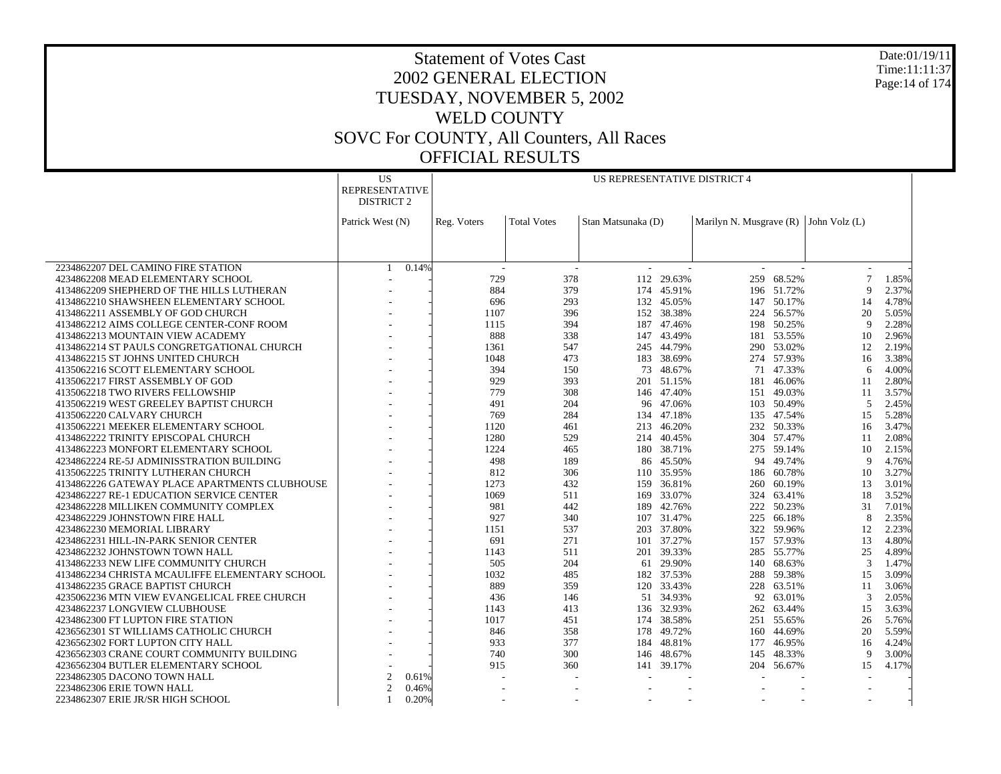Date:01/19/11 Time:11:11:37 Page:14 of 174

|                                                | <b>US</b>             | US REPRESENTATIVE DISTRICT 4      |                          |                    |            |                                           |            |                          |       |  |
|------------------------------------------------|-----------------------|-----------------------------------|--------------------------|--------------------|------------|-------------------------------------------|------------|--------------------------|-------|--|
|                                                | <b>REPRESENTATIVE</b> |                                   |                          |                    |            |                                           |            |                          |       |  |
|                                                | <b>DISTRICT 2</b>     |                                   |                          |                    |            |                                           |            |                          |       |  |
|                                                |                       |                                   |                          |                    |            |                                           |            |                          |       |  |
|                                                | Patrick West (N)      | Reg. Voters                       | <b>Total Votes</b>       | Stan Matsunaka (D) |            | Marilyn N. Musgrave $(R)$ John Volz $(L)$ |            |                          |       |  |
|                                                |                       |                                   |                          |                    |            |                                           |            |                          |       |  |
|                                                |                       |                                   |                          |                    |            |                                           |            |                          |       |  |
| 2234862207 DEL CAMINO FIRE STATION             | 0.14%<br>$\mathbf{1}$ |                                   | $\overline{\phantom{a}}$ |                    |            |                                           |            |                          |       |  |
| 4234862208 MEAD ELEMENTARY SCHOOL              |                       | 729                               | 378                      |                    | 112 29.63% | 259                                       | 68.52%     | 7                        | 1.85% |  |
| 4134862209 SHEPHERD OF THE HILLS LUTHERAN      |                       | 884                               | 379                      |                    | 174 45.91% |                                           | 196 51.72% | 9                        | 2.37% |  |
| 4134862210 SHAWSHEEN ELEMENTARY SCHOOL         |                       | 696                               | 293                      | 132                | 45.05%     | 147                                       | 50.17%     | 14                       | 4.78% |  |
| 4134862211 ASSEMBLY OF GOD CHURCH              |                       | 1107                              | 396                      |                    | 152 38.38% |                                           | 224 56.57% | 20                       | 5.05% |  |
| 4134862212 AIMS COLLEGE CENTER-CONF ROOM       |                       | 1115                              | 394                      | 187                | 47.46%     |                                           | 198 50.25% | 9                        | 2.28% |  |
| 4134862213 MOUNTAIN VIEW ACADEMY               |                       | 888                               | 338                      |                    | 147 43.49% |                                           | 181 53.55% | 10                       | 2.96% |  |
| 4134862214 ST PAULS CONGRETGATIONAL CHURCH     |                       | 1361                              | 547                      | 245                | 44.79%     |                                           | 290 53.02% | 12                       | 2.19% |  |
| 4134862215 ST JOHNS UNITED CHURCH              |                       | 1048                              | 473                      |                    | 183 38.69% |                                           | 274 57.93% | 16                       | 3.38% |  |
| 4135062216 SCOTT ELEMENTARY SCHOOL             |                       | 394                               | 150                      | 73                 | 48.67%     | 71                                        | 47.33%     | 6                        | 4.00% |  |
| 4135062217 FIRST ASSEMBLY OF GOD               |                       | 929                               | 393                      | 201                | 51.15%     | 181                                       | 46.06%     | 11                       | 2.80% |  |
| 4135062218 TWO RIVERS FELLOWSHIP               |                       | 779                               | 308                      |                    | 146 47.40% |                                           | 151 49.03% | 11                       | 3.57% |  |
| 4135062219 WEST GREELEY BAPTIST CHURCH         |                       | 491                               | 204                      | 96                 | 47.06%     |                                           | 103 50.49% | 5                        | 2.45% |  |
| 4135062220 CALVARY CHURCH                      |                       | 769                               | 284                      |                    | 134 47.18% |                                           | 135 47.54% | 15                       | 5.28% |  |
| 4135062221 MEEKER ELEMENTARY SCHOOL            |                       | 1120                              | 461                      | 213                | 46.20%     |                                           | 232 50.33% | 16                       | 3.47% |  |
| 4134862222 TRINITY EPISCOPAL CHURCH            |                       | 1280                              | 529                      |                    | 214 40.45% |                                           | 304 57.47% | 11                       | 2.08% |  |
| 4134862223 MONFORT ELEMENTARY SCHOOL           |                       | 1224                              | 465                      | 180                | 38.71%     |                                           | 275 59.14% | 10                       | 2.15% |  |
| 4234862224 RE-5J ADMINISSTRATION BUILDING      |                       | 498                               | 189                      | 86                 | 45.50%     | 94                                        | 49.74%     | $\mathbf Q$              | 4.76% |  |
| 4135062225 TRINITY LUTHERAN CHURCH             |                       | 812                               | 306                      | 110                | 35.95%     |                                           | 186 60.78% | 10                       | 3.27% |  |
| 4134862226 GATEWAY PLACE APARTMENTS CLUBHOUSE  |                       | 1273                              | 432                      | 159                | 36.81%     | 260                                       | 60.19%     | 13                       | 3.01% |  |
| 4234862227 RE-1 EDUCATION SERVICE CENTER       |                       | 1069                              | 511                      | 169                | 33.07%     |                                           | 324 63.41% | 18                       | 3.52% |  |
| 4234862228 MILLIKEN COMMUNITY COMPLEX          |                       | 981                               | 442                      | 189                | 42.76%     | 222                                       | 50.23%     | 31                       | 7.01% |  |
| 4234862229 JOHNSTOWN FIRE HALL                 |                       | 927                               | 340                      |                    | 107 31.47% | 225                                       | 66.18%     | 8                        | 2.35% |  |
| 4234862230 MEMORIAL LIBRARY                    |                       | 1151                              | 537                      | 203                | 37.80%     |                                           | 322 59.96% | 12                       | 2.23% |  |
| 4234862231 HILL-IN-PARK SENIOR CENTER          |                       | 691                               | 271                      | 101                | 37.27%     | 157                                       | 57.93%     | 13                       | 4.80% |  |
| 4234862232 JOHNSTOWN TOWN HALL                 |                       | 1143                              | 511                      |                    | 201 39.33% |                                           | 285 55.77% | 25                       | 4.89% |  |
| 4134862233 NEW LIFE COMMUNITY CHURCH           |                       | 505                               | 204                      | 61                 | 29.90%     | 140                                       | 68.63%     | 3                        | 1.47% |  |
| 4134862234 CHRISTA MCAULIFFE ELEMENTARY SCHOOL |                       | 1032                              | 485                      |                    | 182 37.53% |                                           | 288 59.38% | 15                       | 3.09% |  |
| 4134862235 GRACE BAPTIST CHURCH                |                       | 889                               | 359                      | 120                | 33.43%     | 228                                       | 63.51%     | 11                       | 3.06% |  |
| 4235062236 MTN VIEW EVANGELICAL FREE CHURCH    |                       | 436                               | 146                      |                    | 51 34.93%  | 92                                        | 63.01%     | 3                        | 2.05% |  |
| 4234862237 LONGVIEW CLUBHOUSE                  |                       | 1143                              | 413                      |                    | 136 32.93% |                                           | 262 63.44% | 15                       | 3.63% |  |
| 4234862300 FT LUPTON FIRE STATION              |                       | 1017                              | 451                      | 174                | 38.58%     |                                           | 251 55.65% | 26                       | 5.76% |  |
| 4236562301 ST WILLIAMS CATHOLIC CHURCH         |                       | 846                               | 358                      | 178                | 49.72%     |                                           | 160 44.69% | 20                       | 5.59% |  |
| 4236562302 FORT LUPTON CITY HALL               |                       | 933                               | 377                      | 184                | 48.81%     | 177                                       | 46.95%     | 16                       | 4.24% |  |
| 4236562303 CRANE COURT COMMUNITY BUILDING      |                       | 740                               | 300                      | 146                | 48.67%     |                                           | 145 48.33% | 9                        | 3.00% |  |
| 4236562304 BUTLER ELEMENTARY SCHOOL            |                       | 915                               | 360                      | 141                | 39.17%     | 204                                       | 56.67%     | 15                       | 4.17% |  |
| 2234862305 DACONO TOWN HALL                    | $\overline{c}$        | 0.61%                             |                          |                    |            |                                           |            |                          |       |  |
| 2234862306 ERIE TOWN HALL                      | $\overline{c}$        | 0.46%                             |                          |                    |            |                                           |            |                          |       |  |
| 2234862307 ERIE JR/SR HIGH SCHOOL              | 1                     | 0.20%<br>$\overline{\phantom{a}}$ |                          |                    |            |                                           |            | $\overline{\phantom{a}}$ |       |  |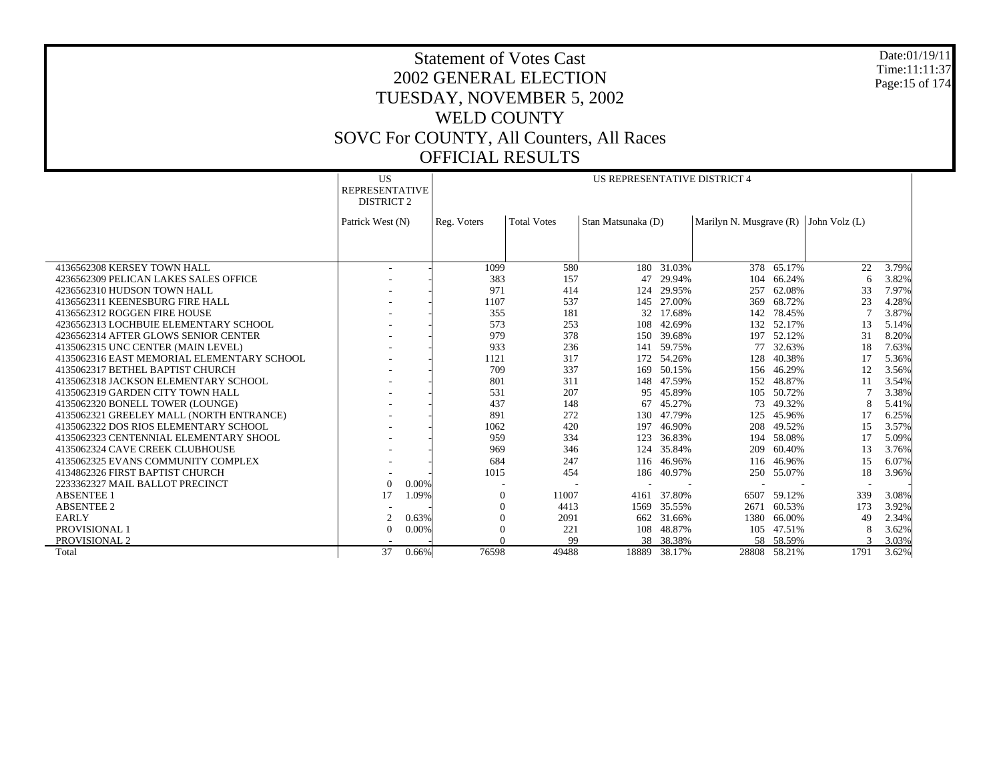Date:01/19/11 Time:11:11:37 Page:15 of 174

|                                            | US<br>US REPRESENTATIVE DISTRICT 4<br><b>REPRESENTATIVE</b><br><b>DISTRICT 2</b> |       |             |                    |                    |            |                                           |              |      |       |
|--------------------------------------------|----------------------------------------------------------------------------------|-------|-------------|--------------------|--------------------|------------|-------------------------------------------|--------------|------|-------|
|                                            | Patrick West (N)                                                                 |       | Reg. Voters | <b>Total Votes</b> | Stan Matsunaka (D) |            | Marilyn N. Musgrave $(R)$ John Volz $(L)$ |              |      |       |
|                                            |                                                                                  |       |             |                    |                    |            |                                           |              |      |       |
|                                            |                                                                                  |       |             |                    |                    |            |                                           |              |      |       |
| 4136562308 KERSEY TOWN HALL                | ۰                                                                                |       | 1099        | 580                |                    | 180 31.03% |                                           | 378 65.17%   | 22   | 3.79% |
| 4236562309 PELICAN LAKES SALES OFFICE      |                                                                                  |       | 383         | 157                | 47                 | 29.94%     |                                           | 104 66.24%   | 6    | 3.82% |
| 4236562310 HUDSON TOWN HALL                |                                                                                  |       | 971         | 414                | 124                | 29.95%     | 257                                       | 62.08%       | 33   | 7.97% |
| 4136562311 KEENESBURG FIRE HALL            |                                                                                  |       | 1107        | 537                | 145                | 27.00%     | 369                                       | 68.72%       | 23   | 4.28% |
| 4136562312 ROGGEN FIRE HOUSE               |                                                                                  |       | 355         | 181                | 32                 | 17.68%     | 142                                       | 78.45%       |      | 3.87% |
| 4236562313 LOCHBUIE ELEMENTARY SCHOOL      |                                                                                  |       | 573         | 253                | 108                | 42.69%     | 132                                       | 52.17%       | 13   | 5.14% |
| 4236562314 AFTER GLOWS SENIOR CENTER       |                                                                                  |       | 979         | 378                | 150                | 39.68%     | 197                                       | 52.12%       | 31   | 8.20% |
| 4135062315 UNC CENTER (MAIN LEVEL)         |                                                                                  |       | 933         | 236                | 141                | 59.75%     | 77                                        | 32.63%       | 18   | 7.63% |
| 4135062316 EAST MEMORIAL ELEMENTARY SCHOOL |                                                                                  |       | 1121        | 317                |                    | 172 54.26% | 128                                       | 40.38%       | 17   | 5.36% |
| 4135062317 BETHEL BAPTIST CHURCH           |                                                                                  |       | 709         | 337                |                    | 169 50.15% | 156                                       | 46.29%       | 12   | 3.56% |
| 4135062318 JACKSON ELEMENTARY SCHOOL       |                                                                                  |       | 801         | 311                | 148                | 47.59%     | 152                                       | 48.87%       | 11   | 3.54% |
| 4135062319 GARDEN CITY TOWN HALL           |                                                                                  |       | 531         | 207                | 95                 | 45.89%     | 105                                       | 50.72%       |      | 3.38% |
| 4135062320 BONELL TOWER (LOUNGE)           |                                                                                  |       | 437         | 148                | 67                 | 45.27%     | 73                                        | 49.32%       | 8    | 5.41% |
| 4135062321 GREELEY MALL (NORTH ENTRANCE)   |                                                                                  |       | 891         | 272                | 130                | 47.79%     | 125                                       | 45.96%       | 17   | 6.25% |
| 4135062322 DOS RIOS ELEMENTARY SCHOOL      |                                                                                  |       | 1062        | 420                | 197                | 46.90%     | 208                                       | 49.52%       | 15   | 3.57% |
| 4135062323 CENTENNIAL ELEMENTARY SHOOL     |                                                                                  |       | 959         | 334                | 123                | 36.83%     | 194                                       | 58.08%       | 17   | 5.09% |
| 4135062324 CAVE CREEK CLUBHOUSE            |                                                                                  |       | 969         | 346                | 124                | 35.84%     | 209                                       | 60.40%       | 13   | 3.76% |
| 4135062325 EVANS COMMUNITY COMPLEX         |                                                                                  |       | 684         | 247                |                    | 116 46.96% | 116                                       | 46.96%       | 15   | 6.07% |
| 4134862326 FIRST BAPTIST CHURCH            |                                                                                  |       | 1015        | 454                | 186                | 40.97%     | 250                                       | 55.07%       | 18   | 3.96% |
| 2233362327 MAIL BALLOT PRECINCT            | $\Omega$                                                                         | 0.00% |             |                    |                    |            |                                           |              |      |       |
| <b>ABSENTEE 1</b>                          | 17                                                                               | 1.09% | $\Omega$    | 11007              | 4161               | 37.80%     | 6507                                      | 59.12%       | 339  | 3.08% |
| <b>ABSENTEE 2</b>                          |                                                                                  |       | $\Omega$    | 4413               | 1569               | 35.55%     | 2671                                      | 60.53%       | 173  | 3.92% |
| <b>EARLY</b>                               | 2                                                                                | 0.63% | 0           | 2091               | 662                | 31.66%     | 1380                                      | 66.00%       | 49   | 2.34% |
| PROVISIONAL 1                              | $\Omega$                                                                         | 0.00% |             | 221                | 108                | 48.87%     |                                           | 105 47.51%   | 8    | 3.62% |
| PROVISIONAL 2                              |                                                                                  |       |             | 99                 | 38                 | 38.38%     |                                           | 58 58.59%    |      | 3.03% |
| Total                                      | 37                                                                               | 0.66% | 76598       | 49488              | 18889              | 38.17%     |                                           | 28808 58.21% | 1791 | 3.62% |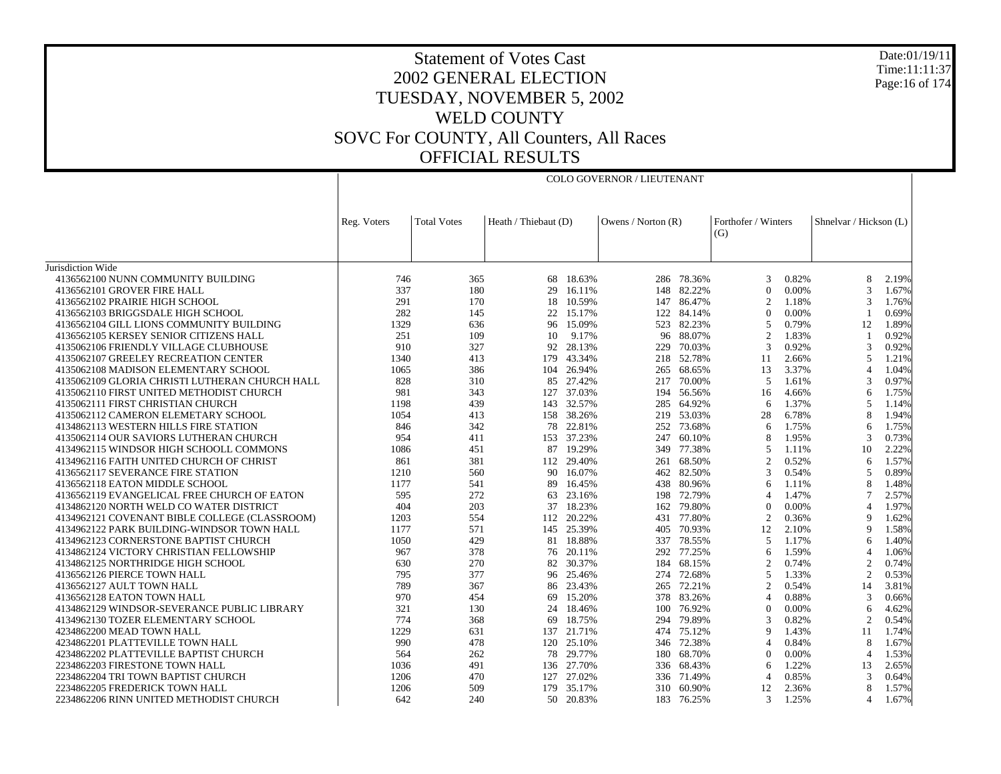Date:01/19/11 Time:11:11:37 Page:16 of 174

#### Statement of Votes Cast 2002 GENERAL ELECTION TUESDAY, NOVEMBER 5, 2002 WELD COUNTY SOVC For COUNTY, All Counters, All Races OFFICIAL RESULTS

COLO GOVERNOR / LIEUTENANT

|                                                                               | Heath / Thiebaut (D)<br><b>Total Votes</b><br>Reg. Voters |            | Owens / Norton $(R)$ |                 | Forthofer / Winters |                  | Shnelvar / Hickson (L)     |                |                     |                |
|-------------------------------------------------------------------------------|-----------------------------------------------------------|------------|----------------------|-----------------|---------------------|------------------|----------------------------|----------------|---------------------|----------------|
|                                                                               |                                                           |            |                      |                 |                     |                  | (G)                        |                |                     |                |
|                                                                               |                                                           |            |                      |                 |                     |                  |                            |                |                     |                |
|                                                                               |                                                           |            |                      |                 |                     |                  |                            |                |                     |                |
| Jurisdiction Wide                                                             |                                                           |            |                      |                 |                     |                  |                            |                |                     |                |
| 4136562100 NUNN COMMUNITY BUILDING                                            | 746                                                       | 365        | 68                   | 18.63%          |                     | 286 78.36%       | 3                          | 0.82%          | 8                   | 2.19%          |
| 4136562101 GROVER FIRE HALL                                                   | 337                                                       | 180        | 29                   | 16.11%          | 148                 | 82.22%           | $\theta$                   | 0.00%          | 3                   | 1.67%          |
| 4136562102 PRAIRIE HIGH SCHOOL                                                | 291                                                       | 170        | 18                   | 10.59%          | 147                 | 86.47%           | $\overline{c}$<br>$\Omega$ | 1.18%          | 3                   | 1.76%          |
| 4136562103 BRIGGSDALE HIGH SCHOOL                                             | 282                                                       | 145        | 22                   | 15.17%          | 122                 | 84.14%           |                            | 0.00%          |                     | 0.69%          |
| 4136562104 GILL LIONS COMMUNITY BUILDING                                      | 1329                                                      | 636        | 96                   | 15.09%          | 523                 | 82.23%           | 5                          | 0.79%          | 12                  | 1.89%          |
| 4136562105 KERSEY SENIOR CITIZENS HALL                                        | 251                                                       | 109<br>327 | 10                   | 9.17%<br>28.13% | 96                  | 88.07%           | $\mathfrak{2}$<br>3        | 1.83%          | $\overline{1}$<br>3 | 0.92%<br>0.92% |
| 4135062106 FRIENDLY VILLAGE CLUBHOUSE<br>4135062107 GREELEY RECREATION CENTER | 910<br>1340                                               | 413        | 92<br>179            | 43.34%          | 229<br>218          | 70.03%<br>52.78% | 11                         | 0.92%<br>2.66% | 5                   | 1.21%          |
| 4135062108 MADISON ELEMENTARY SCHOOL                                          | 1065                                                      | 386        | 104                  | 26.94%          | 265                 | 68.65%           | 13                         | 3.37%          | $\overline{4}$      | 1.04%          |
| 4135062109 GLORIA CHRISTI LUTHERAN CHURCH HALL                                | 828                                                       | 310        |                      | 85 27.42%       | 217                 | 70.00%           | 5                          | 1.61%          | 3                   | 0.97%          |
| 4135062110 FIRST UNITED METHODIST CHURCH                                      | 981                                                       | 343        | 127                  | 37.03%          | 194                 | 56.56%           | 16                         | 4.66%          | 6                   | 1.75%          |
| 4135062111 FIRST CHRISTIAN CHURCH                                             | 1198                                                      | 439        |                      | 143 32.57%      | 285                 | 64.92%           | 6                          | 1.37%          | 5                   | 1.14%          |
| 4135062112 CAMERON ELEMETARY SCHOOL                                           | 1054                                                      | 413        | 158                  | 38.26%          | 219                 | 53.03%           | 28                         | 6.78%          | 8                   | 1.94%          |
| 4134862113 WESTERN HILLS FIRE STATION                                         | 846                                                       | 342        | 78                   | 22.81%          | 252                 | 73.68%           | 6                          | 1.75%          | 6                   | 1.75%          |
| 4135062114 OUR SAVIORS LUTHERAN CHURCH                                        | 954                                                       | 411        |                      | 153 37.23%      | 247                 | 60.10%           | 8                          | 1.95%          | 3                   | 0.73%          |
| 4134962115 WINDSOR HIGH SCHOOLL COMMONS                                       | 1086                                                      | 451        | 87                   | 19.29%          | 349                 | 77.38%           | 5                          | 1.11%          | 10                  | 2.22%          |
| 4134962116 FAITH UNITED CHURCH OF CHRIST                                      | 861                                                       | 381        |                      | 112 29.40%      | 261                 | 68.50%           | 2                          | 0.52%          | 6                   | 1.57%          |
| 4136562117 SEVERANCE FIRE STATION                                             | 1210                                                      | 560        | 90                   | 16.07%          | 462                 | 82.50%           | 3                          | 0.54%          | 5                   | 0.89%          |
| 4136562118 EATON MIDDLE SCHOOL                                                | 1177                                                      | 541        | 89                   | 16.45%          | 438                 | 80.96%           | 6                          | 1.11%          | 8                   | 1.48%          |
| 4136562119 EVANGELICAL FREE CHURCH OF EATON                                   | 595                                                       | 272        | 63                   | 23.16%          | 198                 | 72.79%           | 4                          | 1.47%          | 7                   | 2.57%          |
| 4134862120 NORTH WELD CO WATER DISTRICT                                       | 404                                                       | 203        | 37                   | 18.23%          | 162                 | 79.80%           | $\theta$                   | 0.00%          | $\overline{4}$      | 1.97%          |
| 4134962121 COVENANT BIBLE COLLEGE (CLASSROOM)                                 | 1203                                                      | 554        | 112                  | 20.22%          | 431                 | 77.80%           | 2                          | 0.36%          | 9                   | 1.62%          |
| 4134962122 PARK BUILDING-WINDSOR TOWN HALL                                    | 1177                                                      | 571        |                      | 145 25.39%      |                     | 405 70.93%       | 12                         | 2.10%          | 9                   | 1.58%          |
| 4134962123 CORNERSTONE BAPTIST CHURCH                                         | 1050                                                      | 429        | 81                   | 18.88%          | 337                 | 78.55%           | 5                          | 1.17%          | 6                   | 1.40%          |
| 4134862124 VICTORY CHRISTIAN FELLOWSHIP                                       | 967                                                       | 378        | 76                   | 20.11%          | 292                 | 77.25%           | 6                          | 1.59%          | $\overline{4}$      | 1.06%          |
| 4134862125 NORTHRIDGE HIGH SCHOOL                                             | 630                                                       | 270        | 82                   | 30.37%          | 184                 | 68.15%           | $\overline{2}$             | 0.74%          | $\overline{2}$      | 0.74%          |
| 4136562126 PIERCE TOWN HALL                                                   | 795                                                       | 377        | 96                   | 25.46%          | 274                 | 72.68%           | 5                          | 1.33%          | $\overline{2}$      | 0.53%          |
| 4136562127 AULT TOWN HALL                                                     | 789                                                       | 367        | 86                   | 23.43%          | 265                 | 72.21%           | 2                          | 0.54%          | 14                  | 3.81%          |
| 4136562128 EATON TOWN HALL                                                    | 970                                                       | 454        | 69                   | 15.20%          |                     | 378 83.26%       | $\boldsymbol{\Delta}$      | 0.88%          | 3                   | 0.66%          |
| 4134862129 WINDSOR-SEVERANCE PUBLIC LIBRARY                                   | 321                                                       | 130        | 24                   | 18.46%          | 100                 | 76.92%           | $\mathbf{0}$               | 0.00%          | 6                   | 4.62%          |
| 4134962130 TOZER ELEMENTARY SCHOOL                                            | 774                                                       | 368        | 69                   | 18.75%          | 294                 | 79.89%           | 3                          | 0.82%          | $\overline{2}$      | 0.54%          |
| 4234862200 MEAD TOWN HALL                                                     | 1229                                                      | 631        |                      | 137 21.71%      |                     | 474 75.12%       | 9                          | 1.43%          | 11                  | 1.74%          |
| 4234862201 PLATTEVILLE TOWN HALL                                              | 990                                                       | 478        | 120                  | 25.10%          | 346                 | 72.38%           | $\overline{4}$             | 0.84%          | 8                   | 1.67%          |
| 4234862202 PLATTEVILLE BAPTIST CHURCH                                         | 564                                                       | 262        | 78                   | 29.77%          | 180                 | 68.70%           | $\mathbf{0}$               | 0.00%          | $\overline{4}$      | 1.53%          |
| 2234862203 FIRESTONE TOWN HALL                                                | 1036                                                      | 491        | 136                  | 27.70%          | 336                 | 68.43%           | 6                          | 1.22%          | 13                  | 2.65%          |
| 2234862204 TRI TOWN BAPTIST CHURCH                                            | 1206                                                      | 470        | 127                  | 27.02%          |                     | 336 71.49%       | $\overline{4}$             | 0.85%          | 3                   | 0.64%          |
| 2234862205 FREDERICK TOWN HALL                                                | 1206                                                      | 509        |                      | 179 35.17%      | 310                 | 60.90%           | 12                         | 2.36%          | 8                   | 1.57%          |
| 2234862206 RINN UNITED METHODIST CHURCH                                       | 642                                                       | 240        |                      | 50 20.83%       |                     | 183 76.25%       | 3                          | 1.25%          | $\overline{4}$      | 1.67%          |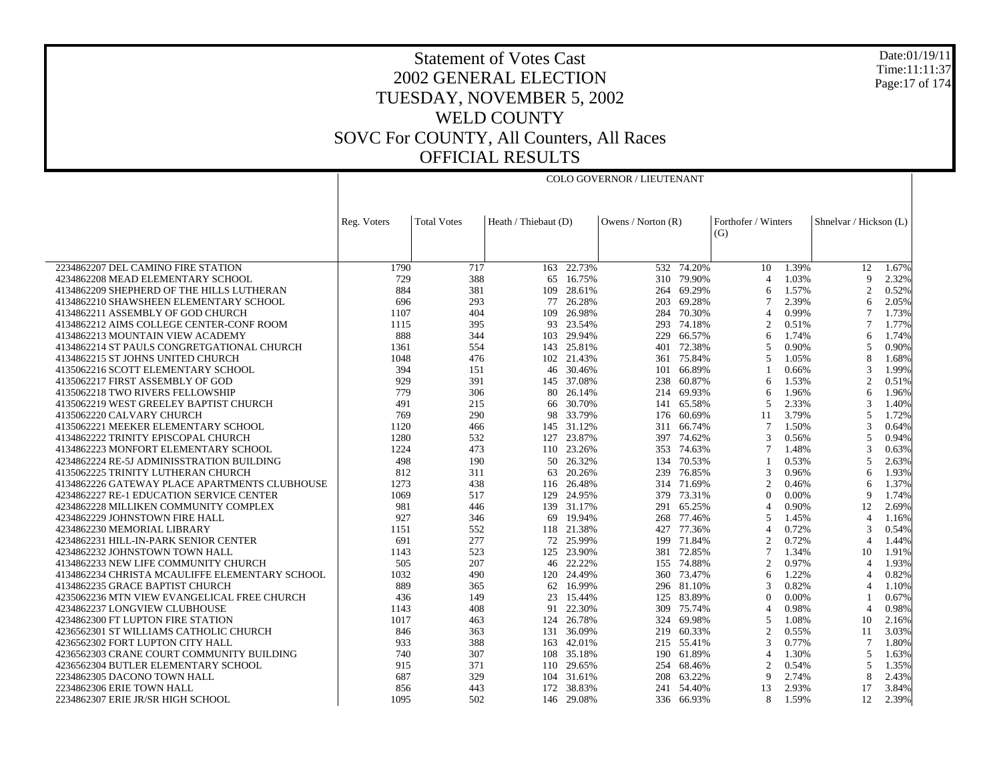Date:01/19/11 Time:11:11:37 Page:17 of 174

# Statement of Votes Cast 2002 GENERAL ELECTION TUESDAY, NOVEMBER 5, 2002 WELD COUNTY SOVC For COUNTY, All Counters, All Races OFFICIAL RESULTS

COLO GOVERNOR / LIEUTENANT

|                                                | Reg. Voters | <b>Total Votes</b> | Heath / Thiebaut (D) |            | Owens / Norton $(R)$ |            | Forthofer / Winters |       | Shnelvar / Hickson (L) |       |
|------------------------------------------------|-------------|--------------------|----------------------|------------|----------------------|------------|---------------------|-------|------------------------|-------|
|                                                |             |                    |                      |            |                      |            | (G)                 |       |                        |       |
|                                                |             |                    |                      |            |                      |            |                     |       |                        |       |
| 2234862207 DEL CAMINO FIRE STATION             | 1790        | 717                |                      | 163 22.73% | 532                  | 74.20%     | 10                  | 1.39% | 12                     | 1.67% |
| 4234862208 MEAD ELEMENTARY SCHOOL              | 729         | 388                | 65                   | 16.75%     | 310                  | 79.90%     | $\overline{4}$      | 1.03% | 9                      | 2.32% |
| 4134862209 SHEPHERD OF THE HILLS LUTHERAN      | 884         | 381                | 109                  | 28.61%     | 264                  | 69.29%     | 6                   | 1.57% | $\overline{2}$         | 0.52% |
| 4134862210 SHAWSHEEN ELEMENTARY SCHOOL         | 696         | 293                | 77                   | 26.28%     | 203                  | 69.28%     | 7                   | 2.39% | 6                      | 2.05% |
| 4134862211 ASSEMBLY OF GOD CHURCH              | 1107        | 404                | 109                  | 26.98%     | 284                  | 70.30%     | $\overline{4}$      | 0.99% | $\overline{7}$         | 1.73% |
| 4134862212 AIMS COLLEGE CENTER-CONF ROOM       | 1115        | 395                | 93                   | 23.54%     | 293                  | 74.18%     | $\mathfrak{D}$      | 0.51% | $\overline{7}$         | 1.77% |
| 4134862213 MOUNTAIN VIEW ACADEMY               | 888         | 344                | 103                  | 29.94%     | 229                  | 66.57%     | 6                   | 1.74% | 6                      | 1.74% |
| 4134862214 ST PAULS CONGRETGATIONAL CHURCH     | 1361        | 554                | 143                  | 25.81%     | 401                  | 72.38%     | 5                   | 0.90% | 5                      | 0.90% |
| 4134862215 ST JOHNS UNITED CHURCH              | 1048        | 476                |                      | 102 21.43% | 361                  | 75.84%     | 5                   | 1.05% | 8                      | 1.68% |
| 4135062216 SCOTT ELEMENTARY SCHOOL             | 394         | 151                | 46                   | 30.46%     | 101                  | 66.89%     |                     | 0.66% | 3                      | 1.99% |
| 4135062217 FIRST ASSEMBLY OF GOD               | 929         | 391                | 145                  | 37.08%     | 238                  | 60.87%     | 6                   | 1.53% | $\overline{2}$         | 0.51% |
| 4135062218 TWO RIVERS FELLOWSHIP               | 779         | 306                | 80                   | 26.14%     | 214                  | 69.93%     | 6                   | 1.96% | 6                      | 1.96% |
| 4135062219 WEST GREELEY BAPTIST CHURCH         | 491         | 215                | 66                   | 30.70%     | 141                  | 65.58%     | 5                   | 2.33% | 3                      | 1.40% |
| 4135062220 CALVARY CHURCH                      | 769         | 290                | 98                   | 33.79%     | 176                  | 60.69%     | 11                  | 3.79% | 5                      | 1.72% |
| 4135062221 MEEKER ELEMENTARY SCHOOL            | 1120        | 466                |                      | 145 31.12% | 311                  | 66.74%     | 7                   | 1.50% | 3                      | 0.64% |
| 4134862222 TRINITY EPISCOPAL CHURCH            | 1280        | 532                | 127                  | 23.87%     | 397                  | 74.62%     | 3                   | 0.56% | 5                      | 0.94% |
| 4134862223 MONFORT ELEMENTARY SCHOOL           | 1224        | 473                | 110                  | 23.26%     | 353                  | 74.63%     | $\tau$              | 1.48% | 3                      | 0.63% |
| 4234862224 RE-5J ADMINISSTRATION BUILDING      | 498         | 190                |                      | 50 26.32%  |                      | 134 70.53% |                     | 0.53% | 5                      | 2.63% |
| 4135062225 TRINITY LUTHERAN CHURCH             | 812         | 311                | 63                   | 20.26%     | 239                  | 76.85%     | 3                   | 0.96% | 6                      | 1.93% |
| 4134862226 GATEWAY PLACE APARTMENTS CLUBHOUSE  | 1273        | 438                | 116                  | 26.48%     |                      | 314 71.69% | $\overline{c}$      | 0.46% | 6                      | 1.37% |
| 4234862227 RE-1 EDUCATION SERVICE CENTER       | 1069        | 517                | 129                  | 24.95%     | 379                  | 73.31%     | $\Omega$            | 0.00% | 9                      | 1.74% |
| 4234862228 MILLIKEN COMMUNITY COMPLEX          | 981         | 446                | 139                  | 31.17%     | 291                  | 65.25%     | $\overline{4}$      | 0.90% | 12                     | 2.69% |
| 4234862229 JOHNSTOWN FIRE HALL                 | 927         | 346                | 69                   | 19.94%     | 268                  | 77.46%     | 5                   | 1.45% | $\overline{4}$         | 1.16% |
| 4234862230 MEMORIAL LIBRARY                    | 1151        | 552                |                      | 118 21.38% | 427                  | 77.36%     | 4                   | 0.72% | 3                      | 0.54% |
| 4234862231 HILL-IN-PARK SENIOR CENTER          | 691         | 277                | 72                   | 25.99%     | 199                  | 71.84%     | $\overline{c}$      | 0.72% | $\overline{4}$         | 1.44% |
| 4234862232 JOHNSTOWN TOWN HALL                 | 1143        | 523                | 125                  | 23.90%     | 381                  | 72.85%     | 7                   | 1.34% | 10                     | 1.91% |
| 4134862233 NEW LIFE COMMUNITY CHURCH           | 505         | 207                | 46                   | 22.22%     | 155                  | 74.88%     | 2                   | 0.97% | $\overline{4}$         | 1.93% |
| 4134862234 CHRISTA MCAULIFFE ELEMENTARY SCHOOL | 1032        | 490                | 120                  | 24.49%     | 360                  | 73.47%     | 6                   | 1.22% | $\overline{4}$         | 0.82% |
| 4134862235 GRACE BAPTIST CHURCH                | 889         | 365                | 62                   | 16.99%     |                      | 296 81.10% | 3                   | 0.82% | $\overline{4}$         | 1.10% |
| 4235062236 MTN VIEW EVANGELICAL FREE CHURCH    | 436         | 149                | 23                   | 15.44%     | 125                  | 83.89%     | $\Omega$            | 0.00% | $\overline{1}$         | 0.67% |
| 4234862237 LONGVIEW CLUBHOUSE                  | 1143        | 408                | 91                   | 22.30%     | 309                  | 75.74%     | 4                   | 0.98% | $\overline{4}$         | 0.98% |
| 4234862300 FT LUPTON FIRE STATION              | 1017        | 463                | 124                  | 26.78%     | 324                  | 69.98%     | 5                   | 1.08% | 10                     | 2.16% |
| 4236562301 ST WILLIAMS CATHOLIC CHURCH         | 846         | 363                | 131                  | 36.09%     | 219                  | 60.33%     | $\overline{c}$      | 0.55% | 11                     | 3.03% |
| 4236562302 FORT LUPTON CITY HALL               | 933         | 388                | 163                  | 42.01%     | 215                  | 55.41%     | 3                   | 0.77% | $\overline{7}$         | 1.80% |
| 4236562303 CRANE COURT COMMUNITY BUILDING      | 740         | 307                |                      | 108 35.18% |                      | 190 61.89% | $\overline{4}$      | 1.30% | 5                      | 1.63% |
| 4236562304 BUTLER ELEMENTARY SCHOOL            | 915         | 371                | 110                  | 29.65%     | 254                  | 68.46%     | $\overline{c}$      | 0.54% | 5                      | 1.35% |
| 2234862305 DACONO TOWN HALL                    | 687         | 329                |                      | 104 31.61% | 208                  | 63.22%     | 9                   | 2.74% | 8                      | 2.43% |
| 2234862306 ERIE TOWN HALL                      | 856         | 443                | 172                  | 38.83%     | 241                  | 54.40%     | 13                  | 2.93% | 17                     | 3.84% |
| 2234862307 ERIE JR/SR HIGH SCHOOL              | 1095        | 502                |                      | 146 29.08% |                      | 336 66.93% | 8                   | 1.59% | 12                     | 2.39% |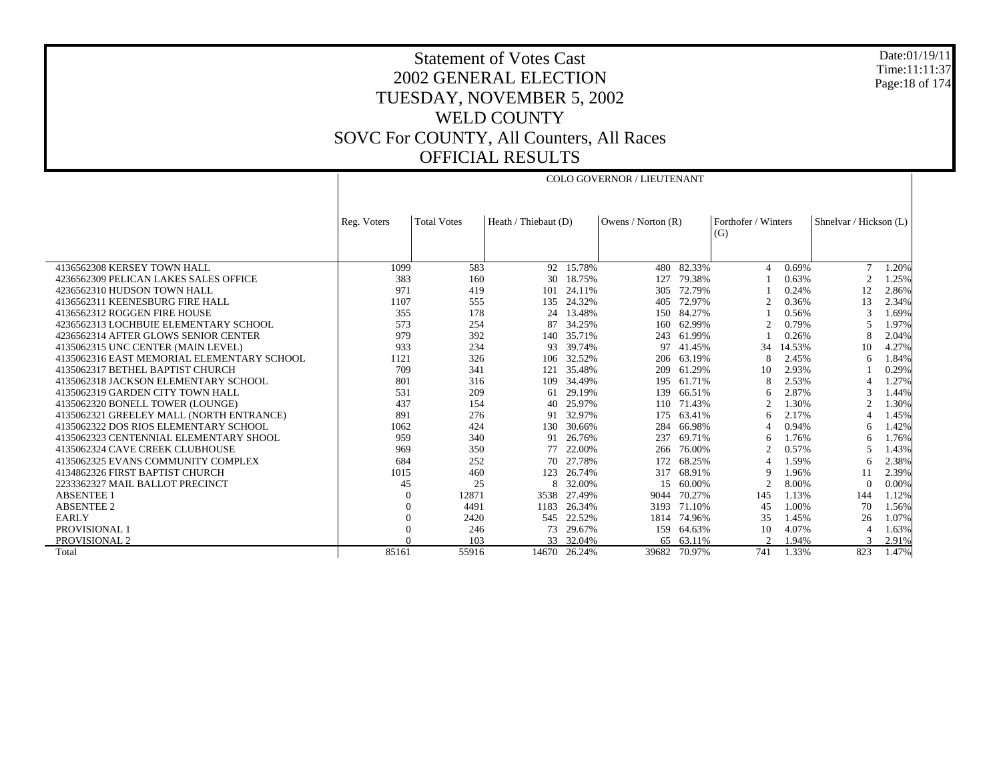Date:01/19/11 Time:11:11:37 Page:18 of 174

# Statement of Votes Cast 2002 GENERAL ELECTION TUESDAY, NOVEMBER 5, 2002 WELD COUNTY SOVC For COUNTY, All Counters, All Races OFFICIAL RESULTS

COLO GOVERNOR / LIEUTENANT

|                                            | Reg. Voters | <b>Total Votes</b> | Heath / Thiebaut (D) |        | Owens / Norton $(R)$ |        | Forthofer / Winters<br>(G) |        | Shnelvar / Hickson (L) |       |  |
|--------------------------------------------|-------------|--------------------|----------------------|--------|----------------------|--------|----------------------------|--------|------------------------|-------|--|
|                                            |             |                    |                      |        |                      |        |                            |        |                        |       |  |
| 4136562308 KERSEY TOWN HALL                | 1099        | 583                | 92                   | 15.78% | 480                  | 82.33% | 4                          | 0.69%  | 7                      | 1.20% |  |
| 4236562309 PELICAN LAKES SALES OFFICE      | 383         | 160                | 30                   | 18.75% | 127                  | 79.38% |                            | 0.63%  | $\overline{2}$         | 1.25% |  |
| 4236562310 HUDSON TOWN HALL                | 971         | 419                | 101                  | 24.11% | 305                  | 72.79% |                            | 0.24%  | 12                     | 2.86% |  |
| 4136562311 KEENESBURG FIRE HALL            | 1107        | 555                | 135                  | 24.32% | 405                  | 72.97% | 2                          | 0.36%  | 13                     | 2.34% |  |
| 4136562312 ROGGEN FIRE HOUSE               | 355         | 178                | 24                   | 13.48% | 150                  | 84.27% |                            | 0.56%  | 3                      | 1.69% |  |
| 4236562313 LOCHBUIE ELEMENTARY SCHOOL      | 573         | 254                | 87                   | 34.25% | 160                  | 62.99% |                            | 0.79%  | 5                      | 1.97% |  |
| 4236562314 AFTER GLOWS SENIOR CENTER       | 979         | 392                | 140                  | 35.71% | 243                  | 61.99% |                            | 0.26%  | 8                      | 2.04% |  |
| 4135062315 UNC CENTER (MAIN LEVEL)         | 933         | 234                | 93                   | 39.74% | 97                   | 41.45% | 34                         | 14.53% | 10                     | 4.27% |  |
| 4135062316 EAST MEMORIAL ELEMENTARY SCHOOL | 1121        | 326                | 106                  | 32.52% | 206                  | 63.19% |                            | 2.45%  | 6                      | 1.84% |  |
| 4135062317 BETHEL BAPTIST CHURCH           | 709         | 341                | 121                  | 35.48% | 209                  | 61.29% | 10                         | 2.93%  |                        | 0.29% |  |
| 4135062318 JACKSON ELEMENTARY SCHOOL       | 801         | 316                | 109                  | 34.49% | 195                  | 61.71% |                            | 2.53%  | $\overline{4}$         | 1.27% |  |
| 4135062319 GARDEN CITY TOWN HALL           | 531         | 209                | 61                   | 29.19% | 139                  | 66.51% | 6                          | 2.87%  | 3                      | 1.44% |  |
| 4135062320 BONELL TOWER (LOUNGE)           | 437         | 154                | 40                   | 25.97% | 110                  | 71.43% | $\mathfrak{D}$             | 1.30%  | $\overline{2}$         | 1.30% |  |
| 4135062321 GREELEY MALL (NORTH ENTRANCE)   | 891         | 276                | 91                   | 32.97% | 175                  | 63.41% | 6                          | 2.17%  | $\overline{4}$         | 1.45% |  |
| 4135062322 DOS RIOS ELEMENTARY SCHOOL      | 1062        | 424                | 130                  | 30.66% | 284                  | 66.98% |                            | 0.94%  | 6                      | 1.42% |  |
| 4135062323 CENTENNIAL ELEMENTARY SHOOL     | 959         | 340                | 91                   | 26.76% | 237                  | 69.71% | 6                          | 1.76%  | 6                      | 1.76% |  |
| 4135062324 CAVE CREEK CLUBHOUSE            | 969         | 350                | 77                   | 22.00% | 266                  | 76.00% |                            | 0.57%  | 5                      | 1.43% |  |
| 4135062325 EVANS COMMUNITY COMPLEX         | 684         | 252                | 70                   | 27.78% | 172                  | 68.25% |                            | 1.59%  | 6                      | 2.38% |  |
| 4134862326 FIRST BAPTIST CHURCH            | 1015        | 460                | 123                  | 26.74% | 317                  | 68.91% | Q                          | 1.96%  | 11                     | 2.39% |  |
| 2233362327 MAIL BALLOT PRECINCT            | 45          | 25                 |                      | 32.00% | 15                   | 60.00% | 2                          | 8.00%  | $\Omega$               | 0.00% |  |
| <b>ABSENTEE 1</b>                          | 0           | 12871              | 3538                 | 27.49% | 9044                 | 70.27% | 145                        | 1.13%  | 144                    | 1.12% |  |
| <b>ABSENTEE 2</b>                          |             | 4491               | 1183                 | 26.34% | 3193                 | 71.10% | 45                         | 1.00%  | 70                     | 1.56% |  |
| <b>EARLY</b>                               |             | 2420               | 545                  | 22.52% | 1814                 | 74.96% | 35                         | 1.45%  | 26                     | 1.07% |  |
| <b>PROVISIONAL 1</b>                       |             | 246                | 73                   | 29.67% | 159                  | 64.63% | 10                         | 4.07%  | $\overline{4}$         | 1.63% |  |
| <b>PROVISIONAL 2</b>                       |             | 103                | 33                   | 32.04% | 65                   | 63.11% | $\mathcal{D}$              | 1.94%  |                        | 2.91% |  |
| Total                                      | 85161       | 55916              | 14670                | 26.24% | 39682                | 70.97% | 741                        | 1.33%  | 823                    | 1.47% |  |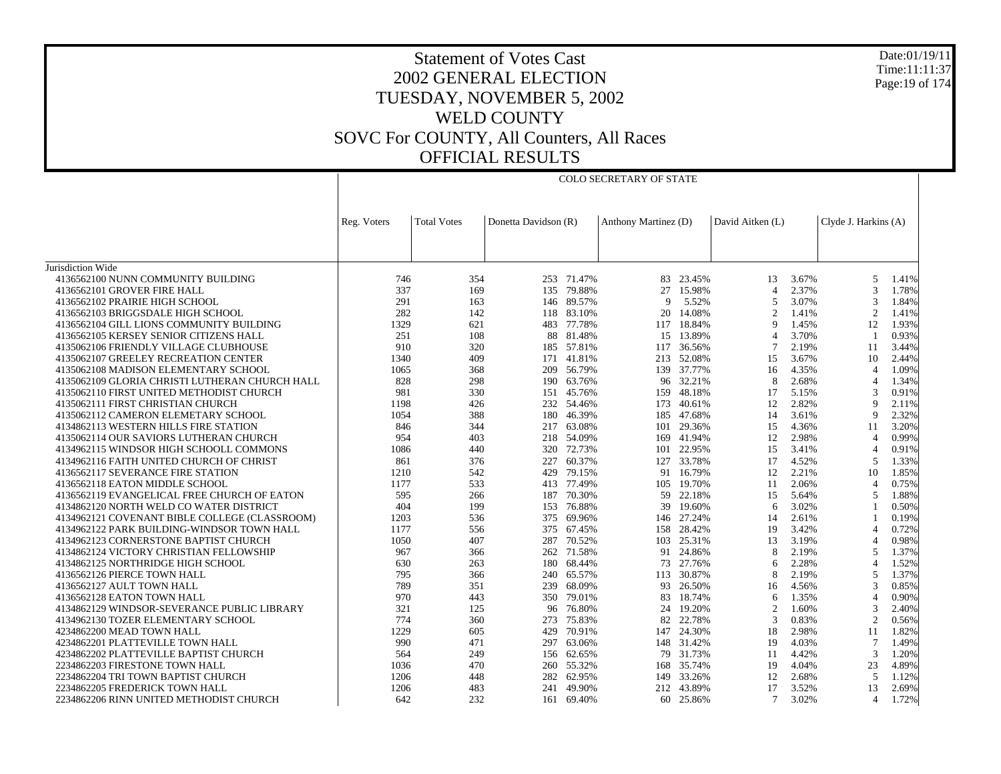Date:01/19/11 Time:11:11:37Page:19 of 174

|                                                | Reg. Voters | <b>Total Votes</b> | Donetta Davidson (R) |            | Anthony Martinez (D) |            | David Aitken (L) |       | Clyde J. Harkins (A) |       |
|------------------------------------------------|-------------|--------------------|----------------------|------------|----------------------|------------|------------------|-------|----------------------|-------|
|                                                |             |                    |                      |            |                      |            |                  |       |                      |       |
|                                                |             |                    |                      |            |                      |            |                  |       |                      |       |
| Jurisdiction Wide                              |             |                    |                      |            |                      |            |                  |       |                      |       |
| 4136562100 NUNN COMMUNITY BUILDING             | 746         | 354                |                      | 253 71.47% | 83                   | 23.45%     | 13               | 3.67% | 5                    | 1.41% |
| 4136562101 GROVER FIRE HALL                    | 337         | 169                |                      | 135 79.88% | 27                   | 15.98%     | $\overline{4}$   | 2.37% | 3                    | 1.78% |
| 4136562102 PRAIRIE HIGH SCHOOL                 | 291         | 163                |                      | 146 89.57% | 9                    | 5.52%      | 5                | 3.07% | 3                    | 1.84% |
| 4136562103 BRIGGSDALE HIGH SCHOOL              | 282         | 142                |                      | 118 83.10% | 20                   | 14.08%     | $\overline{c}$   | 1.41% | 2                    | 1.41% |
| 4136562104 GILL LIONS COMMUNITY BUILDING       | 1329        | 621                |                      | 483 77.78% |                      | 117 18.84% | 9                | 1.45% | 12                   | 1.93% |
| 4136562105 KERSEY SENIOR CITIZENS HALL         | 251         | 108                |                      | 88 81.48%  | 15                   | 13.89%     | $\overline{4}$   | 3.70% | -1                   | 0.93% |
| 4135062106 FRIENDLY VILLAGE CLUBHOUSE          | 910         | 320                |                      | 185 57.81% |                      | 117 36.56% |                  | 2.19% | 11                   | 3.44% |
| 4135062107 GREELEY RECREATION CENTER           | 1340        | 409                |                      | 171 41.81% |                      | 213 52.08% | 15               | 3.67% | 10                   | 2.44% |
| 4135062108 MADISON ELEMENTARY SCHOOL           | 1065        | 368                |                      | 209 56.79% |                      | 139 37.77% | 16               | 4.35% | $\overline{4}$       | 1.09% |
| 4135062109 GLORIA CHRISTI LUTHERAN CHURCH HALL | 828         | 298                |                      | 190 63.76% |                      | 96 32.21%  | 8                | 2.68% | $\overline{4}$       | 1.34% |
| 4135062110 FIRST UNITED METHODIST CHURCH       | 981         | 330                | 151                  | 45.76%     | 159                  | 48.18%     | 17               | 5.15% | 3                    | 0.91% |
| 4135062111 FIRST CHRISTIAN CHURCH              | 1198        | 426                |                      | 232 54.46% | 173                  | 40.61%     | 12               | 2.82% | 9                    | 2.11% |
| 4135062112 CAMERON ELEMETARY SCHOOL            | 1054        | 388                |                      | 180 46.39% |                      | 185 47.68% | 14               | 3.61% | 9                    | 2.32% |
| 4134862113 WESTERN HILLS FIRE STATION          | 846         | 344                | 217                  | 63.08%     | 101                  | 29.36%     | 15               | 4.36% | 11                   | 3.20% |
| 4135062114 OUR SAVIORS LUTHERAN CHURCH         | 954         | 403                |                      | 218 54.09% |                      | 169 41.94% | 12               | 2.98% | $\overline{4}$       | 0.99% |
| 4134962115 WINDSOR HIGH SCHOOLL COMMONS        | 1086        | 440                |                      | 320 72.73% |                      | 101 22.95% | 15               | 3.41% | $\overline{4}$       | 0.91% |
| 4134962116 FAITH UNITED CHURCH OF CHRIST       | 861         | 376                | 227                  | 60.37%     | 127                  | 33.78%     | 17               | 4.52% | 5                    | 1.33% |
| 4136562117 SEVERANCE FIRE STATION              | 1210        | 542                |                      | 429 79.15% |                      | 91 16.79%  | 12               | 2.21% | 10                   | 1.85% |
| 4136562118 EATON MIDDLE SCHOOL                 | 1177        | 533                |                      | 413 77.49% | 105                  | 19.70%     | 11               | 2.06% | $\overline{4}$       | 0.75% |
| 4136562119 EVANGELICAL FREE CHURCH OF EATON    | 595         | 266                | 187                  | 70.30%     | 59                   | 22.18%     | 15               | 5.64% | 5                    | 1.88% |
| 4134862120 NORTH WELD CO WATER DISTRICT        | 404         | 199                |                      | 153 76.88% | 39                   | 19.60%     | 6                | 3.02% | $\mathbf{1}$         | 0.50% |
| 4134962121 COVENANT BIBLE COLLEGE (CLASSROOM)  | 1203        | 536                | 375                  | 69.96%     | 146                  | 27.24%     | 14               | 2.61% | -1                   | 0.19% |
| 4134962122 PARK BUILDING-WINDSOR TOWN HALL     | 1177        | 556                | 375                  | 67.45%     | 158                  | 28.42%     | 19               | 3.42% | $\overline{4}$       | 0.72% |
| 4134962123 CORNERSTONE BAPTIST CHURCH          | 1050        | 407                |                      | 287 70.52% | 103                  | 25.31%     | 13               | 3.19% | $\overline{4}$       | 0.98% |
| 4134862124 VICTORY CHRISTIAN FELLOWSHIP        | 967         | 366                | 262                  | 71.58%     | 91                   | 24.86%     | 8                | 2.19% | 5                    | 1.37% |
| 4134862125 NORTHRIDGE HIGH SCHOOL              | 630         | 263                |                      | 180 68.44% | 73                   | 27.76%     | 6                | 2.28% | $\overline{4}$       | 1.52% |
| 4136562126 PIERCE TOWN HALL                    | 795         | 366                |                      | 240 65.57% | 113                  | 30.87%     | 8                | 2.19% | 5                    | 1.37% |
| 4136562127 AULT TOWN HALL                      | 789         | 351                | 239                  | 68.09%     | 93                   | 26.50%     | 16               | 4.56% | 3                    | 0.85% |
| 4136562128 EATON TOWN HALL                     | 970         | 443                |                      | 350 79.01% | 83                   | 18.74%     | 6                | 1.35% | $\overline{4}$       | 0.90% |
| 4134862129 WINDSOR-SEVERANCE PUBLIC LIBRARY    | 321         | 125                | 96                   | 76.80%     | 24                   | 19.20%     | 2                | 1.60% | 3                    | 2.40% |
| 4134962130 TOZER ELEMENTARY SCHOOL             | 774         | 360                | 273                  | 75.83%     | 82                   | 22.78%     | 3                | 0.83% | 2                    | 0.56% |
| 4234862200 MEAD TOWN HALL                      | 1229        | 605                | 429                  | 70.91%     |                      | 147 24.30% | 18               | 2.98% | -11                  | 1.82% |
| 4234862201 PLATTEVILLE TOWN HALL               | 990         | 471                | 297                  | 63.06%     |                      | 148 31.42% | 19               | 4.03% | 7                    | 1.49% |
| 4234862202 PLATTEVILLE BAPTIST CHURCH          | 564         | 249                | 156                  | 62.65%     | 79                   | 31.73%     | 11               | 4.42% | 3                    | 1.20% |
| 2234862203 FIRESTONE TOWN HALL                 | 1036        | 470                |                      | 260 55.32% |                      | 168 35.74% | 19               | 4.04% | 23                   | 4.89% |
| 2234862204 TRI TOWN BAPTIST CHURCH             | 1206        | 448                | 282                  | 62.95%     | 149                  | 33.26%     | 12               | 2.68% | 5                    | 1.12% |
| 2234862205 FREDERICK TOWN HALL                 | 1206        | 483                | 241                  | 49.90%     |                      | 212 43.89% | 17               | 3.52% | 13                   | 2.69% |
| 2234862206 RINN UNITED METHODIST CHURCH        | 642         | 232                |                      | 161 69.40% |                      | 60 25.86%  | $\tau$           | 3.02% | $\overline{4}$       | 1.72% |

COLO SECRETARY OF STATE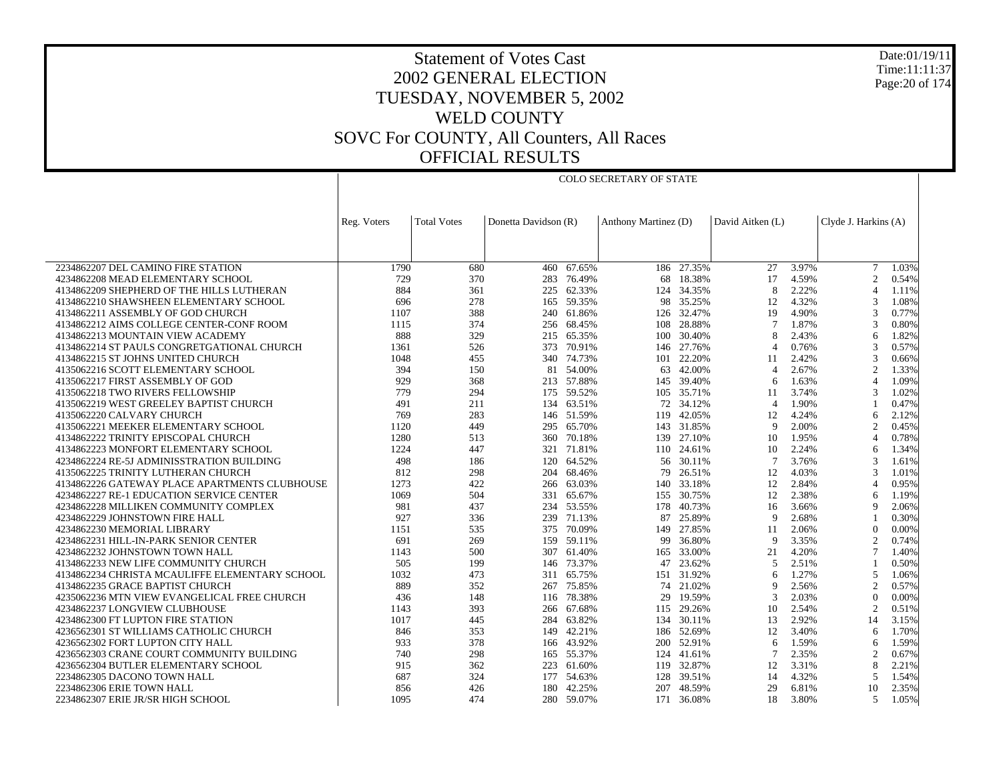Date:01/19/11 Time:11:11:37 Page:20 of 174

## Statement of Votes Cast 2002 GENERAL ELECTION TUESDAY, NOVEMBER 5, 2002 WELD COUNTY SOVC For COUNTY, All Counters, All Races OFFICIAL RESULTS

COLO SECRETARY OF STATE

|                                                                         | Reg. Voters | <b>Total Votes</b> | Donetta Davidson (R) |                  | Anthony Martinez (D) |                      | David Aitken (L) |                | Clyde J. Harkins (A) |                |
|-------------------------------------------------------------------------|-------------|--------------------|----------------------|------------------|----------------------|----------------------|------------------|----------------|----------------------|----------------|
|                                                                         |             |                    |                      |                  |                      |                      |                  |                |                      |                |
|                                                                         |             |                    |                      |                  |                      |                      |                  |                |                      |                |
|                                                                         | 1790        |                    |                      |                  |                      |                      |                  |                |                      |                |
| 2234862207 DEL CAMINO FIRE STATION<br>4234862208 MEAD ELEMENTARY SCHOOL | 729         | 680<br>370         | 460<br>283           | 67.65%<br>76.49% | 68                   | 186 27.35%<br>18.38% | 27<br>17         | 3.97%<br>4.59% | 7<br>2               | 1.03%<br>0.54% |
| 4134862209 SHEPHERD OF THE HILLS LUTHERAN                               | 884         | 361                |                      | 225 62.33%       |                      | 124 34.35%           | 8                | 2.22%          | $\overline{4}$       | 1.11%          |
| 4134862210 SHAWSHEEN ELEMENTARY SCHOOL                                  | 696         | 278                |                      | 165 59.35%       | 98                   | 35.25%               | 12               | 4.32%          | 3                    | 1.08%          |
| 4134862211 ASSEMBLY OF GOD CHURCH                                       | 1107        | 388                | 240                  | 61.86%           | 126                  | 32.47%               | 19               | 4.90%          | 3                    | 0.77%          |
| 4134862212 AIMS COLLEGE CENTER-CONF ROOM                                | 1115        | 374                |                      | 256 68.45%       | 108                  | 28.88%               | $\tau$           | 1.87%          | 3                    | 0.80%          |
| 4134862213 MOUNTAIN VIEW ACADEMY                                        | 888         | 329                | 215                  | 65.35%           | 100                  | 30.40%               | 8                | 2.43%          | 6                    | 1.82%          |
| 4134862214 ST PAULS CONGRETGATIONAL CHURCH                              | 1361        | 526                | 373                  | 70.91%           | 146                  | 27.76%               | $\overline{4}$   | 0.76%          | 3                    | 0.57%          |
| 4134862215 ST JOHNS UNITED CHURCH                                       | 1048        | 455                |                      | 340 74.73%       |                      | 101 22.20%           | 11               | 2.42%          | 3                    | 0.66%          |
| 4135062216 SCOTT ELEMENTARY SCHOOL                                      | 394         | 150                | 81                   | 54.00%           | 63                   | 42.00%               | $\overline{4}$   | 2.67%          | $\overline{2}$       | 1.33%          |
| 4135062217 FIRST ASSEMBLY OF GOD                                        | 929         | 368                | 213                  | 57.88%           | 145                  | 39.40%               | 6                | 1.63%          | $\overline{4}$       | 1.09%          |
| 4135062218 TWO RIVERS FELLOWSHIP                                        | 779         | 294                |                      | 175 59.52%       |                      | 105 35.71%           | 11               | 3.74%          | 3                    | 1.02%          |
| 4135062219 WEST GREELEY BAPTIST CHURCH                                  | 491         | 211                | 134                  | 63.51%           |                      | 72 34.12%            | $\overline{4}$   | 1.90%          |                      | 0.47%          |
| 4135062220 CALVARY CHURCH                                               | 769         | 283                |                      | 146 51.59%       | 119                  | 42.05%               | 12               | 4.24%          | 6                    | 2.12%          |
| 4135062221 MEEKER ELEMENTARY SCHOOL                                     | 1120        | 449                |                      | 295 65.70%       |                      | 143 31.85%           | 9                | 2.00%          | $\overline{c}$       | 0.45%          |
| 4134862222 TRINITY EPISCOPAL CHURCH                                     | 1280        | 513                | 360                  | 70.18%           | 139                  | 27.10%               | 10               | 1.95%          | $\overline{4}$       | 0.78%          |
| 4134862223 MONFORT ELEMENTARY SCHOOL                                    | 1224        | 447                |                      | 321 71.81%       |                      | 110 24.61%           | 10               | 2.24%          | 6                    | 1.34%          |
| 4234862224 RE-5J ADMINISSTRATION BUILDING                               | 498         | 186                | 120                  | 64.52%           |                      | 56 30.11%            | $\overline{7}$   | 3.76%          | 3                    | 1.61%          |
| 4135062225 TRINITY LUTHERAN CHURCH                                      | 812         | 298                | 204                  | 68.46%           | 79                   | 26.51%               | 12               | 4.03%          | 3                    | 1.01%          |
| 4134862226 GATEWAY PLACE APARTMENTS CLUBHOUSE                           | 1273        | 422                | 266                  | 63.03%           |                      | 140 33.18%           | 12               | 2.84%          | 4                    | 0.95%          |
| 4234862227 RE-1 EDUCATION SERVICE CENTER                                | 1069        | 504                | 331                  | 65.67%           |                      | 155 30.75%           | 12               | 2.38%          | 6                    | 1.19%          |
| 4234862228 MILLIKEN COMMUNITY COMPLEX                                   | 981         | 437                | 234                  | 53.55%           | 178                  | 40.73%               | 16               | 3.66%          | 9                    | 2.06%          |
| 4234862229 JOHNSTOWN FIRE HALL                                          | 927         | 336                |                      | 239 71.13%       | 87                   | 25.89%               | 9                | 2.68%          |                      | 0.30%          |
| 4234862230 MEMORIAL LIBRARY                                             | 1151        | 535                |                      | 375 70.09%       |                      | 149 27.85%           | 11               | 2.06%          | $\theta$             | 0.00%          |
| 4234862231 HILL-IN-PARK SENIOR CENTER                                   | 691         | 269                | 159                  | 59.11%           | 99                   | 36.80%               | 9                | 3.35%          | $\overline{2}$       | 0.74%          |
| 4234862232 JOHNSTOWN TOWN HALL                                          | 1143        | 500                | 307                  | 61.40%           |                      | 165 33.00%           | 21               | 4.20%          | 7                    | 1.40%          |
| 4134862233 NEW LIFE COMMUNITY CHURCH                                    | 505         | 199                |                      | 146 73.37%       | 47                   | 23.62%               | $\overline{5}$   | 2.51%          |                      | 0.50%          |
| 4134862234 CHRISTA MCAULIFFE ELEMENTARY SCHOOL                          | 1032        | 473                | 311                  | 65.75%           |                      | 151 31.92%           | 6                | 1.27%          | 5                    | 1.06%          |
| 4134862235 GRACE BAPTIST CHURCH                                         | 889         | 352                | 267                  | 75.85%           |                      | 74 21.02%            | $\mathbf Q$      | 2.56%          | $\overline{2}$       | 0.57%          |
| 4235062236 MTN VIEW EVANGELICAL FREE CHURCH                             | 436         | 148                | 116                  | 78.38%           | 29                   | 19.59%               | $\mathcal{R}$    | 2.03%          | $\theta$             | 0.00%          |
| 4234862237 LONGVIEW CLUBHOUSE                                           | 1143        | 393                | 266                  | 67.68%           | 115                  | 29.26%               | 10               | 2.54%          | $\overline{2}$       | 0.51%          |
| 4234862300 FT LUPTON FIRE STATION                                       | 1017        | 445                |                      | 284 63.82%       |                      | 134 30.11%           | 13               | 2.92%          | 14                   | 3.15%          |
| 4236562301 ST WILLIAMS CATHOLIC CHURCH                                  | 846         | 353                | 149                  | 42.21%           |                      | 186 52.69%           | 12               | 3.40%          | 6                    | 1.70%          |
| 4236562302 FORT LUPTON CITY HALL                                        | 933         | 378                | 166                  | 43.92%           | 200                  | 52.91%               | 6                | 1.59%          | 6                    | 1.59%          |
| 4236562303 CRANE COURT COMMUNITY BUILDING                               | 740         | 298                |                      | 165 55.37%       |                      | 124 41.61%           | 7                | 2.35%          | $\overline{2}$       | 0.67%          |
| 4236562304 BUTLER ELEMENTARY SCHOOL                                     | 915         | 362                | 223                  | 61.60%           |                      | 119 32.87%           | 12               | 3.31%          | 8                    | 2.21%          |
| 2234862305 DACONO TOWN HALL                                             | 687         | 324                | 177                  | 54.63%           | 128                  | 39.51%               | 14               | 4.32%          | .5                   | 1.54%          |
| 2234862306 ERIE TOWN HALL                                               | 856         | 426                | 180                  | 42.25%           | 207                  | 48.59%               | 29               | 6.81%          | 10                   | 2.35%          |
| 2234862307 ERIE JR/SR HIGH SCHOOL                                       | 1095        | 474                |                      | 280 59.07%       |                      | 171 36.08%           | 18               | 3.80%          | 5                    | 1.05%          |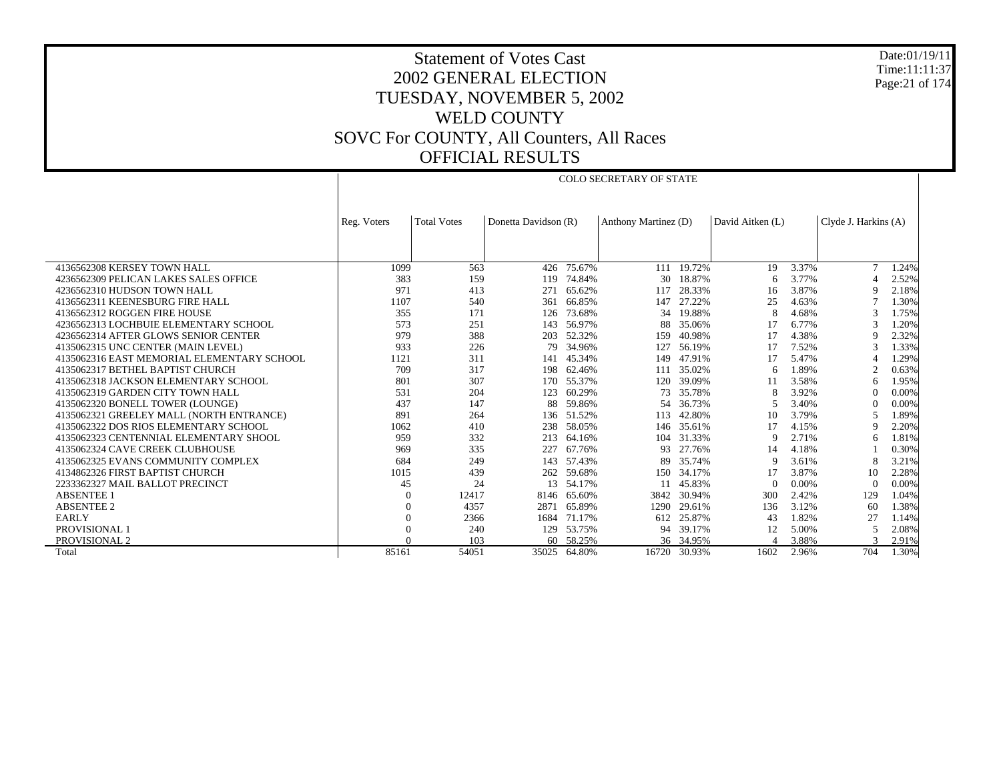Date:01/19/11 Time:11:11:37 Page:21 of 174

## Statement of Votes Cast 2002 GENERAL ELECTION TUESDAY, NOVEMBER 5, 2002 WELD COUNTY SOVC For COUNTY, All Counters, All Races OFFICIAL RESULTS

COLO SECRETARY OF STATE

|                                            | Reg. Voters | <b>Total Votes</b> | Donetta Davidson (R) |           | Anthony Martinez (D) |           | David Aitken (L) |       | Clyde J. Harkins (A) |       |
|--------------------------------------------|-------------|--------------------|----------------------|-----------|----------------------|-----------|------------------|-------|----------------------|-------|
|                                            |             |                    |                      |           |                      |           |                  |       |                      |       |
|                                            |             |                    |                      |           |                      |           |                  |       |                      |       |
| 4136562308 KERSEY TOWN HALL                | 1099        | 563                | 426                  | 75.67%    | 111                  | 19.72%    | 19               | 3.37% | $\overline{7}$       | 1.24% |
| 4236562309 PELICAN LAKES SALES OFFICE      | 383         | 159                | 119                  | 74.84%    | 30                   | 18.87%    | 6                | 3.77% |                      | 2.52% |
| 4236562310 HUDSON TOWN HALL                | 971         | 413                | 271                  | 65.62%    | 117                  | 28.33%    | 16               | 3.87% | <sup>Q</sup>         | 2.18% |
| 4136562311 KEENESBURG FIRE HALL            | 1107        | 540                | 361                  | 66.85%    | 147                  | 27.22%    | 25               | 4.63% |                      | 1.30% |
| 4136562312 ROGGEN FIRE HOUSE               | 355         | 171                | 126                  | 73.68%    | 34                   | 19.88%    | 8                | 4.68% | $\mathcal{R}$        | 1.75% |
| 4236562313 LOCHBUIE ELEMENTARY SCHOOL      | 573         | 251                | 143                  | 56.97%    | 88                   | 35.06%    |                  | 6.77% | 3                    | 1.20% |
| 4236562314 AFTER GLOWS SENIOR CENTER       | 979         | 388                | 203                  | 52.32%    | 159                  | 40.98%    | 17               | 4.38% | 9                    | 2.32% |
| 4135062315 UNC CENTER (MAIN LEVEL)         | 933         | 226                | 79                   | 34.96%    | 127                  | 56.19%    |                  | 7.52% | 3                    | 1.33% |
| 4135062316 EAST MEMORIAL ELEMENTARY SCHOOL | 1121        | 311                | 141                  | 45.34%    | 149                  | 47.91%    |                  | 5.47% |                      | 1.29% |
| 4135062317 BETHEL BAPTIST CHURCH           | 709         | 317                | 198                  | 62.46%    | 111                  | 35.02%    | 6                | 1.89% | $\overline{2}$       | 0.63% |
| 4135062318 JACKSON ELEMENTARY SCHOOL       | 801         | 307                | 170                  | 55.37%    | 120                  | 39.09%    |                  | 3.58% | 6                    | 1.95% |
| 4135062319 GARDEN CITY TOWN HALL           | 531         | 204                | 123                  | 60.29%    | 73                   | 35.78%    |                  | 3.92% | $\Omega$             | 0.00% |
| 4135062320 BONELL TOWER (LOUNGE)           | 437         | 147                | 88                   | 59.86%    | 54                   | 36.73%    |                  | 3.40% | $\Omega$             | 0.00% |
| 4135062321 GREELEY MALL (NORTH ENTRANCE)   | 891         | 264                | 136                  | 51.52%    | 113                  | 42.80%    | 10               | 3.79% | 5                    | 1.89% |
| 4135062322 DOS RIOS ELEMENTARY SCHOOL      | 1062        | 410                | 238                  | 58.05%    | 146                  | 35.61%    |                  | 4.15% | 9                    | 2.20% |
| 4135062323 CENTENNIAL ELEMENTARY SHOOL     | 959         | 332                | 213                  | 64.16%    | 104                  | 31.33%    | 9                | 2.71% | 6                    | 1.81% |
| 4135062324 CAVE CREEK CLUBHOUSE            | 969         | 335                | 227                  | 67.76%    | 93                   | 27.76%    | 14               | 4.18% |                      | 0.30% |
| 4135062325 EVANS COMMUNITY COMPLEX         | 684         | 249                | 143                  | 57.43%    | 89                   | 35.74%    | Q                | 3.61% | 8                    | 3.21% |
| 4134862326 FIRST BAPTIST CHURCH            | 1015        | 439                | 262                  | 59.68%    | 150                  | 34.17%    |                  | 3.87% | 10                   | 2.28% |
| 2233362327 MAIL BALLOT PRECINCT            | 45          | 24                 | 13                   | 54.17%    |                      | 45.83%    | $\Omega$         | 0.00% | $\Omega$             | 0.00% |
| <b>ABSENTEE 1</b>                          | $\Omega$    | 12417              | 8146                 | 65.60%    | 3842                 | 30.94%    | 300              | 2.42% | 129                  | 1.04% |
| <b>ABSENTEE 2</b>                          | $\Omega$    | 4357               | 2871                 | 65.89%    | 1290                 | 29.61%    | 136              | 3.12% | 60                   | 1.38% |
| <b>EARLY</b>                               | $\Omega$    | 2366               | 1684                 | 71.17%    | 612                  | 25.87%    | 43               | 1.82% | 27                   | 1.14% |
| PROVISIONAL 1                              | $\theta$    | 240                | 129                  | 53.75%    | 94                   | 39.17%    | 12               | 5.00% | 5                    | 2.08% |
| <b>PROVISIONAL 2</b>                       |             | 103                |                      | 60 58.25% |                      | 36 34.95% |                  | 3.88% |                      | 2.91% |
| Total                                      | 85161       | 54051              | 35025                | 64.80%    | 16720                | 30.93%    | 1602             | 2.96% | 704                  | 1.30% |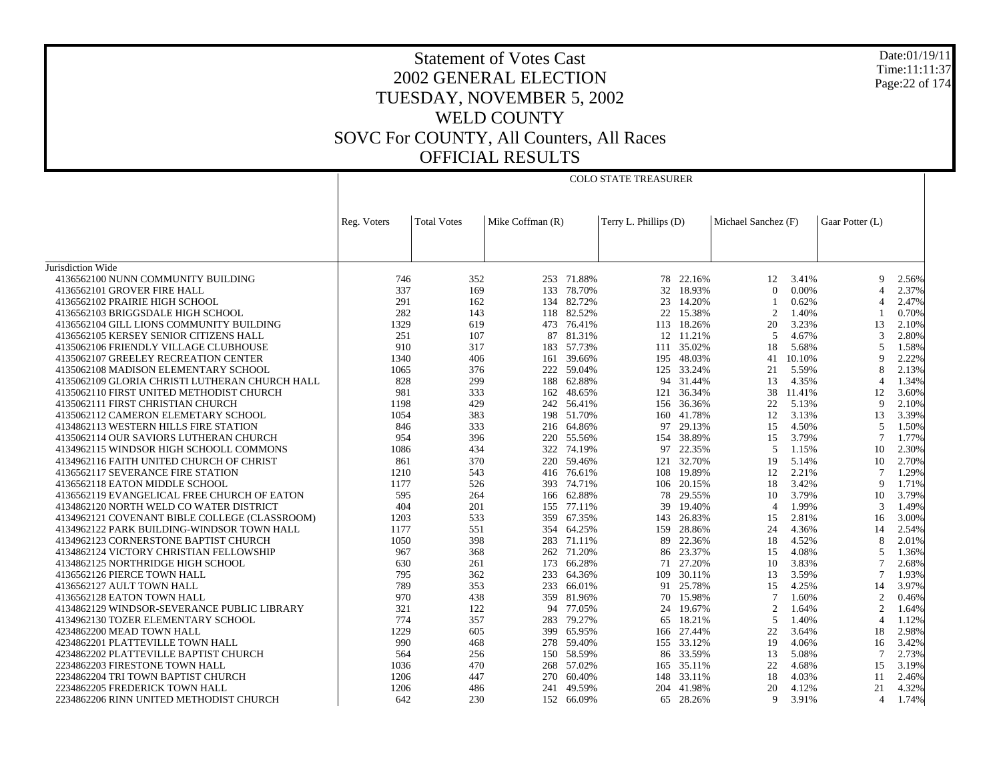COLO STATE TREASURER

Date:01/19/11 Time:11:11:37Page:22 of 174

|                                                         | Reg. Voters | <b>Total Votes</b> | Mike Coffman (R) |            | Terry L. Phillips (D) |            | Michael Sanchez (F) |        | Gaar Potter (L) |       |
|---------------------------------------------------------|-------------|--------------------|------------------|------------|-----------------------|------------|---------------------|--------|-----------------|-------|
|                                                         |             |                    |                  |            |                       |            |                     |        |                 |       |
|                                                         |             |                    |                  |            |                       |            |                     |        |                 |       |
| Jurisdiction Wide<br>4136562100 NUNN COMMUNITY BUILDING | 746         | 352                |                  | 253 71.88% |                       | 78 22.16%  | 12                  | 3.41%  | 9               | 2.56% |
| 4136562101 GROVER FIRE HALL                             | 337         | 169                |                  | 133 78.70% |                       | 32 18.93%  | $\Omega$            | 0.00%  | $\overline{4}$  | 2.37% |
| 4136562102 PRAIRIE HIGH SCHOOL                          | 291         | 162                |                  | 134 82.72% | 23                    | 14.20%     | 1                   | 0.62%  | $\overline{4}$  | 2.47% |
| 4136562103 BRIGGSDALE HIGH SCHOOL                       | 282         | 143                |                  | 118 82.52% |                       | 22 15.38%  | $\overline{c}$      | 1.40%  |                 | 0.70% |
| 4136562104 GILL LIONS COMMUNITY BUILDING                | 1329        | 619                | 473              | 76.41%     |                       | 113 18.26% | 20                  | 3.23%  | 13              | 2.10% |
| 4136562105 KERSEY SENIOR CITIZENS HALL                  | 251         | 107                | 87               | 81.31%     |                       | 12 11.21%  | 5                   | 4.67%  | 3               | 2.80% |
| 4135062106 FRIENDLY VILLAGE CLUBHOUSE                   | 910         | 317                |                  | 183 57.73% |                       | 111 35.02% | 18                  | 5.68%  | 5               | 1.58% |
| 4135062107 GREELEY RECREATION CENTER                    | 1340        | 406                | 161              | 39.66%     |                       | 195 48.03% | 41                  | 10.10% | 9               | 2.22% |
| 4135062108 MADISON ELEMENTARY SCHOOL                    | 1065        | 376                |                  | 222 59.04% |                       | 125 33.24% | 21                  | 5.59%  | 8               | 2.13% |
| 4135062109 GLORIA CHRISTI LUTHERAN CHURCH HALL          | 828         | 299                | 188              | 62.88%     | 94                    | 31.44%     | 13                  | 4.35%  | $\overline{4}$  | 1.34% |
| 4135062110 FIRST UNITED METHODIST CHURCH                | 981         | 333                | 162              | 48.65%     | 121                   | 36.34%     | 38                  | 11.41% | 12              | 3.60% |
| 4135062111 FIRST CHRISTIAN CHURCH                       | 1198        | 429                |                  | 242 56.41% |                       | 156 36.36% | 22                  | 5.13%  | 9               | 2.10% |
| 4135062112 CAMERON ELEMETARY SCHOOL                     | 1054        | 383                |                  | 198 51.70% | 160                   | 41.78%     | 12                  | 3.13%  | 13              | 3.39% |
| 4134862113 WESTERN HILLS FIRE STATION                   | 846         | 333                |                  | 216 64.86% | 97                    | 29.13%     | 15                  | 4.50%  | 5               | 1.50% |
| 4135062114 OUR SAVIORS LUTHERAN CHURCH                  | 954         | 396                | 220              | 55.56%     |                       | 154 38.89% | 15                  | 3.79%  | $\tau$          | 1.77% |
| 4134962115 WINDSOR HIGH SCHOOLL COMMONS                 | 1086        | 434                | 322              | 74.19%     | 97                    | 22.35%     | 5                   | 1.15%  | 10              | 2.30% |
| 4134962116 FAITH UNITED CHURCH OF CHRIST                | 861         | 370                | 220              | 59.46%     | 121                   | 32.70%     | 19                  | 5.14%  | 10              | 2.70% |
| 4136562117 SEVERANCE FIRE STATION                       | 1210        | 543                |                  | 416 76.61% |                       | 108 19.89% | 12                  | 2.21%  | 7               | 1.29% |
| 4136562118 EATON MIDDLE SCHOOL                          | 1177        | 526                | 393              | 74.71%     | 106                   | 20.15%     | 18                  | 3.42%  | 9               | 1.71% |
| 4136562119 EVANGELICAL FREE CHURCH OF EATON             | 595         | 264                |                  | 166 62.88% | 78                    | 29.55%     | 10                  | 3.79%  | 10              | 3.79% |
| 4134862120 NORTH WELD CO WATER DISTRICT                 | 404         | 201                |                  | 155 77.11% | 39                    | 19.40%     | $\overline{4}$      | 1.99%  | 3               | 1.49% |
| 4134962121 COVENANT BIBLE COLLEGE (CLASSROOM)           | 1203        | 533                | 359              | 67.35%     | 143                   | 26.83%     | 15                  | 2.81%  | 16              | 3.00% |
| 4134962122 PARK BUILDING-WINDSOR TOWN HALL              | 1177        | 551                |                  | 354 64.25% |                       | 159 28.86% | 24                  | 4.36%  | 14              | 2.54% |
| 4134962123 CORNERSTONE BAPTIST CHURCH                   | 1050        | 398                | 283              | 71.11%     | 89                    | 22.36%     | 18                  | 4.52%  | 8               | 2.01% |
| 4134862124 VICTORY CHRISTIAN FELLOWSHIP                 | 967         | 368                |                  | 262 71.20% | 86                    | 23.37%     | 15                  | 4.08%  | 5               | 1.36% |
| 4134862125 NORTHRIDGE HIGH SCHOOL                       | 630         | 261                | 173              | 66.28%     |                       | 71 27.20%  | 10                  | 3.83%  | 7               | 2.68% |
| 4136562126 PIERCE TOWN HALL                             | 795         | 362                | 233              | 64.36%     | 109                   | 30.11%     | 13                  | 3.59%  | $\overline{7}$  | 1.93% |
| 4136562127 AULT TOWN HALL                               | 789         | 353                | 233              | 66.01%     | 91                    | 25.78%     | 15                  | 4.25%  | 14              | 3.97% |
| 4136562128 EATON TOWN HALL                              | 970         | 438                |                  | 359 81.96% |                       | 70 15.98%  | $\tau$              | 1.60%  | 2               | 0.46% |
| 4134862129 WINDSOR-SEVERANCE PUBLIC LIBRARY             | 321         | 122                | 94               | 77.05%     | 24                    | 19.67%     | $\overline{c}$      | 1.64%  | $\mathbf{2}$    | 1.64% |
| 4134962130 TOZER ELEMENTARY SCHOOL                      | 774         | 357                | 283              | 79.27%     |                       | 65 18.21%  | 5                   | 1.40%  | $\overline{4}$  | 1.12% |
| 4234862200 MEAD TOWN HALL                               | 1229        | 605                |                  | 399 65.95% |                       | 166 27.44% | 22                  | 3.64%  | 18              | 2.98% |
| 4234862201 PLATTEVILLE TOWN HALL                        | 990         | 468                | 278              | 59.40%     | 155                   | 33.12%     | 19                  | 4.06%  | 16              | 3.42% |
| 4234862202 PLATTEVILLE BAPTIST CHURCH                   | 564         | 256                |                  | 150 58.59% |                       | 86 33.59%  | 13                  | 5.08%  | $\overline{7}$  | 2.73% |
| 2234862203 FIRESTONE TOWN HALL                          | 1036        | 470                | 268              | 57.02%     | 165                   | 35.11%     | 22                  | 4.68%  | 15              | 3.19% |
| 2234862204 TRI TOWN BAPTIST CHURCH                      | 1206        | 447                | 270              | 60.40%     | 148                   | 33.11%     | 18                  | 4.03%  | 11              | 2.46% |
| 2234862205 FREDERICK TOWN HALL                          | 1206        | 486                | 241              | 49.59%     | 204                   | 41.98%     | 20                  | 4.12%  | 21              | 4.32% |
| 2234862206 RINN UNITED METHODIST CHURCH                 | 642         | 230                |                  | 152 66.09% |                       | 65 28.26%  | 9                   | 3.91%  | $\overline{4}$  | 1.74% |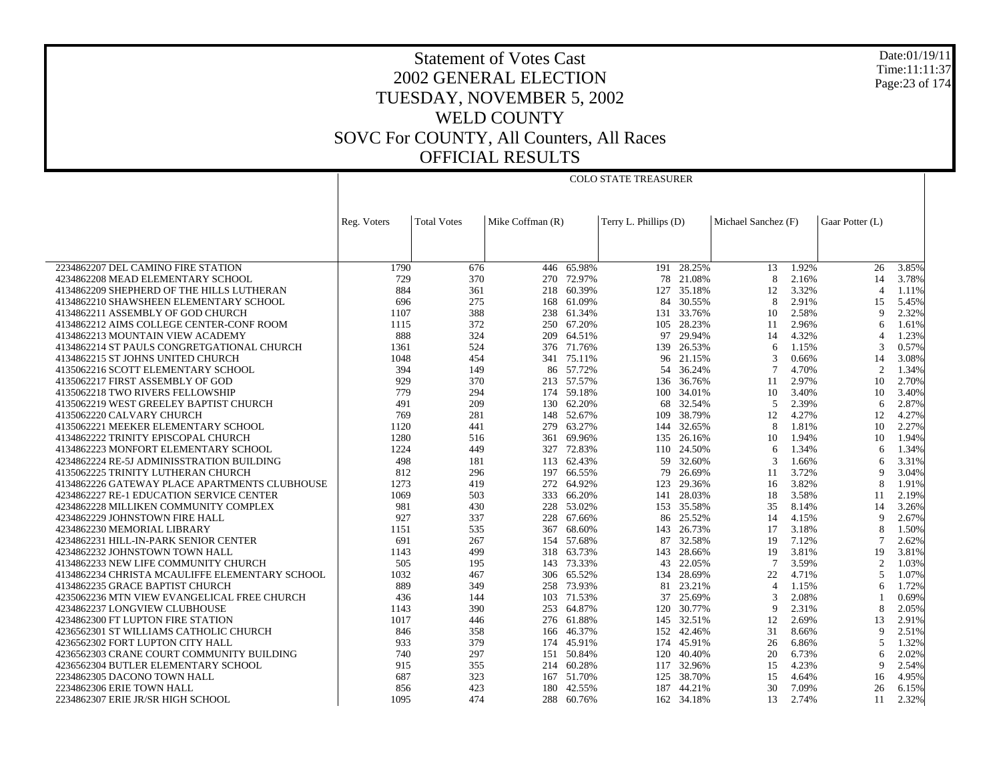Date:01/19/11 Time:11:11:37 Page:23 of 174

## Statement of Votes Cast 2002 GENERAL ELECTION TUESDAY, NOVEMBER 5, 2002 WELD COUNTY SOVC For COUNTY, All Counters, All Races OFFICIAL RESULTS

COLO STATE TREASURER

| Mike Coffman (R)<br>Terry L. Phillips (D)<br>Michael Sanchez (F)<br>Gaar Potter (L)<br>Reg. Voters<br><b>Total Votes</b><br>2234862207 DEL CAMINO FIRE STATION<br>446 65.98%<br>$191 - 28.25%$<br>1.92%<br>1790<br>676<br>13<br>26<br>3.85%<br>4234862208 MEAD ELEMENTARY SCHOOL<br>729<br>270 72.97%<br>21.08%<br>8<br>2.16%<br>370<br>78<br>14<br>3.78%<br>4134862209 SHEPHERD OF THE HILLS LUTHERAN<br>884<br>361<br>218 60.39%<br>127<br>35.18%<br>12<br>3.32%<br>1.11%<br>$\overline{4}$<br>4134862210 SHAWSHEEN ELEMENTARY SCHOOL<br>696<br>275<br>168 61.09%<br>84<br>30.55%<br>8<br>2.91%<br>5.45%<br>15<br>2.32%<br>1107<br>388<br>238 61.34%<br>33.76%<br>2.58%<br>4134862211 ASSEMBLY OF GOD CHURCH<br>131<br>10<br>9<br>372<br>67.20%<br>28.23%<br>2.96%<br>4134862212 AIMS COLLEGE CENTER-CONF ROOM<br>1115<br>250<br>105<br>11<br>1.61%<br>6<br>888<br>324<br>29.94%<br>209 64.51%<br>97<br>14<br>4.32%<br>1.23%<br>4134862213 MOUNTAIN VIEW ACADEMY<br>4134862214 ST PAULS CONGRETGATIONAL CHURCH<br>1361<br>524<br>376 71.76%<br>139<br>26.53%<br>1.15%<br>0.57%<br>6<br>3<br>4134862215 ST JOHNS UNITED CHURCH<br>341 75.11%<br>21.15%<br>0.66%<br>1048<br>454<br>96<br>$\mathcal{R}$<br>14<br>3.08%<br>86 57.72%<br>394<br>149<br>54 36.24%<br>4.70%<br>$\overline{2}$<br>1.34%<br>4135062216 SCOTT ELEMENTARY SCHOOL<br>4135062217 FIRST ASSEMBLY OF GOD<br>929<br>370<br>213 57.57%<br>36.76%<br>11<br>2.97%<br>10<br>2.70%<br>136<br>779<br>294<br>174 59.18%<br>100<br>34.01%<br>10<br>3.40%<br>3.40%<br>4135062218 TWO RIVERS FELLOWSHIP<br>10<br>32.54%<br>2.39%<br>2.87%<br>4135062219 WEST GREELEY BAPTIST CHURCH<br>491<br>209<br>130<br>62.20%<br>68<br>5<br>6<br>38.79%<br>4135062220 CALVARY CHURCH<br>769<br>281<br>148 52.67%<br>12<br>4.27%<br>4.27%<br>109<br>12<br>4135062221 MEEKER ELEMENTARY SCHOOL<br>1120<br>279 63.27%<br>144 32.65%<br>8<br>1.81%<br>10<br>2.27%<br>441<br>1280<br>4134862222 TRINITY EPISCOPAL CHURCH<br>516<br>69.96%<br>135<br>26.16%<br>10<br>1.94%<br>10<br>1.94%<br>361<br>72.83%<br>24.50%<br>4134862223 MONFORT ELEMENTARY SCHOOL<br>1224<br>449<br>327<br>110<br>1.34%<br>1.34%<br>6<br>6<br>4234862224 RE-5J ADMINISSTRATION BUILDING<br>498<br>113 62.43%<br>32.60%<br>1.66%<br>3.31%<br>181<br>59<br>3<br>6 |
|-----------------------------------------------------------------------------------------------------------------------------------------------------------------------------------------------------------------------------------------------------------------------------------------------------------------------------------------------------------------------------------------------------------------------------------------------------------------------------------------------------------------------------------------------------------------------------------------------------------------------------------------------------------------------------------------------------------------------------------------------------------------------------------------------------------------------------------------------------------------------------------------------------------------------------------------------------------------------------------------------------------------------------------------------------------------------------------------------------------------------------------------------------------------------------------------------------------------------------------------------------------------------------------------------------------------------------------------------------------------------------------------------------------------------------------------------------------------------------------------------------------------------------------------------------------------------------------------------------------------------------------------------------------------------------------------------------------------------------------------------------------------------------------------------------------------------------------------------------------------------------------------------------------------------------------------------------------------------------------------------------------------------------------------------------------------------------------------------------------------------------------------------------------------------------------------------------------------------------------------------------------------------------------|
|                                                                                                                                                                                                                                                                                                                                                                                                                                                                                                                                                                                                                                                                                                                                                                                                                                                                                                                                                                                                                                                                                                                                                                                                                                                                                                                                                                                                                                                                                                                                                                                                                                                                                                                                                                                                                                                                                                                                                                                                                                                                                                                                                                                                                                                                                   |
|                                                                                                                                                                                                                                                                                                                                                                                                                                                                                                                                                                                                                                                                                                                                                                                                                                                                                                                                                                                                                                                                                                                                                                                                                                                                                                                                                                                                                                                                                                                                                                                                                                                                                                                                                                                                                                                                                                                                                                                                                                                                                                                                                                                                                                                                                   |
|                                                                                                                                                                                                                                                                                                                                                                                                                                                                                                                                                                                                                                                                                                                                                                                                                                                                                                                                                                                                                                                                                                                                                                                                                                                                                                                                                                                                                                                                                                                                                                                                                                                                                                                                                                                                                                                                                                                                                                                                                                                                                                                                                                                                                                                                                   |
|                                                                                                                                                                                                                                                                                                                                                                                                                                                                                                                                                                                                                                                                                                                                                                                                                                                                                                                                                                                                                                                                                                                                                                                                                                                                                                                                                                                                                                                                                                                                                                                                                                                                                                                                                                                                                                                                                                                                                                                                                                                                                                                                                                                                                                                                                   |
|                                                                                                                                                                                                                                                                                                                                                                                                                                                                                                                                                                                                                                                                                                                                                                                                                                                                                                                                                                                                                                                                                                                                                                                                                                                                                                                                                                                                                                                                                                                                                                                                                                                                                                                                                                                                                                                                                                                                                                                                                                                                                                                                                                                                                                                                                   |
|                                                                                                                                                                                                                                                                                                                                                                                                                                                                                                                                                                                                                                                                                                                                                                                                                                                                                                                                                                                                                                                                                                                                                                                                                                                                                                                                                                                                                                                                                                                                                                                                                                                                                                                                                                                                                                                                                                                                                                                                                                                                                                                                                                                                                                                                                   |
|                                                                                                                                                                                                                                                                                                                                                                                                                                                                                                                                                                                                                                                                                                                                                                                                                                                                                                                                                                                                                                                                                                                                                                                                                                                                                                                                                                                                                                                                                                                                                                                                                                                                                                                                                                                                                                                                                                                                                                                                                                                                                                                                                                                                                                                                                   |
|                                                                                                                                                                                                                                                                                                                                                                                                                                                                                                                                                                                                                                                                                                                                                                                                                                                                                                                                                                                                                                                                                                                                                                                                                                                                                                                                                                                                                                                                                                                                                                                                                                                                                                                                                                                                                                                                                                                                                                                                                                                                                                                                                                                                                                                                                   |
|                                                                                                                                                                                                                                                                                                                                                                                                                                                                                                                                                                                                                                                                                                                                                                                                                                                                                                                                                                                                                                                                                                                                                                                                                                                                                                                                                                                                                                                                                                                                                                                                                                                                                                                                                                                                                                                                                                                                                                                                                                                                                                                                                                                                                                                                                   |
|                                                                                                                                                                                                                                                                                                                                                                                                                                                                                                                                                                                                                                                                                                                                                                                                                                                                                                                                                                                                                                                                                                                                                                                                                                                                                                                                                                                                                                                                                                                                                                                                                                                                                                                                                                                                                                                                                                                                                                                                                                                                                                                                                                                                                                                                                   |
|                                                                                                                                                                                                                                                                                                                                                                                                                                                                                                                                                                                                                                                                                                                                                                                                                                                                                                                                                                                                                                                                                                                                                                                                                                                                                                                                                                                                                                                                                                                                                                                                                                                                                                                                                                                                                                                                                                                                                                                                                                                                                                                                                                                                                                                                                   |
|                                                                                                                                                                                                                                                                                                                                                                                                                                                                                                                                                                                                                                                                                                                                                                                                                                                                                                                                                                                                                                                                                                                                                                                                                                                                                                                                                                                                                                                                                                                                                                                                                                                                                                                                                                                                                                                                                                                                                                                                                                                                                                                                                                                                                                                                                   |
|                                                                                                                                                                                                                                                                                                                                                                                                                                                                                                                                                                                                                                                                                                                                                                                                                                                                                                                                                                                                                                                                                                                                                                                                                                                                                                                                                                                                                                                                                                                                                                                                                                                                                                                                                                                                                                                                                                                                                                                                                                                                                                                                                                                                                                                                                   |
|                                                                                                                                                                                                                                                                                                                                                                                                                                                                                                                                                                                                                                                                                                                                                                                                                                                                                                                                                                                                                                                                                                                                                                                                                                                                                                                                                                                                                                                                                                                                                                                                                                                                                                                                                                                                                                                                                                                                                                                                                                                                                                                                                                                                                                                                                   |
|                                                                                                                                                                                                                                                                                                                                                                                                                                                                                                                                                                                                                                                                                                                                                                                                                                                                                                                                                                                                                                                                                                                                                                                                                                                                                                                                                                                                                                                                                                                                                                                                                                                                                                                                                                                                                                                                                                                                                                                                                                                                                                                                                                                                                                                                                   |
|                                                                                                                                                                                                                                                                                                                                                                                                                                                                                                                                                                                                                                                                                                                                                                                                                                                                                                                                                                                                                                                                                                                                                                                                                                                                                                                                                                                                                                                                                                                                                                                                                                                                                                                                                                                                                                                                                                                                                                                                                                                                                                                                                                                                                                                                                   |
|                                                                                                                                                                                                                                                                                                                                                                                                                                                                                                                                                                                                                                                                                                                                                                                                                                                                                                                                                                                                                                                                                                                                                                                                                                                                                                                                                                                                                                                                                                                                                                                                                                                                                                                                                                                                                                                                                                                                                                                                                                                                                                                                                                                                                                                                                   |
|                                                                                                                                                                                                                                                                                                                                                                                                                                                                                                                                                                                                                                                                                                                                                                                                                                                                                                                                                                                                                                                                                                                                                                                                                                                                                                                                                                                                                                                                                                                                                                                                                                                                                                                                                                                                                                                                                                                                                                                                                                                                                                                                                                                                                                                                                   |
|                                                                                                                                                                                                                                                                                                                                                                                                                                                                                                                                                                                                                                                                                                                                                                                                                                                                                                                                                                                                                                                                                                                                                                                                                                                                                                                                                                                                                                                                                                                                                                                                                                                                                                                                                                                                                                                                                                                                                                                                                                                                                                                                                                                                                                                                                   |
|                                                                                                                                                                                                                                                                                                                                                                                                                                                                                                                                                                                                                                                                                                                                                                                                                                                                                                                                                                                                                                                                                                                                                                                                                                                                                                                                                                                                                                                                                                                                                                                                                                                                                                                                                                                                                                                                                                                                                                                                                                                                                                                                                                                                                                                                                   |
|                                                                                                                                                                                                                                                                                                                                                                                                                                                                                                                                                                                                                                                                                                                                                                                                                                                                                                                                                                                                                                                                                                                                                                                                                                                                                                                                                                                                                                                                                                                                                                                                                                                                                                                                                                                                                                                                                                                                                                                                                                                                                                                                                                                                                                                                                   |
| 4135062225 TRINITY LUTHERAN CHURCH<br>812<br>66.55%<br>26.69%<br>3.72%<br>3.04%<br>296<br>197<br>79<br>11<br>$\mathbf Q$                                                                                                                                                                                                                                                                                                                                                                                                                                                                                                                                                                                                                                                                                                                                                                                                                                                                                                                                                                                                                                                                                                                                                                                                                                                                                                                                                                                                                                                                                                                                                                                                                                                                                                                                                                                                                                                                                                                                                                                                                                                                                                                                                          |
| 4134862226 GATEWAY PLACE APARTMENTS CLUBHOUSE<br>1273<br>272 64.92%<br>29.36%<br>3.82%<br>419<br>123<br>16<br>8<br>1.91%                                                                                                                                                                                                                                                                                                                                                                                                                                                                                                                                                                                                                                                                                                                                                                                                                                                                                                                                                                                                                                                                                                                                                                                                                                                                                                                                                                                                                                                                                                                                                                                                                                                                                                                                                                                                                                                                                                                                                                                                                                                                                                                                                          |
| 1069<br>503<br>333 66.20%<br>28.03%<br>18<br>3.58%<br>4234862227 RE-1 EDUCATION SERVICE CENTER<br>141<br>11<br>2.19%                                                                                                                                                                                                                                                                                                                                                                                                                                                                                                                                                                                                                                                                                                                                                                                                                                                                                                                                                                                                                                                                                                                                                                                                                                                                                                                                                                                                                                                                                                                                                                                                                                                                                                                                                                                                                                                                                                                                                                                                                                                                                                                                                              |
| 981<br>430<br>228 53.02%<br>153<br>35.58%<br>35<br>8.14%<br>14<br>3.26%<br>4234862228 MILLIKEN COMMUNITY COMPLEX                                                                                                                                                                                                                                                                                                                                                                                                                                                                                                                                                                                                                                                                                                                                                                                                                                                                                                                                                                                                                                                                                                                                                                                                                                                                                                                                                                                                                                                                                                                                                                                                                                                                                                                                                                                                                                                                                                                                                                                                                                                                                                                                                                  |
| 927<br>4234862229 JOHNSTOWN FIRE HALL<br>337<br>228<br>67.66%<br>86<br>25.52%<br>14<br>4.15%<br>9<br>2.67%                                                                                                                                                                                                                                                                                                                                                                                                                                                                                                                                                                                                                                                                                                                                                                                                                                                                                                                                                                                                                                                                                                                                                                                                                                                                                                                                                                                                                                                                                                                                                                                                                                                                                                                                                                                                                                                                                                                                                                                                                                                                                                                                                                        |
| 1151<br>535<br>367 68.60%<br>143<br>26.73%<br>17<br>3.18%<br>8<br>1.50%<br>4234862230 MEMORIAL LIBRARY                                                                                                                                                                                                                                                                                                                                                                                                                                                                                                                                                                                                                                                                                                                                                                                                                                                                                                                                                                                                                                                                                                                                                                                                                                                                                                                                                                                                                                                                                                                                                                                                                                                                                                                                                                                                                                                                                                                                                                                                                                                                                                                                                                            |
| 691<br>267<br>154 57.68%<br>87<br>32.58%<br>7.12%<br>4234862231 HILL-IN-PARK SENIOR CENTER<br>19<br>2.62%                                                                                                                                                                                                                                                                                                                                                                                                                                                                                                                                                                                                                                                                                                                                                                                                                                                                                                                                                                                                                                                                                                                                                                                                                                                                                                                                                                                                                                                                                                                                                                                                                                                                                                                                                                                                                                                                                                                                                                                                                                                                                                                                                                         |
| 4234862232 JOHNSTOWN TOWN HALL<br>318 63.73%<br>28.66%<br>3.81%<br>3.81%<br>1143<br>499<br>143<br>19<br>19                                                                                                                                                                                                                                                                                                                                                                                                                                                                                                                                                                                                                                                                                                                                                                                                                                                                                                                                                                                                                                                                                                                                                                                                                                                                                                                                                                                                                                                                                                                                                                                                                                                                                                                                                                                                                                                                                                                                                                                                                                                                                                                                                                        |
| 505<br>195<br>143 73.33%<br>43<br>22.05%<br>3.59%<br>2<br>1.03%<br>4134862233 NEW LIFE COMMUNITY CHURCH                                                                                                                                                                                                                                                                                                                                                                                                                                                                                                                                                                                                                                                                                                                                                                                                                                                                                                                                                                                                                                                                                                                                                                                                                                                                                                                                                                                                                                                                                                                                                                                                                                                                                                                                                                                                                                                                                                                                                                                                                                                                                                                                                                           |
| 1032<br>467<br>306 65.52%<br>28.69%<br>22<br>4.71%<br>$\overline{\phantom{0}}$<br>1.07%<br>4134862234 CHRISTA MCAULIFFE ELEMENTARY SCHOOL<br>134                                                                                                                                                                                                                                                                                                                                                                                                                                                                                                                                                                                                                                                                                                                                                                                                                                                                                                                                                                                                                                                                                                                                                                                                                                                                                                                                                                                                                                                                                                                                                                                                                                                                                                                                                                                                                                                                                                                                                                                                                                                                                                                                  |
| 4134862235 GRACE BAPTIST CHURCH<br>889<br>258 73.93%<br>23.21%<br>1.15%<br>349<br>81<br>$\overline{4}$<br>1.72%<br>6                                                                                                                                                                                                                                                                                                                                                                                                                                                                                                                                                                                                                                                                                                                                                                                                                                                                                                                                                                                                                                                                                                                                                                                                                                                                                                                                                                                                                                                                                                                                                                                                                                                                                                                                                                                                                                                                                                                                                                                                                                                                                                                                                              |
| 103 71.53%<br>4235062236 MTN VIEW EVANGELICAL FREE CHURCH<br>436<br>37<br>25.69%<br>3<br>2.08%<br>0.69%<br>144                                                                                                                                                                                                                                                                                                                                                                                                                                                                                                                                                                                                                                                                                                                                                                                                                                                                                                                                                                                                                                                                                                                                                                                                                                                                                                                                                                                                                                                                                                                                                                                                                                                                                                                                                                                                                                                                                                                                                                                                                                                                                                                                                                    |
| 30.77%<br>4234862237 LONGVIEW CLUBHOUSE<br>1143<br>390<br>253 64.87%<br>120<br>9<br>2.31%<br>8<br>2.05%                                                                                                                                                                                                                                                                                                                                                                                                                                                                                                                                                                                                                                                                                                                                                                                                                                                                                                                                                                                                                                                                                                                                                                                                                                                                                                                                                                                                                                                                                                                                                                                                                                                                                                                                                                                                                                                                                                                                                                                                                                                                                                                                                                           |
| 4234862300 FT LUPTON FIRE STATION<br>1017<br>276 61.88%<br>145 32.51%<br>2.91%<br>446<br>12<br>2.69%<br>13                                                                                                                                                                                                                                                                                                                                                                                                                                                                                                                                                                                                                                                                                                                                                                                                                                                                                                                                                                                                                                                                                                                                                                                                                                                                                                                                                                                                                                                                                                                                                                                                                                                                                                                                                                                                                                                                                                                                                                                                                                                                                                                                                                        |
| 4236562301 ST WILLIAMS CATHOLIC CHURCH<br>846<br>358<br>46.37%<br>152<br>42.46%<br>31<br>8.66%<br>9<br>2.51%<br>166                                                                                                                                                                                                                                                                                                                                                                                                                                                                                                                                                                                                                                                                                                                                                                                                                                                                                                                                                                                                                                                                                                                                                                                                                                                                                                                                                                                                                                                                                                                                                                                                                                                                                                                                                                                                                                                                                                                                                                                                                                                                                                                                                               |
| 933<br>4236562302 FORT LUPTON CITY HALL<br>379<br>174 45.91%<br>174<br>45.91%<br>26<br>6.86%<br>$\overline{\phantom{0}}$<br>1.32%                                                                                                                                                                                                                                                                                                                                                                                                                                                                                                                                                                                                                                                                                                                                                                                                                                                                                                                                                                                                                                                                                                                                                                                                                                                                                                                                                                                                                                                                                                                                                                                                                                                                                                                                                                                                                                                                                                                                                                                                                                                                                                                                                 |
| 40.40%<br>4236562303 CRANE COURT COMMUNITY BUILDING<br>740<br>297<br>151 50.84%<br>120<br>20<br>6.73%<br>2.02%<br>6                                                                                                                                                                                                                                                                                                                                                                                                                                                                                                                                                                                                                                                                                                                                                                                                                                                                                                                                                                                                                                                                                                                                                                                                                                                                                                                                                                                                                                                                                                                                                                                                                                                                                                                                                                                                                                                                                                                                                                                                                                                                                                                                                               |
| 915<br>214 60.28%<br>4.23%<br>2.54%<br>4236562304 BUTLER ELEMENTARY SCHOOL<br>355<br>117<br>32.96%<br>15<br>9                                                                                                                                                                                                                                                                                                                                                                                                                                                                                                                                                                                                                                                                                                                                                                                                                                                                                                                                                                                                                                                                                                                                                                                                                                                                                                                                                                                                                                                                                                                                                                                                                                                                                                                                                                                                                                                                                                                                                                                                                                                                                                                                                                     |
| 38.70%<br>2234862305 DACONO TOWN HALL<br>687<br>323<br>167 51.70%<br>125<br>15<br>4.64%<br>16<br>4.95%                                                                                                                                                                                                                                                                                                                                                                                                                                                                                                                                                                                                                                                                                                                                                                                                                                                                                                                                                                                                                                                                                                                                                                                                                                                                                                                                                                                                                                                                                                                                                                                                                                                                                                                                                                                                                                                                                                                                                                                                                                                                                                                                                                            |
| 856<br>423<br>187 44.21%<br>30<br>7.09%<br>26<br>2234862306 ERIE TOWN HALL<br>180<br>42.55%<br>6.15%                                                                                                                                                                                                                                                                                                                                                                                                                                                                                                                                                                                                                                                                                                                                                                                                                                                                                                                                                                                                                                                                                                                                                                                                                                                                                                                                                                                                                                                                                                                                                                                                                                                                                                                                                                                                                                                                                                                                                                                                                                                                                                                                                                              |
| 162 34.18%<br>2.74%<br>2.32%<br>2234862307 ERIE JR/SR HIGH SCHOOL<br>1095<br>474<br>288 60.76%<br>13<br>11                                                                                                                                                                                                                                                                                                                                                                                                                                                                                                                                                                                                                                                                                                                                                                                                                                                                                                                                                                                                                                                                                                                                                                                                                                                                                                                                                                                                                                                                                                                                                                                                                                                                                                                                                                                                                                                                                                                                                                                                                                                                                                                                                                        |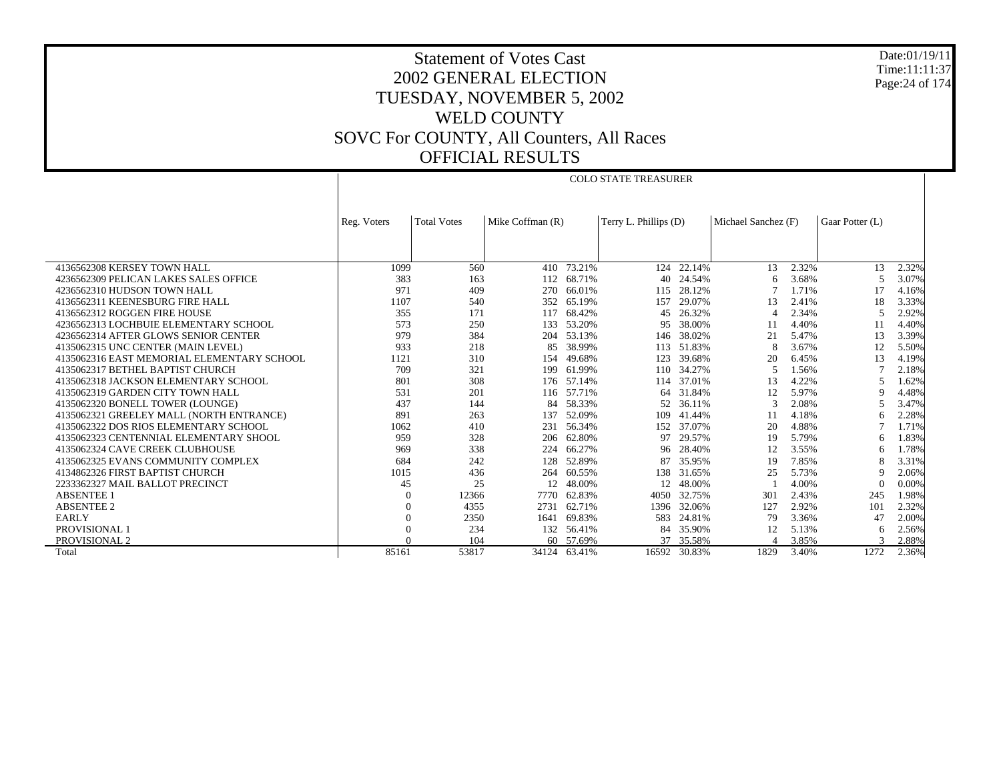Date:01/19/11 Time:11:11:37 Page:24 of 174

## Statement of Votes Cast 2002 GENERAL ELECTION TUESDAY, NOVEMBER 5, 2002 WELD COUNTY SOVC For COUNTY, All Counters, All Races OFFICIAL RESULTS

COLO STATE TREASURER

|                                            | Reg. Voters | <b>Total Votes</b> | Mike Coffman (R) |            | Terry L. Phillips (D) |            | Michael Sanchez (F) |       | Gaar Potter (L) |       |
|--------------------------------------------|-------------|--------------------|------------------|------------|-----------------------|------------|---------------------|-------|-----------------|-------|
|                                            |             |                    |                  |            |                       |            |                     |       |                 |       |
|                                            |             |                    |                  |            |                       |            |                     |       |                 |       |
| 4136562308 KERSEY TOWN HALL                | 1099        | 560                |                  | 410 73.21% | 124                   | 22.14%     | 13                  | 2.32% | 13              | 2.32% |
| 4236562309 PELICAN LAKES SALES OFFICE      | 383         | 163                | 112              | 68.71%     | 40                    | 24.54%     | 6                   | 3.68% | 5               | 3.07% |
| 4236562310 HUDSON TOWN HALL                | 971         | 409                | 270              | 66.01%     | 115                   | 28.12%     |                     | 1.71% | 17              | 4.16% |
| 4136562311 KEENESBURG FIRE HALL            | 1107        | 540                | 352              | 65.19%     | 157                   | 29.07%     | 13                  | 2.41% | 18              | 3.33% |
| 4136562312 ROGGEN FIRE HOUSE               | 355         | 171                | 117              | 68.42%     | 45                    | 26.32%     | $\Delta$            | 2.34% |                 | 2.92% |
| 4236562313 LOCHBUIE ELEMENTARY SCHOOL      | 573         | 250                | 133              | 53.20%     | 95                    | 38.00%     | -11                 | 4.40% | 11              | 4.40% |
| 4236562314 AFTER GLOWS SENIOR CENTER       | 979         | 384                | 204              | 53.13%     | 146                   | 38.02%     | 21                  | 5.47% | 13              | 3.39% |
| 4135062315 UNC CENTER (MAIN LEVEL)         | 933         | 218                | 85               | 38.99%     |                       | 113 51.83% | 8                   | 3.67% | 12              | 5.50% |
| 4135062316 EAST MEMORIAL ELEMENTARY SCHOOL | 1121        | 310                | 154              | 49.68%     | 123                   | 39.68%     | 20                  | 6.45% | 13              | 4.19% |
| 4135062317 BETHEL BAPTIST CHURCH           | 709         | 321                | 199              | 61.99%     | 110                   | 34.27%     | 5                   | 1.56% |                 | 2.18% |
| 4135062318 JACKSON ELEMENTARY SCHOOL       | 801         | 308                |                  | 176 57.14% | 114                   | 37.01%     | 13                  | 4.22% |                 | 1.62% |
| 4135062319 GARDEN CITY TOWN HALL           | 531         | 201                |                  | 116 57.71% | 64                    | 31.84%     | 12                  | 5.97% | 9               | 4.48% |
| 4135062320 BONELL TOWER (LOUNGE)           | 437         | 144                | 84               | 58.33%     | 52                    | 36.11%     | 3                   | 2.08% |                 | 3.47% |
| 4135062321 GREELEY MALL (NORTH ENTRANCE)   | 891         | 263                | 137              | 52.09%     | 109                   | 41.44%     | -11                 | 4.18% | 6               | 2.28% |
| 4135062322 DOS RIOS ELEMENTARY SCHOOL      | 1062        | 410                | 231              | 56.34%     | 152                   | 37.07%     | 20                  | 4.88% |                 | 1.71% |
| 4135062323 CENTENNIAL ELEMENTARY SHOOL     | 959         | 328                | 206              | 62.80%     | 97                    | 29.57%     | 19                  | 5.79% | 6               | 1.83% |
| 4135062324 CAVE CREEK CLUBHOUSE            | 969         | 338                | 224              | 66.27%     | 96                    | 28.40%     | 12                  | 3.55% | 6               | 1.78% |
| 4135062325 EVANS COMMUNITY COMPLEX         | 684         | 242                | 128              | 52.89%     | 87                    | 35.95%     | 19                  | 7.85% |                 | 3.31% |
| 4134862326 FIRST BAPTIST CHURCH            | 1015        | 436                | 264              | 60.55%     | 138                   | 31.65%     | 25                  | 5.73% | 9               | 2.06% |
| 2233362327 MAIL BALLOT PRECINCT            | 45          | 25                 | 12               | 48.00%     | 12                    | 48.00%     |                     | 4.00% | $\Omega$        | 0.00% |
| <b>ABSENTEE 1</b>                          | $\Omega$    | 12366              | 7770             | 62.83%     | 4050                  | 32.75%     | 301                 | 2.43% | 245             | 1.98% |
| <b>ABSENTEE 2</b>                          |             | 4355               | 2731             | 62.71%     | 1396                  | 32.06%     | 127                 | 2.92% | 101             | 2.32% |
| <b>EARLY</b>                               | $\Omega$    | 2350               | 1641             | 69.83%     | 583                   | 24.81%     | 79                  | 3.36% | 47              | 2.00% |
| <b>PROVISIONAL 1</b>                       | $\Omega$    | 234                |                  | 132 56.41% | 84                    | 35.90%     | 12                  | 5.13% | 6               | 2.56% |
| PROVISIONAL 2                              |             | 104                |                  | 60 57.69%  | 37                    | 35.58%     |                     | 3.85% |                 | 2.88% |
| Total                                      | 85161       | 53817              | 34124            | 63.41%     | 16592                 | 30.83%     | 1829                | 3.40% | 1272            | 2.36% |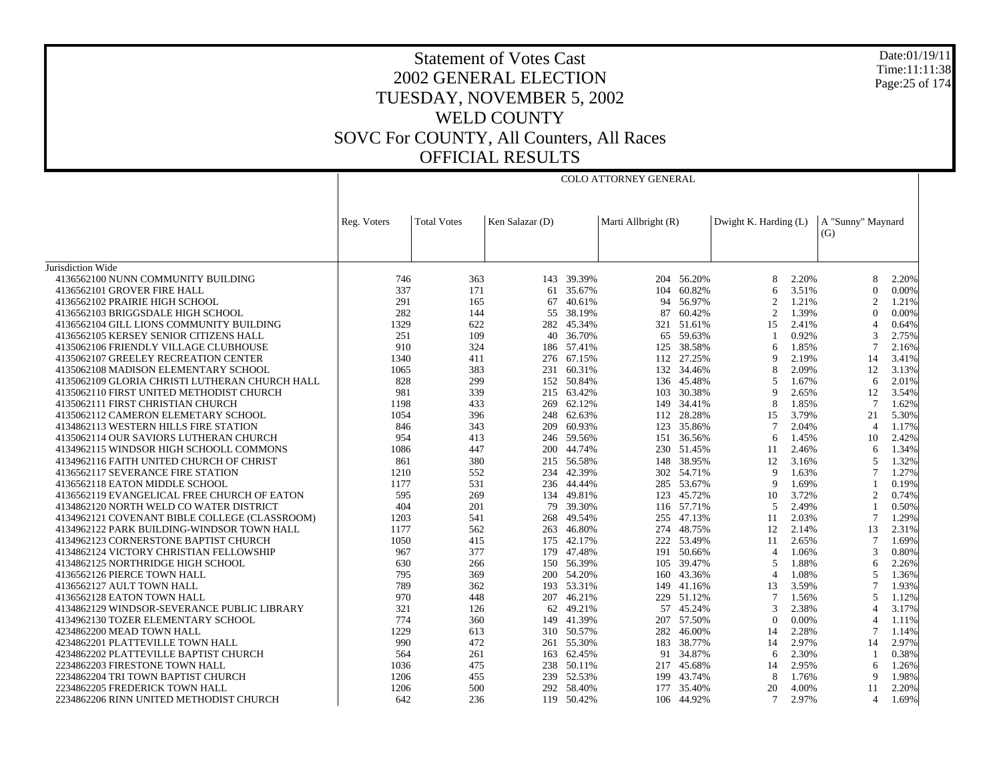Date:01/19/11 Time:11:11:38 Page:25 of 174

## Statement of Votes Cast 2002 GENERAL ELECTION TUESDAY, NOVEMBER 5, 2002 WELD COUNTY SOVC For COUNTY, All Counters, All Races OFFICIAL RESULTS

COLO ATTORNEY GENERAL

|                                                | Reg. Voters | <b>Total Votes</b> | Ken Salazar (D) |            | Marti Allbright (R) |            | Dwight K. Harding (L) |       | A "Sunny" Maynard        |       |
|------------------------------------------------|-------------|--------------------|-----------------|------------|---------------------|------------|-----------------------|-------|--------------------------|-------|
|                                                |             |                    |                 |            |                     |            |                       |       | (G)                      |       |
| Jurisdiction Wide                              |             |                    |                 |            |                     |            |                       |       |                          |       |
| 4136562100 NUNN COMMUNITY BUILDING             | 746         | 363                | 143             | 39.39%     | 204                 | 56.20%     | 8                     | 2.20% | 8                        | 2.20% |
| 4136562101 GROVER FIRE HALL                    | 337         | 171                | 61              | 35.67%     |                     | 104 60.82% | 6                     | 3.51% | $\Omega$                 | 0.00% |
| 4136562102 PRAIRIE HIGH SCHOOL                 | 291         | 165                | 67              | 40.61%     | 94                  | 56.97%     | 2                     | 1.21% | $\mathfrak{D}$           | 1.21% |
| 4136562103 BRIGGSDALE HIGH SCHOOL              | 282         | 144                | 55              | 38.19%     | 87                  | 60.42%     | 2                     | 1.39% | $\Omega$                 | 0.00% |
| 4136562104 GILL LIONS COMMUNITY BUILDING       | 1329        | 622                | 282             | 45.34%     |                     | 321 51.61% | 15                    | 2.41% |                          | 0.64% |
| 4136562105 KERSEY SENIOR CITIZENS HALL         | 251         | 109                | 40              | 36.70%     | 65                  | 59.63%     |                       | 0.92% | 3                        | 2.75% |
| 4135062106 FRIENDLY VILLAGE CLUBHOUSE          | 910         | 324                |                 | 186 57.41% | 125                 | 38.58%     | 6                     | 1.85% |                          | 2.16% |
| 4135062107 GREELEY RECREATION CENTER           | 1340        | 411                |                 | 276 67.15% |                     | 112 27.25% | Q                     | 2.19% | 14                       | 3.41% |
| 4135062108 MADISON ELEMENTARY SCHOOL           | 1065        | 383                |                 | 231 60.31% |                     | 132 34.46% |                       | 2.09% | 12                       | 3.13% |
| 4135062109 GLORIA CHRISTI LUTHERAN CHURCH HALL | 828         | 299                | 152             | 50.84%     | 136                 | 45.48%     | 5                     | 1.67% | 6                        | 2.01% |
| 4135062110 FIRST UNITED METHODIST CHURCH       | 981         | 339                |                 | 215 63.42% |                     | 103 30.38% | Q                     | 2.65% | 12                       | 3.54% |
| 4135062111 FIRST CHRISTIAN CHURCH              | 1198        | 433                |                 | 269 62.12% |                     | 149 34.41% | 8                     | 1.85% | 7                        | 1.62% |
| 4135062112 CAMERON ELEMETARY SCHOOL            | 1054        | 396                | 248             | 62.63%     | 112                 | 28.28%     | 15                    | 3.79% | 21                       | 5.30% |
| 4134862113 WESTERN HILLS FIRE STATION          | 846         | 343                | 209             | 60.93%     |                     | 123 35.86% |                       | 2.04% | $\boldsymbol{\Delta}$    | 1.17% |
| 4135062114 OUR SAVIORS LUTHERAN CHURCH         | 954         | 413                |                 | 246 59.56% |                     | 151 36.56% | 6                     | 1.45% | 10                       | 2.42% |
| 4134962115 WINDSOR HIGH SCHOOLL COMMONS        | 1086        | 447                | 200             | 44.74%     |                     | 230 51.45% | 11                    | 2.46% | 6                        | 1.34% |
| 4134962116 FAITH UNITED CHURCH OF CHRIST       | 861         | 380                |                 | 215 56.58% |                     | 148 38.95% | 12                    | 3.16% |                          | 1.32% |
| 4136562117 SEVERANCE FIRE STATION              | 1210        | 552                |                 | 234 42.39% |                     | 302 54.71% | 9                     | 1.63% |                          | 1.27% |
| 4136562118 EATON MIDDLE SCHOOL                 | 1177        | 531                |                 | 236 44.44% |                     | 285 53.67% | 9                     | 1.69% |                          | 0.19% |
| 4136562119 EVANGELICAL FREE CHURCH OF EATON    | 595         | 269                |                 | 134 49.81% |                     | 123 45.72% | 10                    | 3.72% | $\overline{c}$           | 0.74% |
| 4134862120 NORTH WELD CO WATER DISTRICT        | 404         | 201                | 79              | 39.30%     |                     | 116 57.71% | 5                     | 2.49% |                          | 0.50% |
| 4134962121 COVENANT BIBLE COLLEGE (CLASSROOM)  | 1203        | 541                | 268             | 49.54%     | 255                 | 47.13%     | 11                    | 2.03% |                          | 1.29% |
| 4134962122 PARK BUILDING-WINDSOR TOWN HALL     | 1177        | 562                | 263             | 46.80%     |                     | 274 48.75% | 12                    | 2.14% | 13                       | 2.31% |
| 4134962123 CORNERSTONE BAPTIST CHURCH          | 1050        | 415                | 175             | 42.17%     |                     | 222 53.49% | 11                    | 2.65% |                          | 1.69% |
| 4134862124 VICTORY CHRISTIAN FELLOWSHIP        | 967         | 377                | 179             | 47.48%     | 191                 | 50.66%     | $\overline{4}$        | 1.06% | $\mathcal{R}$            | 0.80% |
| 4134862125 NORTHRIDGE HIGH SCHOOL              | 630         | 266                |                 | 150 56.39% |                     | 105 39.47% | 5                     | 1.88% | 6                        | 2.26% |
| 4136562126 PIERCE TOWN HALL                    | 795         | 369                | 200             | 54.20%     | 160                 | 43.36%     | $\overline{4}$        | 1.08% | 5                        | 1.36% |
| 4136562127 AULT TOWN HALL                      | 789         | 362                |                 | 193 53.31% | 149                 | 41.16%     | 13                    | 3.59% |                          | 1.93% |
| 4136562128 EATON TOWN HALL                     | 970         | 448                | 207             | 46.21%     |                     | 229 51.12% | 7                     | 1.56% | $\overline{5}$           | 1.12% |
| 4134862129 WINDSOR-SEVERANCE PUBLIC LIBRARY    | 321         | 126                | 62              | 49.21%     | 57                  | 45.24%     | 3                     | 2.38% |                          | 3.17% |
| 4134962130 TOZER ELEMENTARY SCHOOL             | 774         | 360                | 149             | 41.39%     | 207                 | 57.50%     | $\Omega$              | 0.00% | $\boldsymbol{\varDelta}$ | 1.11% |
| 4234862200 MEAD TOWN HALL                      | 1229        | 613                |                 | 310 50.57% | 282                 | 46.00%     | 14                    | 2.28% |                          | 1.14% |
| 4234862201 PLATTEVILLE TOWN HALL               | 990         | 472                | 261             | 55.30%     | 183                 | 38.77%     | 14                    | 2.97% | 14                       | 2.97% |
| 4234862202 PLATTEVILLE BAPTIST CHURCH          | 564         | 261                | 163             | 62.45%     | 91                  | 34.87%     | 6                     | 2.30% |                          | 0.38% |
| 2234862203 FIRESTONE TOWN HALL                 | 1036        | 475                |                 | 238 50.11% |                     | 217 45.68% | 14                    | 2.95% | 6                        | 1.26% |
| 2234862204 TRI TOWN BAPTIST CHURCH             | 1206        | 455                |                 | 239 52.53% | 199                 | 43.74%     | 8                     | 1.76% | 9                        | 1.98% |
| 2234862205 FREDERICK TOWN HALL                 | 1206        | 500                |                 | 292 58.40% |                     | 177 35.40% | 20                    | 4.00% | 11                       | 2.20% |
| 2234862206 RINN UNITED METHODIST CHURCH        | 642         | 236                |                 | 119 50.42% |                     | 106 44.92% | $\tau$                | 2.97% | $\overline{4}$           | 1.69% |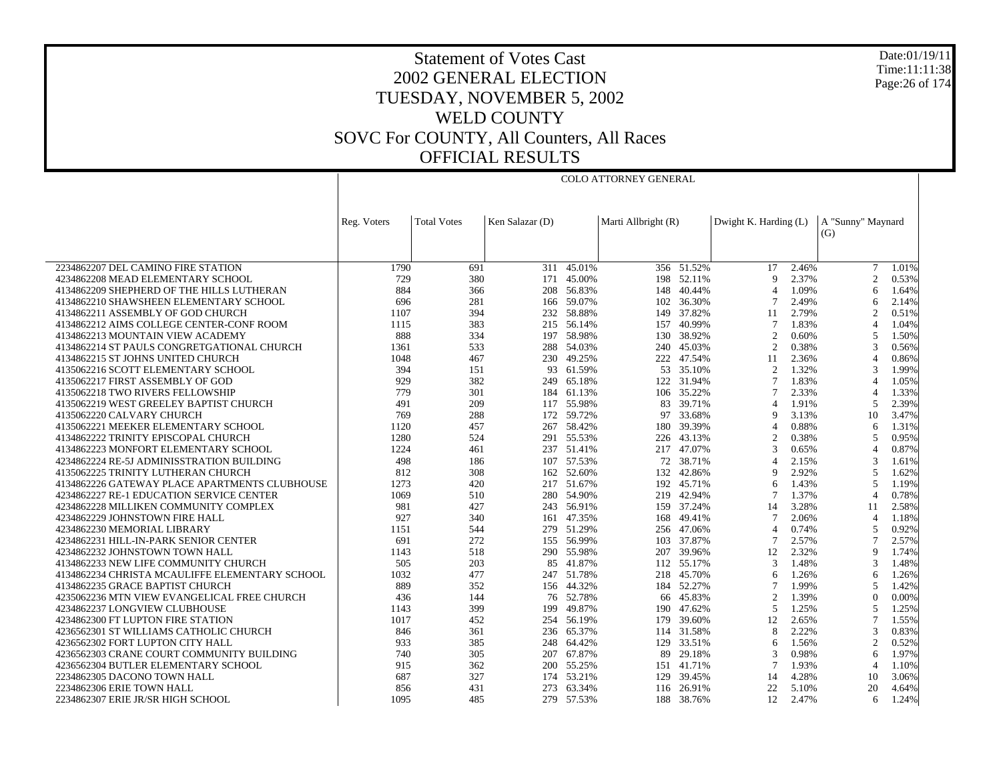Date:01/19/11 Time:11:11:38 Page:26 of 174

# Statement of Votes Cast 2002 GENERAL ELECTION TUESDAY, NOVEMBER 5, 2002 WELD COUNTY SOVC For COUNTY, All Counters, All Races OFFICIAL RESULTS

COLO ATTORNEY GENERAL

| <b>Total Votes</b><br>Ken Salazar (D)<br>Marti Allbright (R)<br>Dwight K. Harding (L)<br>A "Sunny" Maynard<br>Reg. Voters<br>(G)<br>$\tau$<br>2234862207 DEL CAMINO FIRE STATION<br>1790<br>311 45.01%<br>356 51.52%<br>17<br>2.46%<br>691<br>1.01%<br>729<br>380<br>171 45.00%<br>198 52.11%<br>2.37%<br>2<br>0.53%<br>4234862208 MEAD ELEMENTARY SCHOOL<br>9<br>4134862209 SHEPHERD OF THE HILLS LUTHERAN<br>884<br>366<br>56.83%<br>148<br>40.44%<br>1.09%<br>6<br>208<br>$\overline{4}$<br>1.64%<br>2.49%<br>4134862210 SHAWSHEEN ELEMENTARY SCHOOL<br>166 59.07%<br>102 36.30%<br>696<br>281<br>6<br>2.14%<br>1107<br>394<br>232 58.88%<br>149 37.82%<br>2.79%<br>$\overline{2}$<br>4134862211 ASSEMBLY OF GOD CHURCH<br>11<br>0.51%<br>4134862212 AIMS COLLEGE CENTER-CONF ROOM<br>383<br>40.99%<br>$\overline{7}$<br>1.83%<br>$\overline{4}$<br>1115<br>215 56.14%<br>157<br>1.04%<br>4134862213 MOUNTAIN VIEW ACADEMY<br>888<br>334<br>197 58.98%<br>130 38.92%<br>$\overline{2}$<br>0.60%<br>5<br>1.50%<br>533<br>240 45.03%<br>0.38%<br>3<br>4134862214 ST PAULS CONGRETGATIONAL CHURCH<br>1361<br>288 54.03%<br>2<br>0.56%<br>47.54%<br>2.36%<br>4134862215 ST JOHNS UNITED CHURCH<br>1048<br>467<br>230 49.25%<br>222<br>11<br>4<br>0.86%<br>394<br>53 35.10%<br>1.32%<br>3<br>4135062216 SCOTT ELEMENTARY SCHOOL<br>151<br>93 61.59%<br>2<br>1.99%<br>382<br>1.83%<br>929<br>249 65.18%<br>122 31.94%<br>7<br>1.05%<br>4135062217 FIRST ASSEMBLY OF GOD<br>4<br>301<br>2.33%<br>4135062218 TWO RIVERS FELLOWSHIP<br>779<br>184 61.13%<br>106 35.22%<br>7<br>4<br>1.33%<br>117 55.98%<br>39.71%<br>1.91%<br>4135062219 WEST GREELEY BAPTIST CHURCH<br>491<br>209<br>83<br>$\overline{4}$<br>5<br>2.39%<br>769<br>288<br>172 59.72%<br>33.68%<br>3.13%<br>10<br>3.47%<br>4135062220 CALVARY CHURCH<br>97<br>9<br>0.88%<br>4135062221 MEEKER ELEMENTARY SCHOOL<br>1120<br>457<br>58.42%<br>39.39%<br>1.31%<br>267<br>180<br>4<br>6<br>291 55.53%<br>4134862222 TRINITY EPISCOPAL CHURCH<br>1280<br>524<br>226 43.13%<br>2<br>0.38%<br>5<br>0.95%<br>217 47.07%<br>4134862223 MONFORT ELEMENTARY SCHOOL<br>1224<br>461<br>237 51.41%<br>3<br>0.65%<br>4<br>0.87%<br>4234862224 RE-5J ADMINISSTRATION BUILDING<br>498<br>186<br>107 57.53%<br>72<br>38.71%<br>2.15%<br>3<br>1.61%<br>$\overline{4}$<br>2.92%<br>4135062225 TRINITY LUTHERAN CHURCH<br>812<br>308<br>162 52.60%<br>132 42.86%<br>9<br>5<br>1.62%<br>$\overline{\phantom{0}}$<br>1273<br>420<br>217 51.67%<br>192 45.71%<br>1.43%<br>1.19%<br>4134862226 GATEWAY PLACE APARTMENTS CLUBHOUSE<br>6<br>1069<br>510<br>280 54.90%<br>219 42.94%<br>1.37%<br>$\overline{4}$<br>0.78%<br>4234862227 RE-1 EDUCATION SERVICE CENTER<br>7<br>4234862228 MILLIKEN COMMUNITY COMPLEX<br>981<br>427<br>243 56.91%<br>159 37.24%<br>3.28%<br>14<br>2.58%<br>11<br>927<br>340<br>161 47.35%<br>168 49.41%<br>2.06%<br>1.18%<br>4234862229 JOHNSTOWN FIRE HALL<br>7<br>4<br>544<br>279 51.29%<br>256 47.06%<br>0.74%<br>0.92%<br>4234862230 MEMORIAL LIBRARY<br>1151<br>4<br>5<br>691<br>272<br>155 56.99%<br>37.87%<br>2.57%<br>7<br>4234862231 HILL-IN-PARK SENIOR CENTER<br>103<br>7<br>2.57%<br>518<br>207 39.96%<br>2.32%<br>9<br>4234862232 JOHNSTOWN TOWN HALL<br>1143<br>290 55.98%<br>12<br>1.74%<br>203<br>112 55.17%<br>1.48%<br>4134862233 NEW LIFE COMMUNITY CHURCH<br>505<br>85 41.87%<br>3<br>3<br>1.48%<br>1032<br>477<br>218 45.70%<br>4134862234 CHRISTA MCAULIFFE ELEMENTARY SCHOOL<br>247 51.78%<br>1.26%<br>1.26%<br>6<br>6<br>352<br>184 52.27%<br>1.99%<br>5<br>4134862235 GRACE BAPTIST CHURCH<br>889<br>156 44.32%<br>7<br>1.42%<br>76 52.78%<br>45.83%<br>$\mathbf{0}$<br>4235062236 MTN VIEW EVANGELICAL FREE CHURCH<br>436<br>144<br>2<br>1.39%<br>0.00%<br>66<br>4234862237 LONGVIEW CLUBHOUSE<br>1143<br>399<br>199<br>49.87%<br>190<br>47.62%<br>5<br>1.25%<br>5<br>1.25%<br>2.65%<br>7<br>4234862300 FT LUPTON FIRE STATION<br>1017<br>452<br>254 56.19%<br>179 39.60%<br>12<br>1.55%<br>846<br>361<br>236 65.37%<br>114 31.58%<br>8<br>2.22%<br>3<br>0.83%<br>4236562301 ST WILLIAMS CATHOLIC CHURCH<br>2<br>4236562302 FORT LUPTON CITY HALL<br>933<br>385<br>64.42%<br>129<br>33.51%<br>1.56%<br>0.52%<br>248<br>6<br>4236562303 CRANE COURT COMMUNITY BUILDING<br>305<br>207 67.87%<br>89<br>29.18%<br>$\mathcal{R}$<br>0.98%<br>6<br>1.97%<br>740<br>200 55.25%<br>151 41.71%<br>1.93%<br>$\overline{4}$<br>4236562304 BUTLER ELEMENTARY SCHOOL<br>915<br>362<br>7<br>1.10%<br>2234862305 DACONO TOWN HALL<br>687<br>327<br>53.21%<br>129<br>39.45%<br>4.28%<br>174<br>14<br>10<br>3.06%<br>2234862306 ERIE TOWN HALL<br>431<br>273 63.34%<br>116 26.91%<br>22<br>5.10%<br>20<br>856<br>4.64% |                                   |      |     |  |  |    |       |   |       |
|-------------------------------------------------------------------------------------------------------------------------------------------------------------------------------------------------------------------------------------------------------------------------------------------------------------------------------------------------------------------------------------------------------------------------------------------------------------------------------------------------------------------------------------------------------------------------------------------------------------------------------------------------------------------------------------------------------------------------------------------------------------------------------------------------------------------------------------------------------------------------------------------------------------------------------------------------------------------------------------------------------------------------------------------------------------------------------------------------------------------------------------------------------------------------------------------------------------------------------------------------------------------------------------------------------------------------------------------------------------------------------------------------------------------------------------------------------------------------------------------------------------------------------------------------------------------------------------------------------------------------------------------------------------------------------------------------------------------------------------------------------------------------------------------------------------------------------------------------------------------------------------------------------------------------------------------------------------------------------------------------------------------------------------------------------------------------------------------------------------------------------------------------------------------------------------------------------------------------------------------------------------------------------------------------------------------------------------------------------------------------------------------------------------------------------------------------------------------------------------------------------------------------------------------------------------------------------------------------------------------------------------------------------------------------------------------------------------------------------------------------------------------------------------------------------------------------------------------------------------------------------------------------------------------------------------------------------------------------------------------------------------------------------------------------------------------------------------------------------------------------------------------------------------------------------------------------------------------------------------------------------------------------------------------------------------------------------------------------------------------------------------------------------------------------------------------------------------------------------------------------------------------------------------------------------------------------------------------------------------------------------------------------------------------------------------------------------------------------------------------------------------------------------------------------------------------------------------------------------------------------------------------------------------------------------------------------------------------------------------------------------------------------------------------------------------------------------------------------------------------------------------------------------------------------------------------------------------------------------------------------------------------------------------------------------------------------------------------------------------------------------------------------------------------------------------------------------------------------------------------------------------------------------------------------------------------------------------------------------------------------------------------------------------------------------------------|-----------------------------------|------|-----|--|--|----|-------|---|-------|
|                                                                                                                                                                                                                                                                                                                                                                                                                                                                                                                                                                                                                                                                                                                                                                                                                                                                                                                                                                                                                                                                                                                                                                                                                                                                                                                                                                                                                                                                                                                                                                                                                                                                                                                                                                                                                                                                                                                                                                                                                                                                                                                                                                                                                                                                                                                                                                                                                                                                                                                                                                                                                                                                                                                                                                                                                                                                                                                                                                                                                                                                                                                                                                                                                                                                                                                                                                                                                                                                                                                                                                                                                                                                                                                                                                                                                                                                                                                                                                                                                                                                                                                                                                                                                                                                                                                                                                                                                                                                                                                                                                                                                                                                                           |                                   |      |     |  |  |    |       |   |       |
|                                                                                                                                                                                                                                                                                                                                                                                                                                                                                                                                                                                                                                                                                                                                                                                                                                                                                                                                                                                                                                                                                                                                                                                                                                                                                                                                                                                                                                                                                                                                                                                                                                                                                                                                                                                                                                                                                                                                                                                                                                                                                                                                                                                                                                                                                                                                                                                                                                                                                                                                                                                                                                                                                                                                                                                                                                                                                                                                                                                                                                                                                                                                                                                                                                                                                                                                                                                                                                                                                                                                                                                                                                                                                                                                                                                                                                                                                                                                                                                                                                                                                                                                                                                                                                                                                                                                                                                                                                                                                                                                                                                                                                                                                           |                                   |      |     |  |  |    |       |   |       |
|                                                                                                                                                                                                                                                                                                                                                                                                                                                                                                                                                                                                                                                                                                                                                                                                                                                                                                                                                                                                                                                                                                                                                                                                                                                                                                                                                                                                                                                                                                                                                                                                                                                                                                                                                                                                                                                                                                                                                                                                                                                                                                                                                                                                                                                                                                                                                                                                                                                                                                                                                                                                                                                                                                                                                                                                                                                                                                                                                                                                                                                                                                                                                                                                                                                                                                                                                                                                                                                                                                                                                                                                                                                                                                                                                                                                                                                                                                                                                                                                                                                                                                                                                                                                                                                                                                                                                                                                                                                                                                                                                                                                                                                                                           |                                   |      |     |  |  |    |       |   |       |
|                                                                                                                                                                                                                                                                                                                                                                                                                                                                                                                                                                                                                                                                                                                                                                                                                                                                                                                                                                                                                                                                                                                                                                                                                                                                                                                                                                                                                                                                                                                                                                                                                                                                                                                                                                                                                                                                                                                                                                                                                                                                                                                                                                                                                                                                                                                                                                                                                                                                                                                                                                                                                                                                                                                                                                                                                                                                                                                                                                                                                                                                                                                                                                                                                                                                                                                                                                                                                                                                                                                                                                                                                                                                                                                                                                                                                                                                                                                                                                                                                                                                                                                                                                                                                                                                                                                                                                                                                                                                                                                                                                                                                                                                                           |                                   |      |     |  |  |    |       |   |       |
|                                                                                                                                                                                                                                                                                                                                                                                                                                                                                                                                                                                                                                                                                                                                                                                                                                                                                                                                                                                                                                                                                                                                                                                                                                                                                                                                                                                                                                                                                                                                                                                                                                                                                                                                                                                                                                                                                                                                                                                                                                                                                                                                                                                                                                                                                                                                                                                                                                                                                                                                                                                                                                                                                                                                                                                                                                                                                                                                                                                                                                                                                                                                                                                                                                                                                                                                                                                                                                                                                                                                                                                                                                                                                                                                                                                                                                                                                                                                                                                                                                                                                                                                                                                                                                                                                                                                                                                                                                                                                                                                                                                                                                                                                           |                                   |      |     |  |  |    |       |   |       |
|                                                                                                                                                                                                                                                                                                                                                                                                                                                                                                                                                                                                                                                                                                                                                                                                                                                                                                                                                                                                                                                                                                                                                                                                                                                                                                                                                                                                                                                                                                                                                                                                                                                                                                                                                                                                                                                                                                                                                                                                                                                                                                                                                                                                                                                                                                                                                                                                                                                                                                                                                                                                                                                                                                                                                                                                                                                                                                                                                                                                                                                                                                                                                                                                                                                                                                                                                                                                                                                                                                                                                                                                                                                                                                                                                                                                                                                                                                                                                                                                                                                                                                                                                                                                                                                                                                                                                                                                                                                                                                                                                                                                                                                                                           |                                   |      |     |  |  |    |       |   |       |
|                                                                                                                                                                                                                                                                                                                                                                                                                                                                                                                                                                                                                                                                                                                                                                                                                                                                                                                                                                                                                                                                                                                                                                                                                                                                                                                                                                                                                                                                                                                                                                                                                                                                                                                                                                                                                                                                                                                                                                                                                                                                                                                                                                                                                                                                                                                                                                                                                                                                                                                                                                                                                                                                                                                                                                                                                                                                                                                                                                                                                                                                                                                                                                                                                                                                                                                                                                                                                                                                                                                                                                                                                                                                                                                                                                                                                                                                                                                                                                                                                                                                                                                                                                                                                                                                                                                                                                                                                                                                                                                                                                                                                                                                                           |                                   |      |     |  |  |    |       |   |       |
|                                                                                                                                                                                                                                                                                                                                                                                                                                                                                                                                                                                                                                                                                                                                                                                                                                                                                                                                                                                                                                                                                                                                                                                                                                                                                                                                                                                                                                                                                                                                                                                                                                                                                                                                                                                                                                                                                                                                                                                                                                                                                                                                                                                                                                                                                                                                                                                                                                                                                                                                                                                                                                                                                                                                                                                                                                                                                                                                                                                                                                                                                                                                                                                                                                                                                                                                                                                                                                                                                                                                                                                                                                                                                                                                                                                                                                                                                                                                                                                                                                                                                                                                                                                                                                                                                                                                                                                                                                                                                                                                                                                                                                                                                           |                                   |      |     |  |  |    |       |   |       |
|                                                                                                                                                                                                                                                                                                                                                                                                                                                                                                                                                                                                                                                                                                                                                                                                                                                                                                                                                                                                                                                                                                                                                                                                                                                                                                                                                                                                                                                                                                                                                                                                                                                                                                                                                                                                                                                                                                                                                                                                                                                                                                                                                                                                                                                                                                                                                                                                                                                                                                                                                                                                                                                                                                                                                                                                                                                                                                                                                                                                                                                                                                                                                                                                                                                                                                                                                                                                                                                                                                                                                                                                                                                                                                                                                                                                                                                                                                                                                                                                                                                                                                                                                                                                                                                                                                                                                                                                                                                                                                                                                                                                                                                                                           |                                   |      |     |  |  |    |       |   |       |
|                                                                                                                                                                                                                                                                                                                                                                                                                                                                                                                                                                                                                                                                                                                                                                                                                                                                                                                                                                                                                                                                                                                                                                                                                                                                                                                                                                                                                                                                                                                                                                                                                                                                                                                                                                                                                                                                                                                                                                                                                                                                                                                                                                                                                                                                                                                                                                                                                                                                                                                                                                                                                                                                                                                                                                                                                                                                                                                                                                                                                                                                                                                                                                                                                                                                                                                                                                                                                                                                                                                                                                                                                                                                                                                                                                                                                                                                                                                                                                                                                                                                                                                                                                                                                                                                                                                                                                                                                                                                                                                                                                                                                                                                                           |                                   |      |     |  |  |    |       |   |       |
|                                                                                                                                                                                                                                                                                                                                                                                                                                                                                                                                                                                                                                                                                                                                                                                                                                                                                                                                                                                                                                                                                                                                                                                                                                                                                                                                                                                                                                                                                                                                                                                                                                                                                                                                                                                                                                                                                                                                                                                                                                                                                                                                                                                                                                                                                                                                                                                                                                                                                                                                                                                                                                                                                                                                                                                                                                                                                                                                                                                                                                                                                                                                                                                                                                                                                                                                                                                                                                                                                                                                                                                                                                                                                                                                                                                                                                                                                                                                                                                                                                                                                                                                                                                                                                                                                                                                                                                                                                                                                                                                                                                                                                                                                           |                                   |      |     |  |  |    |       |   |       |
|                                                                                                                                                                                                                                                                                                                                                                                                                                                                                                                                                                                                                                                                                                                                                                                                                                                                                                                                                                                                                                                                                                                                                                                                                                                                                                                                                                                                                                                                                                                                                                                                                                                                                                                                                                                                                                                                                                                                                                                                                                                                                                                                                                                                                                                                                                                                                                                                                                                                                                                                                                                                                                                                                                                                                                                                                                                                                                                                                                                                                                                                                                                                                                                                                                                                                                                                                                                                                                                                                                                                                                                                                                                                                                                                                                                                                                                                                                                                                                                                                                                                                                                                                                                                                                                                                                                                                                                                                                                                                                                                                                                                                                                                                           |                                   |      |     |  |  |    |       |   |       |
|                                                                                                                                                                                                                                                                                                                                                                                                                                                                                                                                                                                                                                                                                                                                                                                                                                                                                                                                                                                                                                                                                                                                                                                                                                                                                                                                                                                                                                                                                                                                                                                                                                                                                                                                                                                                                                                                                                                                                                                                                                                                                                                                                                                                                                                                                                                                                                                                                                                                                                                                                                                                                                                                                                                                                                                                                                                                                                                                                                                                                                                                                                                                                                                                                                                                                                                                                                                                                                                                                                                                                                                                                                                                                                                                                                                                                                                                                                                                                                                                                                                                                                                                                                                                                                                                                                                                                                                                                                                                                                                                                                                                                                                                                           |                                   |      |     |  |  |    |       |   |       |
|                                                                                                                                                                                                                                                                                                                                                                                                                                                                                                                                                                                                                                                                                                                                                                                                                                                                                                                                                                                                                                                                                                                                                                                                                                                                                                                                                                                                                                                                                                                                                                                                                                                                                                                                                                                                                                                                                                                                                                                                                                                                                                                                                                                                                                                                                                                                                                                                                                                                                                                                                                                                                                                                                                                                                                                                                                                                                                                                                                                                                                                                                                                                                                                                                                                                                                                                                                                                                                                                                                                                                                                                                                                                                                                                                                                                                                                                                                                                                                                                                                                                                                                                                                                                                                                                                                                                                                                                                                                                                                                                                                                                                                                                                           |                                   |      |     |  |  |    |       |   |       |
|                                                                                                                                                                                                                                                                                                                                                                                                                                                                                                                                                                                                                                                                                                                                                                                                                                                                                                                                                                                                                                                                                                                                                                                                                                                                                                                                                                                                                                                                                                                                                                                                                                                                                                                                                                                                                                                                                                                                                                                                                                                                                                                                                                                                                                                                                                                                                                                                                                                                                                                                                                                                                                                                                                                                                                                                                                                                                                                                                                                                                                                                                                                                                                                                                                                                                                                                                                                                                                                                                                                                                                                                                                                                                                                                                                                                                                                                                                                                                                                                                                                                                                                                                                                                                                                                                                                                                                                                                                                                                                                                                                                                                                                                                           |                                   |      |     |  |  |    |       |   |       |
|                                                                                                                                                                                                                                                                                                                                                                                                                                                                                                                                                                                                                                                                                                                                                                                                                                                                                                                                                                                                                                                                                                                                                                                                                                                                                                                                                                                                                                                                                                                                                                                                                                                                                                                                                                                                                                                                                                                                                                                                                                                                                                                                                                                                                                                                                                                                                                                                                                                                                                                                                                                                                                                                                                                                                                                                                                                                                                                                                                                                                                                                                                                                                                                                                                                                                                                                                                                                                                                                                                                                                                                                                                                                                                                                                                                                                                                                                                                                                                                                                                                                                                                                                                                                                                                                                                                                                                                                                                                                                                                                                                                                                                                                                           |                                   |      |     |  |  |    |       |   |       |
|                                                                                                                                                                                                                                                                                                                                                                                                                                                                                                                                                                                                                                                                                                                                                                                                                                                                                                                                                                                                                                                                                                                                                                                                                                                                                                                                                                                                                                                                                                                                                                                                                                                                                                                                                                                                                                                                                                                                                                                                                                                                                                                                                                                                                                                                                                                                                                                                                                                                                                                                                                                                                                                                                                                                                                                                                                                                                                                                                                                                                                                                                                                                                                                                                                                                                                                                                                                                                                                                                                                                                                                                                                                                                                                                                                                                                                                                                                                                                                                                                                                                                                                                                                                                                                                                                                                                                                                                                                                                                                                                                                                                                                                                                           |                                   |      |     |  |  |    |       |   |       |
|                                                                                                                                                                                                                                                                                                                                                                                                                                                                                                                                                                                                                                                                                                                                                                                                                                                                                                                                                                                                                                                                                                                                                                                                                                                                                                                                                                                                                                                                                                                                                                                                                                                                                                                                                                                                                                                                                                                                                                                                                                                                                                                                                                                                                                                                                                                                                                                                                                                                                                                                                                                                                                                                                                                                                                                                                                                                                                                                                                                                                                                                                                                                                                                                                                                                                                                                                                                                                                                                                                                                                                                                                                                                                                                                                                                                                                                                                                                                                                                                                                                                                                                                                                                                                                                                                                                                                                                                                                                                                                                                                                                                                                                                                           |                                   |      |     |  |  |    |       |   |       |
|                                                                                                                                                                                                                                                                                                                                                                                                                                                                                                                                                                                                                                                                                                                                                                                                                                                                                                                                                                                                                                                                                                                                                                                                                                                                                                                                                                                                                                                                                                                                                                                                                                                                                                                                                                                                                                                                                                                                                                                                                                                                                                                                                                                                                                                                                                                                                                                                                                                                                                                                                                                                                                                                                                                                                                                                                                                                                                                                                                                                                                                                                                                                                                                                                                                                                                                                                                                                                                                                                                                                                                                                                                                                                                                                                                                                                                                                                                                                                                                                                                                                                                                                                                                                                                                                                                                                                                                                                                                                                                                                                                                                                                                                                           |                                   |      |     |  |  |    |       |   |       |
|                                                                                                                                                                                                                                                                                                                                                                                                                                                                                                                                                                                                                                                                                                                                                                                                                                                                                                                                                                                                                                                                                                                                                                                                                                                                                                                                                                                                                                                                                                                                                                                                                                                                                                                                                                                                                                                                                                                                                                                                                                                                                                                                                                                                                                                                                                                                                                                                                                                                                                                                                                                                                                                                                                                                                                                                                                                                                                                                                                                                                                                                                                                                                                                                                                                                                                                                                                                                                                                                                                                                                                                                                                                                                                                                                                                                                                                                                                                                                                                                                                                                                                                                                                                                                                                                                                                                                                                                                                                                                                                                                                                                                                                                                           |                                   |      |     |  |  |    |       |   |       |
|                                                                                                                                                                                                                                                                                                                                                                                                                                                                                                                                                                                                                                                                                                                                                                                                                                                                                                                                                                                                                                                                                                                                                                                                                                                                                                                                                                                                                                                                                                                                                                                                                                                                                                                                                                                                                                                                                                                                                                                                                                                                                                                                                                                                                                                                                                                                                                                                                                                                                                                                                                                                                                                                                                                                                                                                                                                                                                                                                                                                                                                                                                                                                                                                                                                                                                                                                                                                                                                                                                                                                                                                                                                                                                                                                                                                                                                                                                                                                                                                                                                                                                                                                                                                                                                                                                                                                                                                                                                                                                                                                                                                                                                                                           |                                   |      |     |  |  |    |       |   |       |
|                                                                                                                                                                                                                                                                                                                                                                                                                                                                                                                                                                                                                                                                                                                                                                                                                                                                                                                                                                                                                                                                                                                                                                                                                                                                                                                                                                                                                                                                                                                                                                                                                                                                                                                                                                                                                                                                                                                                                                                                                                                                                                                                                                                                                                                                                                                                                                                                                                                                                                                                                                                                                                                                                                                                                                                                                                                                                                                                                                                                                                                                                                                                                                                                                                                                                                                                                                                                                                                                                                                                                                                                                                                                                                                                                                                                                                                                                                                                                                                                                                                                                                                                                                                                                                                                                                                                                                                                                                                                                                                                                                                                                                                                                           |                                   |      |     |  |  |    |       |   |       |
|                                                                                                                                                                                                                                                                                                                                                                                                                                                                                                                                                                                                                                                                                                                                                                                                                                                                                                                                                                                                                                                                                                                                                                                                                                                                                                                                                                                                                                                                                                                                                                                                                                                                                                                                                                                                                                                                                                                                                                                                                                                                                                                                                                                                                                                                                                                                                                                                                                                                                                                                                                                                                                                                                                                                                                                                                                                                                                                                                                                                                                                                                                                                                                                                                                                                                                                                                                                                                                                                                                                                                                                                                                                                                                                                                                                                                                                                                                                                                                                                                                                                                                                                                                                                                                                                                                                                                                                                                                                                                                                                                                                                                                                                                           |                                   |      |     |  |  |    |       |   |       |
|                                                                                                                                                                                                                                                                                                                                                                                                                                                                                                                                                                                                                                                                                                                                                                                                                                                                                                                                                                                                                                                                                                                                                                                                                                                                                                                                                                                                                                                                                                                                                                                                                                                                                                                                                                                                                                                                                                                                                                                                                                                                                                                                                                                                                                                                                                                                                                                                                                                                                                                                                                                                                                                                                                                                                                                                                                                                                                                                                                                                                                                                                                                                                                                                                                                                                                                                                                                                                                                                                                                                                                                                                                                                                                                                                                                                                                                                                                                                                                                                                                                                                                                                                                                                                                                                                                                                                                                                                                                                                                                                                                                                                                                                                           |                                   |      |     |  |  |    |       |   |       |
|                                                                                                                                                                                                                                                                                                                                                                                                                                                                                                                                                                                                                                                                                                                                                                                                                                                                                                                                                                                                                                                                                                                                                                                                                                                                                                                                                                                                                                                                                                                                                                                                                                                                                                                                                                                                                                                                                                                                                                                                                                                                                                                                                                                                                                                                                                                                                                                                                                                                                                                                                                                                                                                                                                                                                                                                                                                                                                                                                                                                                                                                                                                                                                                                                                                                                                                                                                                                                                                                                                                                                                                                                                                                                                                                                                                                                                                                                                                                                                                                                                                                                                                                                                                                                                                                                                                                                                                                                                                                                                                                                                                                                                                                                           |                                   |      |     |  |  |    |       |   |       |
|                                                                                                                                                                                                                                                                                                                                                                                                                                                                                                                                                                                                                                                                                                                                                                                                                                                                                                                                                                                                                                                                                                                                                                                                                                                                                                                                                                                                                                                                                                                                                                                                                                                                                                                                                                                                                                                                                                                                                                                                                                                                                                                                                                                                                                                                                                                                                                                                                                                                                                                                                                                                                                                                                                                                                                                                                                                                                                                                                                                                                                                                                                                                                                                                                                                                                                                                                                                                                                                                                                                                                                                                                                                                                                                                                                                                                                                                                                                                                                                                                                                                                                                                                                                                                                                                                                                                                                                                                                                                                                                                                                                                                                                                                           |                                   |      |     |  |  |    |       |   |       |
|                                                                                                                                                                                                                                                                                                                                                                                                                                                                                                                                                                                                                                                                                                                                                                                                                                                                                                                                                                                                                                                                                                                                                                                                                                                                                                                                                                                                                                                                                                                                                                                                                                                                                                                                                                                                                                                                                                                                                                                                                                                                                                                                                                                                                                                                                                                                                                                                                                                                                                                                                                                                                                                                                                                                                                                                                                                                                                                                                                                                                                                                                                                                                                                                                                                                                                                                                                                                                                                                                                                                                                                                                                                                                                                                                                                                                                                                                                                                                                                                                                                                                                                                                                                                                                                                                                                                                                                                                                                                                                                                                                                                                                                                                           |                                   |      |     |  |  |    |       |   |       |
|                                                                                                                                                                                                                                                                                                                                                                                                                                                                                                                                                                                                                                                                                                                                                                                                                                                                                                                                                                                                                                                                                                                                                                                                                                                                                                                                                                                                                                                                                                                                                                                                                                                                                                                                                                                                                                                                                                                                                                                                                                                                                                                                                                                                                                                                                                                                                                                                                                                                                                                                                                                                                                                                                                                                                                                                                                                                                                                                                                                                                                                                                                                                                                                                                                                                                                                                                                                                                                                                                                                                                                                                                                                                                                                                                                                                                                                                                                                                                                                                                                                                                                                                                                                                                                                                                                                                                                                                                                                                                                                                                                                                                                                                                           |                                   |      |     |  |  |    |       |   |       |
|                                                                                                                                                                                                                                                                                                                                                                                                                                                                                                                                                                                                                                                                                                                                                                                                                                                                                                                                                                                                                                                                                                                                                                                                                                                                                                                                                                                                                                                                                                                                                                                                                                                                                                                                                                                                                                                                                                                                                                                                                                                                                                                                                                                                                                                                                                                                                                                                                                                                                                                                                                                                                                                                                                                                                                                                                                                                                                                                                                                                                                                                                                                                                                                                                                                                                                                                                                                                                                                                                                                                                                                                                                                                                                                                                                                                                                                                                                                                                                                                                                                                                                                                                                                                                                                                                                                                                                                                                                                                                                                                                                                                                                                                                           |                                   |      |     |  |  |    |       |   |       |
|                                                                                                                                                                                                                                                                                                                                                                                                                                                                                                                                                                                                                                                                                                                                                                                                                                                                                                                                                                                                                                                                                                                                                                                                                                                                                                                                                                                                                                                                                                                                                                                                                                                                                                                                                                                                                                                                                                                                                                                                                                                                                                                                                                                                                                                                                                                                                                                                                                                                                                                                                                                                                                                                                                                                                                                                                                                                                                                                                                                                                                                                                                                                                                                                                                                                                                                                                                                                                                                                                                                                                                                                                                                                                                                                                                                                                                                                                                                                                                                                                                                                                                                                                                                                                                                                                                                                                                                                                                                                                                                                                                                                                                                                                           |                                   |      |     |  |  |    |       |   |       |
|                                                                                                                                                                                                                                                                                                                                                                                                                                                                                                                                                                                                                                                                                                                                                                                                                                                                                                                                                                                                                                                                                                                                                                                                                                                                                                                                                                                                                                                                                                                                                                                                                                                                                                                                                                                                                                                                                                                                                                                                                                                                                                                                                                                                                                                                                                                                                                                                                                                                                                                                                                                                                                                                                                                                                                                                                                                                                                                                                                                                                                                                                                                                                                                                                                                                                                                                                                                                                                                                                                                                                                                                                                                                                                                                                                                                                                                                                                                                                                                                                                                                                                                                                                                                                                                                                                                                                                                                                                                                                                                                                                                                                                                                                           |                                   |      |     |  |  |    |       |   |       |
|                                                                                                                                                                                                                                                                                                                                                                                                                                                                                                                                                                                                                                                                                                                                                                                                                                                                                                                                                                                                                                                                                                                                                                                                                                                                                                                                                                                                                                                                                                                                                                                                                                                                                                                                                                                                                                                                                                                                                                                                                                                                                                                                                                                                                                                                                                                                                                                                                                                                                                                                                                                                                                                                                                                                                                                                                                                                                                                                                                                                                                                                                                                                                                                                                                                                                                                                                                                                                                                                                                                                                                                                                                                                                                                                                                                                                                                                                                                                                                                                                                                                                                                                                                                                                                                                                                                                                                                                                                                                                                                                                                                                                                                                                           |                                   |      |     |  |  |    |       |   |       |
|                                                                                                                                                                                                                                                                                                                                                                                                                                                                                                                                                                                                                                                                                                                                                                                                                                                                                                                                                                                                                                                                                                                                                                                                                                                                                                                                                                                                                                                                                                                                                                                                                                                                                                                                                                                                                                                                                                                                                                                                                                                                                                                                                                                                                                                                                                                                                                                                                                                                                                                                                                                                                                                                                                                                                                                                                                                                                                                                                                                                                                                                                                                                                                                                                                                                                                                                                                                                                                                                                                                                                                                                                                                                                                                                                                                                                                                                                                                                                                                                                                                                                                                                                                                                                                                                                                                                                                                                                                                                                                                                                                                                                                                                                           |                                   |      |     |  |  |    |       |   |       |
|                                                                                                                                                                                                                                                                                                                                                                                                                                                                                                                                                                                                                                                                                                                                                                                                                                                                                                                                                                                                                                                                                                                                                                                                                                                                                                                                                                                                                                                                                                                                                                                                                                                                                                                                                                                                                                                                                                                                                                                                                                                                                                                                                                                                                                                                                                                                                                                                                                                                                                                                                                                                                                                                                                                                                                                                                                                                                                                                                                                                                                                                                                                                                                                                                                                                                                                                                                                                                                                                                                                                                                                                                                                                                                                                                                                                                                                                                                                                                                                                                                                                                                                                                                                                                                                                                                                                                                                                                                                                                                                                                                                                                                                                                           |                                   |      |     |  |  |    |       |   |       |
|                                                                                                                                                                                                                                                                                                                                                                                                                                                                                                                                                                                                                                                                                                                                                                                                                                                                                                                                                                                                                                                                                                                                                                                                                                                                                                                                                                                                                                                                                                                                                                                                                                                                                                                                                                                                                                                                                                                                                                                                                                                                                                                                                                                                                                                                                                                                                                                                                                                                                                                                                                                                                                                                                                                                                                                                                                                                                                                                                                                                                                                                                                                                                                                                                                                                                                                                                                                                                                                                                                                                                                                                                                                                                                                                                                                                                                                                                                                                                                                                                                                                                                                                                                                                                                                                                                                                                                                                                                                                                                                                                                                                                                                                                           |                                   |      |     |  |  |    |       |   |       |
|                                                                                                                                                                                                                                                                                                                                                                                                                                                                                                                                                                                                                                                                                                                                                                                                                                                                                                                                                                                                                                                                                                                                                                                                                                                                                                                                                                                                                                                                                                                                                                                                                                                                                                                                                                                                                                                                                                                                                                                                                                                                                                                                                                                                                                                                                                                                                                                                                                                                                                                                                                                                                                                                                                                                                                                                                                                                                                                                                                                                                                                                                                                                                                                                                                                                                                                                                                                                                                                                                                                                                                                                                                                                                                                                                                                                                                                                                                                                                                                                                                                                                                                                                                                                                                                                                                                                                                                                                                                                                                                                                                                                                                                                                           |                                   |      |     |  |  |    |       |   |       |
|                                                                                                                                                                                                                                                                                                                                                                                                                                                                                                                                                                                                                                                                                                                                                                                                                                                                                                                                                                                                                                                                                                                                                                                                                                                                                                                                                                                                                                                                                                                                                                                                                                                                                                                                                                                                                                                                                                                                                                                                                                                                                                                                                                                                                                                                                                                                                                                                                                                                                                                                                                                                                                                                                                                                                                                                                                                                                                                                                                                                                                                                                                                                                                                                                                                                                                                                                                                                                                                                                                                                                                                                                                                                                                                                                                                                                                                                                                                                                                                                                                                                                                                                                                                                                                                                                                                                                                                                                                                                                                                                                                                                                                                                                           |                                   |      |     |  |  |    |       |   |       |
|                                                                                                                                                                                                                                                                                                                                                                                                                                                                                                                                                                                                                                                                                                                                                                                                                                                                                                                                                                                                                                                                                                                                                                                                                                                                                                                                                                                                                                                                                                                                                                                                                                                                                                                                                                                                                                                                                                                                                                                                                                                                                                                                                                                                                                                                                                                                                                                                                                                                                                                                                                                                                                                                                                                                                                                                                                                                                                                                                                                                                                                                                                                                                                                                                                                                                                                                                                                                                                                                                                                                                                                                                                                                                                                                                                                                                                                                                                                                                                                                                                                                                                                                                                                                                                                                                                                                                                                                                                                                                                                                                                                                                                                                                           |                                   |      |     |  |  |    |       |   |       |
|                                                                                                                                                                                                                                                                                                                                                                                                                                                                                                                                                                                                                                                                                                                                                                                                                                                                                                                                                                                                                                                                                                                                                                                                                                                                                                                                                                                                                                                                                                                                                                                                                                                                                                                                                                                                                                                                                                                                                                                                                                                                                                                                                                                                                                                                                                                                                                                                                                                                                                                                                                                                                                                                                                                                                                                                                                                                                                                                                                                                                                                                                                                                                                                                                                                                                                                                                                                                                                                                                                                                                                                                                                                                                                                                                                                                                                                                                                                                                                                                                                                                                                                                                                                                                                                                                                                                                                                                                                                                                                                                                                                                                                                                                           |                                   |      |     |  |  |    |       |   |       |
|                                                                                                                                                                                                                                                                                                                                                                                                                                                                                                                                                                                                                                                                                                                                                                                                                                                                                                                                                                                                                                                                                                                                                                                                                                                                                                                                                                                                                                                                                                                                                                                                                                                                                                                                                                                                                                                                                                                                                                                                                                                                                                                                                                                                                                                                                                                                                                                                                                                                                                                                                                                                                                                                                                                                                                                                                                                                                                                                                                                                                                                                                                                                                                                                                                                                                                                                                                                                                                                                                                                                                                                                                                                                                                                                                                                                                                                                                                                                                                                                                                                                                                                                                                                                                                                                                                                                                                                                                                                                                                                                                                                                                                                                                           |                                   |      |     |  |  |    |       |   |       |
|                                                                                                                                                                                                                                                                                                                                                                                                                                                                                                                                                                                                                                                                                                                                                                                                                                                                                                                                                                                                                                                                                                                                                                                                                                                                                                                                                                                                                                                                                                                                                                                                                                                                                                                                                                                                                                                                                                                                                                                                                                                                                                                                                                                                                                                                                                                                                                                                                                                                                                                                                                                                                                                                                                                                                                                                                                                                                                                                                                                                                                                                                                                                                                                                                                                                                                                                                                                                                                                                                                                                                                                                                                                                                                                                                                                                                                                                                                                                                                                                                                                                                                                                                                                                                                                                                                                                                                                                                                                                                                                                                                                                                                                                                           |                                   |      |     |  |  |    |       |   |       |
|                                                                                                                                                                                                                                                                                                                                                                                                                                                                                                                                                                                                                                                                                                                                                                                                                                                                                                                                                                                                                                                                                                                                                                                                                                                                                                                                                                                                                                                                                                                                                                                                                                                                                                                                                                                                                                                                                                                                                                                                                                                                                                                                                                                                                                                                                                                                                                                                                                                                                                                                                                                                                                                                                                                                                                                                                                                                                                                                                                                                                                                                                                                                                                                                                                                                                                                                                                                                                                                                                                                                                                                                                                                                                                                                                                                                                                                                                                                                                                                                                                                                                                                                                                                                                                                                                                                                                                                                                                                                                                                                                                                                                                                                                           |                                   |      |     |  |  |    |       |   |       |
| 279 57.53%<br>188 38.76%                                                                                                                                                                                                                                                                                                                                                                                                                                                                                                                                                                                                                                                                                                                                                                                                                                                                                                                                                                                                                                                                                                                                                                                                                                                                                                                                                                                                                                                                                                                                                                                                                                                                                                                                                                                                                                                                                                                                                                                                                                                                                                                                                                                                                                                                                                                                                                                                                                                                                                                                                                                                                                                                                                                                                                                                                                                                                                                                                                                                                                                                                                                                                                                                                                                                                                                                                                                                                                                                                                                                                                                                                                                                                                                                                                                                                                                                                                                                                                                                                                                                                                                                                                                                                                                                                                                                                                                                                                                                                                                                                                                                                                                                  | 2234862307 ERIE JR/SR HIGH SCHOOL | 1095 | 485 |  |  | 12 | 2.47% | 6 | 1.24% |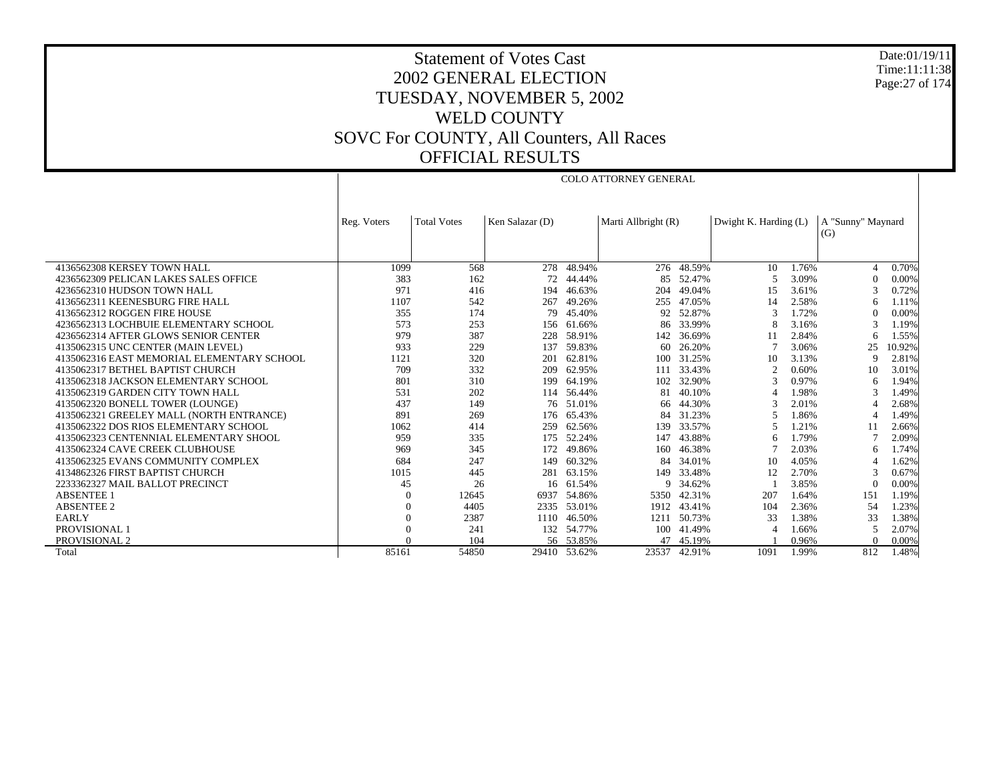Date:01/19/11 Time:11:11:38 Page:27 of 174

# Statement of Votes Cast 2002 GENERAL ELECTION TUESDAY, NOVEMBER 5, 2002 WELD COUNTY SOVC For COUNTY, All Counters, All Races OFFICIAL RESULTS

COLO ATTORNEY GENERAL

|                                            | Reg. Voters | <b>Total Votes</b> | Ken Salazar (D) |           | Marti Allbright (R) |            | Dwight K. Harding (L) |       | A "Sunny" Maynard |        |
|--------------------------------------------|-------------|--------------------|-----------------|-----------|---------------------|------------|-----------------------|-------|-------------------|--------|
|                                            |             |                    |                 |           |                     |            |                       |       | (G)               |        |
|                                            |             |                    |                 |           |                     |            |                       |       |                   |        |
|                                            |             |                    |                 |           |                     |            |                       |       |                   |        |
| 4136562308 KERSEY TOWN HALL                | 1099        | 568                | 278             | 48.94%    |                     | 276 48.59% | 10                    | 1.76% | 4                 | 0.70%  |
| 4236562309 PELICAN LAKES SALES OFFICE      | 383         | 162                | 72              | 44.44%    | 85                  | 52.47%     | 5                     | 3.09% | $\Omega$          | 0.00%  |
| 4236562310 HUDSON TOWN HALL                | 971         | 416                | 194             | 46.63%    | 204                 | 49.04%     | 15                    | 3.61% |                   | 0.72%  |
| 4136562311 KEENESBURG FIRE HALL            | 1107        | 542                | 267             | 49.26%    | 255                 | 47.05%     | 14                    | 2.58% | 6                 | 1.11%  |
| 4136562312 ROGGEN FIRE HOUSE               | 355         | 174                | 79              | 45.40%    | 92                  | 52.87%     | 3                     | 1.72% | $\Omega$          | 0.00%  |
| 4236562313 LOCHBUIE ELEMENTARY SCHOOL      | 573         | 253                | 156             | 61.66%    | 86                  | 33.99%     | 8                     | 3.16% |                   | 1.19%  |
| 4236562314 AFTER GLOWS SENIOR CENTER       | 979         | 387                | 228             | 58.91%    | 142                 | 36.69%     |                       | 2.84% | 6                 | 1.55%  |
| 4135062315 UNC CENTER (MAIN LEVEL)         | 933         | 229                | 137             | 59.83%    | 60                  | 26.20%     |                       | 3.06% | 25                | 10.92% |
| 4135062316 EAST MEMORIAL ELEMENTARY SCHOOL | 1121        | 320                | 201             | 62.81%    | 100                 | 31.25%     | 10                    | 3.13% | 9                 | 2.81%  |
| 4135062317 BETHEL BAPTIST CHURCH           | 709         | 332                | 209             | 62.95%    | 111                 | 33.43%     | $\overline{2}$        | 0.60% | 10                | 3.01%  |
| 4135062318 JACKSON ELEMENTARY SCHOOL       | 801         | 310                | 199             | 64.19%    | 102                 | 32.90%     | 3                     | 0.97% | 6                 | 1.94%  |
| 4135062319 GARDEN CITY TOWN HALL           | 531         | 202                | 114             | 56.44%    | 81                  | 40.10%     | Δ                     | 1.98% |                   | 1.49%  |
| 4135062320 BONELL TOWER (LOUNGE)           | 437         | 149                | 76              | 51.01%    | -66                 | 44.30%     |                       | 2.01% |                   | 2.68%  |
| 4135062321 GREELEY MALL (NORTH ENTRANCE)   | 891         | 269                | 176             | 65.43%    | 84                  | 31.23%     | 5                     | 1.86% | 4                 | 1.49%  |
| 4135062322 DOS RIOS ELEMENTARY SCHOOL      | 1062        | 414                | 259             | 62.56%    | 139                 | 33.57%     |                       | 1.21% | 11                | 2.66%  |
| 4135062323 CENTENNIAL ELEMENTARY SHOOL     | 959         | 335                | 175             | 52.24%    | 147                 | 43.88%     |                       | 1.79% |                   | 2.09%  |
| 4135062324 CAVE CREEK CLUBHOUSE            | 969         | 345                | 172             | 49.86%    | 160                 | 46.38%     |                       | 2.03% | 6                 | 1.74%  |
| 4135062325 EVANS COMMUNITY COMPLEX         | 684         | 247                | 149             | 60.32%    | 84                  | 34.01%     | 10                    | 4.05% |                   | 1.62%  |
| 4134862326 FIRST BAPTIST CHURCH            | 1015        | 445                | 281             | 63.15%    | 149                 | 33.48%     | 12                    | 2.70% |                   | 0.67%  |
| 2233362327 MAIL BALLOT PRECINCT            | 45          | 26                 | 16              | 61.54%    |                     | 9 34.62%   |                       | 3.85% | $\Omega$          | 0.00%  |
| <b>ABSENTEE 1</b>                          |             | 12645              | 6937            | 54.86%    | 5350                | 42.31%     | 207                   | 1.64% | 151               | 1.19%  |
| <b>ABSENTEE 2</b>                          |             | 4405               | 2335            | 53.01%    | 1912                | 43.41%     | 104                   | 2.36% | 54                | 1.23%  |
| <b>EARLY</b>                               |             | 2387               | 1110            | 46.50%    | 1211                | 50.73%     | 33                    | 1.38% | 33                | 1.38%  |
| PROVISIONAL 1                              |             | 241                | 132             | 54.77%    | 100                 | 41.49%     | Δ                     | 1.66% |                   | 2.07%  |
| PROVISIONAL 2                              |             | 104                |                 | 56 53.85% | 47                  | 45.19%     |                       | 0.96% |                   | 0.00%  |
| Total                                      | 85161       | 54850              | 29410           | 53.62%    | 23537               | 42.91%     | 1091                  | 1.99% | 812               | 1.48%  |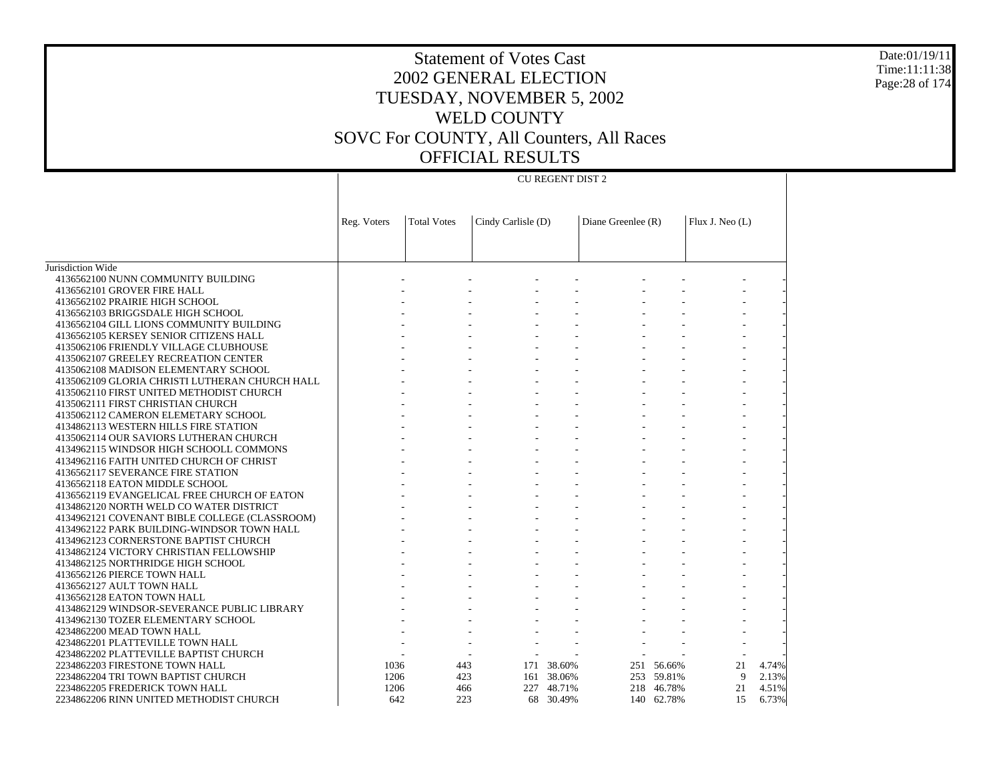Jurisdiction Wide 4136562100 NUNN COMMUNITY BUILDING 4136562101 GROVER FIRE HALL 4136562102 PRAIRIE HIGH SCHOOL 4136562103 BRIGGSDALE HIGH SCHOOL 4136562104 GILL LIONS COMMUNITY BUILDING 4136562105 KERSEY SENIOR CITIZENS HALL 4135062106 FRIENDLY VILLAGE CLUBHOUSE 4135062107 GREELEY RECREATION CENTER 4135062108 MADISON ELEMENTARY SCHOOL 4135062109 GLORIA CHRISTI LUTHERAN CHURCH HALL 4135062110 FIRST UNITED METHODIST CHURCH 4135062111 FIRST CHRISTIAN CHURCH 4135062112 CAMERON ELEMETARY SCHOOL 4134862113 WESTERN HILLS FIRE STATION 4135062114 OUR SAVIORS LUTHERAN CHURCH 4134962115 WINDSOR HIGH SCHOOLL COMMONS 4134962116 FAITH UNITED CHURCH OF CHRIST 4136562117 SEVERANCE FIRE STATION 4136562118 EATON MIDDLE SCHOOL 4136562119 EVANGELICAL FREE CHURCH OF EATON 4134862120 NORTH WELD CO WATER DISTRICT 4134962121 COVENANT BIBLE COLLEGE (CLASSROOM) 4134962122 PARK BUILDING-WINDSOR TOWN HALL 4134962123 CORNERSTONE BAPTIST CHURCH 4134862124 VICTORY CHRISTIAN FELLOWSHIP 4134862125 NORTHRIDGE HIGH SCHOOL 4136562126 PIERCE TOWN HALL 4136562127 AULT TOWN HALL 4136562128 EATON TOWN HALL 4134862129 WINDSOR-SEVERANCE PUBLIC LIBRARY 4134962130 TOZER ELEMENTARY SCHOOL 4234862200 MEAD TOWN HALL 4234862201 PLATTEVILLE TOWN HALL 4234862202 PLATTEVILLE BAPTIST CHURCH 2234862203 FIRESTONE TOWN HALL 2234862204 TRI TOWN BAPTIST CHURCH 2234862205 FREDERICK TOWN HALL 2234862206 RINN UNITED METHODIST CHURCHReg. Voters | Total Votes | Cindy Carlisle (D) | Diane Greenlee (R) | Flux J. Neo (L) CU REGENT DIST 2 - - - - - - - - - - - - - - - - - - - - - - - - - - - - - - - - - - - - - - - - - - - - - - - - - - - - - - - - - - - - - - - - - - - - - - - - - - - - - - - - - - - - - - - - - - - - - - - - - - - - - - - - - - - - - - - - - - - - - - - - - - - - - - - - - - - - - - - - - - - - - - - - - - - - - - - - - - - - - - - - - - - - - - - - - - - - - - - - - - - - - - - - - - - - - - - - - - - - - - - - - - - - - - - - - - - - - - - - - - - - - - - - - - - - - - - - - - - - - - 1036 443 171 38.60% 251 56.66% 21 4.74% 1206 423 161 38.06% 253 59.81% 9 2.13% 1206 466 227 48.71% 218 46.78% 21 4.51% 642 223 68 30.49%140 62.78% 15 6.73%

Date:01/19/11Time:11:11:38Page:28 of 174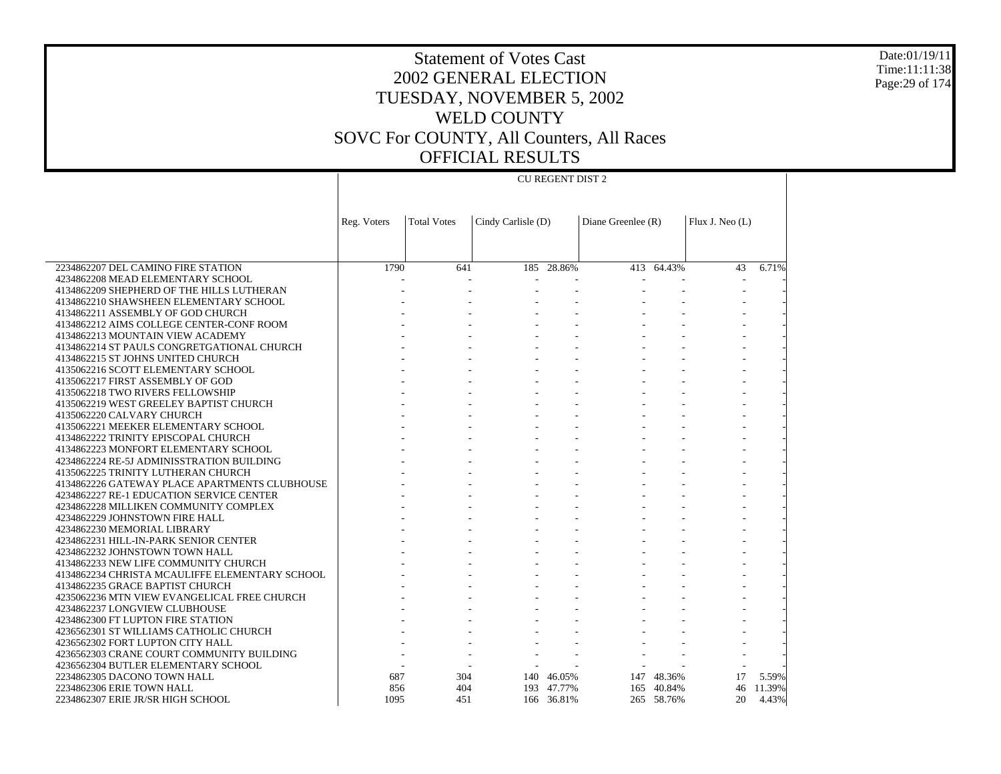CU REGENT DIST 2

 2234862207 DEL CAMINO FIRE STATION 4234862208 MEAD ELEMENTARY SCHOOL 4134862209 SHEPHERD OF THE HILLS LUTHERAN 4134862210 SHAWSHEEN ELEMENTARY SCHOOL 4134862211 ASSEMBLY OF GOD CHURCH 4134862212 AIMS COLLEGE CENTER-CONF ROOM 4134862213 MOUNTAIN VIEW ACADEMY 4134862214 ST PAULS CONGRETGATIONAL CHURCH 4134862215 ST JOHNS UNITED CHURCH 4135062216 SCOTT ELEMENTARY SCHOOL 4135062217 FIRST ASSEMBLY OF GOD 4135062218 TWO RIVERS FELLOWSHIP 4135062219 WEST GREELEY BAPTIST CHURCH 4135062220 CALVARY CHURCH 4135062221 MEEKER ELEMENTARY SCHOOL 4134862222 TRINITY EPISCOPAL CHURCH 4134862223 MONFORT ELEMENTARY SCHOOL 4234862224 RE-5J ADMINISSTRATION BUILDING 4135062225 TRINITY LUTHERAN CHURCH 4134862226 GATEWAY PLACE APARTMENTS CLUBHOUSE 4234862227 RE-1 EDUCATION SERVICE CENTER 4234862228 MILLIKEN COMMUNITY COMPLEX 4234862229 JOHNSTOWN FIRE HALL 4234862230 MEMORIAL LIBRARY 4234862231 HILL-IN-PARK SENIOR CENTER 4234862232 JOHNSTOWN TOWN HALL 4134862233 NEW LIFE COMMUNITY CHURCH 4134862234 CHRISTA MCAULIFFE ELEMENTARY SCHOOL 4134862235 GRACE BAPTIST CHURCH 4235062236 MTN VIEW EVANGELICAL FREE CHURCH 4234862237 LONGVIEW CLUBHOUSE 4234862300 FT LUPTON FIRE STATION 4236562301 ST WILLIAMS CATHOLIC CHURCH 4236562302 FORT LUPTON CITY HALL 4236562303 CRANE COURT COMMUNITY BUILDING 4236562304 BUTLER ELEMENTARY SCHOOL 2234862305 DACONO TOWN HALLReg. Voters | Total Votes | Cindy Carlisle (D) | Diane Greenlee (R) | Flux J. Neo (L) 1790 641 185 28.86% 413 64.43% 43 6.71% - - - - - - - - - - - - - - - - - - - - - - - - - - - - - - - - - - - - - - - - - - - - - - - - - - - - - - - - - - - - - - - - - - - - - - - - - - - - - - - - - - - - - - - - - - - - - - - - - - - - - - - - - - - - - - - - - - - - - - - - - - - - - - - - - - - - - - - - - - - - - - - - - - - - - - - - - - - - - - - - - - - - - - - - - - - - - - - - - - - - - - - - - - - - - - - - - - - - - - - - - - - - - - - - - - - - - - - - - - - - - - - - - - - - - - - - - - - - - - - - - - - - - 687 304 140 46.05%147 48.36% 17 5.59%

856

1095

404 193 47.77%

451 166 36.81%

165 40.84% 46 11.39%

265 58.76% 20 4.43%

 2234862306 ERIE TOWN HALL2234862307 ERIE JR/SR HIGH SCHOOL

Date:01/19/11Time:11:11:38Page:29 of 174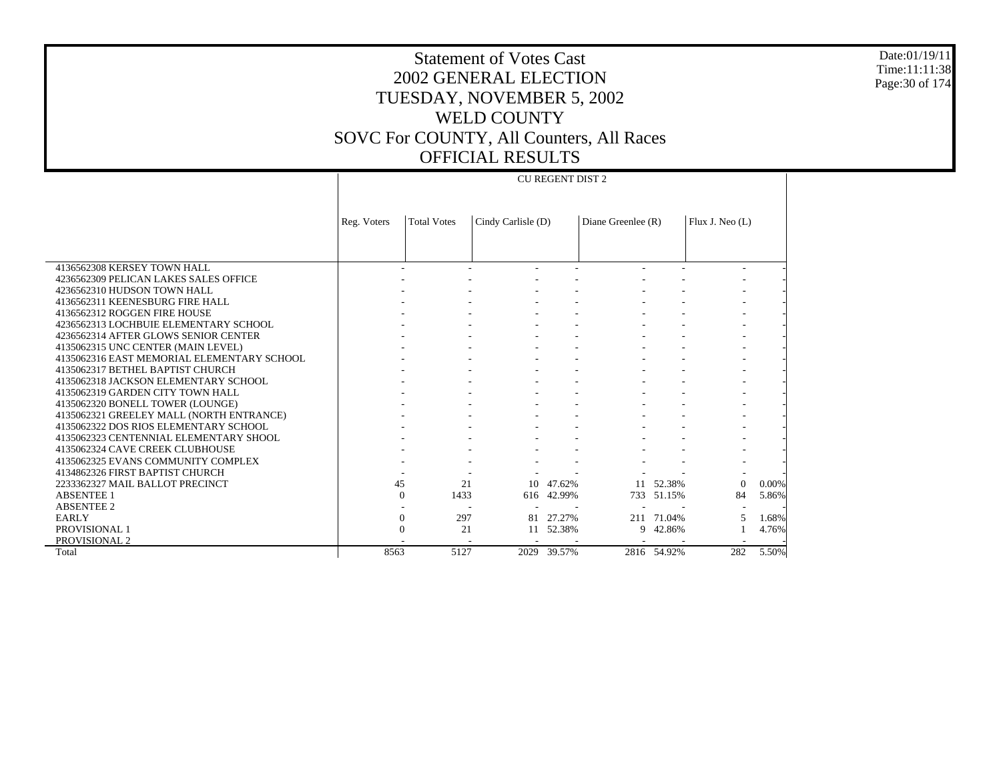4136562308 KERSEY TOWN HALL 4236562309 PELICAN LAKES SALES OFFICE 4236562310 HUDSON TOWN HALL 4136562311 KEENESBURG FIRE HALL 4136562312 ROGGEN FIRE HOUSE 4236562313 LOCHBUIE ELEMENTARY SCHOOL 4236562314 AFTER GLOWS SENIOR CENTER 4135062315 UNC CENTER (MAIN LEVEL) 4135062316 EAST MEMORIAL ELEMENTARY SCHOOL 4135062317 BETHEL BAPTIST CHURCH 4135062318 JACKSON ELEMENTARY SCHOOL 4135062319 GARDEN CITY TOWN HALL 4135062320 BONELL TOWER (LOUNGE) 4135062321 GREELEY MALL (NORTH ENTRANCE) 4135062322 DOS RIOS ELEMENTARY SCHOOL 4135062323 CENTENNIAL ELEMENTARY SHOOL 4135062324 CAVE CREEK CLUBHOUSE 4135062325 EVANS COMMUNITY COMPLEX 4134862326 FIRST BAPTIST CHURCH 2233362327 MAIL BALLOT PRECINCT ABSENTEE 1 ABSENTEE 2 EARLY PROVISIONAL 1 PROVISIONAL 2 TotalReg. Voters | Total Votes | Cindy Carlisle (D) | Diane Greenlee (R) | Flux J. Neo (L) CU REGENT DIST 2 - - - - - - - - - - - - - - - - - - - - - - - - - - - - - - - - - - - - - - - - - - - - - - - - - - - - - - - - - - - - - - - - - - - - - - - - - - - - - - - - - - - - - - - - - - - - - - - - - - - - - - - - - - - - - - - - - - - - - - - - - - - - - - - - - - - - - 45 21 10 47.62% 11 52.38% 0 0.00% 0 1433 616 42.99% 733 51.15% 84 5.86% - - - - - - - 0 297 81 27.27% 211 71.04% 5 1.68%  $\Omega$  21 11 52.38% 9 42.86% 1 4.76% - - - - - - - 8563 5127 2029 39.57%2816 54.92% 282 5.50%

Time:11:11:38Page:30 of 174

Date:01/19/11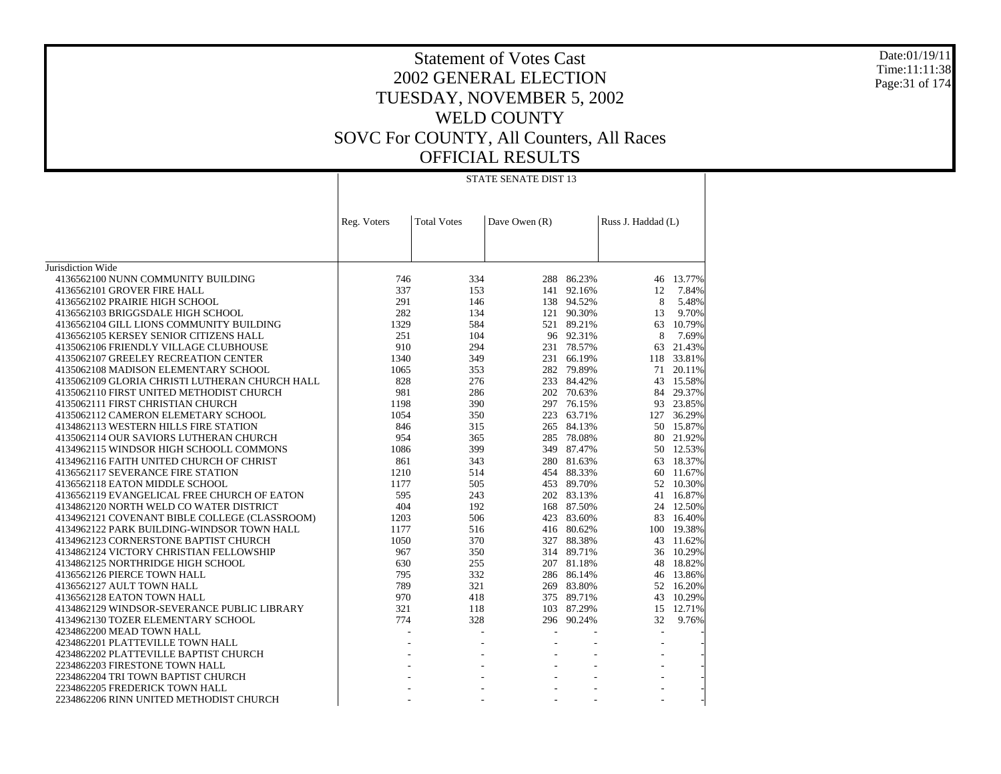#### Date:01/19/11 Time:11:11:38 Page:31 of 174

|                                                | Reg. Voters | <b>Total Votes</b> | Dave Owen (R) |            | Russ J. Haddad (L) |           |
|------------------------------------------------|-------------|--------------------|---------------|------------|--------------------|-----------|
|                                                |             |                    |               |            |                    |           |
|                                                |             |                    |               |            |                    |           |
| Jurisdiction Wide                              |             |                    |               |            |                    |           |
| 4136562100 NUNN COMMUNITY BUILDING             | 746         | 334                |               | 288 86.23% | 46                 | 13.77%    |
| 4136562101 GROVER FIRE HALL                    | 337         | 153                | 141           | 92.16%     | 12                 | 7.84%     |
| 4136562102 PRAIRIE HIGH SCHOOL                 | 291         | 146                |               | 138 94.52% | 8                  | 5.48%     |
| 4136562103 BRIGGSDALE HIGH SCHOOL              | 282         | 134                | 121           | 90.30%     | 13                 | 9.70%     |
| 4136562104 GILL LIONS COMMUNITY BUILDING       | 1329        | 584                |               | 521 89.21% | 63                 | 10.79%    |
| 4136562105 KERSEY SENIOR CITIZENS HALL         | 251         | 104                |               | 96 92.31%  | 8                  | 7.69%     |
| 4135062106 FRIENDLY VILLAGE CLUBHOUSE          | 910         | 294                |               | 231 78.57% | 63                 | 21.43%    |
| 4135062107 GREELEY RECREATION CENTER           | 1340        | 349                | 231           | 66.19%     | 118                | 33.81%    |
| 4135062108 MADISON ELEMENTARY SCHOOL           | 1065        | 353                | 282           | 79.89%     | 71                 | 20.11%    |
| 4135062109 GLORIA CHRISTI LUTHERAN CHURCH HALL | 828         | 276                | 233           | 84.42%     | 43                 | 15.58%    |
| 4135062110 FIRST UNITED METHODIST CHURCH       | 981         | 286                | 202           | 70.63%     | 84                 | 29.37%    |
| 4135062111 FIRST CHRISTIAN CHURCH              | 1198        | 390                | 297           | 76.15%     | 93                 | 23.85%    |
| 4135062112 CAMERON ELEMETARY SCHOOL            | 1054        | 350                | 223           | 63.71%     | 127                | 36.29%    |
| 4134862113 WESTERN HILLS FIRE STATION          | 846         | 315                | 265           | 84.13%     | 50                 | 15.87%    |
| 4135062114 OUR SAVIORS LUTHERAN CHURCH         | 954         | 365                | 285           | 78.08%     | 80                 | 21.92%    |
| 4134962115 WINDSOR HIGH SCHOOLL COMMONS        | 1086        | 399                | 349           | 87.47%     |                    | 50 12.53% |
| 4134962116 FAITH UNITED CHURCH OF CHRIST       | 861         | 343                | 280           | 81.63%     | 63                 | 18.37%    |
| 4136562117 SEVERANCE FIRE STATION              | 1210        | 514                |               | 454 88.33% | 60                 | 11.67%    |
| 4136562118 EATON MIDDLE SCHOOL                 | 1177        | 505                | 453           | 89.70%     | 52                 | 10.30%    |
| 4136562119 EVANGELICAL FREE CHURCH OF EATON    | 595         | 243                | 202           | 83.13%     | 41                 | 16.87%    |
| 4134862120 NORTH WELD CO WATER DISTRICT        | 404         | 192                | 168           | 87.50%     | 24                 | 12.50%    |
| 4134962121 COVENANT BIBLE COLLEGE (CLASSROOM)  | 1203        | 506                | 423           | 83.60%     | 83                 | 16.40%    |
| 4134962122 PARK BUILDING-WINDSOR TOWN HALL     | 1177        | 516                |               | 416 80.62% | 100                | 19.38%    |
| 4134962123 CORNERSTONE BAPTIST CHURCH          | 1050        | 370                | 327           | 88.38%     | 43                 | 11.62%    |
| 4134862124 VICTORY CHRISTIAN FELLOWSHIP        | 967         | 350                |               | 314 89.71% | 36                 | 10.29%    |
| 4134862125 NORTHRIDGE HIGH SCHOOL              | 630         | 255                | 207           | 81.18%     | 48                 | 18.82%    |
| 4136562126 PIERCE TOWN HALL                    | 795         | 332                | 286           | 86.14%     | 46                 | 13.86%    |
| 4136562127 AULT TOWN HALL                      | 789         | 321                |               | 269 83.80% | 52                 | 16.20%    |
| 4136562128 EATON TOWN HALL                     | 970         | 418                | 375           | 89.71%     | 43                 | 10.29%    |
| 4134862129 WINDSOR-SEVERANCE PUBLIC LIBRARY    | 321         | 118                | 103           | 87.29%     | 15                 | 12.71%    |
| 4134962130 TOZER ELEMENTARY SCHOOL             | 774         | 328                |               | 296 90.24% | 32                 | 9.76%     |
| 4234862200 MEAD TOWN HALL                      | ÷           |                    |               |            | $\overline{a}$     |           |
| 4234862201 PLATTEVILLE TOWN HALL               |             | L,                 |               |            |                    |           |
| 4234862202 PLATTEVILLE BAPTIST CHURCH          |             |                    |               |            |                    |           |
| 2234862203 FIRESTONE TOWN HALL                 |             |                    |               |            |                    |           |
| 2234862204 TRI TOWN BAPTIST CHURCH             |             |                    |               |            |                    |           |
| 2234862205 FREDERICK TOWN HALL                 |             |                    |               |            |                    |           |
| 2234862206 RINN UNITED METHODIST CHURCH        |             |                    |               |            |                    |           |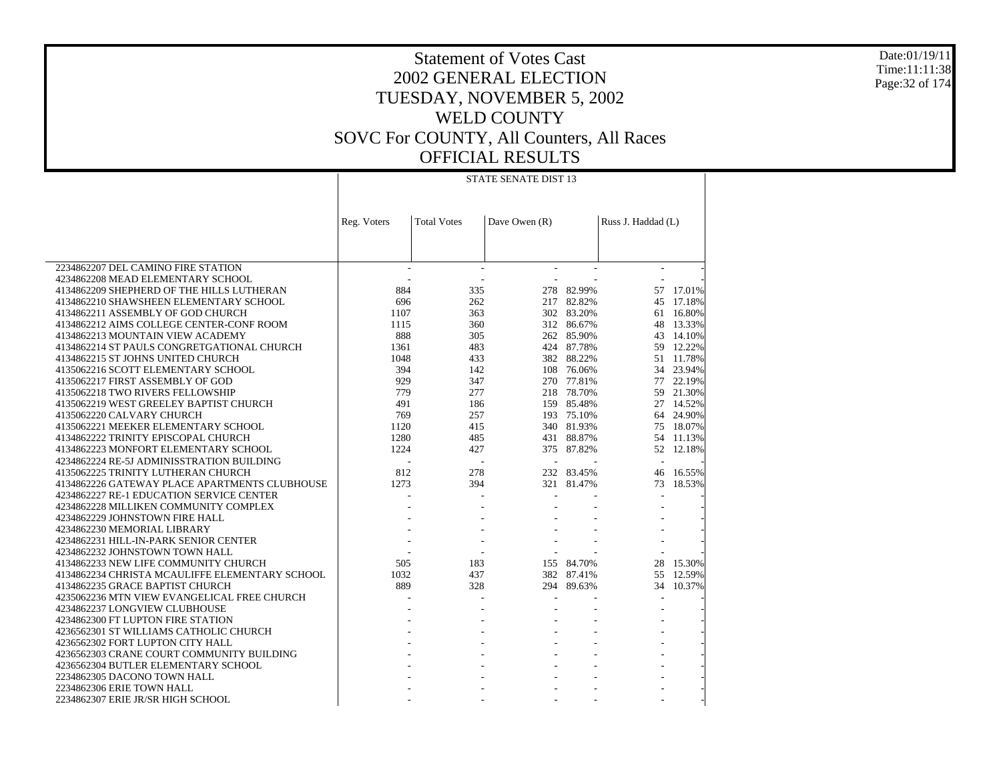Date:01/19/11 Time:11:11:38 Page:32 of 174

| STATE SENATE DIST 13 |  |
|----------------------|--|
|                      |  |

|                                                | Reg. Voters              | <b>Total Votes</b> | Dave Owen (R) |            | Russ J. Haddad (L)       |           |
|------------------------------------------------|--------------------------|--------------------|---------------|------------|--------------------------|-----------|
|                                                |                          |                    |               |            |                          |           |
|                                                |                          |                    |               |            |                          |           |
|                                                |                          |                    |               |            |                          |           |
| 2234862207 DEL CAMINO FIRE STATION             | $\overline{\phantom{a}}$ | $\sim$             |               |            | $\overline{\phantom{a}}$ |           |
| 4234862208 MEAD ELEMENTARY SCHOOL              |                          |                    |               |            |                          |           |
| 4134862209 SHEPHERD OF THE HILLS LUTHERAN      | 884                      | 335                | 278           | 82.99%     |                          | 57 17.01% |
| 4134862210 SHAWSHEEN ELEMENTARY SCHOOL         | 696                      | 262                |               | 217 82.82% | 45                       | 17.18%    |
| 4134862211 ASSEMBLY OF GOD CHURCH              | 1107                     | 363                |               | 302 83.20% | 61                       | 16.80%    |
| 4134862212 AIMS COLLEGE CENTER-CONF ROOM       | 1115                     | 360                |               | 312 86.67% | 48                       | 13.33%    |
| 4134862213 MOUNTAIN VIEW ACADEMY               | 888                      | 305                |               | 262 85.90% | 43                       | 14.10%    |
| 4134862214 ST PAULS CONGRETGATIONAL CHURCH     | 1361                     | 483                |               | 424 87.78% | 59                       | 12.22%    |
| 4134862215 ST JOHNS UNITED CHURCH              | 1048                     | 433                |               | 382 88.22% | 51                       | 11.78%    |
| 4135062216 SCOTT ELEMENTARY SCHOOL             | 394                      | 142                |               | 108 76.06% | 34                       | 23.94%    |
| 4135062217 FIRST ASSEMBLY OF GOD               | 929                      | 347                |               | 270 77.81% | 77                       | 22.19%    |
| 4135062218 TWO RIVERS FELLOWSHIP               | 779                      | 277                |               | 218 78.70% | 59                       | 21.30%    |
| 4135062219 WEST GREELEY BAPTIST CHURCH         | 491                      | 186                |               | 159 85.48% |                          | 27 14.52% |
| 4135062220 CALVARY CHURCH                      | 769                      | 257                |               | 193 75.10% |                          | 64 24.90% |
| 4135062221 MEEKER ELEMENTARY SCHOOL            | 1120                     | 415                |               | 340 81.93% | 75                       | 18.07%    |
| 4134862222 TRINITY EPISCOPAL CHURCH            | 1280                     | 485                |               | 431 88.87% | 54                       | 11.13%    |
| 4134862223 MONFORT ELEMENTARY SCHOOL           | 1224                     | 427                |               | 375 87.82% |                          | 52 12.18% |
| 4234862224 RE-5J ADMINISSTRATION BUILDING      |                          |                    |               |            |                          |           |
| 4135062225 TRINITY LUTHERAN CHURCH             | 812                      | 278                |               | 232 83.45% | 46                       | 16.55%    |
| 4134862226 GATEWAY PLACE APARTMENTS CLUBHOUSE  | 1273                     | 394                |               | 321 81.47% | 73                       | 18.53%    |
| 4234862227 RE-1 EDUCATION SERVICE CENTER       |                          |                    |               |            |                          |           |
| 4234862228 MILLIKEN COMMUNITY COMPLEX          |                          |                    |               |            |                          |           |
| 4234862229 JOHNSTOWN FIRE HALL                 |                          |                    |               |            |                          |           |
| 4234862230 MEMORIAL LIBRARY                    |                          |                    |               |            |                          |           |
| 4234862231 HILL-IN-PARK SENIOR CENTER          |                          |                    |               |            |                          |           |
| 4234862232 JOHNSTOWN TOWN HALL                 |                          |                    |               |            |                          |           |
| 4134862233 NEW LIFE COMMUNITY CHURCH           | 505                      | 183                |               | 155 84.70% | 28                       | 15.30%    |
| 4134862234 CHRISTA MCAULIFFE ELEMENTARY SCHOOL | 1032                     | 437                |               | 382 87.41% | 55                       | 12.59%    |
| 4134862235 GRACE BAPTIST CHURCH                | 889                      | 328                |               | 294 89.63% |                          | 34 10.37% |
| 4235062236 MTN VIEW EVANGELICAL FREE CHURCH    |                          |                    |               |            |                          |           |
| 4234862237 LONGVIEW CLUBHOUSE                  |                          |                    |               |            |                          |           |
| 4234862300 FT LUPTON FIRE STATION              |                          |                    |               |            |                          |           |
| 4236562301 ST WILLIAMS CATHOLIC CHURCH         |                          |                    |               |            |                          |           |
| 4236562302 FORT LUPTON CITY HALL               |                          |                    |               |            |                          |           |
| 4236562303 CRANE COURT COMMUNITY BUILDING      |                          |                    |               |            |                          |           |
| 4236562304 BUTLER ELEMENTARY SCHOOL            |                          |                    |               |            |                          |           |
| 2234862305 DACONO TOWN HALL                    |                          |                    |               |            |                          |           |
| 2234862306 ERIE TOWN HALL                      |                          |                    |               |            |                          |           |
| 2234862307 ERIE JR/SR HIGH SCHOOL              |                          |                    |               |            |                          |           |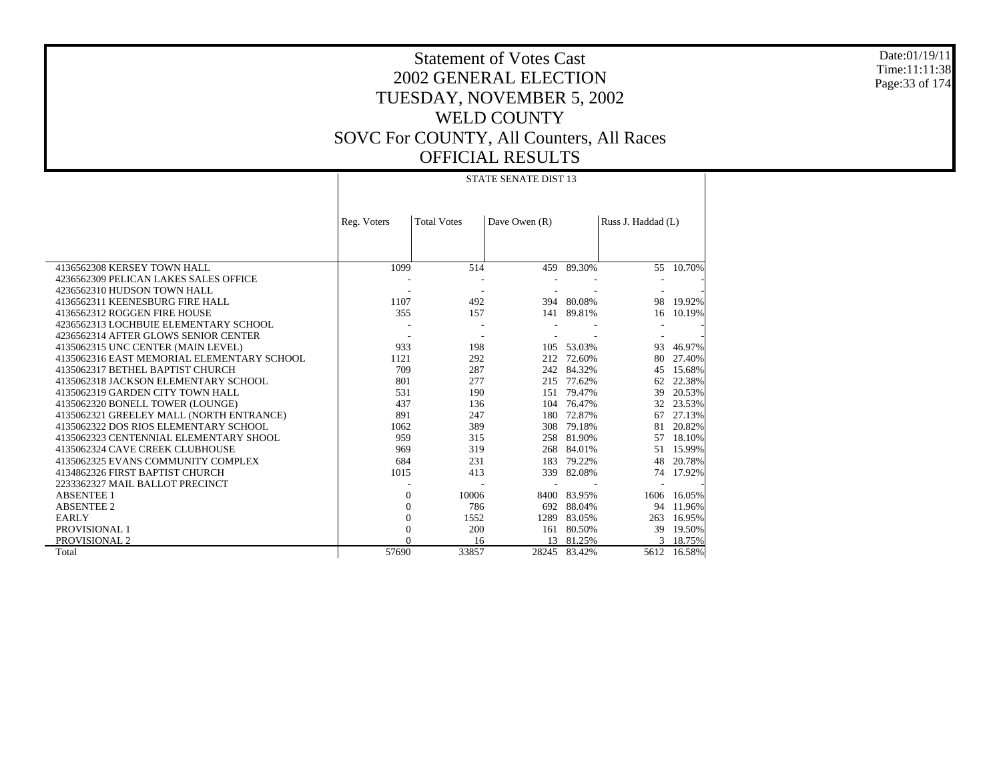Date:01/19/11 Time:11:11:38 Page:33 of 174

## Statement of Votes Cast 2002 GENERAL ELECTION TUESDAY, NOVEMBER 5, 2002 WELD COUNTY SOVC For COUNTY, All Counters, All Races OFFICIAL RESULTS

#### STATE SENATE DIST 13

|                                            | Reg. Voters | <b>Total Votes</b> | Dave Owen (R) |            | Russ J. Haddad (L) |        |
|--------------------------------------------|-------------|--------------------|---------------|------------|--------------------|--------|
|                                            |             |                    |               |            |                    |        |
| 4136562308 KERSEY TOWN HALL                | 1099        | 514                | 459           | 89.30%     | 55                 | 10.70% |
| 4236562309 PELICAN LAKES SALES OFFICE      |             |                    |               |            |                    |        |
| 4236562310 HUDSON TOWN HALL                |             |                    |               |            |                    |        |
| 4136562311 KEENESBURG FIRE HALL            | 1107        | 492                | 394           | 80.08%     | 98                 | 19.92% |
| 4136562312 ROGGEN FIRE HOUSE               | 355         | 157                |               | 141 89.81% | 16                 | 10.19% |
| 4236562313 LOCHBUIE ELEMENTARY SCHOOL      |             |                    |               |            |                    |        |
| 4236562314 AFTER GLOWS SENIOR CENTER       |             |                    |               |            |                    |        |
| 4135062315 UNC CENTER (MAIN LEVEL)         | 933         | 198                | 105           | 53.03%     | 93                 | 46.97% |
| 4135062316 EAST MEMORIAL ELEMENTARY SCHOOL | 1121        | 292                | 212           | 72.60%     | 80                 | 27.40% |
| 4135062317 BETHEL BAPTIST CHURCH           | 709         | 287                | 242           | 84.32%     | 45                 | 15.68% |
| 4135062318 JACKSON ELEMENTARY SCHOOL       | 801         | 277                | 215           | 77.62%     | 62                 | 22.38% |
| 4135062319 GARDEN CITY TOWN HALL           | 531         | 190                | 151           | 79.47%     | 39                 | 20.53% |
| 4135062320 BONELL TOWER (LOUNGE)           | 437         | 136                | 104           | 76.47%     | 32                 | 23.53% |
| 4135062321 GREELEY MALL (NORTH ENTRANCE)   | 891         | 247                | 180           | 72.87%     | 67                 | 27.13% |
| 4135062322 DOS RIOS ELEMENTARY SCHOOL      | 1062        | 389                | 308           | 79.18%     | 81                 | 20.82% |
| 4135062323 CENTENNIAL ELEMENTARY SHOOL     | 959         | 315                | 258           | 81.90%     | 57                 | 18.10% |
| 4135062324 CAVE CREEK CLUBHOUSE            | 969         | 319                | 268           | 84.01%     | 51                 | 15.99% |
| 4135062325 EVANS COMMUNITY COMPLEX         | 684         | 231                | 183           | 79.22%     | 48                 | 20.78% |
| 4134862326 FIRST BAPTIST CHURCH            | 1015        | 413                | 339           | 82.08%     | 74                 | 17.92% |
| 2233362327 MAIL BALLOT PRECINCT            |             |                    |               |            |                    |        |
| <b>ABSENTEE 1</b>                          | $\Omega$    | 10006              | 8400          | 83.95%     | 1606               | 16.05% |
| <b>ABSENTEE 2</b>                          | $\Omega$    | 786                | 692           | 88.04%     | 94                 | 11.96% |
| <b>EARLY</b>                               | $\Omega$    | 1552               | 1289          | 83.05%     | 263                | 16.95% |
| PROVISIONAL 1                              |             | 200                | 161           | 80.50%     | 39                 | 19.50% |
| PROVISIONAL 2                              |             | 16                 | 13            | 81.25%     | $\mathcal{R}$      | 18.75% |
| Total                                      | 57690       | 33857              | 28245         | 83.42%     | 5612               | 16.58% |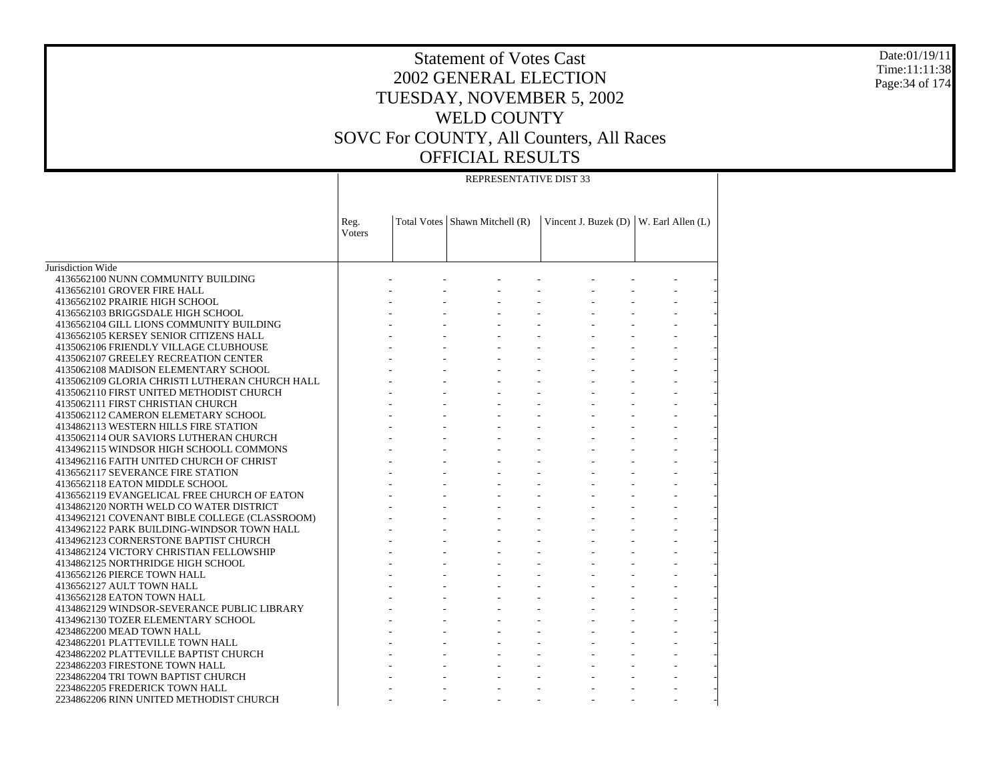Date:01/19/11 Time:11:11:38 Page:34 of 174

#### REPRESENTATIVE DIST 33

|                                                | Reg.<br>Voters | Total Votes   Shawn Mitchell (R) | Vincent J. Buzek (D)   W. Earl Allen (L) |  |
|------------------------------------------------|----------------|----------------------------------|------------------------------------------|--|
| Jurisdiction Wide                              |                |                                  |                                          |  |
| 4136562100 NUNN COMMUNITY BUILDING             |                |                                  |                                          |  |
| 4136562101 GROVER FIRE HALL                    |                |                                  |                                          |  |
| 4136562102 PRAIRIE HIGH SCHOOL                 |                |                                  |                                          |  |
| 4136562103 BRIGGSDALE HIGH SCHOOL              |                |                                  |                                          |  |
| 4136562104 GILL LIONS COMMUNITY BUILDING       |                |                                  |                                          |  |
| 4136562105 KERSEY SENIOR CITIZENS HALL         |                |                                  |                                          |  |
| 4135062106 FRIENDLY VILLAGE CLUBHOUSE          |                |                                  |                                          |  |
| 4135062107 GREELEY RECREATION CENTER           |                |                                  |                                          |  |
| 4135062108 MADISON ELEMENTARY SCHOOL           |                |                                  |                                          |  |
| 4135062109 GLORIA CHRISTI LUTHERAN CHURCH HALL |                |                                  |                                          |  |
| 4135062110 FIRST UNITED METHODIST CHURCH       |                |                                  |                                          |  |
| 4135062111 FIRST CHRISTIAN CHURCH              |                |                                  |                                          |  |
| 4135062112 CAMERON ELEMETARY SCHOOL            |                |                                  |                                          |  |
| 4134862113 WESTERN HILLS FIRE STATION          |                |                                  |                                          |  |
| 4135062114 OUR SAVIORS LUTHERAN CHURCH         |                |                                  |                                          |  |
| 4134962115 WINDSOR HIGH SCHOOLL COMMONS        |                |                                  |                                          |  |
| 4134962116 FAITH UNITED CHURCH OF CHRIST       |                |                                  |                                          |  |
| 4136562117 SEVERANCE FIRE STATION              |                |                                  |                                          |  |
| 4136562118 EATON MIDDLE SCHOOL                 |                |                                  |                                          |  |
| 4136562119 EVANGELICAL FREE CHURCH OF EATON    |                |                                  |                                          |  |
| 4134862120 NORTH WELD CO WATER DISTRICT        |                |                                  |                                          |  |
| 4134962121 COVENANT BIBLE COLLEGE (CLASSROOM)  |                |                                  |                                          |  |
| 4134962122 PARK BUILDING-WINDSOR TOWN HALL     |                |                                  |                                          |  |
| 4134962123 CORNERSTONE BAPTIST CHURCH          |                |                                  |                                          |  |
| 4134862124 VICTORY CHRISTIAN FELLOWSHIP        |                |                                  |                                          |  |
| 4134862125 NORTHRIDGE HIGH SCHOOL              |                |                                  |                                          |  |
| 4136562126 PIERCE TOWN HALL                    |                |                                  |                                          |  |
| 4136562127 AULT TOWN HALL                      |                |                                  |                                          |  |
| 4136562128 EATON TOWN HALL                     |                |                                  |                                          |  |
| 4134862129 WINDSOR-SEVERANCE PUBLIC LIBRARY    |                |                                  |                                          |  |
| 4134962130 TOZER ELEMENTARY SCHOOL             |                |                                  |                                          |  |
| 4234862200 MEAD TOWN HALL                      |                |                                  |                                          |  |
| 4234862201 PLATTEVILLE TOWN HALL               |                |                                  |                                          |  |
| 4234862202 PLATTEVILLE BAPTIST CHURCH          |                |                                  |                                          |  |
| 2234862203 FIRESTONE TOWN HALL                 |                |                                  |                                          |  |
| 2234862204 TRI TOWN BAPTIST CHURCH             |                |                                  |                                          |  |
| 2234862205 FREDERICK TOWN HALL                 |                |                                  |                                          |  |
| 2234862206 RINN UNITED METHODIST CHURCH        |                |                                  |                                          |  |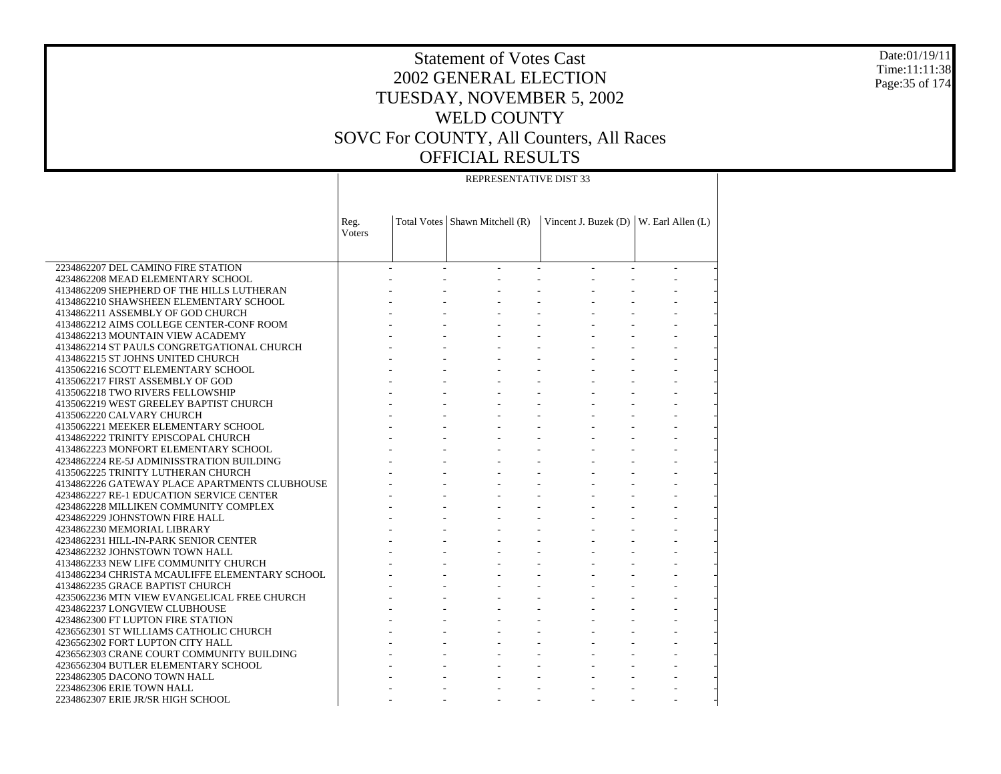Date:01/19/11 Time:11:11:38 Page:35 of 174

#### REPRESENTATIVE DIST 33

|                                                                              | Reg.<br>Voters | Total Votes   Shawn Mitchell (R) | Vincent J. Buzek (D)   W. Earl Allen (L) |  |
|------------------------------------------------------------------------------|----------------|----------------------------------|------------------------------------------|--|
|                                                                              |                |                                  |                                          |  |
| 2234862207 DEL CAMINO FIRE STATION                                           |                |                                  |                                          |  |
| 4234862208 MEAD ELEMENTARY SCHOOL                                            |                |                                  |                                          |  |
| 4134862209 SHEPHERD OF THE HILLS LUTHERAN                                    |                |                                  |                                          |  |
| 4134862210 SHAWSHEEN ELEMENTARY SCHOOL<br>4134862211 ASSEMBLY OF GOD CHURCH  |                |                                  |                                          |  |
|                                                                              |                |                                  |                                          |  |
| 4134862212 AIMS COLLEGE CENTER-CONF ROOM<br>4134862213 MOUNTAIN VIEW ACADEMY |                |                                  |                                          |  |
| 4134862214 ST PAULS CONGRETGATIONAL CHURCH                                   |                |                                  |                                          |  |
|                                                                              |                |                                  |                                          |  |
| 4134862215 ST JOHNS UNITED CHURCH<br>4135062216 SCOTT ELEMENTARY SCHOOL      |                |                                  |                                          |  |
| 4135062217 FIRST ASSEMBLY OF GOD                                             |                |                                  |                                          |  |
| 4135062218 TWO RIVERS FELLOWSHIP                                             |                |                                  |                                          |  |
| 4135062219 WEST GREELEY BAPTIST CHURCH                                       |                |                                  |                                          |  |
| 4135062220 CALVARY CHURCH                                                    |                |                                  |                                          |  |
| 4135062221 MEEKER ELEMENTARY SCHOOL                                          |                |                                  |                                          |  |
|                                                                              |                |                                  |                                          |  |
| 4134862222 TRINITY EPISCOPAL CHURCH                                          |                |                                  |                                          |  |
| 4134862223 MONFORT ELEMENTARY SCHOOL                                         |                |                                  |                                          |  |
| 4234862224 RE-5J ADMINISSTRATION BUILDING                                    |                |                                  |                                          |  |
| 4135062225 TRINITY LUTHERAN CHURCH                                           |                |                                  |                                          |  |
| 4134862226 GATEWAY PLACE APARTMENTS CLUBHOUSE                                |                |                                  |                                          |  |
| 4234862227 RE-1 EDUCATION SERVICE CENTER                                     |                |                                  |                                          |  |
| 4234862228 MILLIKEN COMMUNITY COMPLEX                                        |                |                                  |                                          |  |
| 4234862229 JOHNSTOWN FIRE HALL                                               |                |                                  |                                          |  |
| 4234862230 MEMORIAL LIBRARY                                                  |                |                                  |                                          |  |
| 4234862231 HILL-IN-PARK SENIOR CENTER                                        |                |                                  |                                          |  |
| 4234862232 JOHNSTOWN TOWN HALL                                               |                |                                  |                                          |  |
| 4134862233 NEW LIFE COMMUNITY CHURCH                                         |                |                                  |                                          |  |
| 4134862234 CHRISTA MCAULIFFE ELEMENTARY SCHOOL                               |                |                                  |                                          |  |
| 4134862235 GRACE BAPTIST CHURCH                                              |                |                                  |                                          |  |
| 4235062236 MTN VIEW EVANGELICAL FREE CHURCH                                  |                |                                  |                                          |  |
| 4234862237 LONGVIEW CLUBHOUSE                                                |                |                                  |                                          |  |
| 4234862300 FT LUPTON FIRE STATION                                            |                |                                  |                                          |  |
| 4236562301 ST WILLIAMS CATHOLIC CHURCH                                       |                |                                  |                                          |  |
| 4236562302 FORT LUPTON CITY HALL                                             |                |                                  |                                          |  |
| 4236562303 CRANE COURT COMMUNITY BUILDING                                    |                |                                  |                                          |  |
| 4236562304 BUTLER ELEMENTARY SCHOOL                                          |                |                                  |                                          |  |
| 2234862305 DACONO TOWN HALL                                                  |                |                                  |                                          |  |
| 2234862306 ERIE TOWN HALL                                                    |                |                                  |                                          |  |
| 2234862307 ERIE JR/SR HIGH SCHOOL                                            |                |                                  |                                          |  |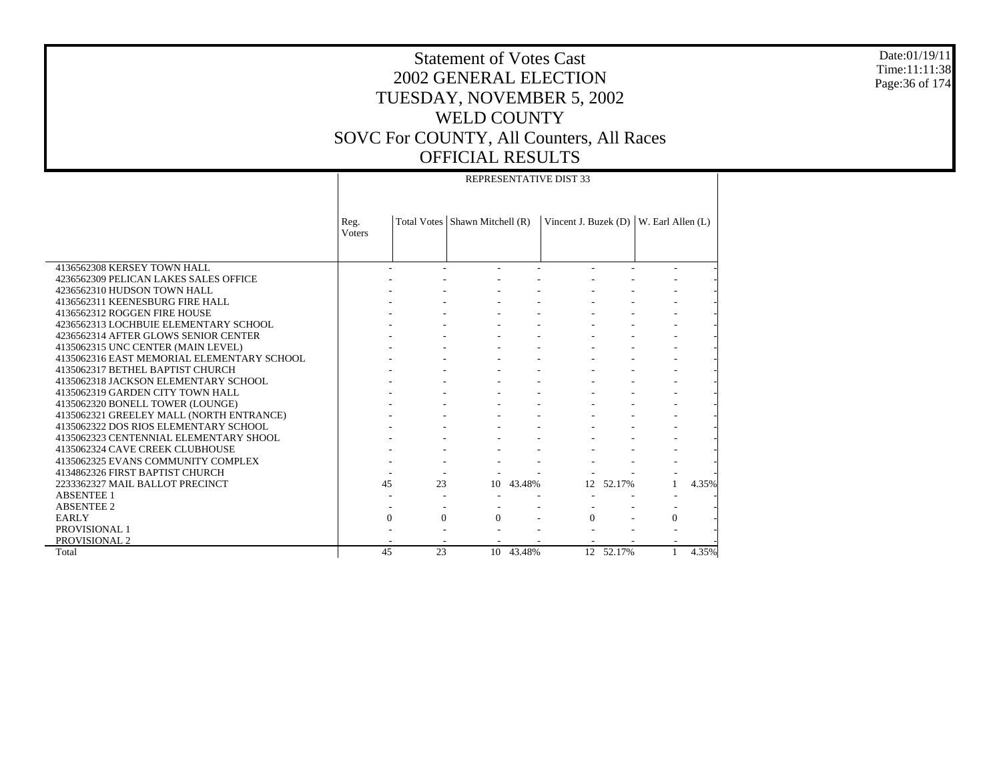Date:01/19/11 Time:11:11:38 Page:36 of 174

#### REPRESENTATIVE DIST 33

|                                            | Reg.<br><b>V</b> oters |                      | Total Votes   Shawn Mitchell (R) |           | Vincent J. Buzek $(D)$ |           | W. Earl Allen (L) |       |
|--------------------------------------------|------------------------|----------------------|----------------------------------|-----------|------------------------|-----------|-------------------|-------|
|                                            |                        |                      |                                  |           |                        |           |                   |       |
| 4136562308 KERSEY TOWN HALL                |                        |                      |                                  |           |                        |           |                   |       |
| 4236562309 PELICAN LAKES SALES OFFICE      |                        |                      |                                  |           |                        |           |                   |       |
| 4236562310 HUDSON TOWN HALL                |                        |                      |                                  |           |                        |           |                   |       |
| 4136562311 KEENESBURG FIRE HALL            |                        |                      |                                  |           |                        |           |                   |       |
| 4136562312 ROGGEN FIRE HOUSE               |                        |                      |                                  |           |                        |           |                   |       |
| 4236562313 LOCHBUIE ELEMENTARY SCHOOL      |                        |                      |                                  |           |                        |           |                   |       |
| 4236562314 AFTER GLOWS SENIOR CENTER       |                        |                      |                                  |           |                        |           |                   |       |
| 4135062315 UNC CENTER (MAIN LEVEL)         |                        |                      |                                  |           |                        |           |                   |       |
| 4135062316 EAST MEMORIAL ELEMENTARY SCHOOL |                        |                      |                                  |           |                        |           |                   |       |
| 4135062317 BETHEL BAPTIST CHURCH           |                        |                      |                                  |           |                        |           |                   |       |
| 4135062318 JACKSON ELEMENTARY SCHOOL       |                        |                      |                                  |           |                        |           |                   |       |
| 4135062319 GARDEN CITY TOWN HALL           |                        |                      |                                  |           |                        |           |                   |       |
| 4135062320 BONELL TOWER (LOUNGE)           |                        |                      |                                  |           |                        |           |                   |       |
| 4135062321 GREELEY MALL (NORTH ENTRANCE)   |                        |                      |                                  |           |                        |           |                   |       |
| 4135062322 DOS RIOS ELEMENTARY SCHOOL      |                        |                      |                                  |           |                        |           |                   |       |
| 4135062323 CENTENNIAL ELEMENTARY SHOOL     |                        |                      |                                  |           |                        |           |                   |       |
| 4135062324 CAVE CREEK CLUBHOUSE            |                        |                      |                                  |           |                        |           |                   |       |
| 4135062325 EVANS COMMUNITY COMPLEX         |                        |                      |                                  |           |                        |           |                   |       |
| 4134862326 FIRST BAPTIST CHURCH            |                        |                      |                                  |           |                        |           |                   |       |
| 2233362327 MAIL BALLOT PRECINCT            |                        | 45<br>23             |                                  | 10 43.48% | 12 <sub>1</sub>        | 52.17%    |                   | 4.35% |
| <b>ABSENTEE 1</b>                          |                        |                      |                                  |           |                        |           |                   |       |
| <b>ABSENTEE 2</b>                          |                        |                      |                                  |           |                        |           |                   |       |
| EARLY                                      |                        | $\Omega$<br>$\Omega$ | $\Omega$                         |           | $\Omega$               |           | $\Omega$          |       |
| PROVISIONAL 1                              |                        |                      |                                  |           |                        |           |                   |       |
| PROVISIONAL 2                              |                        |                      |                                  |           |                        |           |                   |       |
| Total                                      |                        | 45<br>23             |                                  | 10 43.48% |                        | 12 52.17% | $\mathbf{1}$      | 4.35% |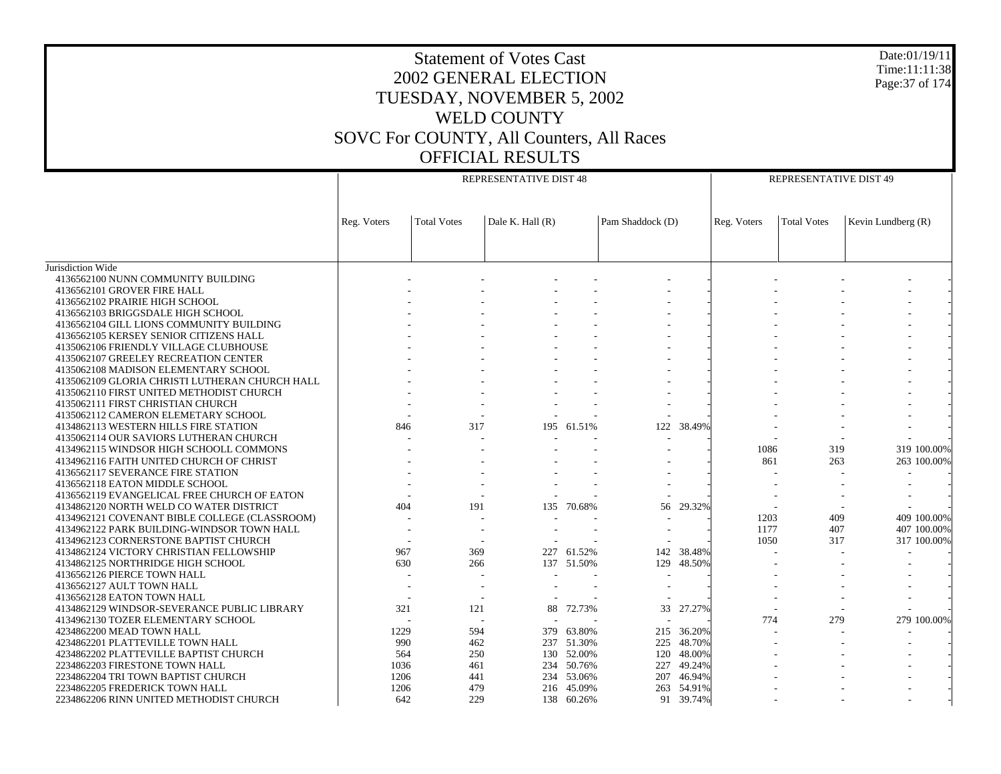| Date:01/19/11<br><b>Statement of Votes Cast</b><br>Time:11:11:38<br>2002 GENERAL ELECTION<br>Page: 37 of 174<br>TUESDAY, NOVEMBER 5, 2002<br><b>WELD COUNTY</b><br>SOVC For COUNTY, All Counters, All Races<br><b>OFFICIAL RESULTS</b> |             |                    |                        |                          |                  |                      |             |                        |                    |  |
|----------------------------------------------------------------------------------------------------------------------------------------------------------------------------------------------------------------------------------------|-------------|--------------------|------------------------|--------------------------|------------------|----------------------|-------------|------------------------|--------------------|--|
|                                                                                                                                                                                                                                        |             |                    |                        |                          |                  |                      |             |                        |                    |  |
|                                                                                                                                                                                                                                        |             |                    | REPRESENTATIVE DIST 48 |                          |                  |                      |             | REPRESENTATIVE DIST 49 |                    |  |
|                                                                                                                                                                                                                                        |             |                    |                        |                          |                  |                      |             |                        |                    |  |
|                                                                                                                                                                                                                                        | Reg. Voters | <b>Total Votes</b> | Dale K. Hall (R)       |                          | Pam Shaddock (D) |                      | Reg. Voters | <b>Total Votes</b>     | Kevin Lundberg (R) |  |
|                                                                                                                                                                                                                                        |             |                    |                        |                          |                  |                      |             |                        |                    |  |
| Jurisdiction Wide<br>4136562100 NUNN COMMUNITY BUILDING                                                                                                                                                                                |             |                    |                        |                          |                  |                      |             |                        |                    |  |
| 4136562101 GROVER FIRE HALL                                                                                                                                                                                                            |             |                    |                        |                          |                  |                      |             |                        |                    |  |
| 4136562102 PRAIRIE HIGH SCHOOL                                                                                                                                                                                                         |             |                    |                        |                          |                  |                      |             |                        |                    |  |
| 4136562103 BRIGGSDALE HIGH SCHOOL                                                                                                                                                                                                      |             |                    |                        |                          |                  |                      |             |                        |                    |  |
| 4136562104 GILL LIONS COMMUNITY BUILDING                                                                                                                                                                                               |             |                    |                        |                          |                  |                      |             |                        |                    |  |
| 4136562105 KERSEY SENIOR CITIZENS HALL                                                                                                                                                                                                 |             |                    |                        |                          |                  |                      |             |                        |                    |  |
| 4135062106 FRIENDLY VILLAGE CLUBHOUSE                                                                                                                                                                                                  |             |                    |                        |                          |                  |                      |             |                        |                    |  |
| 4135062107 GREELEY RECREATION CENTER                                                                                                                                                                                                   |             |                    |                        |                          |                  |                      |             |                        |                    |  |
| 4135062108 MADISON ELEMENTARY SCHOOL                                                                                                                                                                                                   |             |                    |                        |                          |                  |                      |             |                        |                    |  |
| 4135062109 GLORIA CHRISTI LUTHERAN CHURCH HALL                                                                                                                                                                                         |             |                    |                        |                          |                  |                      |             |                        |                    |  |
| 4135062110 FIRST UNITED METHODIST CHURCH                                                                                                                                                                                               |             |                    |                        |                          |                  |                      |             |                        |                    |  |
| 4135062111 FIRST CHRISTIAN CHURCH                                                                                                                                                                                                      |             |                    |                        |                          |                  |                      |             |                        |                    |  |
| 4135062112 CAMERON ELEMETARY SCHOOL                                                                                                                                                                                                    |             |                    |                        |                          |                  |                      |             |                        |                    |  |
| 4134862113 WESTERN HILLS FIRE STATION                                                                                                                                                                                                  | 846         | 317                |                        | 195 61.51%               | 122              | 38.49%               |             |                        |                    |  |
| 4135062114 OUR SAVIORS LUTHERAN CHURCH                                                                                                                                                                                                 |             |                    |                        |                          |                  |                      |             |                        |                    |  |
| 4134962115 WINDSOR HIGH SCHOOLL COMMONS                                                                                                                                                                                                |             |                    |                        |                          |                  |                      | 1086        | 319                    | 319 100.00%        |  |
| 4134962116 FAITH UNITED CHURCH OF CHRIST                                                                                                                                                                                               |             |                    |                        |                          |                  |                      | 861         | 263                    | 263 100.00%        |  |
| 4136562117 SEVERANCE FIRE STATION                                                                                                                                                                                                      |             |                    |                        |                          |                  |                      |             |                        |                    |  |
| 4136562118 EATON MIDDLE SCHOOL                                                                                                                                                                                                         |             |                    |                        |                          |                  |                      |             |                        |                    |  |
| 4136562119 EVANGELICAL FREE CHURCH OF EATON                                                                                                                                                                                            |             |                    |                        |                          |                  |                      |             |                        |                    |  |
| 4134862120 NORTH WELD CO WATER DISTRICT                                                                                                                                                                                                | 404         | 191                |                        | 135 70.68%               |                  | 56 29.32%            |             |                        |                    |  |
| 4134962121 COVENANT BIBLE COLLEGE (CLASSROOM)                                                                                                                                                                                          |             |                    |                        |                          |                  |                      | 1203        | 409                    | 409 100.00%        |  |
| 4134962122 PARK BUILDING-WINDSOR TOWN HALL                                                                                                                                                                                             |             |                    |                        |                          |                  |                      | 1177        | 407                    | 407 100.00%        |  |
| 4134962123 CORNERSTONE BAPTIST CHURCH                                                                                                                                                                                                  | 967         |                    |                        |                          |                  |                      | 1050        | 317                    | 317 100.00%        |  |
| 4134862124 VICTORY CHRISTIAN FELLOWSHIP<br>4134862125 NORTHRIDGE HIGH SCHOOL                                                                                                                                                           | 630         | 369<br>266         |                        | 227 61.52%<br>137 51.50% | 129              | 142 38.48%<br>48.50% |             |                        |                    |  |
| 4136562126 PIERCE TOWN HALL                                                                                                                                                                                                            |             |                    |                        |                          |                  |                      |             |                        |                    |  |
| 4136562127 AULT TOWN HALL                                                                                                                                                                                                              |             |                    |                        |                          |                  |                      |             |                        |                    |  |
| 4136562128 EATON TOWN HALL                                                                                                                                                                                                             |             |                    |                        |                          |                  |                      |             |                        |                    |  |
| 4134862129 WINDSOR-SEVERANCE PUBLIC LIBRARY                                                                                                                                                                                            | 321         | 121                |                        | 88 72.73%                | 33               | 27.27%               |             |                        |                    |  |
| 4134962130 TOZER ELEMENTARY SCHOOL                                                                                                                                                                                                     |             |                    |                        |                          |                  |                      | 774         | 279                    | 279 100.00%        |  |
| 4234862200 MEAD TOWN HALL                                                                                                                                                                                                              | 1229        | 594                |                        | 379 63.80%               |                  | 215 36.20%           |             |                        |                    |  |
| 4234862201 PLATTEVILLE TOWN HALL                                                                                                                                                                                                       | 990         | 462                |                        | 237 51.30%               | 225              | 48.70%               |             |                        |                    |  |
| 4234862202 PLATTEVILLE BAPTIST CHURCH                                                                                                                                                                                                  | 564         | 250                |                        | 130 52.00%               | 120              | 48.00%               |             |                        |                    |  |
| 2234862203 FIRESTONE TOWN HALL                                                                                                                                                                                                         | 1036        | 461                | 234                    | 50.76%                   | 227              | 49.24%               |             |                        |                    |  |
| 2234862204 TRI TOWN BAPTIST CHURCH                                                                                                                                                                                                     | 1206        | 441                | 234                    | 53.06%                   | 207              | 46.94%               |             |                        |                    |  |
| 2234862205 FREDERICK TOWN HALL                                                                                                                                                                                                         | 1206        | 479                |                        | 216 45.09%               |                  | 263 54.91%           |             |                        |                    |  |
| 2234862206 RINN UNITED METHODIST CHURCH                                                                                                                                                                                                | 642         | 229                |                        | 138 60.26%               |                  | 91 39.74%            |             |                        |                    |  |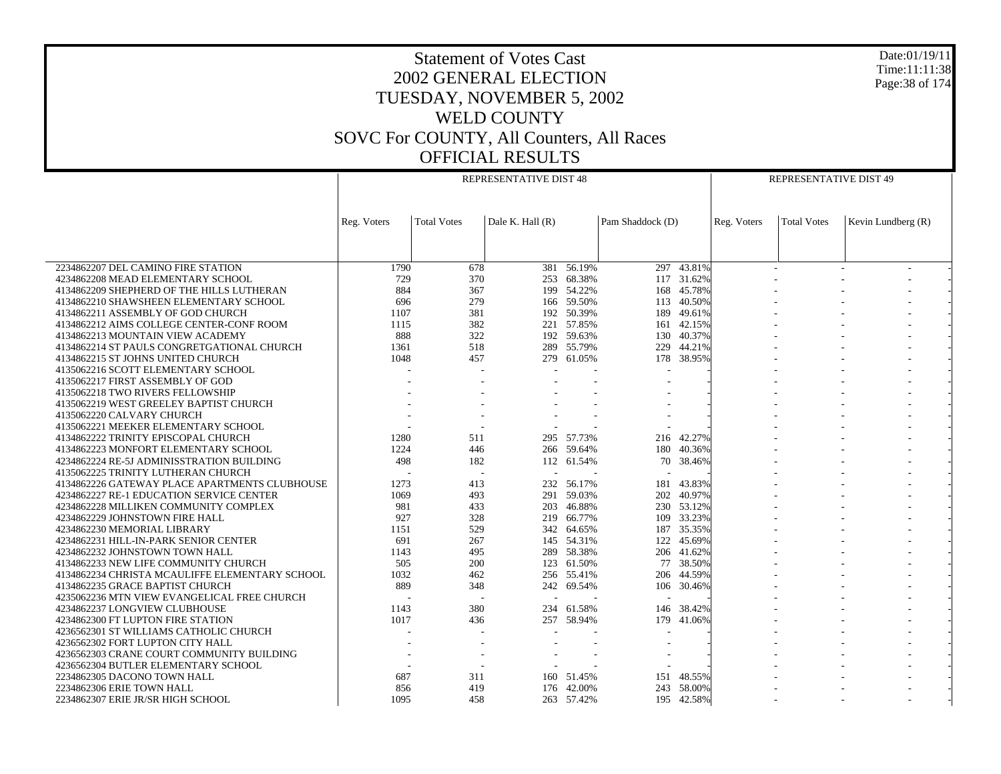Date:01/19/11 Time:11:11:38 Page:38 of 174

|                                                |             |                    | REPRESENTATIVE DIST 48 |            |                          |                 |             | REPRESENTATIVE DIST 49 |                    |  |
|------------------------------------------------|-------------|--------------------|------------------------|------------|--------------------------|-----------------|-------------|------------------------|--------------------|--|
|                                                |             |                    |                        |            |                          |                 |             |                        |                    |  |
|                                                |             |                    |                        |            |                          |                 |             |                        |                    |  |
|                                                |             |                    |                        |            |                          |                 |             |                        |                    |  |
|                                                | Reg. Voters | <b>Total Votes</b> | Dale K. Hall (R)       |            | Pam Shaddock (D)         |                 | Reg. Voters | <b>Total Votes</b>     | Kevin Lundberg (R) |  |
|                                                |             |                    |                        |            |                          |                 |             |                        |                    |  |
|                                                |             |                    |                        |            |                          |                 |             |                        |                    |  |
|                                                |             |                    |                        | $-56.19%$  |                          |                 |             |                        |                    |  |
| 2234862207 DEL CAMINO FIRE STATION             | 1790        | 678                | 381                    |            |                          | $297 - 43.81\%$ |             |                        |                    |  |
| 4234862208 MEAD ELEMENTARY SCHOOL              | 729         | 370                |                        | 253 68.38% |                          | 117 31.62%      |             |                        |                    |  |
| 4134862209 SHEPHERD OF THE HILLS LUTHERAN      | 884         | 367                | 199                    | 54.22%     |                          | 168 45.78%      |             |                        |                    |  |
| 4134862210 SHAWSHEEN ELEMENTARY SCHOOL         | 696         | 279                |                        | 166 59.50% |                          | 113 40.50%      |             |                        |                    |  |
| 4134862211 ASSEMBLY OF GOD CHURCH              | 1107        | 381                | 192                    | 50.39%     | 189                      | 49.61%          |             |                        |                    |  |
| 4134862212 AIMS COLLEGE CENTER-CONF ROOM       | 1115        | 382                |                        | 221 57.85% | 161                      | 42.15%          |             |                        |                    |  |
| 4134862213 MOUNTAIN VIEW ACADEMY               | 888         | 322                | 192                    | 59.63%     | 130                      | 40.37%          |             |                        |                    |  |
| 4134862214 ST PAULS CONGRETGATIONAL CHURCH     | 1361        | 518                |                        | 289 55.79% | 229                      | 44.21%          |             |                        |                    |  |
| 4134862215 ST JOHNS UNITED CHURCH              | 1048        | 457                | 279                    | 61.05%     | 178                      | 38.95%          |             |                        |                    |  |
| 4135062216 SCOTT ELEMENTARY SCHOOL             |             |                    |                        |            |                          |                 |             |                        |                    |  |
| 4135062217 FIRST ASSEMBLY OF GOD               |             |                    |                        |            |                          |                 |             |                        |                    |  |
| 4135062218 TWO RIVERS FELLOWSHIP               |             |                    |                        |            |                          |                 |             |                        |                    |  |
| 4135062219 WEST GREELEY BAPTIST CHURCH         |             |                    |                        |            |                          |                 |             |                        |                    |  |
| 4135062220 CALVARY CHURCH                      |             |                    |                        |            |                          |                 |             |                        |                    |  |
| 4135062221 MEEKER ELEMENTARY SCHOOL            |             | $\overline{a}$     |                        |            |                          |                 |             |                        |                    |  |
| 4134862222 TRINITY EPISCOPAL CHURCH            | 1280        | 511                |                        | 295 57.73% | 216                      | 42.27%          |             |                        |                    |  |
| 4134862223 MONFORT ELEMENTARY SCHOOL           | 1224        | 446                |                        | 266 59.64% | 180                      | 40.36%          |             |                        |                    |  |
| 4234862224 RE-5J ADMINISSTRATION BUILDING      | 498         | 182                |                        | 112 61.54% | 70                       | 38.46%          |             |                        |                    |  |
| 4135062225 TRINITY LUTHERAN CHURCH             |             | $\sim$             |                        |            |                          |                 |             |                        |                    |  |
| 4134862226 GATEWAY PLACE APARTMENTS CLUBHOUSE  | 1273        | 413                |                        | 232 56.17% | 181                      | 43.83%          |             |                        |                    |  |
| 4234862227 RE-1 EDUCATION SERVICE CENTER       | 1069        | 493                | 291                    | 59.03%     | 202                      | 40.97%          |             |                        |                    |  |
| 4234862228 MILLIKEN COMMUNITY COMPLEX          | 981         | 433                | 203                    | 46.88%     |                          | 230 53.12%      |             |                        |                    |  |
| 4234862229 JOHNSTOWN FIRE HALL                 | 927         | 328                | 219                    | 66.77%     |                          | 109 33.23%      |             |                        |                    |  |
| 4234862230 MEMORIAL LIBRARY                    | 1151        | 529                | 342                    | 64.65%     | 187                      | 35.35%          |             |                        |                    |  |
| 4234862231 HILL-IN-PARK SENIOR CENTER          | 691         | 267                |                        | 145 54.31% | 122                      | 45.69%          |             |                        |                    |  |
| 4234862232 JOHNSTOWN TOWN HALL                 | 1143        | 495                | 289                    | 58.38%     |                          | 206 41.62%      |             |                        |                    |  |
| 4134862233 NEW LIFE COMMUNITY CHURCH           | 505         | 200                |                        | 123 61.50% | 77                       | 38.50%          |             |                        |                    |  |
| 4134862234 CHRISTA MCAULIFFE ELEMENTARY SCHOOL | 1032        | 462                |                        | 256 55.41% | 206                      | 44.59%          |             |                        |                    |  |
| 4134862235 GRACE BAPTIST CHURCH                | 889         | 348                |                        | 242 69.54% |                          | 106 30.46%      |             |                        |                    |  |
| 4235062236 MTN VIEW EVANGELICAL FREE CHURCH    |             |                    |                        |            |                          |                 |             |                        |                    |  |
| 4234862237 LONGVIEW CLUBHOUSE                  | 1143        | 380                |                        | 234 61.58% | 146                      | 38.42%          |             |                        |                    |  |
| 4234862300 FT LUPTON FIRE STATION              | 1017        | 436                |                        | 257 58.94% | 179                      | 41.06%          |             |                        |                    |  |
| 4236562301 ST WILLIAMS CATHOLIC CHURCH         |             |                    |                        |            |                          |                 |             |                        |                    |  |
| 4236562302 FORT LUPTON CITY HALL               |             |                    |                        |            | $\overline{\phantom{a}}$ |                 |             |                        |                    |  |
| 4236562303 CRANE COURT COMMUNITY BUILDING      |             |                    |                        |            |                          |                 |             |                        |                    |  |
| 4236562304 BUTLER ELEMENTARY SCHOOL            |             |                    |                        |            |                          |                 |             |                        |                    |  |
| 2234862305 DACONO TOWN HALL                    | 687         | 311                |                        | 160 51.45% | 151                      | 48.55%          |             |                        |                    |  |
| 2234862306 ERIE TOWN HALL                      | 856         | 419                |                        | 176 42.00% | 243                      | 58.00%          |             |                        |                    |  |
| 2234862307 ERIE JR/SR HIGH SCHOOL              | 1095        | 458                |                        | 263 57.42% |                          | 195 42.58%      |             |                        |                    |  |
|                                                |             |                    |                        |            |                          |                 |             |                        |                    |  |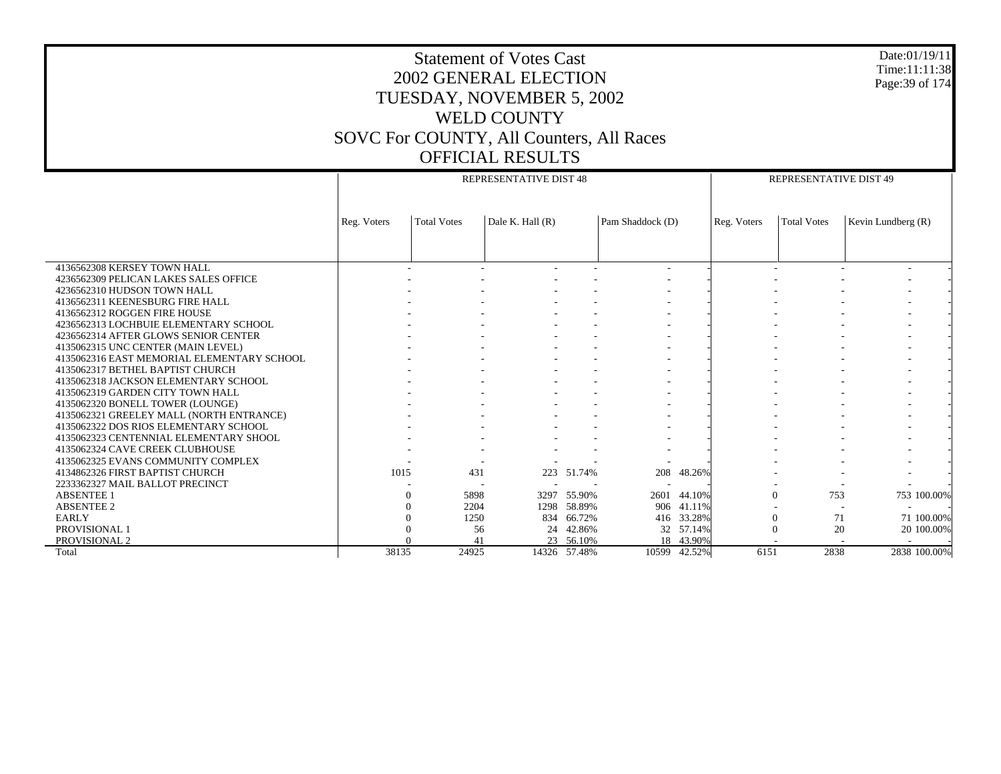| Date:01/19/11<br><b>Statement of Votes Cast</b><br>Time:11:11:38<br><b>2002 GENERAL ELECTION</b><br>Page: 39 of 174<br>TUESDAY, NOVEMBER 5, 2002<br><b>WELD COUNTY</b><br>SOVC For COUNTY, All Counters, All Races<br><b>OFFICIAL RESULTS</b> |             |                    |                        |              |                  |              |             |                        |                    |  |
|-----------------------------------------------------------------------------------------------------------------------------------------------------------------------------------------------------------------------------------------------|-------------|--------------------|------------------------|--------------|------------------|--------------|-------------|------------------------|--------------------|--|
|                                                                                                                                                                                                                                               |             |                    | REPRESENTATIVE DIST 48 |              |                  |              |             | REPRESENTATIVE DIST 49 |                    |  |
|                                                                                                                                                                                                                                               | Reg. Voters | <b>Total Votes</b> | Dale K. Hall $(R)$     |              | Pam Shaddock (D) |              | Reg. Voters | <b>Total Votes</b>     | Kevin Lundberg (R) |  |
|                                                                                                                                                                                                                                               |             |                    |                        |              |                  |              |             |                        |                    |  |
| 4136562308 KERSEY TOWN HALL                                                                                                                                                                                                                   |             |                    |                        |              |                  |              |             |                        |                    |  |
| 4236562309 PELICAN LAKES SALES OFFICE                                                                                                                                                                                                         |             |                    |                        |              |                  |              |             |                        |                    |  |
| 4236562310 HUDSON TOWN HALL                                                                                                                                                                                                                   |             |                    |                        |              |                  |              |             |                        |                    |  |
| 4136562311 KEENESBURG FIRE HALL                                                                                                                                                                                                               |             |                    |                        |              |                  |              |             |                        |                    |  |
| 4136562312 ROGGEN FIRE HOUSE                                                                                                                                                                                                                  |             |                    |                        |              |                  |              |             |                        |                    |  |
| 4236562313 LOCHBUIE ELEMENTARY SCHOOL                                                                                                                                                                                                         |             |                    |                        |              |                  |              |             |                        |                    |  |
| 4236562314 AFTER GLOWS SENIOR CENTER<br>4135062315 UNC CENTER (MAIN LEVEL)                                                                                                                                                                    |             |                    |                        |              |                  |              |             |                        |                    |  |
| 4135062316 EAST MEMORIAL ELEMENTARY SCHOOL                                                                                                                                                                                                    |             |                    |                        |              |                  |              |             |                        |                    |  |
| 4135062317 BETHEL BAPTIST CHURCH                                                                                                                                                                                                              |             |                    |                        |              |                  |              |             |                        |                    |  |
| 4135062318 JACKSON ELEMENTARY SCHOOL                                                                                                                                                                                                          |             |                    |                        |              |                  |              |             |                        |                    |  |
| 4135062319 GARDEN CITY TOWN HALL                                                                                                                                                                                                              |             |                    |                        |              |                  |              |             |                        |                    |  |
| 4135062320 BONELL TOWER (LOUNGE)                                                                                                                                                                                                              |             |                    |                        |              |                  |              |             |                        |                    |  |
| 4135062321 GREELEY MALL (NORTH ENTRANCE)                                                                                                                                                                                                      |             |                    |                        |              |                  |              |             |                        |                    |  |
| 4135062322 DOS RIOS ELEMENTARY SCHOOL                                                                                                                                                                                                         |             |                    |                        |              |                  |              |             |                        |                    |  |
| 4135062323 CENTENNIAL ELEMENTARY SHOOL                                                                                                                                                                                                        |             |                    |                        |              |                  |              |             |                        |                    |  |
| 4135062324 CAVE CREEK CLUBHOUSE                                                                                                                                                                                                               |             |                    |                        |              |                  |              |             |                        |                    |  |
| 4135062325 EVANS COMMUNITY COMPLEX                                                                                                                                                                                                            |             |                    |                        |              |                  |              |             |                        |                    |  |
| 4134862326 FIRST BAPTIST CHURCH<br>2233362327 MAIL BALLOT PRECINCT                                                                                                                                                                            | 1015        | 431                |                        | 223 51.74%   | 208              | 48.26%       |             |                        |                    |  |
| <b>ABSENTEE 1</b>                                                                                                                                                                                                                             |             | 5898               | 3297                   | 55.90%       |                  | 2601 44.10%  |             | $\Omega$<br>753        | 753 100.00%        |  |
| <b>ABSENTEE 2</b>                                                                                                                                                                                                                             |             | 2204               | 1298                   | 58.89%       |                  | 906 41.11%   |             |                        |                    |  |
| EARLY                                                                                                                                                                                                                                         |             | 1250               |                        | 834 66.72%   |                  | 416 33.28%   |             | $\Omega$<br>71         | 71 100.00%         |  |
| PROVISIONAL 1                                                                                                                                                                                                                                 |             | 56                 | 24                     | 42.86%       |                  | 32 57.14%    |             | $\Omega$<br>20         | 20 100.00%         |  |
| PROVISIONAL 2                                                                                                                                                                                                                                 |             | 41                 |                        | 23 56.10%    |                  | 18 43.90%    |             |                        |                    |  |
| Total                                                                                                                                                                                                                                         | 38135       | 24925              |                        | 14326 57.48% |                  | 10599 42.52% | 6151        | 2838                   | 2838 100.00%       |  |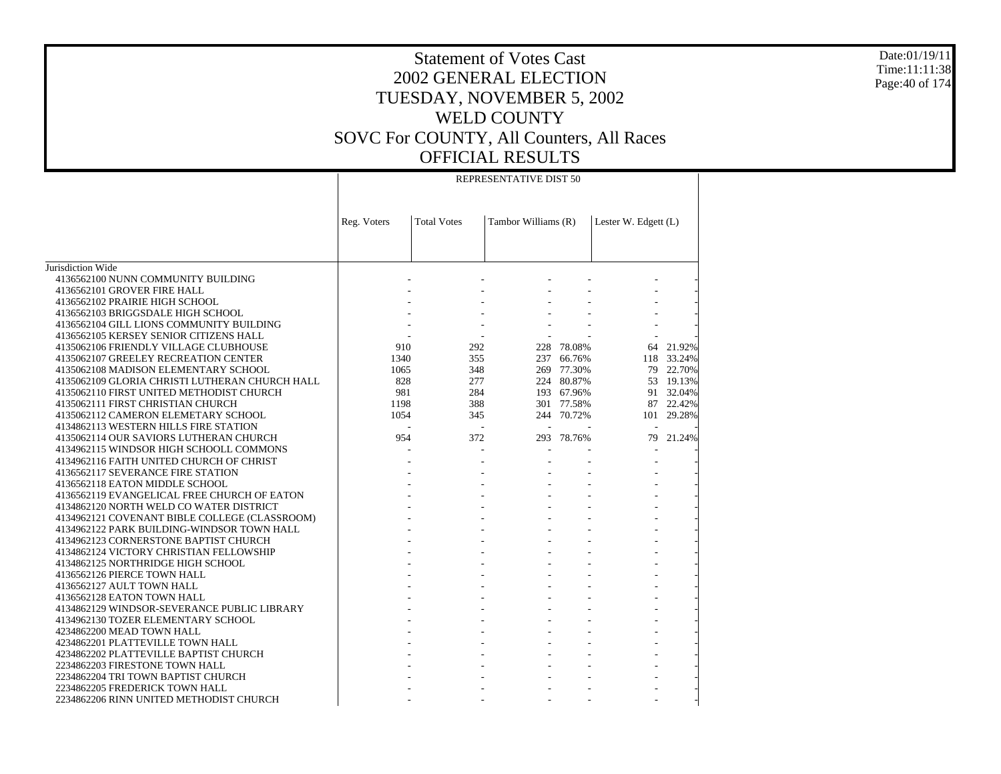Date:01/19/11 Time:11:11:38 Page:40 of 174

#### REPRESENTATIVE DIST 50

|                                                | Reg. Voters | <b>Total Votes</b> | Tambor Williams (R) |            | Lester W. Edgett (L) |           |
|------------------------------------------------|-------------|--------------------|---------------------|------------|----------------------|-----------|
|                                                |             |                    |                     |            |                      |           |
|                                                |             |                    |                     |            |                      |           |
|                                                |             |                    |                     |            |                      |           |
| Jurisdiction Wide                              |             |                    |                     |            |                      |           |
| 4136562100 NUNN COMMUNITY BUILDING             |             |                    |                     |            |                      |           |
| 4136562101 GROVER FIRE HALL                    |             |                    |                     |            |                      |           |
| 4136562102 PRAIRIE HIGH SCHOOL                 |             |                    |                     |            |                      |           |
| 4136562103 BRIGGSDALE HIGH SCHOOL              |             |                    |                     |            |                      |           |
| 4136562104 GILL LIONS COMMUNITY BUILDING       |             |                    |                     |            |                      |           |
| 4136562105 KERSEY SENIOR CITIZENS HALL         |             |                    |                     |            |                      |           |
| 4135062106 FRIENDLY VILLAGE CLUBHOUSE          | 910         | 292                | 228                 | 78.08%     | 64                   | 21.92%    |
| 4135062107 GREELEY RECREATION CENTER           | 1340        | 355                | 237                 | 66.76%     | 118                  | 33.24%    |
| 4135062108 MADISON ELEMENTARY SCHOOL           | 1065        | 348                |                     | 269 77.30% |                      | 79 22.70% |
| 4135062109 GLORIA CHRISTI LUTHERAN CHURCH HALL | 828         | 277                |                     | 224 80.87% |                      | 53 19.13% |
| 4135062110 FIRST UNITED METHODIST CHURCH       | 981         | 284                |                     | 193 67.96% |                      | 91 32.04% |
| 4135062111 FIRST CHRISTIAN CHURCH              | 1198        | 388                |                     | 301 77.58% |                      | 87 22.42% |
| 4135062112 CAMERON ELEMETARY SCHOOL            | 1054        | 345                |                     | 244 70.72% | 101                  | 29.28%    |
| 4134862113 WESTERN HILLS FIRE STATION          |             |                    |                     |            |                      |           |
| 4135062114 OUR SAVIORS LUTHERAN CHURCH         | 954         | 372                |                     | 293 78.76% | 79                   | 21.24%    |
| 4134962115 WINDSOR HIGH SCHOOLL COMMONS        |             |                    |                     |            |                      |           |
| 4134962116 FAITH UNITED CHURCH OF CHRIST       |             |                    |                     |            |                      |           |
| 4136562117 SEVERANCE FIRE STATION              |             |                    |                     |            |                      |           |
| 4136562118 EATON MIDDLE SCHOOL                 |             |                    |                     |            |                      |           |
| 4136562119 EVANGELICAL FREE CHURCH OF EATON    |             |                    |                     |            |                      |           |
| 4134862120 NORTH WELD CO WATER DISTRICT        |             |                    |                     |            |                      |           |
| 4134962121 COVENANT BIBLE COLLEGE (CLASSROOM)  |             |                    |                     |            |                      |           |
| 4134962122 PARK BUILDING-WINDSOR TOWN HALL     |             |                    |                     |            |                      |           |
| 4134962123 CORNERSTONE BAPTIST CHURCH          |             |                    |                     |            |                      |           |
| 4134862124 VICTORY CHRISTIAN FELLOWSHIP        |             |                    |                     |            |                      |           |
| 4134862125 NORTHRIDGE HIGH SCHOOL              |             |                    |                     |            |                      |           |
| 4136562126 PIERCE TOWN HALL                    |             |                    |                     |            |                      |           |
| 4136562127 AULT TOWN HALL                      |             |                    |                     |            |                      |           |
| 4136562128 EATON TOWN HALL                     |             |                    |                     |            |                      |           |
| 4134862129 WINDSOR-SEVERANCE PUBLIC LIBRARY    |             |                    |                     |            |                      |           |
| 4134962130 TOZER ELEMENTARY SCHOOL             |             |                    |                     |            |                      |           |
| 4234862200 MEAD TOWN HALL                      |             |                    |                     |            |                      |           |
| 4234862201 PLATTEVILLE TOWN HALL               |             |                    |                     |            |                      |           |
| 4234862202 PLATTEVILLE BAPTIST CHURCH          |             |                    |                     |            |                      |           |
| 2234862203 FIRESTONE TOWN HALL                 |             |                    |                     |            |                      |           |
| 2234862204 TRI TOWN BAPTIST CHURCH             |             |                    |                     |            |                      |           |
| 2234862205 FREDERICK TOWN HALL                 |             |                    |                     |            |                      |           |
| 2234862206 RINN UNITED METHODIST CHURCH        |             |                    |                     |            |                      |           |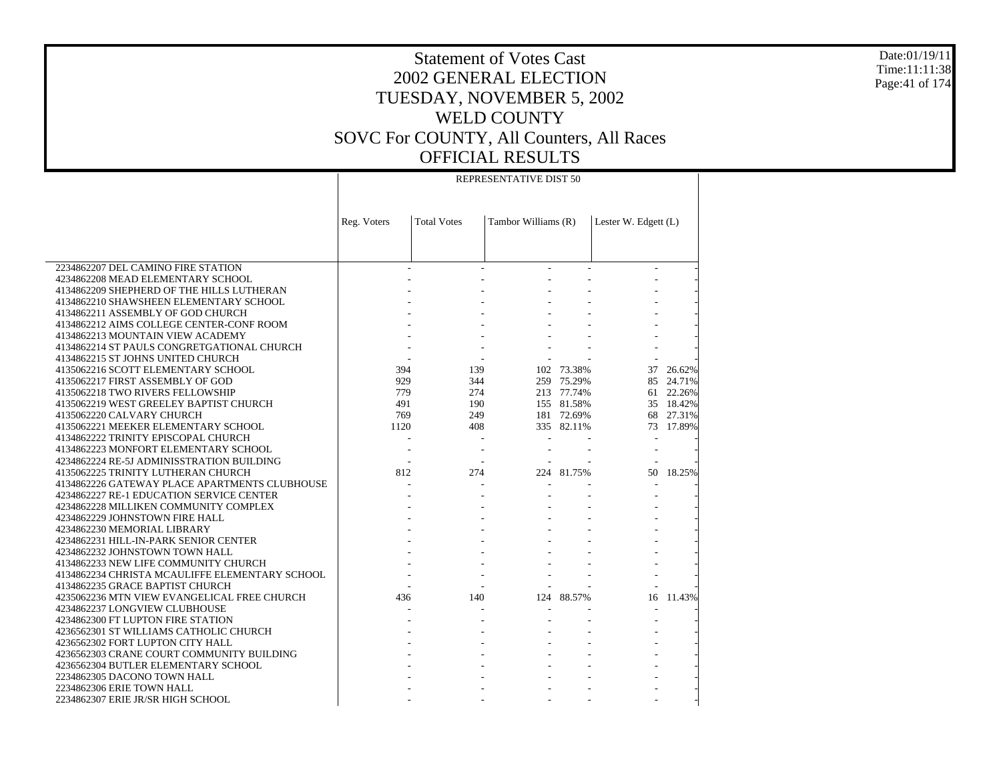#### Date:01/19/11 Time:11:11:38 Page:41 of 174

### Statement of Votes Cast 2002 GENERAL ELECTION TUESDAY, NOVEMBER 5, 2002 WELD COUNTY SOVC For COUNTY, All Counters, All Races OFFICIAL RESULTS

#### REPRESENTATIVE DIST 50

|                                                                                 | Reg. Voters | <b>Total Votes</b> | Tambor Williams (R) |            | Lester W. Edgett (L) |           |
|---------------------------------------------------------------------------------|-------------|--------------------|---------------------|------------|----------------------|-----------|
|                                                                                 |             |                    |                     |            |                      |           |
|                                                                                 |             |                    |                     |            |                      |           |
| 2234862207 DEL CAMINO FIRE STATION                                              |             |                    |                     |            |                      |           |
| 4234862208 MEAD ELEMENTARY SCHOOL                                               |             |                    |                     |            |                      |           |
| 4134862209 SHEPHERD OF THE HILLS LUTHERAN                                       |             |                    |                     |            |                      |           |
| 4134862210 SHAWSHEEN ELEMENTARY SCHOOL                                          |             |                    |                     |            |                      |           |
| 4134862211 ASSEMBLY OF GOD CHURCH                                               |             |                    |                     |            |                      |           |
| 4134862212 AIMS COLLEGE CENTER-CONF ROOM                                        |             |                    |                     |            |                      |           |
| 4134862213 MOUNTAIN VIEW ACADEMY                                                |             |                    |                     |            |                      |           |
|                                                                                 |             |                    |                     |            |                      |           |
| 4134862214 ST PAULS CONGRETGATIONAL CHURCH<br>4134862215 ST JOHNS UNITED CHURCH |             |                    |                     |            |                      |           |
|                                                                                 | 394         | 139                |                     |            |                      |           |
| 4135062216 SCOTT ELEMENTARY SCHOOL                                              |             |                    |                     | 102 73.38% |                      | 37 26.62% |
| 4135062217 FIRST ASSEMBLY OF GOD                                                | 929         | 344                |                     | 259 75.29% |                      | 85 24.71% |
| 4135062218 TWO RIVERS FELLOWSHIP                                                | 779         | 274                |                     | 213 77.74% |                      | 61 22.26% |
| 4135062219 WEST GREELEY BAPTIST CHURCH                                          | 491         | 190                |                     | 155 81.58% |                      | 35 18.42% |
| 4135062220 CALVARY CHURCH                                                       | 769         | 249                |                     | 181 72.69% |                      | 68 27.31% |
| 4135062221 MEEKER ELEMENTARY SCHOOL                                             | 1120        | 408                |                     | 335 82.11% |                      | 73 17.89% |
| 4134862222 TRINITY EPISCOPAL CHURCH                                             |             |                    |                     |            |                      |           |
| 4134862223 MONFORT ELEMENTARY SCHOOL                                            |             |                    |                     |            |                      |           |
| 4234862224 RE-5J ADMINISSTRATION BUILDING                                       |             |                    |                     |            |                      |           |
| 4135062225 TRINITY LUTHERAN CHURCH                                              | 812         | 274                |                     | 224 81.75% | 50                   | 18.25%    |
| 4134862226 GATEWAY PLACE APARTMENTS CLUBHOUSE                                   |             |                    |                     |            |                      |           |
| 4234862227 RE-1 EDUCATION SERVICE CENTER                                        |             |                    |                     |            |                      |           |
| 4234862228 MILLIKEN COMMUNITY COMPLEX                                           |             |                    |                     |            |                      |           |
| 4234862229 JOHNSTOWN FIRE HALL                                                  |             |                    |                     |            |                      |           |
| 4234862230 MEMORIAL LIBRARY                                                     |             |                    |                     |            |                      |           |
| 4234862231 HILL-IN-PARK SENIOR CENTER                                           |             |                    |                     |            |                      |           |
| 4234862232 JOHNSTOWN TOWN HALL                                                  |             |                    |                     |            |                      |           |
| 4134862233 NEW LIFE COMMUNITY CHURCH                                            |             |                    |                     |            |                      |           |
| 4134862234 CHRISTA MCAULIFFE ELEMENTARY SCHOOL                                  |             |                    |                     |            |                      |           |
| 4134862235 GRACE BAPTIST CHURCH                                                 |             |                    |                     |            |                      |           |
| 4235062236 MTN VIEW EVANGELICAL FREE CHURCH                                     | 436         | 140                |                     | 124 88.57% |                      | 16 11.43% |
| 4234862237 LONGVIEW CLUBHOUSE                                                   |             |                    |                     |            |                      |           |
| 4234862300 FT LUPTON FIRE STATION                                               |             |                    |                     |            |                      |           |
| 4236562301 ST WILLIAMS CATHOLIC CHURCH                                          |             |                    |                     |            |                      |           |
| 4236562302 FORT LUPTON CITY HALL                                                |             |                    |                     |            |                      |           |
| 4236562303 CRANE COURT COMMUNITY BUILDING                                       |             |                    |                     |            |                      |           |
| 4236562304 BUTLER ELEMENTARY SCHOOL                                             |             |                    |                     |            |                      |           |
| 2234862305 DACONO TOWN HALL                                                     |             |                    |                     |            |                      |           |
| 2234862306 ERIE TOWN HALL                                                       |             |                    |                     |            |                      |           |
| 2234862307 ERIE JR/SR HIGH SCHOOL                                               |             |                    |                     |            |                      |           |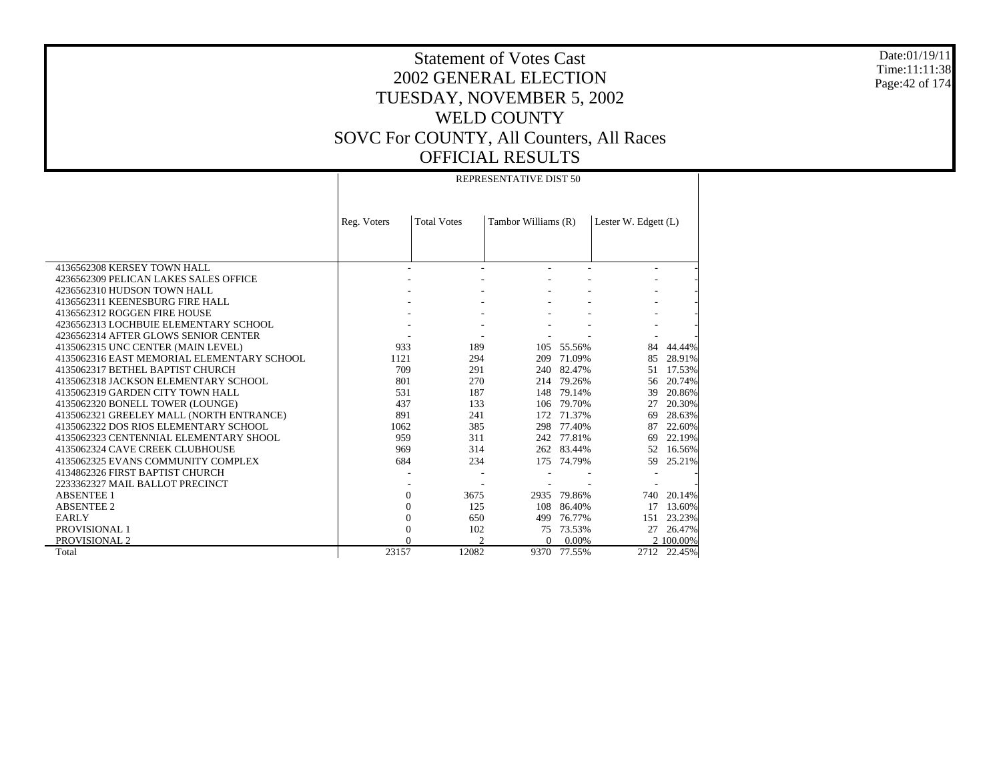Date:01/19/11 Time:11:11:38 Page:42 of 174

# Statement of Votes Cast 2002 GENERAL ELECTION TUESDAY, NOVEMBER 5, 2002 WELD COUNTY SOVC For COUNTY, All Counters, All Races OFFICIAL RESULTS

#### REPRESENTATIVE DIST 50

|                                            | Reg. Voters | <b>Total Votes</b> | Tambor Williams (R) |        | Lester W. Edgett (L) |             |
|--------------------------------------------|-------------|--------------------|---------------------|--------|----------------------|-------------|
|                                            |             |                    |                     |        |                      |             |
|                                            |             |                    |                     |        |                      |             |
|                                            |             |                    |                     |        |                      |             |
| 4136562308 KERSEY TOWN HALL                |             |                    |                     |        |                      |             |
| 4236562309 PELICAN LAKES SALES OFFICE      |             |                    |                     |        |                      |             |
| 4236562310 HUDSON TOWN HALL                |             |                    |                     |        |                      |             |
| 4136562311 KEENESBURG FIRE HALL            |             |                    |                     |        |                      |             |
| 4136562312 ROGGEN FIRE HOUSE               |             |                    |                     |        |                      |             |
| 4236562313 LOCHBUIE ELEMENTARY SCHOOL      |             |                    |                     |        |                      |             |
| 4236562314 AFTER GLOWS SENIOR CENTER       |             |                    |                     |        |                      |             |
| 4135062315 UNC CENTER (MAIN LEVEL)         | 933         | 189                | 105                 | 55.56% | 84                   | 44.44%      |
| 4135062316 EAST MEMORIAL ELEMENTARY SCHOOL | 1121        | 294                | 209                 | 71.09% | 85                   | 28.91%      |
| 4135062317 BETHEL BAPTIST CHURCH           | 709         | 291                | 240                 | 82.47% | 51                   | 17.53%      |
| 4135062318 JACKSON ELEMENTARY SCHOOL       | 801         | 270                | 214                 | 79.26% | 56                   | 20.74%      |
| 4135062319 GARDEN CITY TOWN HALL           | 531         | 187                | 148                 | 79.14% | 39                   | 20.86%      |
| 4135062320 BONELL TOWER (LOUNGE)           | 437         | 133                | 106                 | 79.70% | 27                   | 20.30%      |
| 4135062321 GREELEY MALL (NORTH ENTRANCE)   | 891         | 241                | 172                 | 71.37% | 69                   | 28.63%      |
| 4135062322 DOS RIOS ELEMENTARY SCHOOL      | 1062        | 385                | 298                 | 77.40% | 87                   | 22.60%      |
| 4135062323 CENTENNIAL ELEMENTARY SHOOL     | 959         | 311                | 242                 | 77.81% | 69                   | 22.19%      |
| 4135062324 CAVE CREEK CLUBHOUSE            | 969         | 314                | 262                 | 83.44% | 52.                  | 16.56%      |
| 4135062325 EVANS COMMUNITY COMPLEX         | 684         | 234                | 175                 | 74.79% | 59                   | 25.21%      |
| 4134862326 FIRST BAPTIST CHURCH            |             |                    |                     |        |                      |             |
| 2233362327 MAIL BALLOT PRECINCT            |             |                    |                     |        |                      |             |
| <b>ABSENTEE 1</b>                          | $\Omega$    | 3675               | 2935                | 79.86% | 740                  | 20.14%      |
| <b>ABSENTEE 2</b>                          | $\Omega$    | 125                | 108                 | 86.40% | 17                   | 13.60%      |
| <b>EARLY</b>                               | $\Omega$    | 650                | 499                 | 76.77% | 151                  | 23.23%      |
| PROVISIONAL 1                              | $\Omega$    | 102                | 75                  | 73.53% | 27                   | 26.47%      |
| PROVISIONAL 2                              | $\Omega$    | $\mathcal{D}$      | $\Omega$            | 0.00%  |                      | 2 100.00%   |
| Total                                      | 23157       | 12082              | 9370                | 77.55% |                      | 2712 22.45% |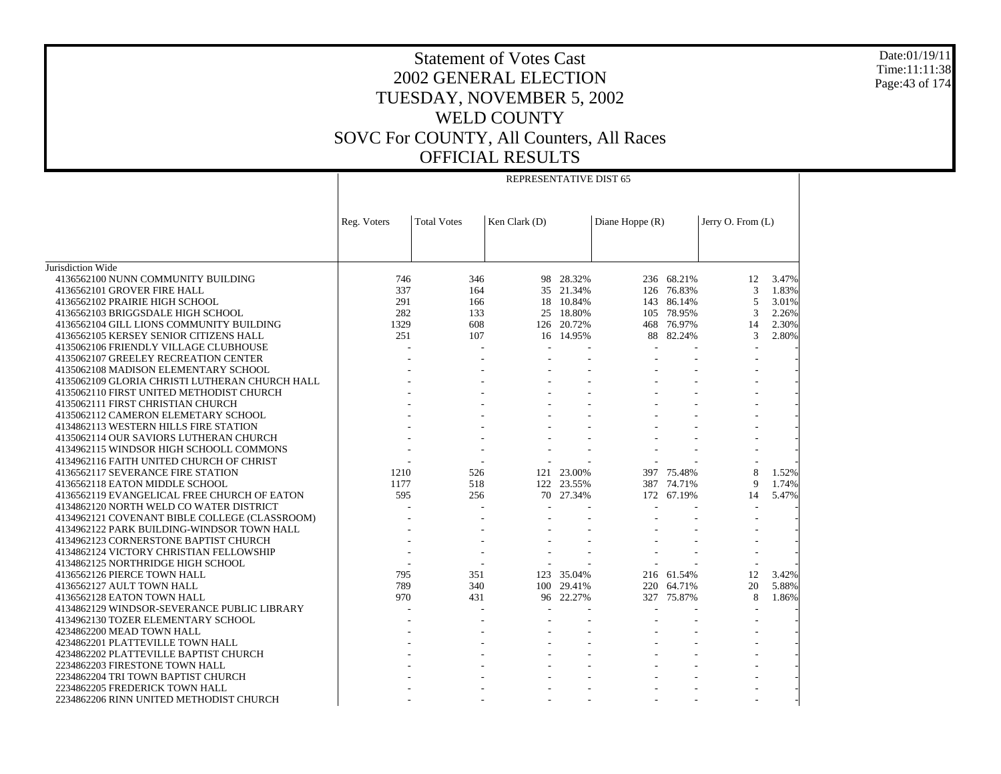REPRESENTATIVE DIST 65

- - - - - - -

Jurisdiction Wide 4136562100 NUNN COMMUNITY BUILDING 4136562101 GROVER FIRE HALL 4136562102 PRAIRIE HIGH SCHOOL 4136562103 BRIGGSDALE HIGH SCHOOL 4136562104 GILL LIONS COMMUNITY BUILDING 4136562105 KERSEY SENIOR CITIZENS HALL 4135062106 FRIENDLY VILLAGE CLUBHOUSE 4135062107 GREELEY RECREATION CENTER 4135062108 MADISON ELEMENTARY SCHOOL 4135062109 GLORIA CHRISTI LUTHERAN CHURCH HALL 4135062110 FIRST UNITED METHODIST CHURCH 4135062111 FIRST CHRISTIAN CHURCH 4135062112 CAMERON ELEMETARY SCHOOL 4134862113 WESTERN HILLS FIRE STATION 4135062114 OUR SAVIORS LUTHERAN CHURCH 4134962115 WINDSOR HIGH SCHOOLL COMMONS 4134962116 FAITH UNITED CHURCH OF CHRIST 4136562117 SEVERANCE FIRE STATION 4136562118 EATON MIDDLE SCHOOL 4136562119 EVANGELICAL FREE CHURCH OF EATON 4134862120 NORTH WELD CO WATER DISTRICT 4134962121 COVENANT BIBLE COLLEGE (CLASSROOM) 4134962122 PARK BUILDING-WINDSOR TOWN HALL 4134962123 CORNERSTONE BAPTIST CHURCH 4134862124 VICTORY CHRISTIAN FELLOWSHIP 4134862125 NORTHRIDGE HIGH SCHOOL 4136562126 PIERCE TOWN HALL 4136562127 AULT TOWN HALL 4136562128 EATON TOWN HALL 4134862129 WINDSOR-SEVERANCE PUBLIC LIBRARY 4134962130 TOZER ELEMENTARY SCHOOL 4234862200 MEAD TOWN HALL 4234862201 PLATTEVILLE TOWN HALL 4234862202 PLATTEVILLE BAPTIST CHURCH 2234862203 FIRESTONE TOWN HALL 2234862204 TRI TOWN BAPTIST CHURCH 2234862205 FREDERICK TOWN HALL 2234862206 RINN UNITED METHODIST CHURCHReg. Voters  $|Total Votes | Ken Clark (D) | Diane Hoppe (R) | Jerry O. From (L)$ 746 346 98 28.32% 236 68.21% 12 3.47% 337 164 35 21.34% 126 76.83% 3 1.83% 291 166 18 10.84% 143 86.14% 5 3.01% 282 133 25 18.80% 105 78.95% 3 2.26% 1329 608 126 20.72% 468 76.97% 14 2.30% 251 107 16 14.95% 88 82.24% 3 2.80% - - - - - - - - - - - - - - - - - - - - - - - - - - - - - - - - - - - - - - - - - - - - - - - - - - - - - - - - - - - - - - - - - - - - - - - - - - - - - - 1210 526 121 23.00% 397 75.48% 8 1.52% 1177 518 122 23.55% 387 74.71% 9 1.74% 595 256 70 27.34% 172 67.19% 14 5.47% - - - - - - - - - - - - - - - - - - - - - - - - - - - - - - - - - - - - - - - - - - - 795 351 123 35.04% 216 61.54% 12 3.42% 789 340 100 29.41% 220 64.71% 20 5.88% 970 431 96 22.27% 327 75.87% 8 1.86% - - - - - - - - - - - - - - - - - - - - - - - - - - - - - - - - - - - - - - - - - - - - - - - - - - - - - - - -

Date:01/19/11Time:11:11:38Page:43 of 174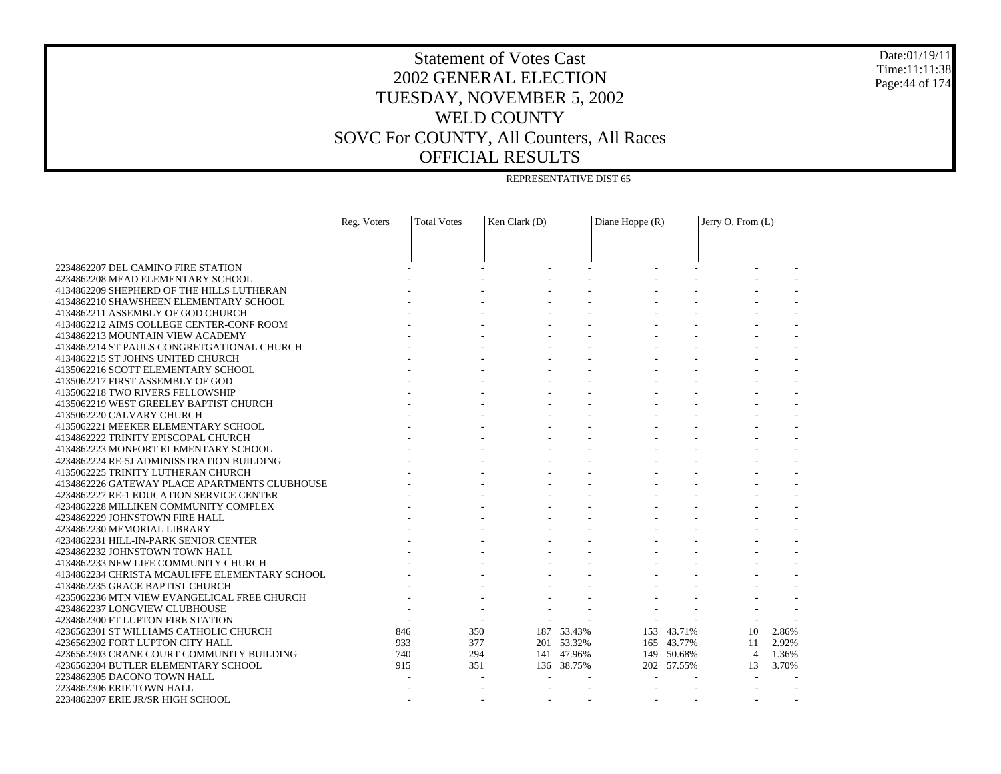REPRESENTATIVE DIST 65

 2234862207 DEL CAMINO FIRE STATION 4234862208 MEAD ELEMENTARY SCHOOL 4134862209 SHEPHERD OF THE HILLS LUTHERAN 4134862210 SHAWSHEEN ELEMENTARY SCHOOL 4134862211 ASSEMBLY OF GOD CHURCH 4134862212 AIMS COLLEGE CENTER-CONF ROOM 4134862213 MOUNTAIN VIEW ACADEMY 4134862214 ST PAULS CONGRETGATIONAL CHURCH 4134862215 ST JOHNS UNITED CHURCH 4135062216 SCOTT ELEMENTARY SCHOOL 4135062217 FIRST ASSEMBLY OF GOD 4135062218 TWO RIVERS FELLOWSHIP 4135062219 WEST GREELEY BAPTIST CHURCH 4135062220 CALVARY CHURCH 4135062221 MEEKER ELEMENTARY SCHOOL 4134862222 TRINITY EPISCOPAL CHURCH 4134862223 MONFORT ELEMENTARY SCHOOL 4234862224 RE-5J ADMINISSTRATION BUILDING 4135062225 TRINITY LUTHERAN CHURCH 4134862226 GATEWAY PLACE APARTMENTS CLUBHOUSE 4234862227 RE-1 EDUCATION SERVICE CENTER 4234862228 MILLIKEN COMMUNITY COMPLEX 4234862229 JOHNSTOWN FIRE HALL 4234862230 MEMORIAL LIBRARY 4234862231 HILL-IN-PARK SENIOR CENTER 4234862232 JOHNSTOWN TOWN HALL 4134862233 NEW LIFE COMMUNITY CHURCH 4134862234 CHRISTA MCAULIFFE ELEMENTARY SCHOOL 4134862235 GRACE BAPTIST CHURCH 4235062236 MTN VIEW EVANGELICAL FREE CHURCH 4234862237 LONGVIEW CLUBHOUSE 4234862300 FT LUPTON FIRE STATION 4236562301 ST WILLIAMS CATHOLIC CHURCH 4236562302 FORT LUPTON CITY HALL 4236562303 CRANE COURT COMMUNITY BUILDING 4236562304 BUTLER ELEMENTARY SCHOOL 2234862305 DACONO TOWN HALL 2234862306 ERIE TOWN HALL 2234862307 ERIE JR/SR HIGH SCHOOL Reg. Voters  $|Total Votes | Ken Clark (D) | Diane Hoppe (R) | Jerry O. From (L)$  - - - - - - - - - - - - - - - - - - - - - - - - - - - - - - - - - - - - - - - - - - - - - - - - - - - - - - - - - - - - - - - - - - - - - - - - - - - - - - - - - - - - - - - - - - - - - - - - - - - - - - - - - - - - - - - - - - - - - - - - - - - - - - - - - - - - - - - - - - - - - - - - - - - - - - - - - - - - - - - - - - - - - - - - - - - - - - - - - - - - - - - - - - - - - - - - - - - - - - - - - - - - - - - - - - - - - - - - - - - - - - - - - 846 350 187 53.43% 153 43.71% 10 2.86% 933 377 201 53.32% 165 43.77% 11 2.92% 740 294 141 47.96% 149 50.68% 4 1.36% 915 351 136 38.75% 202 57.55% 13 3.70% - - - - - - - - - - - - - - - - - - - - - -

Date:01/19/11Time:11:11:38Page:44 of 174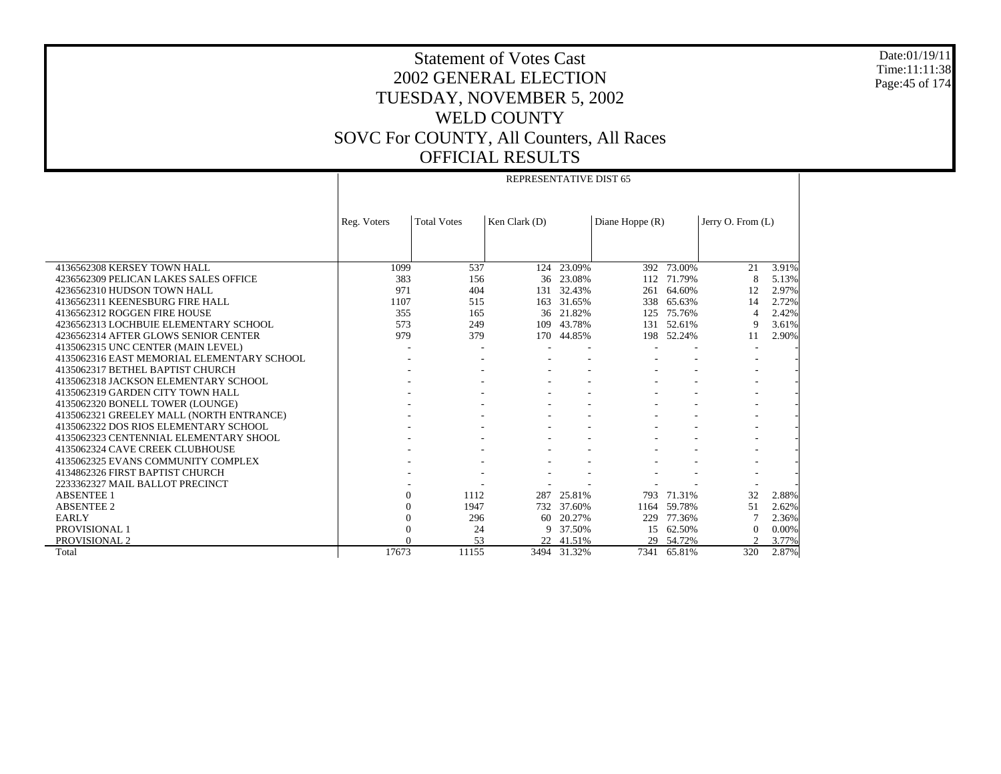REPRESENTATIVE DIST 65

Date:01/19/11 Time:11:11:38 Page:45 of 174

|                                            | Reg. Voters | <b>Total Votes</b> | Ken Clark (D) |           | Diane Hoppe $(R)$ |            | Jerry O. From $(L)$ |       |
|--------------------------------------------|-------------|--------------------|---------------|-----------|-------------------|------------|---------------------|-------|
|                                            |             |                    |               |           |                   |            |                     |       |
|                                            |             |                    |               |           |                   |            |                     |       |
|                                            |             |                    |               |           |                   |            |                     |       |
| 4136562308 KERSEY TOWN HALL                | 1099<br>383 | 537                | 124           | 23.09%    |                   | 392 73.00% | 21                  | 3.91% |
| 4236562309 PELICAN LAKES SALES OFFICE      |             | 156                | 36            | 23.08%    | 112               | 71.79%     | 8                   | 5.13% |
| 4236562310 HUDSON TOWN HALL                | 971         | 404                | 131           | 32.43%    | 261               | 64.60%     | 12                  | 2.97% |
| 4136562311 KEENESBURG FIRE HALL            | 1107        | 515                | 163           | 31.65%    | 338               | 65.63%     | 14                  | 2.72% |
| 4136562312 ROGGEN FIRE HOUSE               | 355         | 165                | 36            | 21.82%    | 125               | 75.76%     | $\overline{4}$      | 2.42% |
| 4236562313 LOCHBUIE ELEMENTARY SCHOOL      | 573         | 249                | 109           | 43.78%    | 131               | 52.61%     | 9                   | 3.61% |
| 4236562314 AFTER GLOWS SENIOR CENTER       | 979         | 379                | 170           | 44.85%    |                   | 198 52.24% | 11                  | 2.90% |
| 4135062315 UNC CENTER (MAIN LEVEL)         |             |                    |               |           |                   |            |                     |       |
| 4135062316 EAST MEMORIAL ELEMENTARY SCHOOL |             |                    |               |           |                   |            |                     |       |
| 4135062317 BETHEL BAPTIST CHURCH           |             |                    |               |           |                   |            |                     |       |
| 4135062318 JACKSON ELEMENTARY SCHOOL       |             |                    |               |           |                   |            |                     |       |
| 4135062319 GARDEN CITY TOWN HALL           |             |                    |               |           |                   |            |                     |       |
| 4135062320 BONELL TOWER (LOUNGE)           |             |                    |               |           |                   |            |                     |       |
| 4135062321 GREELEY MALL (NORTH ENTRANCE)   |             |                    |               |           |                   |            |                     |       |
| 4135062322 DOS RIOS ELEMENTARY SCHOOL      |             |                    |               |           |                   |            |                     |       |
| 4135062323 CENTENNIAL ELEMENTARY SHOOL     |             |                    |               |           |                   |            |                     |       |
| 4135062324 CAVE CREEK CLUBHOUSE            |             |                    |               |           |                   |            |                     |       |
| 4135062325 EVANS COMMUNITY COMPLEX         |             |                    |               |           |                   |            |                     |       |
| 4134862326 FIRST BAPTIST CHURCH            |             |                    |               |           |                   |            |                     |       |
| 2233362327 MAIL BALLOT PRECINCT            |             |                    |               |           |                   |            |                     |       |
| <b>ABSENTEE 1</b>                          | $\Omega$    | 1112               | 287           | 25.81%    | 793               | 71.31%     | 32                  | 2.88% |
| <b>ABSENTEE 2</b>                          |             | 1947               | 732           | 37.60%    | 1164              | 59.78%     | 51                  | 2.62% |
| <b>EARLY</b>                               |             | 296                | 60            | 20.27%    | 229               | 77.36%     | $\overline{7}$      | 2.36% |
| PROVISIONAL 1                              |             | 24                 | 9             | 37.50%    |                   | 15 62.50%  | $\Omega$            | 0.00% |
| PROVISIONAL 2                              |             | 53                 |               | 22 41.51% | 29                | 54.72%     | $\mathcal{D}$       | 3.77% |
| Total                                      | 17673       | 11155              | 3494          | 31.32%    | 7341              | 65.81%     | 320                 | 2.87% |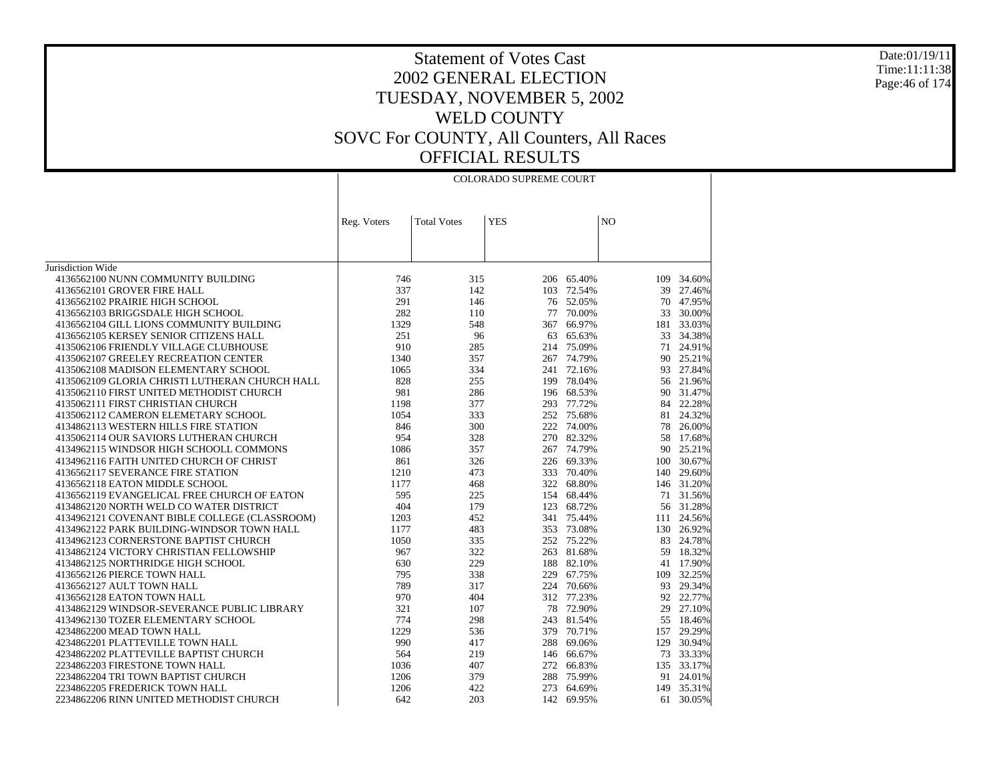Jurisdiction Wide 4136562100 NUNN COMMUNITY BUILDING 4136562101 GROVER FIRE HALL 4136562102 PRAIRIE HIGH SCHOOL 4136562103 BRIGGSDALE HIGH SCHOOL 4136562104 GILL LIONS COMMUNITY BUILDING 4136562105 KERSEY SENIOR CITIZENS HALL 4135062106 FRIENDLY VILLAGE CLUBHOUSE 4135062107 GREELEY RECREATION CENTER 4135062108 MADISON ELEMENTARY SCHOOL 4135062109 GLORIA CHRISTI LUTHERAN CHURCH HALL 4135062110 FIRST UNITED METHODIST CHURCH 4135062111 FIRST CHRISTIAN CHURCH 4135062112 CAMERON ELEMETARY SCHOOL 4134862113 WESTERN HILLS FIRE STATION 4135062114 OUR SAVIORS LUTHERAN CHURCH 4134962115 WINDSOR HIGH SCHOOLL COMMONS 4134962116 FAITH UNITED CHURCH OF CHRIST 4136562117 SEVERANCE FIRE STATION 4136562118 EATON MIDDLE SCHOOL 4136562119 EVANGELICAL FREE CHURCH OF EATON 4134862120 NORTH WELD CO WATER DISTRICT 4134962121 COVENANT BIBLE COLLEGE (CLASSROOM) 4134962122 PARK BUILDING-WINDSOR TOWN HALL 4134962123 CORNERSTONE BAPTIST CHURCH 4134862124 VICTORY CHRISTIAN FELLOWSHIP 4134862125 NORTHRIDGE HIGH SCHOOL 4136562126 PIERCE TOWN HALL 4136562127 AULT TOWN HALL 4136562128 EATON TOWN HALL 4134862129 WINDSOR-SEVERANCE PUBLIC LIBRARY 4134962130 TOZER ELEMENTARY SCHOOL 4234862200 MEAD TOWN HALL 4234862201 PLATTEVILLE TOWN HALL 4234862202 PLATTEVILLE BAPTIST CHURCH 2234862203 FIRESTONE TOWN HALL 2234862204 TRI TOWN BAPTIST CHURCH 2234862205 FREDERICK TOWN HALL 2234862206 RINN UNITED METHODIST CHURCHReg. Voters | Total Votes | YES | NO COLORADO SUPREME COURT746 315 206 65.40% 109 34.60% 337 142 103 72.54% 39 27.46% 291 146 76 52.05% 70 47.95% 282 110 77 70.00% 33 30.00% 1329 548 367 66.97% 181 33.03% 251 96 63 65.63% 33 34.38% 910 285 214 75.09% 71 24.91% 1340 357 267 74.79% 90 25.21% 1065 334 241 72.16% 93 27.84% 828 255 199 78.04% 56 21.96% 981 286 196 68.53% 90 31.47% 1198 377 293 77.72% 84 22.28% 1054 333 252 75.68% 81 24.32% 846 300 222 74.00% 78 26.00% 954 328 270 82.32% 58 17.68% 1086 357 267 74.79% 90 25.21% 861 326 226 69.33% 100 30.67% 1210 473 333 70.40% 140 29.60% 1177 468 322 68.80% 146 31.20% 595 225 154 68.44% 71 31.56% 404 179 123 68.72% 56 31.28% 1203 452 341 75.44% 111 24.56% 1177 483 353 73.08% 130 26.92% 1050 335 252 75.22% 83 24.78% 967 322 263 81.68% 59 18.32% 630 229 188 82.10% 41 17.90% 795 338 229 67.75% 109 32.25% 789 317 224 70.66% 93 29.34% 970 404 312 77.23% 92 22.77% 321 107 78 72.90% 29 27.10% 774 298 243 81.54% 55 18.46% 1229 536 379 70.71% 157 29.29% 990 417 288 69.06% 129 30.94% 564 219 146 66.67% 73 33.33% 1036 407 272 66.83% 135 33.17% 1206 379 288 75.99% 91 24.01% 1206 422 273 64.69% 149 35.31% 642 203 142 69.95%61 30.05%

Date:01/19/11Time:11:11:38Page:46 of 174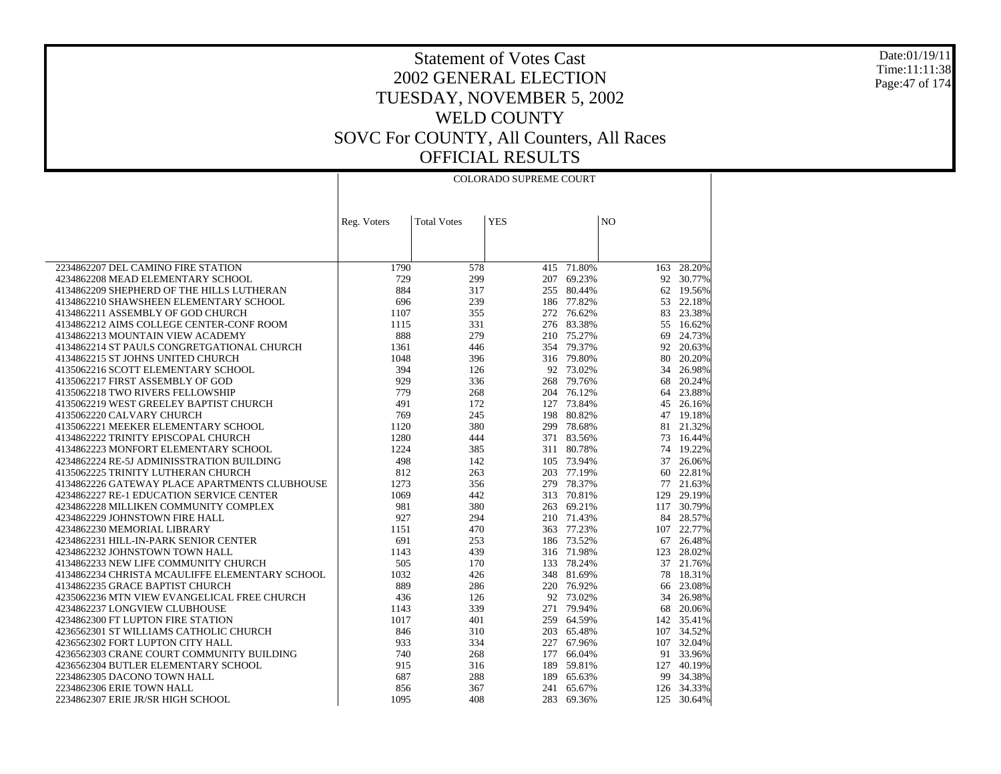Date:01/19/11 Time:11:11:38 Page:47 of 174

|                                                                     | <b>COLORADO SUPREME COURT</b> |                    |            |                      |                |                     |  |
|---------------------------------------------------------------------|-------------------------------|--------------------|------------|----------------------|----------------|---------------------|--|
|                                                                     |                               |                    |            |                      |                |                     |  |
|                                                                     | Reg. Voters                   | <b>Total Votes</b> | <b>YES</b> |                      | N <sub>O</sub> |                     |  |
|                                                                     |                               |                    |            |                      |                |                     |  |
|                                                                     |                               |                    |            |                      |                |                     |  |
|                                                                     |                               |                    |            |                      |                |                     |  |
| 2234862207 DEL CAMINO FIRE STATION                                  | 1790                          | 578                |            | $415 - 71.80%$       | 163            | 28.20%              |  |
| 4234862208 MEAD ELEMENTARY SCHOOL                                   | 729                           | 299                | 207        | 69.23%               | 92             | 30.77%              |  |
| 4134862209 SHEPHERD OF THE HILLS LUTHERAN                           | 884                           | 317                | 255        | 80.44%               |                | 62 19.56%           |  |
| 4134862210 SHAWSHEEN ELEMENTARY SCHOOL                              | 696                           | 239                |            | 186 77.82%           | 53             | 22.18%              |  |
| 4134862211 ASSEMBLY OF GOD CHURCH                                   | 1107                          | 355                | 272        | 76.62%               | 83             | 23.38%              |  |
| 4134862212 AIMS COLLEGE CENTER-CONF ROOM                            | 1115                          | 331                |            | 276 83.38%           | 55             | 16.62%              |  |
| 4134862213 MOUNTAIN VIEW ACADEMY                                    | 888                           | 279                |            | 210 75.27%           | 69             | 24.73%              |  |
| 4134862214 ST PAULS CONGRETGATIONAL CHURCH                          | 1361                          | 446                |            | 354 79.37%           | 92             | 20.63%              |  |
| 4134862215 ST JOHNS UNITED CHURCH                                   | 1048                          | 396                |            | 316 79.80%           | 80             | 20.20%              |  |
| 4135062216 SCOTT ELEMENTARY SCHOOL                                  | 394                           | 126                |            | 92 73.02%            | 34             | 26.98%              |  |
| 4135062217 FIRST ASSEMBLY OF GOD                                    | 929                           | 336                | 268        | 79.76%               | 68             | 20.24%              |  |
| 4135062218 TWO RIVERS FELLOWSHIP                                    | 779<br>491                    | 268                | 127        | 204 76.12%<br>73.84% |                | 64 23.88%           |  |
| 4135062219 WEST GREELEY BAPTIST CHURCH<br>4135062220 CALVARY CHURCH | 769                           | 172<br>245         | 198        | 80.82%               | 45             | 26.16%<br>47 19.18% |  |
| 4135062221 MEEKER ELEMENTARY SCHOOL                                 | 1120                          | 380                | 299        | 78.68%               | 81             | 21.32%              |  |
| 4134862222 TRINITY EPISCOPAL CHURCH                                 | 1280                          | 444                |            | 371 83.56%           |                | 73 16.44%           |  |
| 4134862223 MONFORT ELEMENTARY SCHOOL                                | 1224                          | 385                | 311        | 80.78%               | 74             | 19.22%              |  |
| 4234862224 RE-5J ADMINISSTRATION BUILDING                           | 498                           | 142                |            | 105 73.94%           | 37             | 26.06%              |  |
| 4135062225 TRINITY LUTHERAN CHURCH                                  | 812                           | 263                | 203        | 77.19%               | 60             | 22.81%              |  |
| 4134862226 GATEWAY PLACE APARTMENTS CLUBHOUSE                       | 1273                          | 356                | 279        | 78.37%               | 77             | 21.63%              |  |
| 4234862227 RE-1 EDUCATION SERVICE CENTER                            | 1069                          | 442                |            | 313 70.81%           | 129            | 29.19%              |  |
| 4234862228 MILLIKEN COMMUNITY COMPLEX                               | 981                           | 380                | 263        | 69.21%               | 117            | 30.79%              |  |
| 4234862229 JOHNSTOWN FIRE HALL                                      | 927                           | 294                |            | 210 71.43%           |                | 84 28.57%           |  |
| 4234862230 MEMORIAL LIBRARY                                         | 1151                          | 470                | 363        | 77.23%               |                | 107 22.77%          |  |
| 4234862231 HILL-IN-PARK SENIOR CENTER                               | 691                           | 253                |            | 186 73.52%           | 67             | 26.48%              |  |
| 4234862232 JOHNSTOWN TOWN HALL                                      | 1143                          | 439                |            | 316 71.98%           |                | 123 28.02%          |  |
| 4134862233 NEW LIFE COMMUNITY CHURCH                                | 505                           | 170                | 133        | 78.24%               | 37             | 21.76%              |  |
| 4134862234 CHRISTA MCAULIFFE ELEMENTARY SCHOOL                      | 1032                          | 426                |            | 348 81.69%           | 78             | 18.31%              |  |
| 4134862235 GRACE BAPTIST CHURCH                                     | 889                           | 286                |            | 220 76.92%           | 66             | 23.08%              |  |
| 4235062236 MTN VIEW EVANGELICAL FREE CHURCH                         | 436                           | 126                |            | 92 73.02%            | 34             | 26.98%              |  |
| 4234862237 LONGVIEW CLUBHOUSE                                       | 1143                          | 339                | 271        | 79.94%               | 68             | 20.06%              |  |
| 4234862300 FT LUPTON FIRE STATION                                   | 1017                          | 401                | 259        | 64.59%               |                | 142 35.41%          |  |
| 4236562301 ST WILLIAMS CATHOLIC CHURCH                              | 846                           | 310                |            | 203 65.48%           |                | 107 34.52%          |  |
| 4236562302 FORT LUPTON CITY HALL                                    | 933                           | 334                | 227        | 67.96%               | 107            | 32.04%              |  |
| 4236562303 CRANE COURT COMMUNITY BUILDING                           | 740                           | 268                | 177        | 66.04%               |                | 91 33.96%           |  |
| 4236562304 BUTLER ELEMENTARY SCHOOL                                 | 915                           | 316                | 189        | 59.81%               | 127            | 40.19%              |  |
| 2234862305 DACONO TOWN HALL                                         | 687                           | 288                | 189        | 65.63%               | 99             | 34.38%              |  |
| 2234862306 ERIE TOWN HALL                                           | 856                           | 367                | 241        | 65.67%               |                | 126 34.33%          |  |
| 2234862307 ERIE JR/SR HIGH SCHOOL                                   | 1095                          | 408                |            | 283 69.36%           |                | 125 30.64%          |  |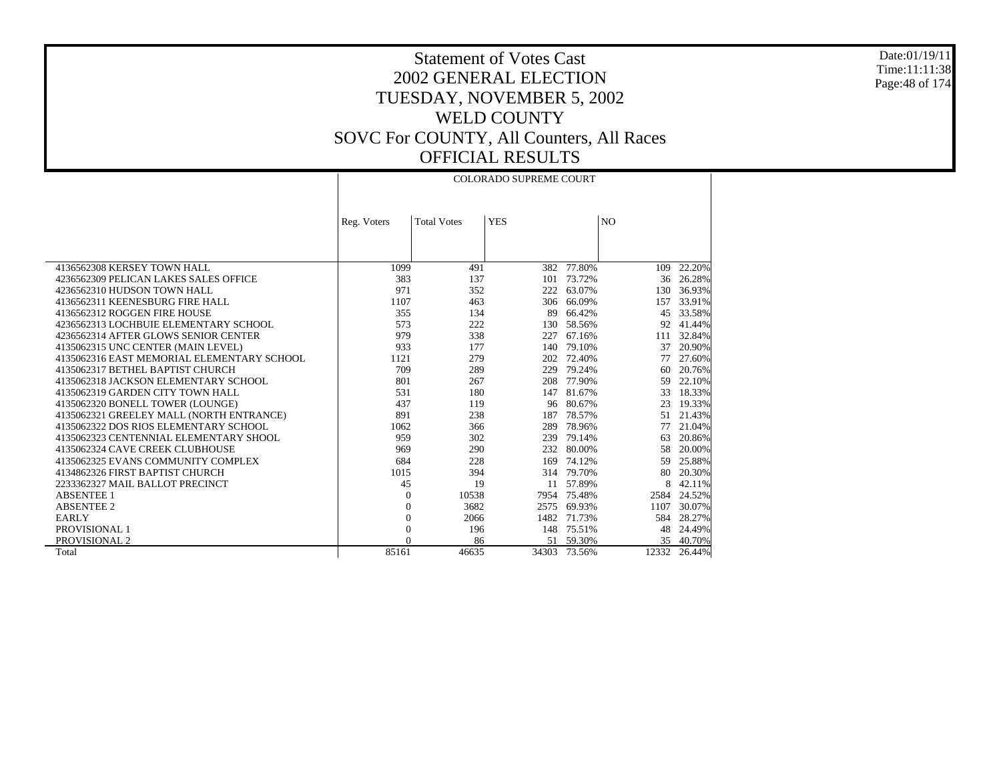#### Date:01/19/11 Time:11:11:38 Page:48 of 174

### Statement of Votes Cast 2002 GENERAL ELECTION TUESDAY, NOVEMBER 5, 2002 WELD COUNTY SOVC For COUNTY, All Counters, All Races OFFICIAL RESULTS

|                                            |                |                    | <b>COLORADO SUPREME COURT</b> |            |                |        |
|--------------------------------------------|----------------|--------------------|-------------------------------|------------|----------------|--------|
|                                            |                |                    |                               |            |                |        |
|                                            |                |                    |                               |            |                |        |
|                                            | Reg. Voters    | <b>Total Votes</b> | <b>YES</b>                    |            | N <sub>O</sub> |        |
|                                            |                |                    |                               |            |                |        |
|                                            |                |                    |                               |            |                |        |
|                                            |                |                    |                               |            |                |        |
| 4136562308 KERSEY TOWN HALL                | 1099           | 491                | 382                           | 77.80%     | 109            | 22.20% |
| 4236562309 PELICAN LAKES SALES OFFICE      | 383            | 137                | 101                           | 73.72%     | 36             | 26.28% |
| 4236562310 HUDSON TOWN HALL                | 971            | 352                | 222                           | 63.07%     | 130            | 36.93% |
| 4136562311 KEENESBURG FIRE HALL            | 1107           | 463                | 306                           | 66.09%     | 157            | 33.91% |
| 4136562312 ROGGEN FIRE HOUSE               | 355            | 134                | 89                            | 66.42%     | 45             | 33.58% |
| 4236562313 LOCHBUIE ELEMENTARY SCHOOL      | 573            | 222                | 130                           | 58.56%     | 92             | 41.44% |
| 4236562314 AFTER GLOWS SENIOR CENTER       | 979            | 338                | 227                           | 67.16%     | 111            | 32.84% |
| 4135062315 UNC CENTER (MAIN LEVEL)         | 933            | 177                | 140                           | 79.10%     | 37             | 20.90% |
| 4135062316 EAST MEMORIAL ELEMENTARY SCHOOL | 1121           | 279                | 202                           | 72.40%     | 77             | 27.60% |
| 4135062317 BETHEL BAPTIST CHURCH           | 709            | 289                | 229                           | 79.24%     | 60             | 20.76% |
| 4135062318 JACKSON ELEMENTARY SCHOOL       | 801            | 267                | 208                           | 77.90%     | 59             | 22.10% |
| 4135062319 GARDEN CITY TOWN HALL           | 531            | 180                | 147                           | 81.67%     | 33             | 18.33% |
| 4135062320 BONELL TOWER (LOUNGE)           | 437            | 119                | 96                            | 80.67%     | 23             | 19.33% |
| 4135062321 GREELEY MALL (NORTH ENTRANCE)   | 891            | 238                | 187                           | 78.57%     | 51             | 21.43% |
| 4135062322 DOS RIOS ELEMENTARY SCHOOL      | 1062           | 366                | 289                           | 78.96%     | 77             | 21.04% |
| 4135062323 CENTENNIAL ELEMENTARY SHOOL     | 959            | 302                | 239                           | 79.14%     | 63             | 20.86% |
| 4135062324 CAVE CREEK CLUBHOUSE            | 969            | 290                | 232                           | 80.00%     | 58             | 20.00% |
| 4135062325 EVANS COMMUNITY COMPLEX         | 684            | 228                | 169                           | 74.12%     | 59             | 25.88% |
| 4134862326 FIRST BAPTIST CHURCH            | 1015           | 394                | 314                           | 79.70%     | 80             | 20.30% |
| 2233362327 MAIL BALLOT PRECINCT            | 45             | 19                 |                               | 11 57.89%  | 8              | 42.11% |
| <b>ABSENTEE 1</b>                          | $\overline{0}$ | 10538              | 7954                          | 75.48%     | 2584           | 24.52% |
| <b>ABSENTEE 2</b>                          | $\overline{0}$ | 3682               | 2575                          | 69.93%     | 1107           | 30.07% |
| <b>EARLY</b>                               | $\mathbf{0}$   | 2066               | 1482                          | 71.73%     | 584            | 28.27% |
| PROVISIONAL 1                              | $\overline{0}$ | 196                |                               | 148 75.51% | 48             | 24.49% |
| PROVISIONAL 2                              | $\Omega$       | 86                 |                               | 51 59.30%  | 35             | 40.70% |
| Total                                      | 85161          | 46635              | 34303                         | 73.56%     | 12332          | 26.44% |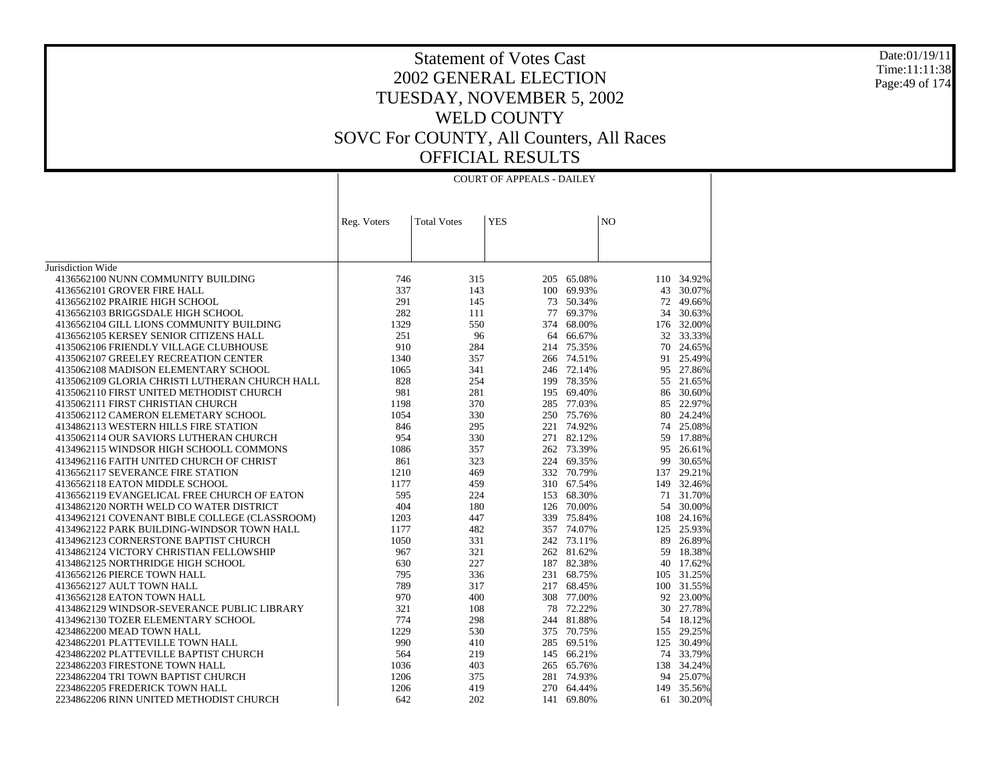Jurisdiction Wide 4136562100 NUNN COMMUNITY BUILDING 4136562101 GROVER FIRE HALL 4136562102 PRAIRIE HIGH SCHOOL 4136562103 BRIGGSDALE HIGH SCHOOL 4136562104 GILL LIONS COMMUNITY BUILDING 4136562105 KERSEY SENIOR CITIZENS HALL 4135062106 FRIENDLY VILLAGE CLUBHOUSE 4135062107 GREELEY RECREATION CENTER 4135062108 MADISON ELEMENTARY SCHOOL 4135062109 GLORIA CHRISTI LUTHERAN CHURCH HALL 4135062110 FIRST UNITED METHODIST CHURCH 4135062111 FIRST CHRISTIAN CHURCH 4135062112 CAMERON ELEMETARY SCHOOL 4134862113 WESTERN HILLS FIRE STATION 4135062114 OUR SAVIORS LUTHERAN CHURCH 4134962115 WINDSOR HIGH SCHOOLL COMMONS 4134962116 FAITH UNITED CHURCH OF CHRIST 4136562117 SEVERANCE FIRE STATION 4136562118 EATON MIDDLE SCHOOL 4136562119 EVANGELICAL FREE CHURCH OF EATON 4134862120 NORTH WELD CO WATER DISTRICT 4134962121 COVENANT BIBLE COLLEGE (CLASSROOM) 4134962122 PARK BUILDING-WINDSOR TOWN HALL 4134962123 CORNERSTONE BAPTIST CHURCH 4134862124 VICTORY CHRISTIAN FELLOWSHIP 4134862125 NORTHRIDGE HIGH SCHOOL 4136562126 PIERCE TOWN HALL 4136562127 AULT TOWN HALL 4136562128 EATON TOWN HALL 4134862129 WINDSOR-SEVERANCE PUBLIC LIBRARY 4134962130 TOZER ELEMENTARY SCHOOL 4234862200 MEAD TOWN HALL 4234862201 PLATTEVILLE TOWN HALL 4234862202 PLATTEVILLE BAPTIST CHURCH 2234862203 FIRESTONE TOWN HALL 2234862204 TRI TOWN BAPTIST CHURCH 2234862205 FREDERICK TOWN HALL 2234862206 RINN UNITED METHODIST CHURCHReg. Voters | Total Votes | YES | NO COURT OF APPEALS - DAILEY746 315 205 65.08% 110 34.92% 337 143 100 69.93% 43 30.07% 291 145 73 50.34% 72 49.66% 282 111 77 69.37% 34 30.63% 1329 550 374 68.00% 176 32.00% 251 96 64 66.67% 32 33.33% 910 284 214 75.35% 70 24.65% 1340 357 266 74.51% 91 25.49% 1065 341 246 72.14% 95 27.86% 828 254 199 78.35% 55 21.65% 981 281 195 69.40% 86 30.60% 1198 370 285 77.03% 85 22.97% 1054 330 250 75.76% 80 24.24% 846 295 221 74.92% 74 25.08% 954 330 271 82.12% 59 17.88% 1086 357 262 73.39% 95 26.61% 861 323 224 69.35% 99 30.65% 1210 469 332 70.79% 137 29.21% 1177 459 310 67.54% 149 32.46% 595 224 153 68.30% 71 31.70% 404 180 126 70.00% 54 30.00% 1203 447 339 75.84% 108 24.16% 1177 482 357 74.07% 125 25.93% 1050 331 242 73.11% 89 26.89% 967 321 262 81.62% 59 18.38% 630 227 187 82.38% 40 17.62% 795 336 231 68.75% 105 31.25% 789 317 217 68.45% 100 31.55% 970 400 308 77.00% 92 23.00% 321 108 78 72.22% 30 27.78% 774 298 244 81.88% 54 18.12% 1229 530 375 70.75% 155 29.25% 990 410 285 69.51% 125 30.49% 564 219 145 66.21% 74 33.79% 1036 403 265 65.76% 138 34.24% 1206 375 281 74.93% 94 25.07% 1206 419 270 64.44% 149 35.56% 642 202 141 69.80%61 30.20%

Date:01/19/11Time:11:11:38Page:49 of 174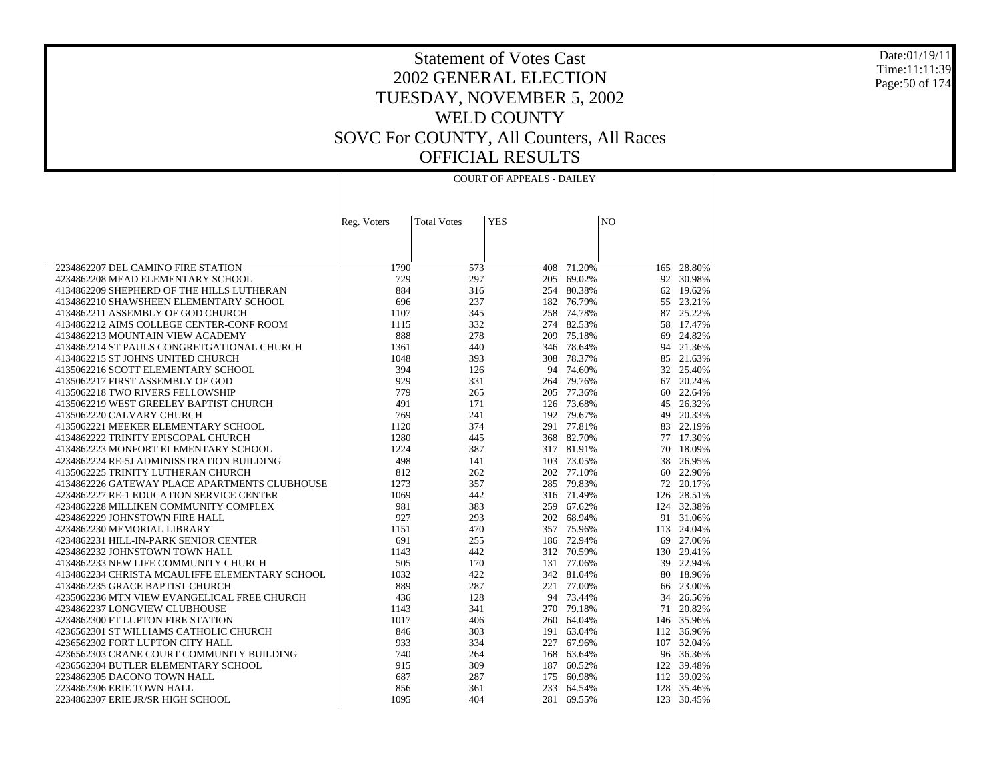#### Date:01/19/11 Time:11:11:39 Page:50 of 174

#### Statement of Votes Cast 2002 GENERAL ELECTION TUESDAY, NOVEMBER 5, 2002 WELD COUNTY SOVC For COUNTY, All Counters, All Races OFFICIAL RESULTS

| <b>YES</b><br>N <sub>O</sub><br><b>Total Votes</b><br>Reg. Voters<br>1790<br>71.20%<br>28.80%<br>2234862207 DEL CAMINO FIRE STATION<br>573<br>408<br>165<br>729<br>92 30.98%<br>4234862208 MEAD ELEMENTARY SCHOOL<br>297<br>205<br>69.02%<br>884<br>4134862209 SHEPHERD OF THE HILLS LUTHERAN<br>316<br>254<br>80.38%<br>62 19.62%<br>4134862210 SHAWSHEEN ELEMENTARY SCHOOL<br>696<br>237<br>182 76.79%<br>55 23.21%<br>345<br>258 74.78%<br>25.22%<br>4134862211 ASSEMBLY OF GOD CHURCH<br>1107<br>87<br>332<br>274 82.53%<br>4134862212 AIMS COLLEGE CENTER-CONF ROOM<br>1115<br>58<br>17.47%<br>888<br>278<br>209 75.18%<br>24.82%<br>4134862213 MOUNTAIN VIEW ACADEMY<br>69<br>4134862214 ST PAULS CONGRETGATIONAL CHURCH<br>1361<br>440<br>346<br>78.64%<br>94<br>21.36%<br>4134862215 ST JOHNS UNITED CHURCH<br>1048<br>393<br>308<br>78.37%<br>85 21.63%<br>394<br>126<br>94<br>74.60%<br>32 25.40%<br>4135062216 SCOTT ELEMENTARY SCHOOL<br>929<br>79.76%<br>20.24%<br>4135062217 FIRST ASSEMBLY OF GOD<br>331<br>264<br>67<br>779<br>4135062218 TWO RIVERS FELLOWSHIP<br>265<br>205<br>77.36%<br>60<br>22.64%<br>491<br>171<br>126 73.68%<br>26.32%<br>4135062219 WEST GREELEY BAPTIST CHURCH<br>45<br>4135062220 CALVARY CHURCH<br>769<br>241<br>192 79.67%<br>49<br>20.33%<br>4135062221 MEEKER ELEMENTARY SCHOOL<br>1120<br>374<br>291<br>77.81%<br>83<br>22.19%<br>4134862222 TRINITY EPISCOPAL CHURCH<br>1280<br>368 82.70%<br>77 17.30%<br>445<br>1224<br>4134862223 MONFORT ELEMENTARY SCHOOL<br>387<br>317 81.91%<br>70<br>18.09%<br>498<br>4234862224 RE-5J ADMINISSTRATION BUILDING<br>141<br>103<br>73.05%<br>38<br>26.95%<br>812<br>4135062225 TRINITY LUTHERAN CHURCH<br>262<br>202 77.10%<br>60<br>22.90%<br>4134862226 GATEWAY PLACE APARTMENTS CLUBHOUSE<br>1273<br>357<br>285<br>79.83%<br>72<br>20.17%<br>4234862227 RE-1 EDUCATION SERVICE CENTER<br>1069<br>442<br>316 71.49%<br>28.51%<br>126 |
|------------------------------------------------------------------------------------------------------------------------------------------------------------------------------------------------------------------------------------------------------------------------------------------------------------------------------------------------------------------------------------------------------------------------------------------------------------------------------------------------------------------------------------------------------------------------------------------------------------------------------------------------------------------------------------------------------------------------------------------------------------------------------------------------------------------------------------------------------------------------------------------------------------------------------------------------------------------------------------------------------------------------------------------------------------------------------------------------------------------------------------------------------------------------------------------------------------------------------------------------------------------------------------------------------------------------------------------------------------------------------------------------------------------------------------------------------------------------------------------------------------------------------------------------------------------------------------------------------------------------------------------------------------------------------------------------------------------------------------------------------------------------------------------------------------------------------------------------------------------------------------------------------------------------------|
|                                                                                                                                                                                                                                                                                                                                                                                                                                                                                                                                                                                                                                                                                                                                                                                                                                                                                                                                                                                                                                                                                                                                                                                                                                                                                                                                                                                                                                                                                                                                                                                                                                                                                                                                                                                                                                                                                                                              |
|                                                                                                                                                                                                                                                                                                                                                                                                                                                                                                                                                                                                                                                                                                                                                                                                                                                                                                                                                                                                                                                                                                                                                                                                                                                                                                                                                                                                                                                                                                                                                                                                                                                                                                                                                                                                                                                                                                                              |
|                                                                                                                                                                                                                                                                                                                                                                                                                                                                                                                                                                                                                                                                                                                                                                                                                                                                                                                                                                                                                                                                                                                                                                                                                                                                                                                                                                                                                                                                                                                                                                                                                                                                                                                                                                                                                                                                                                                              |
|                                                                                                                                                                                                                                                                                                                                                                                                                                                                                                                                                                                                                                                                                                                                                                                                                                                                                                                                                                                                                                                                                                                                                                                                                                                                                                                                                                                                                                                                                                                                                                                                                                                                                                                                                                                                                                                                                                                              |
|                                                                                                                                                                                                                                                                                                                                                                                                                                                                                                                                                                                                                                                                                                                                                                                                                                                                                                                                                                                                                                                                                                                                                                                                                                                                                                                                                                                                                                                                                                                                                                                                                                                                                                                                                                                                                                                                                                                              |
|                                                                                                                                                                                                                                                                                                                                                                                                                                                                                                                                                                                                                                                                                                                                                                                                                                                                                                                                                                                                                                                                                                                                                                                                                                                                                                                                                                                                                                                                                                                                                                                                                                                                                                                                                                                                                                                                                                                              |
|                                                                                                                                                                                                                                                                                                                                                                                                                                                                                                                                                                                                                                                                                                                                                                                                                                                                                                                                                                                                                                                                                                                                                                                                                                                                                                                                                                                                                                                                                                                                                                                                                                                                                                                                                                                                                                                                                                                              |
|                                                                                                                                                                                                                                                                                                                                                                                                                                                                                                                                                                                                                                                                                                                                                                                                                                                                                                                                                                                                                                                                                                                                                                                                                                                                                                                                                                                                                                                                                                                                                                                                                                                                                                                                                                                                                                                                                                                              |
|                                                                                                                                                                                                                                                                                                                                                                                                                                                                                                                                                                                                                                                                                                                                                                                                                                                                                                                                                                                                                                                                                                                                                                                                                                                                                                                                                                                                                                                                                                                                                                                                                                                                                                                                                                                                                                                                                                                              |
|                                                                                                                                                                                                                                                                                                                                                                                                                                                                                                                                                                                                                                                                                                                                                                                                                                                                                                                                                                                                                                                                                                                                                                                                                                                                                                                                                                                                                                                                                                                                                                                                                                                                                                                                                                                                                                                                                                                              |
|                                                                                                                                                                                                                                                                                                                                                                                                                                                                                                                                                                                                                                                                                                                                                                                                                                                                                                                                                                                                                                                                                                                                                                                                                                                                                                                                                                                                                                                                                                                                                                                                                                                                                                                                                                                                                                                                                                                              |
|                                                                                                                                                                                                                                                                                                                                                                                                                                                                                                                                                                                                                                                                                                                                                                                                                                                                                                                                                                                                                                                                                                                                                                                                                                                                                                                                                                                                                                                                                                                                                                                                                                                                                                                                                                                                                                                                                                                              |
|                                                                                                                                                                                                                                                                                                                                                                                                                                                                                                                                                                                                                                                                                                                                                                                                                                                                                                                                                                                                                                                                                                                                                                                                                                                                                                                                                                                                                                                                                                                                                                                                                                                                                                                                                                                                                                                                                                                              |
|                                                                                                                                                                                                                                                                                                                                                                                                                                                                                                                                                                                                                                                                                                                                                                                                                                                                                                                                                                                                                                                                                                                                                                                                                                                                                                                                                                                                                                                                                                                                                                                                                                                                                                                                                                                                                                                                                                                              |
|                                                                                                                                                                                                                                                                                                                                                                                                                                                                                                                                                                                                                                                                                                                                                                                                                                                                                                                                                                                                                                                                                                                                                                                                                                                                                                                                                                                                                                                                                                                                                                                                                                                                                                                                                                                                                                                                                                                              |
|                                                                                                                                                                                                                                                                                                                                                                                                                                                                                                                                                                                                                                                                                                                                                                                                                                                                                                                                                                                                                                                                                                                                                                                                                                                                                                                                                                                                                                                                                                                                                                                                                                                                                                                                                                                                                                                                                                                              |
|                                                                                                                                                                                                                                                                                                                                                                                                                                                                                                                                                                                                                                                                                                                                                                                                                                                                                                                                                                                                                                                                                                                                                                                                                                                                                                                                                                                                                                                                                                                                                                                                                                                                                                                                                                                                                                                                                                                              |
|                                                                                                                                                                                                                                                                                                                                                                                                                                                                                                                                                                                                                                                                                                                                                                                                                                                                                                                                                                                                                                                                                                                                                                                                                                                                                                                                                                                                                                                                                                                                                                                                                                                                                                                                                                                                                                                                                                                              |
|                                                                                                                                                                                                                                                                                                                                                                                                                                                                                                                                                                                                                                                                                                                                                                                                                                                                                                                                                                                                                                                                                                                                                                                                                                                                                                                                                                                                                                                                                                                                                                                                                                                                                                                                                                                                                                                                                                                              |
|                                                                                                                                                                                                                                                                                                                                                                                                                                                                                                                                                                                                                                                                                                                                                                                                                                                                                                                                                                                                                                                                                                                                                                                                                                                                                                                                                                                                                                                                                                                                                                                                                                                                                                                                                                                                                                                                                                                              |
|                                                                                                                                                                                                                                                                                                                                                                                                                                                                                                                                                                                                                                                                                                                                                                                                                                                                                                                                                                                                                                                                                                                                                                                                                                                                                                                                                                                                                                                                                                                                                                                                                                                                                                                                                                                                                                                                                                                              |
|                                                                                                                                                                                                                                                                                                                                                                                                                                                                                                                                                                                                                                                                                                                                                                                                                                                                                                                                                                                                                                                                                                                                                                                                                                                                                                                                                                                                                                                                                                                                                                                                                                                                                                                                                                                                                                                                                                                              |
|                                                                                                                                                                                                                                                                                                                                                                                                                                                                                                                                                                                                                                                                                                                                                                                                                                                                                                                                                                                                                                                                                                                                                                                                                                                                                                                                                                                                                                                                                                                                                                                                                                                                                                                                                                                                                                                                                                                              |
|                                                                                                                                                                                                                                                                                                                                                                                                                                                                                                                                                                                                                                                                                                                                                                                                                                                                                                                                                                                                                                                                                                                                                                                                                                                                                                                                                                                                                                                                                                                                                                                                                                                                                                                                                                                                                                                                                                                              |
|                                                                                                                                                                                                                                                                                                                                                                                                                                                                                                                                                                                                                                                                                                                                                                                                                                                                                                                                                                                                                                                                                                                                                                                                                                                                                                                                                                                                                                                                                                                                                                                                                                                                                                                                                                                                                                                                                                                              |
|                                                                                                                                                                                                                                                                                                                                                                                                                                                                                                                                                                                                                                                                                                                                                                                                                                                                                                                                                                                                                                                                                                                                                                                                                                                                                                                                                                                                                                                                                                                                                                                                                                                                                                                                                                                                                                                                                                                              |
| 981<br>383<br>259<br>67.62%<br>124 32.38%<br>4234862228 MILLIKEN COMMUNITY COMPLEX                                                                                                                                                                                                                                                                                                                                                                                                                                                                                                                                                                                                                                                                                                                                                                                                                                                                                                                                                                                                                                                                                                                                                                                                                                                                                                                                                                                                                                                                                                                                                                                                                                                                                                                                                                                                                                           |
| 4234862229 JOHNSTOWN FIRE HALL<br>927<br>293<br>202 68.94%<br>91 31.06%                                                                                                                                                                                                                                                                                                                                                                                                                                                                                                                                                                                                                                                                                                                                                                                                                                                                                                                                                                                                                                                                                                                                                                                                                                                                                                                                                                                                                                                                                                                                                                                                                                                                                                                                                                                                                                                      |
| 1151<br>470<br>357 75.96%<br>113<br>24.04%<br>4234862230 MEMORIAL LIBRARY                                                                                                                                                                                                                                                                                                                                                                                                                                                                                                                                                                                                                                                                                                                                                                                                                                                                                                                                                                                                                                                                                                                                                                                                                                                                                                                                                                                                                                                                                                                                                                                                                                                                                                                                                                                                                                                    |
| 27.06%<br>4234862231 HILL-IN-PARK SENIOR CENTER<br>691<br>255<br>186 72.94%<br>69                                                                                                                                                                                                                                                                                                                                                                                                                                                                                                                                                                                                                                                                                                                                                                                                                                                                                                                                                                                                                                                                                                                                                                                                                                                                                                                                                                                                                                                                                                                                                                                                                                                                                                                                                                                                                                            |
| 4234862232 JOHNSTOWN TOWN HALL<br>1143<br>442<br>312 70.59%<br>130 29.41%                                                                                                                                                                                                                                                                                                                                                                                                                                                                                                                                                                                                                                                                                                                                                                                                                                                                                                                                                                                                                                                                                                                                                                                                                                                                                                                                                                                                                                                                                                                                                                                                                                                                                                                                                                                                                                                    |
| 4134862233 NEW LIFE COMMUNITY CHURCH<br>505<br>170<br>131<br>77.06%<br>39<br>22.94%                                                                                                                                                                                                                                                                                                                                                                                                                                                                                                                                                                                                                                                                                                                                                                                                                                                                                                                                                                                                                                                                                                                                                                                                                                                                                                                                                                                                                                                                                                                                                                                                                                                                                                                                                                                                                                          |
| 1032<br>342 81.04%<br>4134862234 CHRISTA MCAULIFFE ELEMENTARY SCHOOL<br>422<br>80<br>18.96%                                                                                                                                                                                                                                                                                                                                                                                                                                                                                                                                                                                                                                                                                                                                                                                                                                                                                                                                                                                                                                                                                                                                                                                                                                                                                                                                                                                                                                                                                                                                                                                                                                                                                                                                                                                                                                  |
| 889<br>4134862235 GRACE BAPTIST CHURCH<br>287<br>221<br>77.00%<br>23.00%<br>66                                                                                                                                                                                                                                                                                                                                                                                                                                                                                                                                                                                                                                                                                                                                                                                                                                                                                                                                                                                                                                                                                                                                                                                                                                                                                                                                                                                                                                                                                                                                                                                                                                                                                                                                                                                                                                               |
| 4235062236 MTN VIEW EVANGELICAL FREE CHURCH<br>436<br>128<br>94<br>73.44%<br>34<br>26.56%                                                                                                                                                                                                                                                                                                                                                                                                                                                                                                                                                                                                                                                                                                                                                                                                                                                                                                                                                                                                                                                                                                                                                                                                                                                                                                                                                                                                                                                                                                                                                                                                                                                                                                                                                                                                                                    |
| 4234862237 LONGVIEW CLUBHOUSE<br>1143<br>341<br>270 79.18%<br>71<br>20.82%                                                                                                                                                                                                                                                                                                                                                                                                                                                                                                                                                                                                                                                                                                                                                                                                                                                                                                                                                                                                                                                                                                                                                                                                                                                                                                                                                                                                                                                                                                                                                                                                                                                                                                                                                                                                                                                   |
| 4234862300 FT LUPTON FIRE STATION<br>1017<br>406<br>260 64.04%<br>146 35.96%                                                                                                                                                                                                                                                                                                                                                                                                                                                                                                                                                                                                                                                                                                                                                                                                                                                                                                                                                                                                                                                                                                                                                                                                                                                                                                                                                                                                                                                                                                                                                                                                                                                                                                                                                                                                                                                 |
| 846<br>191<br>112 36.96%<br>4236562301 ST WILLIAMS CATHOLIC CHURCH<br>303<br>63.04%<br>107                                                                                                                                                                                                                                                                                                                                                                                                                                                                                                                                                                                                                                                                                                                                                                                                                                                                                                                                                                                                                                                                                                                                                                                                                                                                                                                                                                                                                                                                                                                                                                                                                                                                                                                                                                                                                                   |
| 933<br>334<br>227<br>67.96%<br>32.04%<br>4236562302 FORT LUPTON CITY HALL<br>4236562303 CRANE COURT COMMUNITY BUILDING<br>740<br>168<br>63.64%<br>96 36.36%<br>264                                                                                                                                                                                                                                                                                                                                                                                                                                                                                                                                                                                                                                                                                                                                                                                                                                                                                                                                                                                                                                                                                                                                                                                                                                                                                                                                                                                                                                                                                                                                                                                                                                                                                                                                                           |
| 915<br>309<br>39.48%<br>4236562304 BUTLER ELEMENTARY SCHOOL<br>187<br>60.52%<br>122                                                                                                                                                                                                                                                                                                                                                                                                                                                                                                                                                                                                                                                                                                                                                                                                                                                                                                                                                                                                                                                                                                                                                                                                                                                                                                                                                                                                                                                                                                                                                                                                                                                                                                                                                                                                                                          |
| 687<br>287<br>60.98%<br>112<br>39.02%<br>2234862305 DACONO TOWN HALL<br>175                                                                                                                                                                                                                                                                                                                                                                                                                                                                                                                                                                                                                                                                                                                                                                                                                                                                                                                                                                                                                                                                                                                                                                                                                                                                                                                                                                                                                                                                                                                                                                                                                                                                                                                                                                                                                                                  |
| 2234862306 ERIE TOWN HALL<br>233<br>128 35.46%<br>856<br>361<br>64.54%                                                                                                                                                                                                                                                                                                                                                                                                                                                                                                                                                                                                                                                                                                                                                                                                                                                                                                                                                                                                                                                                                                                                                                                                                                                                                                                                                                                                                                                                                                                                                                                                                                                                                                                                                                                                                                                       |
| 404<br>281<br>123 30.45%<br>2234862307 ERIE JR/SR HIGH SCHOOL<br>1095<br>69.55%                                                                                                                                                                                                                                                                                                                                                                                                                                                                                                                                                                                                                                                                                                                                                                                                                                                                                                                                                                                                                                                                                                                                                                                                                                                                                                                                                                                                                                                                                                                                                                                                                                                                                                                                                                                                                                              |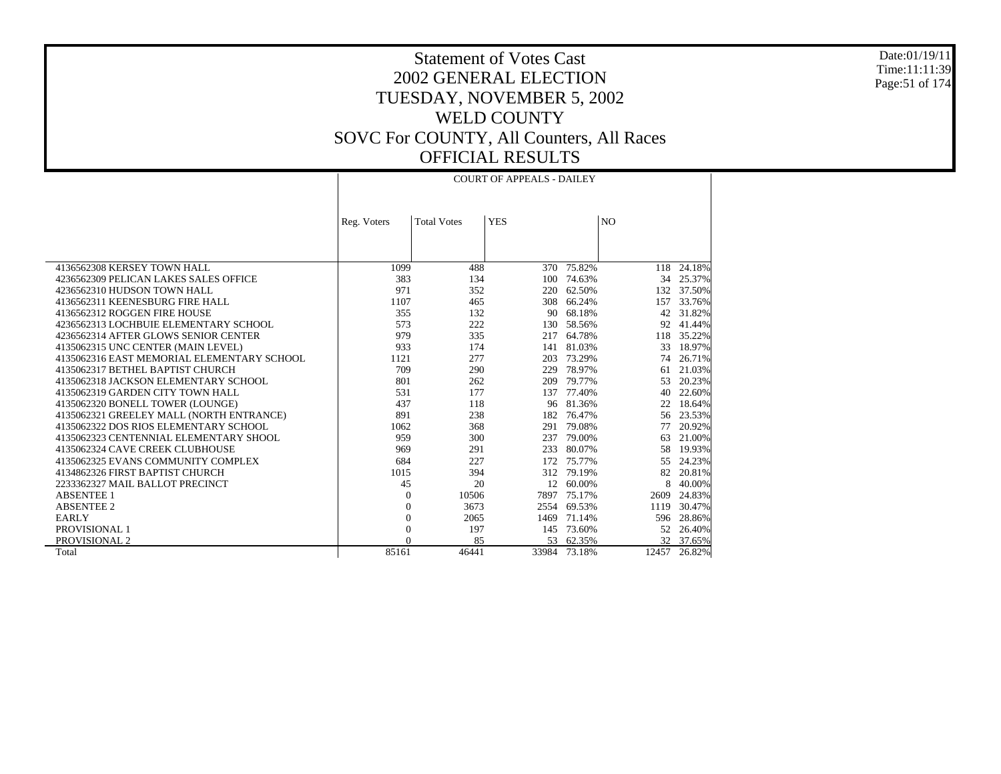Date:01/19/11 Time:11:11:39 Page:51 of 174

Τ

### Statement of Votes Cast 2002 GENERAL ELECTION TUESDAY, NOVEMBER 5, 2002 WELD COUNTY SOVC For COUNTY, All Counters, All Races OFFICIAL RESULTS

|                                            |                |                    | COURT OF APPEALS - DAILEY |              |                |            |
|--------------------------------------------|----------------|--------------------|---------------------------|--------------|----------------|------------|
|                                            |                |                    |                           |              |                |            |
|                                            |                |                    |                           |              |                |            |
|                                            |                | <b>Total Votes</b> | <b>YES</b>                |              | N <sub>O</sub> |            |
|                                            | Reg. Voters    |                    |                           |              |                |            |
|                                            |                |                    |                           |              |                |            |
|                                            |                |                    |                           |              |                |            |
| 4136562308 KERSEY TOWN HALL                | 1099           | 488                | 370                       | 75.82%       | 118            | 24.18%     |
| 4236562309 PELICAN LAKES SALES OFFICE      | 383            | 134                |                           | 100 74.63%   | 34             | 25.37%     |
| 4236562310 HUDSON TOWN HALL                | 971            | 352                | 220                       | 62.50%       |                | 132 37.50% |
| 4136562311 KEENESBURG FIRE HALL            | 1107           | 465                | 308                       | 66.24%       | 157            | 33.76%     |
| 4136562312 ROGGEN FIRE HOUSE               | 355            | 132                | 90                        | 68.18%       | 42             | 31.82%     |
| 4236562313 LOCHBUIE ELEMENTARY SCHOOL      | 573            | 222                | 130                       | 58.56%       | 92             | 41.44%     |
| 4236562314 AFTER GLOWS SENIOR CENTER       | 979            | 335                | 217                       | 64.78%       | 118            | 35.22%     |
| 4135062315 UNC CENTER (MAIN LEVEL)         | 933            | 174                | 141                       | 81.03%       | 33             | 18.97%     |
| 4135062316 EAST MEMORIAL ELEMENTARY SCHOOL | 1121           | 277                | 203                       | 73.29%       | 74             | 26.71%     |
| 4135062317 BETHEL BAPTIST CHURCH           | 709            | 290                | 229                       | 78.97%       | 61             | 21.03%     |
| 4135062318 JACKSON ELEMENTARY SCHOOL       | 801            | 262                | 209                       | 79.77%       | 53             | 20.23%     |
| 4135062319 GARDEN CITY TOWN HALL           | 531            | 177                | 137                       | 77.40%       | 40             | 22.60%     |
| 4135062320 BONELL TOWER (LOUNGE)           | 437            | 118                | 96                        | 81.36%       | 22             | 18.64%     |
| 4135062321 GREELEY MALL (NORTH ENTRANCE)   | 891            | 238                | 182                       | 76.47%       | 56             | 23.53%     |
| 4135062322 DOS RIOS ELEMENTARY SCHOOL      | 1062           | 368                | 291                       | 79.08%       | 77             | 20.92%     |
| 4135062323 CENTENNIAL ELEMENTARY SHOOL     | 959            | 300                | 237                       | 79.00%       | 63             | 21.00%     |
| 4135062324 CAVE CREEK CLUBHOUSE            | 969            | 291                | 233                       | 80.07%       | 58             | 19.93%     |
| 4135062325 EVANS COMMUNITY COMPLEX         | 684            | 227                | 172                       | 75.77%       | 55             | 24.23%     |
| 4134862326 FIRST BAPTIST CHURCH            | 1015           | 394                | 312                       | 79.19%       | 82             | 20.81%     |
| 2233362327 MAIL BALLOT PRECINCT            | 45             | 20                 | 12                        | 60.00%       | 8              | 40.00%     |
| <b>ABSENTEE 1</b>                          | $\theta$       | 10506              | 7897                      | 75.17%       | 2609           | 24.83%     |
| <b>ABSENTEE 2</b>                          | $\theta$       | 3673               | 2554                      | 69.53%       | 1119           | 30.47%     |
| <b>EARLY</b>                               | $\theta$       | 2065               | 1469                      | 71.14%       | 596            | 28.86%     |
| PROVISIONAL 1                              | $\overline{0}$ | 197                | 145                       | 73.60%       | 52             | 26.40%     |
| PROVISIONAL 2                              | $\Omega$       | 85                 | 53                        | 62.35%       |                | 32 37.65%  |
| Total                                      | 85161          | 46441              |                           | 33984 73.18% | 12457          | 26.82%     |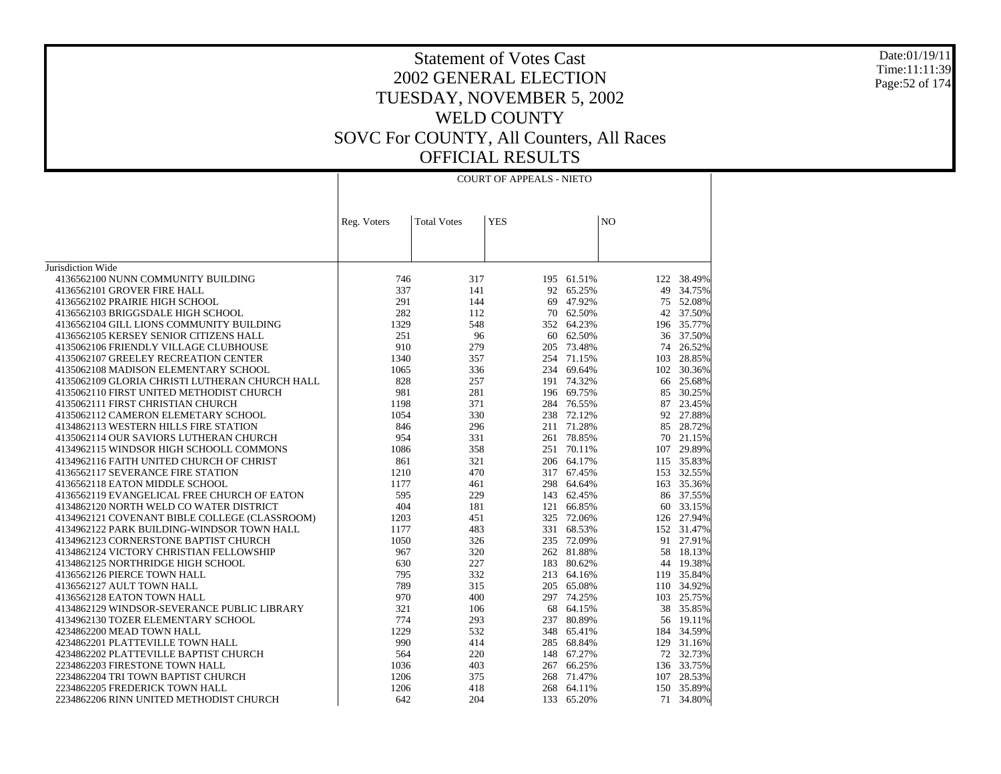#### Date:01/19/11 Time:11:11:39 Page:52 of 174

|                                                |             |                    | <b>COURT OF APPEALS - NIETO</b> |            |                |            |
|------------------------------------------------|-------------|--------------------|---------------------------------|------------|----------------|------------|
|                                                |             |                    |                                 |            |                |            |
|                                                | Reg. Voters | <b>Total Votes</b> | <b>YES</b>                      |            | N <sub>O</sub> |            |
|                                                |             |                    |                                 |            |                |            |
|                                                |             |                    |                                 |            |                |            |
| Jurisdiction Wide                              |             |                    |                                 |            |                |            |
| 4136562100 NUNN COMMUNITY BUILDING             | 746         | 317                |                                 | 195 61.51% |                | 122 38.49% |
| 4136562101 GROVER FIRE HALL                    | 337         | 141                | 92                              | 65.25%     | 49             | 34.75%     |
| 4136562102 PRAIRIE HIGH SCHOOL                 | 291         | 144                | 69                              | 47.92%     | 75             | 52.08%     |
| 4136562103 BRIGGSDALE HIGH SCHOOL              | 282         | 112                |                                 | 70 62.50%  |                | 42 37.50%  |
| 4136562104 GILL LIONS COMMUNITY BUILDING       | 1329        | 548                |                                 | 352 64.23% | 196            | 35.77%     |
| 4136562105 KERSEY SENIOR CITIZENS HALL         | 251         | 96                 |                                 | 60 62.50%  |                | 36 37.50%  |
| 4135062106 FRIENDLY VILLAGE CLUBHOUSE          | 910         | 279                | 205                             | 73.48%     | 74             | 26.52%     |
| 4135062107 GREELEY RECREATION CENTER           | 1340        | 357                |                                 | 254 71.15% | 103            | 28.85%     |
| 4135062108 MADISON ELEMENTARY SCHOOL           | 1065        | 336                |                                 | 234 69.64% | 102            | 30.36%     |
| 4135062109 GLORIA CHRISTI LUTHERAN CHURCH HALL | 828         | 257                |                                 | 191 74.32% | 66             | 25.68%     |
| 4135062110 FIRST UNITED METHODIST CHURCH       | 981         | 281                |                                 | 196 69.75% | 85             | 30.25%     |
| 4135062111 FIRST CHRISTIAN CHURCH              | 1198        | 371                |                                 | 284 76.55% | 87             | 23.45%     |
| 4135062112 CAMERON ELEMETARY SCHOOL            | 1054        | 330                |                                 | 238 72.12% | 92             | 27.88%     |
| 4134862113 WESTERN HILLS FIRE STATION          | 846         | 296                |                                 | 211 71.28% | 85             | 28.72%     |
| 4135062114 OUR SAVIORS LUTHERAN CHURCH         | 954         | 331                |                                 | 261 78.85% |                | 70 21.15%  |
| 4134962115 WINDSOR HIGH SCHOOLL COMMONS        | 1086        | 358                |                                 | 251 70.11% |                | 107 29.89% |
| 4134962116 FAITH UNITED CHURCH OF CHRIST       | 861         | 321                |                                 | 206 64.17% |                | 115 35.83% |
| 4136562117 SEVERANCE FIRE STATION              | 1210        | 470                |                                 | 317 67.45% | 153            | 32.55%     |
| 4136562118 EATON MIDDLE SCHOOL                 | 1177        | 461                |                                 | 298 64.64% |                | 163 35.36% |
| 4136562119 EVANGELICAL FREE CHURCH OF EATON    | 595         | 229                |                                 | 143 62.45% | 86             | 37.55%     |
| 4134862120 NORTH WELD CO WATER DISTRICT        | 404         | 181                |                                 | 121 66.85% | 60             | 33.15%     |
| 4134962121 COVENANT BIBLE COLLEGE (CLASSROOM)  | 1203        | 451                |                                 | 325 72.06% |                | 126 27.94% |
| 4134962122 PARK BUILDING-WINDSOR TOWN HALL     | 1177        | 483                |                                 | 331 68.53% | 152            | 31.47%     |
| 4134962123 CORNERSTONE BAPTIST CHURCH          | 1050        | 326                |                                 | 235 72.09% |                | 91 27.91%  |
| 4134862124 VICTORY CHRISTIAN FELLOWSHIP        | 967         | 320                |                                 | 262 81.88% | 58             | 18.13%     |
| 4134862125 NORTHRIDGE HIGH SCHOOL              | 630         | 227                |                                 | 183 80.62% | 44             | 19.38%     |
| 4136562126 PIERCE TOWN HALL                    | 795         | 332                |                                 | 213 64.16% |                | 119 35.84% |
| 4136562127 AULT TOWN HALL                      | 789         | 315                |                                 | 205 65.08% | 110            | 34.92%     |
| 4136562128 EATON TOWN HALL                     | 970         | 400                |                                 | 297 74.25% |                | 103 25.75% |
| 4134862129 WINDSOR-SEVERANCE PUBLIC LIBRARY    | 321         | 106                | 68                              | 64.15%     | 38             | 35.85%     |
| 4134962130 TOZER ELEMENTARY SCHOOL             | 774         | 293                | 237                             | 80.89%     | 56             | 19.11%     |
| 4234862200 MEAD TOWN HALL                      | 1229        | 532                |                                 | 348 65.41% | 184            | 34.59%     |
| 4234862201 PLATTEVILLE TOWN HALL               | 990         | 414                | 285                             | 68.84%     | 129            | 31.16%     |
| 4234862202 PLATTEVILLE BAPTIST CHURCH          | 564         | 220                |                                 | 148 67.27% |                | 72 32.73%  |
| 2234862203 FIRESTONE TOWN HALL                 | 1036        | 403                | 267                             | 66.25%     |                | 136 33.75% |
| 2234862204 TRI TOWN BAPTIST CHURCH             | 1206        | 375                | 268                             | 71.47%     | 107            | 28.53%     |
| 2234862205 FREDERICK TOWN HALL                 | 1206        | 418                | 268                             | 64.11%     |                | 150 35.89% |
| 2234862206 RINN UNITED METHODIST CHURCH        | 642         | 204                | 133                             | 65.20%     |                | 71 34.80%  |
|                                                |             |                    |                                 |            |                |            |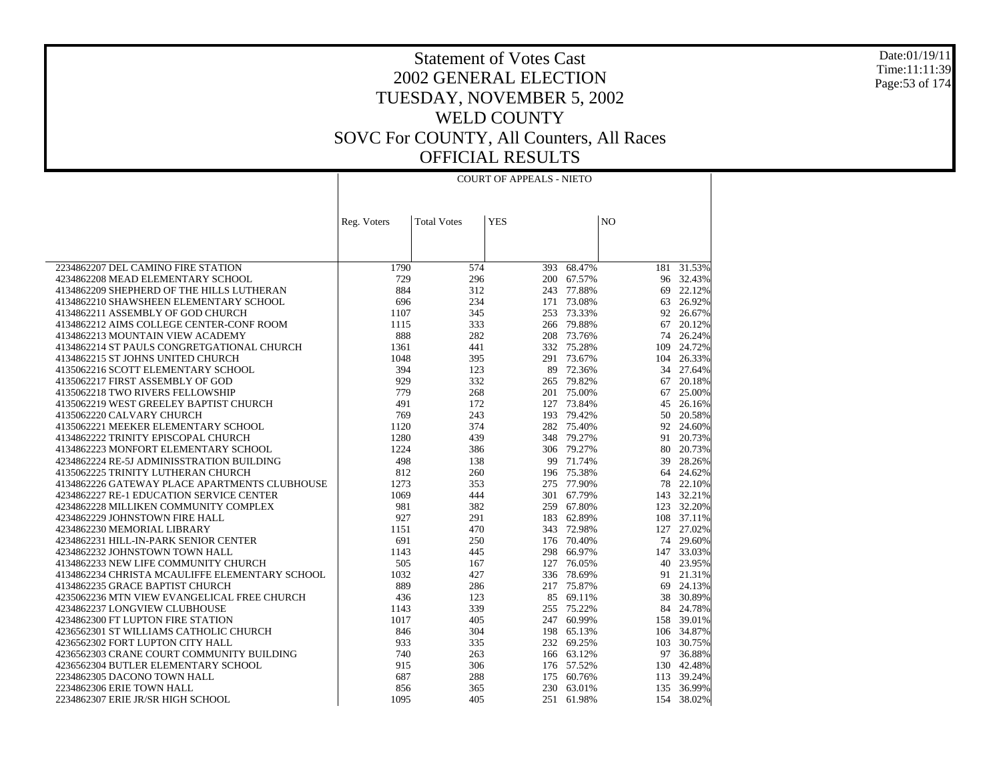Date:01/19/11 Time:11:11:39 Page:53 of 174

### Statement of Votes Cast 2002 GENERAL ELECTION TUESDAY, NOVEMBER 5, 2002 WELD COUNTY SOVC For COUNTY, All Counters, All Races OFFICIAL RESULTS

| <b>YES</b><br>N <sub>O</sub><br><b>Total Votes</b><br>Reg. Voters<br>1790<br>68.47%<br>$181 - 31.53%$<br>2234862207 DEL CAMINO FIRE STATION<br>574<br>393<br>729<br>296<br>4234862208 MEAD ELEMENTARY SCHOOL<br>200 67.57%<br>96 32.43%<br>884<br>312<br>77.88%<br>22.12%<br>4134862209 SHEPHERD OF THE HILLS LUTHERAN<br>243<br>69<br>4134862210 SHAWSHEEN ELEMENTARY SCHOOL<br>696<br>234<br>171 73.08%<br>26.92%<br>63<br>1107<br>345<br>4134862211 ASSEMBLY OF GOD CHURCH<br>253<br>73.33%<br>92<br>26.67%<br>333<br>266 79.88%<br>20.12%<br>4134862212 AIMS COLLEGE CENTER-CONF ROOM<br>1115<br>67<br>888<br>282<br>208 73.76%<br>74 26.24%<br>4134862213 MOUNTAIN VIEW ACADEMY<br>441<br>75.28%<br>24.72%<br>4134862214 ST PAULS CONGRETGATIONAL CHURCH<br>1361<br>332<br>109<br>1048<br>291 73.67%<br>104 26.33%<br>4134862215 ST JOHNS UNITED CHURCH<br>395<br>394<br>123<br>72.36%<br>4135062216 SCOTT ELEMENTARY SCHOOL<br>89<br>34<br>27.64%<br>929<br>332<br>4135062217 FIRST ASSEMBLY OF GOD<br>265 79.82%<br>67<br>20.18%<br>779<br>268<br>201 75.00%<br>25.00%<br>4135062218 TWO RIVERS FELLOWSHIP<br>67<br>491<br>127 73.84%<br>4135062219 WEST GREELEY BAPTIST CHURCH<br>172<br>45<br>26.16%<br>769<br>243<br>193 79.42%<br>50<br>20.58%<br>4135062220 CALVARY CHURCH<br>374<br>24.60%<br>4135062221 MEEKER ELEMENTARY SCHOOL<br>1120<br>282 75.40%<br>92<br>4134862222 TRINITY EPISCOPAL CHURCH<br>1280<br>439<br>348 79.27%<br>91<br>20.73%<br>4134862223 MONFORT ELEMENTARY SCHOOL<br>1224<br>386<br>306 79.27%<br>80<br>20.73% |  | <b>COURT OF APPEALS - NIETO</b> |  |  |
|-----------------------------------------------------------------------------------------------------------------------------------------------------------------------------------------------------------------------------------------------------------------------------------------------------------------------------------------------------------------------------------------------------------------------------------------------------------------------------------------------------------------------------------------------------------------------------------------------------------------------------------------------------------------------------------------------------------------------------------------------------------------------------------------------------------------------------------------------------------------------------------------------------------------------------------------------------------------------------------------------------------------------------------------------------------------------------------------------------------------------------------------------------------------------------------------------------------------------------------------------------------------------------------------------------------------------------------------------------------------------------------------------------------------------------------------------------------------------------------------------------------------------------------------------------|--|---------------------------------|--|--|
|                                                                                                                                                                                                                                                                                                                                                                                                                                                                                                                                                                                                                                                                                                                                                                                                                                                                                                                                                                                                                                                                                                                                                                                                                                                                                                                                                                                                                                                                                                                                                     |  |                                 |  |  |
|                                                                                                                                                                                                                                                                                                                                                                                                                                                                                                                                                                                                                                                                                                                                                                                                                                                                                                                                                                                                                                                                                                                                                                                                                                                                                                                                                                                                                                                                                                                                                     |  |                                 |  |  |
|                                                                                                                                                                                                                                                                                                                                                                                                                                                                                                                                                                                                                                                                                                                                                                                                                                                                                                                                                                                                                                                                                                                                                                                                                                                                                                                                                                                                                                                                                                                                                     |  |                                 |  |  |
|                                                                                                                                                                                                                                                                                                                                                                                                                                                                                                                                                                                                                                                                                                                                                                                                                                                                                                                                                                                                                                                                                                                                                                                                                                                                                                                                                                                                                                                                                                                                                     |  |                                 |  |  |
|                                                                                                                                                                                                                                                                                                                                                                                                                                                                                                                                                                                                                                                                                                                                                                                                                                                                                                                                                                                                                                                                                                                                                                                                                                                                                                                                                                                                                                                                                                                                                     |  |                                 |  |  |
|                                                                                                                                                                                                                                                                                                                                                                                                                                                                                                                                                                                                                                                                                                                                                                                                                                                                                                                                                                                                                                                                                                                                                                                                                                                                                                                                                                                                                                                                                                                                                     |  |                                 |  |  |
|                                                                                                                                                                                                                                                                                                                                                                                                                                                                                                                                                                                                                                                                                                                                                                                                                                                                                                                                                                                                                                                                                                                                                                                                                                                                                                                                                                                                                                                                                                                                                     |  |                                 |  |  |
|                                                                                                                                                                                                                                                                                                                                                                                                                                                                                                                                                                                                                                                                                                                                                                                                                                                                                                                                                                                                                                                                                                                                                                                                                                                                                                                                                                                                                                                                                                                                                     |  |                                 |  |  |
|                                                                                                                                                                                                                                                                                                                                                                                                                                                                                                                                                                                                                                                                                                                                                                                                                                                                                                                                                                                                                                                                                                                                                                                                                                                                                                                                                                                                                                                                                                                                                     |  |                                 |  |  |
|                                                                                                                                                                                                                                                                                                                                                                                                                                                                                                                                                                                                                                                                                                                                                                                                                                                                                                                                                                                                                                                                                                                                                                                                                                                                                                                                                                                                                                                                                                                                                     |  |                                 |  |  |
|                                                                                                                                                                                                                                                                                                                                                                                                                                                                                                                                                                                                                                                                                                                                                                                                                                                                                                                                                                                                                                                                                                                                                                                                                                                                                                                                                                                                                                                                                                                                                     |  |                                 |  |  |
|                                                                                                                                                                                                                                                                                                                                                                                                                                                                                                                                                                                                                                                                                                                                                                                                                                                                                                                                                                                                                                                                                                                                                                                                                                                                                                                                                                                                                                                                                                                                                     |  |                                 |  |  |
|                                                                                                                                                                                                                                                                                                                                                                                                                                                                                                                                                                                                                                                                                                                                                                                                                                                                                                                                                                                                                                                                                                                                                                                                                                                                                                                                                                                                                                                                                                                                                     |  |                                 |  |  |
|                                                                                                                                                                                                                                                                                                                                                                                                                                                                                                                                                                                                                                                                                                                                                                                                                                                                                                                                                                                                                                                                                                                                                                                                                                                                                                                                                                                                                                                                                                                                                     |  |                                 |  |  |
|                                                                                                                                                                                                                                                                                                                                                                                                                                                                                                                                                                                                                                                                                                                                                                                                                                                                                                                                                                                                                                                                                                                                                                                                                                                                                                                                                                                                                                                                                                                                                     |  |                                 |  |  |
|                                                                                                                                                                                                                                                                                                                                                                                                                                                                                                                                                                                                                                                                                                                                                                                                                                                                                                                                                                                                                                                                                                                                                                                                                                                                                                                                                                                                                                                                                                                                                     |  |                                 |  |  |
|                                                                                                                                                                                                                                                                                                                                                                                                                                                                                                                                                                                                                                                                                                                                                                                                                                                                                                                                                                                                                                                                                                                                                                                                                                                                                                                                                                                                                                                                                                                                                     |  |                                 |  |  |
|                                                                                                                                                                                                                                                                                                                                                                                                                                                                                                                                                                                                                                                                                                                                                                                                                                                                                                                                                                                                                                                                                                                                                                                                                                                                                                                                                                                                                                                                                                                                                     |  |                                 |  |  |
|                                                                                                                                                                                                                                                                                                                                                                                                                                                                                                                                                                                                                                                                                                                                                                                                                                                                                                                                                                                                                                                                                                                                                                                                                                                                                                                                                                                                                                                                                                                                                     |  |                                 |  |  |
|                                                                                                                                                                                                                                                                                                                                                                                                                                                                                                                                                                                                                                                                                                                                                                                                                                                                                                                                                                                                                                                                                                                                                                                                                                                                                                                                                                                                                                                                                                                                                     |  |                                 |  |  |
|                                                                                                                                                                                                                                                                                                                                                                                                                                                                                                                                                                                                                                                                                                                                                                                                                                                                                                                                                                                                                                                                                                                                                                                                                                                                                                                                                                                                                                                                                                                                                     |  |                                 |  |  |
|                                                                                                                                                                                                                                                                                                                                                                                                                                                                                                                                                                                                                                                                                                                                                                                                                                                                                                                                                                                                                                                                                                                                                                                                                                                                                                                                                                                                                                                                                                                                                     |  |                                 |  |  |
| 498<br>99 71.74%<br>4234862224 RE-5J ADMINISSTRATION BUILDING<br>138<br>39<br>28.26%                                                                                                                                                                                                                                                                                                                                                                                                                                                                                                                                                                                                                                                                                                                                                                                                                                                                                                                                                                                                                                                                                                                                                                                                                                                                                                                                                                                                                                                                |  |                                 |  |  |
| 812<br>260<br>196 75.38%<br>64 24.62%<br>4135062225 TRINITY LUTHERAN CHURCH                                                                                                                                                                                                                                                                                                                                                                                                                                                                                                                                                                                                                                                                                                                                                                                                                                                                                                                                                                                                                                                                                                                                                                                                                                                                                                                                                                                                                                                                         |  |                                 |  |  |
| 1273<br>353<br>275 77.90%<br>22.10%<br>4134862226 GATEWAY PLACE APARTMENTS CLUBHOUSE<br>78                                                                                                                                                                                                                                                                                                                                                                                                                                                                                                                                                                                                                                                                                                                                                                                                                                                                                                                                                                                                                                                                                                                                                                                                                                                                                                                                                                                                                                                          |  |                                 |  |  |
| 4234862227 RE-1 EDUCATION SERVICE CENTER<br>1069<br>444<br>301 67.79%<br>143 32.21%                                                                                                                                                                                                                                                                                                                                                                                                                                                                                                                                                                                                                                                                                                                                                                                                                                                                                                                                                                                                                                                                                                                                                                                                                                                                                                                                                                                                                                                                 |  |                                 |  |  |
| 981<br>382<br>4234862228 MILLIKEN COMMUNITY COMPLEX<br>259<br>67.80%<br>123 32.20%                                                                                                                                                                                                                                                                                                                                                                                                                                                                                                                                                                                                                                                                                                                                                                                                                                                                                                                                                                                                                                                                                                                                                                                                                                                                                                                                                                                                                                                                  |  |                                 |  |  |
| 4234862229 JOHNSTOWN FIRE HALL<br>927<br>291<br>183 62.89%<br>108 37.11%                                                                                                                                                                                                                                                                                                                                                                                                                                                                                                                                                                                                                                                                                                                                                                                                                                                                                                                                                                                                                                                                                                                                                                                                                                                                                                                                                                                                                                                                            |  |                                 |  |  |
| 4234862230 MEMORIAL LIBRARY<br>1151<br>470<br>343 72.98%<br>127<br>27.02%<br>691<br>250<br>176 70.40%<br>74 29.60%                                                                                                                                                                                                                                                                                                                                                                                                                                                                                                                                                                                                                                                                                                                                                                                                                                                                                                                                                                                                                                                                                                                                                                                                                                                                                                                                                                                                                                  |  |                                 |  |  |
| 4234862231 HILL-IN-PARK SENIOR CENTER                                                                                                                                                                                                                                                                                                                                                                                                                                                                                                                                                                                                                                                                                                                                                                                                                                                                                                                                                                                                                                                                                                                                                                                                                                                                                                                                                                                                                                                                                                               |  |                                 |  |  |
| 4234862232 JOHNSTOWN TOWN HALL<br>1143<br>445<br>298 66.97%<br>147 33.03%<br>505<br>4134862233 NEW LIFE COMMUNITY CHURCH<br>167<br>127<br>76.05%<br>40<br>23.95%                                                                                                                                                                                                                                                                                                                                                                                                                                                                                                                                                                                                                                                                                                                                                                                                                                                                                                                                                                                                                                                                                                                                                                                                                                                                                                                                                                                    |  |                                 |  |  |
| 4134862234 CHRISTA MCAULIFFE ELEMENTARY SCHOOL<br>1032<br>427<br>336 78.69%<br>21.31%<br>91                                                                                                                                                                                                                                                                                                                                                                                                                                                                                                                                                                                                                                                                                                                                                                                                                                                                                                                                                                                                                                                                                                                                                                                                                                                                                                                                                                                                                                                         |  |                                 |  |  |
| 889<br>217 75.87%<br>4134862235 GRACE BAPTIST CHURCH<br>286<br>69<br>24.13%                                                                                                                                                                                                                                                                                                                                                                                                                                                                                                                                                                                                                                                                                                                                                                                                                                                                                                                                                                                                                                                                                                                                                                                                                                                                                                                                                                                                                                                                         |  |                                 |  |  |
| 4235062236 MTN VIEW EVANGELICAL FREE CHURCH<br>436<br>123<br>85<br>69.11%<br>38<br>30.89%                                                                                                                                                                                                                                                                                                                                                                                                                                                                                                                                                                                                                                                                                                                                                                                                                                                                                                                                                                                                                                                                                                                                                                                                                                                                                                                                                                                                                                                           |  |                                 |  |  |
| 339<br>255 75.22%<br>84 24.78%<br>4234862237 LONGVIEW CLUBHOUSE<br>1143                                                                                                                                                                                                                                                                                                                                                                                                                                                                                                                                                                                                                                                                                                                                                                                                                                                                                                                                                                                                                                                                                                                                                                                                                                                                                                                                                                                                                                                                             |  |                                 |  |  |
| 4234862300 FT LUPTON FIRE STATION<br>1017<br>405<br>247 60.99%<br>39.01%<br>158                                                                                                                                                                                                                                                                                                                                                                                                                                                                                                                                                                                                                                                                                                                                                                                                                                                                                                                                                                                                                                                                                                                                                                                                                                                                                                                                                                                                                                                                     |  |                                 |  |  |
| 846<br>198 65.13%<br>106 34.87%<br>4236562301 ST WILLIAMS CATHOLIC CHURCH<br>304                                                                                                                                                                                                                                                                                                                                                                                                                                                                                                                                                                                                                                                                                                                                                                                                                                                                                                                                                                                                                                                                                                                                                                                                                                                                                                                                                                                                                                                                    |  |                                 |  |  |
| 933<br>335<br>232 69.25%<br>103<br>30.75%<br>4236562302 FORT LUPTON CITY HALL                                                                                                                                                                                                                                                                                                                                                                                                                                                                                                                                                                                                                                                                                                                                                                                                                                                                                                                                                                                                                                                                                                                                                                                                                                                                                                                                                                                                                                                                       |  |                                 |  |  |
| 4236562303 CRANE COURT COMMUNITY BUILDING<br>740<br>166 63.12%<br>36.88%<br>263<br>97                                                                                                                                                                                                                                                                                                                                                                                                                                                                                                                                                                                                                                                                                                                                                                                                                                                                                                                                                                                                                                                                                                                                                                                                                                                                                                                                                                                                                                                               |  |                                 |  |  |
| 915<br>306<br>176 57.52%<br>130 42.48%<br>4236562304 BUTLER ELEMENTARY SCHOOL                                                                                                                                                                                                                                                                                                                                                                                                                                                                                                                                                                                                                                                                                                                                                                                                                                                                                                                                                                                                                                                                                                                                                                                                                                                                                                                                                                                                                                                                       |  |                                 |  |  |
| 60.76%<br>2234862305 DACONO TOWN HALL<br>687<br>288<br>175<br>113<br>39.24%                                                                                                                                                                                                                                                                                                                                                                                                                                                                                                                                                                                                                                                                                                                                                                                                                                                                                                                                                                                                                                                                                                                                                                                                                                                                                                                                                                                                                                                                         |  |                                 |  |  |
| 36.99%<br>2234862306 ERIE TOWN HALL<br>856<br>365<br>230 63.01%<br>135                                                                                                                                                                                                                                                                                                                                                                                                                                                                                                                                                                                                                                                                                                                                                                                                                                                                                                                                                                                                                                                                                                                                                                                                                                                                                                                                                                                                                                                                              |  |                                 |  |  |
| 38.02%<br>2234862307 ERIE JR/SR HIGH SCHOOL<br>1095<br>405<br>251 61.98%<br>154                                                                                                                                                                                                                                                                                                                                                                                                                                                                                                                                                                                                                                                                                                                                                                                                                                                                                                                                                                                                                                                                                                                                                                                                                                                                                                                                                                                                                                                                     |  |                                 |  |  |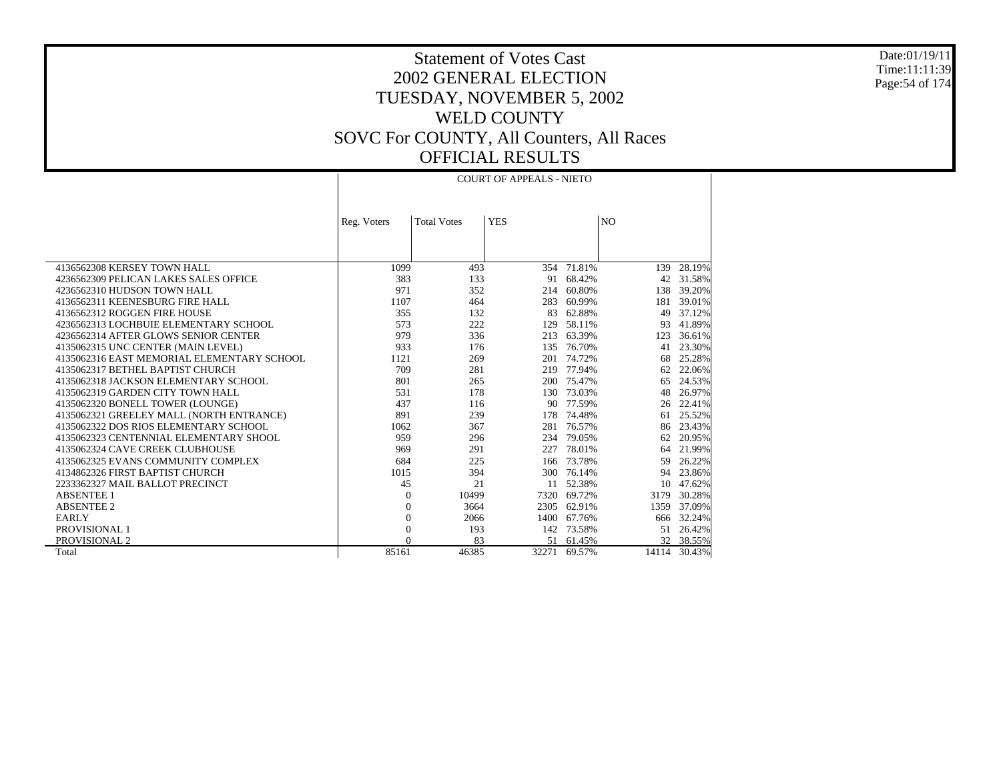Date:01/19/11 Time:11:11:39 Page:54 of 174

 $\mathbf{I}$ 

### Statement of Votes Cast 2002 GENERAL ELECTION TUESDAY, NOVEMBER 5, 2002 WELD COUNTY SOVC For COUNTY, All Counters, All Races OFFICIAL RESULTS

|                                            |                |                    | <b>COURT OF APPEALS - NIETO</b> |            |                |           |
|--------------------------------------------|----------------|--------------------|---------------------------------|------------|----------------|-----------|
|                                            |                |                    |                                 |            |                |           |
|                                            |                |                    |                                 |            |                |           |
|                                            | Reg. Voters    | <b>Total Votes</b> | <b>YES</b>                      |            | N <sub>O</sub> |           |
|                                            |                |                    |                                 |            |                |           |
|                                            |                |                    |                                 |            |                |           |
|                                            |                |                    |                                 |            |                |           |
| 4136562308 KERSEY TOWN HALL                | 1099           | 493                |                                 | 354 71.81% | 139            | 28.19%    |
| 4236562309 PELICAN LAKES SALES OFFICE      | 383            | 133                | 91                              | 68.42%     | 42             | 31.58%    |
| 4236562310 HUDSON TOWN HALL                | 971            | 352                | 214                             | 60.80%     | 138            | 39.20%    |
| 4136562311 KEENESBURG FIRE HALL            | 1107           | 464                | 283                             | 60.99%     | 181            | 39.01%    |
| 4136562312 ROGGEN FIRE HOUSE               | 355            | 132                | 83                              | 62.88%     | 49             | 37.12%    |
| 4236562313 LOCHBUIE ELEMENTARY SCHOOL      | 573            | 222                | 129                             | 58.11%     | 93             | 41.89%    |
| 4236562314 AFTER GLOWS SENIOR CENTER       | 979            | 336                | 213                             | 63.39%     | 123            | 36.61%    |
| 4135062315 UNC CENTER (MAIN LEVEL)         | 933            | 176                | 135                             | 76.70%     | 41             | 23.30%    |
| 4135062316 EAST MEMORIAL ELEMENTARY SCHOOL | 1121           | 269                | 201                             | 74.72%     | 68             | 25.28%    |
| 4135062317 BETHEL BAPTIST CHURCH           | 709            | 281                | 219                             | 77.94%     | 62             | 22.06%    |
| 4135062318 JACKSON ELEMENTARY SCHOOL       | 801            | 265                | 200                             | 75.47%     | 65             | 24.53%    |
| 4135062319 GARDEN CITY TOWN HALL           | 531            | 178                | 130                             | 73.03%     | 48             | 26.97%    |
| 4135062320 BONELL TOWER (LOUNGE)           | 437            | 116                | 90                              | 77.59%     | 26             | 22.41%    |
| 4135062321 GREELEY MALL (NORTH ENTRANCE)   | 891            | 239                | 178                             | 74.48%     | 61             | 25.52%    |
| 4135062322 DOS RIOS ELEMENTARY SCHOOL      | 1062           | 367                | 281                             | 76.57%     | 86             | 23.43%    |
| 4135062323 CENTENNIAL ELEMENTARY SHOOL     | 959            | 296                | 234                             | 79.05%     | 62             | 20.95%    |
| 4135062324 CAVE CREEK CLUBHOUSE            | 969            | 291                | 227                             | 78.01%     | 64             | 21.99%    |
| 4135062325 EVANS COMMUNITY COMPLEX         | 684            | 225                | 166                             | 73.78%     | 59             | 26.22%    |
| 4134862326 FIRST BAPTIST CHURCH            | 1015           | 394                | 300                             | 76.14%     | 94             | 23.86%    |
| 2233362327 MAIL BALLOT PRECINCT            | 45             | 21                 | 11                              | 52.38%     | 10             | 47.62%    |
| <b>ABSENTEE 1</b>                          | $\theta$       | 10499              | 7320                            | 69.72%     | 3179           | 30.28%    |
| <b>ABSENTEE 2</b>                          | $\theta$       | 3664               | 2305                            | 62.91%     | 1359           | 37.09%    |
| <b>EARLY</b>                               | $\theta$       | 2066               | 1400                            | 67.76%     | 666            | 32.24%    |
| PROVISIONAL 1                              | $\overline{0}$ | 193                | 142                             | 73.58%     |                | 51 26.42% |
| PROVISIONAL 2                              | $\Omega$       | 83                 | 51                              | 61.45%     |                | 32 38.55% |
| Total                                      | 85161          | 46385              | 32271                           | 69.57%     | 14114          | 30.43%    |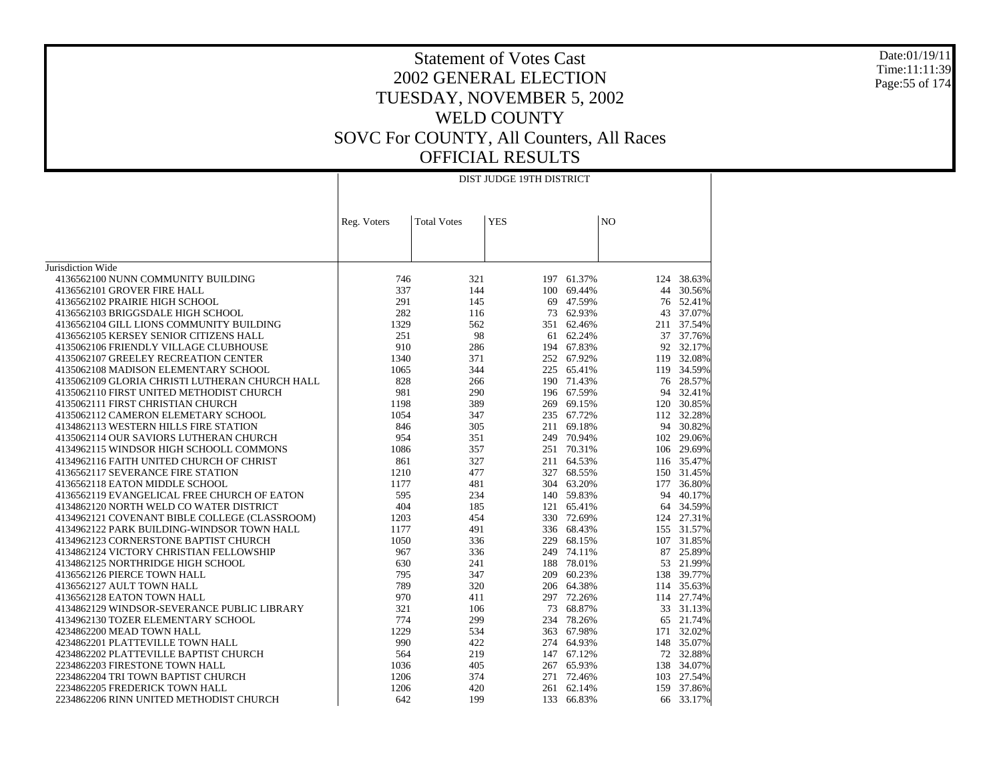#### Date:01/19/11 Time:11:11:39 Page:55 of 174

|                                                                                                        | DIST JUDGE 19TH DISTRICT |                |            |  |  |
|--------------------------------------------------------------------------------------------------------|--------------------------|----------------|------------|--|--|
|                                                                                                        |                          |                |            |  |  |
| <b>Total Votes</b><br><b>YES</b><br>Reg. Voters                                                        |                          | N <sub>O</sub> |            |  |  |
|                                                                                                        |                          |                |            |  |  |
|                                                                                                        |                          |                |            |  |  |
| Jurisdiction Wide                                                                                      |                          |                |            |  |  |
| 4136562100 NUNN COMMUNITY BUILDING<br>746<br>321                                                       | 197 61.37%               |                | 124 38.63% |  |  |
| 337<br>4136562101 GROVER FIRE HALL<br>144<br>100                                                       | 69.44%                   | 44             | 30.56%     |  |  |
| 291<br>4136562102 PRAIRIE HIGH SCHOOL<br>145<br>69                                                     | 47.59%                   | 76             | 52.41%     |  |  |
| 282<br>4136562103 BRIGGSDALE HIGH SCHOOL<br>116                                                        | 73 62.93%                | 43             | 37.07%     |  |  |
| 1329                                                                                                   |                          |                | 37.54%     |  |  |
| 4136562104 GILL LIONS COMMUNITY BUILDING<br>562<br>4136562105 KERSEY SENIOR CITIZENS HALL<br>251<br>98 | 351 62.46%<br>61 62.24%  | 211<br>37      | 37.76%     |  |  |
| 910<br>4135062106 FRIENDLY VILLAGE CLUBHOUSE<br>286                                                    | 194 67.83%               | 92             | 32.17%     |  |  |
|                                                                                                        |                          |                |            |  |  |
| 4135062107 GREELEY RECREATION CENTER<br>1340<br>371                                                    | 252 67.92%               | 119            | 32.08%     |  |  |
| 4135062108 MADISON ELEMENTARY SCHOOL<br>1065<br>344                                                    | 225 65.41%               |                | 119 34.59% |  |  |
| 828<br>4135062109 GLORIA CHRISTI LUTHERAN CHURCH HALL<br>266                                           | 190 71.43%               |                | 76 28.57%  |  |  |
| 4135062110 FIRST UNITED METHODIST CHURCH<br>981<br>290                                                 | 196 67.59%               | 94             | 32.41%     |  |  |
| 4135062111 FIRST CHRISTIAN CHURCH<br>1198<br>389                                                       | 269 69.15%               | 120            | 30.85%     |  |  |
| 4135062112 CAMERON ELEMETARY SCHOOL<br>1054<br>347                                                     | 235 67.72%               | 112            | 32.28%     |  |  |
| 4134862113 WESTERN HILLS FIRE STATION<br>846<br>305                                                    | 211 69.18%               | 94             | 30.82%     |  |  |
| 954<br>4135062114 OUR SAVIORS LUTHERAN CHURCH<br>351                                                   | 249 70.94%               |                | 102 29.06% |  |  |
| 4134962115 WINDSOR HIGH SCHOOLL COMMONS<br>1086<br>357                                                 | 251 70.31%               |                | 106 29.69% |  |  |
| 327<br>861<br>4134962116 FAITH UNITED CHURCH OF CHRIST                                                 | 211 64.53%               |                | 116 35.47% |  |  |
| 4136562117 SEVERANCE FIRE STATION<br>1210<br>477                                                       | 327 68.55%               |                | 150 31.45% |  |  |
| 4136562118 EATON MIDDLE SCHOOL<br>1177<br>481                                                          | 304 63.20%               |                | 177 36.80% |  |  |
| 595<br>4136562119 EVANGELICAL FREE CHURCH OF EATON<br>234                                              | 140 59.83%               | 94             | 40.17%     |  |  |
| 4134862120 NORTH WELD CO WATER DISTRICT<br>404<br>185                                                  | 121 65.41%               |                | 64 34.59%  |  |  |
| 4134962121 COVENANT BIBLE COLLEGE (CLASSROOM)<br>1203<br>454                                           | 330 72.69%               | 124            | 27.31%     |  |  |
| 4134962122 PARK BUILDING-WINDSOR TOWN HALL<br>1177<br>491                                              | 336 68.43%               | 155            | 31.57%     |  |  |
| 4134962123 CORNERSTONE BAPTIST CHURCH<br>1050<br>336                                                   | 229 68.15%               |                | 107 31.85% |  |  |
| 4134862124 VICTORY CHRISTIAN FELLOWSHIP<br>967<br>336                                                  | 249 74.11%               | 87             | 25.89%     |  |  |
| 4134862125 NORTHRIDGE HIGH SCHOOL<br>630<br>241                                                        | 188 78.01%               |                | 53 21.99%  |  |  |
| 795<br>4136562126 PIERCE TOWN HALL<br>347                                                              | 209 60.23%               | 138            | 39.77%     |  |  |
| 4136562127 AULT TOWN HALL<br>789<br>320                                                                | 206 64.38%               | 114            | 35.63%     |  |  |
| 970<br>4136562128 EATON TOWN HALL<br>411                                                               | 297 72.26%               |                | 114 27.74% |  |  |
| 4134862129 WINDSOR-SEVERANCE PUBLIC LIBRARY<br>321<br>73<br>106                                        | 68.87%                   | 33             | 31.13%     |  |  |
| 774<br>299<br>4134962130 TOZER ELEMENTARY SCHOOL                                                       | 234 78.26%               | 65             | 21.74%     |  |  |
| 1229<br>4234862200 MEAD TOWN HALL<br>534                                                               | 363 67.98%               | 171            | 32.02%     |  |  |
| 990<br>422<br>4234862201 PLATTEVILLE TOWN HALL                                                         | 274 64.93%               | 148            | 35.07%     |  |  |
| 4234862202 PLATTEVILLE BAPTIST CHURCH<br>564<br>219                                                    | 147 67.12%               |                | 72 32.88%  |  |  |
| 2234862203 FIRESTONE TOWN HALL<br>1036<br>405                                                          | 267 65.93%               | 138            | 34.07%     |  |  |
| 2234862204 TRI TOWN BAPTIST CHURCH<br>1206<br>374                                                      | 271 72.46%               | 103            | 27.54%     |  |  |
| 2234862205 FREDERICK TOWN HALL<br>1206<br>420                                                          | 261 62.14%               | 159            | 37.86%     |  |  |
| 642<br>199<br>133<br>2234862206 RINN UNITED METHODIST CHURCH                                           | 66.83%                   | 66             | 33.17%     |  |  |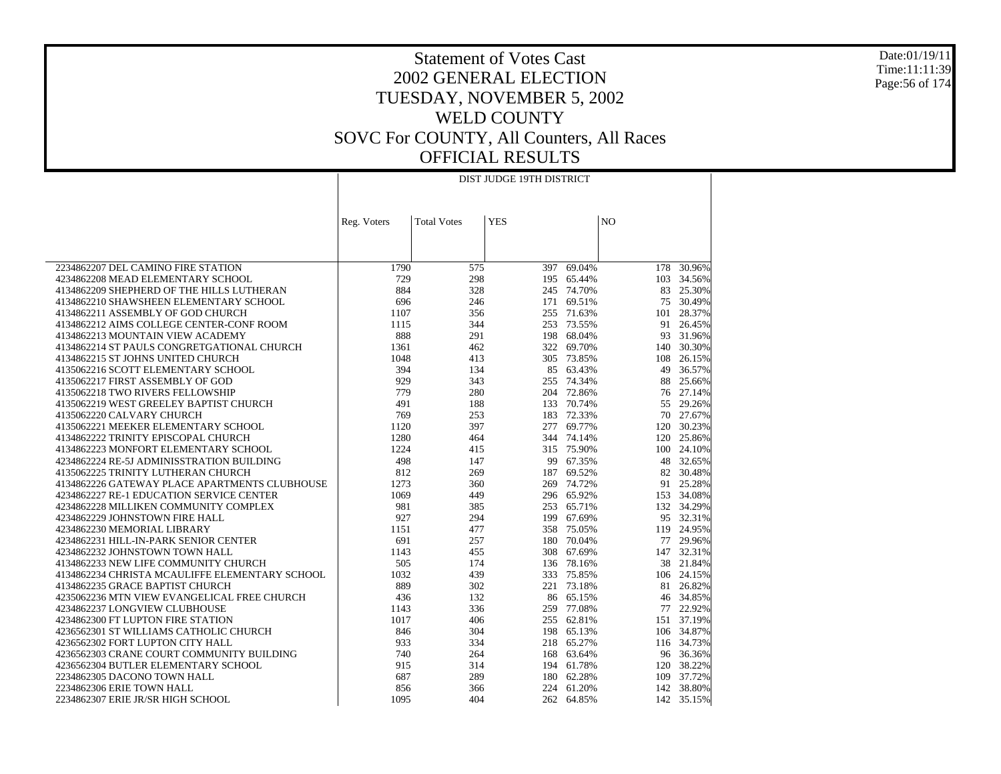Date:01/19/11 Time:11:11:39 Page:56 of 174

### Statement of Votes Cast 2002 GENERAL ELECTION TUESDAY, NOVEMBER 5, 2002 WELD COUNTY SOVC For COUNTY, All Counters, All Races OFFICIAL RESULTS

|                                                                        |             |                    | DIST JUDGE 19TH DISTRICT |                          |                |                         |
|------------------------------------------------------------------------|-------------|--------------------|--------------------------|--------------------------|----------------|-------------------------|
|                                                                        |             |                    |                          |                          |                |                         |
|                                                                        |             |                    |                          |                          |                |                         |
|                                                                        | Reg. Voters | <b>Total Votes</b> | <b>YES</b>               |                          | N <sub>O</sub> |                         |
|                                                                        |             |                    |                          |                          |                |                         |
|                                                                        |             |                    |                          |                          |                |                         |
| 2234862207 DEL CAMINO FIRE STATION                                     | 1790        | 575                | 397                      | 69.04%                   | 178            | 30.96%                  |
| 4234862208 MEAD ELEMENTARY SCHOOL                                      | 729         | 298                | 195                      | 65.44%                   |                | 103 34.56%              |
| 4134862209 SHEPHERD OF THE HILLS LUTHERAN                              | 884         | 328                |                          | 245 74.70%               | 83             | 25.30%                  |
| 4134862210 SHAWSHEEN ELEMENTARY SCHOOL                                 | 696         | 246                |                          | 171 69.51%               | 75             | 30.49%                  |
| 4134862211 ASSEMBLY OF GOD CHURCH                                      | 1107        | 356                | 255                      | 71.63%                   | 101            | 28.37%                  |
| 4134862212 AIMS COLLEGE CENTER-CONF ROOM                               | 1115        | 344                |                          | 253 73.55%               | 91             | 26.45%                  |
| 4134862213 MOUNTAIN VIEW ACADEMY                                       | 888         | 291                |                          | 198 68.04%               | 93             | 31.96%                  |
| 4134862214 ST PAULS CONGRETGATIONAL CHURCH                             | 1361        | 462                | 322                      | 69.70%                   | 140            | 30.30%                  |
| 4134862215 ST JOHNS UNITED CHURCH                                      | 1048        | 413                |                          | 305 73.85%               | 108            | 26.15%                  |
| 4135062216 SCOTT ELEMENTARY SCHOOL                                     | 394         | 134                | 85                       | 63.43%                   | 49             | 36.57%                  |
| 4135062217 FIRST ASSEMBLY OF GOD                                       | 929         | 343                |                          | 255 74.34%               | 88             | 25.66%                  |
| 4135062218 TWO RIVERS FELLOWSHIP                                       | 779         | 280                |                          | 204 72.86%               |                | 76 27.14%               |
| 4135062219 WEST GREELEY BAPTIST CHURCH                                 | 491         | 188                |                          | 133 70.74%               | 55             | 29.26%                  |
| 4135062220 CALVARY CHURCH                                              | 769         | 253                |                          | 183 72.33%               |                | 70 27.67%               |
| 4135062221 MEEKER ELEMENTARY SCHOOL                                    | 1120        | 397                | 277                      | 69.77%                   | 120            | 30.23%                  |
| 4134862222 TRINITY EPISCOPAL CHURCH                                    | 1280        | 464                |                          | 344 74.14%               | 120            | 25.86%                  |
| 4134862223 MONFORT ELEMENTARY SCHOOL                                   | 1224        | 415                |                          | 315 75.90%               | 100            | 24.10%                  |
| 4234862224 RE-5J ADMINISSTRATION BUILDING                              | 498         | 147                |                          | 99 67.35%                | 48             | 32.65%                  |
| 4135062225 TRINITY LUTHERAN CHURCH                                     | 812         | 269                |                          | 187 69.52%               |                | 82 30.48%               |
| 4134862226 GATEWAY PLACE APARTMENTS CLUBHOUSE                          | 1273        | 360                |                          | 269 74.72%               | 91             | 25.28%                  |
| 4234862227 RE-1 EDUCATION SERVICE CENTER                               | 1069        | 449                |                          | 296 65.92%               |                | 153 34.08%              |
| 4234862228 MILLIKEN COMMUNITY COMPLEX                                  | 981         | 385                | 253                      | 65.71%                   |                | 132 34.29%              |
| 4234862229 JOHNSTOWN FIRE HALL                                         | 927         | 294                |                          | 199 67.69%               |                | 95 32.31%               |
| 4234862230 MEMORIAL LIBRARY                                            | 1151<br>691 | 477<br>257         | 180                      | 358 75.05%<br>70.04%     |                | 119 24.95%<br>77 29.96% |
| 4234862231 HILL-IN-PARK SENIOR CENTER                                  |             |                    |                          |                          |                |                         |
| 4234862232 JOHNSTOWN TOWN HALL<br>4134862233 NEW LIFE COMMUNITY CHURCH | 1143<br>505 | 455<br>174         |                          | 308 67.69%<br>136 78.16% | 38             | 147 32.31%<br>21.84%    |
| 4134862234 CHRISTA MCAULIFFE ELEMENTARY SCHOOL                         | 1032        | 439                |                          | 333 75.85%               |                | 106 24.15%              |
| 4134862235 GRACE BAPTIST CHURCH                                        | 889         | 302                | 221                      | 73.18%                   | 81             | 26.82%                  |
| 4235062236 MTN VIEW EVANGELICAL FREE CHURCH                            | 436         | 132                |                          | 86 65.15%                |                | 46 34.85%               |
| 4234862237 LONGVIEW CLUBHOUSE                                          | 1143        | 336                |                          | 259 77.08%               |                | 77 22.92%               |
| 4234862300 FT LUPTON FIRE STATION                                      | 1017        | 406                |                          | 255 62.81%               |                | 151 37.19%              |
| 4236562301 ST WILLIAMS CATHOLIC CHURCH                                 | 846         | 304                |                          | 198 65.13%               |                | 106 34.87%              |
| 4236562302 FORT LUPTON CITY HALL                                       | 933         | 334                |                          | 218 65.27%               |                | 116 34.73%              |
| 4236562303 CRANE COURT COMMUNITY BUILDING                              | 740         | 264                |                          | 168 63.64%               |                | 96 36.36%               |
| 4236562304 BUTLER ELEMENTARY SCHOOL                                    | 915         | 314                |                          | 194 61.78%               | 120            | 38.22%                  |
| 2234862305 DACONO TOWN HALL                                            | 687         | 289                |                          | 180 62.28%               | 109            | 37.72%                  |
| 2234862306 ERIE TOWN HALL                                              | 856         | 366                |                          | 224 61.20%               |                | 142 38.80%              |
| 2234862307 ERIE JR/SR HIGH SCHOOL                                      | 1095        | 404                |                          | 262 64.85%               |                | 142 35.15%              |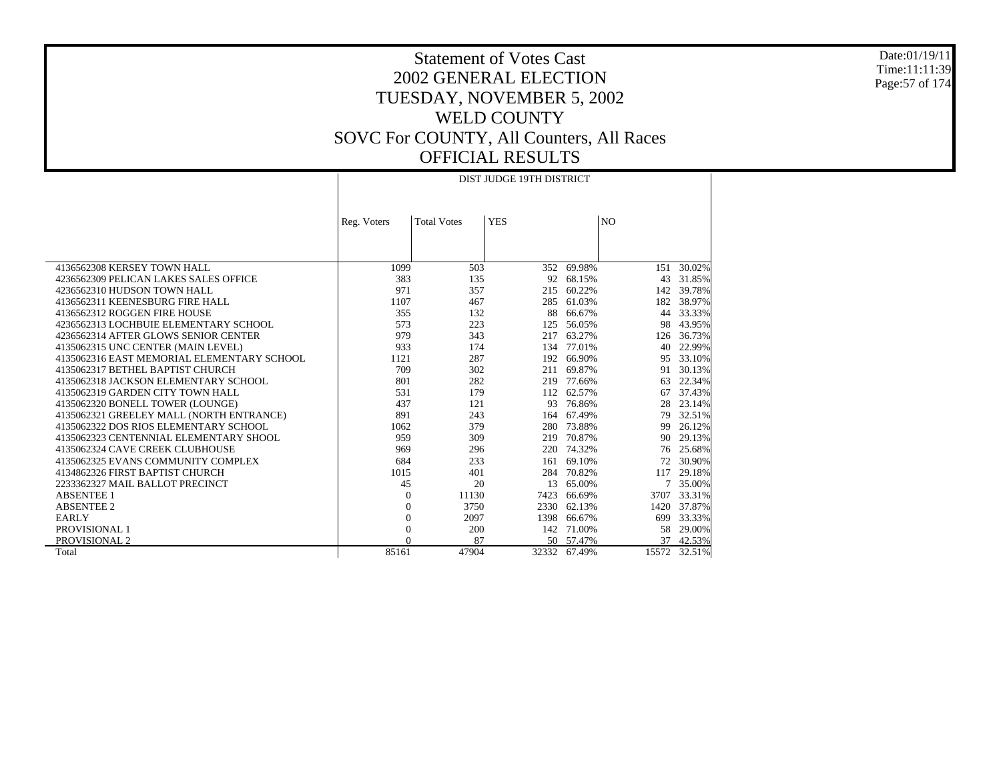Date:01/19/11 Time:11:11:39 Page:57 of 174

### Statement of Votes Cast 2002 GENERAL ELECTION TUESDAY, NOVEMBER 5, 2002 WELD COUNTY SOVC For COUNTY, All Counters, All Races OFFICIAL RESULTS

|                                            | DIST JUDGE 19TH DISTRICT |                    |            |              |                |        |
|--------------------------------------------|--------------------------|--------------------|------------|--------------|----------------|--------|
|                                            | Reg. Voters              | <b>Total Votes</b> | <b>YES</b> |              | N <sub>O</sub> |        |
|                                            |                          |                    |            |              |                |        |
| 4136562308 KERSEY TOWN HALL                | 1099                     | 503                | 352        | 69.98%       | 151            | 30.02% |
| 4236562309 PELICAN LAKES SALES OFFICE      | 383                      | 135                |            | 92 68.15%    | 43             | 31.85% |
| 4236562310 HUDSON TOWN HALL                | 971                      | 357                | 215        | 60.22%       | 142            | 39.78% |
| 4136562311 KEENESBURG FIRE HALL            | 1107                     | 467                | 285        | 61.03%       | 182            | 38.97% |
| 4136562312 ROGGEN FIRE HOUSE               | 355                      | 132                | 88         | 66.67%       | 44             | 33.33% |
| 4236562313 LOCHBUIE ELEMENTARY SCHOOL      | 573                      | 223                | 125        | 56.05%       | 98             | 43.95% |
| 4236562314 AFTER GLOWS SENIOR CENTER       | 979                      | 343                | 217        | 63.27%       | 126            | 36.73% |
| 4135062315 UNC CENTER (MAIN LEVEL)         | 933                      | 174                | 134        | 77.01%       | 40             | 22.99% |
| 4135062316 EAST MEMORIAL ELEMENTARY SCHOOL | 1121                     | 287                | 192        | 66.90%       | 95             | 33.10% |
| 4135062317 BETHEL BAPTIST CHURCH           | 709                      | 302                | 211        | 69.87%       | 91             | 30.13% |
| 4135062318 JACKSON ELEMENTARY SCHOOL       | 801                      | 282                |            | 219 77.66%   | 63             | 22.34% |
| 4135062319 GARDEN CITY TOWN HALL           | 531                      | 179                |            | 112 62.57%   | 67             | 37.43% |
| 4135062320 BONELL TOWER (LOUNGE)           | 437                      | 121                | 93         | 76.86%       | 28             | 23.14% |
| 4135062321 GREELEY MALL (NORTH ENTRANCE)   | 891                      | 243                |            | 164 67.49%   | 79             | 32.51% |
| 4135062322 DOS RIOS ELEMENTARY SCHOOL      | 1062                     | 379                |            | 280 73.88%   | 99             | 26.12% |
| 4135062323 CENTENNIAL ELEMENTARY SHOOL     | 959                      | 309                |            | 219 70.87%   | 90             | 29.13% |
| 4135062324 CAVE CREEK CLUBHOUSE            | 969                      | 296                |            | 220 74.32%   | 76             | 25.68% |
| 4135062325 EVANS COMMUNITY COMPLEX         | 684                      | 233                | 161        | 69.10%       | 72             | 30.90% |
| 4134862326 FIRST BAPTIST CHURCH            | 1015                     | 401                | 284        | 70.82%       | 117            | 29.18% |
| 2233362327 MAIL BALLOT PRECINCT            | 45                       | 20                 | 13         | 65.00%       |                | 35.00% |
| <b>ABSENTEE 1</b>                          | $\Omega$                 | 11130              | 7423       | 66.69%       | 3707           | 33.31% |
| <b>ABSENTEE 2</b>                          | $\theta$                 | 3750               | 2330       | 62.13%       | 1420           | 37.87% |
| <b>EARLY</b>                               | $\overline{0}$           | 2097               | 1398       | 66.67%       | 699            | 33.33% |
| PROVISIONAL 1                              | $\overline{0}$           | 200                |            | 142 71.00%   | 58             | 29.00% |
| PROVISIONAL 2                              | $\Omega$                 | 87                 |            | 50 57.47%    | 37             | 42.53% |
| Total                                      | 85161                    | 47904              |            | 32332 67.49% | 15572          | 32.51% |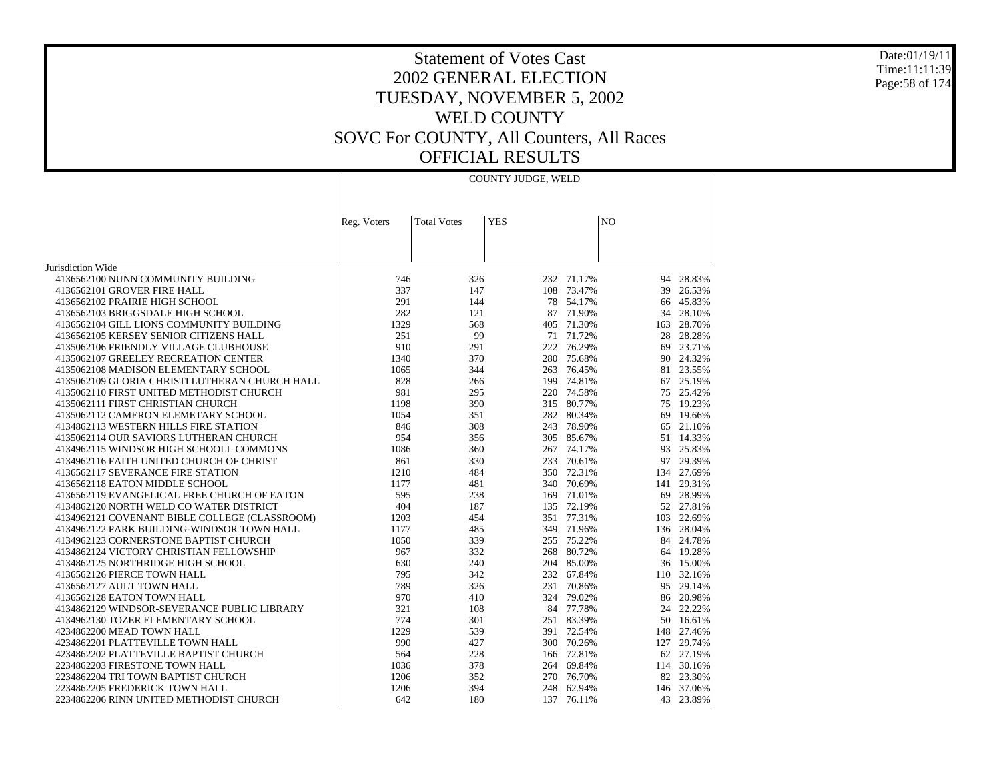#### Date:01/19/11 Time:11:11:39 Page:58 of 174

|                                                | COUNTY JUDGE, WELD |                    |            |            |                |            |
|------------------------------------------------|--------------------|--------------------|------------|------------|----------------|------------|
|                                                |                    |                    |            |            |                |            |
|                                                | Reg. Voters        | <b>Total Votes</b> | <b>YES</b> |            | N <sub>O</sub> |            |
|                                                |                    |                    |            |            |                |            |
|                                                |                    |                    |            |            |                |            |
| Jurisdiction Wide                              |                    |                    |            |            |                |            |
| 4136562100 NUNN COMMUNITY BUILDING             | 746                | 326                |            | 232 71.17% |                | 94 28.83%  |
| 4136562101 GROVER FIRE HALL                    | 337                | 147                | 108        | 73.47%     | 39             | 26.53%     |
| 4136562102 PRAIRIE HIGH SCHOOL                 | 291                | 144                | 78         | 54.17%     | 66             | 45.83%     |
| 4136562103 BRIGGSDALE HIGH SCHOOL              | 282                | 121                |            | 87 71.90%  | 34             | 28.10%     |
| 4136562104 GILL LIONS COMMUNITY BUILDING       | 1329               | 568                |            | 405 71.30% | 163            | 28.70%     |
| 4136562105 KERSEY SENIOR CITIZENS HALL         | 251                | 99                 |            | 71 71.72%  | 28             | 28.28%     |
| 4135062106 FRIENDLY VILLAGE CLUBHOUSE          | 910                | 291                |            | 222 76.29% | 69             | 23.71%     |
| 4135062107 GREELEY RECREATION CENTER           | 1340               | 370                | 280        | 75.68%     | 90             | 24.32%     |
| 4135062108 MADISON ELEMENTARY SCHOOL           | 1065               | 344                |            | 263 76.45% |                | 81 23.55%  |
| 4135062109 GLORIA CHRISTI LUTHERAN CHURCH HALL | 828                | 266                | 199        | 74.81%     | 67             | 25.19%     |
| 4135062110 FIRST UNITED METHODIST CHURCH       | 981                | 295                |            | 220 74.58% |                | 75 25.42%  |
| 4135062111 FIRST CHRISTIAN CHURCH              | 1198               | 390                |            | 315 80.77% | 75             | 19.23%     |
| 4135062112 CAMERON ELEMETARY SCHOOL            | 1054               | 351                | 282        | 80.34%     | 69             | 19.66%     |
| 4134862113 WESTERN HILLS FIRE STATION          | 846                | 308                |            | 243 78.90% | 65             | 21.10%     |
| 4135062114 OUR SAVIORS LUTHERAN CHURCH         | 954                | 356                |            | 305 85.67% | 51             | 14.33%     |
| 4134962115 WINDSOR HIGH SCHOOLL COMMONS        | 1086               | 360                |            | 267 74.17% |                | 93 25.83%  |
| 4134962116 FAITH UNITED CHURCH OF CHRIST       | 861                | 330                |            | 233 70.61% | 97             | 29.39%     |
| 4136562117 SEVERANCE FIRE STATION              | 1210               | 484                |            | 350 72.31% | 134            | 27.69%     |
| 4136562118 EATON MIDDLE SCHOOL                 | 1177               | 481                |            | 340 70.69% | 141            | 29.31%     |
| 4136562119 EVANGELICAL FREE CHURCH OF EATON    | 595                | 238                | 169        | 71.01%     | 69             | 28.99%     |
| 4134862120 NORTH WELD CO WATER DISTRICT        | 404                | 187                |            | 135 72.19% |                | 52 27.81%  |
| 4134962121 COVENANT BIBLE COLLEGE (CLASSROOM)  | 1203               | 454                |            | 351 77.31% | 103            | 22.69%     |
| 4134962122 PARK BUILDING-WINDSOR TOWN HALL     | 1177               | 485                |            | 349 71.96% | 136            | 28.04%     |
| 4134962123 CORNERSTONE BAPTIST CHURCH          | 1050               | 339                |            | 255 75.22% |                | 84 24.78%  |
| 4134862124 VICTORY CHRISTIAN FELLOWSHIP        | 967                | 332                | 268        | 80.72%     |                | 64 19.28%  |
| 4134862125 NORTHRIDGE HIGH SCHOOL              | 630                | 240                | 204        | 85.00%     |                | 36 15.00%  |
| 4136562126 PIERCE TOWN HALL                    | 795                | 342                |            | 232 67.84% |                | 110 32.16% |
| 4136562127 AULT TOWN HALL                      | 789                | 326                |            | 231 70.86% | 95             | 29.14%     |
| 4136562128 EATON TOWN HALL                     | 970                | 410                |            | 324 79.02% | 86             | 20.98%     |
| 4134862129 WINDSOR-SEVERANCE PUBLIC LIBRARY    | 321                | 108                |            | 84 77.78%  | 24             | 22.22%     |
| 4134962130 TOZER ELEMENTARY SCHOOL             | 774                | 301                |            | 251 83.39% |                | 50 16.61%  |
| 4234862200 MEAD TOWN HALL                      | 1229               | 539                |            | 391 72.54% | 148            | 27.46%     |
| 4234862201 PLATTEVILLE TOWN HALL               | 990                | 427                | 300        | 70.26%     | 127            | 29.74%     |
| 4234862202 PLATTEVILLE BAPTIST CHURCH          | 564                | 228                |            | 166 72.81% |                | 62 27.19%  |
| 2234862203 FIRESTONE TOWN HALL                 | 1036               | 378                | 264        | 69.84%     |                | 114 30.16% |
| 2234862204 TRI TOWN BAPTIST CHURCH             | 1206               | 352                | 270        | 76.70%     |                | 82 23.30%  |
|                                                |                    |                    |            |            |                | 146 37.06% |
| 2234862205 FREDERICK TOWN HALL                 | 1206<br>642        | 394<br>180         | 137        | 248 62.94% | 43             |            |
| 2234862206 RINN UNITED METHODIST CHURCH        |                    |                    |            | 76.11%     |                | 23.89%     |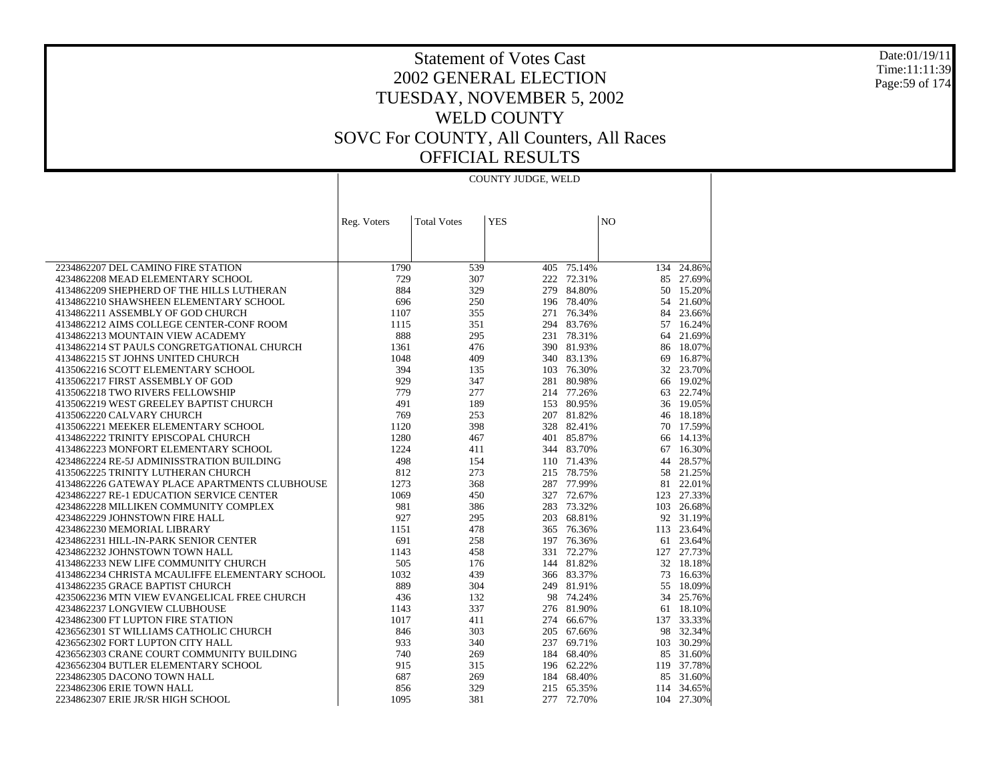Date:01/19/11 Time:11:11:39 Page:59 of 174

### Statement of Votes Cast 2002 GENERAL ELECTION TUESDAY, NOVEMBER 5, 2002 WELD COUNTY SOVC For COUNTY, All Counters, All Races OFFICIAL RESULTS

|                                                                            |             |                    | COUNTY JUDGE, WELD |                          |                |                     |
|----------------------------------------------------------------------------|-------------|--------------------|--------------------|--------------------------|----------------|---------------------|
|                                                                            |             |                    |                    |                          |                |                     |
|                                                                            |             |                    |                    |                          |                |                     |
|                                                                            | Reg. Voters | <b>Total Votes</b> | <b>YES</b>         |                          | N <sub>O</sub> |                     |
|                                                                            |             |                    |                    |                          |                |                     |
|                                                                            |             |                    |                    |                          |                |                     |
|                                                                            |             |                    |                    |                          |                |                     |
| 2234862207 DEL CAMINO FIRE STATION                                         | 1790        | 539                | 405                | 75.14%                   |                | 134 24.86%          |
| 4234862208 MEAD ELEMENTARY SCHOOL                                          | 729         | 307                | 222                | 72.31%                   |                | 85 27.69%           |
| 4134862209 SHEPHERD OF THE HILLS LUTHERAN                                  | 884         | 329                | 279                | 84.80%                   | 50             | 15.20%              |
| 4134862210 SHAWSHEEN ELEMENTARY SCHOOL                                     | 696         | 250                |                    | 196 78.40%               | 54             | 21.60%              |
| 4134862211 ASSEMBLY OF GOD CHURCH                                          | 1107        | 355                | 271                | 76.34%                   | 84             | 23.66%              |
| 4134862212 AIMS COLLEGE CENTER-CONF ROOM                                   | 1115        | 351                |                    | 294 83.76%               | 57             | 16.24%              |
| 4134862213 MOUNTAIN VIEW ACADEMY                                           | 888         | 295                | 231                | 78.31%                   | 64             | 21.69%              |
| 4134862214 ST PAULS CONGRETGATIONAL CHURCH                                 | 1361        | 476                |                    | 390 81.93%               | 86             | 18.07%              |
| 4134862215 ST JOHNS UNITED CHURCH                                          | 1048        | 409                |                    | 340 83.13%               | 69             | 16.87%              |
| 4135062216 SCOTT ELEMENTARY SCHOOL                                         | 394         | 135                | 103                | 76.30%                   | 32             | 23.70%              |
| 4135062217 FIRST ASSEMBLY OF GOD                                           | 929         | 347                |                    | 281 80.98%               |                | 66 19.02%           |
| 4135062218 TWO RIVERS FELLOWSHIP<br>4135062219 WEST GREELEY BAPTIST CHURCH | 779<br>491  | 277<br>189         | 153                | 214 77.26%<br>80.95%     |                | 63 22.74%<br>19.05% |
|                                                                            | 769         |                    |                    |                          | 36             |                     |
| 4135062220 CALVARY CHURCH<br>4135062221 MEEKER ELEMENTARY SCHOOL           | 1120        | 253<br>398         |                    | 207 81.82%<br>328 82.41% | 70             | 46 18.18%<br>17.59% |
| 4134862222 TRINITY EPISCOPAL CHURCH                                        | 1280        | 467                |                    | 401 85.87%               | 66             | 14.13%              |
| 4134862223 MONFORT ELEMENTARY SCHOOL                                       | 1224        | 411                |                    | 344 83.70%               | 67             | 16.30%              |
| 4234862224 RE-5J ADMINISSTRATION BUILDING                                  | 498         | 154                |                    | 110 71.43%               | 44             | 28.57%              |
| 4135062225 TRINITY LUTHERAN CHURCH                                         | 812         | 273                |                    | 215 78.75%               | 58             | 21.25%              |
| 4134862226 GATEWAY PLACE APARTMENTS CLUBHOUSE                              | 1273        | 368                |                    | 287 77.99%               | 81             | 22.01%              |
| 4234862227 RE-1 EDUCATION SERVICE CENTER                                   | 1069        | 450                | 327                | 72.67%                   |                | 123 27.33%          |
| 4234862228 MILLIKEN COMMUNITY COMPLEX                                      | 981         | 386                | 283                | 73.32%                   |                | 103 26.68%          |
| 4234862229 JOHNSTOWN FIRE HALL                                             | 927         | 295                |                    | 203 68.81%               |                | 92 31.19%           |
| 4234862230 MEMORIAL LIBRARY                                                | 1151        | 478                | 365                | 76.36%                   |                | 113 23.64%          |
| 4234862231 HILL-IN-PARK SENIOR CENTER                                      | 691         | 258                | 197                | 76.36%                   | 61             | 23.64%              |
| 4234862232 JOHNSTOWN TOWN HALL                                             | 1143        | 458                |                    | 331 72.27%               |                | 127 27.73%          |
| 4134862233 NEW LIFE COMMUNITY CHURCH                                       | 505         | 176                | 144                | 81.82%                   |                | 32 18.18%           |
| 4134862234 CHRISTA MCAULIFFE ELEMENTARY SCHOOL                             | 1032        | 439                |                    | 366 83.37%               | 73             | 16.63%              |
| 4134862235 GRACE BAPTIST CHURCH                                            | 889         | 304                |                    | 249 81.91%               | 55             | 18.09%              |
| 4235062236 MTN VIEW EVANGELICAL FREE CHURCH                                | 436         | 132                |                    | 98 74.24%                | 34             | 25.76%              |
| 4234862237 LONGVIEW CLUBHOUSE                                              | 1143        | 337                |                    | 276 81.90%               |                | 61 18.10%           |
| 4234862300 FT LUPTON FIRE STATION                                          | 1017        | 411                | 274                | 66.67%                   | 137            | 33.33%              |
| 4236562301 ST WILLIAMS CATHOLIC CHURCH                                     | 846         | 303                |                    | 205 67.66%               |                | 98 32.34%           |
| 4236562302 FORT LUPTON CITY HALL                                           | 933         | 340                | 237                | 69.71%                   | 103            | 30.29%              |
| 4236562303 CRANE COURT COMMUNITY BUILDING                                  | 740         | 269                |                    | 184 68.40%               |                | 85 31.60%           |
| 4236562304 BUTLER ELEMENTARY SCHOOL                                        | 915         | 315                |                    | 196 62.22%               |                | 119 37.78%          |
| 2234862305 DACONO TOWN HALL                                                | 687         | 269                |                    | 184 68.40%               | 85             | 31.60%              |
| 2234862306 ERIE TOWN HALL                                                  | 856         | 329                |                    | 215 65.35%               |                | 114 34.65%          |
| 2234862307 ERIE JR/SR HIGH SCHOOL                                          | 1095        | 381                |                    | 277 72.70%               |                | 104 27.30%          |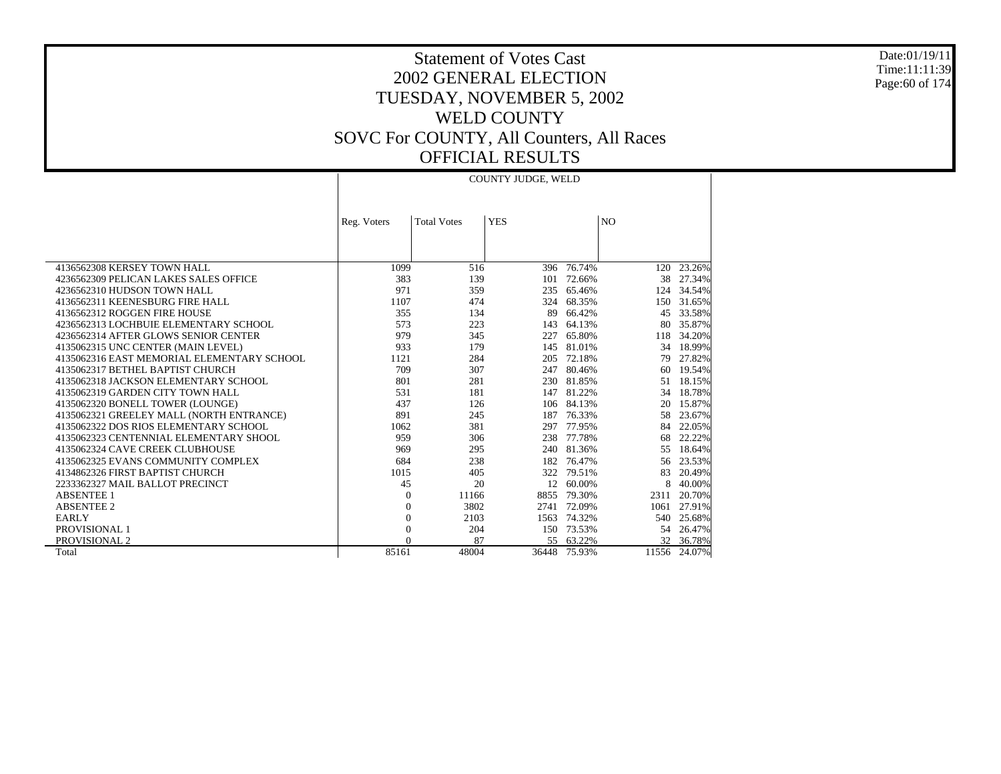Date:01/19/11 Time:11:11:39 Page:60 of 174

### Statement of Votes Cast 2002 GENERAL ELECTION TUESDAY, NOVEMBER 5, 2002 WELD COUNTY SOVC For COUNTY, All Counters, All Races OFFICIAL RESULTS

|                                            | <b>COUNTY JUDGE, WELD</b> |                    |            |            |                |              |
|--------------------------------------------|---------------------------|--------------------|------------|------------|----------------|--------------|
|                                            | Reg. Voters               | <b>Total Votes</b> | <b>YES</b> |            | N <sub>O</sub> |              |
|                                            |                           |                    |            |            |                |              |
| 4136562308 KERSEY TOWN HALL                | 1099                      | 516                |            | 396 76.74% | 120            | 23.26%       |
| 4236562309 PELICAN LAKES SALES OFFICE      | 383                       | 139                | 101        | 72.66%     | 38             | 27.34%       |
| 4236562310 HUDSON TOWN HALL                | 971                       | 359                |            | 235 65.46% | 124            | 34.54%       |
| 4136562311 KEENESBURG FIRE HALL            | 1107                      | 474                | 324        | 68.35%     | 150            | 31.65%       |
| 4136562312 ROGGEN FIRE HOUSE               | 355                       | 134                | 89         | 66.42%     | 45             | 33.58%       |
| 4236562313 LOCHBUIE ELEMENTARY SCHOOL      | 573                       | 223                | 143        | 64.13%     | 80             | 35.87%       |
| 4236562314 AFTER GLOWS SENIOR CENTER       | 979                       | 345                | 227        | 65.80%     | 118            | 34.20%       |
| 4135062315 UNC CENTER (MAIN LEVEL)         | 933                       | 179                | 145        | 81.01%     | 34             | 18.99%       |
| 4135062316 EAST MEMORIAL ELEMENTARY SCHOOL | 1121                      | 284                | 205        | 72.18%     | 79             | 27.82%       |
| 4135062317 BETHEL BAPTIST CHURCH           | 709                       | 307                | 247        | 80.46%     | 60             | 19.54%       |
| 4135062318 JACKSON ELEMENTARY SCHOOL       | 801                       | 281                |            | 230 81.85% | 51             | 18.15%       |
| 4135062319 GARDEN CITY TOWN HALL           | 531                       | 181                | 147        | 81.22%     | 34             | 18.78%       |
| 4135062320 BONELL TOWER (LOUNGE)           | 437                       | 126                |            | 106 84.13% | 20             | 15.87%       |
| 4135062321 GREELEY MALL (NORTH ENTRANCE)   | 891                       | 245                | 187        | 76.33%     | 58             | 23.67%       |
| 4135062322 DOS RIOS ELEMENTARY SCHOOL      | 1062                      | 381                |            | 297 77.95% | 84             | 22.05%       |
| 4135062323 CENTENNIAL ELEMENTARY SHOOL     | 959                       | 306                |            | 238 77.78% | 68             | 22.22%       |
| 4135062324 CAVE CREEK CLUBHOUSE            | 969                       | 295                | 240        | 81.36%     | 55             | 18.64%       |
| 4135062325 EVANS COMMUNITY COMPLEX         | 684                       | 238                | 182        | 76.47%     | 56             | 23.53%       |
| 4134862326 FIRST BAPTIST CHURCH            | 1015                      | 405                | 322        | 79.51%     | 83             | 20.49%       |
| 2233362327 MAIL BALLOT PRECINCT            | 45                        | 20                 | 12         | 60.00%     | 8              | 40.00%       |
| <b>ABSENTEE 1</b>                          | $\Omega$                  | 11166              | 8855       | 79.30%     | 2311           | 20.70%       |
| <b>ABSENTEE 2</b>                          | $\theta$                  | 3802               | 2741       | 72.09%     | 1061           | 27.91%       |
| <b>EARLY</b>                               | $\overline{0}$            | 2103               | 1563       | 74.32%     | 540            | 25.68%       |
| PROVISIONAL 1                              | $\theta$                  | 204                |            | 150 73.53% | 54             | 26.47%       |
| PROVISIONAL 2                              | $\Omega$                  | 87                 | 55         | 63.22%     |                | 32 36.78%    |
| Total                                      | 85161                     | 48004              | 36448      | 75.93%     |                | 11556 24.07% |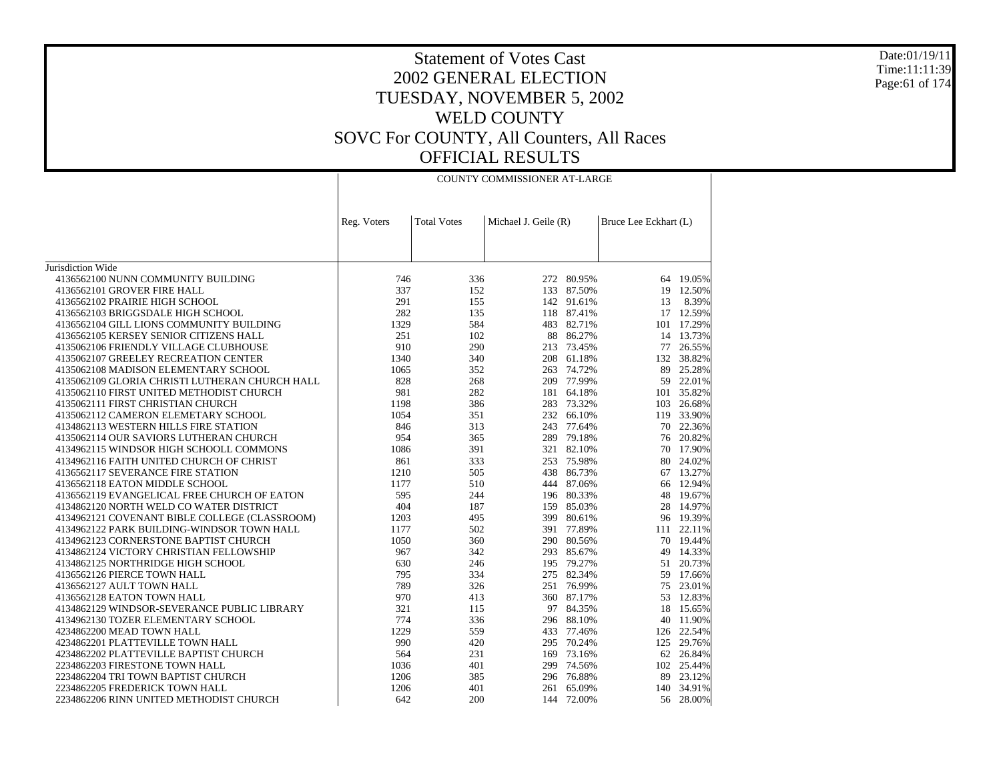Date:01/19/11 Time:11:11:39 Page:61 of 174

| <b>COUNTY COMMISSIONER AT-LARGE</b> |
|-------------------------------------|
|-------------------------------------|

|                                                | Reg. Voters | <b>Total Votes</b> | Michael J. Geile (R) |            | Bruce Lee Eckhart (L) |            |
|------------------------------------------------|-------------|--------------------|----------------------|------------|-----------------------|------------|
|                                                |             |                    |                      |            |                       |            |
|                                                |             |                    |                      |            |                       |            |
| Jurisdiction Wide                              |             |                    |                      |            |                       |            |
| 4136562100 NUNN COMMUNITY BUILDING             | 746         | 336                | 272                  | 80.95%     |                       | 64 19.05%  |
| 4136562101 GROVER FIRE HALL                    | 337         | 152                |                      | 133 87.50% | 19                    | 12.50%     |
| 4136562102 PRAIRIE HIGH SCHOOL                 | 291         | 155                |                      | 142 91.61% | 13                    | 8.39%      |
| 4136562103 BRIGGSDALE HIGH SCHOOL              | 282         | 135                |                      | 118 87.41% |                       | 17 12.59%  |
| 4136562104 GILL LIONS COMMUNITY BUILDING       | 1329        | 584                |                      | 483 82.71% |                       | 101 17.29% |
| 4136562105 KERSEY SENIOR CITIZENS HALL         | 251         | 102                | 88                   | 86.27%     | 14                    | 13.73%     |
| 4135062106 FRIENDLY VILLAGE CLUBHOUSE          | 910         | 290                |                      | 213 73.45% | 77                    | 26.55%     |
| 4135062107 GREELEY RECREATION CENTER           | 1340        | 340                |                      | 208 61.18% |                       | 132 38.82% |
| 4135062108 MADISON ELEMENTARY SCHOOL           | 1065        | 352                |                      | 263 74.72% | 89                    | 25.28%     |
| 4135062109 GLORIA CHRISTI LUTHERAN CHURCH HALL | 828         | 268                |                      | 209 77.99% | 59                    | 22.01%     |
| 4135062110 FIRST UNITED METHODIST CHURCH       | 981         | 282                |                      | 181 64.18% |                       | 101 35.82% |
| 4135062111 FIRST CHRISTIAN CHURCH              | 1198        | 386                |                      | 283 73.32% | 103                   | 26.68%     |
| 4135062112 CAMERON ELEMETARY SCHOOL            | 1054        | 351                |                      | 232 66.10% | 119                   | 33.90%     |
| 4134862113 WESTERN HILLS FIRE STATION          | 846         | 313                |                      | 243 77.64% | 70                    | 22.36%     |
| 4135062114 OUR SAVIORS LUTHERAN CHURCH         | 954         | 365                |                      | 289 79.18% |                       | 76 20.82%  |
| 4134962115 WINDSOR HIGH SCHOOLL COMMONS        | 1086        | 391                |                      | 321 82.10% | 70                    | 17.90%     |
| 4134962116 FAITH UNITED CHURCH OF CHRIST       | 861         | 333                |                      | 253 75.98% | 80                    | 24.02%     |
| 4136562117 SEVERANCE FIRE STATION              | 1210        | 505                |                      | 438 86.73% |                       | 67 13.27%  |
| 4136562118 EATON MIDDLE SCHOOL                 | 1177        | 510                |                      | 444 87.06% | 66                    | 12.94%     |
| 4136562119 EVANGELICAL FREE CHURCH OF EATON    | 595         | 244                |                      | 196 80.33% | 48                    | 19.67%     |
| 4134862120 NORTH WELD CO WATER DISTRICT        | 404         | 187                |                      | 159 85.03% |                       | 28 14.97%  |
| 4134962121 COVENANT BIBLE COLLEGE (CLASSROOM)  | 1203        | 495                |                      | 399 80.61% | 96                    | 19.39%     |
| 4134962122 PARK BUILDING-WINDSOR TOWN HALL     | 1177        | 502                |                      | 391 77.89% | 111                   | 22.11%     |
| 4134962123 CORNERSTONE BAPTIST CHURCH          | 1050        | 360                |                      | 290 80.56% |                       | 70 19.44%  |
| 4134862124 VICTORY CHRISTIAN FELLOWSHIP        | 967         | 342                |                      | 293 85.67% | 49                    | 14.33%     |
| 4134862125 NORTHRIDGE HIGH SCHOOL              | 630         | 246                |                      | 195 79.27% | 51                    | 20.73%     |
| 4136562126 PIERCE TOWN HALL                    | 795         | 334                |                      | 275 82.34% |                       | 59 17.66%  |
| 4136562127 AULT TOWN HALL                      | 789         | 326                |                      | 251 76.99% | 75                    | 23.01%     |
| 4136562128 EATON TOWN HALL                     | 970         | 413                |                      | 360 87.17% | 53                    | 12.83%     |
| 4134862129 WINDSOR-SEVERANCE PUBLIC LIBRARY    | 321         | 115                |                      | 97 84.35%  | 18                    | 15.65%     |
| 4134962130 TOZER ELEMENTARY SCHOOL             | 774         | 336                |                      | 296 88.10% | 40                    | 11.90%     |
| 4234862200 MEAD TOWN HALL                      | 1229        | 559                | 433                  | 77.46%     | 126                   | 22.54%     |
| 4234862201 PLATTEVILLE TOWN HALL               | 990         | 420                | 295                  | 70.24%     | 125                   | 29.76%     |
| 4234862202 PLATTEVILLE BAPTIST CHURCH          | 564         | 231                |                      | 169 73.16% |                       | 62 26.84%  |
| 2234862203 FIRESTONE TOWN HALL                 | 1036        | 401                | 299                  | 74.56%     |                       | 102 25.44% |
| 2234862204 TRI TOWN BAPTIST CHURCH             | 1206        | 385                |                      | 296 76.88% | 89                    | 23.12%     |
| 2234862205 FREDERICK TOWN HALL                 | 1206        | 401                | 261                  | 65.09%     |                       | 140 34.91% |
| 2234862206 RINN UNITED METHODIST CHURCH        | 642         | 200                | 144                  | 72.00%     |                       | 56 28.00%  |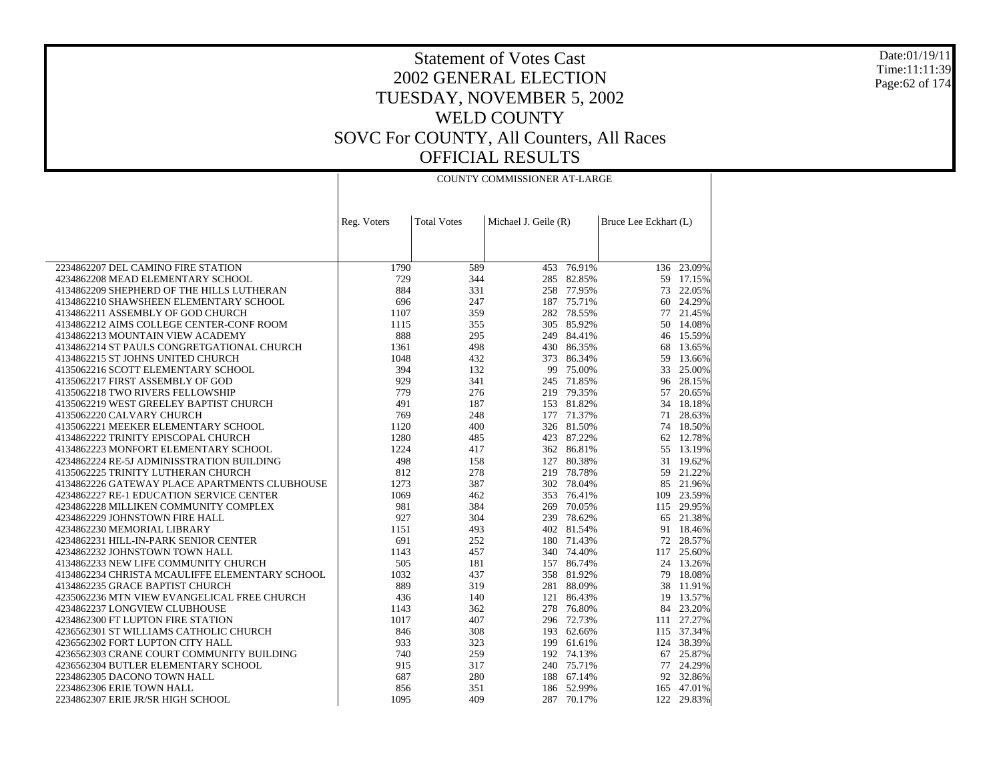#### Date:01/19/11 Time:11:11:39 Page:62 of 174

### Statement of Votes Cast 2002 GENERAL ELECTION TUESDAY, NOVEMBER 5, 2002 WELD COUNTY SOVC For COUNTY, All Counters, All Races OFFICIAL RESULTS

COUNTY COMMISSIONER AT-LARGE

|                                                | Reg. Voters | <b>Total Votes</b> | Michael J. Geile (R) |            | Bruce Lee Eckhart (L) |            |
|------------------------------------------------|-------------|--------------------|----------------------|------------|-----------------------|------------|
|                                                |             |                    |                      |            |                       |            |
|                                                |             |                    |                      |            |                       |            |
| 2234862207 DEL CAMINO FIRE STATION             | 1790        | 589                | 453                  | 76.91%     |                       | 136 23.09% |
| 4234862208 MEAD ELEMENTARY SCHOOL              | 729         | 344                | 285                  | 82.85%     |                       | 59 17.15%  |
| 4134862209 SHEPHERD OF THE HILLS LUTHERAN      | 884         | 331                |                      | 258 77.95% |                       | 73 22.05%  |
| 4134862210 SHAWSHEEN ELEMENTARY SCHOOL         | 696         | 247                |                      | 187 75.71% | 60                    | 24.29%     |
| 4134862211 ASSEMBLY OF GOD CHURCH              | 1107        | 359                |                      | 282 78.55% |                       | 77 21.45%  |
| 4134862212 AIMS COLLEGE CENTER-CONF ROOM       | 1115        | 355                |                      | 305 85.92% | 50                    | 14.08%     |
| 4134862213 MOUNTAIN VIEW ACADEMY               | 888         | 295                |                      | 249 84.41% |                       | 46 15.59%  |
| 4134862214 ST PAULS CONGRETGATIONAL CHURCH     | 1361        | 498                |                      | 430 86.35% | 68                    | 13.65%     |
| 4134862215 ST JOHNS UNITED CHURCH              | 1048        | 432                | 373                  | 86.34%     | 59                    | 13.66%     |
| 4135062216 SCOTT ELEMENTARY SCHOOL             | 394         | 132                |                      | 99 75.00%  | 33                    | 25.00%     |
| 4135062217 FIRST ASSEMBLY OF GOD               | 929         | 341                |                      | 245 71.85% | 96                    | 28.15%     |
| 4135062218 TWO RIVERS FELLOWSHIP               | 779         | 276                |                      | 219 79.35% | 57                    | 20.65%     |
| 4135062219 WEST GREELEY BAPTIST CHURCH         | 491         | 187                |                      | 153 81.82% |                       | 34 18.18%  |
| 4135062220 CALVARY CHURCH                      | 769         | 248                | 177                  | 71.37%     | 71                    | 28.63%     |
| 4135062221 MEEKER ELEMENTARY SCHOOL            | 1120        | 400                |                      | 326 81.50% |                       | 74 18.50%  |
| 4134862222 TRINITY EPISCOPAL CHURCH            | 1280        | 485                |                      | 423 87.22% | 62                    | 12.78%     |
| 4134862223 MONFORT ELEMENTARY SCHOOL           | 1224        | 417                |                      | 362 86.81% | 55                    | 13.19%     |
| 4234862224 RE-5J ADMINISSTRATION BUILDING      | 498         | 158                | 127                  | 80.38%     |                       | 31 19.62%  |
| 4135062225 TRINITY LUTHERAN CHURCH             | 812         | 278                |                      | 219 78.78% |                       | 59 21.22%  |
| 4134862226 GATEWAY PLACE APARTMENTS CLUBHOUSE  | 1273        | 387                | 302                  | 78.04%     |                       | 85 21.96%  |
| 4234862227 RE-1 EDUCATION SERVICE CENTER       | 1069        | 462                | 353                  | 76.41%     |                       | 109 23.59% |
| 4234862228 MILLIKEN COMMUNITY COMPLEX          | 981         | 384                | 269                  | 70.05%     |                       | 115 29.95% |
| 4234862229 JOHNSTOWN FIRE HALL                 | 927         | 304                | 239                  | 78.62%     |                       | 65 21.38%  |
| 4234862230 MEMORIAL LIBRARY                    | 1151        | 493                |                      | 402 81.54% |                       | 91 18.46%  |
| 4234862231 HILL-IN-PARK SENIOR CENTER          | 691         | 252                |                      | 180 71.43% |                       | 72 28.57%  |
| 4234862232 JOHNSTOWN TOWN HALL                 | 1143        | 457                |                      | 340 74.40% | 117                   | 25.60%     |
| 4134862233 NEW LIFE COMMUNITY CHURCH           | 505         | 181                |                      | 157 86.74% |                       | 24 13.26%  |
| 4134862234 CHRISTA MCAULIFFE ELEMENTARY SCHOOL | 1032        | 437                | 358                  | 81.92%     | 79                    | 18.08%     |
| 4134862235 GRACE BAPTIST CHURCH                | 889         | 319                | 281                  | 88.09%     | 38                    | 11.91%     |
| 4235062236 MTN VIEW EVANGELICAL FREE CHURCH    | 436         | 140                |                      | 121 86.43% | 19                    | 13.57%     |
| 4234862237 LONGVIEW CLUBHOUSE                  | 1143        | 362                | 278                  | 76.80%     |                       | 84 23.20%  |
| 4234862300 FT LUPTON FIRE STATION              | 1017        | 407                |                      | 296 72.73% |                       | 111 27.27% |
| 4236562301 ST WILLIAMS CATHOLIC CHURCH         | 846         | 308                |                      | 193 62.66% |                       | 115 37.34% |
| 4236562302 FORT LUPTON CITY HALL               | 933         | 323                | 199                  | 61.61%     |                       | 124 38.39% |
| 4236562303 CRANE COURT COMMUNITY BUILDING      | 740         | 259                |                      | 192 74.13% |                       | 67 25.87%  |
| 4236562304 BUTLER ELEMENTARY SCHOOL            | 915         | 317                |                      | 240 75.71% |                       | 77 24.29%  |
| 2234862305 DACONO TOWN HALL                    | 687         | 280                |                      | 188 67.14% |                       | 92 32.86%  |
| 2234862306 ERIE TOWN HALL                      | 856         | 351                |                      | 186 52.99% |                       | 165 47.01% |
| 2234862307 ERIE JR/SR HIGH SCHOOL              | 1095        | 409                |                      | 287 70.17% |                       | 122 29.83% |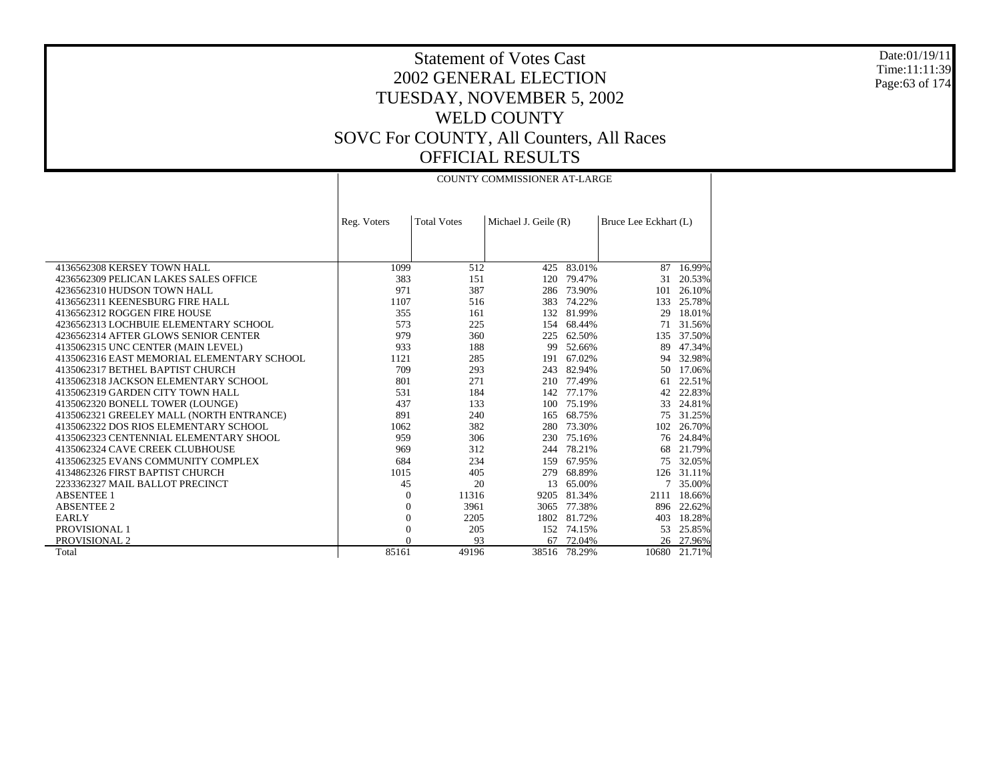#### Date:01/19/11 Time:11:11:39 Page:63 of 174

### Statement of Votes Cast 2002 GENERAL ELECTION TUESDAY, NOVEMBER 5, 2002 WELD COUNTY SOVC For COUNTY, All Counters, All Races OFFICIAL RESULTS

COUNTY COMMISSIONER AT-LARGE

|                                            | Reg. Voters  | <b>Total Votes</b> | Michael J. Geile (R) |        | Bruce Lee Eckhart (L) |        |
|--------------------------------------------|--------------|--------------------|----------------------|--------|-----------------------|--------|
|                                            |              |                    |                      |        |                       |        |
|                                            |              |                    |                      |        |                       |        |
| 4136562308 KERSEY TOWN HALL                | 1099         | 512                | 425                  | 83.01% | 87                    | 16.99% |
| 4236562309 PELICAN LAKES SALES OFFICE      | 383          | 151                | 120                  | 79.47% | 31                    | 20.53% |
| 4236562310 HUDSON TOWN HALL                | 971          | 387                | 286                  | 73.90% | 101                   | 26.10% |
| 4136562311 KEENESBURG FIRE HALL            | 1107         | 516                | 383                  | 74.22% | 133                   | 25.78% |
| 4136562312 ROGGEN FIRE HOUSE               | 355          | 161                | 132                  | 81.99% | 29                    | 18.01% |
| 4236562313 LOCHBUIE ELEMENTARY SCHOOL      | 573          | 225                | 154                  | 68.44% | 71                    | 31.56% |
| 4236562314 AFTER GLOWS SENIOR CENTER       | 979          | 360                | 225                  | 62.50% | 135                   | 37.50% |
| 4135062315 UNC CENTER (MAIN LEVEL)         | 933          | 188                | 99                   | 52.66% | 89                    | 47.34% |
| 4135062316 EAST MEMORIAL ELEMENTARY SCHOOL | 1121         | 285                | 191                  | 67.02% | 94                    | 32.98% |
| 4135062317 BETHEL BAPTIST CHURCH           | 709          | 293                | 243                  | 82.94% | 50                    | 17.06% |
| 4135062318 JACKSON ELEMENTARY SCHOOL       | 801          | 271                | 210                  | 77.49% | 61                    | 22.51% |
| 4135062319 GARDEN CITY TOWN HALL           | 531          | 184                | 142                  | 77.17% | 42                    | 22.83% |
| 4135062320 BONELL TOWER (LOUNGE)           | 437          | 133                | 100                  | 75.19% | 33                    | 24.81% |
| 4135062321 GREELEY MALL (NORTH ENTRANCE)   | 891          | 240                | 165                  | 68.75% | 75                    | 31.25% |
| 4135062322 DOS RIOS ELEMENTARY SCHOOL      | 1062         | 382                | 280                  | 73.30% | 102                   | 26.70% |
| 4135062323 CENTENNIAL ELEMENTARY SHOOL     | 959          | 306                | 230                  | 75.16% | 76                    | 24.84% |
| 4135062324 CAVE CREEK CLUBHOUSE            | 969          | 312                | 244                  | 78.21% | 68                    | 21.79% |
| 4135062325 EVANS COMMUNITY COMPLEX         | 684          | 234                | 159                  | 67.95% | 75                    | 32.05% |
| 4134862326 FIRST BAPTIST CHURCH            | 1015         | 405                | 279                  | 68.89% | 126                   | 31.11% |
| 2233362327 MAIL BALLOT PRECINCT            | 45           | 20                 | 13                   | 65.00% |                       | 35.00% |
| <b>ABSENTEE 1</b>                          | $\theta$     | 11316              | 9205                 | 81.34% | 2111                  | 18.66% |
| <b>ABSENTEE 2</b>                          | $\theta$     | 3961               | 3065                 | 77.38% | 896                   | 22.62% |
| <b>EARLY</b>                               | $\mathbf{0}$ | 2205               | 1802                 | 81.72% | 403                   | 18.28% |
| PROVISIONAL 1                              | $\mathbf{0}$ | 205                | 152                  | 74.15% | 53                    | 25.85% |
| PROVISIONAL 2                              | $\Omega$     | 93                 | 67                   | 72.04% | 26                    | 27.96% |
| Total                                      | 85161        | 49196              | 38516                | 78.29% | 10680                 | 21.71% |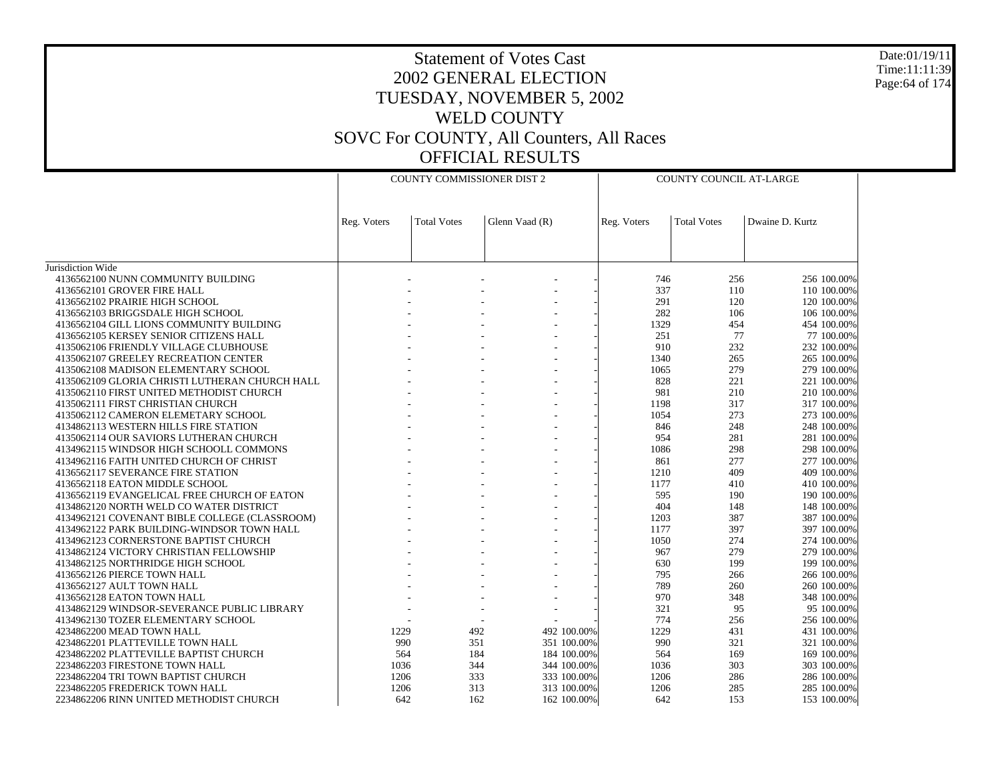Date:01/19/11 Time:11:11:39 Page:64 of 174

|                                                                                    | <b>COUNTY COMMISSIONER DIST 2</b> |                    |                |                            | COUNTY COUNCIL AT-LARGE |                    |                            |
|------------------------------------------------------------------------------------|-----------------------------------|--------------------|----------------|----------------------------|-------------------------|--------------------|----------------------------|
|                                                                                    | Reg. Voters                       | <b>Total Votes</b> | Glenn Vaad (R) |                            | Reg. Voters             | <b>Total Votes</b> | Dwaine D. Kurtz            |
|                                                                                    |                                   |                    |                |                            |                         |                    |                            |
| Jurisdiction Wide                                                                  |                                   |                    |                |                            |                         |                    |                            |
| 4136562100 NUNN COMMUNITY BUILDING                                                 |                                   |                    |                |                            | 746                     | 256                | 256 100.00%                |
| 4136562101 GROVER FIRE HALL                                                        |                                   |                    |                |                            | 337                     | 110                | 110 100.00%                |
| 4136562102 PRAIRIE HIGH SCHOOL                                                     |                                   |                    |                |                            | 291                     | 120                | 120 100.00%                |
| 4136562103 BRIGGSDALE HIGH SCHOOL                                                  |                                   |                    |                |                            | 282                     | 106                | 106 100.00%                |
| 4136562104 GILL LIONS COMMUNITY BUILDING<br>4136562105 KERSEY SENIOR CITIZENS HALL |                                   |                    |                |                            | 1329<br>251             | 454<br>77          | 454 100.00%<br>77 100.00%  |
| 4135062106 FRIENDLY VILLAGE CLUBHOUSE                                              |                                   |                    |                |                            | 910                     | 232                | 232 100.00%                |
| 4135062107 GREELEY RECREATION CENTER                                               |                                   |                    |                |                            | 1340                    | 265                | 265 100.00%                |
| 4135062108 MADISON ELEMENTARY SCHOOL                                               |                                   |                    |                |                            | 1065                    | 279                | 279 100.00%                |
| 4135062109 GLORIA CHRISTI LUTHERAN CHURCH HALL                                     |                                   |                    |                |                            | 828                     | 221                | 221 100.00%                |
| 4135062110 FIRST UNITED METHODIST CHURCH                                           |                                   |                    |                |                            | 981                     | 210                | 210 100.00%                |
| 4135062111 FIRST CHRISTIAN CHURCH                                                  |                                   |                    |                |                            | 1198                    | 317                | 317 100.00%                |
| 4135062112 CAMERON ELEMETARY SCHOOL                                                |                                   |                    |                |                            | 1054                    | 273                | 273 100.00%                |
| 4134862113 WESTERN HILLS FIRE STATION                                              |                                   |                    |                |                            | 846                     | 248                | 248 100.00%                |
| 4135062114 OUR SAVIORS LUTHERAN CHURCH                                             |                                   |                    |                |                            | 954                     | 281                | 281 100.00%                |
| 4134962115 WINDSOR HIGH SCHOOLL COMMONS                                            |                                   |                    |                |                            | 1086                    | 298                | 298 100.00%                |
| 4134962116 FAITH UNITED CHURCH OF CHRIST                                           |                                   |                    |                |                            | 861                     | 277                | 277 100.00%                |
| 4136562117 SEVERANCE FIRE STATION                                                  |                                   |                    |                |                            | 1210                    | 409                | 409 100.00%                |
| 4136562118 EATON MIDDLE SCHOOL                                                     |                                   |                    |                |                            | 1177                    | 410                | 410 100.00%                |
| 4136562119 EVANGELICAL FREE CHURCH OF EATON                                        |                                   |                    |                |                            | 595                     | 190                | 190 100.00%                |
| 4134862120 NORTH WELD CO WATER DISTRICT                                            |                                   |                    |                |                            | 404                     | 148                | 148 100.00%                |
| 4134962121 COVENANT BIBLE COLLEGE (CLASSROOM)                                      |                                   |                    |                |                            | 1203                    | 387                | 387 100.00%                |
| 4134962122 PARK BUILDING-WINDSOR TOWN HALL                                         |                                   |                    |                |                            | 1177                    | 397                | 397 100.00%                |
| 4134962123 CORNERSTONE BAPTIST CHURCH                                              |                                   |                    |                |                            | 1050                    | 274                | 274 100.00%                |
| 4134862124 VICTORY CHRISTIAN FELLOWSHIP                                            |                                   |                    |                |                            | 967                     | 279                | 279 100.00%                |
| 4134862125 NORTHRIDGE HIGH SCHOOL                                                  |                                   |                    |                |                            | 630                     | 199                | 199 100.00%                |
| 4136562126 PIERCE TOWN HALL                                                        |                                   |                    |                |                            | 795                     | 266                | 266 100.00%                |
| 4136562127 AULT TOWN HALL                                                          |                                   |                    |                |                            | 789                     | 260                | 260 100.00%                |
| 4136562128 EATON TOWN HALL                                                         |                                   |                    |                |                            | 970                     | 348                | 348 100.00%                |
| 4134862129 WINDSOR-SEVERANCE PUBLIC LIBRARY                                        |                                   |                    |                |                            | 321                     | 95                 | 95 100.00%                 |
| 4134962130 TOZER ELEMENTARY SCHOOL                                                 |                                   |                    |                |                            | 774                     | 256                | 256 100,00%                |
| 4234862200 MEAD TOWN HALL                                                          | 1229<br>990                       |                    | 492<br>351     | 492 100.00%<br>351 100.00% | 1229<br>990             | 431<br>321         | 431 100.00%<br>321 100.00% |
| 4234862201 PLATTEVILLE TOWN HALL<br>4234862202 PLATTEVILLE BAPTIST CHURCH          |                                   | 564                | 184            | 184 100.00%                | 564                     | 169                | 169 100.00%                |
| 2234862203 FIRESTONE TOWN HALL                                                     | 1036                              |                    | 344            | 344 100.00%                | 1036                    | 303                | 303 100.00%                |
| 2234862204 TRI TOWN BAPTIST CHURCH                                                 | 1206                              |                    | 333            | 333 100,00%                | 1206                    | 286                | 286 100.00%                |
| 2234862205 FREDERICK TOWN HALL                                                     | 1206                              |                    | 313            | 313 100.00%                | 1206                    | 285                | 285 100.00%                |
|                                                                                    |                                   |                    |                |                            |                         |                    |                            |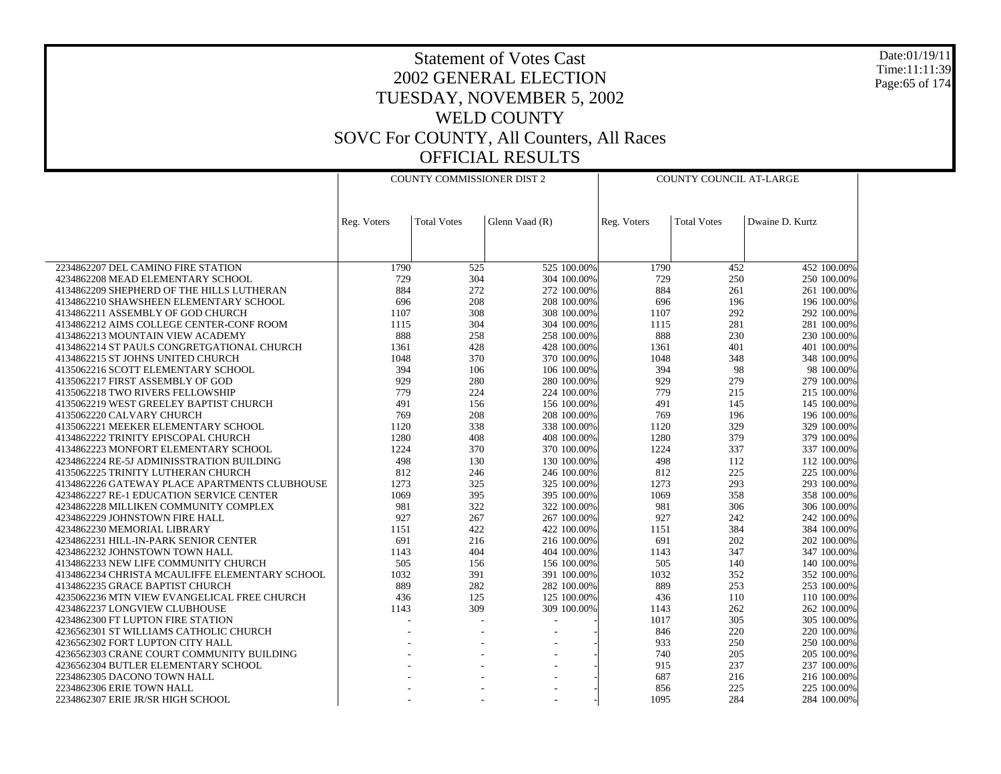Date:01/19/11 Time:11:11:39 Page:65 of 174

|                                                                                | <b>COUNTY COMMISSIONER DIST 2</b> |                    |                            | <b>COUNTY COUNCIL AT-LARGE</b> |                    |                            |
|--------------------------------------------------------------------------------|-----------------------------------|--------------------|----------------------------|--------------------------------|--------------------|----------------------------|
|                                                                                |                                   |                    |                            |                                |                    |                            |
|                                                                                | Reg. Voters                       | <b>Total Votes</b> | Glenn Vaad (R)             | Reg. Voters                    | <b>Total Votes</b> | Dwaine D. Kurtz            |
|                                                                                |                                   |                    |                            |                                |                    |                            |
|                                                                                |                                   |                    |                            |                                |                    |                            |
| 2234862207 DEL CAMINO FIRE STATION                                             | 1790                              | 525                | 525 100.00%                | 1790                           | 452                | 452 100.00%                |
| 4234862208 MEAD ELEMENTARY SCHOOL                                              | 729                               | 304                | 304 100.00%                | 729                            | 250                | 250 100.00%                |
| 4134862209 SHEPHERD OF THE HILLS LUTHERAN                                      | 884                               | 272                | 272 100.00%                | 884                            | 261                | 261 100.00%                |
| 4134862210 SHAWSHEEN ELEMENTARY SCHOOL                                         | 696                               | 208                | 208 100,00%                | 696                            | 196                | 196 100.00%                |
| 4134862211 ASSEMBLY OF GOD CHURCH                                              | 1107                              | 308<br>304         | 308 100.00%<br>304 100.00% | 1107                           | 292<br>281         | 292 100.00%                |
| 4134862212 AIMS COLLEGE CENTER-CONF ROOM                                       | 1115<br>888                       | 258                |                            | 1115<br>888                    | 230                | 281 100.00%                |
| 4134862213 MOUNTAIN VIEW ACADEMY<br>4134862214 ST PAULS CONGRETGATIONAL CHURCH | 1361                              | 428                | 258 100.00%<br>428 100,00% | 1361                           | 401                | 230 100.00%<br>401 100.00% |
| 4134862215 ST JOHNS UNITED CHURCH                                              | 1048                              | 370                | 370 100,00%                | 1048                           | 348                | 348 100.00%                |
| 4135062216 SCOTT ELEMENTARY SCHOOL                                             | 394                               | 106                | 106 100.00%                | 394                            | 98                 | 98 100.00%                 |
| 4135062217 FIRST ASSEMBLY OF GOD                                               | 929                               | 280                | 280 100.00%                | 929                            | 279                | 279 100.00%                |
| 4135062218 TWO RIVERS FELLOWSHIP                                               | 779                               | 224                | 224 100.00%                | 779                            | 215                | 215 100.00%                |
| 4135062219 WEST GREELEY BAPTIST CHURCH                                         | 491                               | 156                | 156 100,00%                | 491                            | 145                | 145 100.00%                |
| 4135062220 CALVARY CHURCH                                                      | 769                               | 208                | 208 100.00%                | 769                            | 196                | 196 100.00%                |
| 4135062221 MEEKER ELEMENTARY SCHOOL                                            | 1120                              | 338                | 338 100.00%                | 1120                           | 329                | 329 100.00%                |
| 4134862222 TRINITY EPISCOPAL CHURCH                                            | 1280                              | 408                | 408 100.00%                | 1280                           | 379                | 379 100.00%                |
| 4134862223 MONFORT ELEMENTARY SCHOOL                                           | 1224                              | 370                | 370 100.00%                | 1224                           | 337                | 337 100.00%                |
| 4234862224 RE-5J ADMINISSTRATION BUILDING                                      | 498                               | 130                | 130 100.00%                | 498                            | 112                | 112 100.00%                |
| 4135062225 TRINITY LUTHERAN CHURCH                                             | 812                               | 246                | 246 100.00%                | 812                            | 225                | 225 100.00%                |
| 4134862226 GATEWAY PLACE APARTMENTS CLUBHOUSE                                  | 1273                              | 325                | 325 100.00%                | 1273                           | 293                | 293 100.00%                |
| 4234862227 RE-1 EDUCATION SERVICE CENTER                                       | 1069                              | 395                | 395 100.00%                | 1069                           | 358                | 358 100.00%                |
| 4234862228 MILLIKEN COMMUNITY COMPLEX                                          | 981                               | 322                | 322 100.00%                | 981                            | 306                | 306 100.00%                |
| 4234862229 JOHNSTOWN FIRE HALL                                                 | 927                               | 267                | 267 100.00%                | 927                            | 242                | 242 100.00%                |
| 4234862230 MEMORIAL LIBRARY                                                    | 1151                              | 422                | 422 100.00%                | 1151                           | 384                | 384 100.00%                |
| 4234862231 HILL-IN-PARK SENIOR CENTER                                          | 691                               | 216                | 216 100.00%                | 691                            | 202                | 202 100.00%                |
| 4234862232 JOHNSTOWN TOWN HALL                                                 | 1143                              | 404                | 404 100.00%                | 1143                           | 347                | 347 100.00%                |
| 4134862233 NEW LIFE COMMUNITY CHURCH                                           | 505                               | 156                | 156 100.00%                | 505                            | 140                | 140 100.00%                |
| 4134862234 CHRISTA MCAULIFFE ELEMENTARY SCHOOL                                 | 1032                              | 391                | 391 100.00%                | 1032                           | 352                | 352 100.00%                |
| 4134862235 GRACE BAPTIST CHURCH                                                | 889                               | 282                | 282 100.00%                | 889                            | 253                | 253 100.00%                |
| 4235062236 MTN VIEW EVANGELICAL FREE CHURCH                                    | 436                               | 125                | 125 100,00%                | 436                            | 110                | 110 100.00%                |
| 4234862237 LONGVIEW CLUBHOUSE                                                  | 1143                              | 309                | 309 100.00%                | 1143                           | 262                | 262 100.00%                |
| 4234862300 FT LUPTON FIRE STATION                                              | L,                                |                    |                            | 1017                           | 305                | 305 100.00%                |
| 4236562301 ST WILLIAMS CATHOLIC CHURCH                                         |                                   |                    | $\overline{a}$             | 846                            | 220                | 220 100.00%                |
| 4236562302 FORT LUPTON CITY HALL                                               |                                   |                    |                            | 933                            | 250                | 250 100.00%                |
| 4236562303 CRANE COURT COMMUNITY BUILDING                                      |                                   |                    |                            | 740                            | 205                | 205 100.00%                |
| 4236562304 BUTLER ELEMENTARY SCHOOL<br>2234862305 DACONO TOWN HALL             |                                   |                    |                            | 915<br>687                     | 237<br>216         | 237 100.00%<br>216 100.00% |
| 2234862306 ERIE TOWN HALL                                                      |                                   |                    |                            | 856                            | 225                | 225 100.00%                |
| 2234862307 ERIE JR/SR HIGH SCHOOL                                              |                                   |                    | $\overline{a}$             | 1095                           | 284                | 284 100.00%                |
|                                                                                |                                   |                    |                            |                                |                    |                            |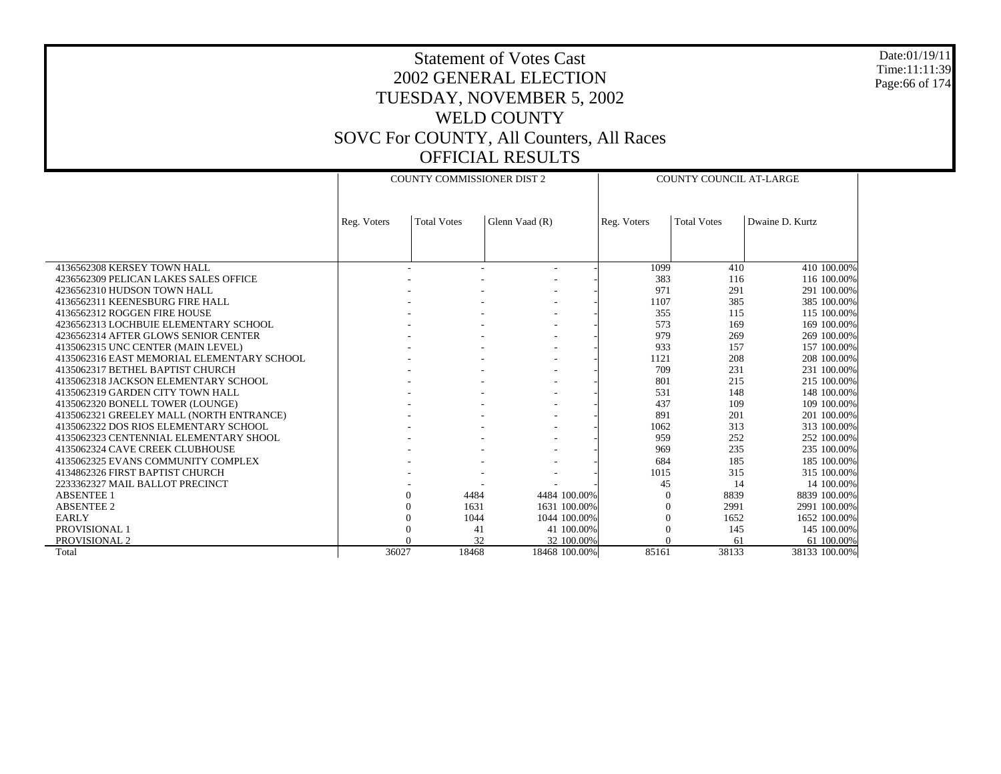Date:01/19/11 Time:11:11:39 Page:66 of 174

|                                            |             | <b>COUNTY COMMISSIONER DIST 2</b> |                  |             | <b>COUNTY COUNCIL AT-LARGE</b> |                 |  |  |
|--------------------------------------------|-------------|-----------------------------------|------------------|-------------|--------------------------------|-----------------|--|--|
|                                            |             |                                   |                  |             |                                |                 |  |  |
|                                            | Reg. Voters | <b>Total Votes</b>                | Glenn Vaad (R)   | Reg. Voters | <b>Total Votes</b>             | Dwaine D. Kurtz |  |  |
|                                            |             |                                   |                  |             |                                |                 |  |  |
|                                            |             |                                   |                  |             |                                |                 |  |  |
| 4136562308 KERSEY TOWN HALL                |             |                                   |                  | 1099        | 410                            | 410 100.00%     |  |  |
| 4236562309 PELICAN LAKES SALES OFFICE      |             |                                   |                  | 383         | 116                            | 116 100,00%     |  |  |
| 4236562310 HUDSON TOWN HALL                |             |                                   |                  | 971         | 291                            | 291 100.00%     |  |  |
| 4136562311 KEENESBURG FIRE HALL            |             |                                   |                  | 1107        | 385                            | 385 100.00%     |  |  |
| 4136562312 ROGGEN FIRE HOUSE               |             |                                   |                  | 355         | 115                            | 115 100.00%     |  |  |
|                                            |             |                                   |                  | 573         |                                |                 |  |  |
| 4236562313 LOCHBUIE ELEMENTARY SCHOOL      |             |                                   |                  |             | 169                            | 169 100.00%     |  |  |
| 4236562314 AFTER GLOWS SENIOR CENTER       |             |                                   |                  | 979         | 269                            | 269 100,00%     |  |  |
| 4135062315 UNC CENTER (MAIN LEVEL)         |             |                                   |                  | 933         | 157                            | 157 100.00%     |  |  |
| 4135062316 EAST MEMORIAL ELEMENTARY SCHOOL |             |                                   |                  | 1121        | 208                            | 208 100.00%     |  |  |
| 4135062317 BETHEL BAPTIST CHURCH           |             |                                   |                  | 709         | 231                            | 231 100.00%     |  |  |
| 4135062318 JACKSON ELEMENTARY SCHOOL       |             |                                   |                  | 801         | 215                            | 215 100.00%     |  |  |
| 4135062319 GARDEN CITY TOWN HALL           |             |                                   |                  | 531         | 148                            | 148 100.00%     |  |  |
| 4135062320 BONELL TOWER (LOUNGE)           |             |                                   |                  | 437         | 109                            | 109 100,00%     |  |  |
| 4135062321 GREELEY MALL (NORTH ENTRANCE)   |             |                                   |                  | 891         | 201                            | 201 100.00%     |  |  |
| 4135062322 DOS RIOS ELEMENTARY SCHOOL      |             |                                   |                  | 1062        | 313                            | 313 100.00%     |  |  |
| 4135062323 CENTENNIAL ELEMENTARY SHOOL     |             |                                   |                  | 959         | 252                            | 252 100.00%     |  |  |
| 4135062324 CAVE CREEK CLUBHOUSE            |             |                                   |                  | 969         | 235                            | 235 100,00%     |  |  |
| 4135062325 EVANS COMMUNITY COMPLEX         |             |                                   |                  | 684         | 185                            | 185 100.00%     |  |  |
| 4134862326 FIRST BAPTIST CHURCH            |             |                                   |                  | 1015        | 315                            | 315 100.00%     |  |  |
| 2233362327 MAIL BALLOT PRECINCT            |             |                                   |                  | 45          | 14                             | 14 100.00%      |  |  |
| <b>ABSENTEE 1</b>                          |             | $\theta$<br>4484                  | 4484 100.00%     | 0           | 8839                           | 8839 100.00%    |  |  |
| <b>ABSENTEE 2</b>                          |             | 1631<br>$\Omega$                  | 1631 100.00%     | $\Omega$    | 2991                           | 2991 100.00%    |  |  |
| <b>EARLY</b>                               |             | 1044<br>$\Omega$                  | 1044 100,00%     | $\Omega$    | 1652                           | 1652 100.00%    |  |  |
| PROVISIONAL 1                              |             | 41                                | 41 100.00%       |             | 145                            | 145 100.00%     |  |  |
| PROVISIONAL 2                              |             |                                   | 32<br>32 100.00% |             | 61                             | 61 100.00%      |  |  |
| Total                                      | 36027       | 18468                             | 18468 100.00%    | 85161       | 38133                          | 38133 100.00%   |  |  |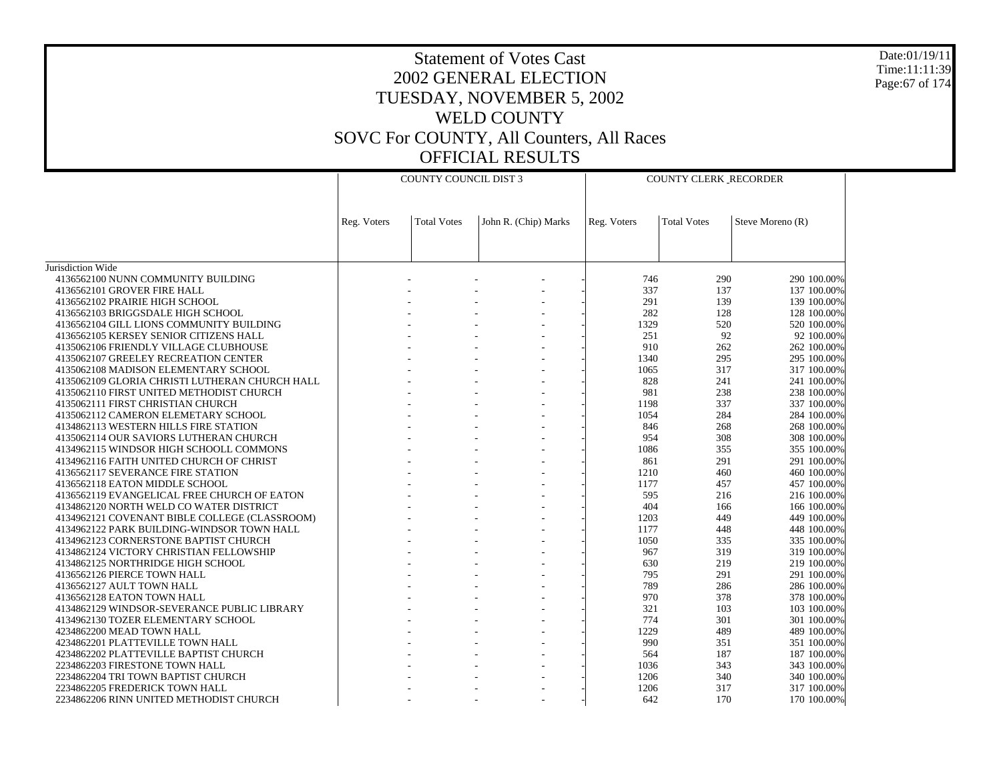Date:01/19/11 Time:11:11:39 Page:67 of 174

|                                                                                 | <b>COUNTY COUNCIL DIST 3</b> |                    |                      | COUNTY CLERK_RECORDER |                    |                            |
|---------------------------------------------------------------------------------|------------------------------|--------------------|----------------------|-----------------------|--------------------|----------------------------|
|                                                                                 | Reg. Voters                  | <b>Total Votes</b> | John R. (Chip) Marks | Reg. Voters           | <b>Total Votes</b> | Steve Moreno (R)           |
|                                                                                 |                              |                    |                      |                       |                    |                            |
| Jurisdiction Wide<br>4136562100 NUNN COMMUNITY BUILDING                         |                              |                    |                      | 746                   | 290                | 290 100.00%                |
| 4136562101 GROVER FIRE HALL                                                     |                              |                    |                      | 337                   | 137                | 137 100.00%                |
| 4136562102 PRAIRIE HIGH SCHOOL                                                  |                              |                    |                      | 291                   | 139                | 139 100.00%                |
| 4136562103 BRIGGSDALE HIGH SCHOOL                                               |                              |                    |                      | 282                   | 128                | 128 100.00%                |
| 4136562104 GILL LIONS COMMUNITY BUILDING                                        |                              |                    |                      | 1329                  | 520                | 520 100.00%                |
| 4136562105 KERSEY SENIOR CITIZENS HALL                                          |                              |                    |                      | 251                   | 92                 | 92 100.00%                 |
| 4135062106 FRIENDLY VILLAGE CLUBHOUSE                                           |                              |                    |                      | 910                   | 262                | 262 100.00%                |
| 4135062107 GREELEY RECREATION CENTER                                            |                              |                    |                      | 1340                  | 295                | 295 100.00%                |
| 4135062108 MADISON ELEMENTARY SCHOOL                                            |                              |                    |                      | 1065                  | 317                | 317 100.00%                |
| 4135062109 GLORIA CHRISTI LUTHERAN CHURCH HALL                                  |                              |                    |                      | 828                   | 241                | 241 100.00%                |
| 4135062110 FIRST UNITED METHODIST CHURCH                                        |                              |                    |                      | 981                   | 238                | 238 100.00%                |
| 4135062111 FIRST CHRISTIAN CHURCH                                               |                              |                    |                      | 1198                  | 337                | 337 100.00%                |
| 4135062112 CAMERON ELEMETARY SCHOOL                                             |                              |                    |                      | 1054<br>846           | 284<br>268         | 284 100,00%<br>268 100.00% |
| 4134862113 WESTERN HILLS FIRE STATION<br>4135062114 OUR SAVIORS LUTHERAN CHURCH |                              |                    |                      | 954                   | 308                | 308 100.00%                |
| 4134962115 WINDSOR HIGH SCHOOLL COMMONS                                         |                              |                    |                      | 1086                  | 355                | 355 100.00%                |
| 4134962116 FAITH UNITED CHURCH OF CHRIST                                        |                              |                    |                      | 861                   | 291                | 291 100.00%                |
| 4136562117 SEVERANCE FIRE STATION                                               |                              |                    |                      | 1210                  | 460                | 460 100.00%                |
| 4136562118 EATON MIDDLE SCHOOL                                                  |                              |                    |                      | 1177                  | 457                | 457 100.00%                |
| 4136562119 EVANGELICAL FREE CHURCH OF EATON                                     |                              |                    |                      | 595                   | 216                | 216 100.00%                |
| 4134862120 NORTH WELD CO WATER DISTRICT                                         |                              |                    |                      | 404                   | 166                | 166 100.00%                |
| 4134962121 COVENANT BIBLE COLLEGE (CLASSROOM)                                   |                              |                    |                      | 1203                  | 449                | 449 100,00%                |
| 4134962122 PARK BUILDING-WINDSOR TOWN HALL                                      |                              |                    |                      | 1177                  | 448                | 448 100.00%                |
| 4134962123 CORNERSTONE BAPTIST CHURCH                                           |                              |                    |                      | 1050                  | 335                | 335 100.00%                |
| 4134862124 VICTORY CHRISTIAN FELLOWSHIP                                         |                              |                    |                      | 967                   | 319                | 319 100.00%                |
| 4134862125 NORTHRIDGE HIGH SCHOOL                                               |                              |                    |                      | 630                   | 219                | 219 100.00%                |
| 4136562126 PIERCE TOWN HALL                                                     |                              |                    |                      | 795                   | 291                | 291 100.00%                |
| 4136562127 AULT TOWN HALL                                                       |                              |                    |                      | 789<br>970            | 286<br>378         | 286 100.00%                |
| 4136562128 EATON TOWN HALL<br>4134862129 WINDSOR-SEVERANCE PUBLIC LIBRARY       |                              |                    |                      | 321                   | 103                | 378 100.00%<br>103 100.00% |
| 4134962130 TOZER ELEMENTARY SCHOOL                                              |                              |                    |                      | 774                   | 301                | 301 100.00%                |
| 4234862200 MEAD TOWN HALL                                                       |                              |                    |                      | 1229                  | 489                | 489 100.00%                |
| 4234862201 PLATTEVILLE TOWN HALL                                                |                              |                    |                      | 990                   | 351                | 351 100.00%                |
| 4234862202 PLATTEVILLE BAPTIST CHURCH                                           |                              |                    |                      | 564                   | 187                | 187 100.00%                |
| 2234862203 FIRESTONE TOWN HALL                                                  |                              |                    |                      | 1036                  | 343                | 343 100.00%                |
| 2234862204 TRI TOWN BAPTIST CHURCH                                              |                              |                    |                      | 1206                  | 340                | 340 100,00%                |
| 2234862205 FREDERICK TOWN HALL                                                  |                              |                    |                      | 1206                  | 317                | 317 100.00%                |
| 2234862206 RINN UNITED METHODIST CHURCH                                         |                              |                    |                      | 642                   | 170                | 170 100.00%                |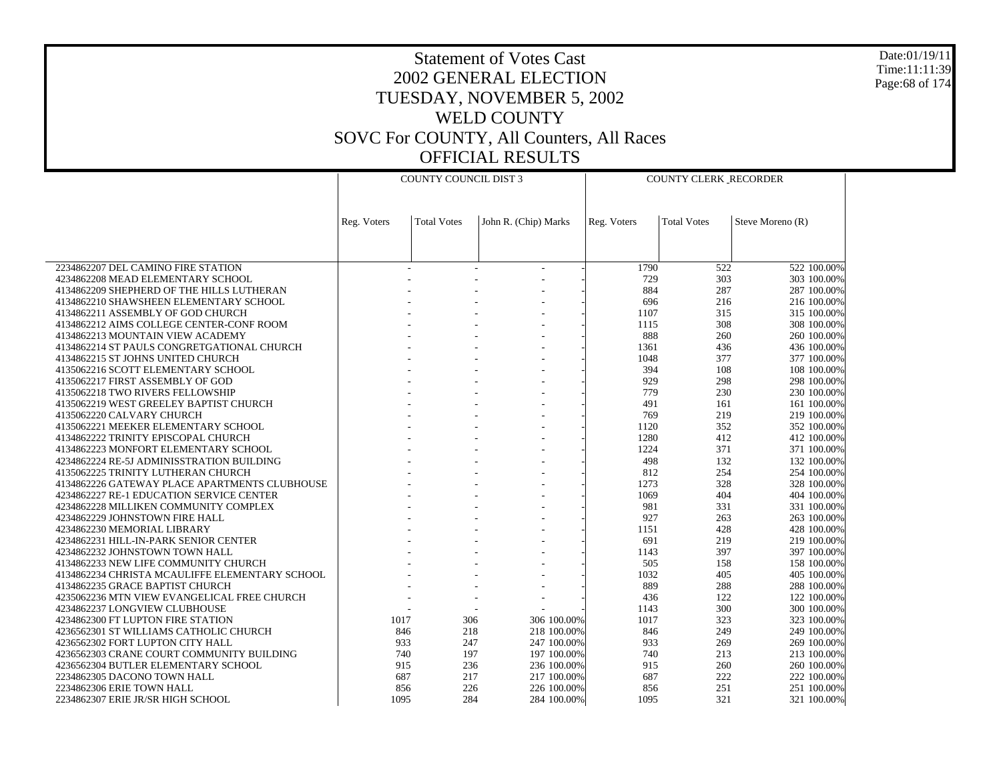Date:01/19/11 Time:11:11:39 Page:68 of 174

|                                                                             | <b>COUNTY COUNCIL DIST 3</b> |                    |                      | <b>COUNTY CLERK_RECORDER</b> |                    |                            |
|-----------------------------------------------------------------------------|------------------------------|--------------------|----------------------|------------------------------|--------------------|----------------------------|
|                                                                             |                              |                    |                      |                              |                    |                            |
|                                                                             |                              |                    |                      |                              |                    |                            |
|                                                                             | Reg. Voters                  | <b>Total Votes</b> | John R. (Chip) Marks | Reg. Voters                  | <b>Total Votes</b> | Steve Moreno (R)           |
|                                                                             |                              |                    |                      |                              |                    |                            |
|                                                                             |                              |                    |                      |                              |                    |                            |
| 2234862207 DEL CAMINO FIRE STATION                                          |                              |                    |                      | 1790                         | 522                | 522 100.00%                |
| 4234862208 MEAD ELEMENTARY SCHOOL                                           |                              |                    |                      | 729                          | 303                | 303 100.00%                |
| 4134862209 SHEPHERD OF THE HILLS LUTHERAN                                   |                              |                    |                      | 884                          | 287                | 287 100.00%                |
| 4134862210 SHAWSHEEN ELEMENTARY SCHOOL<br>4134862211 ASSEMBLY OF GOD CHURCH |                              |                    |                      | 696<br>1107                  | 216<br>315         | 216 100.00%<br>315 100.00% |
| 4134862212 AIMS COLLEGE CENTER-CONF ROOM                                    |                              |                    |                      | 1115                         | 308                | 308 100.00%                |
| 4134862213 MOUNTAIN VIEW ACADEMY                                            |                              |                    |                      | 888                          | 260                | 260 100.00%                |
| 4134862214 ST PAULS CONGRETGATIONAL CHURCH                                  |                              |                    |                      | 1361                         | 436                | 436 100.00%                |
| 4134862215 ST JOHNS UNITED CHURCH                                           |                              |                    |                      | 1048                         | 377                | 377 100.00%                |
| 4135062216 SCOTT ELEMENTARY SCHOOL                                          |                              |                    |                      | 394                          | 108                | 108 100.00%                |
| 4135062217 FIRST ASSEMBLY OF GOD                                            |                              |                    |                      | 929                          | 298                | 298 100.00%                |
| 4135062218 TWO RIVERS FELLOWSHIP                                            |                              |                    |                      | 779                          | 230                | 230 100.00%                |
| 4135062219 WEST GREELEY BAPTIST CHURCH                                      |                              |                    |                      | 491                          | 161                | 161 100.00%                |
| 4135062220 CALVARY CHURCH                                                   |                              |                    |                      | 769                          | 219                | 219 100.00%                |
| 4135062221 MEEKER ELEMENTARY SCHOOL                                         |                              |                    |                      | 1120                         | 352                | 352 100.00%                |
| 4134862222 TRINITY EPISCOPAL CHURCH                                         |                              |                    |                      | 1280                         | 412                | 412 100.00%                |
| 4134862223 MONFORT ELEMENTARY SCHOOL                                        |                              |                    |                      | 1224                         | 371                | 371 100.00%                |
| 4234862224 RE-5J ADMINISSTRATION BUILDING                                   |                              |                    |                      | 498                          | 132                | 132 100.00%                |
| 4135062225 TRINITY LUTHERAN CHURCH                                          |                              |                    |                      | 812                          | 254                | 254 100.00%                |
| 4134862226 GATEWAY PLACE APARTMENTS CLUBHOUSE                               |                              |                    |                      | 1273                         | 328                | 328 100.00%                |
| 4234862227 RE-1 EDUCATION SERVICE CENTER                                    |                              |                    |                      | 1069                         | 404                | 404 100.00%                |
| 4234862228 MILLIKEN COMMUNITY COMPLEX<br>4234862229 JOHNSTOWN FIRE HALL     |                              |                    |                      | 981<br>927                   | 331<br>263         | 331 100.00%<br>263 100.00% |
| 4234862230 MEMORIAL LIBRARY                                                 |                              |                    |                      | 1151                         | 428                | 428 100.00%                |
| 4234862231 HILL-IN-PARK SENIOR CENTER                                       |                              |                    |                      | 691                          | 219                | 219 100.00%                |
| 4234862232 JOHNSTOWN TOWN HALL                                              |                              |                    |                      | 1143                         | 397                | 397 100.00%                |
| 4134862233 NEW LIFE COMMUNITY CHURCH                                        |                              |                    |                      | 505                          | 158                | 158 100.00%                |
| 4134862234 CHRISTA MCAULIFFE ELEMENTARY SCHOOL                              |                              |                    |                      | 1032                         | 405                | 405 100.00%                |
| 4134862235 GRACE BAPTIST CHURCH                                             |                              |                    |                      | 889                          | 288                | 288 100.00%                |
| 4235062236 MTN VIEW EVANGELICAL FREE CHURCH                                 |                              |                    | ÷                    | 436                          | 122                | 122 100.00%                |
| 4234862237 LONGVIEW CLUBHOUSE                                               |                              |                    |                      | 1143                         | 300                | 300 100.00%                |
| 4234862300 FT LUPTON FIRE STATION                                           | 1017                         | 306                | 306 100.00%          | 1017                         | 323                | 323 100.00%                |
| 4236562301 ST WILLIAMS CATHOLIC CHURCH                                      | 846                          | 218                | 218 100.00%          | 846                          | 249                | 249 100.00%                |
| 4236562302 FORT LUPTON CITY HALL                                            | 933                          | 247                | 247 100.00%          | 933                          | 269                | 269 100.00%                |
| 4236562303 CRANE COURT COMMUNITY BUILDING                                   | 740                          | 197                | 197 100.00%          | 740                          | 213                | 213 100.00%                |
| 4236562304 BUTLER ELEMENTARY SCHOOL                                         | 915                          | 236                | 236 100.00%          | 915                          | 260                | 260 100.00%                |
| 2234862305 DACONO TOWN HALL                                                 | 687                          | 217                | 217 100,00%          | 687                          | 222                | 222 100.00%                |
| 2234862306 ERIE TOWN HALL                                                   | 856                          | 226                | 226 100.00%          | 856                          | 251                | 251 100.00%                |
| 2234862307 ERIE JR/SR HIGH SCHOOL                                           | 1095                         | 284                | 284 100.00%          | 1095                         | 321                | 321 100.00%                |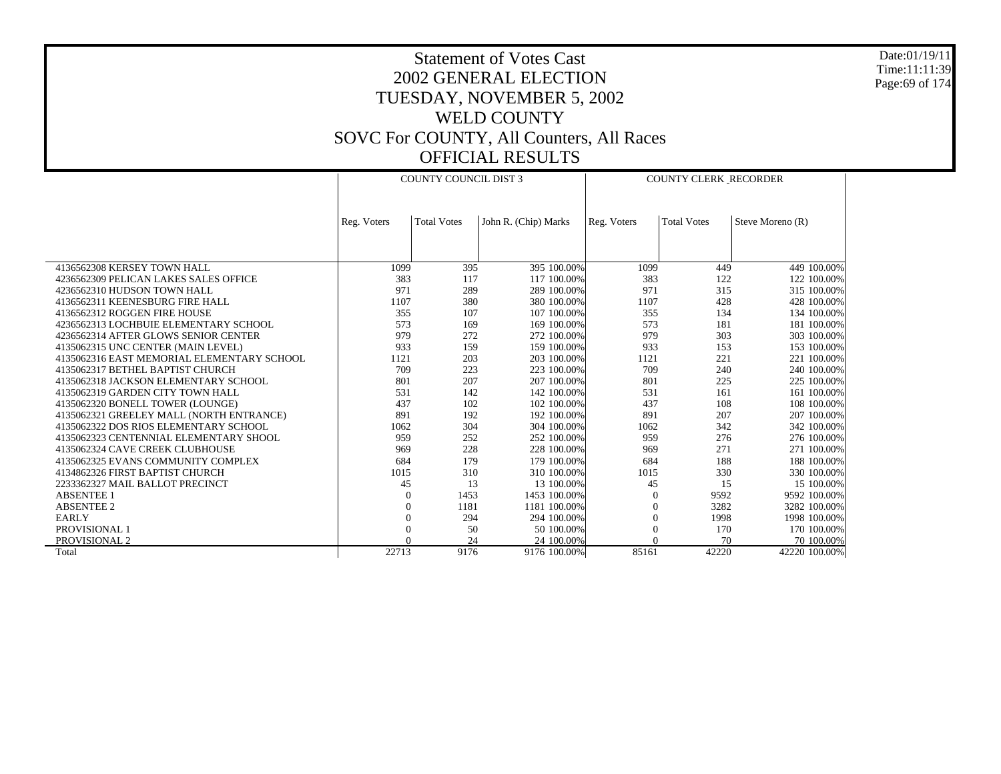Date:01/19/11 Time:11:11:39 Page:69 of 174

|                                            |             | <b>COUNTY COUNCIL DIST 3</b> |                      | <b>COUNTY CLERK RECORDER</b> |                    |                  |  |
|--------------------------------------------|-------------|------------------------------|----------------------|------------------------------|--------------------|------------------|--|
|                                            |             |                              |                      |                              |                    |                  |  |
|                                            |             |                              |                      |                              |                    |                  |  |
|                                            | Reg. Voters | <b>Total Votes</b>           | John R. (Chip) Marks | Reg. Voters                  | <b>Total Votes</b> | Steve Moreno (R) |  |
|                                            |             |                              |                      |                              |                    |                  |  |
|                                            |             |                              |                      |                              |                    |                  |  |
|                                            |             |                              |                      |                              |                    |                  |  |
| 4136562308 KERSEY TOWN HALL                | 1099        | 395                          | 395 100.00%          | 1099                         | 449                | 449 100.00%      |  |
| 4236562309 PELICAN LAKES SALES OFFICE      | 383         | 117                          | 117 100,00%          | 383                          | 122                | 122 100.00%      |  |
| 4236562310 HUDSON TOWN HALL                | 971         | 289                          | 289 100,00%          | 971                          | 315                | 315 100.00%      |  |
| 4136562311 KEENESBURG FIRE HALL            | 1107        | 380                          | 380 100,00%          | 1107                         | 428                | 428 100.00%      |  |
| 4136562312 ROGGEN FIRE HOUSE               | 355         | 107                          | 107 100,00%          | 355                          | 134                | 134 100.00%      |  |
| 4236562313 LOCHBUIE ELEMENTARY SCHOOL      | 573         | 169                          | 169 100.00%          | 573                          | 181                | 181 100.00%      |  |
| 4236562314 AFTER GLOWS SENIOR CENTER       | 979         | 272                          | 272 100.00%          | 979                          | 303                | 303 100.00%      |  |
| 4135062315 UNC CENTER (MAIN LEVEL)         | 933         | 159                          | 159 100.00%          | 933                          | 153                | 153 100.00%      |  |
| 4135062316 EAST MEMORIAL ELEMENTARY SCHOOL | 1121        | 203                          | 203 100.00%          | 1121                         | 221                | 221 100.00%      |  |
| 4135062317 BETHEL BAPTIST CHURCH           | 709         | 223                          | 223 100.00%          | 709                          | 240                | 240 100,00%      |  |
| 4135062318 JACKSON ELEMENTARY SCHOOL       | 801         | 207                          | 207 100,00%          | 801                          | 225                | 225 100.00%      |  |
| 4135062319 GARDEN CITY TOWN HALL           | 531         | 142                          | 142 100.00%          | 531                          | 161                | 161 100.00%      |  |
| 4135062320 BONELL TOWER (LOUNGE)           | 437         | 102                          | 102 100,00%          | 437                          | 108                | 108 100.00%      |  |
| 4135062321 GREELEY MALL (NORTH ENTRANCE)   | 891         | 192                          | 192 100.00%          | 891                          | 207                | 207 100.00%      |  |
| 4135062322 DOS RIOS ELEMENTARY SCHOOL      | 1062        | 304                          | 304 100.00%          | 1062                         | 342                | 342 100.00%      |  |
| 4135062323 CENTENNIAL ELEMENTARY SHOOL     | 959         | 252                          | 252 100.00%          | 959                          | 276                | 276 100.00%      |  |
| 4135062324 CAVE CREEK CLUBHOUSE            | 969         | 228                          | 228 100,00%          | 969                          | 271                | 271 100.00%      |  |
| 4135062325 EVANS COMMUNITY COMPLEX         | 684         | 179                          | 179 100,00%          | 684                          | 188                | 188 100.00%      |  |
| 4134862326 FIRST BAPTIST CHURCH            | 1015        | 310                          | 310 100,00%          | 1015                         | 330                | 330 100.00%      |  |
| 2233362327 MAIL BALLOT PRECINCT            | 45          | 13                           | 13 100.00%           | 45                           | 15                 | 15 100.00%       |  |
| <b>ABSENTEE 1</b>                          | $\Omega$    | 1453                         | 1453 100.00%         | 0                            | 9592               | 9592 100.00%     |  |
| <b>ABSENTEE 2</b>                          | $\Omega$    | 1181                         | 1181 100.00%         | $\Omega$                     | 3282               | 3282 100.00%     |  |
| <b>EARLY</b>                               | $\Omega$    | 294                          | 294 100.00%          | $\Omega$                     | 1998               | 1998 100.00%     |  |
| PROVISIONAL 1                              | $\Omega$    | 50                           | 50 100.00%           | $\Omega$                     | 170                | 170 100.00%      |  |
| PROVISIONAL 2                              |             | 24                           | 24 100,00%           |                              | 70                 | 70 100,00%       |  |
| Total                                      | 22713       | 9176                         | 9176 100.00%         | 85161                        | 42220              | 42220 100.00%    |  |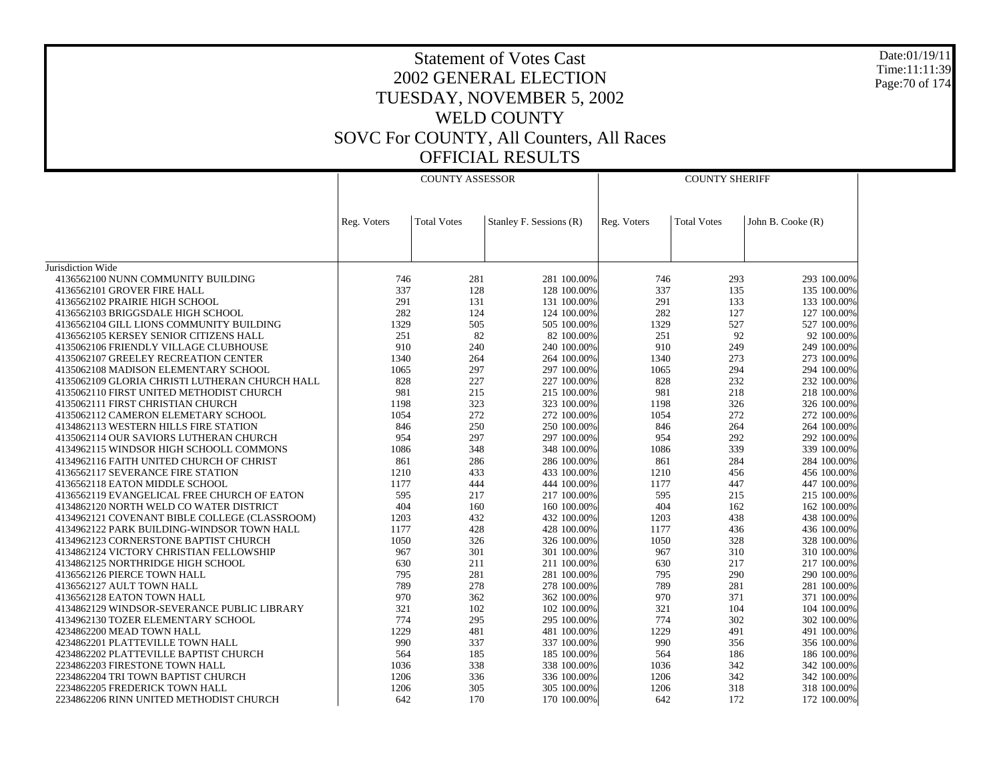Date:01/19/11 Time:11:11:39 Page:70 of 174

|                                                | COUNTY ASSESSOR |                    |                         | <b>COUNTY SHERIFF</b> |                    |                   |  |
|------------------------------------------------|-----------------|--------------------|-------------------------|-----------------------|--------------------|-------------------|--|
|                                                |                 |                    |                         |                       |                    |                   |  |
|                                                | Reg. Voters     | <b>Total Votes</b> | Stanley F. Sessions (R) | Reg. Voters           | <b>Total Votes</b> | John B. Cooke (R) |  |
|                                                |                 |                    |                         |                       |                    |                   |  |
|                                                |                 |                    |                         |                       |                    |                   |  |
| Jurisdiction Wide                              |                 |                    |                         |                       |                    |                   |  |
| 4136562100 NUNN COMMUNITY BUILDING             | 746             | 281                | 281 100.00%             | 746                   | 293                | 293 100.00%       |  |
| 4136562101 GROVER FIRE HALL                    | 337             | 128                | 128 100.00%             | 337                   | 135                | 135 100.00%       |  |
| 4136562102 PRAIRIE HIGH SCHOOL                 | 291             | 131                | 131 100.00%             | 291                   | 133                | 133 100.00%       |  |
| 4136562103 BRIGGSDALE HIGH SCHOOL              | 282             | 124                | 124 100.00%             | 282                   | 127                | 127 100.00%       |  |
| 4136562104 GILL LIONS COMMUNITY BUILDING       | 1329            | 505                | 505 100.00%             | 1329                  | 527                | 527 100.00%       |  |
| 4136562105 KERSEY SENIOR CITIZENS HALL         | 251             | 82                 | 82 100.00%              | 251                   | 92                 | 92 100.00%        |  |
| 4135062106 FRIENDLY VILLAGE CLUBHOUSE          | 910             | 240                | 240 100.00%             | 910                   | 249                | 249 100.00%       |  |
| 4135062107 GREELEY RECREATION CENTER           | 1340            | 264                | 264 100.00%             | 1340                  | 273                | 273 100.00%       |  |
| 4135062108 MADISON ELEMENTARY SCHOOL           | 1065            | 297                | 297 100.00%             | 1065                  | 294                | 294 100.00%       |  |
| 4135062109 GLORIA CHRISTI LUTHERAN CHURCH HALL | 828             | 227                | 227 100.00%             | 828                   | 232                | 232 100.00%       |  |
| 4135062110 FIRST UNITED METHODIST CHURCH       | 981             | 215                | 215 100.00%             | 981                   | 218                | 218 100.00%       |  |
| 4135062111 FIRST CHRISTIAN CHURCH              | 1198            | 323                | 323 100.00%             | 1198                  | 326                | 326 100.00%       |  |
| 4135062112 CAMERON ELEMETARY SCHOOL            | 1054            | 272                | 272 100.00%             | 1054                  | 272                | 272 100.00%       |  |
| 4134862113 WESTERN HILLS FIRE STATION          | 846             | 250                | 250 100.00%             | 846                   | 264                | 264 100.00%       |  |
| 4135062114 OUR SAVIORS LUTHERAN CHURCH         | 954             | 297                | 297 100.00%             | 954                   | 292                | 292 100.00%       |  |
| 4134962115 WINDSOR HIGH SCHOOLL COMMONS        | 1086            | 348                | 348 100.00%             | 1086                  | 339                | 339 100.00%       |  |
| 4134962116 FAITH UNITED CHURCH OF CHRIST       | 861             | 286                | 286 100.00%             | 861                   | 284                | 284 100.00%       |  |
| 4136562117 SEVERANCE FIRE STATION              | 1210            | 433                | 433 100.00%             | 1210                  | 456                | 456 100.00%       |  |
| 4136562118 EATON MIDDLE SCHOOL                 | 1177            | 444                | 444 100.00%             | 1177                  | 447                | 447 100.00%       |  |
| 4136562119 EVANGELICAL FREE CHURCH OF EATON    | 595             | 217                | 217 100.00%             | 595                   | 215                | 215 100.00%       |  |
| 4134862120 NORTH WELD CO WATER DISTRICT        | 404             | 160                | 160 100.00%             | 404                   | 162                | 162 100.00%       |  |
| 4134962121 COVENANT BIBLE COLLEGE (CLASSROOM)  | 1203            | 432                | 432 100.00%             | 1203                  | 438                | 438 100.00%       |  |
| 4134962122 PARK BUILDING-WINDSOR TOWN HALL     | 1177            | 428                | 428 100.00%             | 1177                  | 436                | 436 100.00%       |  |
| 4134962123 CORNERSTONE BAPTIST CHURCH          | 1050            | 326                | 326 100.00%             | 1050                  | 328                | 328 100.00%       |  |
| 4134862124 VICTORY CHRISTIAN FELLOWSHIP        | 967             | 301                | 301 100.00%             | 967                   | 310                | 310 100.00%       |  |
| 4134862125 NORTHRIDGE HIGH SCHOOL              | 630             | 211                | 211 100.00%             | 630                   | 217                | 217 100.00%       |  |
| 4136562126 PIERCE TOWN HALL                    | 795             | 281                | 281 100.00%             | 795                   | 290                | 290 100.00%       |  |
| 4136562127 AULT TOWN HALL                      | 789             | 278                | 278 100.00%             | 789                   | 281                | 281 100.00%       |  |
| 4136562128 EATON TOWN HALL                     | 970             | 362                | 362 100.00%             | 970                   | 371                | 371 100.00%       |  |
| 4134862129 WINDSOR-SEVERANCE PUBLIC LIBRARY    | 321             | 102                | 102 100.00%             | 321                   | 104                | 104 100.00%       |  |
| 4134962130 TOZER ELEMENTARY SCHOOL             | 774             | 295                | 295 100.00%             | 774                   | 302                | 302 100.00%       |  |
| 4234862200 MEAD TOWN HALL                      | 1229            | 481                | 481 100.00%             | 1229                  | 491                | 491 100.00%       |  |
| 4234862201 PLATTEVILLE TOWN HALL               | 990             | 337                | 337 100.00%             | 990                   | 356                | 356 100.00%       |  |
| 4234862202 PLATTEVILLE BAPTIST CHURCH          | 564             | 185                | 185 100.00%             | 564                   | 186                | 186 100.00%       |  |
| 2234862203 FIRESTONE TOWN HALL                 | 1036            | 338                | 338 100.00%             | 1036                  | 342                | 342 100.00%       |  |
| 2234862204 TRI TOWN BAPTIST CHURCH             | 1206            | 336                | 336 100.00%             | 1206                  | 342                | 342 100.00%       |  |
| 2234862205 FREDERICK TOWN HALL                 | 1206            | 305                | 305 100.00%             | 1206                  | 318                | 318 100.00%       |  |
| 2234862206 RINN UNITED METHODIST CHURCH        | 642             | 170                | 170 100.00%             | 642                   | 172                | 172 100.00%       |  |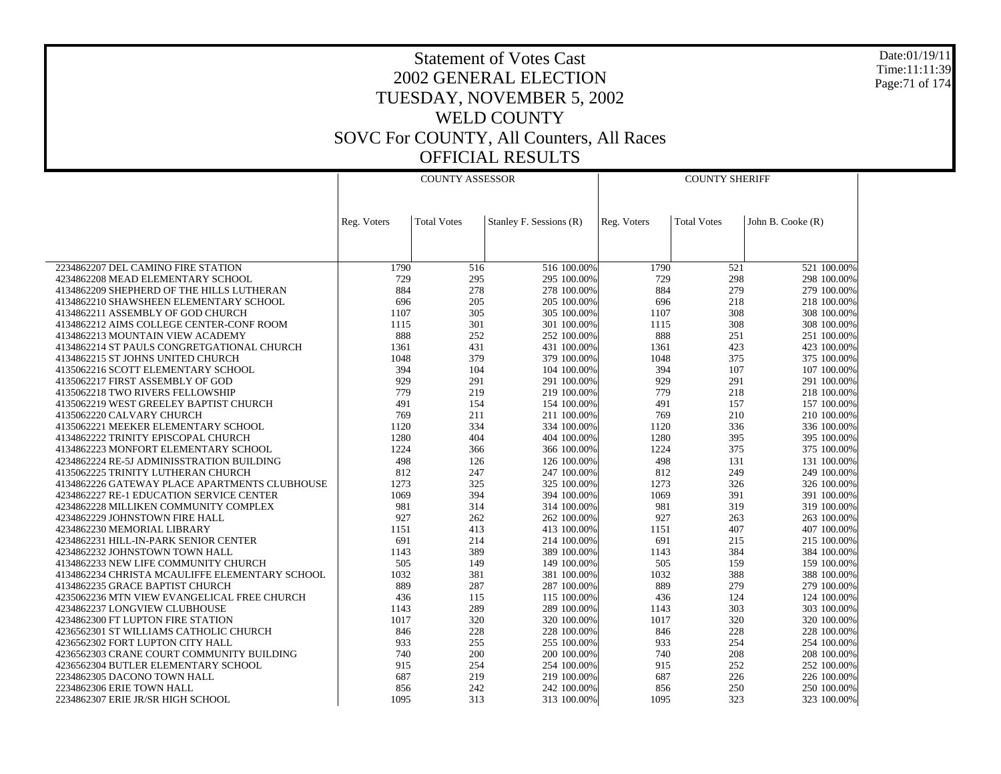Date:01/19/11 Time:11:11:39 Page:71 of 174

|                                                | <b>COUNTY ASSESSOR</b> |                    |                         | <b>COUNTY SHERIFF</b> |                    |                   |  |
|------------------------------------------------|------------------------|--------------------|-------------------------|-----------------------|--------------------|-------------------|--|
|                                                |                        |                    |                         |                       |                    |                   |  |
|                                                |                        |                    |                         |                       |                    |                   |  |
|                                                | Reg. Voters            | <b>Total Votes</b> | Stanley F. Sessions (R) | Reg. Voters           | <b>Total Votes</b> | John B. Cooke (R) |  |
|                                                |                        |                    |                         |                       |                    |                   |  |
|                                                |                        |                    |                         |                       |                    |                   |  |
|                                                |                        |                    |                         |                       |                    |                   |  |
| 2234862207 DEL CAMINO FIRE STATION             | 1790                   | 516                | 516 100.00%             | 1790                  | 521                | 521 100.00%       |  |
| 4234862208 MEAD ELEMENTARY SCHOOL              | 729                    | 295                | 295 100.00%             | 729                   | 298                | 298 100.00%       |  |
| 4134862209 SHEPHERD OF THE HILLS LUTHERAN      | 884                    | 278                | 278 100.00%             | 884                   | 279                | 279 100.00%       |  |
| 4134862210 SHAWSHEEN ELEMENTARY SCHOOL         | 696                    | 205                | 205 100.00%             | 696                   | 218                | 218 100,00%       |  |
| 4134862211 ASSEMBLY OF GOD CHURCH              | 1107                   | 305                | 305 100.00%             | 1107                  | 308                | 308 100.00%       |  |
| 4134862212 AIMS COLLEGE CENTER-CONF ROOM       | 1115                   | 301                | 301 100.00%             | 1115                  | 308                | 308 100.00%       |  |
| 4134862213 MOUNTAIN VIEW ACADEMY               | 888                    | 252                | 252 100.00%             | 888                   | 251                | 251 100.00%       |  |
| 4134862214 ST PAULS CONGRETGATIONAL CHURCH     | 1361                   | 431                | 431 100.00%             | 1361                  | 423                | 423 100,00%       |  |
| 4134862215 ST JOHNS UNITED CHURCH              | 1048                   | 379                | 379 100.00%             | 1048                  | 375                | 375 100.00%       |  |
| 4135062216 SCOTT ELEMENTARY SCHOOL             | 394                    | 104                | 104 100,00%             | 394                   | 107                | 107 100.00%       |  |
| 4135062217 FIRST ASSEMBLY OF GOD               | 929                    | 291                | 291 100.00%             | 929                   | 291                | 291 100.00%       |  |
| 4135062218 TWO RIVERS FELLOWSHIP               | 779                    | 219                | 219 100.00%             | 779                   | 218                | 218 100.00%       |  |
| 4135062219 WEST GREELEY BAPTIST CHURCH         | 491                    | 154                | 154 100.00%             | 491                   | 157                | 157 100,00%       |  |
| 4135062220 CALVARY CHURCH                      | 769                    | 211                | 211 100.00%             | 769                   | 210                | 210 100.00%       |  |
| 4135062221 MEEKER ELEMENTARY SCHOOL            | 1120                   | 334                | 334 100.00%             | 1120                  | 336                | 336 100.00%       |  |
| 4134862222 TRINITY EPISCOPAL CHURCH            | 1280                   | 404                | 404 100.00%             | 1280                  | 395                | 395 100.00%       |  |
| 4134862223 MONFORT ELEMENTARY SCHOOL           | 1224                   | 366                | 366 100.00%             | 1224                  | 375                | 375 100.00%       |  |
| 4234862224 RE-5J ADMINISSTRATION BUILDING      | 498                    | 126                | 126 100.00%             | 498                   | 131                | 131 100.00%       |  |
| 4135062225 TRINITY LUTHERAN CHURCH             | 812                    | 247                | 247 100.00%             | 812                   | 249                | 249 100.00%       |  |
| 4134862226 GATEWAY PLACE APARTMENTS CLUBHOUSE  | 1273                   | 325                | 325 100.00%             | 1273                  | 326                | 326 100.00%       |  |
| 4234862227 RE-1 EDUCATION SERVICE CENTER       | 1069                   | 394                | 394 100.00%             | 1069                  | 391                | 391 100.00%       |  |
| 4234862228 MILLIKEN COMMUNITY COMPLEX          | 981                    | 314                | 314 100.00%             | 981                   | 319                | 319 100.00%       |  |
| 4234862229 JOHNSTOWN FIRE HALL                 | 927                    | 262                | 262 100.00%             | 927                   | 263                | 263 100.00%       |  |
| 4234862230 MEMORIAL LIBRARY                    | 1151                   | 413                | 413 100.00%             | 1151                  | 407                | 407 100.00%       |  |
| 4234862231 HILL-IN-PARK SENIOR CENTER          | 691                    | 214                | 214 100.00%             | 691                   | 215                | 215 100.00%       |  |
| 4234862232 JOHNSTOWN TOWN HALL                 | 1143                   | 389                | 389 100.00%             | 1143                  | 384                | 384 100.00%       |  |
| 4134862233 NEW LIFE COMMUNITY CHURCH           | 505                    | 149                | 149 100.00%             | 505                   | 159                | 159 100.00%       |  |
| 4134862234 CHRISTA MCAULIFFE ELEMENTARY SCHOOL | 1032                   | 381                | 381 100.00%             | 1032                  | 388                | 388 100.00%       |  |
| 4134862235 GRACE BAPTIST CHURCH                | 889                    | 287                | 287 100.00%             | 889                   | 279                | 279 100.00%       |  |
| 4235062236 MTN VIEW EVANGELICAL FREE CHURCH    | 436                    | 115                | 115 100.00%             | 436                   | 124                | 124 100.00%       |  |
| 4234862237 LONGVIEW CLUBHOUSE                  | 1143                   | 289                | 289 100.00%             | 1143                  | 303                | 303 100.00%       |  |
| 4234862300 FT LUPTON FIRE STATION              | 1017                   | 320                | 320 100.00%             | 1017                  | 320                | 320 100.00%       |  |
| 4236562301 ST WILLIAMS CATHOLIC CHURCH         | 846                    | 228                | 228 100.00%             | 846                   | 228                | 228 100.00%       |  |
| 4236562302 FORT LUPTON CITY HALL               | 933                    | 255                | 255 100.00%             | 933                   | 254                | 254 100.00%       |  |
| 4236562303 CRANE COURT COMMUNITY BUILDING      | 740                    | 200                | 200 100.00%             | 740                   | 208                | 208 100.00%       |  |
| 4236562304 BUTLER ELEMENTARY SCHOOL            | 915                    | 254                | 254 100.00%             | 915                   | 252                | 252 100.00%       |  |
| 2234862305 DACONO TOWN HALL                    | 687                    | 219                | 219 100.00%             | 687                   | 226                | 226 100.00%       |  |
| 2234862306 ERIE TOWN HALL                      | 856                    | 242                | 242 100.00%             | 856                   | 250                | 250 100.00%       |  |
| 2234862307 ERIE JR/SR HIGH SCHOOL              | 1095                   | 313                | 313 100.00%             | 1095                  | 323                | 323 100.00%       |  |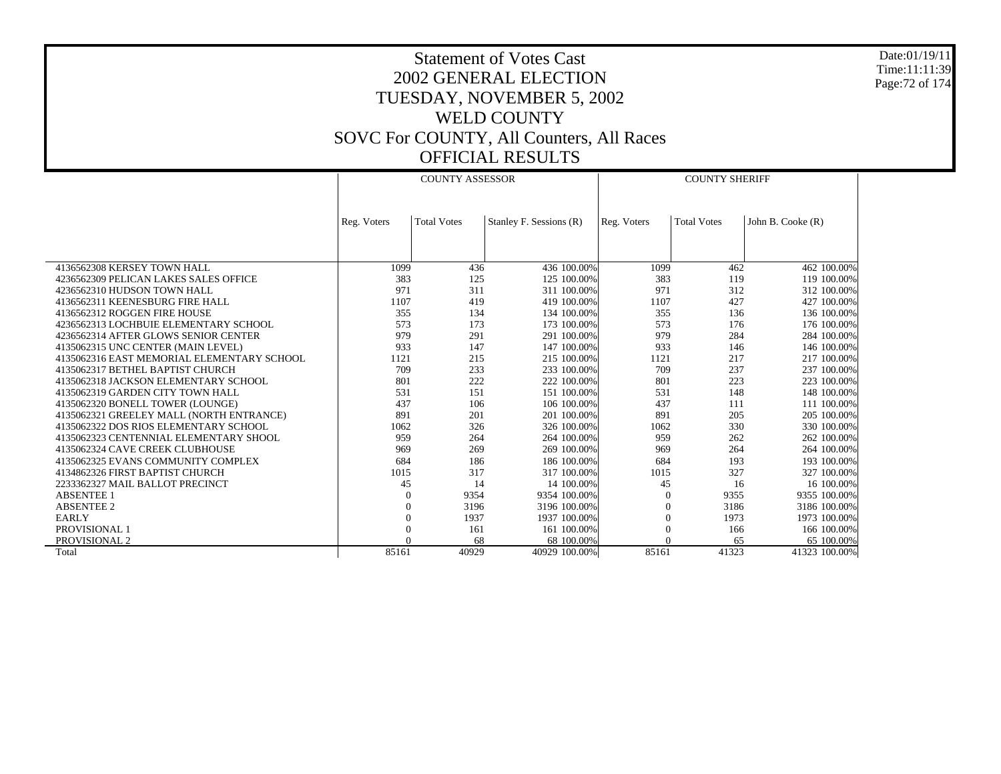Date:01/19/11 Time:11:11:39 Page:72 of 174

|                                            | <b>COUNTY ASSESSOR</b> |                    |                         | <b>COUNTY SHERIFF</b> |                    |                   |  |
|--------------------------------------------|------------------------|--------------------|-------------------------|-----------------------|--------------------|-------------------|--|
|                                            |                        |                    |                         |                       |                    |                   |  |
|                                            | Reg. Voters            | <b>Total Votes</b> | Stanley F. Sessions (R) | Reg. Voters           | <b>Total Votes</b> | John B. Cooke (R) |  |
|                                            |                        |                    |                         |                       |                    |                   |  |
|                                            |                        |                    |                         |                       |                    |                   |  |
| 4136562308 KERSEY TOWN HALL                | 1099                   | 436                | 436 100.00%             | 1099                  | 462                | 462 100.00%       |  |
| 4236562309 PELICAN LAKES SALES OFFICE      | 383                    | 125                | 125 100.00%             | 383                   | 119                | 119 100.00%       |  |
| 4236562310 HUDSON TOWN HALL                | 971                    | 311                | 311 100.00%             | 971                   | 312                | 312 100.00%       |  |
| 4136562311 KEENESBURG FIRE HALL            | 1107                   | 419                | 419 100.00%             | 1107                  | 427                | 427 100.00%       |  |
| 4136562312 ROGGEN FIRE HOUSE               | 355                    | 134                | 134 100.00%             | 355                   | 136                | 136 100.00%       |  |
| 4236562313 LOCHBUIE ELEMENTARY SCHOOL      | 573                    | 173                | 173 100.00%             | 573                   | 176                | 176 100.00%       |  |
| 4236562314 AFTER GLOWS SENIOR CENTER       | 979                    | 291                | 291 100.00%             | 979                   | 284                | 284 100.00%       |  |
| 4135062315 UNC CENTER (MAIN LEVEL)         | 933                    | 147                | 147 100,00%             | 933                   | 146                | 146 100.00%       |  |
| 4135062316 EAST MEMORIAL ELEMENTARY SCHOOL | 1121                   | 215                | 215 100,00%             | 1121                  | 217                | 217 100.00%       |  |
| 4135062317 BETHEL BAPTIST CHURCH           | 709                    | 233                | 233 100.00%             | 709                   | 237                | 237 100.00%       |  |
| 4135062318 JACKSON ELEMENTARY SCHOOL       | 801                    | 222                | 222 100,00%             | 801                   | 223                | 223 100.00%       |  |
| 4135062319 GARDEN CITY TOWN HALL           | 531                    | 151                | 151 100.00%             | 531                   | 148                | 148 100.00%       |  |
| 4135062320 BONELL TOWER (LOUNGE)           | 437                    | 106                | 106 100,00%             | 437                   | 111                | 111 100.00%       |  |
| 4135062321 GREELEY MALL (NORTH ENTRANCE)   | 891                    | 201                | 201 100.00%             | 891                   | 205                | 205 100.00%       |  |
| 4135062322 DOS RIOS ELEMENTARY SCHOOL      | 1062                   | 326                | 326 100.00%             | 1062                  | 330                | 330 100.00%       |  |
| 4135062323 CENTENNIAL ELEMENTARY SHOOL     | 959                    | 264                | 264 100,00%             | 959                   | 262                | 262 100.00%       |  |
| 4135062324 CAVE CREEK CLUBHOUSE            | 969                    | 269                | 269 100.00%             | 969                   | 264                | 264 100.00%       |  |
| 4135062325 EVANS COMMUNITY COMPLEX         | 684                    | 186                | 186 100,00%             | 684                   | 193                | 193 100.00%       |  |
| 4134862326 FIRST BAPTIST CHURCH            | 1015                   | 317                | 317 100.00%             | 1015                  | 327                | 327 100.00%       |  |
| 2233362327 MAIL BALLOT PRECINCT            | 45                     | 14                 | 14 100.00%              | 45                    | 16                 | 16 100.00%        |  |
| <b>ABSENTEE 1</b>                          | $\theta$               | 9354               | 9354 100.00%            |                       | 9355               | 9355 100.00%      |  |
| <b>ABSENTEE 2</b>                          | $\theta$               | 3196               | 3196 100.00%            | $^{0}$                | 3186               | 3186 100.00%      |  |
| <b>EARLY</b>                               | $\Omega$               | 1937               | 1937 100.00%            | $\Omega$              | 1973               | 1973 100.00%      |  |
| PROVISIONAL 1                              | $\Omega$               | 161                | 161 100.00%             |                       | 166                | 166 100.00%       |  |
| PROVISIONAL 2                              |                        | 68                 | 68 100,00%              |                       | 65                 | 65 100.00%        |  |
| Total                                      | 85161                  | 40929              | 40929 100.00%           | 85161                 | 41323              | 41323 100.00%     |  |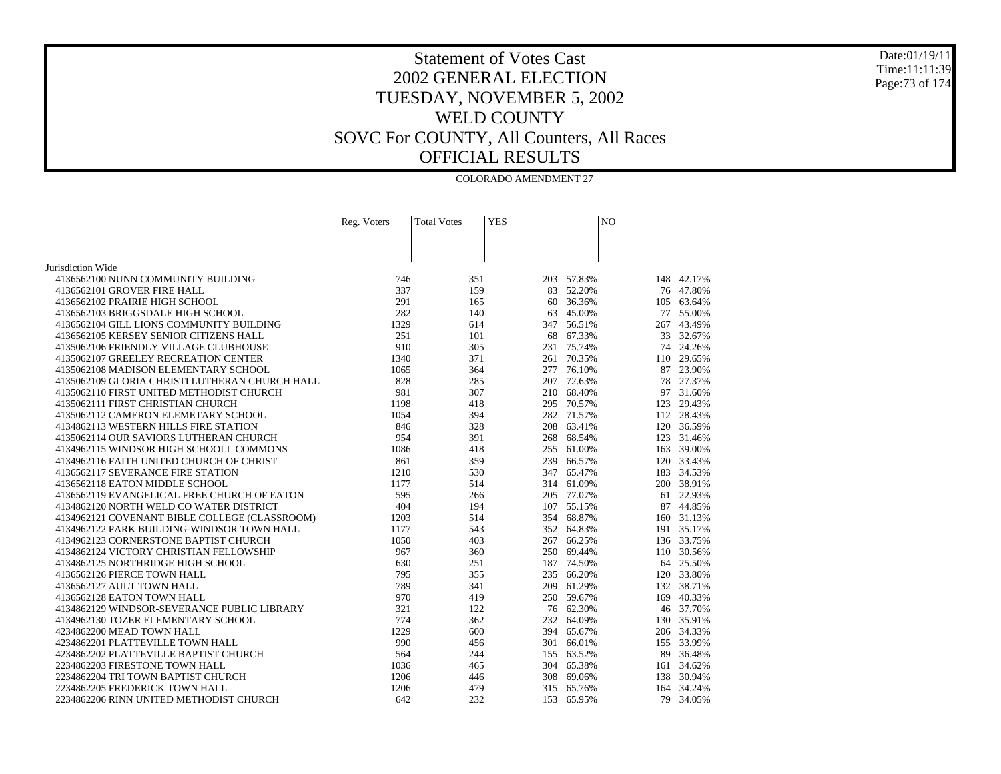#### Date:01/19/11 Time:11:11:39 Page:73 of 174

|                                                | <b>COLORADO AMENDMENT 27</b> |                    |            |            |                |            |  |
|------------------------------------------------|------------------------------|--------------------|------------|------------|----------------|------------|--|
|                                                |                              |                    |            |            |                |            |  |
|                                                | Reg. Voters                  | <b>Total Votes</b> | <b>YES</b> |            | N <sub>O</sub> |            |  |
|                                                |                              |                    |            |            |                |            |  |
| Jurisdiction Wide                              |                              |                    |            |            |                |            |  |
| 4136562100 NUNN COMMUNITY BUILDING             | 746                          | 351                |            | 203 57.83% |                | 148 42.17% |  |
| 4136562101 GROVER FIRE HALL                    | 337                          | 159                |            | 83 52.20%  |                | 76 47.80%  |  |
| 4136562102 PRAIRIE HIGH SCHOOL                 | 291                          | 165                | 60         | 36.36%     | 105            | 63.64%     |  |
| 4136562103 BRIGGSDALE HIGH SCHOOL              | 282                          | 140                |            | 63 45.00%  | 77             | 55.00%     |  |
| 4136562104 GILL LIONS COMMUNITY BUILDING       | 1329                         | 614                |            | 347 56.51% | 267            | 43.49%     |  |
| 4136562105 KERSEY SENIOR CITIZENS HALL         | 251                          | 101                |            | 68 67.33%  | 33             | 32.67%     |  |
| 4135062106 FRIENDLY VILLAGE CLUBHOUSE          | 910                          | 305                |            | 231 75.74% |                | 74 24.26%  |  |
| 4135062107 GREELEY RECREATION CENTER           | 1340                         | 371                |            | 261 70.35% | 110            | 29.65%     |  |
| 4135062108 MADISON ELEMENTARY SCHOOL           | 1065                         | 364                |            | 277 76.10% |                | 87 23.90%  |  |
| 4135062109 GLORIA CHRISTI LUTHERAN CHURCH HALL | 828                          | 285                |            | 207 72.63% | 78             | 27.37%     |  |
| 4135062110 FIRST UNITED METHODIST CHURCH       | 981                          | 307                |            | 210 68.40% | 97             | 31.60%     |  |
| 4135062111 FIRST CHRISTIAN CHURCH              | 1198                         | 418                |            | 295 70.57% | 123            | 29.43%     |  |
| 4135062112 CAMERON ELEMETARY SCHOOL            | 1054                         | 394                |            | 282 71.57% | 112            | 28.43%     |  |
| 4134862113 WESTERN HILLS FIRE STATION          | 846                          | 328                |            | 208 63.41% |                | 120 36.59% |  |
| 4135062114 OUR SAVIORS LUTHERAN CHURCH         | 954                          | 391                | 268        | 68.54%     |                | 123 31.46% |  |
| 4134962115 WINDSOR HIGH SCHOOLL COMMONS        | 1086                         | 418                |            | 255 61.00% | 163            | 39.00%     |  |
| 4134962116 FAITH UNITED CHURCH OF CHRIST       | 861                          | 359                |            | 239 66.57% |                | 120 33.43% |  |
| 4136562117 SEVERANCE FIRE STATION              | 1210                         | 530                |            | 347 65.47% | 183            | 34.53%     |  |
| 4136562118 EATON MIDDLE SCHOOL                 | 1177                         | 514                |            | 314 61.09% |                | 200 38.91% |  |
| 4136562119 EVANGELICAL FREE CHURCH OF EATON    | 595                          | 266                |            | 205 77.07% | 61             | 22.93%     |  |
| 4134862120 NORTH WELD CO WATER DISTRICT        | 404                          | 194                |            | 107 55.15% |                | 87 44.85%  |  |
| 4134962121 COVENANT BIBLE COLLEGE (CLASSROOM)  | 1203                         | 514                |            | 354 68.87% |                | 160 31.13% |  |
| 4134962122 PARK BUILDING-WINDSOR TOWN HALL     | 1177                         | 543                |            | 352 64.83% |                | 191 35.17% |  |
| 4134962123 CORNERSTONE BAPTIST CHURCH          | 1050                         | 403                |            | 267 66.25% |                | 136 33.75% |  |
| 4134862124 VICTORY CHRISTIAN FELLOWSHIP        | 967                          | 360                |            | 250 69.44% |                | 110 30.56% |  |
| 4134862125 NORTHRIDGE HIGH SCHOOL              | 630                          | 251                |            | 187 74.50% |                | 64 25.50%  |  |
| 4136562126 PIERCE TOWN HALL                    | 795                          | 355                |            | 235 66.20% | 120            | 33.80%     |  |
| 4136562127 AULT TOWN HALL                      | 789                          | 341                |            | 209 61.29% | 132            | 38.71%     |  |
| 4136562128 EATON TOWN HALL                     | 970                          | 419                |            | 250 59.67% |                | 169 40.33% |  |
| 4134862129 WINDSOR-SEVERANCE PUBLIC LIBRARY    | 321                          | 122                |            | 76 62.30%  |                | 46 37.70%  |  |
| 4134962130 TOZER ELEMENTARY SCHOOL             | 774                          | 362                |            | 232 64.09% | 130            | 35.91%     |  |
| 4234862200 MEAD TOWN HALL                      | 1229                         | 600                |            | 394 65.67% |                | 206 34.33% |  |
| 4234862201 PLATTEVILLE TOWN HALL               | 990                          | 456                |            | 301 66.01% | 155            | 33.99%     |  |
| 4234862202 PLATTEVILLE BAPTIST CHURCH          | 564                          | 244                |            | 155 63.52% | 89             | 36.48%     |  |
| 2234862203 FIRESTONE TOWN HALL                 | 1036                         | 465                |            | 304 65.38% | 161            | 34.62%     |  |
| 2234862204 TRI TOWN BAPTIST CHURCH             | 1206                         | 446                |            | 308 69.06% | 138            | 30.94%     |  |
| 2234862205 FREDERICK TOWN HALL                 | 1206                         | 479                |            | 315 65.76% |                | 164 34.24% |  |
| 2234862206 RINN UNITED METHODIST CHURCH        | 642                          | 232                | 153        | 65.95%     | 79             | 34.05%     |  |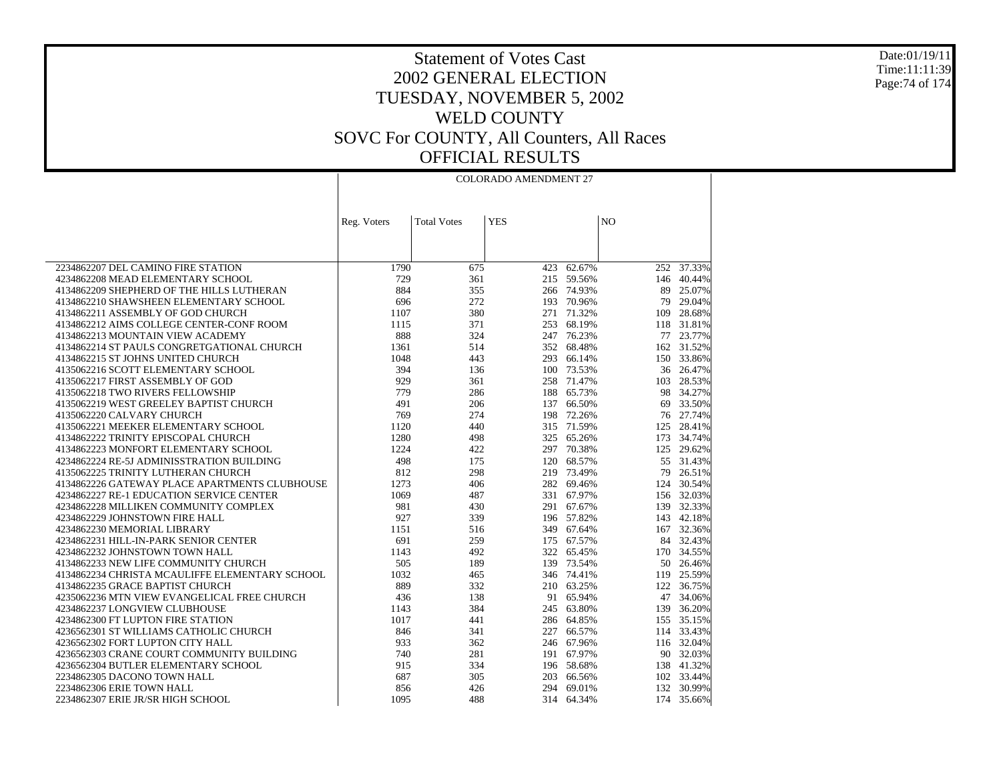Date:01/19/11 Time:11:11:39 Page:74 of 174

|                                                                                           | <b>COLORADO AMENDMENT 27</b> |                    |            |                          |                |                      |
|-------------------------------------------------------------------------------------------|------------------------------|--------------------|------------|--------------------------|----------------|----------------------|
|                                                                                           |                              |                    |            |                          |                |                      |
|                                                                                           |                              |                    |            |                          |                |                      |
|                                                                                           | Reg. Voters                  | <b>Total Votes</b> | <b>YES</b> |                          | N <sub>O</sub> |                      |
|                                                                                           |                              |                    |            |                          |                |                      |
|                                                                                           |                              |                    |            |                          |                |                      |
|                                                                                           |                              |                    |            |                          |                |                      |
| 2234862207 DEL CAMINO FIRE STATION<br>4234862208 MEAD ELEMENTARY SCHOOL                   | 1790<br>729                  | 675<br>361         | 423        | 62.67%<br>215 59.56%     | 146            | 252 37.33%<br>40.44% |
| 4134862209 SHEPHERD OF THE HILLS LUTHERAN                                                 | 884                          | 355                |            | 266 74.93%               | 89             | 25.07%               |
| 4134862210 SHAWSHEEN ELEMENTARY SCHOOL                                                    | 696                          | 272                |            | 193 70.96%               | 79             | 29.04%               |
| 4134862211 ASSEMBLY OF GOD CHURCH                                                         | 1107                         | 380                | 271        | 71.32%                   |                | 109 28.68%           |
| 4134862212 AIMS COLLEGE CENTER-CONF ROOM                                                  | 1115                         | 371                | 253        | 68.19%                   |                | 118 31.81%           |
| 4134862213 MOUNTAIN VIEW ACADEMY                                                          | 888                          | 324                |            | 247 76.23%               |                | 77 23.77%            |
| 4134862214 ST PAULS CONGRETGATIONAL CHURCH                                                | 1361                         | 514                | 352        | 68.48%                   |                | 162 31.52%           |
| 4134862215 ST JOHNS UNITED CHURCH                                                         | 1048                         | 443                | 293        | 66.14%                   |                | 150 33.86%           |
| 4135062216 SCOTT ELEMENTARY SCHOOL                                                        | 394                          | 136                |            | 100 73.53%               |                | 36 26.47%            |
| 4135062217 FIRST ASSEMBLY OF GOD                                                          | 929                          | 361                | 258        | 71.47%                   | 103            | 28.53%               |
| 4135062218 TWO RIVERS FELLOWSHIP                                                          | 779                          | 286                | 188        | 65.73%                   |                | 98 34.27%            |
| 4135062219 WEST GREELEY BAPTIST CHURCH                                                    | 491                          | 206                | 137        | 66.50%                   | 69             | 33.50%               |
| 4135062220 CALVARY CHURCH                                                                 | 769                          | 274                |            | 198 72.26%               |                | 76 27.74%            |
| 4135062221 MEEKER ELEMENTARY SCHOOL                                                       | 1120                         | 440                | 315        | 71.59%                   | 125            | 28.41%               |
| 4134862222 TRINITY EPISCOPAL CHURCH                                                       | 1280                         | 498                |            | 325 65.26%               |                | 173 34.74%           |
| 4134862223 MONFORT ELEMENTARY SCHOOL                                                      | 1224                         | 422                |            | 297 70.38%               | 125            | 29.62%               |
| 4234862224 RE-5J ADMINISSTRATION BUILDING                                                 | 498                          | 175                | 120        | 68.57%                   |                | 55 31.43%            |
| 4135062225 TRINITY LUTHERAN CHURCH                                                        | 812<br>1273                  | 298                |            | 219 73.49%<br>282 69.46% | 79             | 26.51%<br>124 30.54% |
| 4134862226 GATEWAY PLACE APARTMENTS CLUBHOUSE<br>4234862227 RE-1 EDUCATION SERVICE CENTER | 1069                         | 406<br>487         |            | 331 67.97%               |                | 156 32.03%           |
| 4234862228 MILLIKEN COMMUNITY COMPLEX                                                     | 981                          | 430                | 291        | 67.67%                   |                | 139 32.33%           |
| 4234862229 JOHNSTOWN FIRE HALL                                                            | 927                          | 339                |            | 196 57.82%               |                | 143 42.18%           |
| 4234862230 MEMORIAL LIBRARY                                                               | 1151                         | 516                |            | 349 67.64%               |                | 167 32.36%           |
| 4234862231 HILL-IN-PARK SENIOR CENTER                                                     | 691                          | 259                |            | 175 67.57%               |                | 84 32.43%            |
| 4234862232 JOHNSTOWN TOWN HALL                                                            | 1143                         | 492                |            | 322 65.45%               |                | 170 34.55%           |
| 4134862233 NEW LIFE COMMUNITY CHURCH                                                      | 505                          | 189                | 139        | 73.54%                   |                | 50 26.46%            |
| 4134862234 CHRISTA MCAULIFFE ELEMENTARY SCHOOL                                            | 1032                         | 465                |            | 346 74.41%               | 119            | 25.59%               |
| 4134862235 GRACE BAPTIST CHURCH                                                           | 889                          | 332                |            | 210 63.25%               |                | 122 36.75%           |
| 4235062236 MTN VIEW EVANGELICAL FREE CHURCH                                               | 436                          | 138                |            | 91 65.94%                | 47             | 34.06%               |
| 4234862237 LONGVIEW CLUBHOUSE                                                             | 1143                         | 384                |            | 245 63.80%               | 139            | 36.20%               |
| 4234862300 FT LUPTON FIRE STATION                                                         | 1017                         | 441                |            | 286 64.85%               |                | 155 35.15%           |
| 4236562301 ST WILLIAMS CATHOLIC CHURCH                                                    | 846                          | 341                | 227        | 66.57%                   |                | 114 33.43%           |
| 4236562302 FORT LUPTON CITY HALL                                                          | 933                          | 362                |            | 246 67.96%               |                | 116 32.04%           |
| 4236562303 CRANE COURT COMMUNITY BUILDING                                                 | 740                          | 281                |            | 191 67.97%               |                | 90 32.03%            |
| 4236562304 BUTLER ELEMENTARY SCHOOL                                                       | 915                          | 334                |            | 196 58.68%               |                | 138 41.32%           |
| 2234862305 DACONO TOWN HALL                                                               | 687                          | 305                | 203        | 66.56%                   |                | 102 33.44%           |
| 2234862306 ERIE TOWN HALL                                                                 | 856                          | 426                | 294        | 69.01%                   |                | 132 30.99%           |
| 2234862307 ERIE JR/SR HIGH SCHOOL                                                         | 1095                         | 488                |            | 314 64.34%               |                | 174 35.66%           |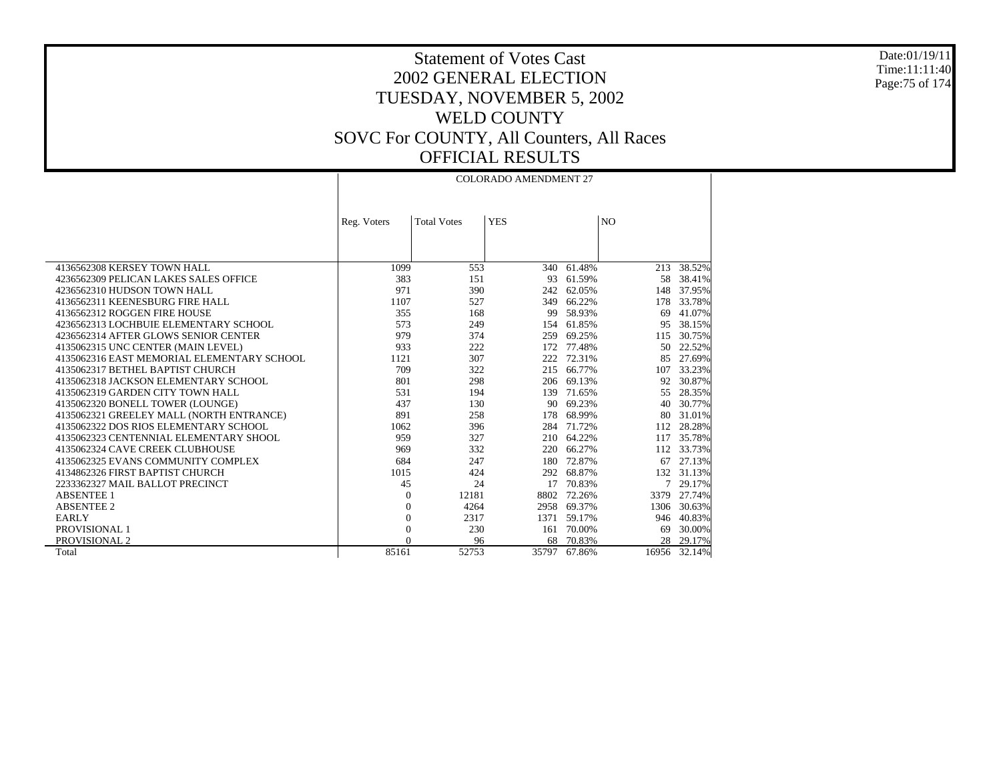Date:01/19/11 Time:11:11:40 Page:75 of 174

 $\mathbf{I}$ 

# Statement of Votes Cast 2002 GENERAL ELECTION TUESDAY, NOVEMBER 5, 2002 WELD COUNTY SOVC For COUNTY, All Counters, All Races OFFICIAL RESULTS

|                                            |                |                    | <b>COLORADO AMENDMENT 27</b> |            |                |            |
|--------------------------------------------|----------------|--------------------|------------------------------|------------|----------------|------------|
|                                            |                |                    |                              |            |                |            |
|                                            |                |                    |                              |            |                |            |
|                                            | Reg. Voters    | <b>Total Votes</b> | <b>YES</b>                   |            | N <sub>O</sub> |            |
|                                            |                |                    |                              |            |                |            |
|                                            |                |                    |                              |            |                |            |
|                                            |                |                    |                              |            |                |            |
| 4136562308 KERSEY TOWN HALL                | 1099           | 553                | 340                          | 61.48%     | 213            | 38.52%     |
| 4236562309 PELICAN LAKES SALES OFFICE      | 383            | 151                | 93                           | 61.59%     | 58             | 38.41%     |
| 4236562310 HUDSON TOWN HALL                | 971            | 390                | 242                          | 62.05%     | 148            | 37.95%     |
| 4136562311 KEENESBURG FIRE HALL            | 1107           | 527                | 349                          | 66.22%     | 178            | 33.78%     |
| 4136562312 ROGGEN FIRE HOUSE               | 355            | 168                | 99                           | 58.93%     | 69             | 41.07%     |
| 4236562313 LOCHBUIE ELEMENTARY SCHOOL      | 573            | 249                | 154                          | 61.85%     | 95             | 38.15%     |
| 4236562314 AFTER GLOWS SENIOR CENTER       | 979            | 374                | 259                          | 69.25%     | 115            | 30.75%     |
| 4135062315 UNC CENTER (MAIN LEVEL)         | 933            | 222                | 172                          | 77.48%     | 50             | 22.52%     |
| 4135062316 EAST MEMORIAL ELEMENTARY SCHOOL | 1121           | 307                | 222                          | 72.31%     | 85             | 27.69%     |
| 4135062317 BETHEL BAPTIST CHURCH           | 709            | 322                | 215                          | 66.77%     | 107            | 33.23%     |
| 4135062318 JACKSON ELEMENTARY SCHOOL       | 801            | 298                | 206                          | 69.13%     | 92             | 30.87%     |
| 4135062319 GARDEN CITY TOWN HALL           | 531            | 194                | 139                          | 71.65%     | 55             | 28.35%     |
| 4135062320 BONELL TOWER (LOUNGE)           | 437            | 130                | 90                           | 69.23%     | 40             | 30.77%     |
| 4135062321 GREELEY MALL (NORTH ENTRANCE)   | 891            | 258                | 178                          | 68.99%     | 80             | 31.01%     |
| 4135062322 DOS RIOS ELEMENTARY SCHOOL      | 1062           | 396                |                              | 284 71.72% | 112            | 28.28%     |
| 4135062323 CENTENNIAL ELEMENTARY SHOOL     | 959            | 327                | 210                          | 64.22%     | 117            | 35.78%     |
| 4135062324 CAVE CREEK CLUBHOUSE            | 969            | 332                | 220                          | 66.27%     | 112            | 33.73%     |
| 4135062325 EVANS COMMUNITY COMPLEX         | 684            | 247                | 180                          | 72.87%     | 67             | 27.13%     |
| 4134862326 FIRST BAPTIST CHURCH            | 1015           | 424                | 292                          | 68.87%     |                | 132 31.13% |
| 2233362327 MAIL BALLOT PRECINCT            | 45             | 24                 | 17                           | 70.83%     |                | 29.17%     |
| <b>ABSENTEE 1</b>                          | $\theta$       | 12181              | 8802                         | 72.26%     | 3379           | 27.74%     |
| <b>ABSENTEE 2</b>                          | $\theta$       | 4264               | 2958                         | 69.37%     | 1306           | 30.63%     |
| <b>EARLY</b>                               | $\theta$       | 2317               | 1371                         | 59.17%     | 946            | 40.83%     |
| PROVISIONAL 1                              | $\overline{0}$ | 230                | 161                          | 70.00%     | 69             | 30.00%     |
| PROVISIONAL 2                              | $\Omega$       | 96                 | 68                           | 70.83%     | 28             | 29.17%     |
| Total                                      | 85161          | 52753              | 35797                        | 67.86%     | 16956          | 32.14%     |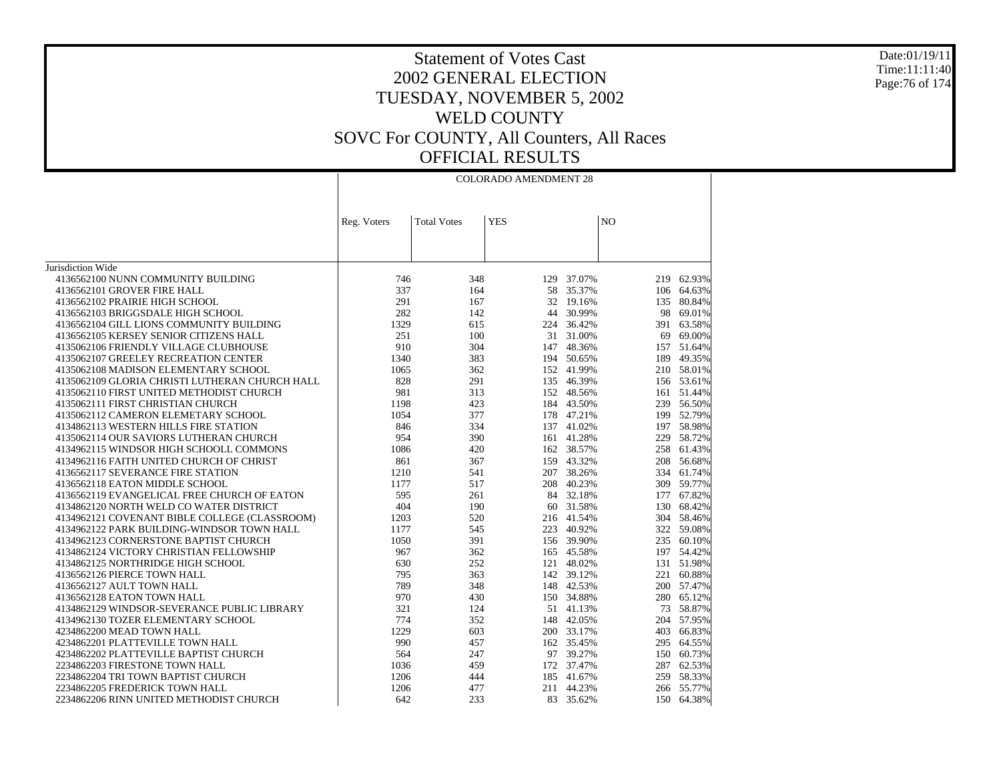### Date:01/19/11 Time:11:11:40 Page:76 of 174

|                                                | <b>COLORADO AMENDMENT 28</b> |                    |            |            |                |            |  |
|------------------------------------------------|------------------------------|--------------------|------------|------------|----------------|------------|--|
|                                                |                              |                    |            |            |                |            |  |
|                                                | Reg. Voters                  | <b>Total Votes</b> | <b>YES</b> |            | N <sub>O</sub> |            |  |
|                                                |                              |                    |            |            |                |            |  |
| Jurisdiction Wide                              |                              |                    |            |            |                |            |  |
| 4136562100 NUNN COMMUNITY BUILDING             | 746                          | 348                |            | 129 37.07% | 219            | 62.93%     |  |
| 4136562101 GROVER FIRE HALL                    | 337                          | 164                | 58         | 35.37%     |                | 106 64.63% |  |
| 4136562102 PRAIRIE HIGH SCHOOL                 | 291                          | 167                | 32         | 19.16%     | 135            | 80.84%     |  |
| 4136562103 BRIGGSDALE HIGH SCHOOL              | 282                          | 142                | 44         | 30.99%     | 98             | 69.01%     |  |
|                                                | 1329                         |                    |            | 224 36.42% |                |            |  |
| 4136562104 GILL LIONS COMMUNITY BUILDING       |                              | 615                |            |            | 391            | 63.58%     |  |
| 4136562105 KERSEY SENIOR CITIZENS HALL         | 251                          | 100                |            | 31 31.00%  | 69             | 69.00%     |  |
| 4135062106 FRIENDLY VILLAGE CLUBHOUSE          | 910                          | 304                |            | 147 48.36% |                | 157 51.64% |  |
| 4135062107 GREELEY RECREATION CENTER           | 1340                         | 383                |            | 194 50.65% | 189            | 49.35%     |  |
| 4135062108 MADISON ELEMENTARY SCHOOL           | 1065                         | 362                |            | 152 41.99% |                | 210 58.01% |  |
| 4135062109 GLORIA CHRISTI LUTHERAN CHURCH HALL | 828                          | 291                |            | 135 46.39% |                | 156 53.61% |  |
| 4135062110 FIRST UNITED METHODIST CHURCH       | 981                          | 313                |            | 152 48.56% | 161            | 51.44%     |  |
| 4135062111 FIRST CHRISTIAN CHURCH              | 1198                         | 423                |            | 184 43.50% |                | 239 56.50% |  |
| 4135062112 CAMERON ELEMETARY SCHOOL            | 1054                         | 377                |            | 178 47.21% | 199            | 52.79%     |  |
| 4134862113 WESTERN HILLS FIRE STATION          | 846                          | 334                |            | 137 41.02% |                | 197 58.98% |  |
| 4135062114 OUR SAVIORS LUTHERAN CHURCH         | 954                          | 390                |            | 161 41.28% | 229            | 58.72%     |  |
| 4134962115 WINDSOR HIGH SCHOOLL COMMONS        | 1086                         | 420                |            | 162 38.57% | 258            | 61.43%     |  |
| 4134962116 FAITH UNITED CHURCH OF CHRIST       | 861                          | 367                |            | 159 43.32% | 208            | 56.68%     |  |
| 4136562117 SEVERANCE FIRE STATION              | 1210                         | 541                |            | 207 38.26% | 334            | 61.74%     |  |
| 4136562118 EATON MIDDLE SCHOOL                 | 1177                         | 517                |            | 208 40.23% | 309            | 59.77%     |  |
| 4136562119 EVANGELICAL FREE CHURCH OF EATON    | 595                          | 261                |            | 84 32.18%  | 177            | 67.82%     |  |
| 4134862120 NORTH WELD CO WATER DISTRICT        | 404                          | 190                |            | 60 31.58%  | 130            | 68.42%     |  |
| 4134962121 COVENANT BIBLE COLLEGE (CLASSROOM)  | 1203                         | 520                |            | 216 41.54% |                | 304 58.46% |  |
| 4134962122 PARK BUILDING-WINDSOR TOWN HALL     | 1177                         | 545                |            | 223 40.92% | 322            | 59.08%     |  |
| 4134962123 CORNERSTONE BAPTIST CHURCH          | 1050                         | 391                |            | 156 39.90% |                | 235 60.10% |  |
| 4134862124 VICTORY CHRISTIAN FELLOWSHIP        | 967                          | 362                |            | 165 45.58% |                | 197 54.42% |  |
| 4134862125 NORTHRIDGE HIGH SCHOOL              | 630                          | 252                |            | 121 48.02% | 131            | 51.98%     |  |
| 4136562126 PIERCE TOWN HALL                    | 795                          | 363                |            | 142 39.12% | 221            | 60.88%     |  |
| 4136562127 AULT TOWN HALL                      | 789                          | 348                |            | 148 42.53% | 200            | 57.47%     |  |
| 4136562128 EATON TOWN HALL                     | 970                          | 430                |            | 150 34.88% |                | 280 65.12% |  |
| 4134862129 WINDSOR-SEVERANCE PUBLIC LIBRARY    | 321                          | 124                |            | 51 41.13%  | 73             | 58.87%     |  |
| 4134962130 TOZER ELEMENTARY SCHOOL             | 774                          | 352                |            | 148 42.05% | 204            | 57.95%     |  |
| 4234862200 MEAD TOWN HALL                      | 1229                         | 603                |            | 200 33.17% | 403            | 66.83%     |  |
| 4234862201 PLATTEVILLE TOWN HALL               | 990                          | 457                |            | 162 35.45% | 295            | 64.55%     |  |
| 4234862202 PLATTEVILLE BAPTIST CHURCH          | 564                          | 247                |            | 97 39.27%  | 150            | 60.73%     |  |
| 2234862203 FIRESTONE TOWN HALL                 | 1036                         | 459                |            | 172 37.47% |                | 287 62.53% |  |
| 2234862204 TRI TOWN BAPTIST CHURCH             | 1206                         | 444                |            | 185 41.67% | 259            | 58.33%     |  |
| 2234862205 FREDERICK TOWN HALL                 | 1206                         | 477                | 211        | 44.23%     |                | 266 55.77% |  |
| 2234862206 RINN UNITED METHODIST CHURCH        | 642                          | 233                |            | 83 35.62%  | 150            | 64.38%     |  |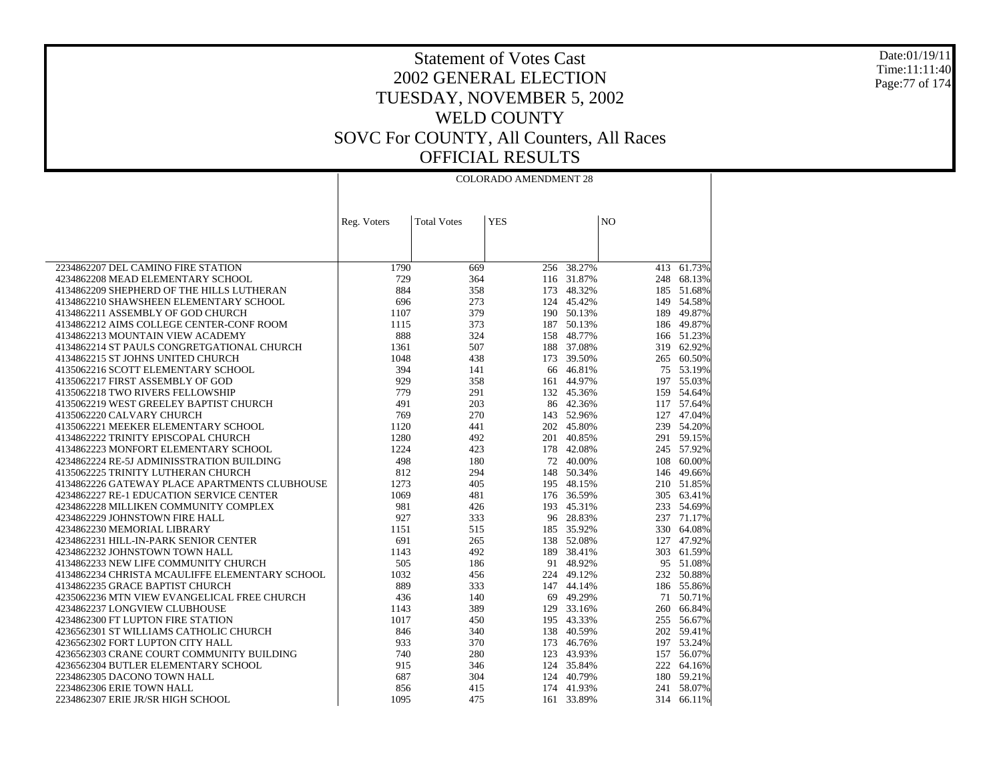Date:01/19/11 Time:11:11:40 Page:77 of 174

|                                                                                   | <b>COLORADO AMENDMENT 28</b> |                    |            |                          |                |                          |
|-----------------------------------------------------------------------------------|------------------------------|--------------------|------------|--------------------------|----------------|--------------------------|
|                                                                                   |                              |                    |            |                          |                |                          |
|                                                                                   |                              |                    |            |                          |                |                          |
|                                                                                   | Reg. Voters                  | <b>Total Votes</b> | <b>YES</b> |                          | N <sub>O</sub> |                          |
|                                                                                   |                              |                    |            |                          |                |                          |
|                                                                                   |                              |                    |            |                          |                |                          |
| 2234862207 DEL CAMINO FIRE STATION                                                | 1790                         | 669                | 256        | 38.27%                   |                | $413 - 61.73%$           |
| 4234862208 MEAD ELEMENTARY SCHOOL                                                 | 729                          | 364                |            | 116 31.87%               |                | 248 68.13%               |
| 4134862209 SHEPHERD OF THE HILLS LUTHERAN                                         | 884                          | 358                | 173        | 48.32%                   |                | 185 51.68%               |
| 4134862210 SHAWSHEEN ELEMENTARY SCHOOL                                            | 696<br>1107                  | 273<br>379         |            | 124 45.42%<br>190 50.13% |                | 149 54.58%<br>189 49.87% |
| 4134862211 ASSEMBLY OF GOD CHURCH<br>4134862212 AIMS COLLEGE CENTER-CONF ROOM     | 1115                         | 373                | 187        | 50.13%                   |                | 186 49.87%               |
| 4134862213 MOUNTAIN VIEW ACADEMY                                                  | 888                          | 324                |            | 158 48.77%               |                | 166 51.23%               |
| 4134862214 ST PAULS CONGRETGATIONAL CHURCH                                        | 1361                         | 507                | 188        | 37.08%                   |                | 319 62.92%               |
| 4134862215 ST JOHNS UNITED CHURCH                                                 | 1048                         | 438                |            | 173 39.50%               |                | 265 60.50%               |
| 4135062216 SCOTT ELEMENTARY SCHOOL                                                | 394                          | 141                | 66         | 46.81%                   |                | 75 53.19%                |
| 4135062217 FIRST ASSEMBLY OF GOD                                                  | 929                          | 358                |            | 161 44.97%               |                | 197 55.03%               |
| 4135062218 TWO RIVERS FELLOWSHIP                                                  | 779                          | 291                |            | 132 45.36%               |                | 159 54.64%               |
| 4135062219 WEST GREELEY BAPTIST CHURCH                                            | 491                          | 203                |            | 86 42.36%                |                | 117 57.64%               |
| 4135062220 CALVARY CHURCH                                                         | 769                          | 270                |            | 143 52.96%               |                | 127 47.04%               |
| 4135062221 MEEKER ELEMENTARY SCHOOL                                               | 1120                         | 441                |            | 202 45.80%               |                | 239 54.20%               |
| 4134862222 TRINITY EPISCOPAL CHURCH                                               | 1280                         | 492                | 201        | 40.85%                   |                | 291 59.15%               |
| 4134862223 MONFORT ELEMENTARY SCHOOL                                              | 1224                         | 423                |            | 178 42.08%               |                | 245 57.92%               |
| 4234862224 RE-5J ADMINISSTRATION BUILDING                                         | 498                          | 180                |            | 72 40.00%                |                | 108 60.00%               |
| 4135062225 TRINITY LUTHERAN CHURCH                                                | 812                          | 294                |            | 148 50.34%               |                | 146 49.66%               |
| 4134862226 GATEWAY PLACE APARTMENTS CLUBHOUSE                                     | 1273<br>1069                 | 405                |            | 195 48.15%               |                | 210 51.85%               |
| 4234862227 RE-1 EDUCATION SERVICE CENTER<br>4234862228 MILLIKEN COMMUNITY COMPLEX | 981                          | 481<br>426         | 193        | 176 36.59%<br>45.31%     |                | 305 63.41%<br>233 54.69% |
| 4234862229 JOHNSTOWN FIRE HALL                                                    | 927                          | 333                |            | 96 28.83%                |                | 237 71.17%               |
| 4234862230 MEMORIAL LIBRARY                                                       | 1151                         | 515                |            | 185 35.92%               |                | 330 64.08%               |
| 4234862231 HILL-IN-PARK SENIOR CENTER                                             | 691                          | 265                |            | 138 52.08%               |                | 127 47.92%               |
| 4234862232 JOHNSTOWN TOWN HALL                                                    | 1143                         | 492                |            | 189 38.41%               |                | 303 61.59%               |
| 4134862233 NEW LIFE COMMUNITY CHURCH                                              | 505                          | 186                |            | 91 48.92%                |                | 95 51.08%                |
| 4134862234 CHRISTA MCAULIFFE ELEMENTARY SCHOOL                                    | 1032                         | 456                |            | 224 49.12%               |                | 232 50.88%               |
| 4134862235 GRACE BAPTIST CHURCH                                                   | 889                          | 333                | 147        | 44.14%                   |                | 186 55.86%               |
| 4235062236 MTN VIEW EVANGELICAL FREE CHURCH                                       | 436                          | 140                |            | 69 49.29%                |                | 71 50.71%                |
| 4234862237 LONGVIEW CLUBHOUSE                                                     | 1143                         | 389                |            | 129 33.16%               |                | 260 66.84%               |
| 4234862300 FT LUPTON FIRE STATION                                                 | 1017                         | 450                |            | 195 43.33%               |                | 255 56.67%               |
| 4236562301 ST WILLIAMS CATHOLIC CHURCH                                            | 846                          | 340                |            | 138 40.59%               |                | 202 59.41%               |
| 4236562302 FORT LUPTON CITY HALL                                                  | 933                          | 370                | 173        | 46.76%                   |                | 197 53.24%               |
| 4236562303 CRANE COURT COMMUNITY BUILDING                                         | 740                          | 280                |            | 123 43.93%               |                | 157 56.07%               |
| 4236562304 BUTLER ELEMENTARY SCHOOL                                               | 915                          | 346                |            | 124 35.84%               |                | 222 64.16%               |
| 2234862305 DACONO TOWN HALL<br>2234862306 ERIE TOWN HALL                          | 687<br>856                   | 304<br>415         |            | 124 40.79%<br>174 41.93% |                | 180 59.21%<br>241 58.07% |
| 2234862307 ERIE JR/SR HIGH SCHOOL                                                 | 1095                         | 475                |            | 161 33.89%               |                | 314 66.11%               |
|                                                                                   |                              |                    |            |                          |                |                          |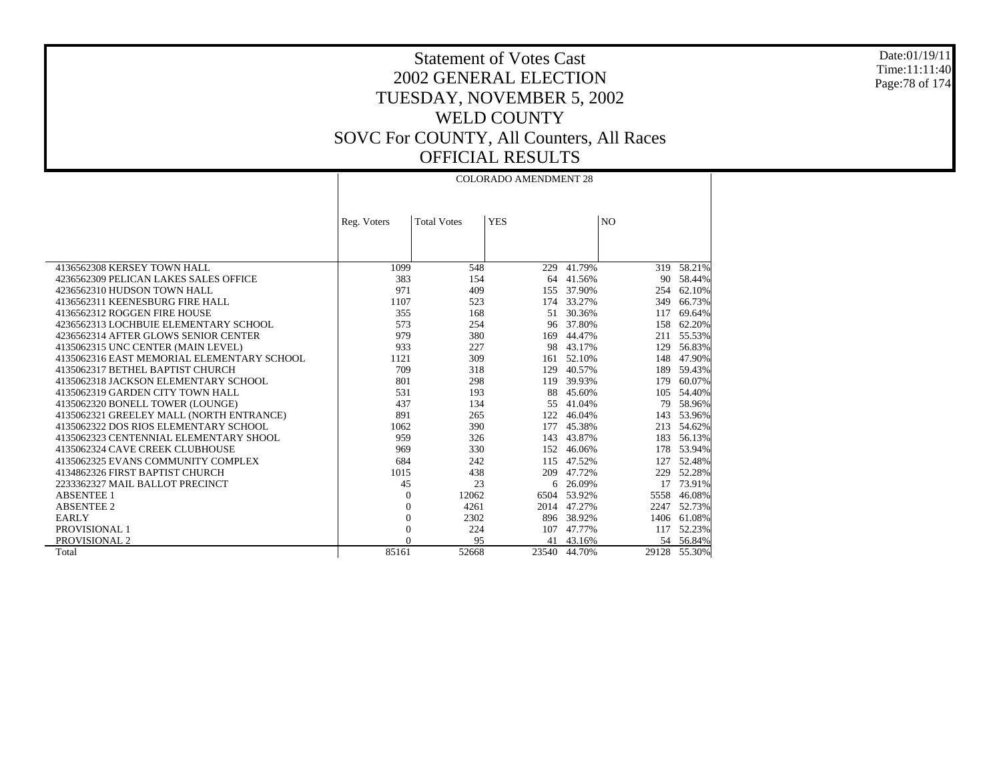Date:01/19/11 Time:11:11:40 Page:78 of 174

Τ

## Statement of Votes Cast 2002 GENERAL ELECTION TUESDAY, NOVEMBER 5, 2002 WELD COUNTY SOVC For COUNTY, All Counters, All Races OFFICIAL RESULTS

|                                            | <b>COLORADO AMENDMENT 28</b> |                    |            |            |                |           |  |  |
|--------------------------------------------|------------------------------|--------------------|------------|------------|----------------|-----------|--|--|
|                                            |                              |                    |            |            |                |           |  |  |
|                                            |                              |                    |            |            |                |           |  |  |
|                                            | Reg. Voters                  | <b>Total Votes</b> | <b>YES</b> |            | N <sub>O</sub> |           |  |  |
|                                            |                              |                    |            |            |                |           |  |  |
|                                            |                              |                    |            |            |                |           |  |  |
|                                            |                              |                    |            |            |                |           |  |  |
| 4136562308 KERSEY TOWN HALL                | 1099                         | 548                | 229        | 41.79%     | 319            | 58.21%    |  |  |
| 4236562309 PELICAN LAKES SALES OFFICE      | 383                          | 154                |            | 64 41.56%  | 90             | 58.44%    |  |  |
| 4236562310 HUDSON TOWN HALL                | 971                          | 409                |            | 155 37.90% | 254            | 62.10%    |  |  |
| 4136562311 KEENESBURG FIRE HALL            | 1107                         | 523                |            | 174 33.27% | 349            | 66.73%    |  |  |
| 4136562312 ROGGEN FIRE HOUSE               | 355                          | 168                |            | 51 30.36%  | 117            | 69.64%    |  |  |
| 4236562313 LOCHBUIE ELEMENTARY SCHOOL      | 573                          | 254                |            | 96 37.80%  | 158            | 62.20%    |  |  |
| 4236562314 AFTER GLOWS SENIOR CENTER       | 979                          | 380                | 169        | 44.47%     | 211            | 55.53%    |  |  |
| 4135062315 UNC CENTER (MAIN LEVEL)         | 933                          | 227                | 98         | 43.17%     | 129            | 56.83%    |  |  |
| 4135062316 EAST MEMORIAL ELEMENTARY SCHOOL | 1121                         | 309                | 161        | 52.10%     | 148            | 47.90%    |  |  |
| 4135062317 BETHEL BAPTIST CHURCH           | 709                          | 318                | 129        | 40.57%     | 189            | 59.43%    |  |  |
| 4135062318 JACKSON ELEMENTARY SCHOOL       | 801                          | 298                | 119        | 39.93%     | 179            | 60.07%    |  |  |
| 4135062319 GARDEN CITY TOWN HALL           | 531                          | 193                | 88         | 45.60%     | 105            | 54.40%    |  |  |
| 4135062320 BONELL TOWER (LOUNGE)           | 437                          | 134                | 55         | 41.04%     | 79             | 58.96%    |  |  |
| 4135062321 GREELEY MALL (NORTH ENTRANCE)   | 891                          | 265                | 122        | 46.04%     | 143            | 53.96%    |  |  |
| 4135062322 DOS RIOS ELEMENTARY SCHOOL      | 1062                         | 390                | 177        | 45.38%     | 213            | 54.62%    |  |  |
| 4135062323 CENTENNIAL ELEMENTARY SHOOL     | 959                          | 326                | 143        | 43.87%     | 183            | 56.13%    |  |  |
| 4135062324 CAVE CREEK CLUBHOUSE            | 969                          | 330                | 152        | 46.06%     | 178            | 53.94%    |  |  |
| 4135062325 EVANS COMMUNITY COMPLEX         | 684                          | 242                | 115        | 47.52%     | 127            | 52.48%    |  |  |
| 4134862326 FIRST BAPTIST CHURCH            | 1015                         | 438                | 209        | 47.72%     | 229            | 52.28%    |  |  |
| 2233362327 MAIL BALLOT PRECINCT            | 45                           | 23                 | 6          | 26.09%     | 17             | 73.91%    |  |  |
| <b>ABSENTEE 1</b>                          | $\boldsymbol{0}$             | 12062              | 6504       | 53.92%     | 5558           | 46.08%    |  |  |
| <b>ABSENTEE 2</b>                          | $\overline{0}$               | 4261               | 2014       | 47.27%     | 2247           | 52.73%    |  |  |
| <b>EARLY</b>                               | $\boldsymbol{0}$             | 2302               |            | 896 38.92% | 1406           | 61.08%    |  |  |
| PROVISIONAL 1                              | $\overline{0}$               | 224                | 107        | 47.77%     | 117            | 52.23%    |  |  |
| PROVISIONAL 2                              | $\Omega$                     | 95                 | 41         | 43.16%     |                | 54 56.84% |  |  |
| Total                                      | 85161                        | 52668              | 23540      | 44.70%     | 29128          | 55.30%    |  |  |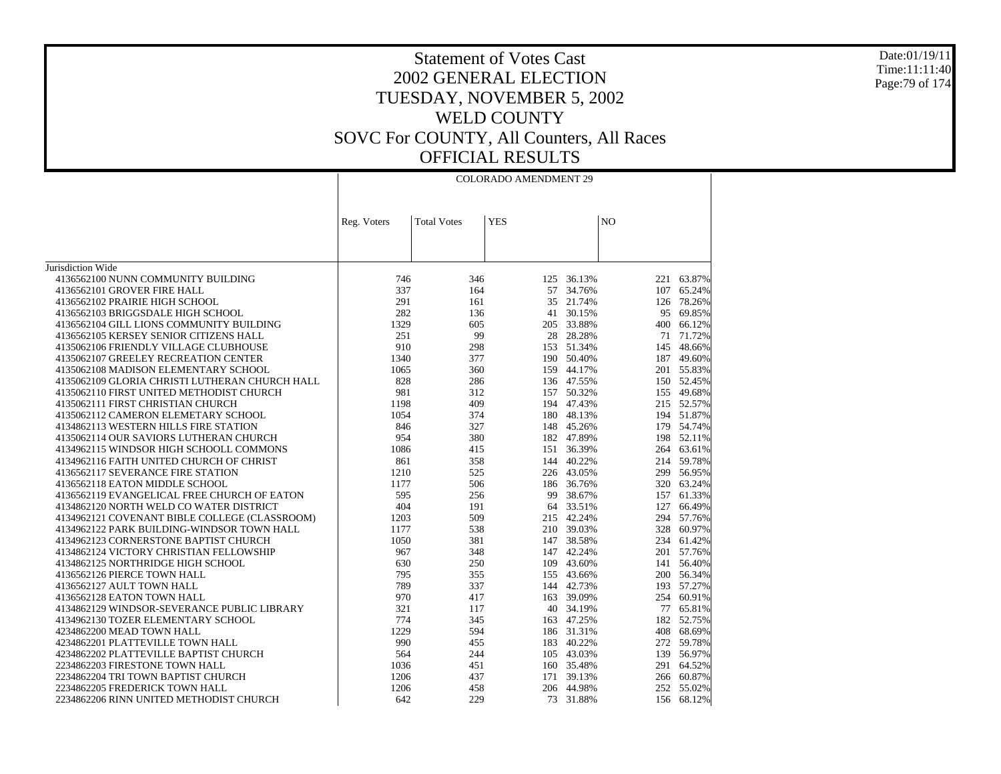#### Date:01/19/11 Time:11:11:40 Page:79 of 174

| N <sub>O</sub><br><b>Total Votes</b><br><b>YES</b><br>Reg. Voters<br>Jurisdiction Wide<br>4136562100 NUNN COMMUNITY BUILDING<br>746<br>346<br>36.13%<br>221<br>63.87%<br>125<br>337<br>4136562101 GROVER FIRE HALL<br>164<br>57<br>34.76%<br>107<br>65.24%<br>4136562102 PRAIRIE HIGH SCHOOL<br>291<br>35<br>21.74%<br>78.26%<br>161<br>126<br>282<br>69.85%<br>4136562103 BRIGGSDALE HIGH SCHOOL<br>41 30.15%<br>95<br>136<br>1329<br>605<br>205 33.88%<br>400 66.12%<br>4136562104 GILL LIONS COMMUNITY BUILDING<br>251<br>4136562105 KERSEY SENIOR CITIZENS HALL<br>99<br>28 28.28%<br>71 71.72%<br>4135062106 FRIENDLY VILLAGE CLUBHOUSE<br>910<br>298<br>153 51.34%<br>145 48.66%<br>4135062107 GREELEY RECREATION CENTER<br>1340<br>377<br>190 50.40%<br>187<br>49.60%<br>4135062108 MADISON ELEMENTARY SCHOOL<br>1065<br>360<br>159 44.17%<br>201 55.83%<br>4135062109 GLORIA CHRISTI LUTHERAN CHURCH HALL<br>828<br>286<br>150 52.45%<br>136 47.55%<br>981<br>155 49.68%<br>4135062110 FIRST UNITED METHODIST CHURCH<br>312<br>157 50.32%<br>4135062111 FIRST CHRISTIAN CHURCH<br>1198<br>409<br>194 47.43%<br>215 52.57%<br>4135062112 CAMERON ELEMETARY SCHOOL<br>1054<br>374<br>180 48.13%<br>51.87%<br>194<br>179 54.74%<br>4134862113 WESTERN HILLS FIRE STATION<br>846<br>327<br>148 45.26%<br>4135062114 OUR SAVIORS LUTHERAN CHURCH<br>954<br>380<br>182 47.89%<br>198 52.11%<br>63.61%<br>4134962115 WINDSOR HIGH SCHOOLL COMMONS<br>1086<br>151 36.39%<br>415<br>264<br>4134962116 FAITH UNITED CHURCH OF CHRIST<br>861<br>358<br>144 40.22%<br>214<br>59.78%<br>4136562117 SEVERANCE FIRE STATION<br>1210<br>525<br>226 43.05%<br>299 56.95%<br>4136562118 EATON MIDDLE SCHOOL<br>1177<br>506<br>186 36.76%<br>320<br>63.24%<br>595<br>4136562119 EVANGELICAL FREE CHURCH OF EATON<br>61.33%<br>256<br>99 38.67%<br>157<br>404<br>4134862120 NORTH WELD CO WATER DISTRICT<br>191<br>64 33.51%<br>127<br>66.49%<br>4134962121 COVENANT BIBLE COLLEGE (CLASSROOM)<br>1203<br>509<br>215 42.24%<br>294<br>57.76%<br>1177<br>538<br>210 39.03%<br>328<br>60.97%<br>4134962122 PARK BUILDING-WINDSOR TOWN HALL<br>1050<br>4134962123 CORNERSTONE BAPTIST CHURCH<br>381<br>147 38.58%<br>234<br>61.42%<br>967<br>147 42.24%<br>201 57.76%<br>4134862124 VICTORY CHRISTIAN FELLOWSHIP<br>348<br>4134862125 NORTHRIDGE HIGH SCHOOL<br>630<br>250<br>109 43.60%<br>56.40%<br>141<br>4136562126 PIERCE TOWN HALL<br>795<br>355<br>155 43.66%<br>200 56.34%<br>789<br>337<br>144 42.73%<br>193<br>57.27%<br>4136562127 AULT TOWN HALL<br>970<br>163 39.09%<br>60.91%<br>4136562128 EATON TOWN HALL<br>417<br>254<br>321<br>40 34.19%<br>65.81%<br>4134862129 WINDSOR-SEVERANCE PUBLIC LIBRARY<br>117<br>77<br>774<br>345<br>163 47.25%<br>182<br>52.75%<br>4134962130 TOZER ELEMENTARY SCHOOL<br>4234862200 MEAD TOWN HALL<br>1229<br>594<br>186 31.31%<br>408 68.69%<br>990<br>183 40.22%<br>272<br>59.78%<br>4234862201 PLATTEVILLE TOWN HALL<br>455<br>139 56.97%<br>4234862202 PLATTEVILLE BAPTIST CHURCH<br>564<br>244<br>105 43.03%<br>1036<br>291 64.52%<br>2234862203 FIRESTONE TOWN HALL<br>451<br>160 35.48% | <b>COLORADO AMENDMENT 29</b> |  |  |  |  |  |  |
|--------------------------------------------------------------------------------------------------------------------------------------------------------------------------------------------------------------------------------------------------------------------------------------------------------------------------------------------------------------------------------------------------------------------------------------------------------------------------------------------------------------------------------------------------------------------------------------------------------------------------------------------------------------------------------------------------------------------------------------------------------------------------------------------------------------------------------------------------------------------------------------------------------------------------------------------------------------------------------------------------------------------------------------------------------------------------------------------------------------------------------------------------------------------------------------------------------------------------------------------------------------------------------------------------------------------------------------------------------------------------------------------------------------------------------------------------------------------------------------------------------------------------------------------------------------------------------------------------------------------------------------------------------------------------------------------------------------------------------------------------------------------------------------------------------------------------------------------------------------------------------------------------------------------------------------------------------------------------------------------------------------------------------------------------------------------------------------------------------------------------------------------------------------------------------------------------------------------------------------------------------------------------------------------------------------------------------------------------------------------------------------------------------------------------------------------------------------------------------------------------------------------------------------------------------------------------------------------------------------------------------------------------------------------------------------------------------------------------------------------------------------------------------------------------------------------------------------------------------------------------------------------------------------------------------------------------------------------------------------------------------------------------------------------------------------------------------------------------------------------------------|------------------------------|--|--|--|--|--|--|
|                                                                                                                                                                                                                                                                                                                                                                                                                                                                                                                                                                                                                                                                                                                                                                                                                                                                                                                                                                                                                                                                                                                                                                                                                                                                                                                                                                                                                                                                                                                                                                                                                                                                                                                                                                                                                                                                                                                                                                                                                                                                                                                                                                                                                                                                                                                                                                                                                                                                                                                                                                                                                                                                                                                                                                                                                                                                                                                                                                                                                                                                                                                                |                              |  |  |  |  |  |  |
|                                                                                                                                                                                                                                                                                                                                                                                                                                                                                                                                                                                                                                                                                                                                                                                                                                                                                                                                                                                                                                                                                                                                                                                                                                                                                                                                                                                                                                                                                                                                                                                                                                                                                                                                                                                                                                                                                                                                                                                                                                                                                                                                                                                                                                                                                                                                                                                                                                                                                                                                                                                                                                                                                                                                                                                                                                                                                                                                                                                                                                                                                                                                |                              |  |  |  |  |  |  |
|                                                                                                                                                                                                                                                                                                                                                                                                                                                                                                                                                                                                                                                                                                                                                                                                                                                                                                                                                                                                                                                                                                                                                                                                                                                                                                                                                                                                                                                                                                                                                                                                                                                                                                                                                                                                                                                                                                                                                                                                                                                                                                                                                                                                                                                                                                                                                                                                                                                                                                                                                                                                                                                                                                                                                                                                                                                                                                                                                                                                                                                                                                                                |                              |  |  |  |  |  |  |
|                                                                                                                                                                                                                                                                                                                                                                                                                                                                                                                                                                                                                                                                                                                                                                                                                                                                                                                                                                                                                                                                                                                                                                                                                                                                                                                                                                                                                                                                                                                                                                                                                                                                                                                                                                                                                                                                                                                                                                                                                                                                                                                                                                                                                                                                                                                                                                                                                                                                                                                                                                                                                                                                                                                                                                                                                                                                                                                                                                                                                                                                                                                                |                              |  |  |  |  |  |  |
|                                                                                                                                                                                                                                                                                                                                                                                                                                                                                                                                                                                                                                                                                                                                                                                                                                                                                                                                                                                                                                                                                                                                                                                                                                                                                                                                                                                                                                                                                                                                                                                                                                                                                                                                                                                                                                                                                                                                                                                                                                                                                                                                                                                                                                                                                                                                                                                                                                                                                                                                                                                                                                                                                                                                                                                                                                                                                                                                                                                                                                                                                                                                |                              |  |  |  |  |  |  |
|                                                                                                                                                                                                                                                                                                                                                                                                                                                                                                                                                                                                                                                                                                                                                                                                                                                                                                                                                                                                                                                                                                                                                                                                                                                                                                                                                                                                                                                                                                                                                                                                                                                                                                                                                                                                                                                                                                                                                                                                                                                                                                                                                                                                                                                                                                                                                                                                                                                                                                                                                                                                                                                                                                                                                                                                                                                                                                                                                                                                                                                                                                                                |                              |  |  |  |  |  |  |
|                                                                                                                                                                                                                                                                                                                                                                                                                                                                                                                                                                                                                                                                                                                                                                                                                                                                                                                                                                                                                                                                                                                                                                                                                                                                                                                                                                                                                                                                                                                                                                                                                                                                                                                                                                                                                                                                                                                                                                                                                                                                                                                                                                                                                                                                                                                                                                                                                                                                                                                                                                                                                                                                                                                                                                                                                                                                                                                                                                                                                                                                                                                                |                              |  |  |  |  |  |  |
|                                                                                                                                                                                                                                                                                                                                                                                                                                                                                                                                                                                                                                                                                                                                                                                                                                                                                                                                                                                                                                                                                                                                                                                                                                                                                                                                                                                                                                                                                                                                                                                                                                                                                                                                                                                                                                                                                                                                                                                                                                                                                                                                                                                                                                                                                                                                                                                                                                                                                                                                                                                                                                                                                                                                                                                                                                                                                                                                                                                                                                                                                                                                |                              |  |  |  |  |  |  |
|                                                                                                                                                                                                                                                                                                                                                                                                                                                                                                                                                                                                                                                                                                                                                                                                                                                                                                                                                                                                                                                                                                                                                                                                                                                                                                                                                                                                                                                                                                                                                                                                                                                                                                                                                                                                                                                                                                                                                                                                                                                                                                                                                                                                                                                                                                                                                                                                                                                                                                                                                                                                                                                                                                                                                                                                                                                                                                                                                                                                                                                                                                                                |                              |  |  |  |  |  |  |
|                                                                                                                                                                                                                                                                                                                                                                                                                                                                                                                                                                                                                                                                                                                                                                                                                                                                                                                                                                                                                                                                                                                                                                                                                                                                                                                                                                                                                                                                                                                                                                                                                                                                                                                                                                                                                                                                                                                                                                                                                                                                                                                                                                                                                                                                                                                                                                                                                                                                                                                                                                                                                                                                                                                                                                                                                                                                                                                                                                                                                                                                                                                                |                              |  |  |  |  |  |  |
|                                                                                                                                                                                                                                                                                                                                                                                                                                                                                                                                                                                                                                                                                                                                                                                                                                                                                                                                                                                                                                                                                                                                                                                                                                                                                                                                                                                                                                                                                                                                                                                                                                                                                                                                                                                                                                                                                                                                                                                                                                                                                                                                                                                                                                                                                                                                                                                                                                                                                                                                                                                                                                                                                                                                                                                                                                                                                                                                                                                                                                                                                                                                |                              |  |  |  |  |  |  |
|                                                                                                                                                                                                                                                                                                                                                                                                                                                                                                                                                                                                                                                                                                                                                                                                                                                                                                                                                                                                                                                                                                                                                                                                                                                                                                                                                                                                                                                                                                                                                                                                                                                                                                                                                                                                                                                                                                                                                                                                                                                                                                                                                                                                                                                                                                                                                                                                                                                                                                                                                                                                                                                                                                                                                                                                                                                                                                                                                                                                                                                                                                                                |                              |  |  |  |  |  |  |
|                                                                                                                                                                                                                                                                                                                                                                                                                                                                                                                                                                                                                                                                                                                                                                                                                                                                                                                                                                                                                                                                                                                                                                                                                                                                                                                                                                                                                                                                                                                                                                                                                                                                                                                                                                                                                                                                                                                                                                                                                                                                                                                                                                                                                                                                                                                                                                                                                                                                                                                                                                                                                                                                                                                                                                                                                                                                                                                                                                                                                                                                                                                                |                              |  |  |  |  |  |  |
|                                                                                                                                                                                                                                                                                                                                                                                                                                                                                                                                                                                                                                                                                                                                                                                                                                                                                                                                                                                                                                                                                                                                                                                                                                                                                                                                                                                                                                                                                                                                                                                                                                                                                                                                                                                                                                                                                                                                                                                                                                                                                                                                                                                                                                                                                                                                                                                                                                                                                                                                                                                                                                                                                                                                                                                                                                                                                                                                                                                                                                                                                                                                |                              |  |  |  |  |  |  |
|                                                                                                                                                                                                                                                                                                                                                                                                                                                                                                                                                                                                                                                                                                                                                                                                                                                                                                                                                                                                                                                                                                                                                                                                                                                                                                                                                                                                                                                                                                                                                                                                                                                                                                                                                                                                                                                                                                                                                                                                                                                                                                                                                                                                                                                                                                                                                                                                                                                                                                                                                                                                                                                                                                                                                                                                                                                                                                                                                                                                                                                                                                                                |                              |  |  |  |  |  |  |
|                                                                                                                                                                                                                                                                                                                                                                                                                                                                                                                                                                                                                                                                                                                                                                                                                                                                                                                                                                                                                                                                                                                                                                                                                                                                                                                                                                                                                                                                                                                                                                                                                                                                                                                                                                                                                                                                                                                                                                                                                                                                                                                                                                                                                                                                                                                                                                                                                                                                                                                                                                                                                                                                                                                                                                                                                                                                                                                                                                                                                                                                                                                                |                              |  |  |  |  |  |  |
|                                                                                                                                                                                                                                                                                                                                                                                                                                                                                                                                                                                                                                                                                                                                                                                                                                                                                                                                                                                                                                                                                                                                                                                                                                                                                                                                                                                                                                                                                                                                                                                                                                                                                                                                                                                                                                                                                                                                                                                                                                                                                                                                                                                                                                                                                                                                                                                                                                                                                                                                                                                                                                                                                                                                                                                                                                                                                                                                                                                                                                                                                                                                |                              |  |  |  |  |  |  |
|                                                                                                                                                                                                                                                                                                                                                                                                                                                                                                                                                                                                                                                                                                                                                                                                                                                                                                                                                                                                                                                                                                                                                                                                                                                                                                                                                                                                                                                                                                                                                                                                                                                                                                                                                                                                                                                                                                                                                                                                                                                                                                                                                                                                                                                                                                                                                                                                                                                                                                                                                                                                                                                                                                                                                                                                                                                                                                                                                                                                                                                                                                                                |                              |  |  |  |  |  |  |
|                                                                                                                                                                                                                                                                                                                                                                                                                                                                                                                                                                                                                                                                                                                                                                                                                                                                                                                                                                                                                                                                                                                                                                                                                                                                                                                                                                                                                                                                                                                                                                                                                                                                                                                                                                                                                                                                                                                                                                                                                                                                                                                                                                                                                                                                                                                                                                                                                                                                                                                                                                                                                                                                                                                                                                                                                                                                                                                                                                                                                                                                                                                                |                              |  |  |  |  |  |  |
|                                                                                                                                                                                                                                                                                                                                                                                                                                                                                                                                                                                                                                                                                                                                                                                                                                                                                                                                                                                                                                                                                                                                                                                                                                                                                                                                                                                                                                                                                                                                                                                                                                                                                                                                                                                                                                                                                                                                                                                                                                                                                                                                                                                                                                                                                                                                                                                                                                                                                                                                                                                                                                                                                                                                                                                                                                                                                                                                                                                                                                                                                                                                |                              |  |  |  |  |  |  |
|                                                                                                                                                                                                                                                                                                                                                                                                                                                                                                                                                                                                                                                                                                                                                                                                                                                                                                                                                                                                                                                                                                                                                                                                                                                                                                                                                                                                                                                                                                                                                                                                                                                                                                                                                                                                                                                                                                                                                                                                                                                                                                                                                                                                                                                                                                                                                                                                                                                                                                                                                                                                                                                                                                                                                                                                                                                                                                                                                                                                                                                                                                                                |                              |  |  |  |  |  |  |
|                                                                                                                                                                                                                                                                                                                                                                                                                                                                                                                                                                                                                                                                                                                                                                                                                                                                                                                                                                                                                                                                                                                                                                                                                                                                                                                                                                                                                                                                                                                                                                                                                                                                                                                                                                                                                                                                                                                                                                                                                                                                                                                                                                                                                                                                                                                                                                                                                                                                                                                                                                                                                                                                                                                                                                                                                                                                                                                                                                                                                                                                                                                                |                              |  |  |  |  |  |  |
|                                                                                                                                                                                                                                                                                                                                                                                                                                                                                                                                                                                                                                                                                                                                                                                                                                                                                                                                                                                                                                                                                                                                                                                                                                                                                                                                                                                                                                                                                                                                                                                                                                                                                                                                                                                                                                                                                                                                                                                                                                                                                                                                                                                                                                                                                                                                                                                                                                                                                                                                                                                                                                                                                                                                                                                                                                                                                                                                                                                                                                                                                                                                |                              |  |  |  |  |  |  |
|                                                                                                                                                                                                                                                                                                                                                                                                                                                                                                                                                                                                                                                                                                                                                                                                                                                                                                                                                                                                                                                                                                                                                                                                                                                                                                                                                                                                                                                                                                                                                                                                                                                                                                                                                                                                                                                                                                                                                                                                                                                                                                                                                                                                                                                                                                                                                                                                                                                                                                                                                                                                                                                                                                                                                                                                                                                                                                                                                                                                                                                                                                                                |                              |  |  |  |  |  |  |
|                                                                                                                                                                                                                                                                                                                                                                                                                                                                                                                                                                                                                                                                                                                                                                                                                                                                                                                                                                                                                                                                                                                                                                                                                                                                                                                                                                                                                                                                                                                                                                                                                                                                                                                                                                                                                                                                                                                                                                                                                                                                                                                                                                                                                                                                                                                                                                                                                                                                                                                                                                                                                                                                                                                                                                                                                                                                                                                                                                                                                                                                                                                                |                              |  |  |  |  |  |  |
|                                                                                                                                                                                                                                                                                                                                                                                                                                                                                                                                                                                                                                                                                                                                                                                                                                                                                                                                                                                                                                                                                                                                                                                                                                                                                                                                                                                                                                                                                                                                                                                                                                                                                                                                                                                                                                                                                                                                                                                                                                                                                                                                                                                                                                                                                                                                                                                                                                                                                                                                                                                                                                                                                                                                                                                                                                                                                                                                                                                                                                                                                                                                |                              |  |  |  |  |  |  |
|                                                                                                                                                                                                                                                                                                                                                                                                                                                                                                                                                                                                                                                                                                                                                                                                                                                                                                                                                                                                                                                                                                                                                                                                                                                                                                                                                                                                                                                                                                                                                                                                                                                                                                                                                                                                                                                                                                                                                                                                                                                                                                                                                                                                                                                                                                                                                                                                                                                                                                                                                                                                                                                                                                                                                                                                                                                                                                                                                                                                                                                                                                                                |                              |  |  |  |  |  |  |
|                                                                                                                                                                                                                                                                                                                                                                                                                                                                                                                                                                                                                                                                                                                                                                                                                                                                                                                                                                                                                                                                                                                                                                                                                                                                                                                                                                                                                                                                                                                                                                                                                                                                                                                                                                                                                                                                                                                                                                                                                                                                                                                                                                                                                                                                                                                                                                                                                                                                                                                                                                                                                                                                                                                                                                                                                                                                                                                                                                                                                                                                                                                                |                              |  |  |  |  |  |  |
|                                                                                                                                                                                                                                                                                                                                                                                                                                                                                                                                                                                                                                                                                                                                                                                                                                                                                                                                                                                                                                                                                                                                                                                                                                                                                                                                                                                                                                                                                                                                                                                                                                                                                                                                                                                                                                                                                                                                                                                                                                                                                                                                                                                                                                                                                                                                                                                                                                                                                                                                                                                                                                                                                                                                                                                                                                                                                                                                                                                                                                                                                                                                |                              |  |  |  |  |  |  |
|                                                                                                                                                                                                                                                                                                                                                                                                                                                                                                                                                                                                                                                                                                                                                                                                                                                                                                                                                                                                                                                                                                                                                                                                                                                                                                                                                                                                                                                                                                                                                                                                                                                                                                                                                                                                                                                                                                                                                                                                                                                                                                                                                                                                                                                                                                                                                                                                                                                                                                                                                                                                                                                                                                                                                                                                                                                                                                                                                                                                                                                                                                                                |                              |  |  |  |  |  |  |
|                                                                                                                                                                                                                                                                                                                                                                                                                                                                                                                                                                                                                                                                                                                                                                                                                                                                                                                                                                                                                                                                                                                                                                                                                                                                                                                                                                                                                                                                                                                                                                                                                                                                                                                                                                                                                                                                                                                                                                                                                                                                                                                                                                                                                                                                                                                                                                                                                                                                                                                                                                                                                                                                                                                                                                                                                                                                                                                                                                                                                                                                                                                                |                              |  |  |  |  |  |  |
|                                                                                                                                                                                                                                                                                                                                                                                                                                                                                                                                                                                                                                                                                                                                                                                                                                                                                                                                                                                                                                                                                                                                                                                                                                                                                                                                                                                                                                                                                                                                                                                                                                                                                                                                                                                                                                                                                                                                                                                                                                                                                                                                                                                                                                                                                                                                                                                                                                                                                                                                                                                                                                                                                                                                                                                                                                                                                                                                                                                                                                                                                                                                |                              |  |  |  |  |  |  |
|                                                                                                                                                                                                                                                                                                                                                                                                                                                                                                                                                                                                                                                                                                                                                                                                                                                                                                                                                                                                                                                                                                                                                                                                                                                                                                                                                                                                                                                                                                                                                                                                                                                                                                                                                                                                                                                                                                                                                                                                                                                                                                                                                                                                                                                                                                                                                                                                                                                                                                                                                                                                                                                                                                                                                                                                                                                                                                                                                                                                                                                                                                                                |                              |  |  |  |  |  |  |
|                                                                                                                                                                                                                                                                                                                                                                                                                                                                                                                                                                                                                                                                                                                                                                                                                                                                                                                                                                                                                                                                                                                                                                                                                                                                                                                                                                                                                                                                                                                                                                                                                                                                                                                                                                                                                                                                                                                                                                                                                                                                                                                                                                                                                                                                                                                                                                                                                                                                                                                                                                                                                                                                                                                                                                                                                                                                                                                                                                                                                                                                                                                                |                              |  |  |  |  |  |  |
|                                                                                                                                                                                                                                                                                                                                                                                                                                                                                                                                                                                                                                                                                                                                                                                                                                                                                                                                                                                                                                                                                                                                                                                                                                                                                                                                                                                                                                                                                                                                                                                                                                                                                                                                                                                                                                                                                                                                                                                                                                                                                                                                                                                                                                                                                                                                                                                                                                                                                                                                                                                                                                                                                                                                                                                                                                                                                                                                                                                                                                                                                                                                |                              |  |  |  |  |  |  |
|                                                                                                                                                                                                                                                                                                                                                                                                                                                                                                                                                                                                                                                                                                                                                                                                                                                                                                                                                                                                                                                                                                                                                                                                                                                                                                                                                                                                                                                                                                                                                                                                                                                                                                                                                                                                                                                                                                                                                                                                                                                                                                                                                                                                                                                                                                                                                                                                                                                                                                                                                                                                                                                                                                                                                                                                                                                                                                                                                                                                                                                                                                                                |                              |  |  |  |  |  |  |
|                                                                                                                                                                                                                                                                                                                                                                                                                                                                                                                                                                                                                                                                                                                                                                                                                                                                                                                                                                                                                                                                                                                                                                                                                                                                                                                                                                                                                                                                                                                                                                                                                                                                                                                                                                                                                                                                                                                                                                                                                                                                                                                                                                                                                                                                                                                                                                                                                                                                                                                                                                                                                                                                                                                                                                                                                                                                                                                                                                                                                                                                                                                                |                              |  |  |  |  |  |  |
|                                                                                                                                                                                                                                                                                                                                                                                                                                                                                                                                                                                                                                                                                                                                                                                                                                                                                                                                                                                                                                                                                                                                                                                                                                                                                                                                                                                                                                                                                                                                                                                                                                                                                                                                                                                                                                                                                                                                                                                                                                                                                                                                                                                                                                                                                                                                                                                                                                                                                                                                                                                                                                                                                                                                                                                                                                                                                                                                                                                                                                                                                                                                |                              |  |  |  |  |  |  |
|                                                                                                                                                                                                                                                                                                                                                                                                                                                                                                                                                                                                                                                                                                                                                                                                                                                                                                                                                                                                                                                                                                                                                                                                                                                                                                                                                                                                                                                                                                                                                                                                                                                                                                                                                                                                                                                                                                                                                                                                                                                                                                                                                                                                                                                                                                                                                                                                                                                                                                                                                                                                                                                                                                                                                                                                                                                                                                                                                                                                                                                                                                                                |                              |  |  |  |  |  |  |
|                                                                                                                                                                                                                                                                                                                                                                                                                                                                                                                                                                                                                                                                                                                                                                                                                                                                                                                                                                                                                                                                                                                                                                                                                                                                                                                                                                                                                                                                                                                                                                                                                                                                                                                                                                                                                                                                                                                                                                                                                                                                                                                                                                                                                                                                                                                                                                                                                                                                                                                                                                                                                                                                                                                                                                                                                                                                                                                                                                                                                                                                                                                                |                              |  |  |  |  |  |  |
|                                                                                                                                                                                                                                                                                                                                                                                                                                                                                                                                                                                                                                                                                                                                                                                                                                                                                                                                                                                                                                                                                                                                                                                                                                                                                                                                                                                                                                                                                                                                                                                                                                                                                                                                                                                                                                                                                                                                                                                                                                                                                                                                                                                                                                                                                                                                                                                                                                                                                                                                                                                                                                                                                                                                                                                                                                                                                                                                                                                                                                                                                                                                |                              |  |  |  |  |  |  |
| 2234862204 TRI TOWN BAPTIST CHURCH<br>171 39.13%<br>266 60.87%<br>1206<br>437                                                                                                                                                                                                                                                                                                                                                                                                                                                                                                                                                                                                                                                                                                                                                                                                                                                                                                                                                                                                                                                                                                                                                                                                                                                                                                                                                                                                                                                                                                                                                                                                                                                                                                                                                                                                                                                                                                                                                                                                                                                                                                                                                                                                                                                                                                                                                                                                                                                                                                                                                                                                                                                                                                                                                                                                                                                                                                                                                                                                                                                  |                              |  |  |  |  |  |  |
| 2234862205 FREDERICK TOWN HALL<br>1206<br>458<br>206 44.98%<br>252<br>55.02%                                                                                                                                                                                                                                                                                                                                                                                                                                                                                                                                                                                                                                                                                                                                                                                                                                                                                                                                                                                                                                                                                                                                                                                                                                                                                                                                                                                                                                                                                                                                                                                                                                                                                                                                                                                                                                                                                                                                                                                                                                                                                                                                                                                                                                                                                                                                                                                                                                                                                                                                                                                                                                                                                                                                                                                                                                                                                                                                                                                                                                                   |                              |  |  |  |  |  |  |
| 642<br>229<br>73 31.88%<br>156 68.12%<br>2234862206 RINN UNITED METHODIST CHURCH                                                                                                                                                                                                                                                                                                                                                                                                                                                                                                                                                                                                                                                                                                                                                                                                                                                                                                                                                                                                                                                                                                                                                                                                                                                                                                                                                                                                                                                                                                                                                                                                                                                                                                                                                                                                                                                                                                                                                                                                                                                                                                                                                                                                                                                                                                                                                                                                                                                                                                                                                                                                                                                                                                                                                                                                                                                                                                                                                                                                                                               |                              |  |  |  |  |  |  |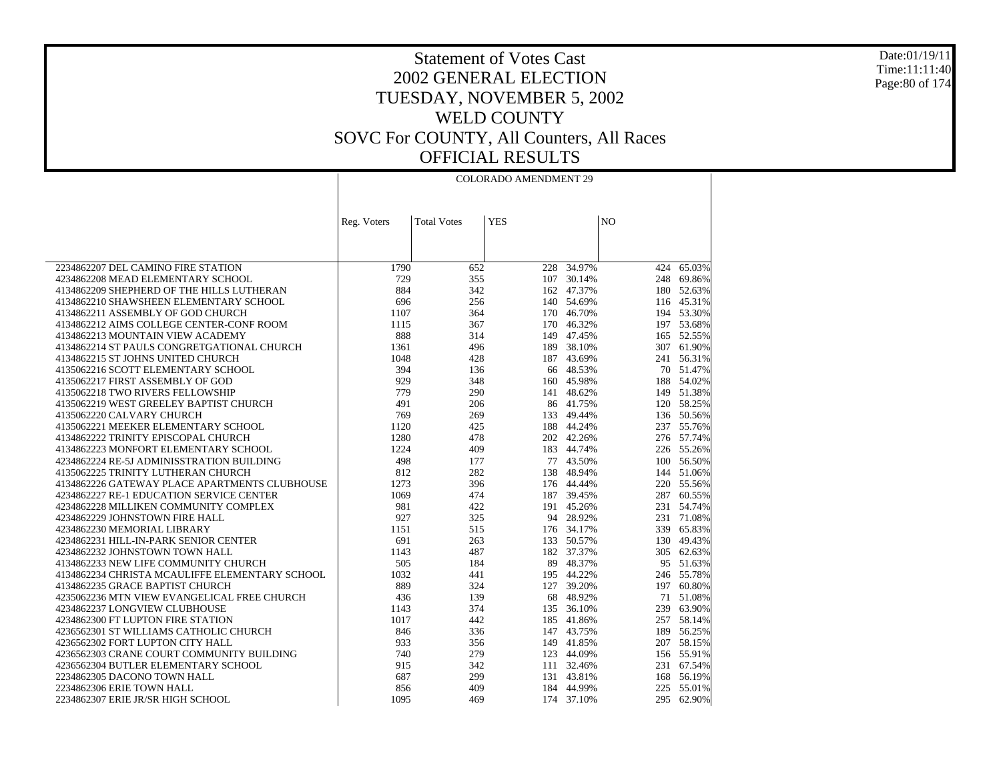Date:01/19/11 Time:11:11:40 Page:80 of 174

|                                                                                 | <b>COLORADO AMENDMENT 29</b> |                    |            |                          |                |                          |  |
|---------------------------------------------------------------------------------|------------------------------|--------------------|------------|--------------------------|----------------|--------------------------|--|
|                                                                                 |                              |                    |            |                          |                |                          |  |
|                                                                                 | Reg. Voters                  | <b>Total Votes</b> | <b>YES</b> |                          | N <sub>O</sub> |                          |  |
|                                                                                 |                              |                    |            |                          |                |                          |  |
|                                                                                 |                              |                    |            |                          |                |                          |  |
|                                                                                 |                              |                    |            |                          |                |                          |  |
| 2234862207 DEL CAMINO FIRE STATION                                              | 1790                         | 652                | 228        | 34.97%                   | 424            | 65.03%                   |  |
| 4234862208 MEAD ELEMENTARY SCHOOL                                               | 729                          | 355                | 107        | 30.14%                   |                | 248 69.86%               |  |
| 4134862209 SHEPHERD OF THE HILLS LUTHERAN                                       | 884                          | 342                | 162        | 47.37%                   |                | 180 52.63%               |  |
| 4134862210 SHAWSHEEN ELEMENTARY SCHOOL                                          | 696                          | 256                |            | 140 54.69%               |                | 116 45.31%               |  |
| 4134862211 ASSEMBLY OF GOD CHURCH                                               | 1107                         | 364                | 170        | 46.70%                   |                | 194 53.30%               |  |
| 4134862212 AIMS COLLEGE CENTER-CONF ROOM                                        | 1115<br>888                  | 367                | 170        | 46.32%                   |                | 197 53.68%               |  |
| 4134862213 MOUNTAIN VIEW ACADEMY                                                |                              | 314                |            | 149 47.45%               |                | 165 52.55%               |  |
| 4134862214 ST PAULS CONGRETGATIONAL CHURCH<br>4134862215 ST JOHNS UNITED CHURCH | 1361<br>1048                 | 496<br>428         |            | 189 38.10%<br>187 43.69% |                | 307 61.90%<br>241 56.31% |  |
| 4135062216 SCOTT ELEMENTARY SCHOOL                                              | 394                          | 136                | 66         | 48.53%                   |                | 70 51.47%                |  |
| 4135062217 FIRST ASSEMBLY OF GOD                                                | 929                          | 348                |            | 160 45.98%               |                | 188 54.02%               |  |
| 4135062218 TWO RIVERS FELLOWSHIP                                                | 779                          | 290                | 141        | 48.62%                   |                | 149 51.38%               |  |
| 4135062219 WEST GREELEY BAPTIST CHURCH                                          | 491                          | 206                |            | 86 41.75%                |                | 120 58.25%               |  |
| 4135062220 CALVARY CHURCH                                                       | 769                          | 269                | 133        | 49.44%                   |                | 136 50.56%               |  |
| 4135062221 MEEKER ELEMENTARY SCHOOL                                             | 1120                         | 425                | 188        | 44.24%                   |                | 237 55.76%               |  |
| 4134862222 TRINITY EPISCOPAL CHURCH                                             | 1280                         | 478                |            | 202 42.26%               |                | 276 57.74%               |  |
| 4134862223 MONFORT ELEMENTARY SCHOOL                                            | 1224                         | 409                | 183        | 44.74%                   |                | 226 55.26%               |  |
| 4234862224 RE-5J ADMINISSTRATION BUILDING                                       | 498                          | 177                |            | 77 43.50%                |                | 100 56.50%               |  |
| 4135062225 TRINITY LUTHERAN CHURCH                                              | 812                          | 282                | 138        | 48.94%                   |                | 144 51.06%               |  |
| 4134862226 GATEWAY PLACE APARTMENTS CLUBHOUSE                                   | 1273                         | 396                |            | 176 44.44%               |                | 220 55.56%               |  |
| 4234862227 RE-1 EDUCATION SERVICE CENTER                                        | 1069                         | 474                |            | 187 39.45%               |                | 287 60.55%               |  |
| 4234862228 MILLIKEN COMMUNITY COMPLEX                                           | 981                          | 422                | 191        | 45.26%                   |                | 231 54.74%               |  |
| 4234862229 JOHNSTOWN FIRE HALL                                                  | 927                          | 325                |            | 94 28.92%                |                | 231 71.08%               |  |
| 4234862230 MEMORIAL LIBRARY                                                     | 1151                         | 515                |            | 176 34.17%               | 339            | 65.83%                   |  |
| 4234862231 HILL-IN-PARK SENIOR CENTER                                           | 691                          | 263                | 133        | 50.57%                   |                | 130 49.43%               |  |
| 4234862232 JOHNSTOWN TOWN HALL                                                  | 1143                         | 487                |            | 182 37.37%               |                | 305 62.63%               |  |
| 4134862233 NEW LIFE COMMUNITY CHURCH                                            | 505                          | 184                |            | 89 48.37%                |                | 95 51.63%                |  |
| 4134862234 CHRISTA MCAULIFFE ELEMENTARY SCHOOL                                  | 1032                         | 441                |            | 195 44.22%               |                | 246 55.78%               |  |
| 4134862235 GRACE BAPTIST CHURCH                                                 | 889                          | 324                | 127        | 39.20%                   | 197            | 60.80%                   |  |
| 4235062236 MTN VIEW EVANGELICAL FREE CHURCH                                     | 436                          | 139                | 68         | 48.92%                   |                | 71 51.08%                |  |
| 4234862237 LONGVIEW CLUBHOUSE                                                   | 1143                         | 374                | 135        | 36.10%                   | 239            | 63.90%                   |  |
| 4234862300 FT LUPTON FIRE STATION                                               | 1017                         | 442                | 185        | 41.86%                   |                | 257 58.14%               |  |
| 4236562301 ST WILLIAMS CATHOLIC CHURCH                                          | 846                          | 336                | 147        | 43.75%                   |                | 189 56.25%               |  |
| 4236562302 FORT LUPTON CITY HALL                                                | 933                          | 356                | 149        | 41.85%                   |                | 207 58.15%               |  |
| 4236562303 CRANE COURT COMMUNITY BUILDING                                       | 740                          | 279                | 123        | 44.09%                   |                | 156 55.91%               |  |
| 4236562304 BUTLER ELEMENTARY SCHOOL                                             | 915                          | 342                | 111        | 32.46%                   |                | 231 67.54%               |  |
| 2234862305 DACONO TOWN HALL                                                     | 687                          | 299                |            | 131 43.81%               |                | 168 56.19%               |  |
| 2234862306 ERIE TOWN HALL                                                       | 856                          | 409                | 184        | 44.99%                   | 225            | 55.01%                   |  |
| 2234862307 ERIE JR/SR HIGH SCHOOL                                               | 1095                         | 469                |            | 174 37.10%               |                | 295 62.90%               |  |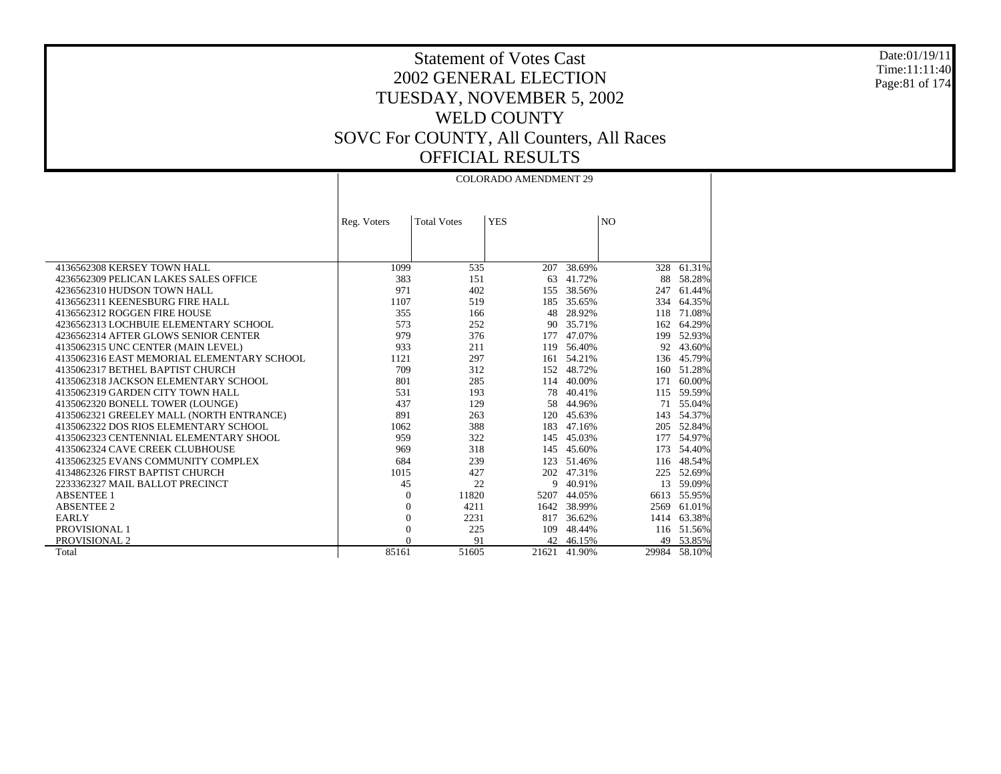### Date:01/19/11 Time:11:11:40 Page:81 of 174

 $\top$ 

|                                            |                |                    | <b>COLORADO AMENDMENT 29</b> |             |                |              |
|--------------------------------------------|----------------|--------------------|------------------------------|-------------|----------------|--------------|
|                                            |                |                    |                              |             |                |              |
|                                            |                |                    |                              |             |                |              |
|                                            | Reg. Voters    | <b>Total Votes</b> | <b>YES</b>                   |             | N <sub>O</sub> |              |
|                                            |                |                    |                              |             |                |              |
|                                            |                |                    |                              |             |                |              |
| 4136562308 KERSEY TOWN HALL                | 1099           | 535                |                              | 207 38.69%  | 328            | 61.31%       |
| 4236562309 PELICAN LAKES SALES OFFICE      | 383            | 151                | 63                           | 41.72%      | 88             | 58.28%       |
| 4236562310 HUDSON TOWN HALL                | 971            | 402                |                              | 155 38.56%  | 247            | 61.44%       |
| 4136562311 KEENESBURG FIRE HALL            | 1107           | 519                |                              | 185 35.65%  | 334            | 64.35%       |
| 4136562312 ROGGEN FIRE HOUSE               | 355            | 166                |                              | 48 28.92%   | 118            | 71.08%       |
| 4236562313 LOCHBUIE ELEMENTARY SCHOOL      | 573            | 252                |                              | 90 35.71%   |                | 162 64.29%   |
| 4236562314 AFTER GLOWS SENIOR CENTER       | 979            | 376                | 177                          | 47.07%      | 199            | 52.93%       |
| 4135062315 UNC CENTER (MAIN LEVEL)         | 933            | 211                |                              | 119 56.40%  | 92             | 43.60%       |
| 4135062316 EAST MEMORIAL ELEMENTARY SCHOOL | 1121           | 297                |                              | 161 54.21%  | 136            | 45.79%       |
| 4135062317 BETHEL BAPTIST CHURCH           | 709            | 312                |                              | 152 48.72%  | 160            | 51.28%       |
| 4135062318 JACKSON ELEMENTARY SCHOOL       | 801            | 285                |                              | 114 40.00%  | 171            | 60.00%       |
| 4135062319 GARDEN CITY TOWN HALL           | 531            | 193                | 78                           | 40.41%      | 115            | 59.59%       |
| 4135062320 BONELL TOWER (LOUNGE)           | 437            | 129                | 58                           | 44.96%      | 71             | 55.04%       |
| 4135062321 GREELEY MALL (NORTH ENTRANCE)   | 891            | 263                |                              | 120 45.63%  | 143            | 54.37%       |
| 4135062322 DOS RIOS ELEMENTARY SCHOOL      | 1062           | 388                |                              | 183 47.16%  | 205            | 52.84%       |
| 4135062323 CENTENNIAL ELEMENTARY SHOOL     | 959            | 322                |                              | 145 45.03%  | 177            | 54.97%       |
| 4135062324 CAVE CREEK CLUBHOUSE            | 969            | 318                | 145                          | 45.60%      | 173            | 54.40%       |
| 4135062325 EVANS COMMUNITY COMPLEX         | 684            | 239                | 123                          | 51.46%      | 116            | 48.54%       |
| 4134862326 FIRST BAPTIST CHURCH            | 1015           | 427                | 202                          | 47.31%      | 225            | 52.69%       |
| 2233362327 MAIL BALLOT PRECINCT            | 45             | 22                 | 9                            | 40.91%      | 13             | 59.09%       |
| <b>ABSENTEE 1</b>                          | $\overline{0}$ | 11820              | 5207                         | 44.05%      | 6613           | 55.95%       |
| <b>ABSENTEE 2</b>                          | $\overline{0}$ | 4211               |                              | 1642 38.99% | 2569           | 61.01%       |
| <b>EARLY</b>                               | $\overline{0}$ | 2231               | 817                          | 36.62%      | 1414           | 63.38%       |
| PROVISIONAL 1                              | $\overline{0}$ | 225                | 109                          | 48.44%      |                | 116 51.56%   |
| PROVISIONAL 2                              | $\Omega$       | 91                 |                              | 42 46.15%   |                | 49 53.85%    |
| Total                                      | 85161          | 51605              | 21621                        | 41.90%      |                | 29984 58.10% |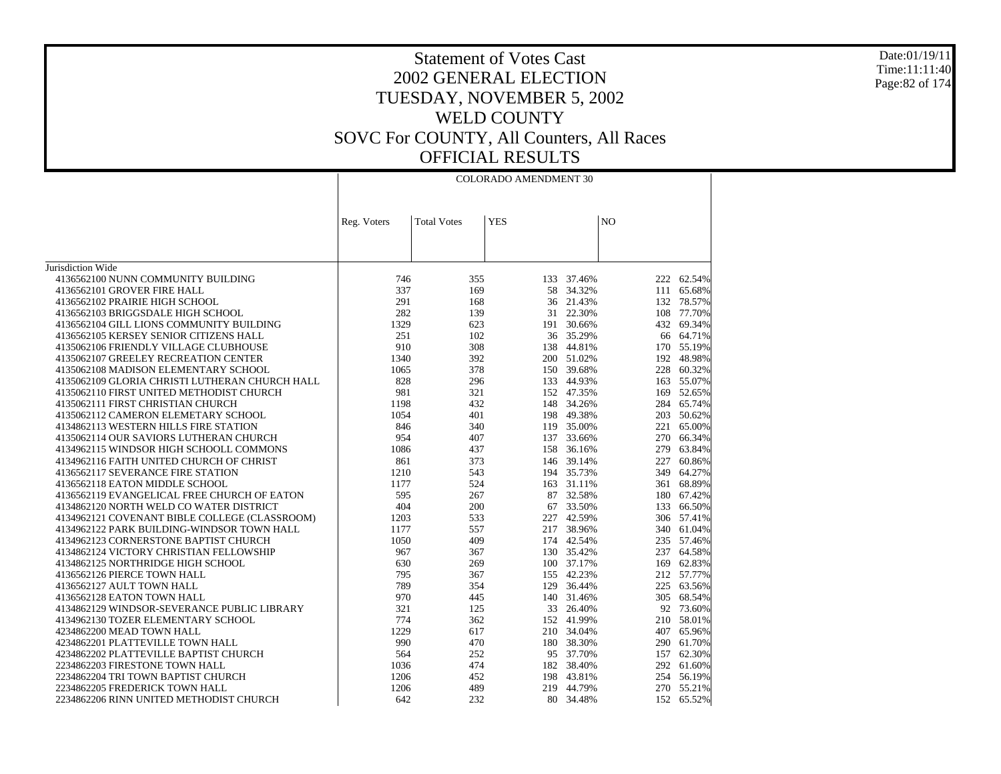### Date:01/19/11 Time:11:11:40 Page:82 of 174

|                                                | <b>COLORADO AMENDMENT 30</b> |                    |            |            |                |            |  |
|------------------------------------------------|------------------------------|--------------------|------------|------------|----------------|------------|--|
|                                                |                              |                    |            |            |                |            |  |
|                                                |                              |                    |            |            |                |            |  |
|                                                | Reg. Voters                  | <b>Total Votes</b> | <b>YES</b> |            | N <sub>O</sub> |            |  |
|                                                |                              |                    |            |            |                |            |  |
|                                                |                              |                    |            |            |                |            |  |
| Jurisdiction Wide                              |                              |                    |            |            |                |            |  |
| 4136562100 NUNN COMMUNITY BUILDING             | 746                          | 355                | 133        | 37.46%     | 222            | 62.54%     |  |
| 4136562101 GROVER FIRE HALL                    | 337                          | 169                | 58         | 34.32%     | 111            | 65.68%     |  |
| 4136562102 PRAIRIE HIGH SCHOOL                 | 291                          | 168                | 36         | 21.43%     | 132            | 78.57%     |  |
| 4136562103 BRIGGSDALE HIGH SCHOOL              | 282                          | 139                |            | 31 22.30%  | 108            | 77.70%     |  |
| 4136562104 GILL LIONS COMMUNITY BUILDING       | 1329                         | 623                |            | 191 30.66% | 432            | 69.34%     |  |
| 4136562105 KERSEY SENIOR CITIZENS HALL         | 251                          | 102                |            | 36 35.29%  |                | 66 64.71%  |  |
| 4135062106 FRIENDLY VILLAGE CLUBHOUSE          | 910                          | 308                |            | 138 44.81% |                | 170 55.19% |  |
| 4135062107 GREELEY RECREATION CENTER           | 1340                         | 392                |            | 200 51.02% | 192            | 48.98%     |  |
| 4135062108 MADISON ELEMENTARY SCHOOL           | 1065                         | 378                |            | 150 39.68% |                | 228 60.32% |  |
| 4135062109 GLORIA CHRISTI LUTHERAN CHURCH HALL | 828                          | 296                |            | 133 44.93% | 163            | 55.07%     |  |
| 4135062110 FIRST UNITED METHODIST CHURCH       | 981                          | 321                |            | 152 47.35% | 169            | 52.65%     |  |
| 4135062111 FIRST CHRISTIAN CHURCH              | 1198                         | 432                |            | 148 34.26% | 284            | 65.74%     |  |
| 4135062112 CAMERON ELEMETARY SCHOOL            | 1054                         | 401                |            | 198 49.38% | 203            | 50.62%     |  |
| 4134862113 WESTERN HILLS FIRE STATION          | 846                          | 340                |            | 119 35.00% | 221            | 65.00%     |  |
| 4135062114 OUR SAVIORS LUTHERAN CHURCH         | 954                          | 407                |            | 137 33.66% |                | 270 66.34% |  |
| 4134962115 WINDSOR HIGH SCHOOLL COMMONS        | 1086                         | 437                | 158        | 36.16%     | 279            | 63.84%     |  |
| 4134962116 FAITH UNITED CHURCH OF CHRIST       | 861                          | 373                |            | 146 39.14% | 227            | 60.86%     |  |
| 4136562117 SEVERANCE FIRE STATION              | 1210                         | 543                |            | 194 35.73% | 349            | 64.27%     |  |
| 4136562118 EATON MIDDLE SCHOOL                 | 1177                         | 524                |            | 163 31.11% | 361            | 68.89%     |  |
| 4136562119 EVANGELICAL FREE CHURCH OF EATON    | 595                          | 267                |            | 87 32.58%  |                | 180 67.42% |  |
| 4134862120 NORTH WELD CO WATER DISTRICT        | 404                          | 200                |            | 67 33.50%  | 133            | 66.50%     |  |
| 4134962121 COVENANT BIBLE COLLEGE (CLASSROOM)  | 1203                         | 533                |            | 227 42.59% |                | 306 57.41% |  |
| 4134962122 PARK BUILDING-WINDSOR TOWN HALL     | 1177                         | 557                | 217        | 38.96%     | 340            | 61.04%     |  |
| 4134962123 CORNERSTONE BAPTIST CHURCH          | 1050                         | 409                |            | 174 42.54% |                | 235 57.46% |  |
| 4134862124 VICTORY CHRISTIAN FELLOWSHIP        | 967                          | 367                |            | 130 35.42% | 237            | 64.58%     |  |
| 4134862125 NORTHRIDGE HIGH SCHOOL              | 630                          | 269                |            | 100 37.17% |                | 169 62.83% |  |
| 4136562126 PIERCE TOWN HALL                    | 795                          | 367                |            | 155 42.23% |                | 212 57.77% |  |
| 4136562127 AULT TOWN HALL                      | 789                          | 354                | 129        | 36.44%     | 225            | 63.56%     |  |
| 4136562128 EATON TOWN HALL                     | 970                          | 445                |            | 140 31.46% | 305            | 68.54%     |  |
| 4134862129 WINDSOR-SEVERANCE PUBLIC LIBRARY    | 321                          | 125                |            | 33 26.40%  |                | 92 73.60%  |  |
| 4134962130 TOZER ELEMENTARY SCHOOL             | 774                          | 362                |            | 152 41.99% | 210            | 58.01%     |  |
| 4234862200 MEAD TOWN HALL                      | 1229                         | 617                |            | 210 34.04% |                | 407 65.96% |  |
| 4234862201 PLATTEVILLE TOWN HALL               | 990                          | 470                |            | 180 38.30% | 290            | 61.70%     |  |
| 4234862202 PLATTEVILLE BAPTIST CHURCH          | 564                          | 252                |            | 95 37.70%  | 157            | 62.30%     |  |
| 2234862203 FIRESTONE TOWN HALL                 | 1036                         | 474                |            | 182 38.40% | 292            | 61.60%     |  |
| 2234862204 TRI TOWN BAPTIST CHURCH             | 1206                         | 452                |            | 198 43.81% | 254            | 56.19%     |  |
| 2234862205 FREDERICK TOWN HALL                 | 1206                         | 489                |            | 219 44.79% |                | 270 55.21% |  |
| 2234862206 RINN UNITED METHODIST CHURCH        | 642                          | 232                |            | 80 34.48%  |                | 152 65.52% |  |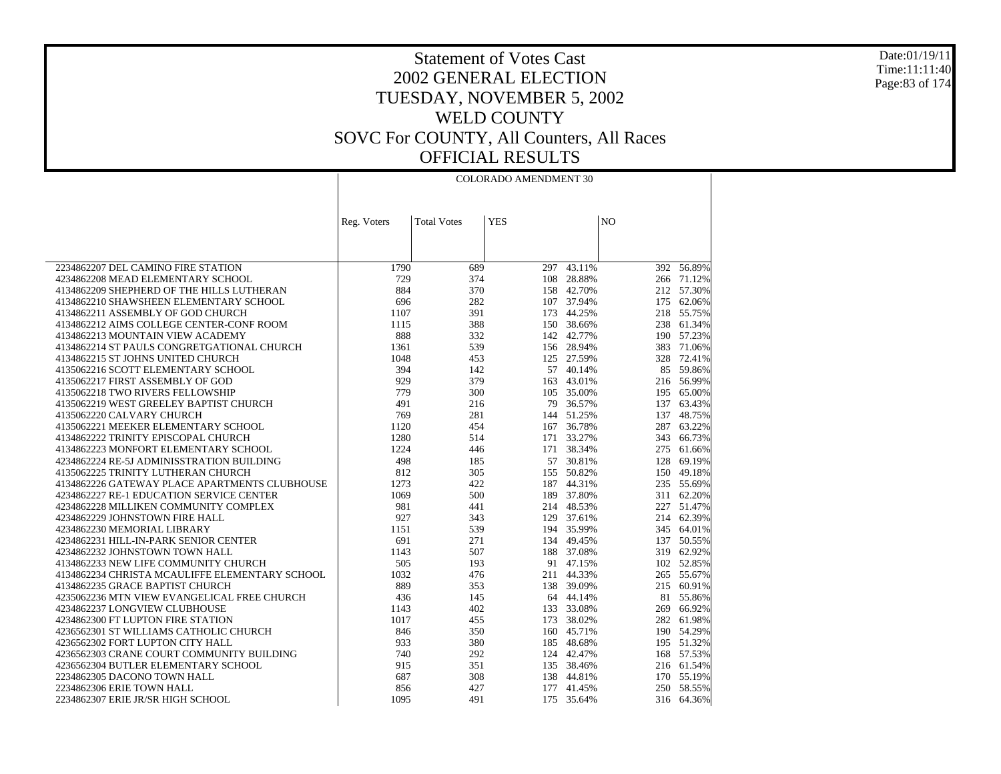Date:01/19/11 Time:11:11:40 Page:83 of 174

|                                                                                 | <b>COLORADO AMENDMENT 30</b> |                    |            |                          |                |                          |
|---------------------------------------------------------------------------------|------------------------------|--------------------|------------|--------------------------|----------------|--------------------------|
|                                                                                 |                              |                    |            |                          |                |                          |
|                                                                                 |                              |                    |            |                          |                |                          |
|                                                                                 | Reg. Voters                  | <b>Total Votes</b> | <b>YES</b> |                          | N <sub>O</sub> |                          |
|                                                                                 |                              |                    |            |                          |                |                          |
|                                                                                 |                              |                    |            |                          |                |                          |
| 2234862207 DEL CAMINO FIRE STATION                                              | 1790                         | 689                | 297        | 43.11%                   |                | 392 56.89%               |
| 4234862208 MEAD ELEMENTARY SCHOOL                                               | 729                          | 374                |            | 108 28.88%               |                | 266 71.12%               |
| 4134862209 SHEPHERD OF THE HILLS LUTHERAN                                       | 884                          | 370                | 158        | 42.70%                   |                | 212 57.30%               |
| 4134862210 SHAWSHEEN ELEMENTARY SCHOOL                                          | 696                          | 282                |            | 107 37.94%               |                | 175 62.06%               |
| 4134862211 ASSEMBLY OF GOD CHURCH                                               | 1107                         | 391                | 173        | 44.25%                   |                | 218 55.75%               |
| 4134862212 AIMS COLLEGE CENTER-CONF ROOM                                        | 1115                         | 388                |            | 150 38.66%               | 238            | 61.34%                   |
| 4134862213 MOUNTAIN VIEW ACADEMY                                                | 888                          | 332<br>539         |            | 142 42.77%<br>156 28.94% |                | 190 57.23%               |
| 4134862214 ST PAULS CONGRETGATIONAL CHURCH<br>4134862215 ST JOHNS UNITED CHURCH | 1361<br>1048                 | 453                |            | 125 27.59%               | 383            | 71.06%<br>328 72.41%     |
| 4135062216 SCOTT ELEMENTARY SCHOOL                                              | 394                          | 142                | 57         | 40.14%                   |                | 85 59.86%                |
| 4135062217 FIRST ASSEMBLY OF GOD                                                | 929                          | 379                | 163        | 43.01%                   |                | 216 56.99%               |
| 4135062218 TWO RIVERS FELLOWSHIP                                                | 779                          | 300                |            | 105 35.00%               |                | 195 65.00%               |
| 4135062219 WEST GREELEY BAPTIST CHURCH                                          | 491                          | 216                |            | 79 36.57%                |                | 137 63.43%               |
| 4135062220 CALVARY CHURCH                                                       | 769                          | 281                |            | 144 51.25%               |                | 137 48.75%               |
| 4135062221 MEEKER ELEMENTARY SCHOOL                                             | 1120                         | 454                | 167        | 36.78%                   |                | 287 63.22%               |
| 4134862222 TRINITY EPISCOPAL CHURCH                                             | 1280                         | 514                |            | 171 33.27%               |                | 343 66.73%               |
| 4134862223 MONFORT ELEMENTARY SCHOOL                                            | 1224                         | 446                |            | 171 38.34%               |                | 275 61.66%               |
| 4234862224 RE-5J ADMINISSTRATION BUILDING                                       | 498                          | 185                |            | 57 30.81%                | 128            | 69.19%                   |
| 4135062225 TRINITY LUTHERAN CHURCH                                              | 812                          | 305                |            | 155 50.82%               |                | 150 49.18%               |
| 4134862226 GATEWAY PLACE APARTMENTS CLUBHOUSE                                   | 1273                         | 422                | 187        | 44.31%                   |                | 235 55.69%               |
| 4234862227 RE-1 EDUCATION SERVICE CENTER                                        | 1069                         | 500                |            | 189 37.80%               |                | 311 62.20%               |
| 4234862228 MILLIKEN COMMUNITY COMPLEX                                           | 981                          | 441                |            | 214 48.53%               |                | 227 51.47%               |
| 4234862229 JOHNSTOWN FIRE HALL<br>4234862230 MEMORIAL LIBRARY                   | 927<br>1151                  | 343<br>539         |            | 129 37.61%<br>194 35.99% |                | 214 62.39%<br>345 64.01% |
| 4234862231 HILL-IN-PARK SENIOR CENTER                                           | 691                          | 271                | 134        | 49.45%                   |                | 137 50.55%               |
| 4234862232 JOHNSTOWN TOWN HALL                                                  | 1143                         | 507                |            | 188 37.08%               |                | 319 62.92%               |
| 4134862233 NEW LIFE COMMUNITY CHURCH                                            | 505                          | 193                | 91         | 47.15%                   |                | 102 52.85%               |
| 4134862234 CHRISTA MCAULIFFE ELEMENTARY SCHOOL                                  | 1032                         | 476                |            | 211 44.33%               |                | 265 55.67%               |
| 4134862235 GRACE BAPTIST CHURCH                                                 | 889                          | 353                |            | 138 39.09%               |                | 215 60.91%               |
| 4235062236 MTN VIEW EVANGELICAL FREE CHURCH                                     | 436                          | 145                | 64         | 44.14%                   | 81             | 55.86%                   |
| 4234862237 LONGVIEW CLUBHOUSE                                                   | 1143                         | 402                |            | 133 33.08%               |                | 269 66.92%               |
| 4234862300 FT LUPTON FIRE STATION                                               | 1017                         | 455                | 173        | 38.02%                   |                | 282 61.98%               |
| 4236562301 ST WILLIAMS CATHOLIC CHURCH                                          | 846                          | 350                |            | 160 45.71%               |                | 190 54.29%               |
| 4236562302 FORT LUPTON CITY HALL                                                | 933                          | 380                | 185        | 48.68%                   |                | 195 51.32%               |
| 4236562303 CRANE COURT COMMUNITY BUILDING                                       | 740                          | 292                |            | 124 42.47%               |                | 168 57.53%               |
| 4236562304 BUTLER ELEMENTARY SCHOOL                                             | 915                          | 351                |            | 135 38.46%               |                | 216 61.54%               |
| 2234862305 DACONO TOWN HALL                                                     | 687                          | 308                |            | 138 44.81%               |                | 170 55.19%               |
| 2234862306 ERIE TOWN HALL                                                       | 856                          | 427                |            | 177 41.45%               |                | 250 58.55%               |
| 2234862307 ERIE JR/SR HIGH SCHOOL                                               | 1095                         | 491                |            | 175 35.64%               |                | 316 64.36%               |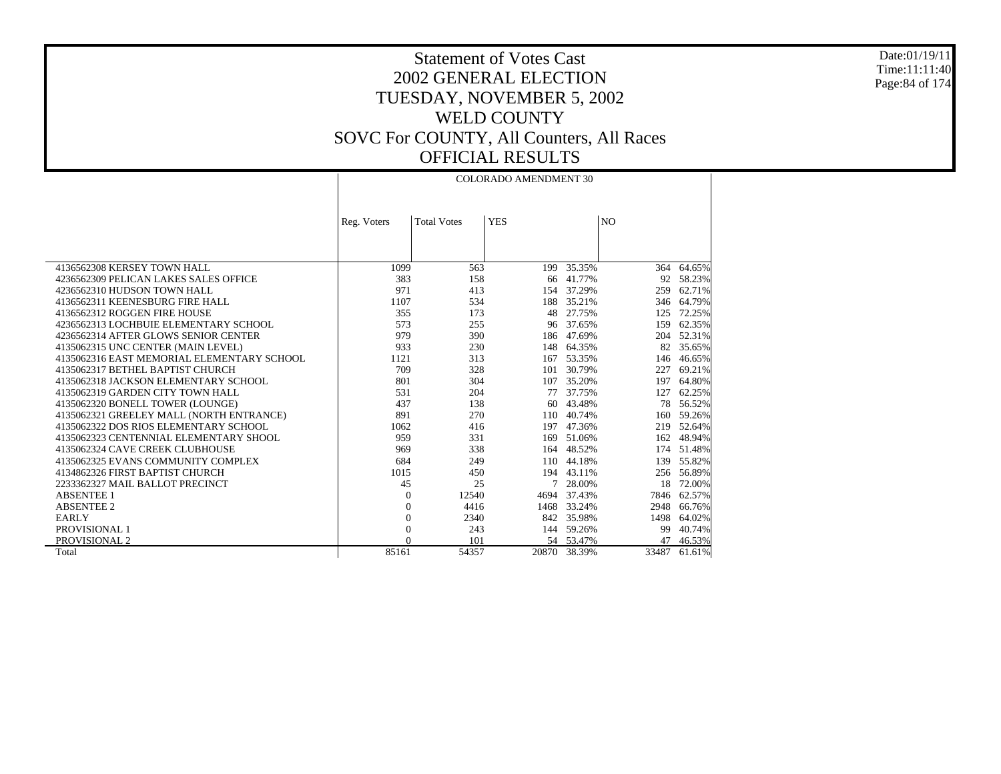Date:01/19/11 Time:11:11:40 Page:84 of 174

|                                            | <b>COLORADO AMENDMENT 30</b> |                    |            |            |                |        |  |  |
|--------------------------------------------|------------------------------|--------------------|------------|------------|----------------|--------|--|--|
|                                            |                              |                    |            |            |                |        |  |  |
|                                            |                              |                    |            |            |                |        |  |  |
|                                            | Reg. Voters                  | <b>Total Votes</b> | <b>YES</b> |            | N <sub>O</sub> |        |  |  |
|                                            |                              |                    |            |            |                |        |  |  |
|                                            |                              |                    |            |            |                |        |  |  |
|                                            |                              |                    |            |            |                |        |  |  |
| 4136562308 KERSEY TOWN HALL                | 1099                         | 563                | 199        | 35.35%     | 364            | 64.65% |  |  |
| 4236562309 PELICAN LAKES SALES OFFICE      | 383                          | 158                |            | 66 41.77%  | 92             | 58.23% |  |  |
| 4236562310 HUDSON TOWN HALL                | 971                          | 413                |            | 154 37.29% | 259            | 62.71% |  |  |
| 4136562311 KEENESBURG FIRE HALL            | 1107                         | 534                | 188        | 35.21%     | 346            | 64.79% |  |  |
| 4136562312 ROGGEN FIRE HOUSE               | 355                          | 173                | 48         | 27.75%     | 125            | 72.25% |  |  |
| 4236562313 LOCHBUIE ELEMENTARY SCHOOL      | 573                          | 255                |            | 96 37.65%  | 159            | 62.35% |  |  |
| 4236562314 AFTER GLOWS SENIOR CENTER       | 979                          | 390                | 186        | 47.69%     | 204            | 52.31% |  |  |
| 4135062315 UNC CENTER (MAIN LEVEL)         | 933                          | 230                | 148        | 64.35%     | 82             | 35.65% |  |  |
| 4135062316 EAST MEMORIAL ELEMENTARY SCHOOL | 1121                         | 313                | 167        | 53.35%     | 146            | 46.65% |  |  |
| 4135062317 BETHEL BAPTIST CHURCH           | 709                          | 328                | 101        | 30.79%     | 227            | 69.21% |  |  |
| 4135062318 JACKSON ELEMENTARY SCHOOL       | 801                          | 304                |            | 107 35.20% | 197            | 64.80% |  |  |
| 4135062319 GARDEN CITY TOWN HALL           | 531                          | 204                | 77         | 37.75%     | 127            | 62.25% |  |  |
| 4135062320 BONELL TOWER (LOUNGE)           | 437                          | 138                | 60         | 43.48%     | 78             | 56.52% |  |  |
| 4135062321 GREELEY MALL (NORTH ENTRANCE)   | 891                          | 270                | 110        | 40.74%     | 160            | 59.26% |  |  |
| 4135062322 DOS RIOS ELEMENTARY SCHOOL      | 1062                         | 416                |            | 197 47.36% | 219            | 52.64% |  |  |
| 4135062323 CENTENNIAL ELEMENTARY SHOOL     | 959                          | 331                | 169        | 51.06%     | 162            | 48.94% |  |  |
| 4135062324 CAVE CREEK CLUBHOUSE            | 969                          | 338                | 164        | 48.52%     | 174            | 51.48% |  |  |
| 4135062325 EVANS COMMUNITY COMPLEX         | 684                          | 249                | 110        | 44.18%     | 139            | 55.82% |  |  |
| 4134862326 FIRST BAPTIST CHURCH            | 1015                         | 450                | 194        | 43.11%     | 256            | 56.89% |  |  |
| 2233362327 MAIL BALLOT PRECINCT            | 45                           | 25                 | 7          | 28.00%     | 18             | 72.00% |  |  |
| <b>ABSENTEE 1</b>                          | $\theta$                     | 12540              | 4694       | 37.43%     | 7846           | 62.57% |  |  |
| <b>ABSENTEE 2</b>                          | $\overline{0}$               | 4416               | 1468       | 33.24%     | 2948           | 66.76% |  |  |
| <b>EARLY</b>                               | $\overline{0}$               | 2340               | 842        | 35.98%     | 1498           | 64.02% |  |  |
| PROVISIONAL 1                              | $\overline{0}$               | 243                | 144        | 59.26%     | 99             | 40.74% |  |  |
| PROVISIONAL 2                              | $\Omega$                     | 101                |            | 54 53.47%  | 47             | 46.53% |  |  |
| Total                                      | 85161                        | 54357              | 20870      | 38.39%     | 33487          | 61.61% |  |  |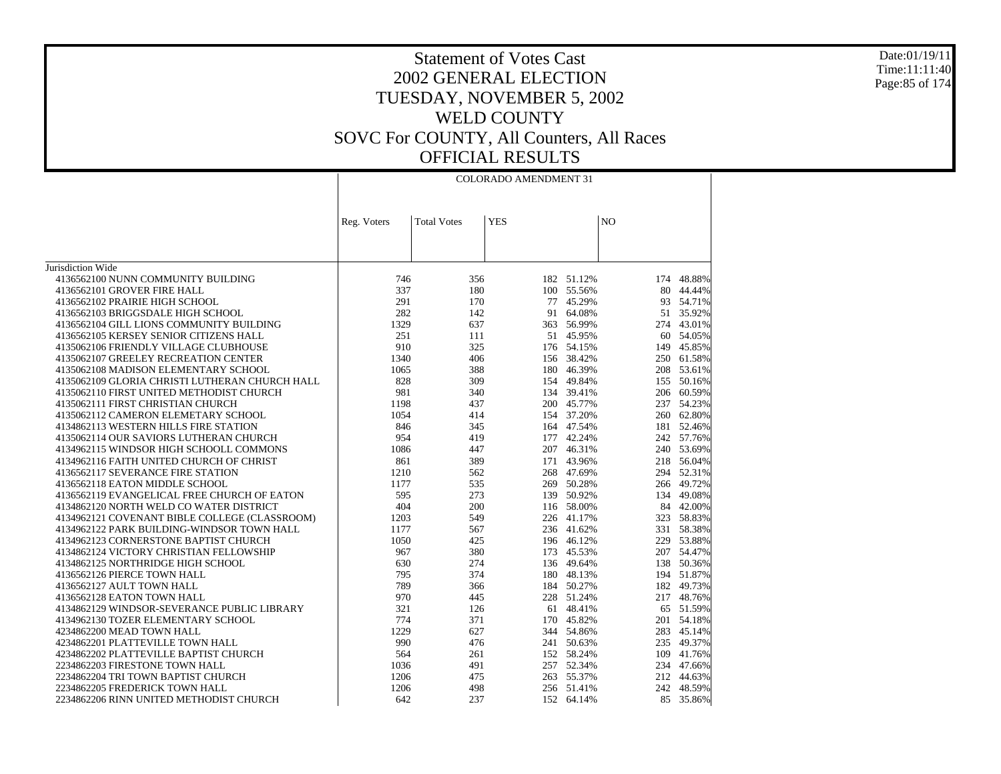### Date:01/19/11 Time:11:11:40 Page:85 of 174

|                                                                                             |              |                    | <b>COLORADO AMENDMENT 31</b> |                          |                |                      |
|---------------------------------------------------------------------------------------------|--------------|--------------------|------------------------------|--------------------------|----------------|----------------------|
|                                                                                             |              |                    |                              |                          |                |                      |
|                                                                                             | Reg. Voters  | <b>Total Votes</b> | <b>YES</b>                   |                          | N <sub>O</sub> |                      |
|                                                                                             |              |                    |                              |                          |                |                      |
|                                                                                             |              |                    |                              |                          |                |                      |
| Jurisdiction Wide                                                                           |              |                    |                              |                          |                |                      |
| 4136562100 NUNN COMMUNITY BUILDING                                                          | 746          | 356                |                              | 182 51.12%               | 174            | 48.88%               |
| 4136562101 GROVER FIRE HALL                                                                 | 337          | 180                |                              | 100 55.56%               | 80             | 44.44%               |
| 4136562102 PRAIRIE HIGH SCHOOL                                                              | 291          | 170                | 77                           | 45.29%                   | 93             | 54.71%               |
| 4136562103 BRIGGSDALE HIGH SCHOOL                                                           | 282          | 142                |                              | 91 64.08%                |                | 51 35.92%            |
| 4136562104 GILL LIONS COMMUNITY BUILDING                                                    | 1329         | 637                |                              | 363 56.99%               |                | 274 43.01%           |
| 4136562105 KERSEY SENIOR CITIZENS HALL                                                      | 251          | 111                | 51                           | 45.95%                   |                | 60 54.05%            |
| 4135062106 FRIENDLY VILLAGE CLUBHOUSE                                                       | 910          | 325                |                              | 176 54.15%               |                | 149 45.85%           |
| 4135062107 GREELEY RECREATION CENTER                                                        | 1340         | 406                |                              | 156 38.42%               |                | 250 61.58%           |
| 4135062108 MADISON ELEMENTARY SCHOOL                                                        | 1065         | 388                |                              | 180 46.39%               |                | 208 53.61%           |
| 4135062109 GLORIA CHRISTI LUTHERAN CHURCH HALL                                              | 828          | 309                |                              | 154 49.84%               |                | 155 50.16%           |
| 4135062110 FIRST UNITED METHODIST CHURCH                                                    | 981          | 340                |                              | 134 39.41%               |                | 206 60.59%           |
| 4135062111 FIRST CHRISTIAN CHURCH                                                           | 1198         | 437                |                              | 200 45.77%               |                | 237 54.23%           |
| 4135062112 CAMERON ELEMETARY SCHOOL                                                         | 1054         | 414                |                              | 154 37.20%               |                | 260 62.80%           |
| 4134862113 WESTERN HILLS FIRE STATION                                                       | 846          | 345                |                              | 164 47.54%               |                | 181 52.46%           |
| 4135062114 OUR SAVIORS LUTHERAN CHURCH                                                      | 954          | 419                |                              | 177 42.24%               |                | 242 57.76%           |
| 4134962115 WINDSOR HIGH SCHOOLL COMMONS                                                     | 1086         | 447                |                              | 207 46.31%               |                | 240 53.69%           |
| 4134962116 FAITH UNITED CHURCH OF CHRIST                                                    | 861          | 389                |                              | 171 43.96%               |                | 218 56.04%           |
| 4136562117 SEVERANCE FIRE STATION                                                           | 1210         | 562                |                              | 268 47.69%               | 294            | 52.31%               |
| 4136562118 EATON MIDDLE SCHOOL                                                              | 1177         | 535                |                              | 269 50.28%               |                | 266 49.72%           |
| 4136562119 EVANGELICAL FREE CHURCH OF EATON                                                 | 595          | 273                |                              | 139 50.92%               |                | 134 49.08%           |
| 4134862120 NORTH WELD CO WATER DISTRICT                                                     | 404          | 200                |                              | 116 58.00%               |                | 84 42.00%            |
|                                                                                             |              |                    |                              |                          |                |                      |
| 4134962121 COVENANT BIBLE COLLEGE (CLASSROOM)<br>4134962122 PARK BUILDING-WINDSOR TOWN HALL | 1203<br>1177 | 549<br>567         |                              | 226 41.17%<br>236 41.62% | 331            | 323 58.83%<br>58.38% |
|                                                                                             |              |                    |                              |                          |                |                      |
| 4134962123 CORNERSTONE BAPTIST CHURCH                                                       | 1050         | 425                |                              | 196 46.12%               |                | 229 53.88%           |
| 4134862124 VICTORY CHRISTIAN FELLOWSHIP                                                     | 967          | 380                |                              | 173 45.53%               |                | 207 54.47%           |
| 4134862125 NORTHRIDGE HIGH SCHOOL                                                           | 630          | 274                |                              | 136 49.64%               |                | 138 50.36%           |
| 4136562126 PIERCE TOWN HALL                                                                 | 795          | 374                |                              | 180 48.13%               |                | 194 51.87%           |
| 4136562127 AULT TOWN HALL                                                                   | 789          | 366                |                              | 184 50.27%               |                | 182 49.73%           |
| 4136562128 EATON TOWN HALL                                                                  | 970          | 445                |                              | 228 51.24%               |                | 217 48.76%           |
| 4134862129 WINDSOR-SEVERANCE PUBLIC LIBRARY                                                 | 321          | 126                |                              | 61 48.41%                |                | 65 51.59%            |
| 4134962130 TOZER ELEMENTARY SCHOOL                                                          | 774          | 371                |                              | 170 45.82%               | 201            | 54.18%               |
| 4234862200 MEAD TOWN HALL                                                                   | 1229         | 627                |                              | 344 54.86%               |                | 283 45.14%           |
| 4234862201 PLATTEVILLE TOWN HALL                                                            | 990          | 476                |                              | 241 50.63%               |                | 235 49.37%           |
| 4234862202 PLATTEVILLE BAPTIST CHURCH                                                       | 564          | 261                |                              | 152 58.24%               |                | 109 41.76%           |
| 2234862203 FIRESTONE TOWN HALL                                                              | 1036         | 491                |                              | 257 52.34%               |                | 234 47.66%           |
| 2234862204 TRI TOWN BAPTIST CHURCH                                                          | 1206         | 475                |                              | 263 55.37%               |                | 212 44.63%           |
| 2234862205 FREDERICK TOWN HALL                                                              | 1206         | 498                |                              | 256 51.41%               |                | 242 48.59%           |
| 2234862206 RINN UNITED METHODIST CHURCH                                                     | 642          | 237                |                              | 152 64.14%               |                | 85 35.86%            |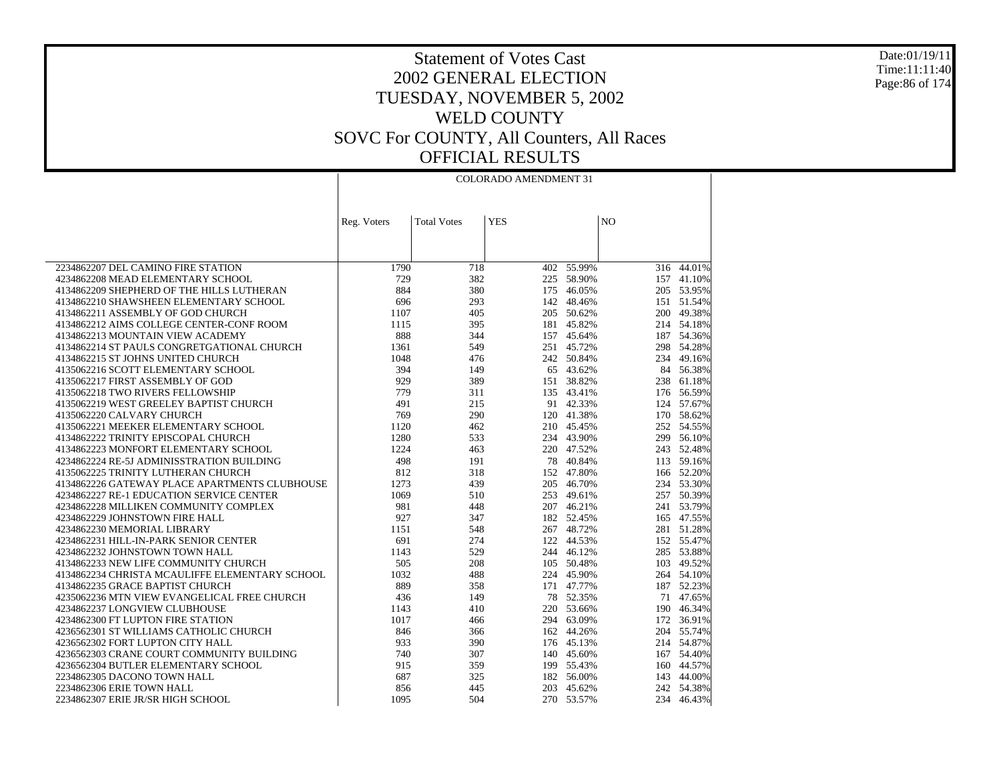Date:01/19/11 Time:11:11:40 Page:86 of 174

# Statement of Votes Cast 2002 GENERAL ELECTION TUESDAY, NOVEMBER 5, 2002 WELD COUNTY SOVC For COUNTY, All Counters, All Races OFFICIAL RESULTS

|                                                | <b>COLORADO AMENDMENT 31</b> |                    |            |            |                |                 |
|------------------------------------------------|------------------------------|--------------------|------------|------------|----------------|-----------------|
|                                                |                              |                    |            |            |                |                 |
|                                                |                              |                    |            |            |                |                 |
|                                                | Reg. Voters                  | <b>Total Votes</b> | <b>YES</b> |            | N <sub>O</sub> |                 |
|                                                |                              |                    |            |            |                |                 |
|                                                |                              |                    |            |            |                |                 |
| 2234862207 DEL CAMINO FIRE STATION             | 1790                         | 718                |            | 402 55.99% |                | $316 - 44.01\%$ |
| 4234862208 MEAD ELEMENTARY SCHOOL              | 729                          | 382                | 225        | 58.90%     |                | 157 41.10%      |
| 4134862209 SHEPHERD OF THE HILLS LUTHERAN      | 884                          | 380                |            | 175 46.05% |                | 205 53.95%      |
| 4134862210 SHAWSHEEN ELEMENTARY SCHOOL         | 696                          | 293                |            | 142 48.46% |                | 151 51.54%      |
| 4134862211 ASSEMBLY OF GOD CHURCH              | 1107                         | 405                | 205        | 50.62%     |                | 200 49.38%      |
| 4134862212 AIMS COLLEGE CENTER-CONF ROOM       | 1115                         | 395                |            | 181 45.82% |                | 214 54.18%      |
| 4134862213 MOUNTAIN VIEW ACADEMY               | 888                          | 344                |            | 157 45.64% |                | 187 54.36%      |
| 4134862214 ST PAULS CONGRETGATIONAL CHURCH     | 1361                         | 549                |            | 251 45.72% |                | 298 54.28%      |
| 4134862215 ST JOHNS UNITED CHURCH              | 1048                         | 476                |            | 242 50.84% |                | 234 49.16%      |
| 4135062216 SCOTT ELEMENTARY SCHOOL             | 394                          | 149                | 65         | 43.62%     |                | 84 56.38%       |
| 4135062217 FIRST ASSEMBLY OF GOD               | 929                          | 389                |            | 151 38.82% |                | 238 61.18%      |
| 4135062218 TWO RIVERS FELLOWSHIP               | 779                          | 311                |            | 135 43.41% |                | 176 56.59%      |
| 4135062219 WEST GREELEY BAPTIST CHURCH         | 491                          | 215                |            | 91 42.33%  |                | 124 57.67%      |
| 4135062220 CALVARY CHURCH                      | 769                          | 290                |            | 120 41.38% |                | 170 58.62%      |
| 4135062221 MEEKER ELEMENTARY SCHOOL            | 1120                         | 462                |            | 210 45.45% |                | 252 54.55%      |
| 4134862222 TRINITY EPISCOPAL CHURCH            | 1280                         | 533                |            | 234 43.90% |                | 299 56.10%      |
| 4134862223 MONFORT ELEMENTARY SCHOOL           | 1224                         | 463                |            | 220 47.52% |                | 243 52.48%      |
| 4234862224 RE-5J ADMINISSTRATION BUILDING      | 498                          | 191                |            | 78 40.84%  |                | 113 59.16%      |
| 4135062225 TRINITY LUTHERAN CHURCH             | 812                          | 318                |            | 152 47.80% |                | 166 52.20%      |
| 4134862226 GATEWAY PLACE APARTMENTS CLUBHOUSE  | 1273                         | 439                |            | 205 46.70% |                | 234 53.30%      |
| 4234862227 RE-1 EDUCATION SERVICE CENTER       | 1069                         | 510                |            | 253 49.61% |                | 257 50.39%      |
| 4234862228 MILLIKEN COMMUNITY COMPLEX          | 981                          | 448                |            | 207 46.21% |                | 241 53.79%      |
| 4234862229 JOHNSTOWN FIRE HALL                 | 927                          | 347                |            | 182 52.45% |                | 165 47.55%      |
| 4234862230 MEMORIAL LIBRARY                    | 1151                         | 548                |            | 267 48.72% |                | 281 51.28%      |
| 4234862231 HILL-IN-PARK SENIOR CENTER          | 691                          | 274                |            | 122 44.53% |                | 152 55.47%      |
| 4234862232 JOHNSTOWN TOWN HALL                 | 1143                         | 529                |            | 244 46.12% |                | 285 53.88%      |
| 4134862233 NEW LIFE COMMUNITY CHURCH           | 505                          | 208                |            | 105 50.48% |                | 103 49.52%      |
| 4134862234 CHRISTA MCAULIFFE ELEMENTARY SCHOOL | 1032                         | 488                |            | 224 45.90% |                | 264 54.10%      |
| 4134862235 GRACE BAPTIST CHURCH                | 889                          | 358                |            | 171 47.77% |                | 187 52.23%      |
| 4235062236 MTN VIEW EVANGELICAL FREE CHURCH    | 436                          | 149                |            | 78 52.35%  |                | 71 47.65%       |
| 4234862237 LONGVIEW CLUBHOUSE                  | 1143                         | 410                |            | 220 53.66% |                | 190 46.34%      |
| 4234862300 FT LUPTON FIRE STATION              | 1017                         | 466                |            | 294 63.09% | 172            | 36.91%          |
| 4236562301 ST WILLIAMS CATHOLIC CHURCH         | 846                          | 366                |            | 162 44.26% |                | 204 55.74%      |
| 4236562302 FORT LUPTON CITY HALL               | 933                          | 390                |            | 176 45.13% |                | 214 54.87%      |
| 4236562303 CRANE COURT COMMUNITY BUILDING      | 740                          | 307                |            | 140 45.60% |                | 167 54.40%      |
| 4236562304 BUTLER ELEMENTARY SCHOOL            | 915                          | 359                |            | 199 55.43% |                | 160 44.57%      |
| 2234862305 DACONO TOWN HALL                    | 687                          | 325                |            | 182 56.00% |                | 143 44.00%      |
| 2234862306 ERIE TOWN HALL                      | 856                          | 445                |            | 203 45.62% |                | 242 54.38%      |
| 2234862307 ERIE JR/SR HIGH SCHOOL              | 1095                         | 504                |            | 270 53.57% |                | 234 46.43%      |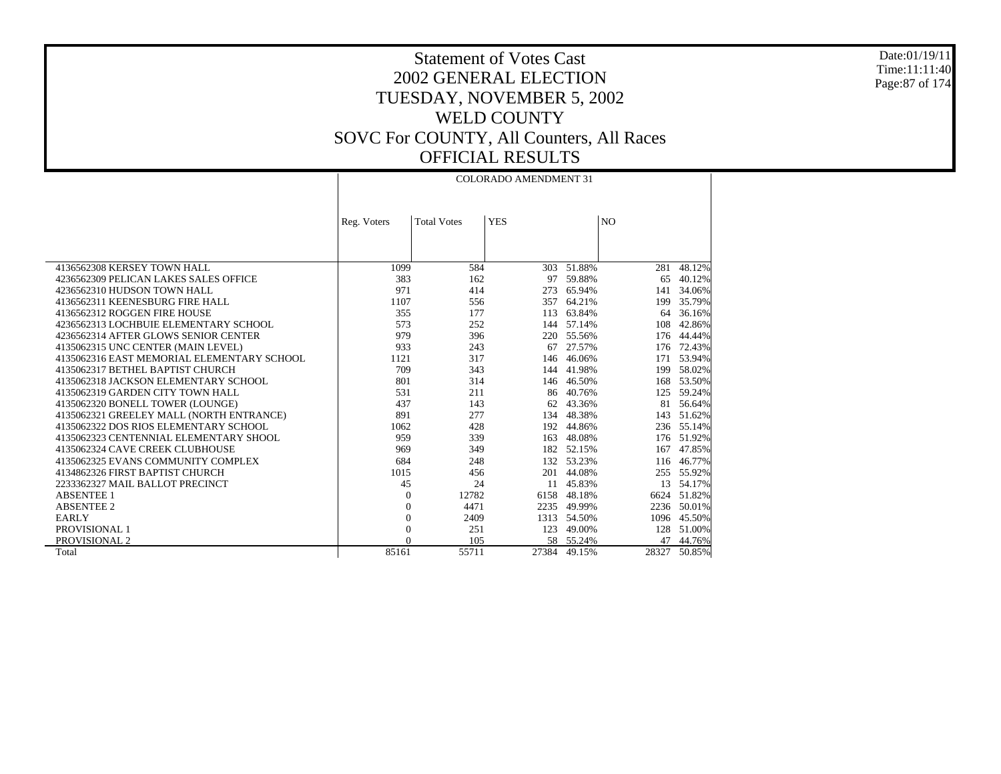Date:01/19/11 Time:11:11:40 Page:87 of 174

Τ

# Statement of Votes Cast 2002 GENERAL ELECTION TUESDAY, NOVEMBER 5, 2002 WELD COUNTY SOVC For COUNTY, All Counters, All Races OFFICIAL RESULTS

|                                            | <b>COLORADO AMENDMENT 31</b> |                    |            |             |                |             |
|--------------------------------------------|------------------------------|--------------------|------------|-------------|----------------|-------------|
|                                            |                              |                    |            |             |                |             |
|                                            |                              |                    |            |             |                |             |
|                                            | Reg. Voters                  | <b>Total Votes</b> | <b>YES</b> |             | N <sub>O</sub> |             |
|                                            |                              |                    |            |             |                |             |
|                                            |                              |                    |            |             |                |             |
|                                            |                              |                    |            |             |                |             |
| 4136562308 KERSEY TOWN HALL                | 1099                         | 584                | 303        | 51.88%      | 281            | 48.12%      |
| 4236562309 PELICAN LAKES SALES OFFICE      | 383                          | 162                |            | 97 59.88%   | 65             | 40.12%      |
| 4236562310 HUDSON TOWN HALL                | 971                          | 414                | 273        | 65.94%      | 141            | 34.06%      |
| 4136562311 KEENESBURG FIRE HALL            | 1107                         | 556                | 357        | 64.21%      | 199            | 35.79%      |
| 4136562312 ROGGEN FIRE HOUSE               | 355                          | 177                | 113        | 63.84%      | 64             | 36.16%      |
| 4236562313 LOCHBUIE ELEMENTARY SCHOOL      | 573                          | 252                |            | 144 57.14%  | 108            | 42.86%      |
| 4236562314 AFTER GLOWS SENIOR CENTER       | 979                          | 396                |            | 220 55.56%  | 176            | 44.44%      |
| 4135062315 UNC CENTER (MAIN LEVEL)         | 933                          | 243                | 67         | 27.57%      | 176            | 72.43%      |
| 4135062316 EAST MEMORIAL ELEMENTARY SCHOOL | 1121                         | 317                | 146        | 46.06%      | 171            | 53.94%      |
| 4135062317 BETHEL BAPTIST CHURCH           | 709                          | 343                | 144        | 41.98%      | 199            | 58.02%      |
| 4135062318 JACKSON ELEMENTARY SCHOOL       | 801                          | 314                | 146        | 46.50%      | 168            | 53.50%      |
| 4135062319 GARDEN CITY TOWN HALL           | 531                          | 211                | 86         | 40.76%      | 125            | 59.24%      |
| 4135062320 BONELL TOWER (LOUNGE)           | 437                          | 143                | 62         | 43.36%      | 81             | 56.64%      |
| 4135062321 GREELEY MALL (NORTH ENTRANCE)   | 891                          | 277                | 134        | 48.38%      | 143            | 51.62%      |
| 4135062322 DOS RIOS ELEMENTARY SCHOOL      | 1062                         | 428                |            | 192 44.86%  |                | 236 55.14%  |
| 4135062323 CENTENNIAL ELEMENTARY SHOOL     | 959                          | 339                | 163        | 48.08%      |                | 176 51.92%  |
| 4135062324 CAVE CREEK CLUBHOUSE            | 969                          | 349                |            | 182 52.15%  | 167            | 47.85%      |
| 4135062325 EVANS COMMUNITY COMPLEX         | 684                          | 248                | 132        | 53.23%      | 116            | 46.77%      |
| 4134862326 FIRST BAPTIST CHURCH            | 1015                         | 456                | 201        | 44.08%      |                | 255 55.92%  |
| 2233362327 MAIL BALLOT PRECINCT            | 45                           | 24                 | 11         | 45.83%      | 13             | 54.17%      |
| <b>ABSENTEE 1</b>                          | $\theta$                     | 12782              | 6158       | 48.18%      | 6624           | 51.82%      |
| <b>ABSENTEE 2</b>                          | $\mathbf{0}$                 | 4471               | 2235       | 49.99%      |                | 2236 50.01% |
| <b>EARLY</b>                               | $\boldsymbol{0}$             | 2409               |            | 1313 54.50% | 1096           | 45.50%      |
| PROVISIONAL 1                              | $\overline{0}$               | 251                | 123        | 49.00%      |                | 128 51.00%  |
| PROVISIONAL 2                              | $\Omega$                     | 105                |            | 58 55.24%   | 47             | 44.76%      |
| Total                                      | 85161                        | 55711              | 27384      | 49.15%      | 28327          | 50.85%      |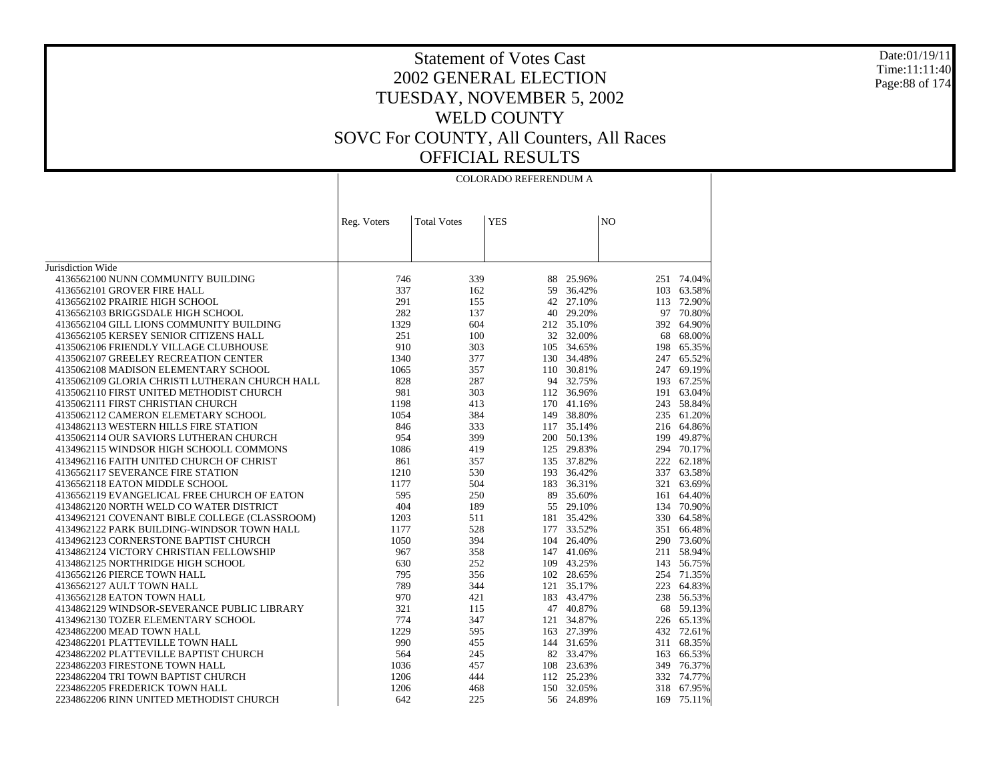#### Date:01/19/11 Time:11:11:40 Page:88 of 174

|                                                |             |                    | COLORADO REFERENDUM A |            |                |            |
|------------------------------------------------|-------------|--------------------|-----------------------|------------|----------------|------------|
|                                                |             |                    |                       |            |                |            |
|                                                | Reg. Voters | <b>Total Votes</b> | <b>YES</b>            |            | N <sub>O</sub> |            |
|                                                |             |                    |                       |            |                |            |
|                                                |             |                    |                       |            |                |            |
|                                                |             |                    |                       |            |                |            |
| Jurisdiction Wide                              |             |                    |                       |            |                |            |
| 4136562100 NUNN COMMUNITY BUILDING             | 746         | 339                | 88                    | 25.96%     |                | 251 74.04% |
| 4136562101 GROVER FIRE HALL                    | 337         | 162                | 59                    | 36.42%     |                | 103 63.58% |
| 4136562102 PRAIRIE HIGH SCHOOL                 | 291         | 155                |                       | 42 27.10%  | 113            | 72.90%     |
| 4136562103 BRIGGSDALE HIGH SCHOOL              | 282         | 137                |                       | 40 29.20%  | 97             | 70.80%     |
| 4136562104 GILL LIONS COMMUNITY BUILDING       | 1329        | 604                |                       | 212 35.10% |                | 392 64.90% |
| 4136562105 KERSEY SENIOR CITIZENS HALL         | 251         | 100                |                       | 32 32.00%  | 68             | 68.00%     |
| 4135062106 FRIENDLY VILLAGE CLUBHOUSE          | 910         | 303                |                       | 105 34.65% | 198            | 65.35%     |
| 4135062107 GREELEY RECREATION CENTER           | 1340        | 377                |                       | 130 34.48% | 247            | 65.52%     |
| 4135062108 MADISON ELEMENTARY SCHOOL           | 1065        | 357                |                       | 110 30.81% | 247            | 69.19%     |
| 4135062109 GLORIA CHRISTI LUTHERAN CHURCH HALL | 828         | 287                |                       | 94 32.75%  |                | 193 67.25% |
| 4135062110 FIRST UNITED METHODIST CHURCH       | 981         | 303                |                       | 112 36.96% |                | 191 63.04% |
| 4135062111 FIRST CHRISTIAN CHURCH              | 1198        | 413                |                       | 170 41.16% | 243            | 58.84%     |
| 4135062112 CAMERON ELEMETARY SCHOOL            | 1054        | 384                |                       | 149 38.80% | 235            | 61.20%     |
| 4134862113 WESTERN HILLS FIRE STATION          | 846         | 333                |                       | 117 35.14% |                | 216 64.86% |
| 4135062114 OUR SAVIORS LUTHERAN CHURCH         | 954         | 399                |                       | 200 50.13% |                | 199 49.87% |
| 4134962115 WINDSOR HIGH SCHOOLL COMMONS        | 1086        | 419                |                       | 125 29.83% |                | 294 70.17% |
| 4134962116 FAITH UNITED CHURCH OF CHRIST       | 861         | 357                |                       | 135 37.82% | 222            | 62.18%     |
| 4136562117 SEVERANCE FIRE STATION              | 1210        | 530                |                       | 193 36.42% | 337            | 63.58%     |
| 4136562118 EATON MIDDLE SCHOOL                 | 1177        | 504                |                       | 183 36.31% | 321            | 63.69%     |
| 4136562119 EVANGELICAL FREE CHURCH OF EATON    | 595         | 250                |                       | 89 35.60%  | 161            | 64.40%     |
| 4134862120 NORTH WELD CO WATER DISTRICT        | 404         | 189                |                       | 55 29.10%  | 134            | 70.90%     |
| 4134962121 COVENANT BIBLE COLLEGE (CLASSROOM)  | 1203        | 511                |                       | 181 35.42% |                | 330 64.58% |
| 4134962122 PARK BUILDING-WINDSOR TOWN HALL     | 1177        | 528                |                       | 177 33.52% |                | 351 66.48% |
| 4134962123 CORNERSTONE BAPTIST CHURCH          | 1050        | 394                |                       | 104 26.40% |                | 290 73.60% |
| 4134862124 VICTORY CHRISTIAN FELLOWSHIP        | 967         | 358                |                       | 147 41.06% | 211            | 58.94%     |
| 4134862125 NORTHRIDGE HIGH SCHOOL              | 630         | 252                |                       | 109 43.25% | 143            | 56.75%     |
| 4136562126 PIERCE TOWN HALL                    | 795         | 356                |                       | 102 28.65% |                | 254 71.35% |
| 4136562127 AULT TOWN HALL                      | 789         | 344                |                       | 121 35.17% | 223            | 64.83%     |
| 4136562128 EATON TOWN HALL                     | 970         | 421                |                       | 183 43.47% |                | 238 56.53% |
| 4134862129 WINDSOR-SEVERANCE PUBLIC LIBRARY    | 321         | 115                |                       | 47 40.87%  |                | 68 59.13%  |
| 4134962130 TOZER ELEMENTARY SCHOOL             | 774         | 347                |                       | 121 34.87% |                | 226 65.13% |
| 4234862200 MEAD TOWN HALL                      | 1229        | 595                |                       | 163 27.39% |                | 432 72.61% |
| 4234862201 PLATTEVILLE TOWN HALL               | 990         | 455                |                       | 144 31.65% | 311            | 68.35%     |
| 4234862202 PLATTEVILLE BAPTIST CHURCH          | 564         | 245                |                       | 82 33.47%  | 163            | 66.53%     |
| 2234862203 FIRESTONE TOWN HALL                 | 1036        | 457                |                       | 108 23.63% |                | 349 76.37% |
| 2234862204 TRI TOWN BAPTIST CHURCH             | 1206        | 444                |                       | 112 25.23% |                | 332 74.77% |
| 2234862205 FREDERICK TOWN HALL                 | 1206        | 468                |                       | 150 32.05% |                | 318 67.95% |
| 2234862206 RINN UNITED METHODIST CHURCH        | 642         | 225                |                       | 56 24.89%  | 169            | 75.11%     |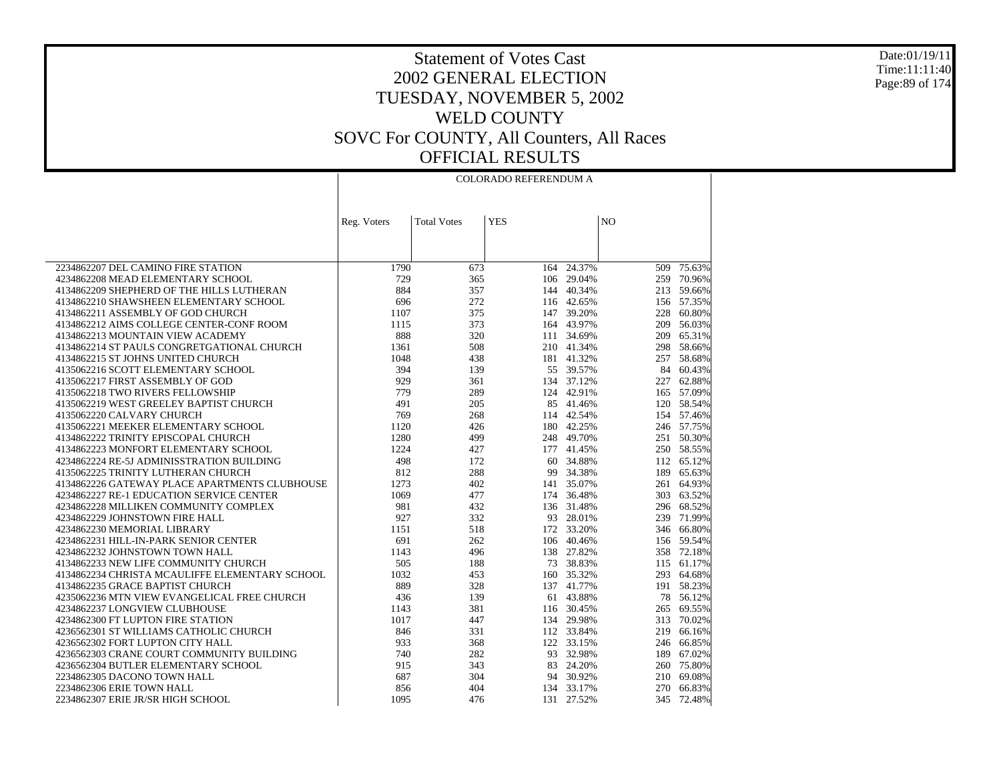Date:01/19/11 Time:11:11:40 Page:89 of 174

|                                                | COLORADO REFERENDUM A |                    |            |            |                |            |
|------------------------------------------------|-----------------------|--------------------|------------|------------|----------------|------------|
|                                                | Reg. Voters           | <b>Total Votes</b> | <b>YES</b> |            | N <sub>O</sub> |            |
|                                                |                       |                    |            |            |                |            |
|                                                |                       |                    |            |            |                |            |
| 2234862207 DEL CAMINO FIRE STATION             | 1790                  | 673                | 164        | 24.37%     | 509            | 75.63%     |
| 4234862208 MEAD ELEMENTARY SCHOOL              | 729                   | 365                |            | 106 29.04% | 259            | 70.96%     |
| 4134862209 SHEPHERD OF THE HILLS LUTHERAN      | 884                   | 357                | 144        | 40.34%     |                | 213 59.66% |
| 4134862210 SHAWSHEEN ELEMENTARY SCHOOL         | 696                   | 272                |            | 116 42.65% |                | 156 57.35% |
| 4134862211 ASSEMBLY OF GOD CHURCH              | 1107                  | 375                | 147        | 39.20%     |                | 228 60.80% |
| 4134862212 AIMS COLLEGE CENTER-CONF ROOM       | 1115                  | 373                | 164        | 43.97%     | 209            | 56.03%     |
| 4134862213 MOUNTAIN VIEW ACADEMY               | 888                   | 320                | 111        | 34.69%     | 209            | 65.31%     |
| 4134862214 ST PAULS CONGRETGATIONAL CHURCH     | 1361                  | 508                | 210        | 41.34%     | 298            | 58.66%     |
| 4134862215 ST JOHNS UNITED CHURCH              | 1048                  | 438                | 181        | 41.32%     | 257            | 58.68%     |
| 4135062216 SCOTT ELEMENTARY SCHOOL             | 394                   | 139                | 55         | 39.57%     |                | 84 60.43%  |
| 4135062217 FIRST ASSEMBLY OF GOD               | 929                   | 361                | 134        | 37.12%     |                | 227 62.88% |
| 4135062218 TWO RIVERS FELLOWSHIP               | 779                   | 289                |            | 124 42.91% |                | 165 57.09% |
| 4135062219 WEST GREELEY BAPTIST CHURCH         | 491                   | 205                | 85         | 41.46%     |                | 120 58.54% |
| 4135062220 CALVARY CHURCH                      | 769                   | 268                | 114        | 42.54%     |                | 154 57.46% |
| 4135062221 MEEKER ELEMENTARY SCHOOL            | 1120                  | 426                |            | 180 42.25% |                | 246 57.75% |
| 4134862222 TRINITY EPISCOPAL CHURCH            | 1280                  | 499                | 248        | 49.70%     |                | 251 50.30% |
| 4134862223 MONFORT ELEMENTARY SCHOOL           | 1224                  | 427                | 177        | 41.45%     |                | 250 58.55% |
| 4234862224 RE-5J ADMINISSTRATION BUILDING      | 498                   | 172                | 60         | 34.88%     |                | 112 65.12% |
| 4135062225 TRINITY LUTHERAN CHURCH             | 812                   | 288                | 99         | 34.38%     | 189            | 65.63%     |
| 4134862226 GATEWAY PLACE APARTMENTS CLUBHOUSE  | 1273                  | 402                | 141        | 35.07%     |                | 261 64.93% |
| 4234862227 RE-1 EDUCATION SERVICE CENTER       | 1069                  | 477                | 174        | 36.48%     |                | 303 63.52% |
| 4234862228 MILLIKEN COMMUNITY COMPLEX          | 981                   | 432                |            | 136 31.48% |                | 296 68.52% |
| 4234862229 JOHNSTOWN FIRE HALL                 | 927                   | 332                | 93         | 28.01%     | 239            | 71.99%     |
| 4234862230 MEMORIAL LIBRARY                    | 1151                  | 518                | 172        | 33.20%     |                | 346 66.80% |
| 4234862231 HILL-IN-PARK SENIOR CENTER          | 691                   | 262                | 106        | 40.46%     |                | 156 59.54% |
| 4234862232 JOHNSTOWN TOWN HALL                 | 1143                  | 496                | 138        | 27.82%     | 358            | 72.18%     |
| 4134862233 NEW LIFE COMMUNITY CHURCH           | 505                   | 188                |            | 73 38.83%  |                | 115 61.17% |
| 4134862234 CHRISTA MCAULIFFE ELEMENTARY SCHOOL | 1032                  | 453                |            | 160 35.32% |                | 293 64.68% |
| 4134862235 GRACE BAPTIST CHURCH                | 889                   | 328                |            | 137 41.77% |                | 191 58.23% |
| 4235062236 MTN VIEW EVANGELICAL FREE CHURCH    | 436                   | 139                | 61         | 43.88%     |                | 78 56.12%  |
| 4234862237 LONGVIEW CLUBHOUSE                  | 1143                  | 381                | 116        | 30.45%     |                | 265 69.55% |
| 4234862300 FT LUPTON FIRE STATION              | 1017                  | 447                |            | 134 29.98% |                | 313 70.02% |
| 4236562301 ST WILLIAMS CATHOLIC CHURCH         | 846                   | 331                |            | 112 33.84% | 219            | 66.16%     |
| 4236562302 FORT LUPTON CITY HALL               | 933                   | 368                | 122        | 33.15%     | 246            | 66.85%     |
| 4236562303 CRANE COURT COMMUNITY BUILDING      | 740                   | 282                | 93         | 32.98%     |                | 189 67.02% |
| 4236562304 BUTLER ELEMENTARY SCHOOL            | 915                   | 343                | 83         | 24.20%     |                | 260 75.80% |
| 2234862305 DACONO TOWN HALL                    | 687                   | 304                | 94         | 30.92%     |                | 210 69.08% |
| 2234862306 ERIE TOWN HALL                      | 856                   | 404                |            | 134 33.17% | 270            | 66.83%     |
| 2234862307 ERIE JR/SR HIGH SCHOOL              | 1095                  | 476                |            | 131 27.52% |                | 345 72.48% |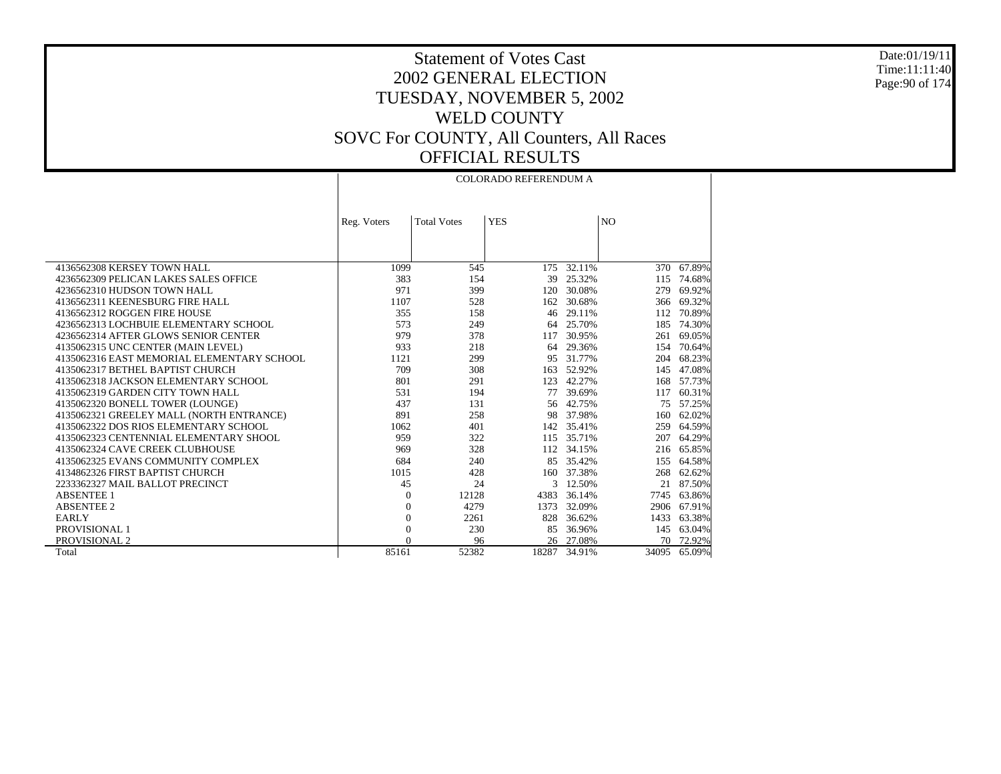Date:01/19/11 Time:11:11:40 Page:90 of 174

Τ

# Statement of Votes Cast 2002 GENERAL ELECTION TUESDAY, NOVEMBER 5, 2002 WELD COUNTY SOVC For COUNTY, All Counters, All Races OFFICIAL RESULTS

|                                            | <b>COLORADO REFERENDUM A</b> |                    |            |              |                |        |
|--------------------------------------------|------------------------------|--------------------|------------|--------------|----------------|--------|
|                                            |                              |                    |            |              |                |        |
|                                            |                              |                    |            |              |                |        |
|                                            | Reg. Voters                  | <b>Total Votes</b> | <b>YES</b> |              | N <sub>O</sub> |        |
|                                            |                              |                    |            |              |                |        |
|                                            |                              |                    |            |              |                |        |
|                                            |                              |                    |            |              |                |        |
| 4136562308 KERSEY TOWN HALL                | 1099                         | 545                | 175        | 32.11%       | 370            | 67.89% |
| 4236562309 PELICAN LAKES SALES OFFICE      | 383                          | 154                | 39         | 25.32%       | 115            | 74.68% |
| 4236562310 HUDSON TOWN HALL                | 971                          | 399                | 120        | 30.08%       | 279            | 69.92% |
| 4136562311 KEENESBURG FIRE HALL            | 1107                         | 528                | 162        | 30.68%       | 366            | 69.32% |
| 4136562312 ROGGEN FIRE HOUSE               | 355                          | 158                | 46         | 29.11%       | 112            | 70.89% |
| 4236562313 LOCHBUIE ELEMENTARY SCHOOL      | 573                          | 249                | 64         | 25.70%       | 185            | 74.30% |
| 4236562314 AFTER GLOWS SENIOR CENTER       | 979                          | 378                | 117        | 30.95%       | 261            | 69.05% |
| 4135062315 UNC CENTER (MAIN LEVEL)         | 933                          | 218                | 64         | 29.36%       | 154            | 70.64% |
| 4135062316 EAST MEMORIAL ELEMENTARY SCHOOL | 1121                         | 299                | 95         | 31.77%       | 204            | 68.23% |
| 4135062317 BETHEL BAPTIST CHURCH           | 709                          | 308                | 163        | 52.92%       | 145            | 47.08% |
| 4135062318 JACKSON ELEMENTARY SCHOOL       | 801                          | 291                | 123        | 42.27%       | 168            | 57.73% |
| 4135062319 GARDEN CITY TOWN HALL           | 531                          | 194                | 77         | 39.69%       | 117            | 60.31% |
| 4135062320 BONELL TOWER (LOUNGE)           | 437                          | 131                | 56         | 42.75%       | 75             | 57.25% |
| 4135062321 GREELEY MALL (NORTH ENTRANCE)   | 891                          | 258                | 98         | 37.98%       | 160            | 62.02% |
| 4135062322 DOS RIOS ELEMENTARY SCHOOL      | 1062                         | 401                |            | 142 35.41%   | 259            | 64.59% |
| 4135062323 CENTENNIAL ELEMENTARY SHOOL     | 959                          | 322                | 115        | 35.71%       | 207            | 64.29% |
| 4135062324 CAVE CREEK CLUBHOUSE            | 969                          | 328                |            | 112 34.15%   | 216            | 65.85% |
| 4135062325 EVANS COMMUNITY COMPLEX         | 684                          | 240                | 85         | 35.42%       | 155            | 64.58% |
| 4134862326 FIRST BAPTIST CHURCH            | 1015                         | 428                | 160        | 37.38%       | 268            | 62.62% |
| 2233362327 MAIL BALLOT PRECINCT            | 45                           | 24                 | 3          | 12.50%       | 21             | 87.50% |
| <b>ABSENTEE 1</b>                          | $\overline{0}$               | 12128              | 4383       | 36.14%       | 7745           | 63.86% |
| <b>ABSENTEE 2</b>                          | $\overline{0}$               | 4279               | 1373       | 32.09%       | 2906           | 67.91% |
| <b>EARLY</b>                               | $\mathbf{0}$                 | 2261               | 828        | 36.62%       | 1433           | 63.38% |
| PROVISIONAL 1                              | $\overline{0}$               | 230                | 85         | 36.96%       | 145            | 63.04% |
| PROVISIONAL 2                              | $\Omega$                     | 96                 |            | 26 27.08%    | 70             | 72.92% |
| Total                                      | 85161                        | 52382              |            | 18287 34.91% | 34095          | 65.09% |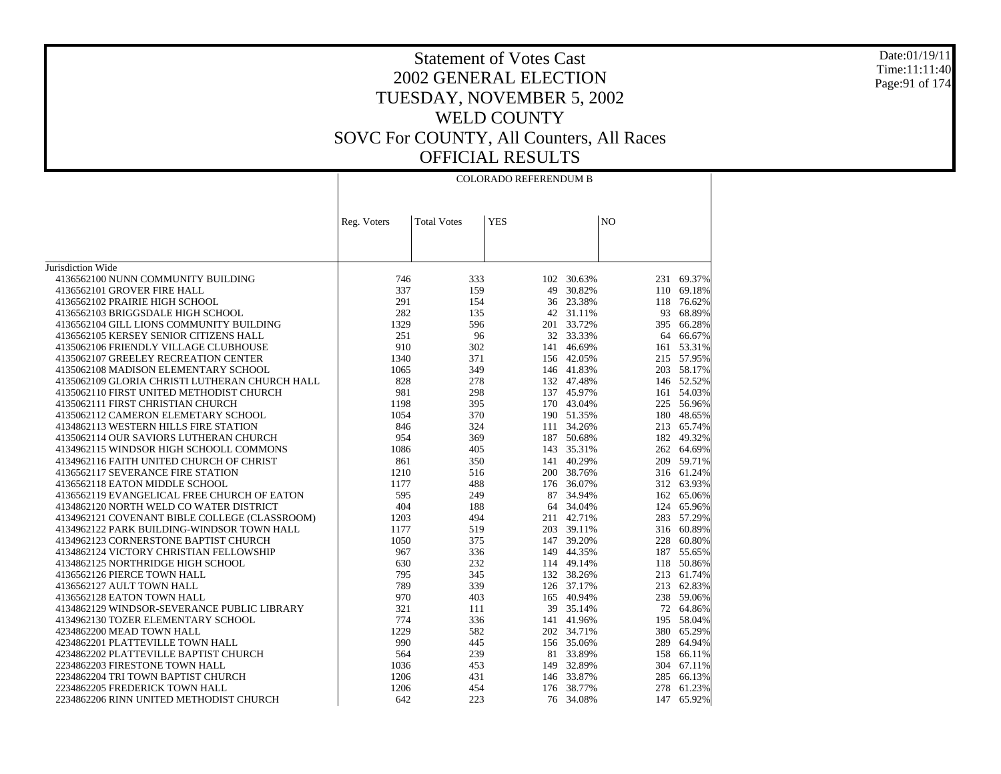#### Date:01/19/11 Time:11:11:40 Page:91 of 174

| N <sub>O</sub><br><b>Total Votes</b><br><b>YES</b><br>Reg. Voters<br>Jurisdiction Wide<br>4136562100 NUNN COMMUNITY BUILDING<br>746<br>333<br>102<br>30.63%<br>231<br>69.37%<br>4136562101 GROVER FIRE HALL<br>337<br>159<br>30.82%<br>49<br>110 69.18%<br>291<br>4136562102 PRAIRIE HIGH SCHOOL<br>154<br>36 23.38%<br>118<br>76.62%<br>282<br>135<br>42 31.11%<br>93<br>68.89%<br>4136562103 BRIGGSDALE HIGH SCHOOL<br>1329<br>596<br>201 33.72%<br>395 66.28%<br>4136562104 GILL LIONS COMMUNITY BUILDING<br>251<br>32 33.33%<br>4136562105 KERSEY SENIOR CITIZENS HALL<br>96<br>64<br>66.67%<br>4135062106 FRIENDLY VILLAGE CLUBHOUSE<br>910<br>302<br>141 46.69%<br>161 53.31%<br>1340<br>371<br>215 57.95%<br>4135062107 GREELEY RECREATION CENTER<br>156 42.05%<br>4135062108 MADISON ELEMENTARY SCHOOL<br>1065<br>349<br>146 41.83%<br>203 58.17%<br>828<br>4135062109 GLORIA CHRISTI LUTHERAN CHURCH HALL<br>278<br>132 47.48%<br>146 52.52%<br>981<br>137 45.97%<br>161 54.03%<br>4135062110 FIRST UNITED METHODIST CHURCH<br>298<br>4135062111 FIRST CHRISTIAN CHURCH<br>1198<br>395<br>170 43.04%<br>225 56.96%<br>1054<br>370<br>180<br>48.65%<br>4135062112 CAMERON ELEMETARY SCHOOL<br>190 51.35%<br>4134862113 WESTERN HILLS FIRE STATION<br>846<br>324<br>111 34.26%<br>213<br>65.74%<br>954<br>49.32%<br>4135062114 OUR SAVIORS LUTHERAN CHURCH<br>369<br>187 50.68%<br>182<br>4134962115 WINDSOR HIGH SCHOOLL COMMONS<br>1086<br>143 35.31%<br>262 64.69%<br>405<br>141 40.29%<br>4134962116 FAITH UNITED CHURCH OF CHRIST<br>861<br>350<br>209 59.71%<br>4136562117 SEVERANCE FIRE STATION<br>1210<br>516<br>200 38.76%<br>316 61.24%<br>312 63.93%<br>4136562118 EATON MIDDLE SCHOOL<br>1177<br>488<br>176 36.07%<br>595<br>4136562119 EVANGELICAL FREE CHURCH OF EATON<br>87 34.94%<br>162<br>65.06%<br>249 |
|-----------------------------------------------------------------------------------------------------------------------------------------------------------------------------------------------------------------------------------------------------------------------------------------------------------------------------------------------------------------------------------------------------------------------------------------------------------------------------------------------------------------------------------------------------------------------------------------------------------------------------------------------------------------------------------------------------------------------------------------------------------------------------------------------------------------------------------------------------------------------------------------------------------------------------------------------------------------------------------------------------------------------------------------------------------------------------------------------------------------------------------------------------------------------------------------------------------------------------------------------------------------------------------------------------------------------------------------------------------------------------------------------------------------------------------------------------------------------------------------------------------------------------------------------------------------------------------------------------------------------------------------------------------------------------------------------------------------------------------------------------------------------------------------------------------------------------------|
|                                                                                                                                                                                                                                                                                                                                                                                                                                                                                                                                                                                                                                                                                                                                                                                                                                                                                                                                                                                                                                                                                                                                                                                                                                                                                                                                                                                                                                                                                                                                                                                                                                                                                                                                                                                                                                   |
|                                                                                                                                                                                                                                                                                                                                                                                                                                                                                                                                                                                                                                                                                                                                                                                                                                                                                                                                                                                                                                                                                                                                                                                                                                                                                                                                                                                                                                                                                                                                                                                                                                                                                                                                                                                                                                   |
|                                                                                                                                                                                                                                                                                                                                                                                                                                                                                                                                                                                                                                                                                                                                                                                                                                                                                                                                                                                                                                                                                                                                                                                                                                                                                                                                                                                                                                                                                                                                                                                                                                                                                                                                                                                                                                   |
|                                                                                                                                                                                                                                                                                                                                                                                                                                                                                                                                                                                                                                                                                                                                                                                                                                                                                                                                                                                                                                                                                                                                                                                                                                                                                                                                                                                                                                                                                                                                                                                                                                                                                                                                                                                                                                   |
|                                                                                                                                                                                                                                                                                                                                                                                                                                                                                                                                                                                                                                                                                                                                                                                                                                                                                                                                                                                                                                                                                                                                                                                                                                                                                                                                                                                                                                                                                                                                                                                                                                                                                                                                                                                                                                   |
|                                                                                                                                                                                                                                                                                                                                                                                                                                                                                                                                                                                                                                                                                                                                                                                                                                                                                                                                                                                                                                                                                                                                                                                                                                                                                                                                                                                                                                                                                                                                                                                                                                                                                                                                                                                                                                   |
|                                                                                                                                                                                                                                                                                                                                                                                                                                                                                                                                                                                                                                                                                                                                                                                                                                                                                                                                                                                                                                                                                                                                                                                                                                                                                                                                                                                                                                                                                                                                                                                                                                                                                                                                                                                                                                   |
|                                                                                                                                                                                                                                                                                                                                                                                                                                                                                                                                                                                                                                                                                                                                                                                                                                                                                                                                                                                                                                                                                                                                                                                                                                                                                                                                                                                                                                                                                                                                                                                                                                                                                                                                                                                                                                   |
|                                                                                                                                                                                                                                                                                                                                                                                                                                                                                                                                                                                                                                                                                                                                                                                                                                                                                                                                                                                                                                                                                                                                                                                                                                                                                                                                                                                                                                                                                                                                                                                                                                                                                                                                                                                                                                   |
|                                                                                                                                                                                                                                                                                                                                                                                                                                                                                                                                                                                                                                                                                                                                                                                                                                                                                                                                                                                                                                                                                                                                                                                                                                                                                                                                                                                                                                                                                                                                                                                                                                                                                                                                                                                                                                   |
|                                                                                                                                                                                                                                                                                                                                                                                                                                                                                                                                                                                                                                                                                                                                                                                                                                                                                                                                                                                                                                                                                                                                                                                                                                                                                                                                                                                                                                                                                                                                                                                                                                                                                                                                                                                                                                   |
|                                                                                                                                                                                                                                                                                                                                                                                                                                                                                                                                                                                                                                                                                                                                                                                                                                                                                                                                                                                                                                                                                                                                                                                                                                                                                                                                                                                                                                                                                                                                                                                                                                                                                                                                                                                                                                   |
|                                                                                                                                                                                                                                                                                                                                                                                                                                                                                                                                                                                                                                                                                                                                                                                                                                                                                                                                                                                                                                                                                                                                                                                                                                                                                                                                                                                                                                                                                                                                                                                                                                                                                                                                                                                                                                   |
|                                                                                                                                                                                                                                                                                                                                                                                                                                                                                                                                                                                                                                                                                                                                                                                                                                                                                                                                                                                                                                                                                                                                                                                                                                                                                                                                                                                                                                                                                                                                                                                                                                                                                                                                                                                                                                   |
|                                                                                                                                                                                                                                                                                                                                                                                                                                                                                                                                                                                                                                                                                                                                                                                                                                                                                                                                                                                                                                                                                                                                                                                                                                                                                                                                                                                                                                                                                                                                                                                                                                                                                                                                                                                                                                   |
|                                                                                                                                                                                                                                                                                                                                                                                                                                                                                                                                                                                                                                                                                                                                                                                                                                                                                                                                                                                                                                                                                                                                                                                                                                                                                                                                                                                                                                                                                                                                                                                                                                                                                                                                                                                                                                   |
|                                                                                                                                                                                                                                                                                                                                                                                                                                                                                                                                                                                                                                                                                                                                                                                                                                                                                                                                                                                                                                                                                                                                                                                                                                                                                                                                                                                                                                                                                                                                                                                                                                                                                                                                                                                                                                   |
|                                                                                                                                                                                                                                                                                                                                                                                                                                                                                                                                                                                                                                                                                                                                                                                                                                                                                                                                                                                                                                                                                                                                                                                                                                                                                                                                                                                                                                                                                                                                                                                                                                                                                                                                                                                                                                   |
|                                                                                                                                                                                                                                                                                                                                                                                                                                                                                                                                                                                                                                                                                                                                                                                                                                                                                                                                                                                                                                                                                                                                                                                                                                                                                                                                                                                                                                                                                                                                                                                                                                                                                                                                                                                                                                   |
|                                                                                                                                                                                                                                                                                                                                                                                                                                                                                                                                                                                                                                                                                                                                                                                                                                                                                                                                                                                                                                                                                                                                                                                                                                                                                                                                                                                                                                                                                                                                                                                                                                                                                                                                                                                                                                   |
|                                                                                                                                                                                                                                                                                                                                                                                                                                                                                                                                                                                                                                                                                                                                                                                                                                                                                                                                                                                                                                                                                                                                                                                                                                                                                                                                                                                                                                                                                                                                                                                                                                                                                                                                                                                                                                   |
|                                                                                                                                                                                                                                                                                                                                                                                                                                                                                                                                                                                                                                                                                                                                                                                                                                                                                                                                                                                                                                                                                                                                                                                                                                                                                                                                                                                                                                                                                                                                                                                                                                                                                                                                                                                                                                   |
|                                                                                                                                                                                                                                                                                                                                                                                                                                                                                                                                                                                                                                                                                                                                                                                                                                                                                                                                                                                                                                                                                                                                                                                                                                                                                                                                                                                                                                                                                                                                                                                                                                                                                                                                                                                                                                   |
|                                                                                                                                                                                                                                                                                                                                                                                                                                                                                                                                                                                                                                                                                                                                                                                                                                                                                                                                                                                                                                                                                                                                                                                                                                                                                                                                                                                                                                                                                                                                                                                                                                                                                                                                                                                                                                   |
|                                                                                                                                                                                                                                                                                                                                                                                                                                                                                                                                                                                                                                                                                                                                                                                                                                                                                                                                                                                                                                                                                                                                                                                                                                                                                                                                                                                                                                                                                                                                                                                                                                                                                                                                                                                                                                   |
| 404<br>4134862120 NORTH WELD CO WATER DISTRICT<br>188<br>64 34.04%<br>65.96%<br>124                                                                                                                                                                                                                                                                                                                                                                                                                                                                                                                                                                                                                                                                                                                                                                                                                                                                                                                                                                                                                                                                                                                                                                                                                                                                                                                                                                                                                                                                                                                                                                                                                                                                                                                                               |
| 4134962121 COVENANT BIBLE COLLEGE (CLASSROOM)<br>1203<br>283 57.29%<br>494<br>211 42.71%                                                                                                                                                                                                                                                                                                                                                                                                                                                                                                                                                                                                                                                                                                                                                                                                                                                                                                                                                                                                                                                                                                                                                                                                                                                                                                                                                                                                                                                                                                                                                                                                                                                                                                                                          |
| 4134962122 PARK BUILDING-WINDSOR TOWN HALL<br>1177<br>519<br>203 39.11%<br>316 60.89%                                                                                                                                                                                                                                                                                                                                                                                                                                                                                                                                                                                                                                                                                                                                                                                                                                                                                                                                                                                                                                                                                                                                                                                                                                                                                                                                                                                                                                                                                                                                                                                                                                                                                                                                             |
| 1050<br>147 39.20%<br>4134962123 CORNERSTONE BAPTIST CHURCH<br>375<br>228<br>60.80%                                                                                                                                                                                                                                                                                                                                                                                                                                                                                                                                                                                                                                                                                                                                                                                                                                                                                                                                                                                                                                                                                                                                                                                                                                                                                                                                                                                                                                                                                                                                                                                                                                                                                                                                               |
| 4134862124 VICTORY CHRISTIAN FELLOWSHIP<br>967<br>336<br>149 44.35%<br>187<br>55.65%                                                                                                                                                                                                                                                                                                                                                                                                                                                                                                                                                                                                                                                                                                                                                                                                                                                                                                                                                                                                                                                                                                                                                                                                                                                                                                                                                                                                                                                                                                                                                                                                                                                                                                                                              |
| 50.86%<br>4134862125 NORTHRIDGE HIGH SCHOOL<br>630<br>232<br>114 49.14%<br>118                                                                                                                                                                                                                                                                                                                                                                                                                                                                                                                                                                                                                                                                                                                                                                                                                                                                                                                                                                                                                                                                                                                                                                                                                                                                                                                                                                                                                                                                                                                                                                                                                                                                                                                                                    |
| 4136562126 PIERCE TOWN HALL<br>795<br>132 38.26%<br>213 61.74%<br>345                                                                                                                                                                                                                                                                                                                                                                                                                                                                                                                                                                                                                                                                                                                                                                                                                                                                                                                                                                                                                                                                                                                                                                                                                                                                                                                                                                                                                                                                                                                                                                                                                                                                                                                                                             |
| 789<br>339<br>213<br>62.83%<br>4136562127 AULT TOWN HALL<br>126 37.17%                                                                                                                                                                                                                                                                                                                                                                                                                                                                                                                                                                                                                                                                                                                                                                                                                                                                                                                                                                                                                                                                                                                                                                                                                                                                                                                                                                                                                                                                                                                                                                                                                                                                                                                                                            |
| 970<br>165 40.94%<br>238 59.06%<br>4136562128 EATON TOWN HALL<br>403                                                                                                                                                                                                                                                                                                                                                                                                                                                                                                                                                                                                                                                                                                                                                                                                                                                                                                                                                                                                                                                                                                                                                                                                                                                                                                                                                                                                                                                                                                                                                                                                                                                                                                                                                              |
| 321<br>4134862129 WINDSOR-SEVERANCE PUBLIC LIBRARY<br>111<br>39 35.14%<br>72 64.86%                                                                                                                                                                                                                                                                                                                                                                                                                                                                                                                                                                                                                                                                                                                                                                                                                                                                                                                                                                                                                                                                                                                                                                                                                                                                                                                                                                                                                                                                                                                                                                                                                                                                                                                                               |
| 774<br>336<br>141 41.96%<br>58.04%<br>4134962130 TOZER ELEMENTARY SCHOOL<br>195                                                                                                                                                                                                                                                                                                                                                                                                                                                                                                                                                                                                                                                                                                                                                                                                                                                                                                                                                                                                                                                                                                                                                                                                                                                                                                                                                                                                                                                                                                                                                                                                                                                                                                                                                   |
| 4234862200 MEAD TOWN HALL<br>1229<br>582<br>202 34.71%<br>380<br>65.29%                                                                                                                                                                                                                                                                                                                                                                                                                                                                                                                                                                                                                                                                                                                                                                                                                                                                                                                                                                                                                                                                                                                                                                                                                                                                                                                                                                                                                                                                                                                                                                                                                                                                                                                                                           |
| 990<br>156 35.06%<br>289<br>64.94%<br>4234862201 PLATTEVILLE TOWN HALL<br>445                                                                                                                                                                                                                                                                                                                                                                                                                                                                                                                                                                                                                                                                                                                                                                                                                                                                                                                                                                                                                                                                                                                                                                                                                                                                                                                                                                                                                                                                                                                                                                                                                                                                                                                                                     |
| 4234862202 PLATTEVILLE BAPTIST CHURCH<br>564<br>239<br>81 33.89%<br>66.11%<br>158                                                                                                                                                                                                                                                                                                                                                                                                                                                                                                                                                                                                                                                                                                                                                                                                                                                                                                                                                                                                                                                                                                                                                                                                                                                                                                                                                                                                                                                                                                                                                                                                                                                                                                                                                 |
| 2234862203 FIRESTONE TOWN HALL<br>1036<br>453<br>149 32.89%<br>304 67.11%                                                                                                                                                                                                                                                                                                                                                                                                                                                                                                                                                                                                                                                                                                                                                                                                                                                                                                                                                                                                                                                                                                                                                                                                                                                                                                                                                                                                                                                                                                                                                                                                                                                                                                                                                         |
| 2234862204 TRI TOWN BAPTIST CHURCH<br>146 33.87%<br>285<br>66.13%<br>1206<br>431                                                                                                                                                                                                                                                                                                                                                                                                                                                                                                                                                                                                                                                                                                                                                                                                                                                                                                                                                                                                                                                                                                                                                                                                                                                                                                                                                                                                                                                                                                                                                                                                                                                                                                                                                  |
| 2234862205 FREDERICK TOWN HALL<br>1206<br>454<br>176 38.77%<br>278 61.23%                                                                                                                                                                                                                                                                                                                                                                                                                                                                                                                                                                                                                                                                                                                                                                                                                                                                                                                                                                                                                                                                                                                                                                                                                                                                                                                                                                                                                                                                                                                                                                                                                                                                                                                                                         |
| 642<br>223<br>76 34.08%<br>147<br>65.92%<br>2234862206 RINN UNITED METHODIST CHURCH                                                                                                                                                                                                                                                                                                                                                                                                                                                                                                                                                                                                                                                                                                                                                                                                                                                                                                                                                                                                                                                                                                                                                                                                                                                                                                                                                                                                                                                                                                                                                                                                                                                                                                                                               |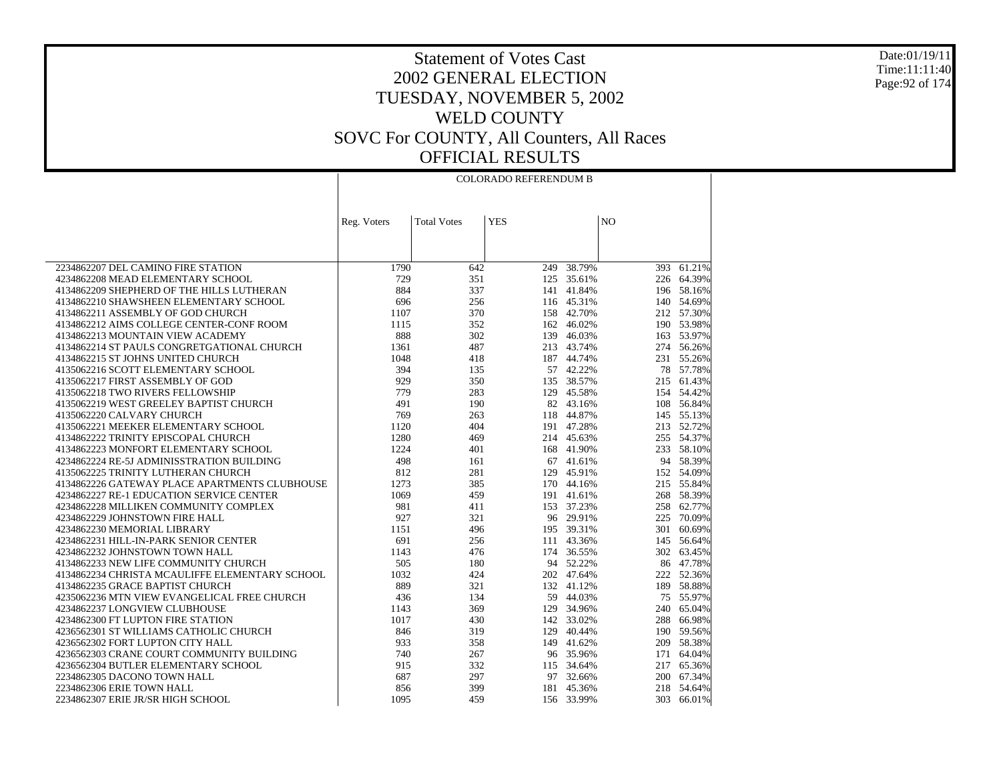Date:01/19/11 Time:11:11:40 Page:92 of 174

|                                                | <b>COLORADO REFERENDUM B</b> |                    |            |            |                |            |
|------------------------------------------------|------------------------------|--------------------|------------|------------|----------------|------------|
|                                                | Reg. Voters                  | <b>Total Votes</b> | <b>YES</b> |            | N <sub>O</sub> |            |
|                                                |                              |                    |            |            |                |            |
|                                                |                              |                    |            |            |                |            |
|                                                |                              |                    |            |            |                |            |
| 2234862207 DEL CAMINO FIRE STATION             | 1790                         | 642                | 249        | 38.79%     | 393            | 61.21%     |
| 4234862208 MEAD ELEMENTARY SCHOOL              | 729                          | 351                |            | 125 35.61% |                | 226 64.39% |
| 4134862209 SHEPHERD OF THE HILLS LUTHERAN      | 884                          | 337                | 141        | 41.84%     |                | 196 58.16% |
| 4134862210 SHAWSHEEN ELEMENTARY SCHOOL         | 696                          | 256                |            | 116 45.31% |                | 140 54.69% |
| 4134862211 ASSEMBLY OF GOD CHURCH              | 1107                         | 370                |            | 158 42.70% |                | 212 57.30% |
| 4134862212 AIMS COLLEGE CENTER-CONF ROOM       | 1115                         | 352                | 162        | 46.02%     |                | 190 53.98% |
| 4134862213 MOUNTAIN VIEW ACADEMY               | 888                          | 302                | 139        | 46.03%     |                | 163 53.97% |
| 4134862214 ST PAULS CONGRETGATIONAL CHURCH     | 1361                         | 487                | 213        | 43.74%     |                | 274 56.26% |
| 4134862215 ST JOHNS UNITED CHURCH              | 1048                         | 418                |            | 187 44.74% |                | 231 55.26% |
| 4135062216 SCOTT ELEMENTARY SCHOOL             | 394                          | 135                |            | 57 42.22%  |                | 78 57.78%  |
| 4135062217 FIRST ASSEMBLY OF GOD               | 929                          | 350                | 135        | 38.57%     |                | 215 61.43% |
| 4135062218 TWO RIVERS FELLOWSHIP               | 779                          | 283                |            | 129 45.58% |                | 154 54.42% |
| 4135062219 WEST GREELEY BAPTIST CHURCH         | 491                          | 190                |            | 82 43.16%  |                | 108 56.84% |
| 4135062220 CALVARY CHURCH                      | 769                          | 263                | 118        | 44.87%     |                | 145 55.13% |
| 4135062221 MEEKER ELEMENTARY SCHOOL            | 1120                         | 404                |            | 191 47.28% |                | 213 52.72% |
| 4134862222 TRINITY EPISCOPAL CHURCH            | 1280                         | 469                |            | 214 45.63% |                | 255 54.37% |
| 4134862223 MONFORT ELEMENTARY SCHOOL           | 1224                         | 401                |            | 168 41.90% |                | 233 58.10% |
| 4234862224 RE-5J ADMINISSTRATION BUILDING      | 498                          | 161                | 67         | 41.61%     |                | 94 58.39%  |
| 4135062225 TRINITY LUTHERAN CHURCH             | 812                          | 281                | 129        | 45.91%     |                | 152 54.09% |
| 4134862226 GATEWAY PLACE APARTMENTS CLUBHOUSE  | 1273                         | 385                |            | 170 44.16% |                | 215 55.84% |
| 4234862227 RE-1 EDUCATION SERVICE CENTER       | 1069                         | 459                | 191        | 41.61%     | 268            | 58.39%     |
| 4234862228 MILLIKEN COMMUNITY COMPLEX          | 981                          | 411                |            | 153 37.23% |                | 258 62.77% |
| 4234862229 JOHNSTOWN FIRE HALL                 | 927                          | 321                |            | 96 29.91%  | 225            | 70.09%     |
| 4234862230 MEMORIAL LIBRARY                    | 1151                         | 496                |            | 195 39.31% | 301            | 60.69%     |
| 4234862231 HILL-IN-PARK SENIOR CENTER          | 691                          | 256                | 111        | 43.36%     |                | 145 56.64% |
| 4234862232 JOHNSTOWN TOWN HALL                 | 1143                         | 476                | 174        | 36.55%     |                | 302 63.45% |
| 4134862233 NEW LIFE COMMUNITY CHURCH           | 505                          | 180                |            | 94 52.22%  |                | 86 47.78%  |
| 4134862234 CHRISTA MCAULIFFE ELEMENTARY SCHOOL | 1032                         | 424                |            | 202 47.64% |                | 222 52.36% |
| 4134862235 GRACE BAPTIST CHURCH                | 889                          | 321                | 132        | 41.12%     | 189            | 58.88%     |
| 4235062236 MTN VIEW EVANGELICAL FREE CHURCH    | 436                          | 134                |            | 59 44.03%  |                | 75 55.97%  |
| 4234862237 LONGVIEW CLUBHOUSE                  | 1143                         | 369                | 129        | 34.96%     |                | 240 65.04% |
| 4234862300 FT LUPTON FIRE STATION              | 1017                         | 430                |            | 142 33.02% | 288            | 66.98%     |
| 4236562301 ST WILLIAMS CATHOLIC CHURCH         | 846                          | 319                | 129        | 40.44%     |                | 190 59.56% |
| 4236562302 FORT LUPTON CITY HALL               | 933                          | 358                | 149        | 41.62%     | 209            | 58.38%     |
| 4236562303 CRANE COURT COMMUNITY BUILDING      | 740                          | 267                |            | 96 35.96%  |                | 171 64.04% |
| 4236562304 BUTLER ELEMENTARY SCHOOL            | 915                          | 332                | 115        | 34.64%     |                | 217 65.36% |
| 2234862305 DACONO TOWN HALL                    | 687                          | 297                |            | 97 32.66%  |                | 200 67.34% |
| 2234862306 ERIE TOWN HALL                      | 856                          | 399                | 181        | 45.36%     |                | 218 54.64% |
| 2234862307 ERIE JR/SR HIGH SCHOOL              | 1095                         | 459                |            | 156 33.99% | 303            | 66.01%     |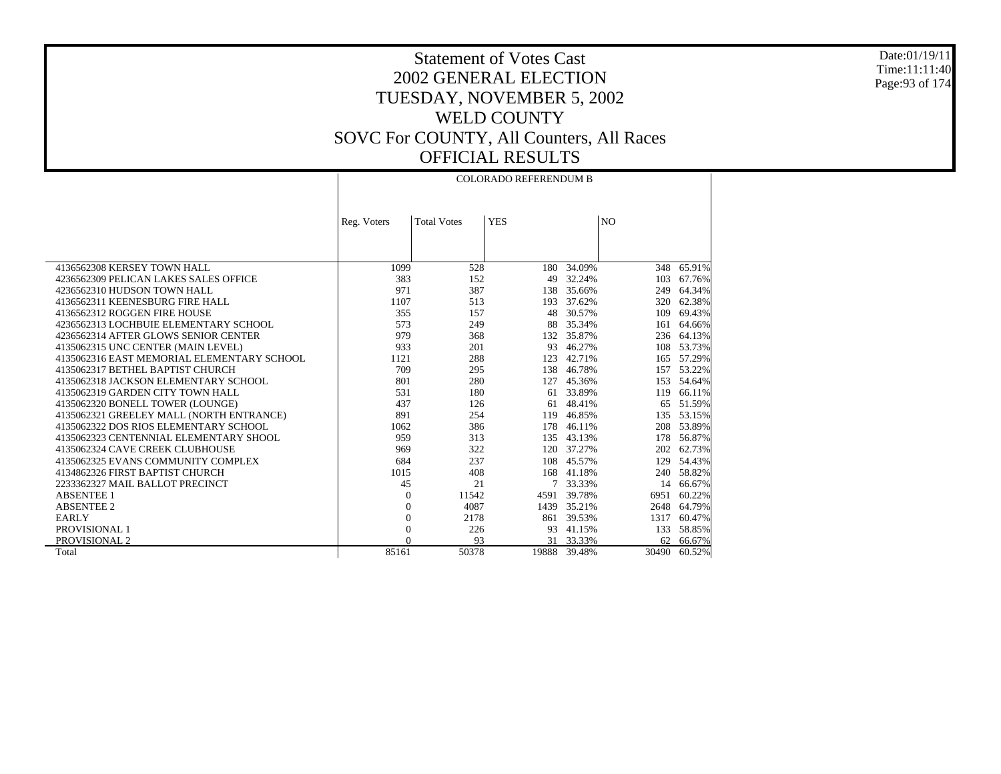Date:01/19/11 Time:11:11:40 Page:93 of 174

|                                            | <b>COLORADO REFERENDUM B</b> |                    |            |            |                |        |
|--------------------------------------------|------------------------------|--------------------|------------|------------|----------------|--------|
|                                            |                              |                    |            |            |                |        |
|                                            |                              |                    |            |            |                |        |
|                                            | Reg. Voters                  | <b>Total Votes</b> | <b>YES</b> |            | N <sub>O</sub> |        |
|                                            |                              |                    |            |            |                |        |
|                                            |                              |                    |            |            |                |        |
|                                            |                              |                    |            |            |                |        |
| 4136562308 KERSEY TOWN HALL                | 1099                         | 528                | 180        | 34.09%     | 348            | 65.91% |
| 4236562309 PELICAN LAKES SALES OFFICE      | 383                          | 152                | 49         | 32.24%     | 103            | 67.76% |
| 4236562310 HUDSON TOWN HALL                | 971                          | 387                |            | 138 35.66% | 249            | 64.34% |
| 4136562311 KEENESBURG FIRE HALL            | 1107                         | 513                | 193        | 37.62%     | 320            | 62.38% |
| 4136562312 ROGGEN FIRE HOUSE               | 355                          | 157                | 48         | 30.57%     | 109            | 69.43% |
| 4236562313 LOCHBUIE ELEMENTARY SCHOOL      | 573                          | 249                | 88         | 35.34%     | 161            | 64.66% |
| 4236562314 AFTER GLOWS SENIOR CENTER       | 979                          | 368                | 132        | 35.87%     | 236            | 64.13% |
| 4135062315 UNC CENTER (MAIN LEVEL)         | 933                          | 201                | 93         | 46.27%     | 108            | 53.73% |
| 4135062316 EAST MEMORIAL ELEMENTARY SCHOOL | 1121                         | 288                | 123        | 42.71%     | 165            | 57.29% |
| 4135062317 BETHEL BAPTIST CHURCH           | 709                          | 295                | 138        | 46.78%     | 157            | 53.22% |
| 4135062318 JACKSON ELEMENTARY SCHOOL       | 801                          | 280                | 127        | 45.36%     | 153            | 54.64% |
| 4135062319 GARDEN CITY TOWN HALL           | 531                          | 180                | 61         | 33.89%     | 119            | 66.11% |
| 4135062320 BONELL TOWER (LOUNGE)           | 437                          | 126                | 61         | 48.41%     | 65             | 51.59% |
| 4135062321 GREELEY MALL (NORTH ENTRANCE)   | 891                          | 254                | 119        | 46.85%     | 135            | 53.15% |
| 4135062322 DOS RIOS ELEMENTARY SCHOOL      | 1062                         | 386                | 178        | 46.11%     | 208            | 53.89% |
| 4135062323 CENTENNIAL ELEMENTARY SHOOL     | 959                          | 313                |            | 135 43.13% | 178            | 56.87% |
| 4135062324 CAVE CREEK CLUBHOUSE            | 969                          | 322                | 120        | 37.27%     | 202            | 62.73% |
| 4135062325 EVANS COMMUNITY COMPLEX         | 684                          | 237                | 108        | 45.57%     | 129            | 54.43% |
| 4134862326 FIRST BAPTIST CHURCH            | 1015                         | 408                | 168        | 41.18%     | 240            | 58.82% |
| 2233362327 MAIL BALLOT PRECINCT            | 45                           | 21                 | 7          | 33.33%     | 14             | 66.67% |
| <b>ABSENTEE 1</b>                          | $\theta$                     | 11542              | 4591       | 39.78%     | 6951           | 60.22% |
| <b>ABSENTEE 2</b>                          | $\theta$                     | 4087               | 1439       | 35.21%     | 2648           | 64.79% |
| <b>EARLY</b>                               | $\mathbf{0}$                 | 2178               | 861        | 39.53%     | 1317           | 60.47% |
| PROVISIONAL 1                              | $\mathbf{0}$                 | 226                | 93         | 41.15%     | 133            | 58.85% |
| PROVISIONAL 2                              | $\Omega$                     | 93                 | 31         | 33.33%     | 62             | 66.67% |
| Total                                      | 85161                        | 50378              | 19888      | 39.48%     | 30490          | 60.52% |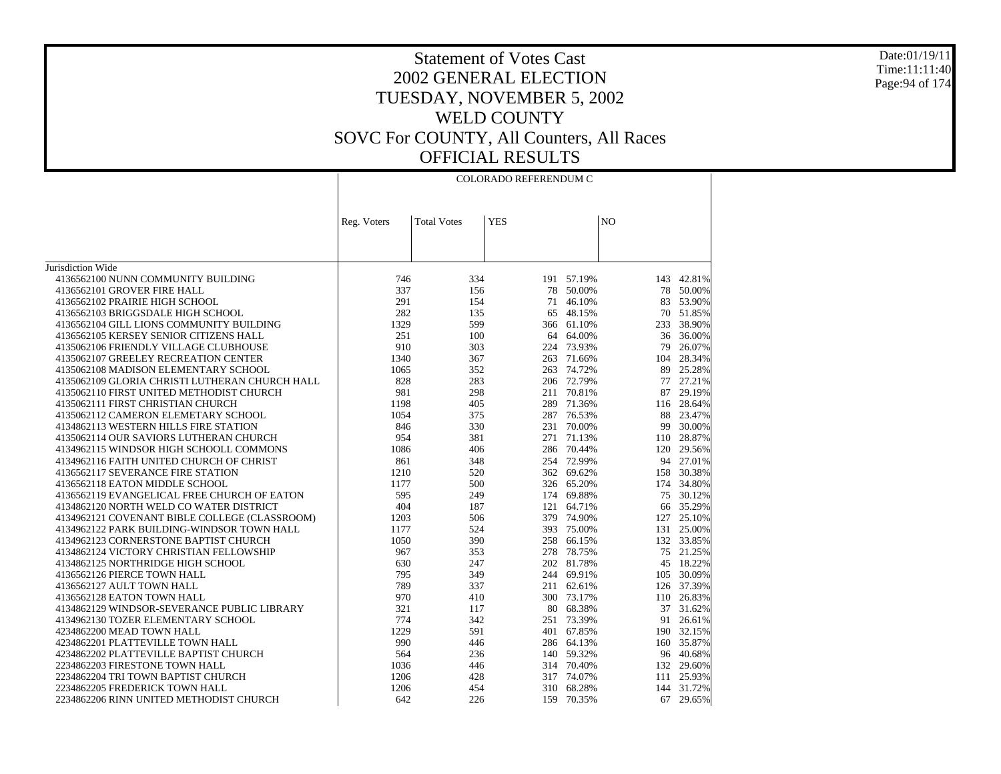#### Date:01/19/11 Time:11:11:40 Page:94 of 174

|                                                         | <b>COLORADO REFERENDUM C</b> |                    |            |                     |                |                     |
|---------------------------------------------------------|------------------------------|--------------------|------------|---------------------|----------------|---------------------|
|                                                         |                              |                    |            |                     |                |                     |
|                                                         |                              |                    |            |                     |                |                     |
|                                                         | Reg. Voters                  | <b>Total Votes</b> | <b>YES</b> |                     | N <sub>O</sub> |                     |
|                                                         |                              |                    |            |                     |                |                     |
|                                                         |                              |                    |            |                     |                |                     |
|                                                         |                              |                    |            |                     |                |                     |
| Jurisdiction Wide<br>4136562100 NUNN COMMUNITY BUILDING | 746                          | 334                |            | 191 57.19%          |                | 143 42.81%          |
| 4136562101 GROVER FIRE HALL                             | 337                          |                    |            |                     |                |                     |
| 4136562102 PRAIRIE HIGH SCHOOL                          | 291                          | 156<br>154         |            | 78 50.00%<br>46.10% | 83             | 78 50.00%<br>53.90% |
|                                                         |                              |                    | 71         |                     |                |                     |
| 4136562103 BRIGGSDALE HIGH SCHOOL                       | 282                          | 135                | 65         | 48.15%              |                | 70 51.85%           |
| 4136562104 GILL LIONS COMMUNITY BUILDING                | 1329                         | 599                |            | 366 61.10%          |                | 233 38.90%          |
| 4136562105 KERSEY SENIOR CITIZENS HALL                  | 251                          | 100                | 64         | 64.00%              | 36             | 36.00%              |
| 4135062106 FRIENDLY VILLAGE CLUBHOUSE                   | 910                          | 303                |            | 224 73.93%          | 79             | 26.07%              |
| 4135062107 GREELEY RECREATION CENTER                    | 1340                         | 367                | 263        | 71.66%              | 104            | 28.34%              |
| 4135062108 MADISON ELEMENTARY SCHOOL                    | 1065                         | 352                |            | 263 74.72%          | 89             | 25.28%              |
| 4135062109 GLORIA CHRISTI LUTHERAN CHURCH HALL          | 828                          | 283                |            | 206 72.79%          |                | 77 27.21%           |
| 4135062110 FIRST UNITED METHODIST CHURCH                | 981                          | 298                |            | 211 70.81%          | 87             | 29.19%              |
| 4135062111 FIRST CHRISTIAN CHURCH                       | 1198                         | 405                |            | 289 71.36%          | 116            | 28.64%              |
| 4135062112 CAMERON ELEMETARY SCHOOL                     | 1054                         | 375                |            | 287 76.53%          | 88             | 23.47%              |
| 4134862113 WESTERN HILLS FIRE STATION                   | 846                          | 330                |            | 231 70.00%          | 99             | 30.00%              |
| 4135062114 OUR SAVIORS LUTHERAN CHURCH                  | 954                          | 381                | 271        | 71.13%              |                | 110 28.87%          |
| 4134962115 WINDSOR HIGH SCHOOLL COMMONS                 | 1086                         | 406                |            | 286 70.44%          | 120            | 29.56%              |
| 4134962116 FAITH UNITED CHURCH OF CHRIST                | 861                          | 348                |            | 254 72.99%          |                | 94 27.01%           |
| 4136562117 SEVERANCE FIRE STATION                       | 1210                         | 520                |            | 362 69.62%          | 158            | 30.38%              |
| 4136562118 EATON MIDDLE SCHOOL                          | 1177                         | 500                |            | 326 65.20%          |                | 174 34.80%          |
| 4136562119 EVANGELICAL FREE CHURCH OF EATON             | 595                          | 249                |            | 174 69.88%          | 75             | 30.12%              |
| 4134862120 NORTH WELD CO WATER DISTRICT                 | 404                          | 187                |            | 121 64.71%          | 66             | 35.29%              |
| 4134962121 COVENANT BIBLE COLLEGE (CLASSROOM)           | 1203                         | 506                |            | 379 74.90%          | 127            | 25.10%              |
| 4134962122 PARK BUILDING-WINDSOR TOWN HALL              | 1177                         | 524                |            | 393 75.00%          | 131            | 25.00%              |
| 4134962123 CORNERSTONE BAPTIST CHURCH                   | 1050                         | 390                |            | 258 66.15%          |                | 132 33.85%          |
| 4134862124 VICTORY CHRISTIAN FELLOWSHIP                 | 967                          | 353                | 278        | 78.75%              | 75             | 21.25%              |
| 4134862125 NORTHRIDGE HIGH SCHOOL                       | 630                          | 247                |            | 202 81.78%          | 45             | 18.22%              |
| 4136562126 PIERCE TOWN HALL                             | 795                          | 349                |            | 244 69.91%          |                | 105 30.09%          |
| 4136562127 AULT TOWN HALL                               | 789                          | 337                |            | 211 62.61%          | 126            | 37.39%              |
| 4136562128 EATON TOWN HALL                              | 970                          | 410                |            | 300 73.17%          |                | 110 26.83%          |
| 4134862129 WINDSOR-SEVERANCE PUBLIC LIBRARY             | 321                          | 117                |            | 80 68.38%           | 37             | 31.62%              |
| 4134962130 TOZER ELEMENTARY SCHOOL                      | 774                          | 342                |            | 251 73.39%          | 91             | 26.61%              |
| 4234862200 MEAD TOWN HALL                               | 1229                         | 591                |            | 401 67.85%          |                | 190 32.15%          |
| 4234862201 PLATTEVILLE TOWN HALL                        | 990                          | 446                |            | 286 64.13%          | 160            | 35.87%              |
| 4234862202 PLATTEVILLE BAPTIST CHURCH                   | 564                          | 236                |            | 140 59.32%          |                | 96 40.68%           |
| 2234862203 FIRESTONE TOWN HALL                          | 1036                         | 446                |            | 314 70.40%          |                | 132 29.60%          |
| 2234862204 TRI TOWN BAPTIST CHURCH                      | 1206                         | 428                |            | 317 74.07%          | 111            | 25.93%              |
| 2234862205 FREDERICK TOWN HALL                          | 1206                         | 454                |            | 310 68.28%          |                | 144 31.72%          |
| 2234862206 RINN UNITED METHODIST CHURCH                 | 642                          | 226                | 159        | 70.35%              |                | 67 29.65%           |
|                                                         |                              |                    |            |                     |                |                     |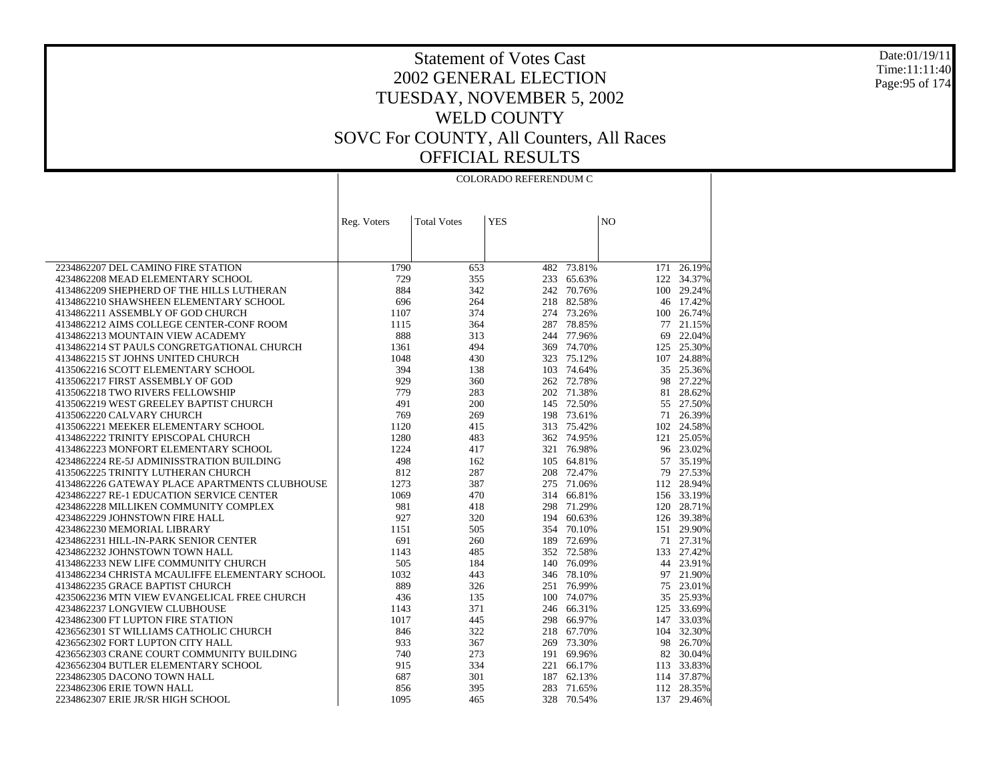Date:01/19/11 Time:11:11:40 Page:95 of 174

| N <sub>O</sub><br><b>Total Votes</b><br><b>YES</b><br>Reg. Voters<br>2234862207 DEL CAMINO FIRE STATION<br>1790<br>482<br>73.81%<br>171<br>26.19%<br>653<br>4234862208 MEAD ELEMENTARY SCHOOL<br>729<br>355<br>233<br>65.63%<br>122 34.37%<br>884<br>342<br>242<br>4134862209 SHEPHERD OF THE HILLS LUTHERAN<br>70.76%<br>100 29.24%<br>696<br>264<br>218<br>82.58%<br>46 17.42%<br>4134862210 SHAWSHEEN ELEMENTARY SCHOOL<br>4134862211 ASSEMBLY OF GOD CHURCH<br>374<br>274<br>73.26%<br>100 26.74%<br>1107<br>364<br>287<br>78.85%<br>21.15%<br>4134862212 AIMS COLLEGE CENTER-CONF ROOM<br>1115<br>77<br>888<br>4134862213 MOUNTAIN VIEW ACADEMY<br>313<br>244<br>77.96%<br>69<br>22.04%<br>125 25.30%<br>4134862214 ST PAULS CONGRETGATIONAL CHURCH<br>1361<br>494<br>369<br>74.70%<br>4134862215 ST JOHNS UNITED CHURCH<br>1048<br>430<br>323<br>75.12%<br>107<br>24.88%<br>394<br>74.64%<br>4135062216 SCOTT ELEMENTARY SCHOOL<br>138<br>103<br>35 25.36%<br>929<br>360<br>27.22%<br>4135062217 FIRST ASSEMBLY OF GOD<br>262<br>72.78%<br>98<br>4135062218 TWO RIVERS FELLOWSHIP<br>779<br>283<br>202 71.38%<br>28.62%<br>81<br>4135062219 WEST GREELEY BAPTIST CHURCH<br>491<br>200<br>145<br>72.50%<br>55<br>27.50%<br>769<br>198<br>73.61%<br>26.39%<br>4135062220 CALVARY CHURCH<br>269<br>71<br>313<br>75.42%<br>4135062221 MEEKER ELEMENTARY SCHOOL<br>1120<br>415<br>102 24.58%<br>1280<br>4134862222 TRINITY EPISCOPAL CHURCH<br>483<br>362<br>74.95%<br>121<br>25.05%<br>4134862223 MONFORT ELEMENTARY SCHOOL<br>1224<br>321 76.98%<br>96 23.02%<br>417<br>498<br>4234862224 RE-5J ADMINISSTRATION BUILDING<br>162<br>105<br>64.81%<br>57<br>35.19%<br>812<br>287<br>27.53%<br>4135062225 TRINITY LUTHERAN CHURCH<br>208<br>72.47%<br>79<br>1273<br>387<br>112 28.94%<br>4134862226 GATEWAY PLACE APARTMENTS CLUBHOUSE<br>275<br>71.06%<br>1069<br>156 33.19%<br>4234862227 RE-1 EDUCATION SERVICE CENTER<br>470<br>314<br>66.81%<br>981<br>418<br>298<br>120 28.71%<br>4234862228 MILLIKEN COMMUNITY COMPLEX<br>71.29%<br>4234862229 JOHNSTOWN FIRE HALL<br>927<br>320<br>194<br>60.63%<br>126 39.38%<br>151 29.90%<br>4234862230 MEMORIAL LIBRARY<br>1151<br>505<br>354<br>70.10%<br>691<br>4234862231 HILL-IN-PARK SENIOR CENTER<br>260<br>189 72.69%<br>71 27.31%<br>4234862232 JOHNSTOWN TOWN HALL<br>1143<br>485<br>352<br>72.58%<br>133<br>27.42%<br>505<br>76.09%<br>44 23.91%<br>4134862233 NEW LIFE COMMUNITY CHURCH<br>184<br>140<br>1032<br>443<br>78.10%<br>21.90%<br>4134862234 CHRISTA MCAULIFFE ELEMENTARY SCHOOL<br>346<br>97<br>889<br>23.01%<br>4134862235 GRACE BAPTIST CHURCH<br>326<br>251<br>76.99%<br>75<br>4235062236 MTN VIEW EVANGELICAL FREE CHURCH<br>436<br>135<br>100 74.07%<br>35 25.93%<br>125 33.69%<br>4234862237 LONGVIEW CLUBHOUSE<br>1143<br>371<br>246<br>66.31%<br>4234862300 FT LUPTON FIRE STATION<br>1017<br>66.97%<br>147 33.03%<br>445<br>298<br>846<br>322<br>218<br>104 32.30%<br>4236562301 ST WILLIAMS CATHOLIC CHURCH<br>67.70%<br>933<br>4236562302 FORT LUPTON CITY HALL<br>367<br>269<br>73.30%<br>98<br>26.70%<br>4236562303 CRANE COURT COMMUNITY BUILDING<br>740<br>273<br>191<br>69.96%<br>82<br>30.04%<br>4236562304 BUTLER ELEMENTARY SCHOOL<br>915<br>334<br>221<br>113 33.83%<br>66.17%<br>114 37.87%<br>2234862305 DACONO TOWN HALL<br>687<br>301<br>187<br>62.13%<br>283<br>112 28.35%<br>2234862306 ERIE TOWN HALL<br>856<br>395<br>71.65%<br>328<br>70.54%<br>137<br>29.46%<br>2234862307 ERIE JR/SR HIGH SCHOOL<br>1095<br>465 | COLORADO REFERENDUM C |  |  |  |  |  |
|------------------------------------------------------------------------------------------------------------------------------------------------------------------------------------------------------------------------------------------------------------------------------------------------------------------------------------------------------------------------------------------------------------------------------------------------------------------------------------------------------------------------------------------------------------------------------------------------------------------------------------------------------------------------------------------------------------------------------------------------------------------------------------------------------------------------------------------------------------------------------------------------------------------------------------------------------------------------------------------------------------------------------------------------------------------------------------------------------------------------------------------------------------------------------------------------------------------------------------------------------------------------------------------------------------------------------------------------------------------------------------------------------------------------------------------------------------------------------------------------------------------------------------------------------------------------------------------------------------------------------------------------------------------------------------------------------------------------------------------------------------------------------------------------------------------------------------------------------------------------------------------------------------------------------------------------------------------------------------------------------------------------------------------------------------------------------------------------------------------------------------------------------------------------------------------------------------------------------------------------------------------------------------------------------------------------------------------------------------------------------------------------------------------------------------------------------------------------------------------------------------------------------------------------------------------------------------------------------------------------------------------------------------------------------------------------------------------------------------------------------------------------------------------------------------------------------------------------------------------------------------------------------------------------------------------------------------------------------------------------------------------------------------------------------------------------------------------------------------------------------------------------------------------------------------------------------------------------------------------------------------------------------------------------------------------------------------------------------------------------------------------------------------------------------------------------------------------------------------------------------------------|-----------------------|--|--|--|--|--|
|                                                                                                                                                                                                                                                                                                                                                                                                                                                                                                                                                                                                                                                                                                                                                                                                                                                                                                                                                                                                                                                                                                                                                                                                                                                                                                                                                                                                                                                                                                                                                                                                                                                                                                                                                                                                                                                                                                                                                                                                                                                                                                                                                                                                                                                                                                                                                                                                                                                                                                                                                                                                                                                                                                                                                                                                                                                                                                                                                                                                                                                                                                                                                                                                                                                                                                                                                                                                                                                                                                                  |                       |  |  |  |  |  |
|                                                                                                                                                                                                                                                                                                                                                                                                                                                                                                                                                                                                                                                                                                                                                                                                                                                                                                                                                                                                                                                                                                                                                                                                                                                                                                                                                                                                                                                                                                                                                                                                                                                                                                                                                                                                                                                                                                                                                                                                                                                                                                                                                                                                                                                                                                                                                                                                                                                                                                                                                                                                                                                                                                                                                                                                                                                                                                                                                                                                                                                                                                                                                                                                                                                                                                                                                                                                                                                                                                                  |                       |  |  |  |  |  |
|                                                                                                                                                                                                                                                                                                                                                                                                                                                                                                                                                                                                                                                                                                                                                                                                                                                                                                                                                                                                                                                                                                                                                                                                                                                                                                                                                                                                                                                                                                                                                                                                                                                                                                                                                                                                                                                                                                                                                                                                                                                                                                                                                                                                                                                                                                                                                                                                                                                                                                                                                                                                                                                                                                                                                                                                                                                                                                                                                                                                                                                                                                                                                                                                                                                                                                                                                                                                                                                                                                                  |                       |  |  |  |  |  |
|                                                                                                                                                                                                                                                                                                                                                                                                                                                                                                                                                                                                                                                                                                                                                                                                                                                                                                                                                                                                                                                                                                                                                                                                                                                                                                                                                                                                                                                                                                                                                                                                                                                                                                                                                                                                                                                                                                                                                                                                                                                                                                                                                                                                                                                                                                                                                                                                                                                                                                                                                                                                                                                                                                                                                                                                                                                                                                                                                                                                                                                                                                                                                                                                                                                                                                                                                                                                                                                                                                                  |                       |  |  |  |  |  |
|                                                                                                                                                                                                                                                                                                                                                                                                                                                                                                                                                                                                                                                                                                                                                                                                                                                                                                                                                                                                                                                                                                                                                                                                                                                                                                                                                                                                                                                                                                                                                                                                                                                                                                                                                                                                                                                                                                                                                                                                                                                                                                                                                                                                                                                                                                                                                                                                                                                                                                                                                                                                                                                                                                                                                                                                                                                                                                                                                                                                                                                                                                                                                                                                                                                                                                                                                                                                                                                                                                                  |                       |  |  |  |  |  |
|                                                                                                                                                                                                                                                                                                                                                                                                                                                                                                                                                                                                                                                                                                                                                                                                                                                                                                                                                                                                                                                                                                                                                                                                                                                                                                                                                                                                                                                                                                                                                                                                                                                                                                                                                                                                                                                                                                                                                                                                                                                                                                                                                                                                                                                                                                                                                                                                                                                                                                                                                                                                                                                                                                                                                                                                                                                                                                                                                                                                                                                                                                                                                                                                                                                                                                                                                                                                                                                                                                                  |                       |  |  |  |  |  |
|                                                                                                                                                                                                                                                                                                                                                                                                                                                                                                                                                                                                                                                                                                                                                                                                                                                                                                                                                                                                                                                                                                                                                                                                                                                                                                                                                                                                                                                                                                                                                                                                                                                                                                                                                                                                                                                                                                                                                                                                                                                                                                                                                                                                                                                                                                                                                                                                                                                                                                                                                                                                                                                                                                                                                                                                                                                                                                                                                                                                                                                                                                                                                                                                                                                                                                                                                                                                                                                                                                                  |                       |  |  |  |  |  |
|                                                                                                                                                                                                                                                                                                                                                                                                                                                                                                                                                                                                                                                                                                                                                                                                                                                                                                                                                                                                                                                                                                                                                                                                                                                                                                                                                                                                                                                                                                                                                                                                                                                                                                                                                                                                                                                                                                                                                                                                                                                                                                                                                                                                                                                                                                                                                                                                                                                                                                                                                                                                                                                                                                                                                                                                                                                                                                                                                                                                                                                                                                                                                                                                                                                                                                                                                                                                                                                                                                                  |                       |  |  |  |  |  |
|                                                                                                                                                                                                                                                                                                                                                                                                                                                                                                                                                                                                                                                                                                                                                                                                                                                                                                                                                                                                                                                                                                                                                                                                                                                                                                                                                                                                                                                                                                                                                                                                                                                                                                                                                                                                                                                                                                                                                                                                                                                                                                                                                                                                                                                                                                                                                                                                                                                                                                                                                                                                                                                                                                                                                                                                                                                                                                                                                                                                                                                                                                                                                                                                                                                                                                                                                                                                                                                                                                                  |                       |  |  |  |  |  |
|                                                                                                                                                                                                                                                                                                                                                                                                                                                                                                                                                                                                                                                                                                                                                                                                                                                                                                                                                                                                                                                                                                                                                                                                                                                                                                                                                                                                                                                                                                                                                                                                                                                                                                                                                                                                                                                                                                                                                                                                                                                                                                                                                                                                                                                                                                                                                                                                                                                                                                                                                                                                                                                                                                                                                                                                                                                                                                                                                                                                                                                                                                                                                                                                                                                                                                                                                                                                                                                                                                                  |                       |  |  |  |  |  |
|                                                                                                                                                                                                                                                                                                                                                                                                                                                                                                                                                                                                                                                                                                                                                                                                                                                                                                                                                                                                                                                                                                                                                                                                                                                                                                                                                                                                                                                                                                                                                                                                                                                                                                                                                                                                                                                                                                                                                                                                                                                                                                                                                                                                                                                                                                                                                                                                                                                                                                                                                                                                                                                                                                                                                                                                                                                                                                                                                                                                                                                                                                                                                                                                                                                                                                                                                                                                                                                                                                                  |                       |  |  |  |  |  |
|                                                                                                                                                                                                                                                                                                                                                                                                                                                                                                                                                                                                                                                                                                                                                                                                                                                                                                                                                                                                                                                                                                                                                                                                                                                                                                                                                                                                                                                                                                                                                                                                                                                                                                                                                                                                                                                                                                                                                                                                                                                                                                                                                                                                                                                                                                                                                                                                                                                                                                                                                                                                                                                                                                                                                                                                                                                                                                                                                                                                                                                                                                                                                                                                                                                                                                                                                                                                                                                                                                                  |                       |  |  |  |  |  |
|                                                                                                                                                                                                                                                                                                                                                                                                                                                                                                                                                                                                                                                                                                                                                                                                                                                                                                                                                                                                                                                                                                                                                                                                                                                                                                                                                                                                                                                                                                                                                                                                                                                                                                                                                                                                                                                                                                                                                                                                                                                                                                                                                                                                                                                                                                                                                                                                                                                                                                                                                                                                                                                                                                                                                                                                                                                                                                                                                                                                                                                                                                                                                                                                                                                                                                                                                                                                                                                                                                                  |                       |  |  |  |  |  |
|                                                                                                                                                                                                                                                                                                                                                                                                                                                                                                                                                                                                                                                                                                                                                                                                                                                                                                                                                                                                                                                                                                                                                                                                                                                                                                                                                                                                                                                                                                                                                                                                                                                                                                                                                                                                                                                                                                                                                                                                                                                                                                                                                                                                                                                                                                                                                                                                                                                                                                                                                                                                                                                                                                                                                                                                                                                                                                                                                                                                                                                                                                                                                                                                                                                                                                                                                                                                                                                                                                                  |                       |  |  |  |  |  |
|                                                                                                                                                                                                                                                                                                                                                                                                                                                                                                                                                                                                                                                                                                                                                                                                                                                                                                                                                                                                                                                                                                                                                                                                                                                                                                                                                                                                                                                                                                                                                                                                                                                                                                                                                                                                                                                                                                                                                                                                                                                                                                                                                                                                                                                                                                                                                                                                                                                                                                                                                                                                                                                                                                                                                                                                                                                                                                                                                                                                                                                                                                                                                                                                                                                                                                                                                                                                                                                                                                                  |                       |  |  |  |  |  |
|                                                                                                                                                                                                                                                                                                                                                                                                                                                                                                                                                                                                                                                                                                                                                                                                                                                                                                                                                                                                                                                                                                                                                                                                                                                                                                                                                                                                                                                                                                                                                                                                                                                                                                                                                                                                                                                                                                                                                                                                                                                                                                                                                                                                                                                                                                                                                                                                                                                                                                                                                                                                                                                                                                                                                                                                                                                                                                                                                                                                                                                                                                                                                                                                                                                                                                                                                                                                                                                                                                                  |                       |  |  |  |  |  |
|                                                                                                                                                                                                                                                                                                                                                                                                                                                                                                                                                                                                                                                                                                                                                                                                                                                                                                                                                                                                                                                                                                                                                                                                                                                                                                                                                                                                                                                                                                                                                                                                                                                                                                                                                                                                                                                                                                                                                                                                                                                                                                                                                                                                                                                                                                                                                                                                                                                                                                                                                                                                                                                                                                                                                                                                                                                                                                                                                                                                                                                                                                                                                                                                                                                                                                                                                                                                                                                                                                                  |                       |  |  |  |  |  |
|                                                                                                                                                                                                                                                                                                                                                                                                                                                                                                                                                                                                                                                                                                                                                                                                                                                                                                                                                                                                                                                                                                                                                                                                                                                                                                                                                                                                                                                                                                                                                                                                                                                                                                                                                                                                                                                                                                                                                                                                                                                                                                                                                                                                                                                                                                                                                                                                                                                                                                                                                                                                                                                                                                                                                                                                                                                                                                                                                                                                                                                                                                                                                                                                                                                                                                                                                                                                                                                                                                                  |                       |  |  |  |  |  |
|                                                                                                                                                                                                                                                                                                                                                                                                                                                                                                                                                                                                                                                                                                                                                                                                                                                                                                                                                                                                                                                                                                                                                                                                                                                                                                                                                                                                                                                                                                                                                                                                                                                                                                                                                                                                                                                                                                                                                                                                                                                                                                                                                                                                                                                                                                                                                                                                                                                                                                                                                                                                                                                                                                                                                                                                                                                                                                                                                                                                                                                                                                                                                                                                                                                                                                                                                                                                                                                                                                                  |                       |  |  |  |  |  |
|                                                                                                                                                                                                                                                                                                                                                                                                                                                                                                                                                                                                                                                                                                                                                                                                                                                                                                                                                                                                                                                                                                                                                                                                                                                                                                                                                                                                                                                                                                                                                                                                                                                                                                                                                                                                                                                                                                                                                                                                                                                                                                                                                                                                                                                                                                                                                                                                                                                                                                                                                                                                                                                                                                                                                                                                                                                                                                                                                                                                                                                                                                                                                                                                                                                                                                                                                                                                                                                                                                                  |                       |  |  |  |  |  |
|                                                                                                                                                                                                                                                                                                                                                                                                                                                                                                                                                                                                                                                                                                                                                                                                                                                                                                                                                                                                                                                                                                                                                                                                                                                                                                                                                                                                                                                                                                                                                                                                                                                                                                                                                                                                                                                                                                                                                                                                                                                                                                                                                                                                                                                                                                                                                                                                                                                                                                                                                                                                                                                                                                                                                                                                                                                                                                                                                                                                                                                                                                                                                                                                                                                                                                                                                                                                                                                                                                                  |                       |  |  |  |  |  |
|                                                                                                                                                                                                                                                                                                                                                                                                                                                                                                                                                                                                                                                                                                                                                                                                                                                                                                                                                                                                                                                                                                                                                                                                                                                                                                                                                                                                                                                                                                                                                                                                                                                                                                                                                                                                                                                                                                                                                                                                                                                                                                                                                                                                                                                                                                                                                                                                                                                                                                                                                                                                                                                                                                                                                                                                                                                                                                                                                                                                                                                                                                                                                                                                                                                                                                                                                                                                                                                                                                                  |                       |  |  |  |  |  |
|                                                                                                                                                                                                                                                                                                                                                                                                                                                                                                                                                                                                                                                                                                                                                                                                                                                                                                                                                                                                                                                                                                                                                                                                                                                                                                                                                                                                                                                                                                                                                                                                                                                                                                                                                                                                                                                                                                                                                                                                                                                                                                                                                                                                                                                                                                                                                                                                                                                                                                                                                                                                                                                                                                                                                                                                                                                                                                                                                                                                                                                                                                                                                                                                                                                                                                                                                                                                                                                                                                                  |                       |  |  |  |  |  |
|                                                                                                                                                                                                                                                                                                                                                                                                                                                                                                                                                                                                                                                                                                                                                                                                                                                                                                                                                                                                                                                                                                                                                                                                                                                                                                                                                                                                                                                                                                                                                                                                                                                                                                                                                                                                                                                                                                                                                                                                                                                                                                                                                                                                                                                                                                                                                                                                                                                                                                                                                                                                                                                                                                                                                                                                                                                                                                                                                                                                                                                                                                                                                                                                                                                                                                                                                                                                                                                                                                                  |                       |  |  |  |  |  |
|                                                                                                                                                                                                                                                                                                                                                                                                                                                                                                                                                                                                                                                                                                                                                                                                                                                                                                                                                                                                                                                                                                                                                                                                                                                                                                                                                                                                                                                                                                                                                                                                                                                                                                                                                                                                                                                                                                                                                                                                                                                                                                                                                                                                                                                                                                                                                                                                                                                                                                                                                                                                                                                                                                                                                                                                                                                                                                                                                                                                                                                                                                                                                                                                                                                                                                                                                                                                                                                                                                                  |                       |  |  |  |  |  |
|                                                                                                                                                                                                                                                                                                                                                                                                                                                                                                                                                                                                                                                                                                                                                                                                                                                                                                                                                                                                                                                                                                                                                                                                                                                                                                                                                                                                                                                                                                                                                                                                                                                                                                                                                                                                                                                                                                                                                                                                                                                                                                                                                                                                                                                                                                                                                                                                                                                                                                                                                                                                                                                                                                                                                                                                                                                                                                                                                                                                                                                                                                                                                                                                                                                                                                                                                                                                                                                                                                                  |                       |  |  |  |  |  |
|                                                                                                                                                                                                                                                                                                                                                                                                                                                                                                                                                                                                                                                                                                                                                                                                                                                                                                                                                                                                                                                                                                                                                                                                                                                                                                                                                                                                                                                                                                                                                                                                                                                                                                                                                                                                                                                                                                                                                                                                                                                                                                                                                                                                                                                                                                                                                                                                                                                                                                                                                                                                                                                                                                                                                                                                                                                                                                                                                                                                                                                                                                                                                                                                                                                                                                                                                                                                                                                                                                                  |                       |  |  |  |  |  |
|                                                                                                                                                                                                                                                                                                                                                                                                                                                                                                                                                                                                                                                                                                                                                                                                                                                                                                                                                                                                                                                                                                                                                                                                                                                                                                                                                                                                                                                                                                                                                                                                                                                                                                                                                                                                                                                                                                                                                                                                                                                                                                                                                                                                                                                                                                                                                                                                                                                                                                                                                                                                                                                                                                                                                                                                                                                                                                                                                                                                                                                                                                                                                                                                                                                                                                                                                                                                                                                                                                                  |                       |  |  |  |  |  |
|                                                                                                                                                                                                                                                                                                                                                                                                                                                                                                                                                                                                                                                                                                                                                                                                                                                                                                                                                                                                                                                                                                                                                                                                                                                                                                                                                                                                                                                                                                                                                                                                                                                                                                                                                                                                                                                                                                                                                                                                                                                                                                                                                                                                                                                                                                                                                                                                                                                                                                                                                                                                                                                                                                                                                                                                                                                                                                                                                                                                                                                                                                                                                                                                                                                                                                                                                                                                                                                                                                                  |                       |  |  |  |  |  |
|                                                                                                                                                                                                                                                                                                                                                                                                                                                                                                                                                                                                                                                                                                                                                                                                                                                                                                                                                                                                                                                                                                                                                                                                                                                                                                                                                                                                                                                                                                                                                                                                                                                                                                                                                                                                                                                                                                                                                                                                                                                                                                                                                                                                                                                                                                                                                                                                                                                                                                                                                                                                                                                                                                                                                                                                                                                                                                                                                                                                                                                                                                                                                                                                                                                                                                                                                                                                                                                                                                                  |                       |  |  |  |  |  |
|                                                                                                                                                                                                                                                                                                                                                                                                                                                                                                                                                                                                                                                                                                                                                                                                                                                                                                                                                                                                                                                                                                                                                                                                                                                                                                                                                                                                                                                                                                                                                                                                                                                                                                                                                                                                                                                                                                                                                                                                                                                                                                                                                                                                                                                                                                                                                                                                                                                                                                                                                                                                                                                                                                                                                                                                                                                                                                                                                                                                                                                                                                                                                                                                                                                                                                                                                                                                                                                                                                                  |                       |  |  |  |  |  |
|                                                                                                                                                                                                                                                                                                                                                                                                                                                                                                                                                                                                                                                                                                                                                                                                                                                                                                                                                                                                                                                                                                                                                                                                                                                                                                                                                                                                                                                                                                                                                                                                                                                                                                                                                                                                                                                                                                                                                                                                                                                                                                                                                                                                                                                                                                                                                                                                                                                                                                                                                                                                                                                                                                                                                                                                                                                                                                                                                                                                                                                                                                                                                                                                                                                                                                                                                                                                                                                                                                                  |                       |  |  |  |  |  |
|                                                                                                                                                                                                                                                                                                                                                                                                                                                                                                                                                                                                                                                                                                                                                                                                                                                                                                                                                                                                                                                                                                                                                                                                                                                                                                                                                                                                                                                                                                                                                                                                                                                                                                                                                                                                                                                                                                                                                                                                                                                                                                                                                                                                                                                                                                                                                                                                                                                                                                                                                                                                                                                                                                                                                                                                                                                                                                                                                                                                                                                                                                                                                                                                                                                                                                                                                                                                                                                                                                                  |                       |  |  |  |  |  |
|                                                                                                                                                                                                                                                                                                                                                                                                                                                                                                                                                                                                                                                                                                                                                                                                                                                                                                                                                                                                                                                                                                                                                                                                                                                                                                                                                                                                                                                                                                                                                                                                                                                                                                                                                                                                                                                                                                                                                                                                                                                                                                                                                                                                                                                                                                                                                                                                                                                                                                                                                                                                                                                                                                                                                                                                                                                                                                                                                                                                                                                                                                                                                                                                                                                                                                                                                                                                                                                                                                                  |                       |  |  |  |  |  |
|                                                                                                                                                                                                                                                                                                                                                                                                                                                                                                                                                                                                                                                                                                                                                                                                                                                                                                                                                                                                                                                                                                                                                                                                                                                                                                                                                                                                                                                                                                                                                                                                                                                                                                                                                                                                                                                                                                                                                                                                                                                                                                                                                                                                                                                                                                                                                                                                                                                                                                                                                                                                                                                                                                                                                                                                                                                                                                                                                                                                                                                                                                                                                                                                                                                                                                                                                                                                                                                                                                                  |                       |  |  |  |  |  |
|                                                                                                                                                                                                                                                                                                                                                                                                                                                                                                                                                                                                                                                                                                                                                                                                                                                                                                                                                                                                                                                                                                                                                                                                                                                                                                                                                                                                                                                                                                                                                                                                                                                                                                                                                                                                                                                                                                                                                                                                                                                                                                                                                                                                                                                                                                                                                                                                                                                                                                                                                                                                                                                                                                                                                                                                                                                                                                                                                                                                                                                                                                                                                                                                                                                                                                                                                                                                                                                                                                                  |                       |  |  |  |  |  |
|                                                                                                                                                                                                                                                                                                                                                                                                                                                                                                                                                                                                                                                                                                                                                                                                                                                                                                                                                                                                                                                                                                                                                                                                                                                                                                                                                                                                                                                                                                                                                                                                                                                                                                                                                                                                                                                                                                                                                                                                                                                                                                                                                                                                                                                                                                                                                                                                                                                                                                                                                                                                                                                                                                                                                                                                                                                                                                                                                                                                                                                                                                                                                                                                                                                                                                                                                                                                                                                                                                                  |                       |  |  |  |  |  |
|                                                                                                                                                                                                                                                                                                                                                                                                                                                                                                                                                                                                                                                                                                                                                                                                                                                                                                                                                                                                                                                                                                                                                                                                                                                                                                                                                                                                                                                                                                                                                                                                                                                                                                                                                                                                                                                                                                                                                                                                                                                                                                                                                                                                                                                                                                                                                                                                                                                                                                                                                                                                                                                                                                                                                                                                                                                                                                                                                                                                                                                                                                                                                                                                                                                                                                                                                                                                                                                                                                                  |                       |  |  |  |  |  |
|                                                                                                                                                                                                                                                                                                                                                                                                                                                                                                                                                                                                                                                                                                                                                                                                                                                                                                                                                                                                                                                                                                                                                                                                                                                                                                                                                                                                                                                                                                                                                                                                                                                                                                                                                                                                                                                                                                                                                                                                                                                                                                                                                                                                                                                                                                                                                                                                                                                                                                                                                                                                                                                                                                                                                                                                                                                                                                                                                                                                                                                                                                                                                                                                                                                                                                                                                                                                                                                                                                                  |                       |  |  |  |  |  |
|                                                                                                                                                                                                                                                                                                                                                                                                                                                                                                                                                                                                                                                                                                                                                                                                                                                                                                                                                                                                                                                                                                                                                                                                                                                                                                                                                                                                                                                                                                                                                                                                                                                                                                                                                                                                                                                                                                                                                                                                                                                                                                                                                                                                                                                                                                                                                                                                                                                                                                                                                                                                                                                                                                                                                                                                                                                                                                                                                                                                                                                                                                                                                                                                                                                                                                                                                                                                                                                                                                                  |                       |  |  |  |  |  |
|                                                                                                                                                                                                                                                                                                                                                                                                                                                                                                                                                                                                                                                                                                                                                                                                                                                                                                                                                                                                                                                                                                                                                                                                                                                                                                                                                                                                                                                                                                                                                                                                                                                                                                                                                                                                                                                                                                                                                                                                                                                                                                                                                                                                                                                                                                                                                                                                                                                                                                                                                                                                                                                                                                                                                                                                                                                                                                                                                                                                                                                                                                                                                                                                                                                                                                                                                                                                                                                                                                                  |                       |  |  |  |  |  |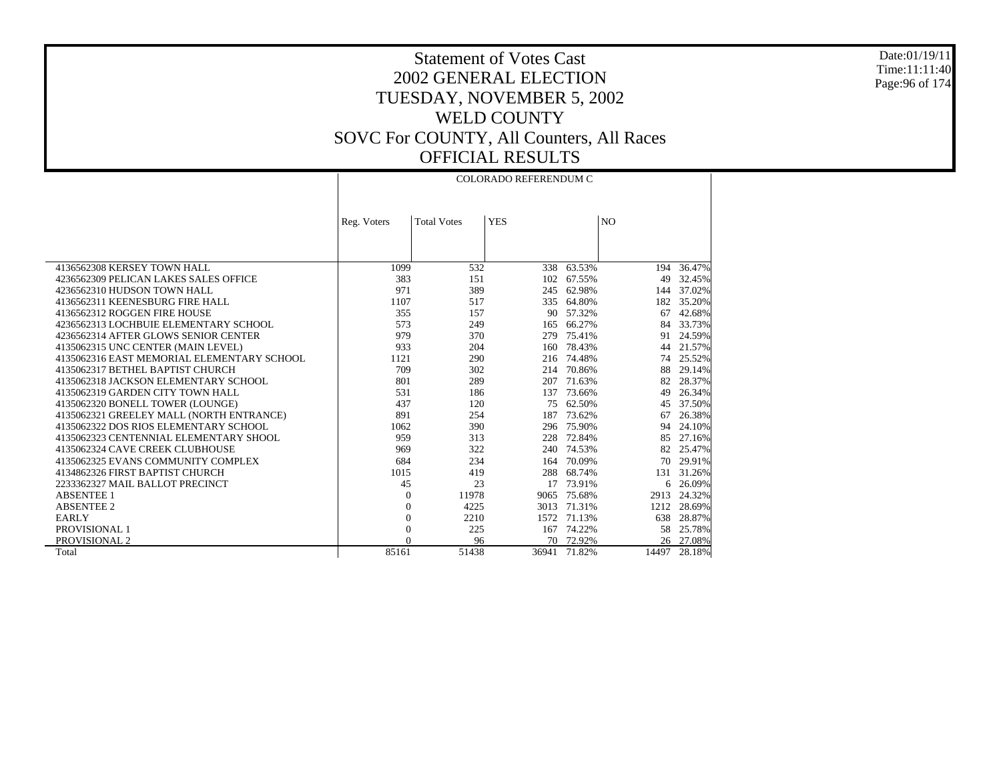Date:01/19/11 Time:11:11:40 Page:96 of 174

# Statement of Votes Cast 2002 GENERAL ELECTION TUESDAY, NOVEMBER 5, 2002 WELD COUNTY SOVC For COUNTY, All Counters, All Races OFFICIAL RESULTS

|                                            | COLORADO REFERENDUM C |                    |            |            |                |           |
|--------------------------------------------|-----------------------|--------------------|------------|------------|----------------|-----------|
|                                            |                       |                    |            |            |                |           |
|                                            |                       |                    |            |            |                |           |
|                                            | Reg. Voters           | <b>Total Votes</b> | <b>YES</b> |            | N <sub>O</sub> |           |
|                                            |                       |                    |            |            |                |           |
|                                            |                       |                    |            |            |                |           |
|                                            |                       |                    |            |            |                |           |
| 4136562308 KERSEY TOWN HALL                | 1099                  | 532                | 338        | 63.53%     | 194            | 36.47%    |
| 4236562309 PELICAN LAKES SALES OFFICE      | 383                   | 151                | 102        | 67.55%     | 49             | 32.45%    |
| 4236562310 HUDSON TOWN HALL                | 971                   | 389                |            | 245 62.98% | 144            | 37.02%    |
| 4136562311 KEENESBURG FIRE HALL            | 1107                  | 517                |            | 335 64.80% | 182            | 35.20%    |
| 4136562312 ROGGEN FIRE HOUSE               | 355                   | 157                |            | 90 57.32%  | 67             | 42.68%    |
| 4236562313 LOCHBUIE ELEMENTARY SCHOOL      | 573                   | 249                | 165        | 66.27%     | 84             | 33.73%    |
| 4236562314 AFTER GLOWS SENIOR CENTER       | 979                   | 370                | 279        | 75.41%     | 91             | 24.59%    |
| 4135062315 UNC CENTER (MAIN LEVEL)         | 933                   | 204                | 160        | 78.43%     | 44             | 21.57%    |
| 4135062316 EAST MEMORIAL ELEMENTARY SCHOOL | 1121                  | 290                |            | 216 74.48% | 74             | 25.52%    |
| 4135062317 BETHEL BAPTIST CHURCH           | 709                   | 302                | 214        | 70.86%     | 88             | 29.14%    |
| 4135062318 JACKSON ELEMENTARY SCHOOL       | 801                   | 289                | 207        | 71.63%     | 82             | 28.37%    |
| 4135062319 GARDEN CITY TOWN HALL           | 531                   | 186                | 137        | 73.66%     | 49             | 26.34%    |
| 4135062320 BONELL TOWER (LOUNGE)           | 437                   | 120                | 75         | 62.50%     | 45             | 37.50%    |
| 4135062321 GREELEY MALL (NORTH ENTRANCE)   | 891                   | 254                | 187        | 73.62%     | 67             | 26.38%    |
| 4135062322 DOS RIOS ELEMENTARY SCHOOL      | 1062                  | 390                |            | 296 75.90% | 94             | 24.10%    |
| 4135062323 CENTENNIAL ELEMENTARY SHOOL     | 959                   | 313                | 228        | 72.84%     | 85             | 27.16%    |
| 4135062324 CAVE CREEK CLUBHOUSE            | 969                   | 322                |            | 240 74.53% | 82             | 25.47%    |
| 4135062325 EVANS COMMUNITY COMPLEX         | 684                   | 234                | 164        | 70.09%     | 70             | 29.91%    |
| 4134862326 FIRST BAPTIST CHURCH            | 1015                  | 419                | 288        | 68.74%     | 131            | 31.26%    |
| 2233362327 MAIL BALLOT PRECINCT            | 45                    | 23                 | 17         | 73.91%     | 6              | 26.09%    |
| <b>ABSENTEE 1</b>                          | $\boldsymbol{0}$      | 11978              | 9065       | 75.68%     | 2913           | 24.32%    |
| <b>ABSENTEE 2</b>                          | $\overline{0}$        | 4225               | 3013       | 71.31%     | 1212           | 28.69%    |
| <b>EARLY</b>                               | $\boldsymbol{0}$      | 2210               | 1572       | 71.13%     | 638            | 28.87%    |
| PROVISIONAL 1                              | $\overline{0}$        | 225                | 167        | 74.22%     | 58             | 25.78%    |
| PROVISIONAL 2                              | $\Omega$              | 96                 |            | 70 72.92%  |                | 26 27.08% |
| Total                                      | 85161                 | 51438              | 36941      | 71.82%     | 14497          | 28.18%    |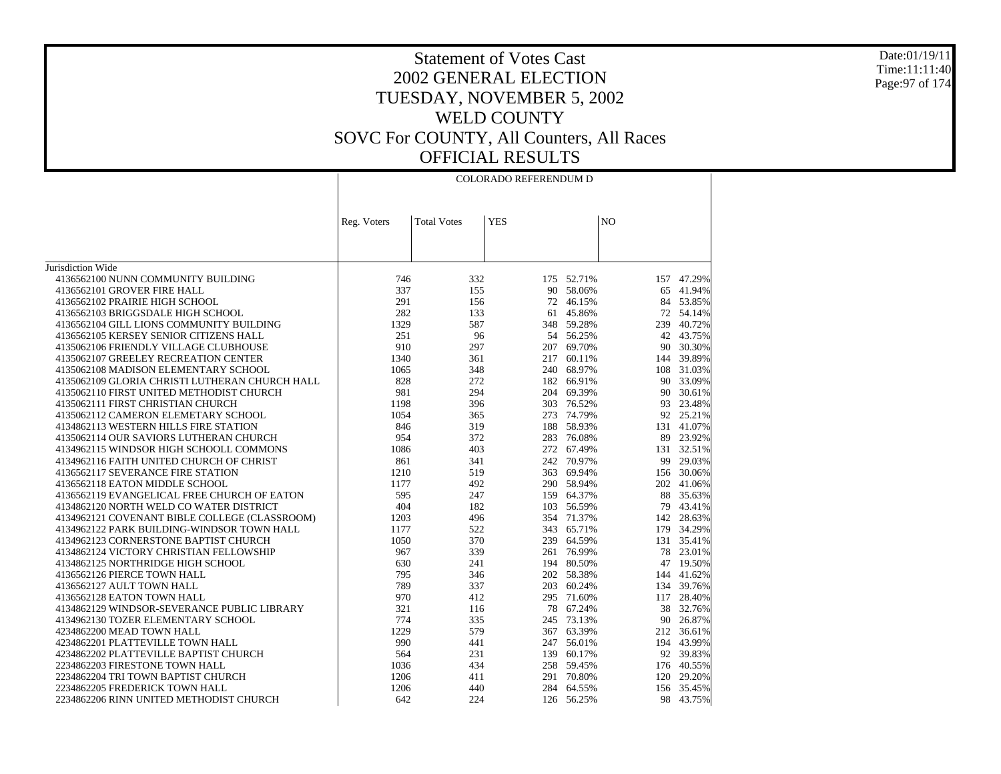#### Date:01/19/11 Time:11:11:40 Page:97 of 174

|                                                                                        |             |                    | COLORADO REFERENDUM D |            |                |                      |
|----------------------------------------------------------------------------------------|-------------|--------------------|-----------------------|------------|----------------|----------------------|
|                                                                                        |             |                    |                       |            |                |                      |
|                                                                                        | Reg. Voters | <b>Total Votes</b> | <b>YES</b>            |            | N <sub>O</sub> |                      |
|                                                                                        |             |                    |                       |            |                |                      |
|                                                                                        |             |                    |                       |            |                |                      |
| Jurisdiction Wide                                                                      |             |                    |                       |            |                |                      |
| 4136562100 NUNN COMMUNITY BUILDING                                                     | 746         | 332                | 175                   | 52.71%     | 157            | 47.29%               |
| 4136562101 GROVER FIRE HALL                                                            | 337         | 155                | 90                    | 58.06%     | 65             | 41.94%               |
| 4136562102 PRAIRIE HIGH SCHOOL                                                         | 291         | 156                | 72                    | 46.15%     | 84             | 53.85%               |
| 4136562103 BRIGGSDALE HIGH SCHOOL                                                      | 282         | 133                |                       | 61 45.86%  |                | 72 54.14%            |
| 4136562104 GILL LIONS COMMUNITY BUILDING                                               | 1329        | 587                |                       | 348 59.28% | 239            | 40.72%               |
| 4136562105 KERSEY SENIOR CITIZENS HALL                                                 | 251         | 96                 |                       | 54 56.25%  |                | 42 43.75%            |
| 4135062106 FRIENDLY VILLAGE CLUBHOUSE                                                  | 910         | 297                |                       | 207 69.70% |                | 90 30.30%            |
| 4135062107 GREELEY RECREATION CENTER                                                   | 1340        | 361                | 217                   | 60.11%     | 144            | 39.89%               |
|                                                                                        |             |                    |                       | 240 68.97% |                |                      |
| 4135062108 MADISON ELEMENTARY SCHOOL<br>4135062109 GLORIA CHRISTI LUTHERAN CHURCH HALL | 1065<br>828 | 348<br>272         |                       | 182 66.91% | 90             | 108 31.03%<br>33.09% |
| 4135062110 FIRST UNITED METHODIST CHURCH                                               | 981         | 294                |                       | 204 69.39% |                |                      |
|                                                                                        |             |                    |                       |            | 90             | 30.61%               |
| 4135062111 FIRST CHRISTIAN CHURCH                                                      | 1198        | 396                |                       | 303 76.52% | 93             | 23.48%               |
| 4135062112 CAMERON ELEMETARY SCHOOL                                                    | 1054        | 365                | 273                   | 74.79%     | 92             | 25.21%               |
| 4134862113 WESTERN HILLS FIRE STATION                                                  | 846         | 319                |                       | 188 58.93% | 131            | 41.07%               |
| 4135062114 OUR SAVIORS LUTHERAN CHURCH                                                 | 954         | 372                |                       | 283 76.08% |                | 89 23.92%            |
| 4134962115 WINDSOR HIGH SCHOOLL COMMONS                                                | 1086        | 403                | 272                   | 67.49%     |                | 131 32.51%           |
| 4134962116 FAITH UNITED CHURCH OF CHRIST                                               | 861         | 341                |                       | 242 70.97% | 99             | 29.03%               |
| 4136562117 SEVERANCE FIRE STATION                                                      | 1210        | 519                | 363                   | 69.94%     |                | 156 30.06%           |
| 4136562118 EATON MIDDLE SCHOOL                                                         | 1177        | 492                |                       | 290 58.94% |                | 202 41.06%           |
| 4136562119 EVANGELICAL FREE CHURCH OF EATON                                            | 595         | 247                |                       | 159 64.37% | 88             | 35.63%               |
| 4134862120 NORTH WELD CO WATER DISTRICT                                                | 404         | 182                |                       | 103 56.59% | 79             | 43.41%               |
| 4134962121 COVENANT BIBLE COLLEGE (CLASSROOM)                                          | 1203        | 496                |                       | 354 71.37% | 142            | 28.63%               |
| 4134962122 PARK BUILDING-WINDSOR TOWN HALL                                             | 1177        | 522                | 343                   | 65.71%     | 179            | 34.29%               |
| 4134962123 CORNERSTONE BAPTIST CHURCH                                                  | 1050        | 370                |                       | 239 64.59% |                | 131 35.41%           |
| 4134862124 VICTORY CHRISTIAN FELLOWSHIP                                                | 967         | 339                |                       | 261 76.99% | 78             | 23.01%               |
| 4134862125 NORTHRIDGE HIGH SCHOOL                                                      | 630         | 241                |                       | 194 80.50% | 47             | 19.50%               |
| 4136562126 PIERCE TOWN HALL                                                            | 795         | 346                |                       | 202 58.38% | 144            | 41.62%               |
| 4136562127 AULT TOWN HALL                                                              | 789         | 337                | 203                   | 60.24%     | 134            | 39.76%               |
| 4136562128 EATON TOWN HALL                                                             | 970         | 412                |                       | 295 71.60% | 117            | 28.40%               |
| 4134862129 WINDSOR-SEVERANCE PUBLIC LIBRARY                                            | 321         | 116                | 78                    | 67.24%     | 38             | 32.76%               |
| 4134962130 TOZER ELEMENTARY SCHOOL                                                     | 774         | 335                | 245                   | 73.13%     |                | 90 26.87%            |
| 4234862200 MEAD TOWN HALL                                                              | 1229        | 579                |                       | 367 63.39% | 212            | 36.61%               |
| 4234862201 PLATTEVILLE TOWN HALL                                                       | 990         | 441                | 247                   | 56.01%     | 194            | 43.99%               |
| 4234862202 PLATTEVILLE BAPTIST CHURCH                                                  | 564         | 231                | 139                   | 60.17%     |                | 92 39.83%            |
| 2234862203 FIRESTONE TOWN HALL                                                         | 1036        | 434                |                       | 258 59.45% |                | 176 40.55%           |
| 2234862204 TRI TOWN BAPTIST CHURCH                                                     | 1206        | 411                |                       | 291 70.80% | 120            | 29.20%               |
| 2234862205 FREDERICK TOWN HALL                                                         | 1206        | 440                |                       | 284 64.55% |                | 156 35.45%           |
| 2234862206 RINN UNITED METHODIST CHURCH                                                | 642         | 224                |                       | 126 56.25% | 98             | 43.75%               |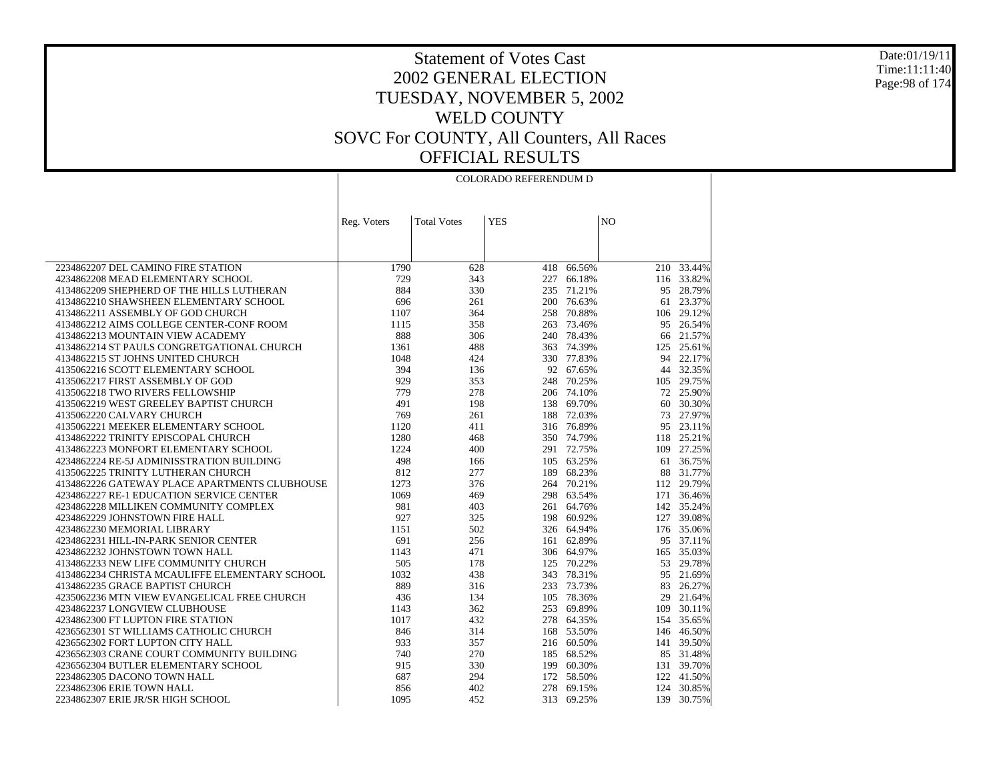Date:01/19/11 Time:11:11:40 Page:98 of 174

|                                                |             |                    | <b>COLORADO REFERENDUM D</b> |            |                |            |
|------------------------------------------------|-------------|--------------------|------------------------------|------------|----------------|------------|
|                                                | Reg. Voters | <b>Total Votes</b> | <b>YES</b>                   |            | N <sub>O</sub> |            |
|                                                |             |                    |                              |            |                |            |
| 2234862207 DEL CAMINO FIRE STATION             | 1790        | 628                | 418                          | 66.56%     |                | 210 33.44% |
| 4234862208 MEAD ELEMENTARY SCHOOL              | 729         | 343                | 227                          | 66.18%     |                | 116 33.82% |
| 4134862209 SHEPHERD OF THE HILLS LUTHERAN      | 884         | 330                | 235                          | 71.21%     | 95             | 28.79%     |
| 4134862210 SHAWSHEEN ELEMENTARY SCHOOL         | 696         | 261                | 200                          | 76.63%     | 61             | 23.37%     |
| 4134862211 ASSEMBLY OF GOD CHURCH              | 1107        | 364                | 258                          | 70.88%     |                | 106 29.12% |
| 4134862212 AIMS COLLEGE CENTER-CONF ROOM       | 1115        | 358                | 263                          | 73.46%     | 95             | 26.54%     |
| 4134862213 MOUNTAIN VIEW ACADEMY               | 888         | 306                | 240                          | 78.43%     | 66             | 21.57%     |
| 4134862214 ST PAULS CONGRETGATIONAL CHURCH     | 1361        | 488                | 363                          | 74.39%     | 125            | 25.61%     |
| 4134862215 ST JOHNS UNITED CHURCH              | 1048        | 424                | 330                          | 77.83%     | 94             | 22.17%     |
| 4135062216 SCOTT ELEMENTARY SCHOOL             | 394         | 136                | 92                           | 67.65%     |                | 44 32.35%  |
| 4135062217 FIRST ASSEMBLY OF GOD               | 929         | 353                | 248                          | 70.25%     |                | 105 29.75% |
| 4135062218 TWO RIVERS FELLOWSHIP               | 779         | 278                |                              | 206 74.10% |                | 72 25.90%  |
| 4135062219 WEST GREELEY BAPTIST CHURCH         | 491         | 198                | 138                          | 69.70%     | 60             | 30.30%     |
| 4135062220 CALVARY CHURCH                      | 769         | 261                | 188                          | 72.03%     | 73             | 27.97%     |
| 4135062221 MEEKER ELEMENTARY SCHOOL            | 1120        | 411                |                              | 316 76.89% | 95             | 23.11%     |
| 4134862222 TRINITY EPISCOPAL CHURCH            | 1280        | 468                | 350                          | 74.79%     |                | 118 25.21% |
| 4134862223 MONFORT ELEMENTARY SCHOOL           | 1224        | 400                |                              | 291 72.75% |                | 109 27.25% |
| 4234862224 RE-5J ADMINISSTRATION BUILDING      | 498         | 166                | 105                          | 63.25%     | 61             | 36.75%     |
| 4135062225 TRINITY LUTHERAN CHURCH             | 812         | 277                | 189                          | 68.23%     | 88             | 31.77%     |
| 4134862226 GATEWAY PLACE APARTMENTS CLUBHOUSE  | 1273        | 376                | 264                          | 70.21%     |                | 112 29.79% |
| 4234862227 RE-1 EDUCATION SERVICE CENTER       | 1069        | 469                | 298                          | 63.54%     |                | 171 36.46% |
| 4234862228 MILLIKEN COMMUNITY COMPLEX          | 981         | 403                | 261                          | 64.76%     |                | 142 35.24% |
| 4234862229 JOHNSTOWN FIRE HALL                 | 927         | 325                | 198                          | 60.92%     |                | 127 39.08% |
| 4234862230 MEMORIAL LIBRARY                    | 1151        | 502                |                              | 326 64.94% |                | 176 35.06% |
| 4234862231 HILL-IN-PARK SENIOR CENTER          | 691         | 256                | 161                          | 62.89%     |                | 95 37.11%  |
| 4234862232 JOHNSTOWN TOWN HALL                 | 1143        | 471                | 306                          | 64.97%     |                | 165 35.03% |
| 4134862233 NEW LIFE COMMUNITY CHURCH           | 505         | 178                | 125                          | 70.22%     | 53             | 29.78%     |
| 4134862234 CHRISTA MCAULIFFE ELEMENTARY SCHOOL | 1032        | 438                | 343                          | 78.31%     | 95             | 21.69%     |
| 4134862235 GRACE BAPTIST CHURCH                | 889         | 316                | 233                          | 73.73%     | 83             | 26.27%     |
| 4235062236 MTN VIEW EVANGELICAL FREE CHURCH    | 436         | 134                | 105                          | 78.36%     | 29             | 21.64%     |
| 4234862237 LONGVIEW CLUBHOUSE                  | 1143        | 362                | 253                          | 69.89%     | 109            | 30.11%     |
| 4234862300 FT LUPTON FIRE STATION              | 1017        | 432                | 278                          | 64.35%     |                | 154 35.65% |
| 4236562301 ST WILLIAMS CATHOLIC CHURCH         | 846         | 314                | 168                          | 53.50%     |                | 146 46.50% |
| 4236562302 FORT LUPTON CITY HALL               | 933         | 357                | 216                          | 60.50%     |                | 141 39.50% |
| 4236562303 CRANE COURT COMMUNITY BUILDING      | 740         | 270                | 185                          | 68.52%     |                | 85 31.48%  |
| 4236562304 BUTLER ELEMENTARY SCHOOL            | 915         | 330                | 199                          | 60.30%     |                | 131 39.70% |
| 2234862305 DACONO TOWN HALL                    | 687         | 294                | 172                          | 58.50%     |                | 122 41.50% |
| 2234862306 ERIE TOWN HALL                      | 856         | 402                | 278                          | 69.15%     |                | 124 30.85% |
| 2234862307 ERIE JR/SR HIGH SCHOOL              | 1095        | 452                | 313                          | 69.25%     | 139            | 30.75%     |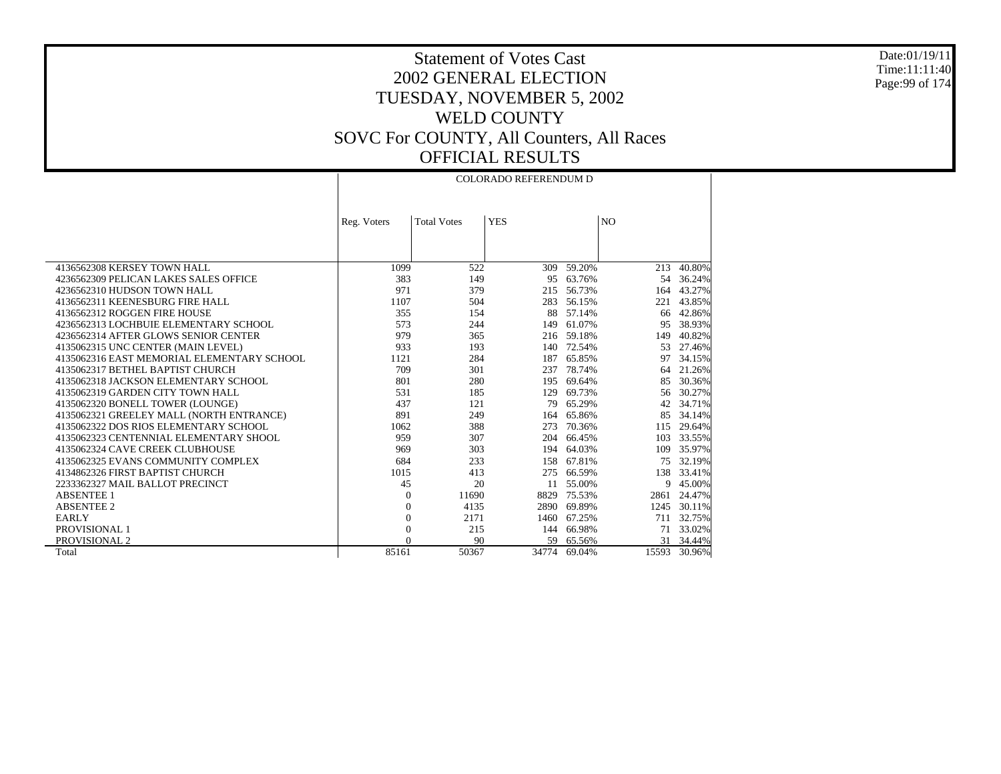Date:01/19/11 Time:11:11:40 Page:99 of 174

 $\top$ 

|                                            |                |                    | <b>COLORADO REFERENDUM D</b> |            |                |            |
|--------------------------------------------|----------------|--------------------|------------------------------|------------|----------------|------------|
|                                            |                |                    |                              |            |                |            |
|                                            |                |                    |                              |            |                |            |
|                                            | Reg. Voters    | <b>Total Votes</b> | <b>YES</b>                   |            | N <sub>O</sub> |            |
|                                            |                |                    |                              |            |                |            |
|                                            |                |                    |                              |            |                |            |
| 4136562308 KERSEY TOWN HALL                | 1099           | 522                | 309                          | 59.20%     | 213            | 40.80%     |
| 4236562309 PELICAN LAKES SALES OFFICE      | 383            | 149                | 95                           | 63.76%     | 54             | 36.24%     |
| 4236562310 HUDSON TOWN HALL                | 971            | 379                | 215                          | 56.73%     | 164            | 43.27%     |
| 4136562311 KEENESBURG FIRE HALL            | 1107           | 504                | 283                          | 56.15%     | 221            | 43.85%     |
| 4136562312 ROGGEN FIRE HOUSE               | 355            | 154                | 88                           | 57.14%     | 66             | 42.86%     |
| 4236562313 LOCHBUIE ELEMENTARY SCHOOL      | 573            | 244                | 149                          | 61.07%     | 95             | 38.93%     |
| 4236562314 AFTER GLOWS SENIOR CENTER       | 979            | 365                |                              | 216 59.18% | 149            | 40.82%     |
| 4135062315 UNC CENTER (MAIN LEVEL)         | 933            | 193                | 140                          | 72.54%     | 53             | 27.46%     |
| 4135062316 EAST MEMORIAL ELEMENTARY SCHOOL | 1121           | 284                | 187                          | 65.85%     | 97             | 34.15%     |
| 4135062317 BETHEL BAPTIST CHURCH           | 709            | 301                | 237                          | 78.74%     | 64             | 21.26%     |
| 4135062318 JACKSON ELEMENTARY SCHOOL       | 801            | 280                | 195                          | 69.64%     | 85             | 30.36%     |
| 4135062319 GARDEN CITY TOWN HALL           | 531            | 185                | 129                          | 69.73%     | 56             | 30.27%     |
| 4135062320 BONELL TOWER (LOUNGE)           | 437            | 121                | 79                           | 65.29%     | 42             | 34.71%     |
| 4135062321 GREELEY MALL (NORTH ENTRANCE)   | 891            | 249                | 164                          | 65.86%     | 85             | 34.14%     |
| 4135062322 DOS RIOS ELEMENTARY SCHOOL      | 1062           | 388                | 273                          | 70.36%     | 115            | 29.64%     |
| 4135062323 CENTENNIAL ELEMENTARY SHOOL     | 959            | 307                | 204                          | 66.45%     | 103            | 33.55%     |
| 4135062324 CAVE CREEK CLUBHOUSE            | 969            | 303                | 194                          | 64.03%     | 109            | 35.97%     |
| 4135062325 EVANS COMMUNITY COMPLEX         | 684            | 233                | 158                          | 67.81%     | 75             | 32.19%     |
| 4134862326 FIRST BAPTIST CHURCH            | 1015           | 413                | 275                          | 66.59%     |                | 138 33.41% |
| 2233362327 MAIL BALLOT PRECINCT            | 45             | 20                 | 11                           | 55.00%     | 9              | 45.00%     |
| <b>ABSENTEE 1</b>                          | $\theta$       | 11690              | 8829                         | 75.53%     | 2861           | 24.47%     |
| <b>ABSENTEE 2</b>                          | $\mathbf{0}$   | 4135               | 2890                         | 69.89%     | 1245           | 30.11%     |
| <b>EARLY</b>                               | $\mathbf{0}$   | 2171               | 1460                         | 67.25%     | 711            | 32.75%     |
| PROVISIONAL 1                              | $\overline{0}$ | 215                | 144                          | 66.98%     | 71             | 33.02%     |
| PROVISIONAL 2                              | $\Omega$       | 90                 | 59                           | 65.56%     |                | 31 34.44%  |
| Total                                      | 85161          | 50367              | 34774                        | 69.04%     | 15593          | 30.96%     |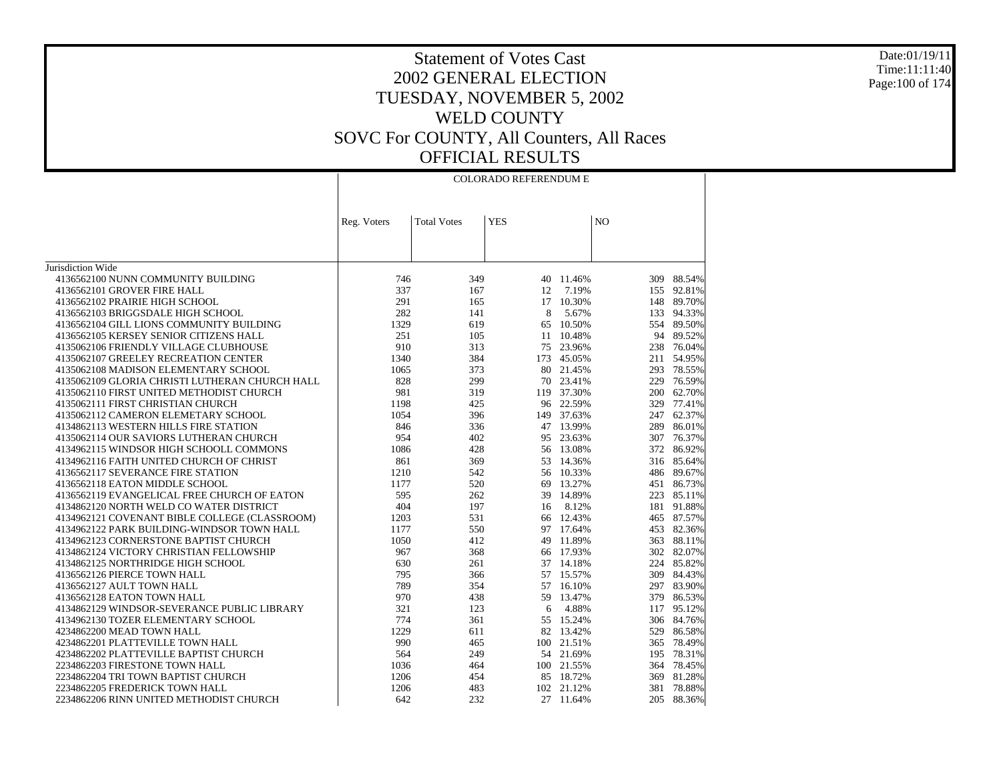### Date:01/19/11 Time:11:11:40 Page:100 of 174

|                                                |             |                    | <b>COLORADO REFERENDUM E</b> |            |                |            |
|------------------------------------------------|-------------|--------------------|------------------------------|------------|----------------|------------|
|                                                | Reg. Voters | <b>Total Votes</b> | <b>YES</b>                   |            | N <sub>O</sub> |            |
|                                                |             |                    |                              |            |                |            |
| Jurisdiction Wide                              |             |                    |                              |            |                |            |
| 4136562100 NUNN COMMUNITY BUILDING             | 746         | 349                |                              | 40 11.46%  | 309            | 88.54%     |
| 4136562101 GROVER FIRE HALL                    | 337         | 167                | 12                           | 7.19%      |                | 155 92.81% |
| 4136562102 PRAIRIE HIGH SCHOOL                 | 291         | 165                |                              | 17 10.30%  |                | 148 89.70% |
| 4136562103 BRIGGSDALE HIGH SCHOOL              | 282         | 141                | 8                            | 5.67%      | 133            | 94.33%     |
| 4136562104 GILL LIONS COMMUNITY BUILDING       | 1329        | 619                | 65                           | 10.50%     | 554            | 89.50%     |
| 4136562105 KERSEY SENIOR CITIZENS HALL         | 251         | 105                |                              | 11 10.48%  |                | 94 89.52%  |
| 4135062106 FRIENDLY VILLAGE CLUBHOUSE          | 910         | 313                |                              | 75 23.96%  |                | 238 76.04% |
| 4135062107 GREELEY RECREATION CENTER           | 1340        | 384                |                              | 173 45.05% | 211            | 54.95%     |
| 4135062108 MADISON ELEMENTARY SCHOOL           | 1065        | 373                |                              | 80 21.45%  | 293            | 78.55%     |
| 4135062109 GLORIA CHRISTI LUTHERAN CHURCH HALL | 828         | 299                |                              | 70 23.41%  | 229            | 76.59%     |
| 4135062110 FIRST UNITED METHODIST CHURCH       | 981         | 319                |                              | 119 37.30% |                | 200 62.70% |
| 4135062111 FIRST CHRISTIAN CHURCH              | 1198        | 425                |                              | 96 22.59%  | 329            | 77.41%     |
| 4135062112 CAMERON ELEMETARY SCHOOL            | 1054        | 396                |                              | 149 37.63% |                | 247 62.37% |
| 4134862113 WESTERN HILLS FIRE STATION          | 846         | 336                |                              | 47 13.99%  | 289            | 86.01%     |
| 4135062114 OUR SAVIORS LUTHERAN CHURCH         | 954         | 402                |                              | 95 23.63%  | 307            | 76.37%     |
| 4134962115 WINDSOR HIGH SCHOOLL COMMONS        | 1086        | 428                |                              | 56 13.08%  | 372            | 86.92%     |
| 4134962116 FAITH UNITED CHURCH OF CHRIST       | 861         | 369                |                              | 53 14.36%  |                | 316 85.64% |
| 4136562117 SEVERANCE FIRE STATION              | 1210        | 542                |                              | 56 10.33%  |                | 486 89.67% |
| 4136562118 EATON MIDDLE SCHOOL                 | 1177        | 520                | 69                           | 13.27%     | 451            | 86.73%     |
| 4136562119 EVANGELICAL FREE CHURCH OF EATON    | 595         | 262                |                              | 39 14.89%  | 223            | 85.11%     |
| 4134862120 NORTH WELD CO WATER DISTRICT        | 404         | 197                | 16                           | 8.12%      | 181            | 91.88%     |
| 4134962121 COVENANT BIBLE COLLEGE (CLASSROOM)  | 1203        | 531                |                              | 66 12.43%  |                | 465 87.57% |
| 4134962122 PARK BUILDING-WINDSOR TOWN HALL     | 1177        | 550                |                              | 97 17.64%  | 453            | 82.36%     |
| 4134962123 CORNERSTONE BAPTIST CHURCH          | 1050        | 412                |                              | 49 11.89%  | 363            | 88.11%     |
| 4134862124 VICTORY CHRISTIAN FELLOWSHIP        | 967         | 368                |                              | 66 17.93%  |                | 302 82.07% |
| 4134862125 NORTHRIDGE HIGH SCHOOL              | 630         | 261                |                              | 37 14.18%  | 224            | 85.82%     |
| 4136562126 PIERCE TOWN HALL                    | 795         | 366                |                              | 57 15.57%  | 309            | 84.43%     |
| 4136562127 AULT TOWN HALL                      | 789         | 354                |                              | 57 16.10%  | 297            | 83.90%     |
| 4136562128 EATON TOWN HALL                     | 970         | 438                | 59                           | 13.47%     | 379            | 86.53%     |
| 4134862129 WINDSOR-SEVERANCE PUBLIC LIBRARY    | 321         | 123                | 6                            | 4.88%      |                | 117 95.12% |
| 4134962130 TOZER ELEMENTARY SCHOOL             | 774         | 361                |                              | 55 15.24%  |                | 306 84.76% |
| 4234862200 MEAD TOWN HALL                      | 1229        | 611                |                              | 82 13.42%  |                | 529 86.58% |
| 4234862201 PLATTEVILLE TOWN HALL               | 990         | 465                |                              | 100 21.51% |                | 365 78.49% |
| 4234862202 PLATTEVILLE BAPTIST CHURCH          | 564         | 249                |                              | 54 21.69%  | 195            | 78.31%     |
| 2234862203 FIRESTONE TOWN HALL                 | 1036        | 464                |                              | 100 21.55% |                | 364 78.45% |
| 2234862204 TRI TOWN BAPTIST CHURCH             | 1206        | 454                |                              | 85 18.72%  | 369            | 81.28%     |
| 2234862205 FREDERICK TOWN HALL                 | 1206        | 483                |                              | 102 21.12% | 381            | 78.88%     |
| 2234862206 RINN UNITED METHODIST CHURCH        | 642         | 232                |                              | 27 11.64%  |                | 205 88.36% |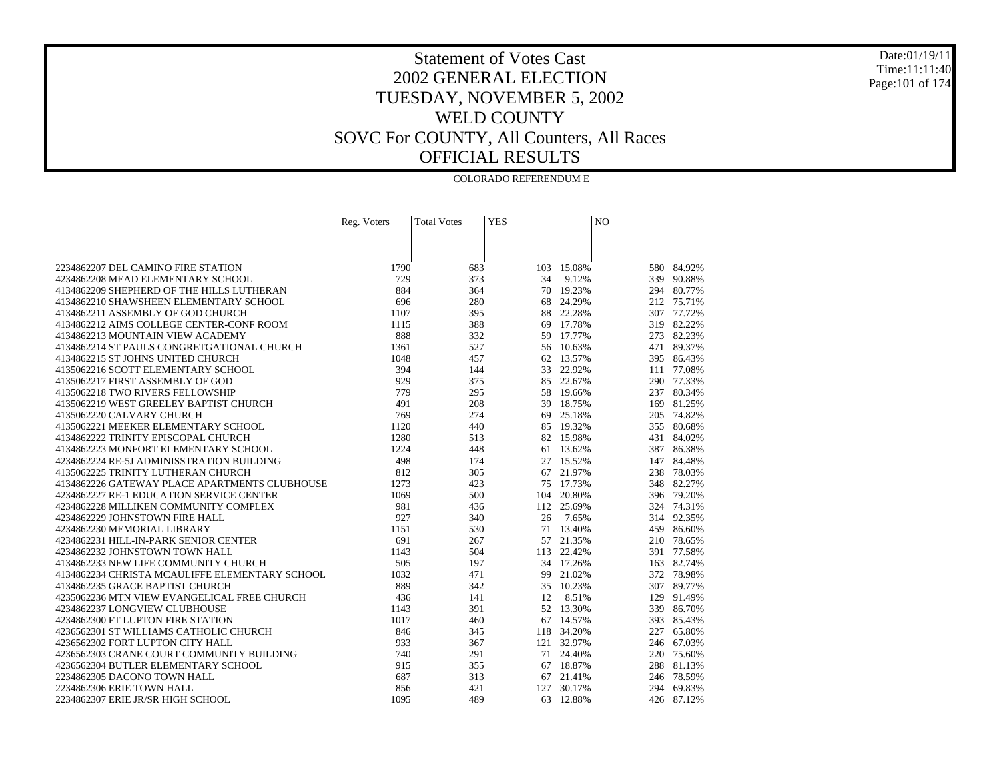Date:01/19/11 Time:11:11:40 Page:101 of 174

| <b>YES</b><br>NO<br><b>Total Votes</b><br>Reg. Voters<br>15.08%<br>84.92%<br>2234862207 DEL CAMINO FIRE STATION<br>1790<br>683<br>103<br>580<br>729<br>339 90.88%<br>4234862208 MEAD ELEMENTARY SCHOOL<br>373<br>34<br>9.12%<br>884<br>70<br>19.23%<br>294 80.77%<br>4134862209 SHEPHERD OF THE HILLS LUTHERAN<br>364<br>696<br>68 24.29%<br>4134862210 SHAWSHEEN ELEMENTARY SCHOOL<br>280<br>212 75.71%<br>22.28%<br>307 77.72%<br>4134862211 ASSEMBLY OF GOD CHURCH<br>1107<br>395<br>88<br>17.78%<br>319 82.22%<br>4134862212 AIMS COLLEGE CENTER-CONF ROOM<br>1115<br>388<br>69<br>888<br>17.77%<br>273 82.23%<br>4134862213 MOUNTAIN VIEW ACADEMY<br>332<br>59<br>4134862214 ST PAULS CONGRETGATIONAL CHURCH<br>56 10.63%<br>471<br>89.37%<br>1361<br>527<br>4134862215 ST JOHNS UNITED CHURCH<br>1048<br>457<br>62 13.57%<br>395 86.43%<br>394<br>4135062216 SCOTT ELEMENTARY SCHOOL<br>144<br>33<br>22.92%<br>111<br>77.08%<br>4135062217 FIRST ASSEMBLY OF GOD<br>929<br>85 22.67%<br>290 77.33%<br>375<br>779<br>237 80.34%<br>4135062218 TWO RIVERS FELLOWSHIP<br>295<br>58<br>19.66%<br>4135062219 WEST GREELEY BAPTIST CHURCH<br>491<br>208<br>39<br>18.75%<br>169<br>81.25%<br>769<br>205 74.82%<br>274<br>69 25.18%<br>4135062220 CALVARY CHURCH<br>4135062221 MEEKER ELEMENTARY SCHOOL<br>1120<br>85<br>19.32%<br>355 80.68%<br>440<br>4134862222 TRINITY EPISCOPAL CHURCH<br>1280<br>82 15.98%<br>431 84.02%<br>513<br>1224<br>387 86.38%<br>4134862223 MONFORT ELEMENTARY SCHOOL<br>448<br>13.62%<br>61<br>4234862224 RE-5J ADMINISSTRATION BUILDING<br>498<br>27 15.52%<br>147<br>84.48%<br>174<br>812<br>67<br>21.97%<br>238 78.03%<br>4135062225 TRINITY LUTHERAN CHURCH<br>305<br>1273<br>75<br>17.73%<br>348<br>82.27%<br>4134862226 GATEWAY PLACE APARTMENTS CLUBHOUSE<br>423<br>4234862227 RE-1 EDUCATION SERVICE CENTER<br>1069<br>20.80%<br>396 79.20%<br>500<br>104<br>981<br>112<br>324 74.31%<br>4234862228 MILLIKEN COMMUNITY COMPLEX<br>436<br>25.69%<br>4234862229 JOHNSTOWN FIRE HALL<br>927<br>26<br>7.65%<br>314 92.35%<br>340<br>1151<br>13.40%<br>459 86.60%<br>4234862230 MEMORIAL LIBRARY<br>530<br>71<br>691<br>57 21.35%<br>210 78.65%<br>4234862231 HILL-IN-PARK SENIOR CENTER<br>267<br>391 77.58%<br>4234862232 JOHNSTOWN TOWN HALL<br>1143<br>504<br>113 22.42%<br>505<br>163 82.74%<br>4134862233 NEW LIFE COMMUNITY CHURCH<br>197<br>34 17.26%<br>1032<br>4134862234 CHRISTA MCAULIFFE ELEMENTARY SCHOOL<br>99 21.02%<br>372 78.98%<br>471<br>889<br>35 10.23%<br>307 89.77%<br>4134862235 GRACE BAPTIST CHURCH<br>342<br>4235062236 MTN VIEW EVANGELICAL FREE CHURCH<br>436<br>12<br>8.51%<br>129<br>91.49%<br>141<br>52 13.30%<br>339 86.70%<br>4234862237 LONGVIEW CLUBHOUSE<br>1143<br>391<br>4234862300 FT LUPTON FIRE STATION<br>1017<br>67<br>14.57%<br>393<br>85.43%<br>460<br>4236562301 ST WILLIAMS CATHOLIC CHURCH<br>846<br>118 34.20%<br>227<br>65.80%<br>345<br>121 32.97%<br>67.03%<br>4236562302 FORT LUPTON CITY HALL<br>933<br>367<br>246<br>4236562303 CRANE COURT COMMUNITY BUILDING<br>740<br>291<br>71 24.40%<br>220 75.60%<br>915<br>67 18.87%<br>288<br>81.13%<br>4236562304 BUTLER ELEMENTARY SCHOOL<br>355<br>2234862305 DACONO TOWN HALL<br>687<br>313<br>67<br>21.41%<br>246<br>78.59% |  | <b>COLORADO REFERENDUM E</b> |  |  |
|-------------------------------------------------------------------------------------------------------------------------------------------------------------------------------------------------------------------------------------------------------------------------------------------------------------------------------------------------------------------------------------------------------------------------------------------------------------------------------------------------------------------------------------------------------------------------------------------------------------------------------------------------------------------------------------------------------------------------------------------------------------------------------------------------------------------------------------------------------------------------------------------------------------------------------------------------------------------------------------------------------------------------------------------------------------------------------------------------------------------------------------------------------------------------------------------------------------------------------------------------------------------------------------------------------------------------------------------------------------------------------------------------------------------------------------------------------------------------------------------------------------------------------------------------------------------------------------------------------------------------------------------------------------------------------------------------------------------------------------------------------------------------------------------------------------------------------------------------------------------------------------------------------------------------------------------------------------------------------------------------------------------------------------------------------------------------------------------------------------------------------------------------------------------------------------------------------------------------------------------------------------------------------------------------------------------------------------------------------------------------------------------------------------------------------------------------------------------------------------------------------------------------------------------------------------------------------------------------------------------------------------------------------------------------------------------------------------------------------------------------------------------------------------------------------------------------------------------------------------------------------------------------------------------------------------------------------------------------------------------------------------------------------------------------------------------------------------------------------------------------------------------------------------------------------------------------------------------------------------------------------------------|--|------------------------------|--|--|
|                                                                                                                                                                                                                                                                                                                                                                                                                                                                                                                                                                                                                                                                                                                                                                                                                                                                                                                                                                                                                                                                                                                                                                                                                                                                                                                                                                                                                                                                                                                                                                                                                                                                                                                                                                                                                                                                                                                                                                                                                                                                                                                                                                                                                                                                                                                                                                                                                                                                                                                                                                                                                                                                                                                                                                                                                                                                                                                                                                                                                                                                                                                                                                                                                                                                   |  |                              |  |  |
|                                                                                                                                                                                                                                                                                                                                                                                                                                                                                                                                                                                                                                                                                                                                                                                                                                                                                                                                                                                                                                                                                                                                                                                                                                                                                                                                                                                                                                                                                                                                                                                                                                                                                                                                                                                                                                                                                                                                                                                                                                                                                                                                                                                                                                                                                                                                                                                                                                                                                                                                                                                                                                                                                                                                                                                                                                                                                                                                                                                                                                                                                                                                                                                                                                                                   |  |                              |  |  |
|                                                                                                                                                                                                                                                                                                                                                                                                                                                                                                                                                                                                                                                                                                                                                                                                                                                                                                                                                                                                                                                                                                                                                                                                                                                                                                                                                                                                                                                                                                                                                                                                                                                                                                                                                                                                                                                                                                                                                                                                                                                                                                                                                                                                                                                                                                                                                                                                                                                                                                                                                                                                                                                                                                                                                                                                                                                                                                                                                                                                                                                                                                                                                                                                                                                                   |  |                              |  |  |
|                                                                                                                                                                                                                                                                                                                                                                                                                                                                                                                                                                                                                                                                                                                                                                                                                                                                                                                                                                                                                                                                                                                                                                                                                                                                                                                                                                                                                                                                                                                                                                                                                                                                                                                                                                                                                                                                                                                                                                                                                                                                                                                                                                                                                                                                                                                                                                                                                                                                                                                                                                                                                                                                                                                                                                                                                                                                                                                                                                                                                                                                                                                                                                                                                                                                   |  |                              |  |  |
|                                                                                                                                                                                                                                                                                                                                                                                                                                                                                                                                                                                                                                                                                                                                                                                                                                                                                                                                                                                                                                                                                                                                                                                                                                                                                                                                                                                                                                                                                                                                                                                                                                                                                                                                                                                                                                                                                                                                                                                                                                                                                                                                                                                                                                                                                                                                                                                                                                                                                                                                                                                                                                                                                                                                                                                                                                                                                                                                                                                                                                                                                                                                                                                                                                                                   |  |                              |  |  |
|                                                                                                                                                                                                                                                                                                                                                                                                                                                                                                                                                                                                                                                                                                                                                                                                                                                                                                                                                                                                                                                                                                                                                                                                                                                                                                                                                                                                                                                                                                                                                                                                                                                                                                                                                                                                                                                                                                                                                                                                                                                                                                                                                                                                                                                                                                                                                                                                                                                                                                                                                                                                                                                                                                                                                                                                                                                                                                                                                                                                                                                                                                                                                                                                                                                                   |  |                              |  |  |
|                                                                                                                                                                                                                                                                                                                                                                                                                                                                                                                                                                                                                                                                                                                                                                                                                                                                                                                                                                                                                                                                                                                                                                                                                                                                                                                                                                                                                                                                                                                                                                                                                                                                                                                                                                                                                                                                                                                                                                                                                                                                                                                                                                                                                                                                                                                                                                                                                                                                                                                                                                                                                                                                                                                                                                                                                                                                                                                                                                                                                                                                                                                                                                                                                                                                   |  |                              |  |  |
|                                                                                                                                                                                                                                                                                                                                                                                                                                                                                                                                                                                                                                                                                                                                                                                                                                                                                                                                                                                                                                                                                                                                                                                                                                                                                                                                                                                                                                                                                                                                                                                                                                                                                                                                                                                                                                                                                                                                                                                                                                                                                                                                                                                                                                                                                                                                                                                                                                                                                                                                                                                                                                                                                                                                                                                                                                                                                                                                                                                                                                                                                                                                                                                                                                                                   |  |                              |  |  |
|                                                                                                                                                                                                                                                                                                                                                                                                                                                                                                                                                                                                                                                                                                                                                                                                                                                                                                                                                                                                                                                                                                                                                                                                                                                                                                                                                                                                                                                                                                                                                                                                                                                                                                                                                                                                                                                                                                                                                                                                                                                                                                                                                                                                                                                                                                                                                                                                                                                                                                                                                                                                                                                                                                                                                                                                                                                                                                                                                                                                                                                                                                                                                                                                                                                                   |  |                              |  |  |
|                                                                                                                                                                                                                                                                                                                                                                                                                                                                                                                                                                                                                                                                                                                                                                                                                                                                                                                                                                                                                                                                                                                                                                                                                                                                                                                                                                                                                                                                                                                                                                                                                                                                                                                                                                                                                                                                                                                                                                                                                                                                                                                                                                                                                                                                                                                                                                                                                                                                                                                                                                                                                                                                                                                                                                                                                                                                                                                                                                                                                                                                                                                                                                                                                                                                   |  |                              |  |  |
|                                                                                                                                                                                                                                                                                                                                                                                                                                                                                                                                                                                                                                                                                                                                                                                                                                                                                                                                                                                                                                                                                                                                                                                                                                                                                                                                                                                                                                                                                                                                                                                                                                                                                                                                                                                                                                                                                                                                                                                                                                                                                                                                                                                                                                                                                                                                                                                                                                                                                                                                                                                                                                                                                                                                                                                                                                                                                                                                                                                                                                                                                                                                                                                                                                                                   |  |                              |  |  |
|                                                                                                                                                                                                                                                                                                                                                                                                                                                                                                                                                                                                                                                                                                                                                                                                                                                                                                                                                                                                                                                                                                                                                                                                                                                                                                                                                                                                                                                                                                                                                                                                                                                                                                                                                                                                                                                                                                                                                                                                                                                                                                                                                                                                                                                                                                                                                                                                                                                                                                                                                                                                                                                                                                                                                                                                                                                                                                                                                                                                                                                                                                                                                                                                                                                                   |  |                              |  |  |
|                                                                                                                                                                                                                                                                                                                                                                                                                                                                                                                                                                                                                                                                                                                                                                                                                                                                                                                                                                                                                                                                                                                                                                                                                                                                                                                                                                                                                                                                                                                                                                                                                                                                                                                                                                                                                                                                                                                                                                                                                                                                                                                                                                                                                                                                                                                                                                                                                                                                                                                                                                                                                                                                                                                                                                                                                                                                                                                                                                                                                                                                                                                                                                                                                                                                   |  |                              |  |  |
|                                                                                                                                                                                                                                                                                                                                                                                                                                                                                                                                                                                                                                                                                                                                                                                                                                                                                                                                                                                                                                                                                                                                                                                                                                                                                                                                                                                                                                                                                                                                                                                                                                                                                                                                                                                                                                                                                                                                                                                                                                                                                                                                                                                                                                                                                                                                                                                                                                                                                                                                                                                                                                                                                                                                                                                                                                                                                                                                                                                                                                                                                                                                                                                                                                                                   |  |                              |  |  |
|                                                                                                                                                                                                                                                                                                                                                                                                                                                                                                                                                                                                                                                                                                                                                                                                                                                                                                                                                                                                                                                                                                                                                                                                                                                                                                                                                                                                                                                                                                                                                                                                                                                                                                                                                                                                                                                                                                                                                                                                                                                                                                                                                                                                                                                                                                                                                                                                                                                                                                                                                                                                                                                                                                                                                                                                                                                                                                                                                                                                                                                                                                                                                                                                                                                                   |  |                              |  |  |
|                                                                                                                                                                                                                                                                                                                                                                                                                                                                                                                                                                                                                                                                                                                                                                                                                                                                                                                                                                                                                                                                                                                                                                                                                                                                                                                                                                                                                                                                                                                                                                                                                                                                                                                                                                                                                                                                                                                                                                                                                                                                                                                                                                                                                                                                                                                                                                                                                                                                                                                                                                                                                                                                                                                                                                                                                                                                                                                                                                                                                                                                                                                                                                                                                                                                   |  |                              |  |  |
|                                                                                                                                                                                                                                                                                                                                                                                                                                                                                                                                                                                                                                                                                                                                                                                                                                                                                                                                                                                                                                                                                                                                                                                                                                                                                                                                                                                                                                                                                                                                                                                                                                                                                                                                                                                                                                                                                                                                                                                                                                                                                                                                                                                                                                                                                                                                                                                                                                                                                                                                                                                                                                                                                                                                                                                                                                                                                                                                                                                                                                                                                                                                                                                                                                                                   |  |                              |  |  |
|                                                                                                                                                                                                                                                                                                                                                                                                                                                                                                                                                                                                                                                                                                                                                                                                                                                                                                                                                                                                                                                                                                                                                                                                                                                                                                                                                                                                                                                                                                                                                                                                                                                                                                                                                                                                                                                                                                                                                                                                                                                                                                                                                                                                                                                                                                                                                                                                                                                                                                                                                                                                                                                                                                                                                                                                                                                                                                                                                                                                                                                                                                                                                                                                                                                                   |  |                              |  |  |
|                                                                                                                                                                                                                                                                                                                                                                                                                                                                                                                                                                                                                                                                                                                                                                                                                                                                                                                                                                                                                                                                                                                                                                                                                                                                                                                                                                                                                                                                                                                                                                                                                                                                                                                                                                                                                                                                                                                                                                                                                                                                                                                                                                                                                                                                                                                                                                                                                                                                                                                                                                                                                                                                                                                                                                                                                                                                                                                                                                                                                                                                                                                                                                                                                                                                   |  |                              |  |  |
|                                                                                                                                                                                                                                                                                                                                                                                                                                                                                                                                                                                                                                                                                                                                                                                                                                                                                                                                                                                                                                                                                                                                                                                                                                                                                                                                                                                                                                                                                                                                                                                                                                                                                                                                                                                                                                                                                                                                                                                                                                                                                                                                                                                                                                                                                                                                                                                                                                                                                                                                                                                                                                                                                                                                                                                                                                                                                                                                                                                                                                                                                                                                                                                                                                                                   |  |                              |  |  |
|                                                                                                                                                                                                                                                                                                                                                                                                                                                                                                                                                                                                                                                                                                                                                                                                                                                                                                                                                                                                                                                                                                                                                                                                                                                                                                                                                                                                                                                                                                                                                                                                                                                                                                                                                                                                                                                                                                                                                                                                                                                                                                                                                                                                                                                                                                                                                                                                                                                                                                                                                                                                                                                                                                                                                                                                                                                                                                                                                                                                                                                                                                                                                                                                                                                                   |  |                              |  |  |
|                                                                                                                                                                                                                                                                                                                                                                                                                                                                                                                                                                                                                                                                                                                                                                                                                                                                                                                                                                                                                                                                                                                                                                                                                                                                                                                                                                                                                                                                                                                                                                                                                                                                                                                                                                                                                                                                                                                                                                                                                                                                                                                                                                                                                                                                                                                                                                                                                                                                                                                                                                                                                                                                                                                                                                                                                                                                                                                                                                                                                                                                                                                                                                                                                                                                   |  |                              |  |  |
|                                                                                                                                                                                                                                                                                                                                                                                                                                                                                                                                                                                                                                                                                                                                                                                                                                                                                                                                                                                                                                                                                                                                                                                                                                                                                                                                                                                                                                                                                                                                                                                                                                                                                                                                                                                                                                                                                                                                                                                                                                                                                                                                                                                                                                                                                                                                                                                                                                                                                                                                                                                                                                                                                                                                                                                                                                                                                                                                                                                                                                                                                                                                                                                                                                                                   |  |                              |  |  |
|                                                                                                                                                                                                                                                                                                                                                                                                                                                                                                                                                                                                                                                                                                                                                                                                                                                                                                                                                                                                                                                                                                                                                                                                                                                                                                                                                                                                                                                                                                                                                                                                                                                                                                                                                                                                                                                                                                                                                                                                                                                                                                                                                                                                                                                                                                                                                                                                                                                                                                                                                                                                                                                                                                                                                                                                                                                                                                                                                                                                                                                                                                                                                                                                                                                                   |  |                              |  |  |
|                                                                                                                                                                                                                                                                                                                                                                                                                                                                                                                                                                                                                                                                                                                                                                                                                                                                                                                                                                                                                                                                                                                                                                                                                                                                                                                                                                                                                                                                                                                                                                                                                                                                                                                                                                                                                                                                                                                                                                                                                                                                                                                                                                                                                                                                                                                                                                                                                                                                                                                                                                                                                                                                                                                                                                                                                                                                                                                                                                                                                                                                                                                                                                                                                                                                   |  |                              |  |  |
|                                                                                                                                                                                                                                                                                                                                                                                                                                                                                                                                                                                                                                                                                                                                                                                                                                                                                                                                                                                                                                                                                                                                                                                                                                                                                                                                                                                                                                                                                                                                                                                                                                                                                                                                                                                                                                                                                                                                                                                                                                                                                                                                                                                                                                                                                                                                                                                                                                                                                                                                                                                                                                                                                                                                                                                                                                                                                                                                                                                                                                                                                                                                                                                                                                                                   |  |                              |  |  |
|                                                                                                                                                                                                                                                                                                                                                                                                                                                                                                                                                                                                                                                                                                                                                                                                                                                                                                                                                                                                                                                                                                                                                                                                                                                                                                                                                                                                                                                                                                                                                                                                                                                                                                                                                                                                                                                                                                                                                                                                                                                                                                                                                                                                                                                                                                                                                                                                                                                                                                                                                                                                                                                                                                                                                                                                                                                                                                                                                                                                                                                                                                                                                                                                                                                                   |  |                              |  |  |
|                                                                                                                                                                                                                                                                                                                                                                                                                                                                                                                                                                                                                                                                                                                                                                                                                                                                                                                                                                                                                                                                                                                                                                                                                                                                                                                                                                                                                                                                                                                                                                                                                                                                                                                                                                                                                                                                                                                                                                                                                                                                                                                                                                                                                                                                                                                                                                                                                                                                                                                                                                                                                                                                                                                                                                                                                                                                                                                                                                                                                                                                                                                                                                                                                                                                   |  |                              |  |  |
|                                                                                                                                                                                                                                                                                                                                                                                                                                                                                                                                                                                                                                                                                                                                                                                                                                                                                                                                                                                                                                                                                                                                                                                                                                                                                                                                                                                                                                                                                                                                                                                                                                                                                                                                                                                                                                                                                                                                                                                                                                                                                                                                                                                                                                                                                                                                                                                                                                                                                                                                                                                                                                                                                                                                                                                                                                                                                                                                                                                                                                                                                                                                                                                                                                                                   |  |                              |  |  |
|                                                                                                                                                                                                                                                                                                                                                                                                                                                                                                                                                                                                                                                                                                                                                                                                                                                                                                                                                                                                                                                                                                                                                                                                                                                                                                                                                                                                                                                                                                                                                                                                                                                                                                                                                                                                                                                                                                                                                                                                                                                                                                                                                                                                                                                                                                                                                                                                                                                                                                                                                                                                                                                                                                                                                                                                                                                                                                                                                                                                                                                                                                                                                                                                                                                                   |  |                              |  |  |
|                                                                                                                                                                                                                                                                                                                                                                                                                                                                                                                                                                                                                                                                                                                                                                                                                                                                                                                                                                                                                                                                                                                                                                                                                                                                                                                                                                                                                                                                                                                                                                                                                                                                                                                                                                                                                                                                                                                                                                                                                                                                                                                                                                                                                                                                                                                                                                                                                                                                                                                                                                                                                                                                                                                                                                                                                                                                                                                                                                                                                                                                                                                                                                                                                                                                   |  |                              |  |  |
|                                                                                                                                                                                                                                                                                                                                                                                                                                                                                                                                                                                                                                                                                                                                                                                                                                                                                                                                                                                                                                                                                                                                                                                                                                                                                                                                                                                                                                                                                                                                                                                                                                                                                                                                                                                                                                                                                                                                                                                                                                                                                                                                                                                                                                                                                                                                                                                                                                                                                                                                                                                                                                                                                                                                                                                                                                                                                                                                                                                                                                                                                                                                                                                                                                                                   |  |                              |  |  |
|                                                                                                                                                                                                                                                                                                                                                                                                                                                                                                                                                                                                                                                                                                                                                                                                                                                                                                                                                                                                                                                                                                                                                                                                                                                                                                                                                                                                                                                                                                                                                                                                                                                                                                                                                                                                                                                                                                                                                                                                                                                                                                                                                                                                                                                                                                                                                                                                                                                                                                                                                                                                                                                                                                                                                                                                                                                                                                                                                                                                                                                                                                                                                                                                                                                                   |  |                              |  |  |
|                                                                                                                                                                                                                                                                                                                                                                                                                                                                                                                                                                                                                                                                                                                                                                                                                                                                                                                                                                                                                                                                                                                                                                                                                                                                                                                                                                                                                                                                                                                                                                                                                                                                                                                                                                                                                                                                                                                                                                                                                                                                                                                                                                                                                                                                                                                                                                                                                                                                                                                                                                                                                                                                                                                                                                                                                                                                                                                                                                                                                                                                                                                                                                                                                                                                   |  |                              |  |  |
|                                                                                                                                                                                                                                                                                                                                                                                                                                                                                                                                                                                                                                                                                                                                                                                                                                                                                                                                                                                                                                                                                                                                                                                                                                                                                                                                                                                                                                                                                                                                                                                                                                                                                                                                                                                                                                                                                                                                                                                                                                                                                                                                                                                                                                                                                                                                                                                                                                                                                                                                                                                                                                                                                                                                                                                                                                                                                                                                                                                                                                                                                                                                                                                                                                                                   |  |                              |  |  |
|                                                                                                                                                                                                                                                                                                                                                                                                                                                                                                                                                                                                                                                                                                                                                                                                                                                                                                                                                                                                                                                                                                                                                                                                                                                                                                                                                                                                                                                                                                                                                                                                                                                                                                                                                                                                                                                                                                                                                                                                                                                                                                                                                                                                                                                                                                                                                                                                                                                                                                                                                                                                                                                                                                                                                                                                                                                                                                                                                                                                                                                                                                                                                                                                                                                                   |  |                              |  |  |
|                                                                                                                                                                                                                                                                                                                                                                                                                                                                                                                                                                                                                                                                                                                                                                                                                                                                                                                                                                                                                                                                                                                                                                                                                                                                                                                                                                                                                                                                                                                                                                                                                                                                                                                                                                                                                                                                                                                                                                                                                                                                                                                                                                                                                                                                                                                                                                                                                                                                                                                                                                                                                                                                                                                                                                                                                                                                                                                                                                                                                                                                                                                                                                                                                                                                   |  |                              |  |  |
|                                                                                                                                                                                                                                                                                                                                                                                                                                                                                                                                                                                                                                                                                                                                                                                                                                                                                                                                                                                                                                                                                                                                                                                                                                                                                                                                                                                                                                                                                                                                                                                                                                                                                                                                                                                                                                                                                                                                                                                                                                                                                                                                                                                                                                                                                                                                                                                                                                                                                                                                                                                                                                                                                                                                                                                                                                                                                                                                                                                                                                                                                                                                                                                                                                                                   |  |                              |  |  |
|                                                                                                                                                                                                                                                                                                                                                                                                                                                                                                                                                                                                                                                                                                                                                                                                                                                                                                                                                                                                                                                                                                                                                                                                                                                                                                                                                                                                                                                                                                                                                                                                                                                                                                                                                                                                                                                                                                                                                                                                                                                                                                                                                                                                                                                                                                                                                                                                                                                                                                                                                                                                                                                                                                                                                                                                                                                                                                                                                                                                                                                                                                                                                                                                                                                                   |  |                              |  |  |
|                                                                                                                                                                                                                                                                                                                                                                                                                                                                                                                                                                                                                                                                                                                                                                                                                                                                                                                                                                                                                                                                                                                                                                                                                                                                                                                                                                                                                                                                                                                                                                                                                                                                                                                                                                                                                                                                                                                                                                                                                                                                                                                                                                                                                                                                                                                                                                                                                                                                                                                                                                                                                                                                                                                                                                                                                                                                                                                                                                                                                                                                                                                                                                                                                                                                   |  |                              |  |  |
| 2234862306 ERIE TOWN HALL<br>856<br>127<br>30.17%<br>69.83%<br>421<br>294                                                                                                                                                                                                                                                                                                                                                                                                                                                                                                                                                                                                                                                                                                                                                                                                                                                                                                                                                                                                                                                                                                                                                                                                                                                                                                                                                                                                                                                                                                                                                                                                                                                                                                                                                                                                                                                                                                                                                                                                                                                                                                                                                                                                                                                                                                                                                                                                                                                                                                                                                                                                                                                                                                                                                                                                                                                                                                                                                                                                                                                                                                                                                                                         |  |                              |  |  |
| 1095<br>489<br>12.88%<br>426 87.12%<br>2234862307 ERIE JR/SR HIGH SCHOOL<br>63                                                                                                                                                                                                                                                                                                                                                                                                                                                                                                                                                                                                                                                                                                                                                                                                                                                                                                                                                                                                                                                                                                                                                                                                                                                                                                                                                                                                                                                                                                                                                                                                                                                                                                                                                                                                                                                                                                                                                                                                                                                                                                                                                                                                                                                                                                                                                                                                                                                                                                                                                                                                                                                                                                                                                                                                                                                                                                                                                                                                                                                                                                                                                                                    |  |                              |  |  |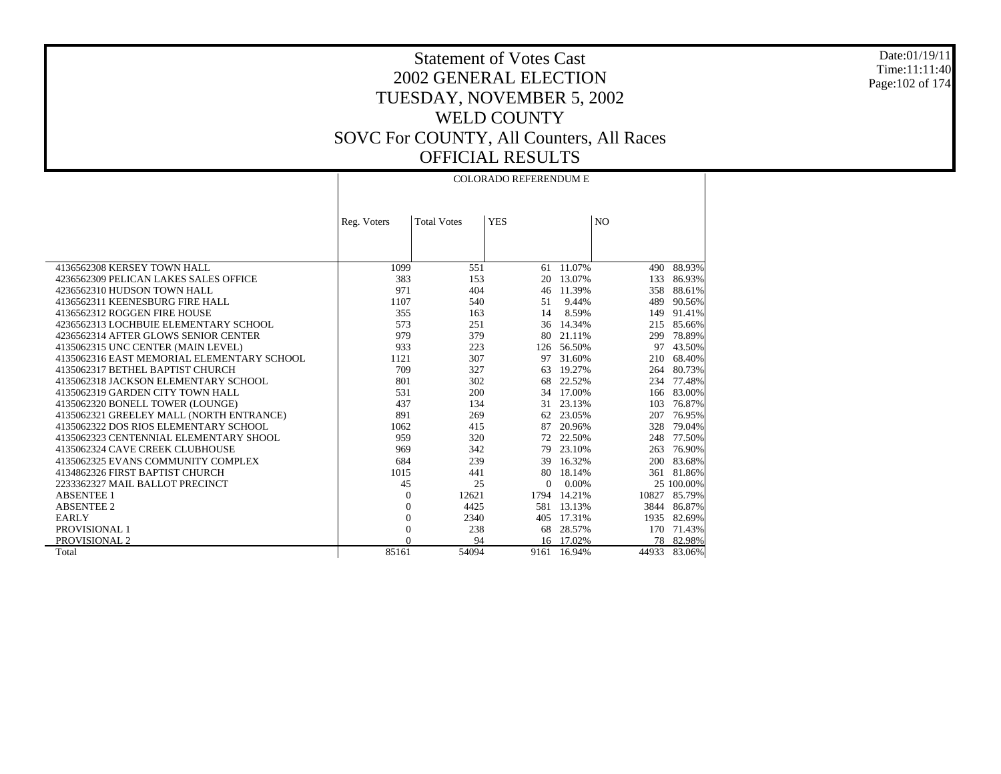Date:01/19/11 Time:11:11:40 Page:102 of 174

## Statement of Votes Cast 2002 GENERAL ELECTION TUESDAY, NOVEMBER 5, 2002 WELD COUNTY SOVC For COUNTY, All Counters, All Races OFFICIAL RESULTS

COLORADO REFERENDUM E

 $\perp$ 

|                                            | Reg. Voters    | <b>Total Votes</b> | <b>YES</b> |             | N <sub>O</sub> |            |
|--------------------------------------------|----------------|--------------------|------------|-------------|----------------|------------|
|                                            |                |                    |            |             |                |            |
| 4136562308 KERSEY TOWN HALL                | 1099           | 551                | 61         | 11.07%      | 490            | 88.93%     |
| 4236562309 PELICAN LAKES SALES OFFICE      | 383            | 153                |            | 20 13.07%   | 133            | 86.93%     |
| 4236562310 HUDSON TOWN HALL                | 971            | 404                |            | 46 11.39%   | 358            | 88.61%     |
| 4136562311 KEENESBURG FIRE HALL            | 1107           | 540                | 51         | 9.44%       | 489            | 90.56%     |
| 4136562312 ROGGEN FIRE HOUSE               | 355            | 163                | 14         | 8.59%       | 149            | 91.41%     |
| 4236562313 LOCHBUIE ELEMENTARY SCHOOL      | 573            | 251                |            | 36 14.34%   | 215            | 85.66%     |
| 4236562314 AFTER GLOWS SENIOR CENTER       | 979            | 379                | 80         | 21.11%      | 299            | 78.89%     |
| 4135062315 UNC CENTER (MAIN LEVEL)         | 933            | 223                | 126        | 56.50%      | 97             | 43.50%     |
| 4135062316 EAST MEMORIAL ELEMENTARY SCHOOL | 1121           | 307                |            | 97 31.60%   | 210            | 68.40%     |
| 4135062317 BETHEL BAPTIST CHURCH           | 709            | 327                | 63         | 19.27%      | 264            | 80.73%     |
| 4135062318 JACKSON ELEMENTARY SCHOOL       | 801            | 302                |            | 68 22.52%   | 234            | 77.48%     |
| 4135062319 GARDEN CITY TOWN HALL           | 531            | 200                |            | 34 17.00%   | 166            | 83.00%     |
| 4135062320 BONELL TOWER (LOUNGE)           | 437            | 134                | 31         | 23.13%      | 103            | 76.87%     |
| 4135062321 GREELEY MALL (NORTH ENTRANCE)   | 891            | 269                | 62         | 23.05%      | 207            | 76.95%     |
| 4135062322 DOS RIOS ELEMENTARY SCHOOL      | 1062           | 415                | 87         | 20.96%      | 328            | 79.04%     |
| 4135062323 CENTENNIAL ELEMENTARY SHOOL     | 959            | 320                |            | 72 22.50%   | 248            | 77.50%     |
| 4135062324 CAVE CREEK CLUBHOUSE            | 969            | 342                |            | 79 23.10%   | 263            | 76.90%     |
| 4135062325 EVANS COMMUNITY COMPLEX         | 684            | 239                | 39         | 16.32%      | 200            | 83.68%     |
| 4134862326 FIRST BAPTIST CHURCH            | 1015           | 441                | 80         | 18.14%      | 361            | 81.86%     |
| 2233362327 MAIL BALLOT PRECINCT            | 45             | 25                 | $\Omega$   | 0.00%       |                | 25 100.00% |
| <b>ABSENTEE 1</b>                          | $\Omega$       | 12621              | 1794       | 14.21%      | 10827          | 85.79%     |
| <b>ABSENTEE 2</b>                          | 0              | 4425               | 581        | 13.13%      | 3844           | 86.87%     |
| <b>EARLY</b>                               | $\overline{0}$ | 2340               | 405        | 17.31%      | 1935           | 82.69%     |
| PROVISIONAL 1                              | $\overline{0}$ | 238                | 68         | 28.57%      | 170            | 71.43%     |
| PROVISIONAL 2                              | $\Omega$       | 94                 |            | 16 17.02%   | 78             | 82.98%     |
| Total                                      | 85161          | 54094              |            | 9161 16.94% | 44933          | 83.06%     |

 $\mathbf{L}$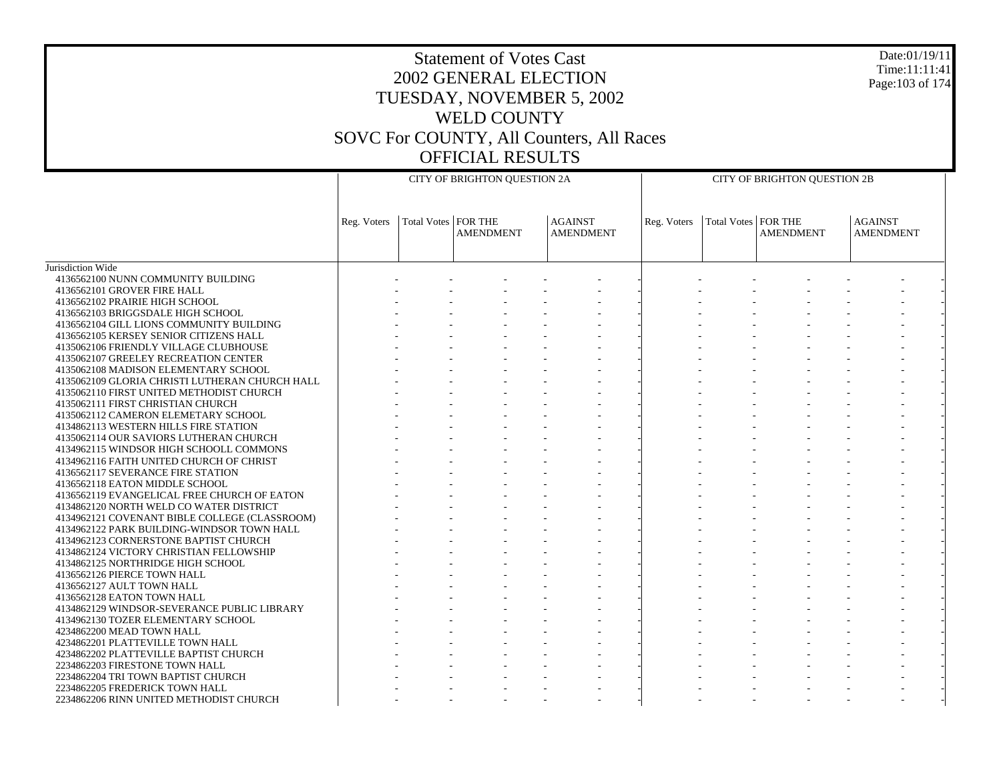# Statement of Votes Cast 2002 GENERAL ELECTION TUESDAY, NOVEMBER 5, 2002 WELD COUNTY SOVC For COUNTY, All Counters, All Races OFFICIAL RESULTS

Date:01/19/11 Time:11:11:41 Page:103 of 174

|                                                                                     |             |                       | CITY OF BRIGHTON QUESTION 2A |                                    |             |                       | CITY OF BRIGHTON QUESTION 2B |                                    |
|-------------------------------------------------------------------------------------|-------------|-----------------------|------------------------------|------------------------------------|-------------|-----------------------|------------------------------|------------------------------------|
|                                                                                     |             |                       |                              |                                    |             |                       |                              |                                    |
|                                                                                     |             |                       |                              |                                    |             |                       |                              |                                    |
|                                                                                     | Reg. Voters | Total Votes   FOR THE | <b>AMENDMENT</b>             | <b>AGAINST</b><br><b>AMENDMENT</b> | Reg. Voters | Total Votes   FOR THE | <b>AMENDMENT</b>             | <b>AGAINST</b><br><b>AMENDMENT</b> |
|                                                                                     |             |                       |                              |                                    |             |                       |                              |                                    |
|                                                                                     |             |                       |                              |                                    |             |                       |                              |                                    |
| Jurisdiction Wide                                                                   |             |                       |                              |                                    |             |                       |                              |                                    |
| 4136562100 NUNN COMMUNITY BUILDING                                                  |             |                       |                              |                                    |             |                       |                              |                                    |
| 4136562101 GROVER FIRE HALL                                                         |             |                       |                              |                                    |             |                       |                              |                                    |
| 4136562102 PRAIRIE HIGH SCHOOL                                                      |             |                       |                              |                                    |             |                       |                              |                                    |
| 4136562103 BRIGGSDALE HIGH SCHOOL                                                   |             |                       |                              |                                    |             |                       |                              |                                    |
| 4136562104 GILL LIONS COMMUNITY BUILDING                                            |             |                       |                              |                                    |             |                       |                              |                                    |
| 4136562105 KERSEY SENIOR CITIZENS HALL                                              |             |                       |                              |                                    |             |                       |                              |                                    |
| 4135062106 FRIENDLY VILLAGE CLUBHOUSE                                               |             |                       |                              |                                    |             |                       |                              |                                    |
| 4135062107 GREELEY RECREATION CENTER                                                |             |                       |                              |                                    |             |                       |                              |                                    |
| 4135062108 MADISON ELEMENTARY SCHOOL                                                |             |                       |                              |                                    |             |                       |                              |                                    |
| 4135062109 GLORIA CHRISTI LUTHERAN CHURCH HALL                                      |             |                       |                              |                                    |             |                       |                              |                                    |
| 4135062110 FIRST UNITED METHODIST CHURCH                                            |             |                       |                              |                                    |             |                       |                              |                                    |
| 4135062111 FIRST CHRISTIAN CHURCH                                                   |             |                       |                              |                                    |             |                       |                              |                                    |
| 4135062112 CAMERON ELEMETARY SCHOOL                                                 |             |                       |                              |                                    |             |                       |                              |                                    |
| 4134862113 WESTERN HILLS FIRE STATION                                               |             |                       |                              |                                    |             |                       |                              |                                    |
| 4135062114 OUR SAVIORS LUTHERAN CHURCH                                              |             |                       |                              |                                    |             |                       |                              |                                    |
| 4134962115 WINDSOR HIGH SCHOOLL COMMONS<br>4134962116 FAITH UNITED CHURCH OF CHRIST |             |                       |                              |                                    |             |                       |                              |                                    |
| 4136562117 SEVERANCE FIRE STATION                                                   |             |                       |                              |                                    |             |                       |                              |                                    |
| 4136562118 EATON MIDDLE SCHOOL                                                      |             |                       |                              |                                    |             |                       |                              |                                    |
| 4136562119 EVANGELICAL FREE CHURCH OF EATON                                         |             |                       |                              |                                    |             |                       |                              |                                    |
| 4134862120 NORTH WELD CO WATER DISTRICT                                             |             |                       |                              |                                    |             |                       |                              |                                    |
| 4134962121 COVENANT BIBLE COLLEGE (CLASSROOM)                                       |             |                       |                              |                                    |             |                       |                              |                                    |
| 4134962122 PARK BUILDING-WINDSOR TOWN HALL                                          |             |                       |                              |                                    |             |                       |                              |                                    |
| 4134962123 CORNERSTONE BAPTIST CHURCH                                               |             |                       |                              |                                    |             |                       |                              |                                    |
| 4134862124 VICTORY CHRISTIAN FELLOWSHIP                                             |             |                       |                              |                                    |             |                       |                              |                                    |
| 4134862125 NORTHRIDGE HIGH SCHOOL                                                   |             |                       |                              |                                    |             |                       |                              |                                    |
| 4136562126 PIERCE TOWN HALL                                                         |             |                       |                              |                                    |             |                       |                              |                                    |
| 4136562127 AULT TOWN HALL                                                           |             |                       |                              |                                    |             |                       |                              |                                    |
| 4136562128 EATON TOWN HALL                                                          |             |                       |                              |                                    |             |                       |                              |                                    |
| 4134862129 WINDSOR-SEVERANCE PUBLIC LIBRARY                                         |             |                       |                              |                                    |             |                       |                              |                                    |
| 4134962130 TOZER ELEMENTARY SCHOOL                                                  |             |                       |                              |                                    |             |                       |                              |                                    |
| 4234862200 MEAD TOWN HALL                                                           |             |                       |                              |                                    |             |                       |                              |                                    |
| 4234862201 PLATTEVILLE TOWN HALL                                                    |             |                       |                              |                                    |             |                       |                              |                                    |
| 4234862202 PLATTEVILLE BAPTIST CHURCH                                               |             |                       |                              |                                    |             |                       |                              |                                    |
| 2234862203 FIRESTONE TOWN HALL                                                      |             |                       |                              |                                    |             |                       |                              |                                    |
| 2234862204 TRI TOWN BAPTIST CHURCH                                                  |             |                       |                              |                                    |             |                       |                              |                                    |
| 2234862205 FREDERICK TOWN HALL                                                      |             |                       |                              |                                    |             |                       |                              |                                    |
| 2234862206 RINN UNITED METHODIST CHURCH                                             |             |                       |                              |                                    |             |                       |                              |                                    |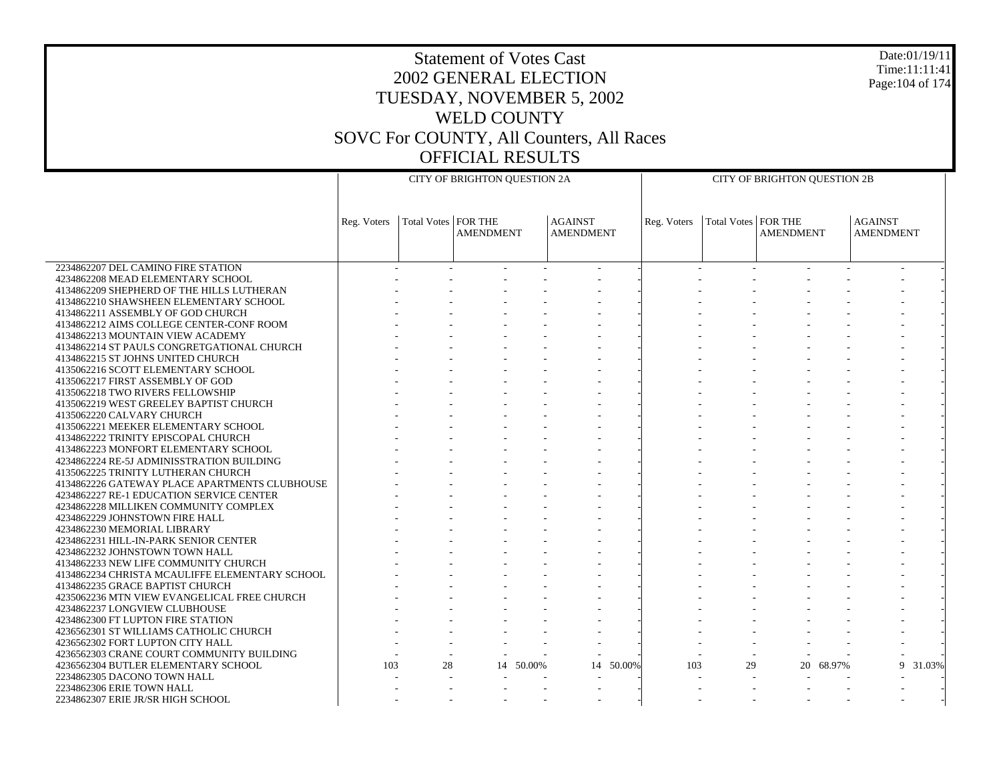# Statement of Votes Cast 2002 GENERAL ELECTION TUESDAY, NOVEMBER 5, 2002 WELD COUNTY SOVC For COUNTY, All Counters, All Races OFFICIAL RESULTS

Date:01/19/11 Time:11:11:41 Page:104 of 174

|                                                |             |                       | CITY OF BRIGHTON QUESTION 2A |           |                                    |             |                       | CITY OF BRIGHTON QUESTION 2B |           |                                    |             |  |
|------------------------------------------------|-------------|-----------------------|------------------------------|-----------|------------------------------------|-------------|-----------------------|------------------------------|-----------|------------------------------------|-------------|--|
|                                                |             |                       |                              |           |                                    |             |                       |                              |           |                                    |             |  |
|                                                | Reg. Voters | Total Votes   FOR THE | <b>AMENDMENT</b>             |           | <b>AGAINST</b><br><b>AMENDMENT</b> | Reg. Voters | Total Votes   FOR THE | <b>AMENDMENT</b>             |           | <b>AGAINST</b><br><b>AMENDMENT</b> |             |  |
|                                                |             |                       |                              |           |                                    |             |                       |                              |           |                                    |             |  |
| 2234862207 DEL CAMINO FIRE STATION             |             |                       |                              |           |                                    |             |                       |                              |           |                                    |             |  |
| 4234862208 MEAD ELEMENTARY SCHOOL              |             |                       |                              |           |                                    |             |                       |                              |           |                                    |             |  |
| 4134862209 SHEPHERD OF THE HILLS LUTHERAN      |             |                       |                              |           |                                    |             |                       |                              |           |                                    |             |  |
| 4134862210 SHAWSHEEN ELEMENTARY SCHOOL         |             |                       |                              |           |                                    |             |                       |                              |           |                                    |             |  |
| 4134862211 ASSEMBLY OF GOD CHURCH              |             |                       |                              |           |                                    |             |                       |                              |           |                                    |             |  |
| 4134862212 AIMS COLLEGE CENTER-CONF ROOM       |             |                       |                              |           |                                    |             |                       |                              |           |                                    |             |  |
| 4134862213 MOUNTAIN VIEW ACADEMY               |             |                       |                              |           |                                    |             |                       |                              |           |                                    |             |  |
| 4134862214 ST PAULS CONGRETGATIONAL CHURCH     |             |                       |                              |           |                                    |             |                       |                              |           |                                    |             |  |
| 4134862215 ST JOHNS UNITED CHURCH              |             |                       |                              |           |                                    |             |                       |                              |           |                                    |             |  |
| 4135062216 SCOTT ELEMENTARY SCHOOL             |             |                       |                              |           |                                    |             |                       |                              |           |                                    |             |  |
| 4135062217 FIRST ASSEMBLY OF GOD               |             |                       |                              |           |                                    |             |                       |                              |           |                                    |             |  |
| 4135062218 TWO RIVERS FELLOWSHIP               |             |                       |                              |           |                                    |             |                       |                              |           |                                    |             |  |
| 4135062219 WEST GREELEY BAPTIST CHURCH         |             |                       |                              |           |                                    |             |                       |                              |           |                                    |             |  |
| 4135062220 CALVARY CHURCH                      |             |                       |                              |           |                                    |             |                       |                              |           |                                    |             |  |
| 4135062221 MEEKER ELEMENTARY SCHOOL            |             |                       |                              |           |                                    |             |                       |                              |           |                                    |             |  |
| 4134862222 TRINITY EPISCOPAL CHURCH            |             |                       |                              |           |                                    |             |                       |                              |           |                                    |             |  |
| 4134862223 MONFORT ELEMENTARY SCHOOL           |             |                       |                              |           |                                    |             |                       |                              |           |                                    |             |  |
| 4234862224 RE-5J ADMINISSTRATION BUILDING      |             |                       |                              |           |                                    |             |                       |                              |           |                                    |             |  |
| 4135062225 TRINITY LUTHERAN CHURCH             |             |                       |                              |           |                                    |             |                       |                              |           |                                    |             |  |
| 4134862226 GATEWAY PLACE APARTMENTS CLUBHOUSE  |             |                       |                              |           |                                    |             |                       |                              |           |                                    |             |  |
| 4234862227 RE-1 EDUCATION SERVICE CENTER       |             |                       |                              |           |                                    |             |                       |                              |           |                                    |             |  |
| 4234862228 MILLIKEN COMMUNITY COMPLEX          |             |                       |                              |           |                                    |             |                       |                              |           |                                    |             |  |
| 4234862229 JOHNSTOWN FIRE HALL                 |             |                       |                              |           |                                    |             |                       |                              |           |                                    |             |  |
| 4234862230 MEMORIAL LIBRARY                    |             |                       |                              |           |                                    |             |                       |                              |           |                                    |             |  |
| 4234862231 HILL-IN-PARK SENIOR CENTER          |             |                       |                              |           |                                    |             |                       |                              |           |                                    |             |  |
| 4234862232 JOHNSTOWN TOWN HALL                 |             |                       |                              |           |                                    |             |                       |                              |           |                                    |             |  |
| 4134862233 NEW LIFE COMMUNITY CHURCH           |             |                       |                              |           |                                    |             |                       |                              |           |                                    |             |  |
| 4134862234 CHRISTA MCAULIFFE ELEMENTARY SCHOOL |             |                       |                              |           |                                    |             |                       |                              |           |                                    |             |  |
| 4134862235 GRACE BAPTIST CHURCH                |             |                       |                              |           |                                    |             |                       |                              |           |                                    |             |  |
| 4235062236 MTN VIEW EVANGELICAL FREE CHURCH    |             |                       |                              |           |                                    |             |                       |                              |           |                                    |             |  |
| 4234862237 LONGVIEW CLUBHOUSE                  |             |                       |                              |           |                                    |             |                       |                              |           |                                    |             |  |
| 4234862300 FT LUPTON FIRE STATION              |             |                       |                              |           |                                    |             |                       |                              |           |                                    |             |  |
| 4236562301 ST WILLIAMS CATHOLIC CHURCH         |             |                       |                              |           |                                    |             |                       |                              |           |                                    |             |  |
| 4236562302 FORT LUPTON CITY HALL               |             |                       |                              |           |                                    |             |                       |                              |           |                                    |             |  |
| 4236562303 CRANE COURT COMMUNITY BUILDING      |             |                       |                              |           |                                    |             |                       |                              |           |                                    |             |  |
| 4236562304 BUTLER ELEMENTARY SCHOOL            | 103         | 28                    |                              | 14 50.00% | 14 50.00%                          | 103         | 29                    |                              | 20 68.97% |                                    | 9<br>31.03% |  |
| 2234862305 DACONO TOWN HALL                    |             |                       |                              |           |                                    |             |                       |                              |           |                                    |             |  |
| 2234862306 ERIE TOWN HALL                      |             |                       |                              |           |                                    |             |                       |                              |           |                                    |             |  |
| 2234862307 ERIE JR/SR HIGH SCHOOL              |             |                       |                              |           |                                    |             |                       |                              |           |                                    |             |  |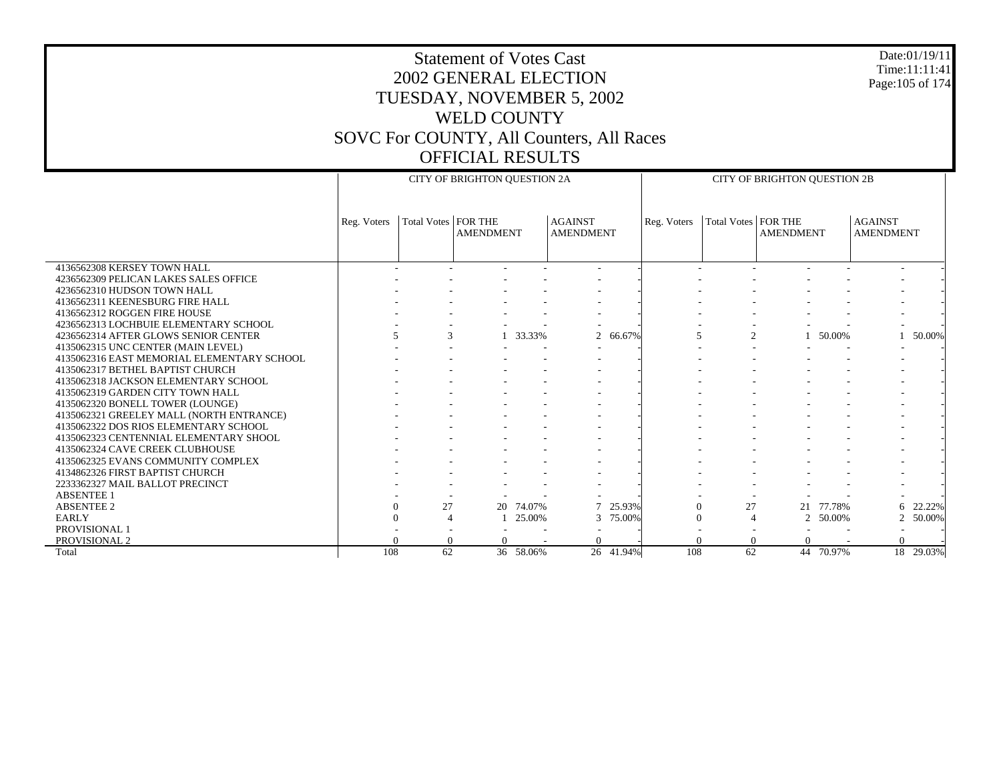# Statement of Votes Cast 2002 GENERAL ELECTION TUESDAY, NOVEMBER 5, 2002 WELD COUNTY SOVC For COUNTY, All Counters, All Races OFFICIAL RESULTS

Date:01/19/11 Time:11:11:41 Page:105 of 174

|                                            |             |                       | CITY OF BRIGHTON QUESTION 2A |           |                                    |           |             |                       | <b>CITY OF BRIGHTON QUESTION 2B</b> |           |                                    |           |
|--------------------------------------------|-------------|-----------------------|------------------------------|-----------|------------------------------------|-----------|-------------|-----------------------|-------------------------------------|-----------|------------------------------------|-----------|
|                                            | Reg. Voters | Total Votes   FOR THE | <b>AMENDMENT</b>             |           | <b>AGAINST</b><br><b>AMENDMENT</b> |           | Reg. Voters | Total Votes   FOR THE | <b>AMENDMENT</b>                    |           | <b>AGAINST</b><br><b>AMENDMENT</b> |           |
| 4136562308 KERSEY TOWN HALL                |             |                       |                              |           |                                    |           |             |                       |                                     |           |                                    |           |
| 4236562309 PELICAN LAKES SALES OFFICE      |             |                       |                              |           |                                    |           |             |                       |                                     |           |                                    |           |
| 4236562310 HUDSON TOWN HALL                |             |                       |                              |           |                                    |           |             |                       |                                     |           |                                    |           |
| 4136562311 KEENESBURG FIRE HALL            |             |                       |                              |           |                                    |           |             |                       |                                     |           |                                    |           |
| 4136562312 ROGGEN FIRE HOUSE               |             |                       |                              |           |                                    |           |             |                       |                                     |           |                                    |           |
| 4236562313 LOCHBUIE ELEMENTARY SCHOOL      |             |                       |                              |           |                                    |           |             |                       |                                     |           |                                    |           |
| 4236562314 AFTER GLOWS SENIOR CENTER       |             | 3                     |                              | 1 33.33%  |                                    | 2 66.67%  | 5           | $\overline{2}$        |                                     | 50.00%    |                                    | 50.00%    |
| 4135062315 UNC CENTER (MAIN LEVEL)         |             |                       |                              |           |                                    |           |             |                       |                                     |           |                                    |           |
| 4135062316 EAST MEMORIAL ELEMENTARY SCHOOL |             |                       |                              |           |                                    |           |             |                       |                                     |           |                                    |           |
| 4135062317 BETHEL BAPTIST CHURCH           |             |                       |                              |           |                                    |           |             |                       |                                     |           |                                    |           |
| 4135062318 JACKSON ELEMENTARY SCHOOL       |             |                       |                              |           |                                    |           |             |                       |                                     |           |                                    |           |
| 4135062319 GARDEN CITY TOWN HALL           |             |                       |                              |           |                                    |           |             |                       |                                     |           |                                    |           |
| 4135062320 BONELL TOWER (LOUNGE)           |             |                       |                              |           |                                    |           |             |                       |                                     |           |                                    |           |
| 4135062321 GREELEY MALL (NORTH ENTRANCE)   |             |                       |                              |           |                                    |           |             |                       |                                     |           |                                    |           |
| 4135062322 DOS RIOS ELEMENTARY SCHOOL      |             |                       |                              |           |                                    |           |             |                       |                                     |           |                                    |           |
| 4135062323 CENTENNIAL ELEMENTARY SHOOL     |             |                       |                              |           |                                    |           |             |                       |                                     |           |                                    |           |
| 4135062324 CAVE CREEK CLUBHOUSE            |             |                       |                              |           |                                    |           |             |                       |                                     |           |                                    |           |
| 4135062325 EVANS COMMUNITY COMPLEX         |             |                       |                              |           |                                    |           |             |                       |                                     |           |                                    |           |
| 4134862326 FIRST BAPTIST CHURCH            |             |                       |                              |           |                                    |           |             |                       |                                     |           |                                    |           |
| 2233362327 MAIL BALLOT PRECINCT            |             |                       |                              |           |                                    |           |             |                       |                                     |           |                                    |           |
| <b>ABSENTEE 1</b>                          |             |                       |                              |           |                                    |           |             |                       |                                     |           |                                    |           |
| <b>ABSENTEE 2</b>                          |             | 27                    |                              | 20 74.07% |                                    | 25.93%    | $\Omega$    | 27                    | 21                                  | 77.78%    | 6                                  | 22.22%    |
| <b>EARLY</b>                               |             |                       |                              | 25.00%    | 3                                  | 75.00%    | $\theta$    |                       | 2                                   | 50.00%    | $\overline{2}$                     | 50.00%    |
| PROVISIONAL 1                              |             |                       |                              |           |                                    |           |             |                       |                                     |           |                                    |           |
| PROVISIONAL 2                              |             |                       |                              |           |                                    |           |             |                       | $\Omega$                            |           |                                    |           |
| Total                                      | 108         | 62                    |                              | 36 58.06% |                                    | 26 41.94% | 108         | 62                    |                                     | 44 70.97% |                                    | 18 29.03% |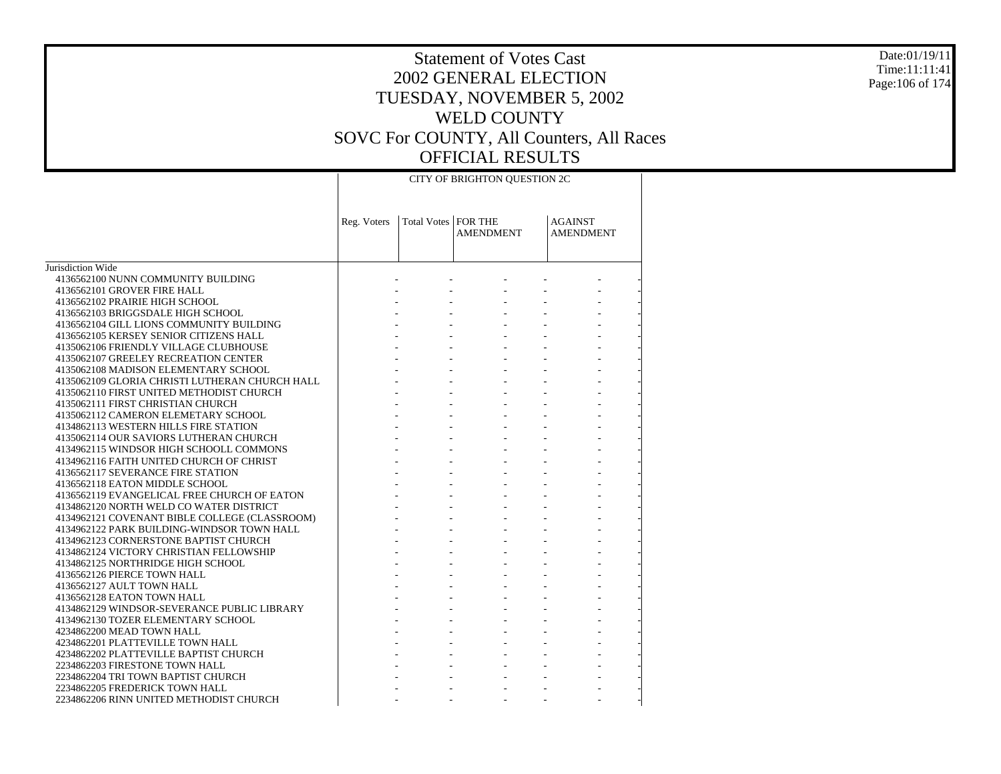### Date:01/19/11 Time:11:11:41 Page:106 of 174

# Statement of Votes Cast 2002 GENERAL ELECTION TUESDAY, NOVEMBER 5, 2002 WELD COUNTY SOVC For COUNTY, All Counters, All Races OFFICIAL RESULTS

CITY OF BRIGHTON QUESTION 2C

|                                                | Reg. Voters | Total Votes   FOR THE | <b>AMENDMENT</b> | <b>AGAINST</b><br><b>AMENDMENT</b> |  |
|------------------------------------------------|-------------|-----------------------|------------------|------------------------------------|--|
| Jurisdiction Wide                              |             |                       |                  |                                    |  |
| 4136562100 NUNN COMMUNITY BUILDING             |             |                       |                  |                                    |  |
| 4136562101 GROVER FIRE HALL                    |             |                       |                  |                                    |  |
| 4136562102 PRAIRIE HIGH SCHOOL                 |             |                       |                  |                                    |  |
| 4136562103 BRIGGSDALE HIGH SCHOOL              |             |                       |                  |                                    |  |
| 4136562104 GILL LIONS COMMUNITY BUILDING       |             |                       |                  |                                    |  |
| 4136562105 KERSEY SENIOR CITIZENS HALL         |             |                       |                  |                                    |  |
| 4135062106 FRIENDLY VILLAGE CLUBHOUSE          |             |                       |                  |                                    |  |
| 4135062107 GREELEY RECREATION CENTER           |             |                       |                  |                                    |  |
| 4135062108 MADISON ELEMENTARY SCHOOL           |             |                       |                  |                                    |  |
| 4135062109 GLORIA CHRISTI LUTHERAN CHURCH HALL |             |                       |                  |                                    |  |
| 4135062110 FIRST UNITED METHODIST CHURCH       |             |                       |                  |                                    |  |
| 4135062111 FIRST CHRISTIAN CHURCH              |             |                       |                  |                                    |  |
| 4135062112 CAMERON ELEMETARY SCHOOL            |             |                       |                  |                                    |  |
| 4134862113 WESTERN HILLS FIRE STATION          |             |                       |                  |                                    |  |
| 4135062114 OUR SAVIORS LUTHERAN CHURCH         |             |                       |                  |                                    |  |
| 4134962115 WINDSOR HIGH SCHOOLL COMMONS        |             |                       |                  |                                    |  |
| 4134962116 FAITH UNITED CHURCH OF CHRIST       |             |                       |                  |                                    |  |
| 4136562117 SEVERANCE FIRE STATION              |             |                       |                  |                                    |  |
| 4136562118 EATON MIDDLE SCHOOL                 |             |                       |                  |                                    |  |
| 4136562119 EVANGELICAL FREE CHURCH OF EATON    |             |                       |                  |                                    |  |
| 4134862120 NORTH WELD CO WATER DISTRICT        |             |                       |                  |                                    |  |
| 4134962121 COVENANT BIBLE COLLEGE (CLASSROOM)  |             |                       |                  |                                    |  |
| 4134962122 PARK BUILDING-WINDSOR TOWN HALL     |             |                       |                  |                                    |  |
| 4134962123 CORNERSTONE BAPTIST CHURCH          |             |                       |                  |                                    |  |
| 4134862124 VICTORY CHRISTIAN FELLOWSHIP        |             |                       |                  |                                    |  |
| 4134862125 NORTHRIDGE HIGH SCHOOL              |             |                       |                  |                                    |  |
| 4136562126 PIERCE TOWN HALL                    |             |                       |                  |                                    |  |
| 4136562127 AULT TOWN HALL                      |             |                       |                  |                                    |  |
| 4136562128 EATON TOWN HALL                     |             |                       |                  |                                    |  |
| 4134862129 WINDSOR-SEVERANCE PUBLIC LIBRARY    |             |                       |                  |                                    |  |
| 4134962130 TOZER ELEMENTARY SCHOOL             |             |                       |                  |                                    |  |
| 4234862200 MEAD TOWN HALL                      |             |                       |                  |                                    |  |
| 4234862201 PLATTEVILLE TOWN HALL               |             |                       |                  |                                    |  |
| 4234862202 PLATTEVILLE BAPTIST CHURCH          |             |                       |                  |                                    |  |
| 2234862203 FIRESTONE TOWN HALL                 |             |                       |                  |                                    |  |
| 2234862204 TRI TOWN BAPTIST CHURCH             |             |                       |                  |                                    |  |
| 2234862205 FREDERICK TOWN HALL                 |             |                       |                  |                                    |  |
| 2234862206 RINN UNITED METHODIST CHURCH        |             |                       |                  |                                    |  |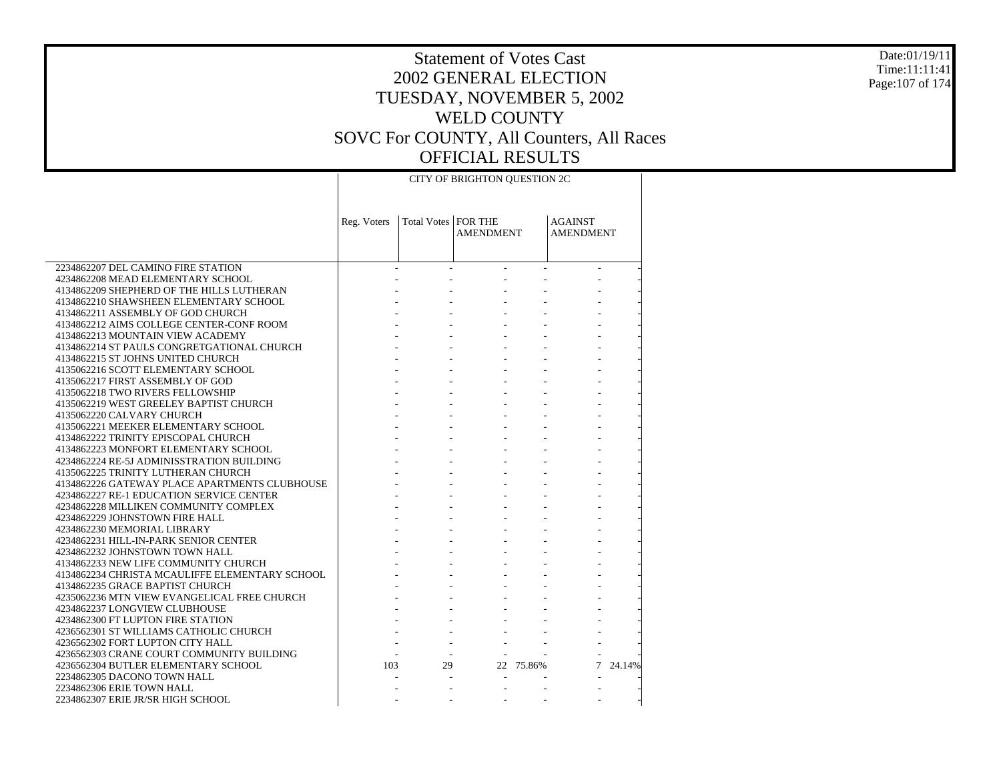Date:01/19/11 Time:11:11:41 Page:107 of 174

|                                                |             |                     | CITY OF BRIGHTON QUESTION 2C |              |                                    |          |
|------------------------------------------------|-------------|---------------------|------------------------------|--------------|------------------------------------|----------|
|                                                | Reg. Voters | Total Votes FOR THE | <b>AMENDMENT</b>             |              | <b>AGAINST</b><br><b>AMENDMENT</b> |          |
| 2234862207 DEL CAMINO FIRE STATION             |             | $\sim$              | $\sim$                       | $\mathbf{r}$ |                                    |          |
| 4234862208 MEAD ELEMENTARY SCHOOL              |             |                     |                              |              |                                    |          |
| 4134862209 SHEPHERD OF THE HILLS LUTHERAN      |             |                     |                              |              |                                    |          |
| 4134862210 SHAWSHEEN ELEMENTARY SCHOOL         |             |                     |                              |              |                                    |          |
| 4134862211 ASSEMBLY OF GOD CHURCH              |             |                     |                              |              |                                    |          |
| 4134862212 AIMS COLLEGE CENTER-CONF ROOM       |             |                     |                              |              |                                    |          |
| 4134862213 MOUNTAIN VIEW ACADEMY               |             |                     |                              |              |                                    |          |
| 4134862214 ST PAULS CONGRETGATIONAL CHURCH     |             |                     |                              |              |                                    |          |
| 4134862215 ST JOHNS UNITED CHURCH              |             |                     |                              |              |                                    |          |
| 4135062216 SCOTT ELEMENTARY SCHOOL             |             |                     |                              |              |                                    |          |
| 4135062217 FIRST ASSEMBLY OF GOD               |             |                     |                              |              |                                    |          |
| 4135062218 TWO RIVERS FELLOWSHIP               |             |                     |                              |              |                                    |          |
| 4135062219 WEST GREELEY BAPTIST CHURCH         |             |                     |                              |              |                                    |          |
| 4135062220 CALVARY CHURCH                      |             |                     |                              |              |                                    |          |
| 4135062221 MEEKER ELEMENTARY SCHOOL            |             |                     |                              |              |                                    |          |
| 4134862222 TRINITY EPISCOPAL CHURCH            |             |                     |                              |              |                                    |          |
| 4134862223 MONFORT ELEMENTARY SCHOOL           |             |                     |                              |              |                                    |          |
| 4234862224 RE-5J ADMINISSTRATION BUILDING      |             |                     |                              |              |                                    |          |
| 4135062225 TRINITY LUTHERAN CHURCH             |             |                     |                              |              |                                    |          |
| 4134862226 GATEWAY PLACE APARTMENTS CLUBHOUSE  |             |                     |                              |              |                                    |          |
| 4234862227 RE-1 EDUCATION SERVICE CENTER       |             |                     |                              |              |                                    |          |
| 4234862228 MILLIKEN COMMUNITY COMPLEX          |             |                     |                              |              |                                    |          |
| 4234862229 JOHNSTOWN FIRE HALL                 |             |                     |                              |              |                                    |          |
| 4234862230 MEMORIAL LIBRARY                    |             |                     |                              |              |                                    |          |
| 4234862231 HILL-IN-PARK SENIOR CENTER          |             |                     |                              |              |                                    |          |
| 4234862232 JOHNSTOWN TOWN HALL                 |             |                     |                              |              |                                    |          |
| 4134862233 NEW LIFE COMMUNITY CHURCH           |             |                     |                              |              |                                    |          |
| 4134862234 CHRISTA MCAULIFFE ELEMENTARY SCHOOL |             |                     |                              |              |                                    |          |
| 4134862235 GRACE BAPTIST CHURCH                |             |                     |                              |              |                                    |          |
| 4235062236 MTN VIEW EVANGELICAL FREE CHURCH    |             |                     |                              |              |                                    |          |
| 4234862237 LONGVIEW CLUBHOUSE                  |             |                     |                              |              |                                    |          |
| 4234862300 FT LUPTON FIRE STATION              |             |                     |                              |              |                                    |          |
| 4236562301 ST WILLIAMS CATHOLIC CHURCH         |             |                     |                              |              |                                    |          |
| 4236562302 FORT LUPTON CITY HALL               |             |                     |                              |              |                                    |          |
| 4236562303 CRANE COURT COMMUNITY BUILDING      |             |                     |                              |              |                                    |          |
| 4236562304 BUTLER ELEMENTARY SCHOOL            | 103         | 29                  |                              | 22 75.86%    |                                    | 7 24.14% |
| 2234862305 DACONO TOWN HALL                    |             |                     |                              |              |                                    |          |
| 2234862306 ERIE TOWN HALL                      |             |                     |                              |              |                                    |          |
| 2234862307 ERIE JR/SR HIGH SCHOOL              |             |                     |                              |              |                                    |          |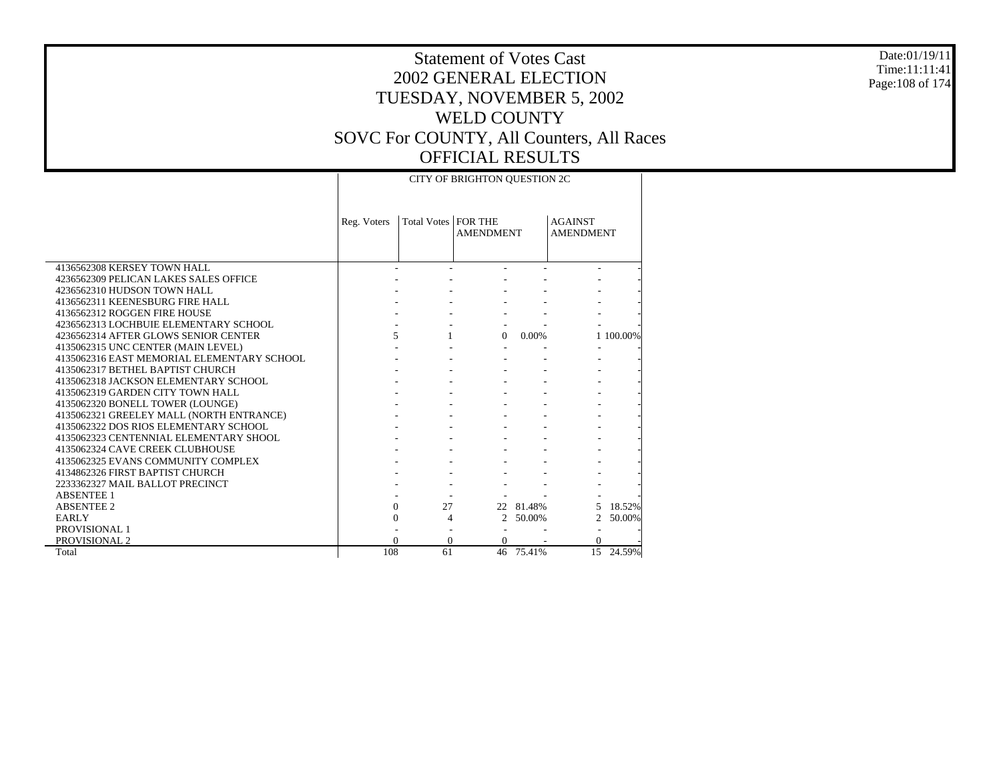Date:01/19/11 Time:11:11:41 Page:108 of 174

|                                            |             |                       | CITY OF BRIGHTON QUESTION 2C |           |                                    |           |
|--------------------------------------------|-------------|-----------------------|------------------------------|-----------|------------------------------------|-----------|
|                                            | Reg. Voters | Total Votes   FOR THE | <b>AMENDMENT</b>             |           | <b>AGAINST</b><br><b>AMENDMENT</b> |           |
| 4136562308 KERSEY TOWN HALL                |             |                       |                              |           |                                    |           |
| 4236562309 PELICAN LAKES SALES OFFICE      |             |                       |                              |           |                                    |           |
| 4236562310 HUDSON TOWN HALL                |             |                       |                              |           |                                    |           |
| 4136562311 KEENESBURG FIRE HALL            |             |                       |                              |           |                                    |           |
| 4136562312 ROGGEN FIRE HOUSE               |             |                       |                              |           |                                    |           |
| 4236562313 LOCHBUIE ELEMENTARY SCHOOL      |             |                       |                              |           |                                    |           |
| 4236562314 AFTER GLOWS SENIOR CENTER       |             | $\overline{5}$        | $\Omega$                     | $0.00\%$  |                                    | 1 100,00% |
| 4135062315 UNC CENTER (MAIN LEVEL)         |             |                       |                              |           |                                    |           |
| 4135062316 EAST MEMORIAL ELEMENTARY SCHOOL |             |                       |                              |           |                                    |           |
| 4135062317 BETHEL BAPTIST CHURCH           |             |                       |                              |           |                                    |           |
| 4135062318 JACKSON ELEMENTARY SCHOOL       |             |                       |                              |           |                                    |           |
| 4135062319 GARDEN CITY TOWN HALL           |             |                       |                              |           |                                    |           |
| 4135062320 BONELL TOWER (LOUNGE)           |             |                       |                              |           |                                    |           |
| 4135062321 GREELEY MALL (NORTH ENTRANCE)   |             |                       |                              |           |                                    |           |
| 4135062322 DOS RIOS ELEMENTARY SCHOOL      |             |                       |                              |           |                                    |           |
| 4135062323 CENTENNIAL ELEMENTARY SHOOL     |             |                       |                              |           |                                    |           |
| 4135062324 CAVE CREEK CLUBHOUSE            |             |                       |                              |           |                                    |           |
| 4135062325 EVANS COMMUNITY COMPLEX         |             |                       |                              |           |                                    |           |
| 4134862326 FIRST BAPTIST CHURCH            |             |                       |                              |           |                                    |           |
| 2233362327 MAIL BALLOT PRECINCT            |             |                       |                              |           |                                    |           |
| <b>ABSENTEE 1</b>                          |             |                       |                              |           |                                    |           |
| <b>ABSENTEE 2</b>                          |             | $\Omega$<br>27        |                              | 22 81.48% |                                    | 18.52%    |
| EARLY                                      |             | 0<br>4                |                              | 2 50.00%  |                                    | 2 50.00%  |
| PROVISIONAL 1                              |             |                       |                              |           |                                    |           |
| PROVISIONAL 2                              |             | $\Omega$              | $\Omega$                     |           | $\Omega$                           |           |
| Total                                      | 108         | 61                    |                              | 46 75.41% | 15                                 | 24.59%    |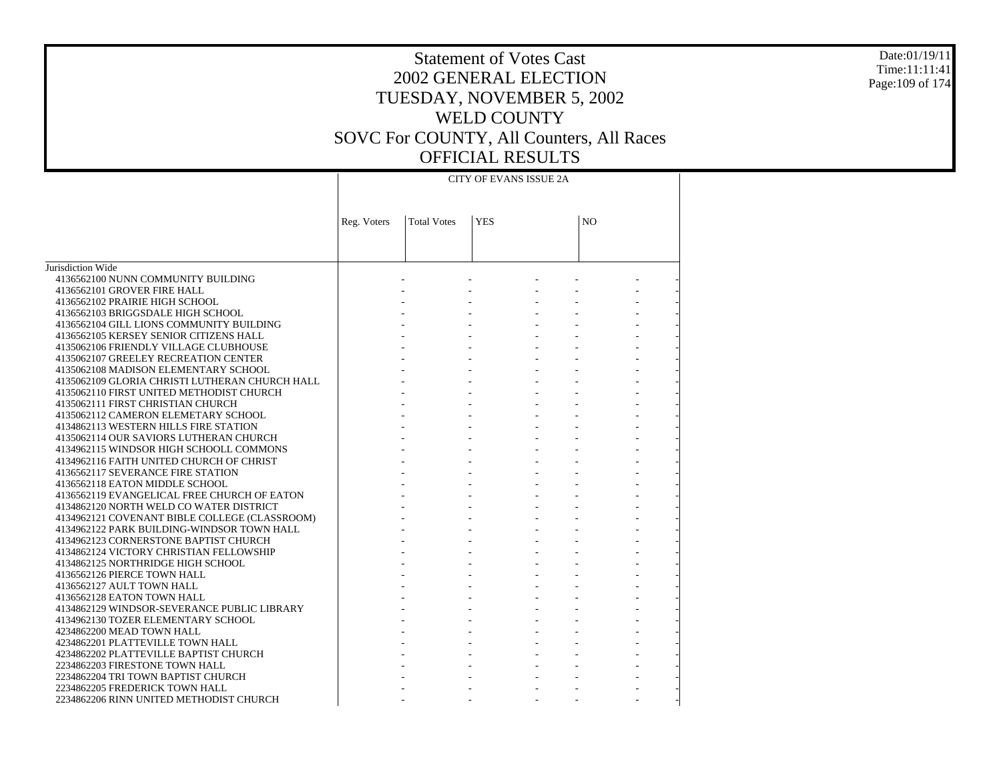#### Date:01/19/11 Time:11:11:41 Page:109 of 174

|                                                | CITY OF EVANS ISSUE 2A |                    |            |  |                |  |  |  |  |
|------------------------------------------------|------------------------|--------------------|------------|--|----------------|--|--|--|--|
|                                                | Reg. Voters            | <b>Total Votes</b> | <b>YES</b> |  | N <sub>O</sub> |  |  |  |  |
|                                                |                        |                    |            |  |                |  |  |  |  |
| Jurisdiction Wide                              |                        |                    |            |  |                |  |  |  |  |
| 4136562100 NUNN COMMUNITY BUILDING             |                        |                    |            |  |                |  |  |  |  |
| 4136562101 GROVER FIRE HALL                    |                        |                    |            |  |                |  |  |  |  |
| 4136562102 PRAIRIE HIGH SCHOOL                 |                        |                    |            |  |                |  |  |  |  |
| 4136562103 BRIGGSDALE HIGH SCHOOL              |                        |                    |            |  |                |  |  |  |  |
| 4136562104 GILL LIONS COMMUNITY BUILDING       |                        |                    |            |  |                |  |  |  |  |
| 4136562105 KERSEY SENIOR CITIZENS HALL         |                        |                    |            |  |                |  |  |  |  |
| 4135062106 FRIENDLY VILLAGE CLUBHOUSE          |                        |                    |            |  |                |  |  |  |  |
| 4135062107 GREELEY RECREATION CENTER           |                        |                    |            |  |                |  |  |  |  |
| 4135062108 MADISON ELEMENTARY SCHOOL           |                        |                    |            |  |                |  |  |  |  |
| 4135062109 GLORIA CHRISTI LUTHERAN CHURCH HALL |                        |                    |            |  |                |  |  |  |  |
| 4135062110 FIRST UNITED METHODIST CHURCH       |                        |                    |            |  |                |  |  |  |  |
| 4135062111 FIRST CHRISTIAN CHURCH              |                        |                    |            |  |                |  |  |  |  |
| 4135062112 CAMERON ELEMETARY SCHOOL            |                        |                    |            |  |                |  |  |  |  |
| 4134862113 WESTERN HILLS FIRE STATION          |                        |                    |            |  |                |  |  |  |  |
| 4135062114 OUR SAVIORS LUTHERAN CHURCH         |                        |                    |            |  |                |  |  |  |  |
| 4134962115 WINDSOR HIGH SCHOOLL COMMONS        |                        |                    |            |  |                |  |  |  |  |
| 4134962116 FAITH UNITED CHURCH OF CHRIST       |                        |                    |            |  |                |  |  |  |  |
| 4136562117 SEVERANCE FIRE STATION              |                        |                    |            |  |                |  |  |  |  |
| 4136562118 EATON MIDDLE SCHOOL                 |                        |                    |            |  |                |  |  |  |  |
| 4136562119 EVANGELICAL FREE CHURCH OF EATON    |                        |                    |            |  |                |  |  |  |  |
| 4134862120 NORTH WELD CO WATER DISTRICT        |                        |                    |            |  |                |  |  |  |  |
| 4134962121 COVENANT BIBLE COLLEGE (CLASSROOM)  |                        |                    |            |  |                |  |  |  |  |
| 4134962122 PARK BUILDING-WINDSOR TOWN HALL     |                        |                    |            |  |                |  |  |  |  |
| 4134962123 CORNERSTONE BAPTIST CHURCH          |                        |                    |            |  |                |  |  |  |  |
| 4134862124 VICTORY CHRISTIAN FELLOWSHIP        |                        |                    |            |  |                |  |  |  |  |
| 4134862125 NORTHRIDGE HIGH SCHOOL              |                        |                    |            |  |                |  |  |  |  |
| 4136562126 PIERCE TOWN HALL                    |                        |                    |            |  |                |  |  |  |  |
| 4136562127 AULT TOWN HALL                      |                        |                    |            |  |                |  |  |  |  |
| 4136562128 EATON TOWN HALL                     |                        |                    |            |  |                |  |  |  |  |
| 4134862129 WINDSOR-SEVERANCE PUBLIC LIBRARY    |                        |                    |            |  |                |  |  |  |  |
| 4134962130 TOZER ELEMENTARY SCHOOL             |                        |                    |            |  |                |  |  |  |  |
| 4234862200 MEAD TOWN HALL                      |                        |                    |            |  |                |  |  |  |  |
| 4234862201 PLATTEVILLE TOWN HALL               |                        |                    |            |  |                |  |  |  |  |
| 4234862202 PLATTEVILLE BAPTIST CHURCH          |                        |                    |            |  |                |  |  |  |  |
| 2234862203 FIRESTONE TOWN HALL                 |                        |                    |            |  |                |  |  |  |  |
| 2234862204 TRI TOWN BAPTIST CHURCH             |                        |                    |            |  |                |  |  |  |  |
| 2234862205 FREDERICK TOWN HALL                 |                        |                    |            |  |                |  |  |  |  |
| 2234862206 RINN UNITED METHODIST CHURCH        |                        |                    |            |  |                |  |  |  |  |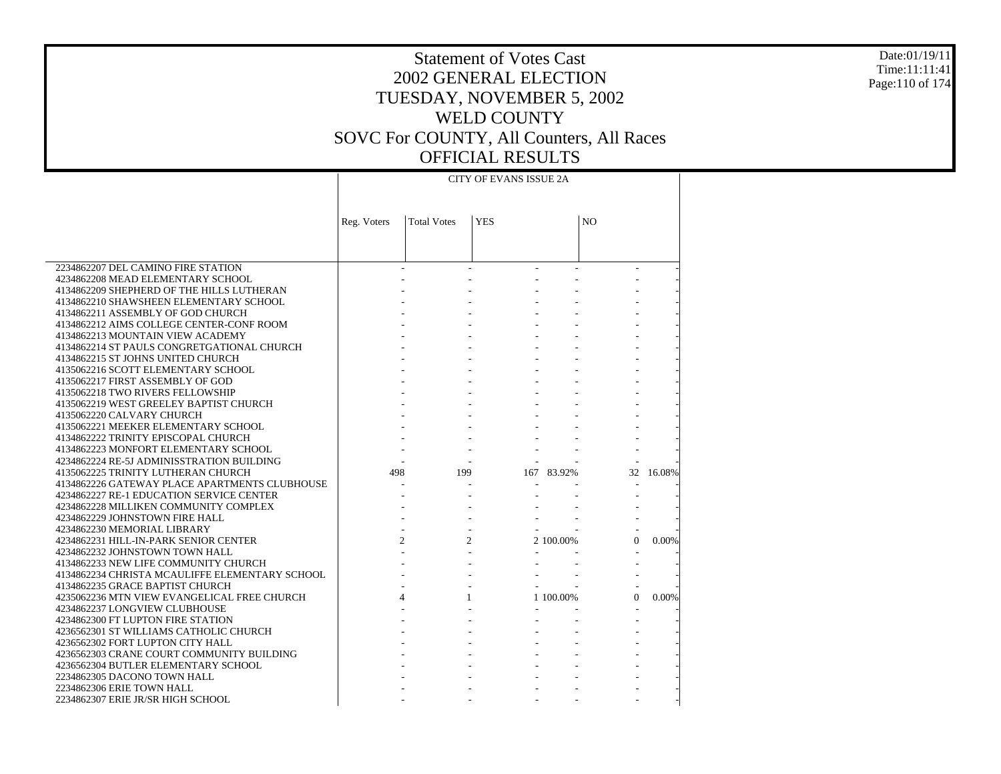#### Date:01/19/11 Time:11:11:41 Page:110 of 174

### Statement of Votes Cast 2002 GENERAL ELECTION TUESDAY, NOVEMBER 5, 2002 WELD COUNTY SOVC For COUNTY, All Counters, All Races OFFICIAL RESULTS

### CITY OF EVANS ISSUE 2A

|                                                | Reg. Voters    | <b>Total Votes</b> | <b>YES</b> |            | NO       |        |
|------------------------------------------------|----------------|--------------------|------------|------------|----------|--------|
|                                                |                |                    |            |            |          |        |
|                                                |                |                    |            |            |          |        |
|                                                |                |                    |            |            |          |        |
| 2234862207 DEL CAMINO FIRE STATION             |                |                    |            |            |          |        |
| 4234862208 MEAD ELEMENTARY SCHOOL              |                |                    |            |            |          |        |
| 4134862209 SHEPHERD OF THE HILLS LUTHERAN      |                |                    |            |            |          |        |
| 4134862210 SHAWSHEEN ELEMENTARY SCHOOL         |                |                    |            |            |          |        |
| 4134862211 ASSEMBLY OF GOD CHURCH              |                |                    |            |            |          |        |
| 4134862212 AIMS COLLEGE CENTER-CONF ROOM       |                |                    |            |            |          |        |
| 4134862213 MOUNTAIN VIEW ACADEMY               |                |                    |            |            |          |        |
| 4134862214 ST PAULS CONGRETGATIONAL CHURCH     |                |                    |            |            |          |        |
| 4134862215 ST JOHNS UNITED CHURCH              |                |                    |            |            |          |        |
| 4135062216 SCOTT ELEMENTARY SCHOOL             |                |                    |            |            |          |        |
| 4135062217 FIRST ASSEMBLY OF GOD               |                |                    |            |            |          |        |
| 4135062218 TWO RIVERS FELLOWSHIP               |                |                    |            |            |          |        |
| 4135062219 WEST GREELEY BAPTIST CHURCH         |                |                    |            |            |          |        |
| 4135062220 CALVARY CHURCH                      |                |                    |            |            |          |        |
| 4135062221 MEEKER ELEMENTARY SCHOOL            |                |                    |            |            |          |        |
| 4134862222 TRINITY EPISCOPAL CHURCH            |                |                    |            |            |          |        |
| 4134862223 MONFORT ELEMENTARY SCHOOL           |                |                    |            |            |          |        |
| 4234862224 RE-5J ADMINISSTRATION BUILDING      |                |                    |            |            |          |        |
| 4135062225 TRINITY LUTHERAN CHURCH             | 498            | 199                |            | 167 83.92% | 32       | 16.08% |
| 4134862226 GATEWAY PLACE APARTMENTS CLUBHOUSE  |                |                    |            |            |          |        |
| 4234862227 RE-1 EDUCATION SERVICE CENTER       |                |                    |            |            |          |        |
| 4234862228 MILLIKEN COMMUNITY COMPLEX          |                |                    |            |            |          |        |
| 4234862229 JOHNSTOWN FIRE HALL                 |                |                    |            |            |          |        |
| 4234862230 MEMORIAL LIBRARY                    |                |                    |            |            |          |        |
| 4234862231 HILL-IN-PARK SENIOR CENTER          | $\overline{c}$ | $\overline{c}$     |            | 2 100,00%  | $\theta$ | 0.00%  |
| 4234862232 JOHNSTOWN TOWN HALL                 |                |                    |            |            |          |        |
| 4134862233 NEW LIFE COMMUNITY CHURCH           |                |                    |            |            |          |        |
| 4134862234 CHRISTA MCAULIFFE ELEMENTARY SCHOOL |                |                    |            |            |          |        |
| 4134862235 GRACE BAPTIST CHURCH                |                |                    |            |            |          |        |
| 4235062236 MTN VIEW EVANGELICAL FREE CHURCH    |                |                    |            | 1 100,00%  | $\Omega$ | 0.00%  |
| 4234862237 LONGVIEW CLUBHOUSE                  |                |                    |            |            |          |        |
| 4234862300 FT LUPTON FIRE STATION              |                |                    |            |            |          |        |
| 4236562301 ST WILLIAMS CATHOLIC CHURCH         |                |                    |            |            |          |        |
| 4236562302 FORT LUPTON CITY HALL               |                |                    |            |            |          |        |
| 4236562303 CRANE COURT COMMUNITY BUILDING      |                |                    |            |            |          |        |
| 4236562304 BUTLER ELEMENTARY SCHOOL            |                |                    |            |            |          |        |
| 2234862305 DACONO TOWN HALL                    |                |                    |            |            |          |        |
| 2234862306 ERIE TOWN HALL                      |                |                    |            |            |          |        |
| 2234862307 ERIE JR/SR HIGH SCHOOL              |                |                    |            |            |          |        |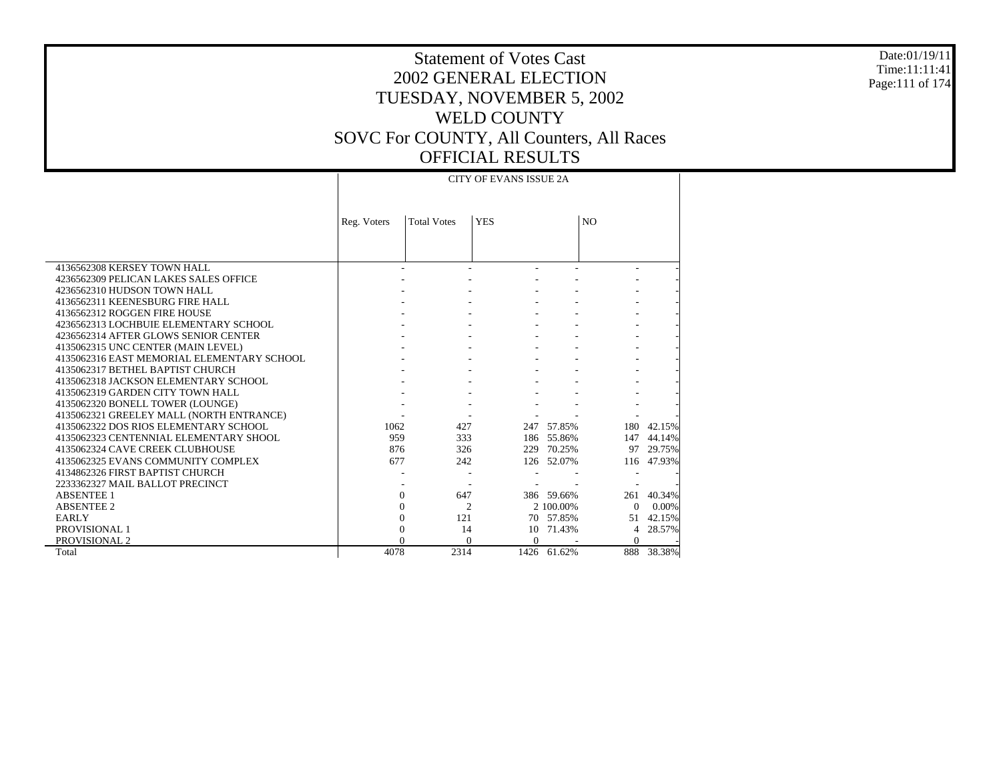#### Date:01/19/11 Time:11:11:41 Page:111 of 174

# Statement of Votes Cast 2002 GENERAL ELECTION TUESDAY, NOVEMBER 5, 2002 WELD COUNTY SOVC For COUNTY, All Counters, All Races OFFICIAL RESULTS

|                                            | <b>Total Votes</b><br>Reg. Voters |      | <b>YES</b>           |             | N <sub>O</sub> |            |  |  |  |  |
|--------------------------------------------|-----------------------------------|------|----------------------|-------------|----------------|------------|--|--|--|--|
|                                            |                                   |      |                      |             |                |            |  |  |  |  |
| 4136562308 KERSEY TOWN HALL                |                                   |      |                      |             |                |            |  |  |  |  |
| 4236562309 PELICAN LAKES SALES OFFICE      |                                   |      |                      |             |                |            |  |  |  |  |
| 4236562310 HUDSON TOWN HALL                |                                   |      |                      |             |                |            |  |  |  |  |
| 4136562311 KEENESBURG FIRE HALL            |                                   |      |                      |             |                |            |  |  |  |  |
| 4136562312 ROGGEN FIRE HOUSE               |                                   |      |                      |             |                |            |  |  |  |  |
| 4236562313 LOCHBUIE ELEMENTARY SCHOOL      |                                   |      |                      |             |                |            |  |  |  |  |
| 4236562314 AFTER GLOWS SENIOR CENTER       |                                   |      |                      |             |                |            |  |  |  |  |
| 4135062315 UNC CENTER (MAIN LEVEL)         |                                   |      |                      |             |                |            |  |  |  |  |
| 4135062316 EAST MEMORIAL ELEMENTARY SCHOOL |                                   |      |                      |             |                |            |  |  |  |  |
| 4135062317 BETHEL BAPTIST CHURCH           |                                   |      |                      |             |                |            |  |  |  |  |
| 4135062318 JACKSON ELEMENTARY SCHOOL       |                                   |      |                      |             |                |            |  |  |  |  |
| 4135062319 GARDEN CITY TOWN HALL           |                                   |      |                      |             |                |            |  |  |  |  |
| 4135062320 BONELL TOWER (LOUNGE)           |                                   |      |                      |             |                |            |  |  |  |  |
| 4135062321 GREELEY MALL (NORTH ENTRANCE)   |                                   |      |                      |             |                |            |  |  |  |  |
| 4135062322 DOS RIOS ELEMENTARY SCHOOL      | 1062                              | 427  |                      | 247 57.85%  | 180            | 42.15%     |  |  |  |  |
| 4135062323 CENTENNIAL ELEMENTARY SHOOL     | 959                               | 333  |                      | 186 55.86%  | 147            | 44.14%     |  |  |  |  |
| 4135062324 CAVE CREEK CLUBHOUSE            | 876                               | 326  |                      | 229 70.25%  | 97             | 29.75%     |  |  |  |  |
| 4135062325 EVANS COMMUNITY COMPLEX         | 677                               | 242  |                      | 126 52.07%  |                | 116 47.93% |  |  |  |  |
| 4134862326 FIRST BAPTIST CHURCH            |                                   |      |                      |             |                |            |  |  |  |  |
| 2233362327 MAIL BALLOT PRECINCT            |                                   |      |                      |             |                |            |  |  |  |  |
| <b>ABSENTEE 1</b>                          | $\Omega$                          | 647  |                      | 386 59.66%  | 261            | 40.34%     |  |  |  |  |
| <b>ABSENTEE 2</b>                          | $\Omega$                          |      | $\overline{c}$       | 2 100,00%   | $\Omega$       | 0.00%      |  |  |  |  |
| <b>EARLY</b>                               | $\theta$                          | 121  |                      | 70 57.85%   | 51             | 42.15%     |  |  |  |  |
| PROVISIONAL 1                              | 0                                 | 14   | 10                   | 71.43%      | 4              | 28.57%     |  |  |  |  |
| PROVISIONAL 2                              |                                   |      | $\Omega$<br>$\Omega$ |             | $\Omega$       |            |  |  |  |  |
| Total                                      | 4078                              | 2314 |                      | 1426 61.62% | 888            | 38.38%     |  |  |  |  |

 $\mathbf{L}$ 

### CITY OF EVANS ISSUE 2A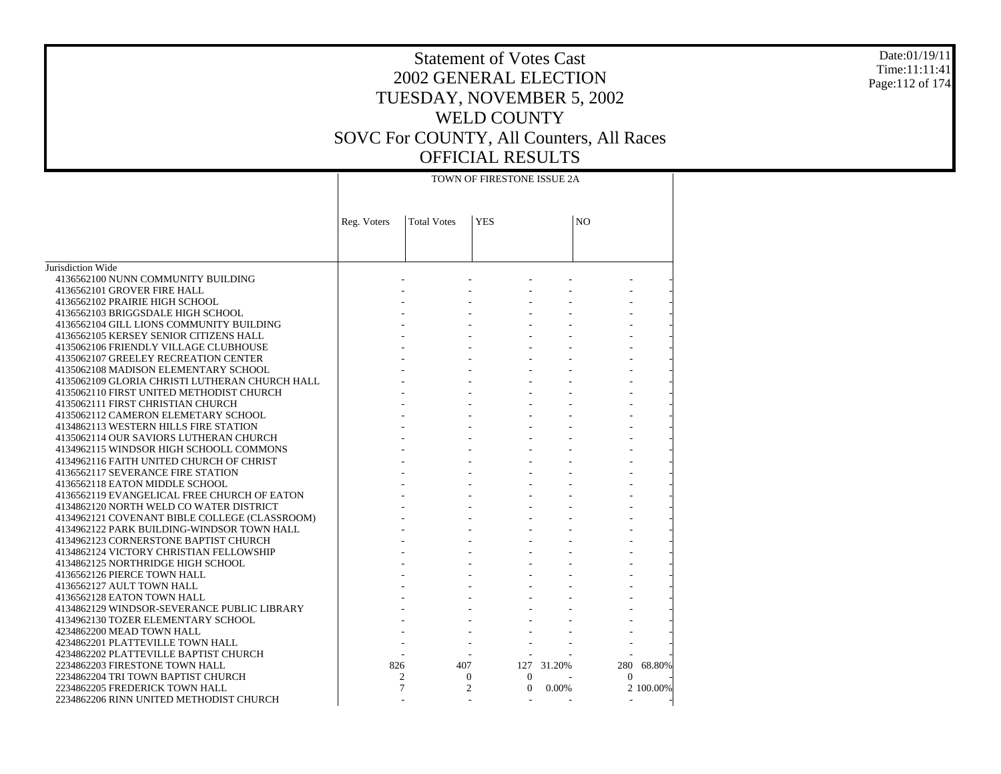#### Date:01/19/11 Time:11:11:41 Page:112 of 174

|                                                | TOWN OF FIRESTONE ISSUE 2A |                    |                                |            |                |           |  |  |  |
|------------------------------------------------|----------------------------|--------------------|--------------------------------|------------|----------------|-----------|--|--|--|
|                                                |                            |                    |                                |            |                |           |  |  |  |
|                                                | Reg. Voters                | <b>Total Votes</b> | <b>YES</b>                     |            | NO             |           |  |  |  |
|                                                |                            |                    |                                |            |                |           |  |  |  |
|                                                |                            |                    |                                |            |                |           |  |  |  |
| Jurisdiction Wide                              |                            |                    |                                |            |                |           |  |  |  |
| 4136562100 NUNN COMMUNITY BUILDING             |                            |                    |                                |            |                |           |  |  |  |
| 4136562101 GROVER FIRE HALL                    |                            |                    |                                |            |                |           |  |  |  |
| 4136562102 PRAIRIE HIGH SCHOOL                 |                            |                    |                                |            |                |           |  |  |  |
| 4136562103 BRIGGSDALE HIGH SCHOOL              |                            |                    |                                |            |                |           |  |  |  |
| 4136562104 GILL LIONS COMMUNITY BUILDING       |                            |                    |                                |            |                |           |  |  |  |
| 4136562105 KERSEY SENIOR CITIZENS HALL         |                            |                    |                                |            |                |           |  |  |  |
| 4135062106 FRIENDLY VILLAGE CLUBHOUSE          |                            |                    |                                |            |                |           |  |  |  |
| 4135062107 GREELEY RECREATION CENTER           |                            |                    |                                |            |                |           |  |  |  |
| 4135062108 MADISON ELEMENTARY SCHOOL           |                            |                    |                                |            |                |           |  |  |  |
| 4135062109 GLORIA CHRISTI LUTHERAN CHURCH HALL |                            |                    |                                |            |                |           |  |  |  |
| 4135062110 FIRST UNITED METHODIST CHURCH       |                            |                    |                                |            |                |           |  |  |  |
| 4135062111 FIRST CHRISTIAN CHURCH              |                            |                    |                                |            |                |           |  |  |  |
| 4135062112 CAMERON ELEMETARY SCHOOL            |                            |                    |                                |            |                |           |  |  |  |
| 4134862113 WESTERN HILLS FIRE STATION          |                            |                    |                                |            |                |           |  |  |  |
| 4135062114 OUR SAVIORS LUTHERAN CHURCH         |                            |                    |                                |            |                |           |  |  |  |
| 4134962115 WINDSOR HIGH SCHOOLL COMMONS        |                            |                    |                                |            |                |           |  |  |  |
| 4134962116 FAITH UNITED CHURCH OF CHRIST       |                            |                    |                                |            |                |           |  |  |  |
| 4136562117 SEVERANCE FIRE STATION              |                            |                    |                                |            |                |           |  |  |  |
| 4136562118 EATON MIDDLE SCHOOL                 |                            |                    |                                |            |                |           |  |  |  |
| 4136562119 EVANGELICAL FREE CHURCH OF EATON    |                            |                    |                                |            |                |           |  |  |  |
| 4134862120 NORTH WELD CO WATER DISTRICT        |                            |                    |                                |            |                |           |  |  |  |
| 4134962121 COVENANT BIBLE COLLEGE (CLASSROOM)  |                            |                    |                                |            |                |           |  |  |  |
| 4134962122 PARK BUILDING-WINDSOR TOWN HALL     |                            |                    |                                |            |                |           |  |  |  |
| 4134962123 CORNERSTONE BAPTIST CHURCH          |                            |                    |                                |            |                |           |  |  |  |
| 4134862124 VICTORY CHRISTIAN FELLOWSHIP        |                            |                    |                                |            |                |           |  |  |  |
| 4134862125 NORTHRIDGE HIGH SCHOOL              |                            |                    |                                |            |                |           |  |  |  |
| 4136562126 PIERCE TOWN HALL                    |                            |                    |                                |            |                |           |  |  |  |
| 4136562127 AULT TOWN HALL                      |                            |                    |                                |            |                |           |  |  |  |
| 4136562128 EATON TOWN HALL                     |                            |                    |                                |            |                |           |  |  |  |
| 4134862129 WINDSOR-SEVERANCE PUBLIC LIBRARY    |                            |                    |                                |            |                |           |  |  |  |
| 4134962130 TOZER ELEMENTARY SCHOOL             |                            |                    |                                |            |                |           |  |  |  |
| 4234862200 MEAD TOWN HALL                      |                            |                    |                                |            |                |           |  |  |  |
| 4234862201 PLATTEVILLE TOWN HALL               |                            |                    |                                |            |                |           |  |  |  |
| 4234862202 PLATTEVILLE BAPTIST CHURCH          |                            |                    |                                |            |                |           |  |  |  |
| 2234862203 FIRESTONE TOWN HALL                 | 826                        | 407                |                                | 127 31.20% | 280            | 68.80%    |  |  |  |
| 2234862204 TRI TOWN BAPTIST CHURCH             |                            | 2                  | $\mathbf{0}$<br>$\overline{0}$ |            | $\Omega$       |           |  |  |  |
| 2234862205 FREDERICK TOWN HALL                 |                            | 7                  | 2<br>$\mathbf{0}$              | $0.00\%$   |                | 2 100.00% |  |  |  |
| 2234862206 RINN UNITED METHODIST CHURCH        |                            |                    |                                |            | $\overline{a}$ |           |  |  |  |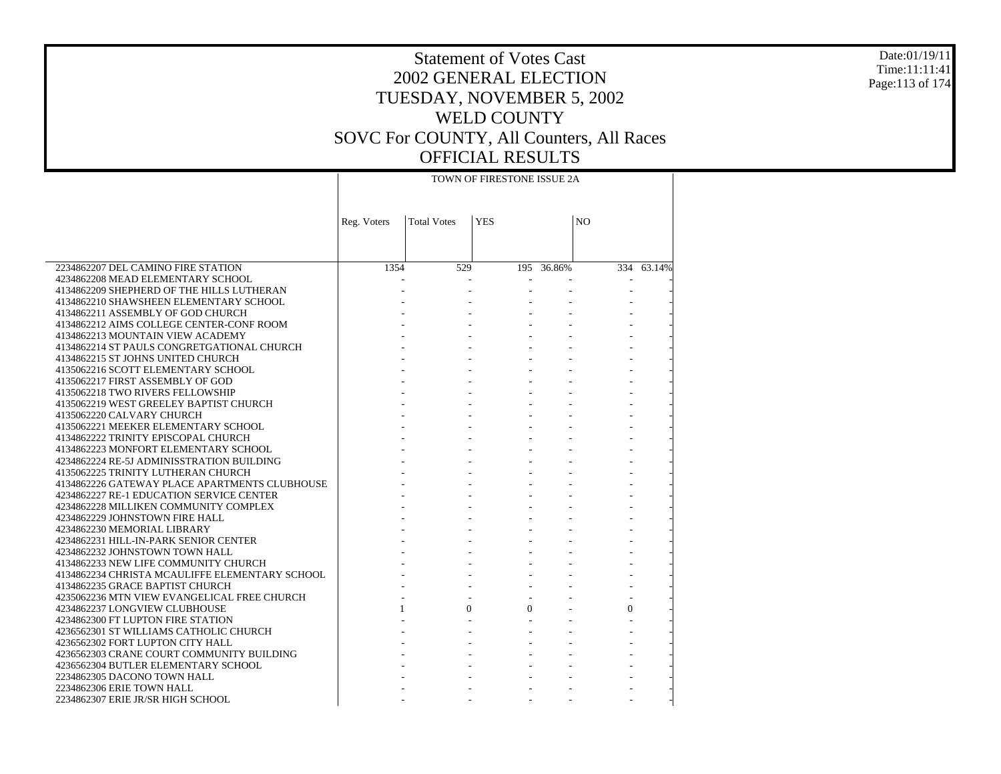#### Date:01/19/11 Time:11:11:41 Page:113 of 174

# Statement of Votes Cast 2002 GENERAL ELECTION TUESDAY, NOVEMBER 5, 2002 WELD COUNTY SOVC For COUNTY, All Counters, All Races OFFICIAL RESULTS

| NO<br><b>Total Votes</b><br><b>YES</b><br>Reg. Voters<br>1354<br>529<br>$195 - 36.86\%$<br>$334 - 63.14\%$<br>2234862207 DEL CAMINO FIRE STATION<br>4234862208 MEAD ELEMENTARY SCHOOL<br>4134862209 SHEPHERD OF THE HILLS LUTHERAN<br>4134862210 SHAWSHEEN ELEMENTARY SCHOOL<br>4134862211 ASSEMBLY OF GOD CHURCH<br>4134862212 AIMS COLLEGE CENTER-CONF ROOM<br>4134862213 MOUNTAIN VIEW ACADEMY<br>4134862214 ST PAULS CONGRETGATIONAL CHURCH<br>4134862215 ST JOHNS UNITED CHURCH<br>4135062216 SCOTT ELEMENTARY SCHOOL<br>4135062217 FIRST ASSEMBLY OF GOD<br>$\omega_{\rm{max}}$<br>4135062218 TWO RIVERS FELLOWSHIP<br>4135062219 WEST GREELEY BAPTIST CHURCH<br>4135062220 CALVARY CHURCH<br>$\mathcal{L}$<br>4135062221 MEEKER ELEMENTARY SCHOOL<br>4134862222 TRINITY EPISCOPAL CHURCH<br>4134862223 MONFORT ELEMENTARY SCHOOL<br>4234862224 RE-5J ADMINISSTRATION BUILDING<br>4135062225 TRINITY LUTHERAN CHURCH<br>4134862226 GATEWAY PLACE APARTMENTS CLUBHOUSE<br>4234862227 RE-1 EDUCATION SERVICE CENTER<br>4234862228 MILLIKEN COMMUNITY COMPLEX<br>4234862229 JOHNSTOWN FIRE HALL<br>4234862230 MEMORIAL LIBRARY<br>4234862231 HILL-IN-PARK SENIOR CENTER<br>4234862232 JOHNSTOWN TOWN HALL<br>4134862233 NEW LIFE COMMUNITY CHURCH<br>4134862234 CHRISTA MCAULIFFE ELEMENTARY SCHOOL<br>4134862235 GRACE BAPTIST CHURCH<br>4235062236 MTN VIEW EVANGELICAL FREE CHURCH<br>$\Omega$<br>$\Omega$<br>$\mathbf{1}$<br>4234862237 LONGVIEW CLUBHOUSE<br>$\Omega$<br>4234862300 FT LUPTON FIRE STATION<br>4236562301 ST WILLIAMS CATHOLIC CHURCH<br>4236562302 FORT LUPTON CITY HALL<br>4236562303 CRANE COURT COMMUNITY BUILDING<br>4236562304 BUTLER ELEMENTARY SCHOOL<br>2234862305 DACONO TOWN HALL<br>2234862306 ERIE TOWN HALL |                                   | TOWN OF FIRESTONE ISSUE 2A |  |        |  |  |  |  |
|--------------------------------------------------------------------------------------------------------------------------------------------------------------------------------------------------------------------------------------------------------------------------------------------------------------------------------------------------------------------------------------------------------------------------------------------------------------------------------------------------------------------------------------------------------------------------------------------------------------------------------------------------------------------------------------------------------------------------------------------------------------------------------------------------------------------------------------------------------------------------------------------------------------------------------------------------------------------------------------------------------------------------------------------------------------------------------------------------------------------------------------------------------------------------------------------------------------------------------------------------------------------------------------------------------------------------------------------------------------------------------------------------------------------------------------------------------------------------------------------------------------------------------------------------------------------------------------------------------------------------------------------------------------------------------------------------------------------------------------------------|-----------------------------------|----------------------------|--|--------|--|--|--|--|
|                                                                                                                                                                                                                                                                                                                                                                                                                                                                                                                                                                                                                                                                                                                                                                                                                                                                                                                                                                                                                                                                                                                                                                                                                                                                                                                                                                                                                                                                                                                                                                                                                                                                                                                                                  |                                   |                            |  |        |  |  |  |  |
|                                                                                                                                                                                                                                                                                                                                                                                                                                                                                                                                                                                                                                                                                                                                                                                                                                                                                                                                                                                                                                                                                                                                                                                                                                                                                                                                                                                                                                                                                                                                                                                                                                                                                                                                                  |                                   |                            |  |        |  |  |  |  |
|                                                                                                                                                                                                                                                                                                                                                                                                                                                                                                                                                                                                                                                                                                                                                                                                                                                                                                                                                                                                                                                                                                                                                                                                                                                                                                                                                                                                                                                                                                                                                                                                                                                                                                                                                  |                                   |                            |  |        |  |  |  |  |
|                                                                                                                                                                                                                                                                                                                                                                                                                                                                                                                                                                                                                                                                                                                                                                                                                                                                                                                                                                                                                                                                                                                                                                                                                                                                                                                                                                                                                                                                                                                                                                                                                                                                                                                                                  |                                   |                            |  |        |  |  |  |  |
|                                                                                                                                                                                                                                                                                                                                                                                                                                                                                                                                                                                                                                                                                                                                                                                                                                                                                                                                                                                                                                                                                                                                                                                                                                                                                                                                                                                                                                                                                                                                                                                                                                                                                                                                                  |                                   |                            |  |        |  |  |  |  |
|                                                                                                                                                                                                                                                                                                                                                                                                                                                                                                                                                                                                                                                                                                                                                                                                                                                                                                                                                                                                                                                                                                                                                                                                                                                                                                                                                                                                                                                                                                                                                                                                                                                                                                                                                  |                                   |                            |  |        |  |  |  |  |
|                                                                                                                                                                                                                                                                                                                                                                                                                                                                                                                                                                                                                                                                                                                                                                                                                                                                                                                                                                                                                                                                                                                                                                                                                                                                                                                                                                                                                                                                                                                                                                                                                                                                                                                                                  |                                   |                            |  |        |  |  |  |  |
|                                                                                                                                                                                                                                                                                                                                                                                                                                                                                                                                                                                                                                                                                                                                                                                                                                                                                                                                                                                                                                                                                                                                                                                                                                                                                                                                                                                                                                                                                                                                                                                                                                                                                                                                                  |                                   |                            |  |        |  |  |  |  |
|                                                                                                                                                                                                                                                                                                                                                                                                                                                                                                                                                                                                                                                                                                                                                                                                                                                                                                                                                                                                                                                                                                                                                                                                                                                                                                                                                                                                                                                                                                                                                                                                                                                                                                                                                  |                                   |                            |  |        |  |  |  |  |
|                                                                                                                                                                                                                                                                                                                                                                                                                                                                                                                                                                                                                                                                                                                                                                                                                                                                                                                                                                                                                                                                                                                                                                                                                                                                                                                                                                                                                                                                                                                                                                                                                                                                                                                                                  |                                   |                            |  |        |  |  |  |  |
|                                                                                                                                                                                                                                                                                                                                                                                                                                                                                                                                                                                                                                                                                                                                                                                                                                                                                                                                                                                                                                                                                                                                                                                                                                                                                                                                                                                                                                                                                                                                                                                                                                                                                                                                                  |                                   |                            |  |        |  |  |  |  |
|                                                                                                                                                                                                                                                                                                                                                                                                                                                                                                                                                                                                                                                                                                                                                                                                                                                                                                                                                                                                                                                                                                                                                                                                                                                                                                                                                                                                                                                                                                                                                                                                                                                                                                                                                  |                                   |                            |  |        |  |  |  |  |
|                                                                                                                                                                                                                                                                                                                                                                                                                                                                                                                                                                                                                                                                                                                                                                                                                                                                                                                                                                                                                                                                                                                                                                                                                                                                                                                                                                                                                                                                                                                                                                                                                                                                                                                                                  |                                   |                            |  |        |  |  |  |  |
|                                                                                                                                                                                                                                                                                                                                                                                                                                                                                                                                                                                                                                                                                                                                                                                                                                                                                                                                                                                                                                                                                                                                                                                                                                                                                                                                                                                                                                                                                                                                                                                                                                                                                                                                                  |                                   |                            |  |        |  |  |  |  |
|                                                                                                                                                                                                                                                                                                                                                                                                                                                                                                                                                                                                                                                                                                                                                                                                                                                                                                                                                                                                                                                                                                                                                                                                                                                                                                                                                                                                                                                                                                                                                                                                                                                                                                                                                  |                                   |                            |  |        |  |  |  |  |
|                                                                                                                                                                                                                                                                                                                                                                                                                                                                                                                                                                                                                                                                                                                                                                                                                                                                                                                                                                                                                                                                                                                                                                                                                                                                                                                                                                                                                                                                                                                                                                                                                                                                                                                                                  |                                   |                            |  |        |  |  |  |  |
|                                                                                                                                                                                                                                                                                                                                                                                                                                                                                                                                                                                                                                                                                                                                                                                                                                                                                                                                                                                                                                                                                                                                                                                                                                                                                                                                                                                                                                                                                                                                                                                                                                                                                                                                                  |                                   |                            |  |        |  |  |  |  |
|                                                                                                                                                                                                                                                                                                                                                                                                                                                                                                                                                                                                                                                                                                                                                                                                                                                                                                                                                                                                                                                                                                                                                                                                                                                                                                                                                                                                                                                                                                                                                                                                                                                                                                                                                  |                                   |                            |  |        |  |  |  |  |
|                                                                                                                                                                                                                                                                                                                                                                                                                                                                                                                                                                                                                                                                                                                                                                                                                                                                                                                                                                                                                                                                                                                                                                                                                                                                                                                                                                                                                                                                                                                                                                                                                                                                                                                                                  |                                   |                            |  |        |  |  |  |  |
|                                                                                                                                                                                                                                                                                                                                                                                                                                                                                                                                                                                                                                                                                                                                                                                                                                                                                                                                                                                                                                                                                                                                                                                                                                                                                                                                                                                                                                                                                                                                                                                                                                                                                                                                                  |                                   |                            |  |        |  |  |  |  |
|                                                                                                                                                                                                                                                                                                                                                                                                                                                                                                                                                                                                                                                                                                                                                                                                                                                                                                                                                                                                                                                                                                                                                                                                                                                                                                                                                                                                                                                                                                                                                                                                                                                                                                                                                  |                                   |                            |  |        |  |  |  |  |
|                                                                                                                                                                                                                                                                                                                                                                                                                                                                                                                                                                                                                                                                                                                                                                                                                                                                                                                                                                                                                                                                                                                                                                                                                                                                                                                                                                                                                                                                                                                                                                                                                                                                                                                                                  |                                   |                            |  |        |  |  |  |  |
|                                                                                                                                                                                                                                                                                                                                                                                                                                                                                                                                                                                                                                                                                                                                                                                                                                                                                                                                                                                                                                                                                                                                                                                                                                                                                                                                                                                                                                                                                                                                                                                                                                                                                                                                                  |                                   |                            |  |        |  |  |  |  |
|                                                                                                                                                                                                                                                                                                                                                                                                                                                                                                                                                                                                                                                                                                                                                                                                                                                                                                                                                                                                                                                                                                                                                                                                                                                                                                                                                                                                                                                                                                                                                                                                                                                                                                                                                  |                                   |                            |  |        |  |  |  |  |
|                                                                                                                                                                                                                                                                                                                                                                                                                                                                                                                                                                                                                                                                                                                                                                                                                                                                                                                                                                                                                                                                                                                                                                                                                                                                                                                                                                                                                                                                                                                                                                                                                                                                                                                                                  |                                   |                            |  |        |  |  |  |  |
|                                                                                                                                                                                                                                                                                                                                                                                                                                                                                                                                                                                                                                                                                                                                                                                                                                                                                                                                                                                                                                                                                                                                                                                                                                                                                                                                                                                                                                                                                                                                                                                                                                                                                                                                                  |                                   |                            |  |        |  |  |  |  |
|                                                                                                                                                                                                                                                                                                                                                                                                                                                                                                                                                                                                                                                                                                                                                                                                                                                                                                                                                                                                                                                                                                                                                                                                                                                                                                                                                                                                                                                                                                                                                                                                                                                                                                                                                  |                                   |                            |  |        |  |  |  |  |
|                                                                                                                                                                                                                                                                                                                                                                                                                                                                                                                                                                                                                                                                                                                                                                                                                                                                                                                                                                                                                                                                                                                                                                                                                                                                                                                                                                                                                                                                                                                                                                                                                                                                                                                                                  |                                   |                            |  |        |  |  |  |  |
|                                                                                                                                                                                                                                                                                                                                                                                                                                                                                                                                                                                                                                                                                                                                                                                                                                                                                                                                                                                                                                                                                                                                                                                                                                                                                                                                                                                                                                                                                                                                                                                                                                                                                                                                                  |                                   |                            |  |        |  |  |  |  |
|                                                                                                                                                                                                                                                                                                                                                                                                                                                                                                                                                                                                                                                                                                                                                                                                                                                                                                                                                                                                                                                                                                                                                                                                                                                                                                                                                                                                                                                                                                                                                                                                                                                                                                                                                  |                                   |                            |  |        |  |  |  |  |
|                                                                                                                                                                                                                                                                                                                                                                                                                                                                                                                                                                                                                                                                                                                                                                                                                                                                                                                                                                                                                                                                                                                                                                                                                                                                                                                                                                                                                                                                                                                                                                                                                                                                                                                                                  |                                   |                            |  |        |  |  |  |  |
|                                                                                                                                                                                                                                                                                                                                                                                                                                                                                                                                                                                                                                                                                                                                                                                                                                                                                                                                                                                                                                                                                                                                                                                                                                                                                                                                                                                                                                                                                                                                                                                                                                                                                                                                                  |                                   |                            |  |        |  |  |  |  |
|                                                                                                                                                                                                                                                                                                                                                                                                                                                                                                                                                                                                                                                                                                                                                                                                                                                                                                                                                                                                                                                                                                                                                                                                                                                                                                                                                                                                                                                                                                                                                                                                                                                                                                                                                  |                                   |                            |  |        |  |  |  |  |
|                                                                                                                                                                                                                                                                                                                                                                                                                                                                                                                                                                                                                                                                                                                                                                                                                                                                                                                                                                                                                                                                                                                                                                                                                                                                                                                                                                                                                                                                                                                                                                                                                                                                                                                                                  |                                   |                            |  |        |  |  |  |  |
|                                                                                                                                                                                                                                                                                                                                                                                                                                                                                                                                                                                                                                                                                                                                                                                                                                                                                                                                                                                                                                                                                                                                                                                                                                                                                                                                                                                                                                                                                                                                                                                                                                                                                                                                                  |                                   |                            |  |        |  |  |  |  |
|                                                                                                                                                                                                                                                                                                                                                                                                                                                                                                                                                                                                                                                                                                                                                                                                                                                                                                                                                                                                                                                                                                                                                                                                                                                                                                                                                                                                                                                                                                                                                                                                                                                                                                                                                  |                                   |                            |  |        |  |  |  |  |
|                                                                                                                                                                                                                                                                                                                                                                                                                                                                                                                                                                                                                                                                                                                                                                                                                                                                                                                                                                                                                                                                                                                                                                                                                                                                                                                                                                                                                                                                                                                                                                                                                                                                                                                                                  |                                   |                            |  |        |  |  |  |  |
|                                                                                                                                                                                                                                                                                                                                                                                                                                                                                                                                                                                                                                                                                                                                                                                                                                                                                                                                                                                                                                                                                                                                                                                                                                                                                                                                                                                                                                                                                                                                                                                                                                                                                                                                                  |                                   |                            |  |        |  |  |  |  |
|                                                                                                                                                                                                                                                                                                                                                                                                                                                                                                                                                                                                                                                                                                                                                                                                                                                                                                                                                                                                                                                                                                                                                                                                                                                                                                                                                                                                                                                                                                                                                                                                                                                                                                                                                  |                                   |                            |  |        |  |  |  |  |
|                                                                                                                                                                                                                                                                                                                                                                                                                                                                                                                                                                                                                                                                                                                                                                                                                                                                                                                                                                                                                                                                                                                                                                                                                                                                                                                                                                                                                                                                                                                                                                                                                                                                                                                                                  | 2234862307 ERIE JR/SR HIGH SCHOOL |                            |  | $\sim$ |  |  |  |  |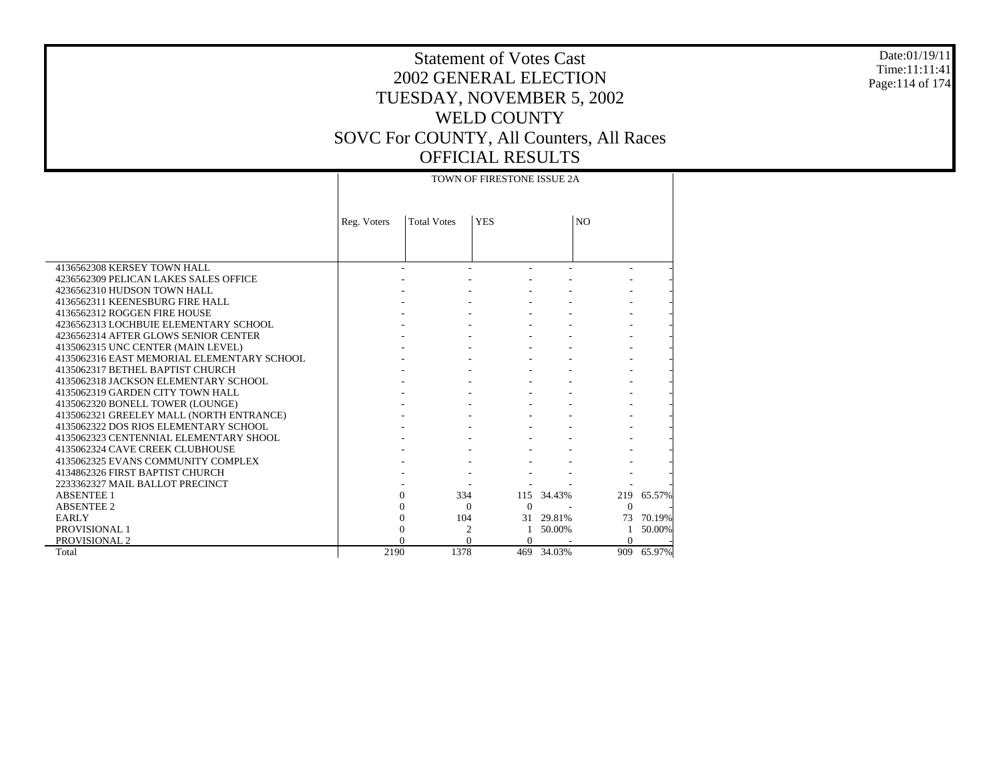#### Date:01/19/11 Time:11:11:41 Page:114 of 174

|                                            |             |                    | TOWN OF FIRESTONE ISSUE 2A |            |                |        |
|--------------------------------------------|-------------|--------------------|----------------------------|------------|----------------|--------|
|                                            |             |                    |                            |            |                |        |
|                                            | Reg. Voters | <b>Total Votes</b> | <b>YES</b>                 |            | N <sub>O</sub> |        |
|                                            |             |                    |                            |            |                |        |
|                                            |             |                    |                            |            |                |        |
| 4136562308 KERSEY TOWN HALL                |             |                    |                            |            |                |        |
| 4236562309 PELICAN LAKES SALES OFFICE      |             |                    |                            |            |                |        |
| 4236562310 HUDSON TOWN HALL                |             |                    |                            |            |                |        |
| 4136562311 KEENESBURG FIRE HALL            |             |                    |                            |            |                |        |
| 4136562312 ROGGEN FIRE HOUSE               |             |                    |                            |            |                |        |
| 4236562313 LOCHBUIE ELEMENTARY SCHOOL      |             |                    |                            |            |                |        |
| 4236562314 AFTER GLOWS SENIOR CENTER       |             |                    |                            |            |                |        |
| 4135062315 UNC CENTER (MAIN LEVEL)         |             |                    |                            |            |                |        |
| 4135062316 EAST MEMORIAL ELEMENTARY SCHOOL |             |                    |                            |            |                |        |
| 4135062317 BETHEL BAPTIST CHURCH           |             |                    |                            |            |                |        |
| 4135062318 JACKSON ELEMENTARY SCHOOL       |             |                    |                            |            |                |        |
| 4135062319 GARDEN CITY TOWN HALL           |             |                    |                            |            |                |        |
| 4135062320 BONELL TOWER (LOUNGE)           |             |                    |                            |            |                |        |
| 4135062321 GREELEY MALL (NORTH ENTRANCE)   |             |                    |                            |            |                |        |
| 4135062322 DOS RIOS ELEMENTARY SCHOOL      |             |                    |                            |            |                |        |
| 4135062323 CENTENNIAL ELEMENTARY SHOOL     |             |                    |                            |            |                |        |
| 4135062324 CAVE CREEK CLUBHOUSE            |             |                    |                            |            |                |        |
| 4135062325 EVANS COMMUNITY COMPLEX         |             |                    |                            |            |                |        |
| 4134862326 FIRST BAPTIST CHURCH            |             |                    |                            |            |                |        |
| 2233362327 MAIL BALLOT PRECINCT            |             |                    |                            |            |                |        |
| <b>ABSENTEE 1</b>                          |             | 334<br>$\Omega$    |                            | 115 34.43% | 219            | 65.57% |
| <b>ABSENTEE 2</b>                          |             | $\Omega$           | $\Omega$<br>$\Omega$       |            | $\Omega$       |        |
| <b>EARLY</b>                               |             | 104<br>$\Omega$    |                            | 31 29.81%  | 73             | 70.19% |
| PROVISIONAL 1                              |             | $\Omega$           | $\overline{2}$<br>-1       | 50.00%     |                | 50.00% |
| PROVISIONAL 2                              |             | $\Omega$           | $\Omega$<br>$\Omega$       |            | $\Omega$       |        |
| Total                                      | 2190        | 1378               |                            | 469 34.03% | 909            | 65.97% |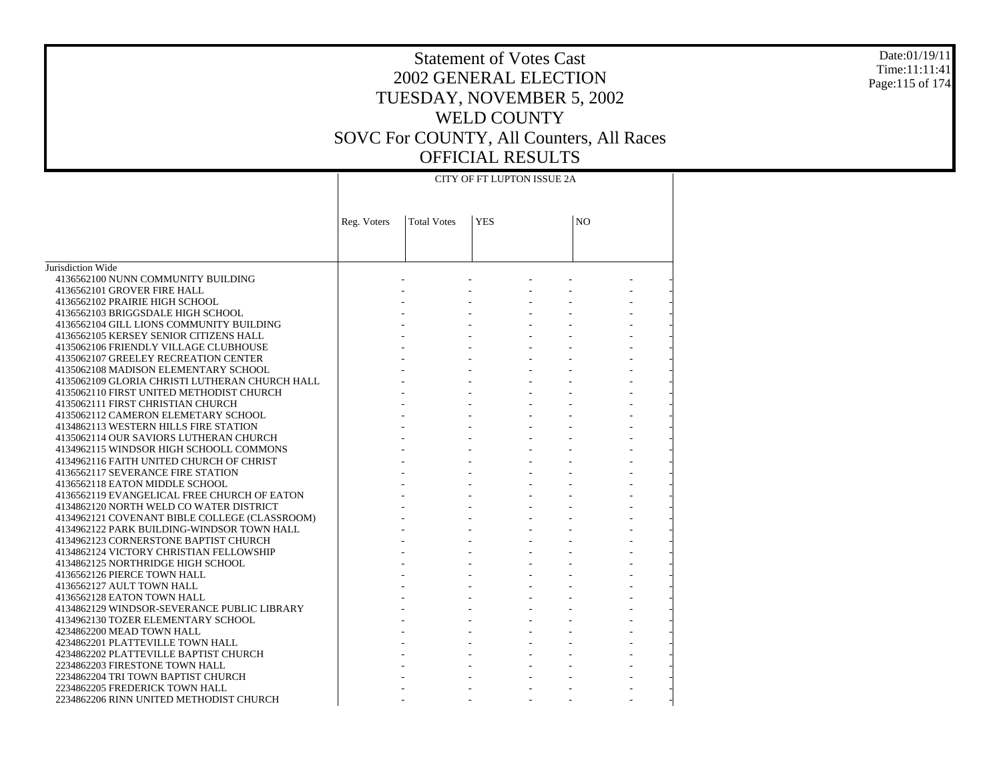#### Date:01/19/11 Time:11:11:41 Page:115 of 174

|                                                | CITY OF FT LUPTON ISSUE 2A |                    |            |  |                |  |  |  |  |  |
|------------------------------------------------|----------------------------|--------------------|------------|--|----------------|--|--|--|--|--|
|                                                | Reg. Voters                | <b>Total Votes</b> | <b>YES</b> |  | N <sub>O</sub> |  |  |  |  |  |
|                                                |                            |                    |            |  |                |  |  |  |  |  |
| Jurisdiction Wide                              |                            |                    |            |  |                |  |  |  |  |  |
| 4136562100 NUNN COMMUNITY BUILDING             |                            |                    |            |  |                |  |  |  |  |  |
| 4136562101 GROVER FIRE HALL                    |                            |                    |            |  |                |  |  |  |  |  |
| 4136562102 PRAIRIE HIGH SCHOOL                 |                            |                    |            |  |                |  |  |  |  |  |
| 4136562103 BRIGGSDALE HIGH SCHOOL              |                            |                    |            |  |                |  |  |  |  |  |
| 4136562104 GILL LIONS COMMUNITY BUILDING       |                            |                    |            |  |                |  |  |  |  |  |
| 4136562105 KERSEY SENIOR CITIZENS HALL         |                            |                    |            |  |                |  |  |  |  |  |
| 4135062106 FRIENDLY VILLAGE CLUBHOUSE          |                            |                    |            |  |                |  |  |  |  |  |
| 4135062107 GREELEY RECREATION CENTER           |                            |                    |            |  |                |  |  |  |  |  |
| 4135062108 MADISON ELEMENTARY SCHOOL           |                            |                    |            |  |                |  |  |  |  |  |
| 4135062109 GLORIA CHRISTI LUTHERAN CHURCH HALL |                            |                    |            |  |                |  |  |  |  |  |
| 4135062110 FIRST UNITED METHODIST CHURCH       |                            |                    |            |  |                |  |  |  |  |  |
| 4135062111 FIRST CHRISTIAN CHURCH              |                            |                    |            |  |                |  |  |  |  |  |
| 4135062112 CAMERON ELEMETARY SCHOOL            |                            |                    |            |  |                |  |  |  |  |  |
| 4134862113 WESTERN HILLS FIRE STATION          |                            |                    |            |  |                |  |  |  |  |  |
| 4135062114 OUR SAVIORS LUTHERAN CHURCH         |                            |                    |            |  |                |  |  |  |  |  |
| 4134962115 WINDSOR HIGH SCHOOLL COMMONS        |                            |                    |            |  |                |  |  |  |  |  |
| 4134962116 FAITH UNITED CHURCH OF CHRIST       |                            |                    |            |  |                |  |  |  |  |  |
| 4136562117 SEVERANCE FIRE STATION              |                            |                    |            |  |                |  |  |  |  |  |
| 4136562118 EATON MIDDLE SCHOOL                 |                            |                    |            |  |                |  |  |  |  |  |
| 4136562119 EVANGELICAL FREE CHURCH OF EATON    |                            |                    |            |  |                |  |  |  |  |  |
| 4134862120 NORTH WELD CO WATER DISTRICT        |                            |                    |            |  |                |  |  |  |  |  |
| 4134962121 COVENANT BIBLE COLLEGE (CLASSROOM)  |                            |                    |            |  |                |  |  |  |  |  |
| 4134962122 PARK BUILDING-WINDSOR TOWN HALL     |                            |                    |            |  |                |  |  |  |  |  |
| 4134962123 CORNERSTONE BAPTIST CHURCH          |                            |                    |            |  |                |  |  |  |  |  |
| 4134862124 VICTORY CHRISTIAN FELLOWSHIP        |                            |                    |            |  |                |  |  |  |  |  |
| 4134862125 NORTHRIDGE HIGH SCHOOL              |                            |                    |            |  |                |  |  |  |  |  |
| 4136562126 PIERCE TOWN HALL                    |                            |                    |            |  |                |  |  |  |  |  |
| 4136562127 AULT TOWN HALL                      |                            |                    |            |  |                |  |  |  |  |  |
| 4136562128 EATON TOWN HALL                     |                            |                    |            |  |                |  |  |  |  |  |
| 4134862129 WINDSOR-SEVERANCE PUBLIC LIBRARY    |                            |                    |            |  |                |  |  |  |  |  |
| 4134962130 TOZER ELEMENTARY SCHOOL             |                            |                    |            |  |                |  |  |  |  |  |
| 4234862200 MEAD TOWN HALL                      |                            |                    |            |  |                |  |  |  |  |  |
| 4234862201 PLATTEVILLE TOWN HALL               |                            |                    |            |  |                |  |  |  |  |  |
| 4234862202 PLATTEVILLE BAPTIST CHURCH          |                            |                    |            |  |                |  |  |  |  |  |
| 2234862203 FIRESTONE TOWN HALL                 |                            |                    |            |  |                |  |  |  |  |  |
| 2234862204 TRI TOWN BAPTIST CHURCH             |                            |                    |            |  |                |  |  |  |  |  |
| 2234862205 FREDERICK TOWN HALL                 |                            |                    |            |  |                |  |  |  |  |  |
| 2234862206 RINN UNITED METHODIST CHURCH        |                            |                    |            |  |                |  |  |  |  |  |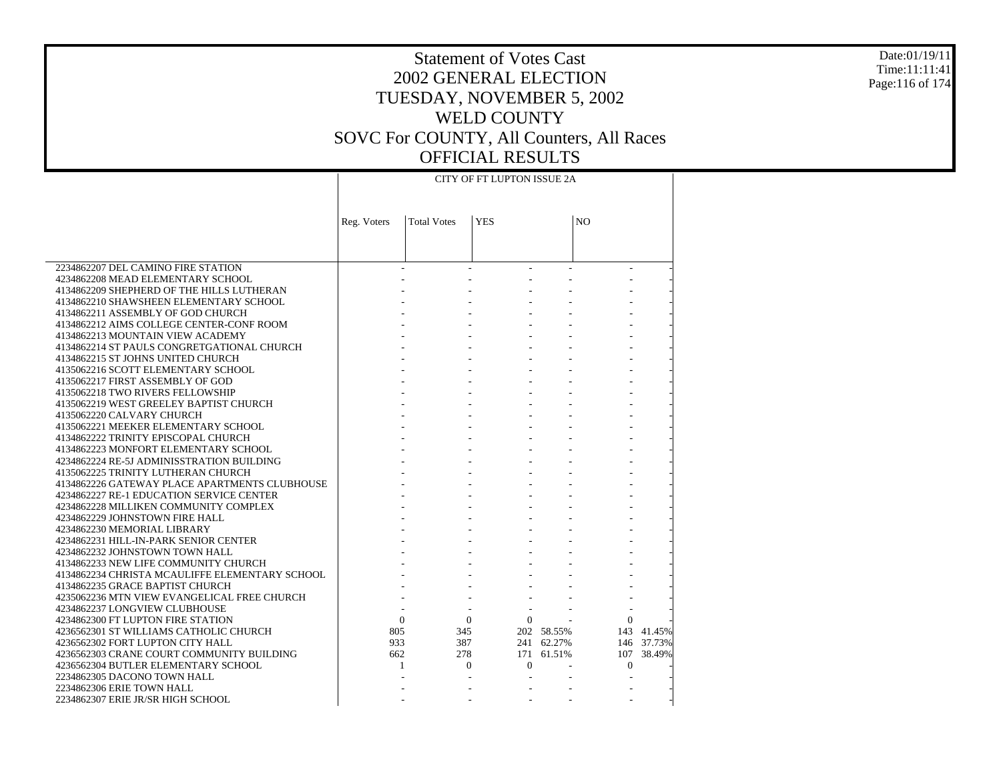#### Date:01/19/11 Time:11:11:41 Page:116 of 174

### Statement of Votes Cast 2002 GENERAL ELECTION TUESDAY, NOVEMBER 5, 2002 WELD COUNTY SOVC For COUNTY, All Counters, All Races OFFICIAL RESULTS CITY OF FT LUPTON ISSUE 2A

 $\perp$ 

|                                                                                     | Reg. Voters | <b>Total Votes</b> | <b>YES</b>                 |            | N <sub>O</sub> |            |
|-------------------------------------------------------------------------------------|-------------|--------------------|----------------------------|------------|----------------|------------|
|                                                                                     |             |                    |                            |            |                |            |
|                                                                                     |             |                    |                            |            |                |            |
| 2234862207 DEL CAMINO FIRE STATION                                                  |             |                    |                            |            |                |            |
| 4234862208 MEAD ELEMENTARY SCHOOL                                                   |             |                    |                            |            |                |            |
| 4134862209 SHEPHERD OF THE HILLS LUTHERAN                                           |             |                    |                            |            |                |            |
| 4134862210 SHAWSHEEN ELEMENTARY SCHOOL                                              |             |                    |                            |            |                |            |
| 4134862211 ASSEMBLY OF GOD CHURCH                                                   |             |                    |                            |            |                |            |
| 4134862212 AIMS COLLEGE CENTER-CONF ROOM                                            |             |                    |                            |            |                |            |
| 4134862213 MOUNTAIN VIEW ACADEMY                                                    |             |                    |                            |            |                |            |
| 4134862214 ST PAULS CONGRETGATIONAL CHURCH                                          |             |                    |                            |            |                |            |
| 4134862215 ST JOHNS UNITED CHURCH                                                   |             |                    |                            |            |                |            |
| 4135062216 SCOTT ELEMENTARY SCHOOL                                                  |             |                    |                            |            |                |            |
| 4135062217 FIRST ASSEMBLY OF GOD                                                    |             |                    |                            |            |                |            |
| 4135062218 TWO RIVERS FELLOWSHIP                                                    |             |                    |                            |            |                |            |
| 4135062219 WEST GREELEY BAPTIST CHURCH                                              |             |                    |                            |            |                |            |
| 4135062220 CALVARY CHURCH                                                           |             |                    |                            |            |                |            |
| 4135062221 MEEKER ELEMENTARY SCHOOL                                                 |             |                    |                            |            |                |            |
| 4134862222 TRINITY EPISCOPAL CHURCH                                                 |             |                    |                            |            |                |            |
| 4134862223 MONFORT ELEMENTARY SCHOOL                                                |             |                    |                            |            |                |            |
| 4234862224 RE-5J ADMINISSTRATION BUILDING                                           |             |                    |                            |            |                |            |
| 4135062225 TRINITY LUTHERAN CHURCH<br>4134862226 GATEWAY PLACE APARTMENTS CLUBHOUSE |             |                    |                            |            |                |            |
| 4234862227 RE-1 EDUCATION SERVICE CENTER                                            |             |                    |                            |            |                |            |
| 4234862228 MILLIKEN COMMUNITY COMPLEX                                               |             |                    |                            |            |                |            |
| 4234862229 JOHNSTOWN FIRE HALL                                                      |             |                    |                            |            |                |            |
| 4234862230 MEMORIAL LIBRARY                                                         |             |                    |                            |            |                |            |
| 4234862231 HILL-IN-PARK SENIOR CENTER                                               |             |                    |                            |            |                |            |
| 4234862232 JOHNSTOWN TOWN HALL                                                      |             |                    |                            |            |                |            |
| 4134862233 NEW LIFE COMMUNITY CHURCH                                                |             |                    |                            |            |                |            |
| 4134862234 CHRISTA MCAULIFFE ELEMENTARY SCHOOL                                      |             |                    |                            |            |                |            |
| 4134862235 GRACE BAPTIST CHURCH                                                     |             |                    |                            |            |                |            |
| 4235062236 MTN VIEW EVANGELICAL FREE CHURCH                                         |             |                    |                            |            |                |            |
| 4234862237 LONGVIEW CLUBHOUSE                                                       |             |                    |                            |            |                |            |
| 4234862300 FT LUPTON FIRE STATION                                                   |             | $\mathbf{0}$       | $\Omega$<br>$\overline{0}$ |            | $\Omega$       |            |
| 4236562301 ST WILLIAMS CATHOLIC CHURCH                                              | 805         | 345                |                            | 202 58.55% |                | 143 41.45% |
| 4236562302 FORT LUPTON CITY HALL                                                    | 933         | 387                |                            | 241 62.27% |                | 146 37.73% |
| 4236562303 CRANE COURT COMMUNITY BUILDING                                           | 662         | 278                |                            | 171 61.51% |                | 107 38.49% |
| 4236562304 BUTLER ELEMENTARY SCHOOL                                                 |             |                    | $\Omega$<br>$\Omega$       |            | $\Omega$       |            |
| 2234862305 DACONO TOWN HALL                                                         |             |                    |                            |            |                |            |
| 2234862306 ERIE TOWN HALL                                                           |             |                    |                            |            |                |            |
| 2234862307 ERIE JR/SR HIGH SCHOOL                                                   |             |                    |                            |            |                |            |

 $\mathbb{R}$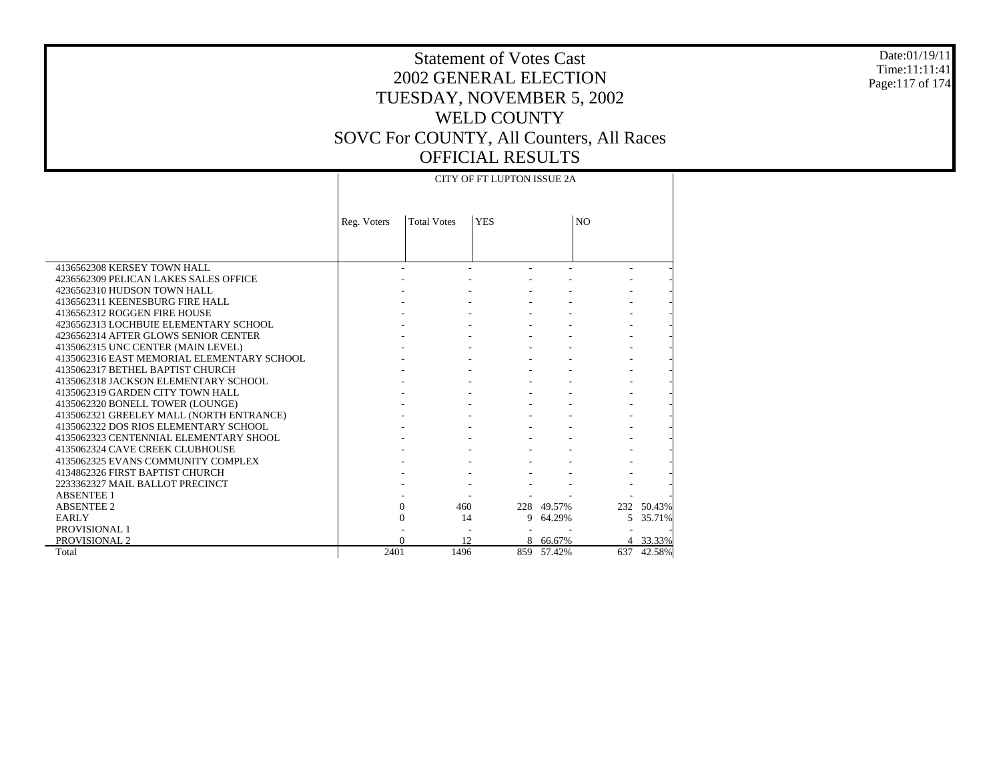#### Date:01/19/11 Time:11:11:41 Page:117 of 174

### Statement of Votes Cast 2002 GENERAL ELECTION TUESDAY, NOVEMBER 5, 2002 WELD COUNTY SOVC For COUNTY, All Counters, All Races OFFICIAL RESULTS CITY OF FT LUPTON ISSUE 2A

|                                            | <b>CITY OF FT LUPTON ISSUE 2A</b> |                    |            |            |                          |            |  |  |  |
|--------------------------------------------|-----------------------------------|--------------------|------------|------------|--------------------------|------------|--|--|--|
|                                            | Reg. Voters                       | <b>Total Votes</b> | <b>YES</b> |            | N <sub>O</sub>           |            |  |  |  |
|                                            |                                   |                    |            |            |                          |            |  |  |  |
| 4136562308 KERSEY TOWN HALL                |                                   |                    |            |            | $\overline{\phantom{a}}$ |            |  |  |  |
| 4236562309 PELICAN LAKES SALES OFFICE      |                                   |                    |            |            |                          |            |  |  |  |
| 4236562310 HUDSON TOWN HALL                |                                   |                    |            |            |                          |            |  |  |  |
| 4136562311 KEENESBURG FIRE HALL            |                                   |                    |            |            |                          |            |  |  |  |
| 4136562312 ROGGEN FIRE HOUSE               |                                   |                    |            |            |                          |            |  |  |  |
| 4236562313 LOCHBUIE ELEMENTARY SCHOOL      |                                   |                    |            |            |                          |            |  |  |  |
| 4236562314 AFTER GLOWS SENIOR CENTER       |                                   |                    |            |            |                          |            |  |  |  |
| 4135062315 UNC CENTER (MAIN LEVEL)         |                                   |                    |            |            |                          |            |  |  |  |
| 4135062316 EAST MEMORIAL ELEMENTARY SCHOOL |                                   |                    |            |            |                          |            |  |  |  |
| 4135062317 BETHEL BAPTIST CHURCH           |                                   |                    |            |            |                          |            |  |  |  |
| 4135062318 JACKSON ELEMENTARY SCHOOL       |                                   |                    |            |            |                          |            |  |  |  |
| 4135062319 GARDEN CITY TOWN HALL           |                                   |                    |            |            |                          |            |  |  |  |
| 4135062320 BONELL TOWER (LOUNGE)           |                                   |                    |            |            |                          |            |  |  |  |
| 4135062321 GREELEY MALL (NORTH ENTRANCE)   |                                   |                    |            |            |                          |            |  |  |  |
| 4135062322 DOS RIOS ELEMENTARY SCHOOL      |                                   |                    |            |            |                          |            |  |  |  |
| 4135062323 CENTENNIAL ELEMENTARY SHOOL     |                                   |                    |            |            |                          |            |  |  |  |
| 4135062324 CAVE CREEK CLUBHOUSE            |                                   |                    |            |            |                          |            |  |  |  |
| 4135062325 EVANS COMMUNITY COMPLEX         |                                   |                    |            |            |                          |            |  |  |  |
| 4134862326 FIRST BAPTIST CHURCH            |                                   |                    |            |            |                          |            |  |  |  |
| 2233362327 MAIL BALLOT PRECINCT            |                                   |                    |            |            |                          |            |  |  |  |
| <b>ABSENTEE 1</b>                          |                                   |                    |            |            |                          |            |  |  |  |
| <b>ABSENTEE 2</b>                          |                                   | $\Omega$<br>460    |            | 228 49.57% |                          | 232 50.43% |  |  |  |
| <b>EARLY</b>                               |                                   | $\mathbf{0}$       | 14<br>9    | 64.29%     | $\mathfrak{F}$           | 35.71%     |  |  |  |
| <b>PROVISIONAL 1</b>                       |                                   |                    |            |            |                          |            |  |  |  |
| PROVISIONAL 2                              |                                   | $\Omega$           | 12         | 8 66.67%   |                          | 4 33.33%   |  |  |  |
| Total                                      | 2401                              | 1496               |            | 859 57.42% | 637                      | 42.58%     |  |  |  |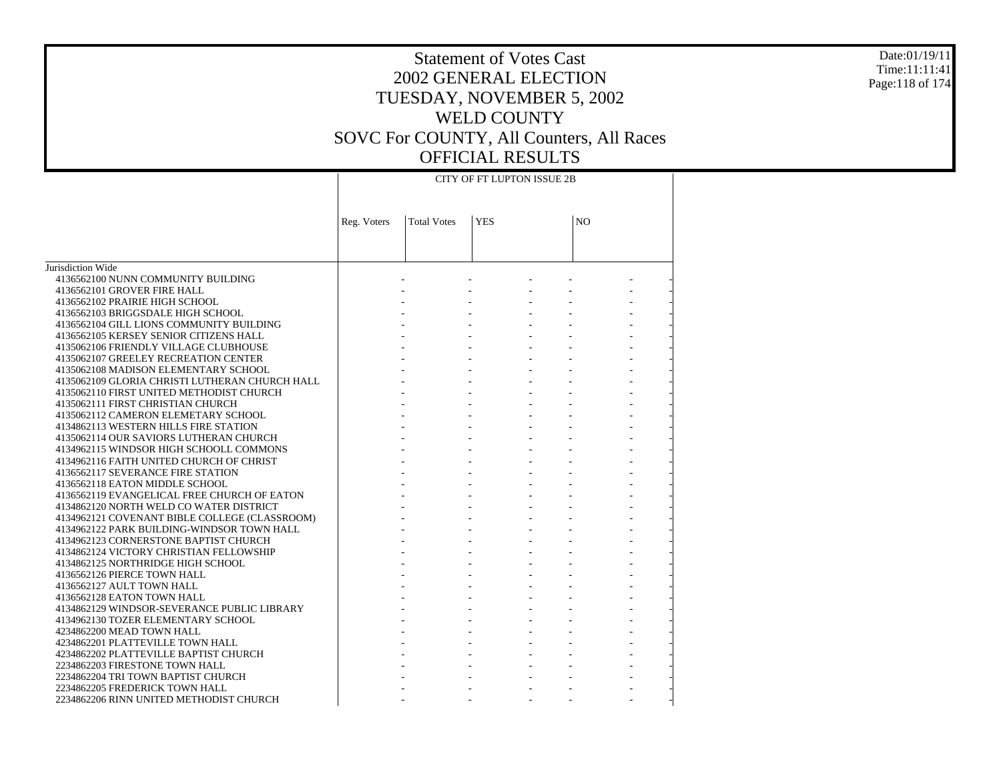#### Date:01/19/11 Time:11:11:41 Page:118 of 174

|                                                | CITY OF FT LUPTON ISSUE 2B |                    |            |  |    |  |  |  |  |
|------------------------------------------------|----------------------------|--------------------|------------|--|----|--|--|--|--|
|                                                | Reg. Voters                | <b>Total Votes</b> | <b>YES</b> |  | NO |  |  |  |  |
|                                                |                            |                    |            |  |    |  |  |  |  |
| Jurisdiction Wide                              |                            |                    |            |  |    |  |  |  |  |
| 4136562100 NUNN COMMUNITY BUILDING             |                            |                    |            |  |    |  |  |  |  |
| 4136562101 GROVER FIRE HALL                    |                            |                    |            |  |    |  |  |  |  |
| 4136562102 PRAIRIE HIGH SCHOOL                 |                            |                    |            |  |    |  |  |  |  |
| 4136562103 BRIGGSDALE HIGH SCHOOL              |                            |                    |            |  |    |  |  |  |  |
| 4136562104 GILL LIONS COMMUNITY BUILDING       |                            |                    |            |  |    |  |  |  |  |
| 4136562105 KERSEY SENIOR CITIZENS HALL         |                            |                    |            |  |    |  |  |  |  |
| 4135062106 FRIENDLY VILLAGE CLUBHOUSE          |                            |                    |            |  |    |  |  |  |  |
| 4135062107 GREELEY RECREATION CENTER           |                            |                    |            |  |    |  |  |  |  |
| 4135062108 MADISON ELEMENTARY SCHOOL           |                            |                    |            |  |    |  |  |  |  |
| 4135062109 GLORIA CHRISTI LUTHERAN CHURCH HALL |                            |                    |            |  |    |  |  |  |  |
| 4135062110 FIRST UNITED METHODIST CHURCH       |                            |                    |            |  |    |  |  |  |  |
| 4135062111 FIRST CHRISTIAN CHURCH              |                            |                    |            |  |    |  |  |  |  |
| 4135062112 CAMERON ELEMETARY SCHOOL            |                            |                    |            |  |    |  |  |  |  |
| 4134862113 WESTERN HILLS FIRE STATION          |                            |                    |            |  |    |  |  |  |  |
| 4135062114 OUR SAVIORS LUTHERAN CHURCH         |                            |                    |            |  |    |  |  |  |  |
| 4134962115 WINDSOR HIGH SCHOOLL COMMONS        |                            |                    |            |  |    |  |  |  |  |
| 4134962116 FAITH UNITED CHURCH OF CHRIST       |                            |                    |            |  |    |  |  |  |  |
| 4136562117 SEVERANCE FIRE STATION              |                            |                    |            |  |    |  |  |  |  |
| 4136562118 EATON MIDDLE SCHOOL                 |                            |                    |            |  |    |  |  |  |  |
| 4136562119 EVANGELICAL FREE CHURCH OF EATON    |                            |                    |            |  |    |  |  |  |  |
| 4134862120 NORTH WELD CO WATER DISTRICT        |                            |                    |            |  |    |  |  |  |  |
| 4134962121 COVENANT BIBLE COLLEGE (CLASSROOM)  |                            |                    |            |  |    |  |  |  |  |
| 4134962122 PARK BUILDING-WINDSOR TOWN HALL     |                            |                    |            |  |    |  |  |  |  |
| 4134962123 CORNERSTONE BAPTIST CHURCH          |                            |                    |            |  |    |  |  |  |  |
| 4134862124 VICTORY CHRISTIAN FELLOWSHIP        |                            |                    |            |  |    |  |  |  |  |
| 4134862125 NORTHRIDGE HIGH SCHOOL              |                            |                    |            |  |    |  |  |  |  |
| 4136562126 PIERCE TOWN HALL                    |                            |                    |            |  |    |  |  |  |  |
| 4136562127 AULT TOWN HALL                      |                            |                    |            |  |    |  |  |  |  |
| 4136562128 EATON TOWN HALL                     |                            |                    |            |  |    |  |  |  |  |
| 4134862129 WINDSOR-SEVERANCE PUBLIC LIBRARY    |                            |                    |            |  |    |  |  |  |  |
| 4134962130 TOZER ELEMENTARY SCHOOL             |                            |                    |            |  |    |  |  |  |  |
| 4234862200 MEAD TOWN HALL                      |                            |                    |            |  |    |  |  |  |  |
| 4234862201 PLATTEVILLE TOWN HALL               |                            |                    |            |  |    |  |  |  |  |
| 4234862202 PLATTEVILLE BAPTIST CHURCH          |                            |                    |            |  |    |  |  |  |  |
| 2234862203 FIRESTONE TOWN HALL                 |                            |                    |            |  |    |  |  |  |  |
| 2234862204 TRI TOWN BAPTIST CHURCH             |                            |                    |            |  |    |  |  |  |  |
| 2234862205 FREDERICK TOWN HALL                 |                            |                    |            |  |    |  |  |  |  |
| 2234862206 RINN UNITED METHODIST CHURCH        |                            |                    |            |  |    |  |  |  |  |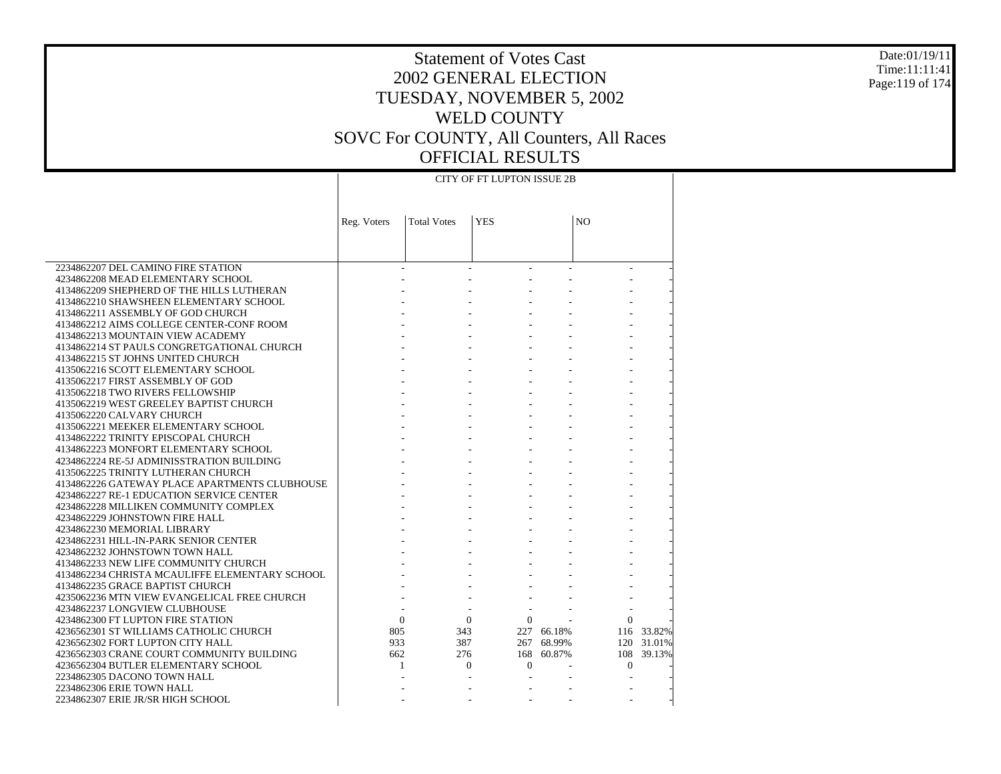#### Date:01/19/11 Time:11:11:41 Page:119 of 174

### Statement of Votes Cast 2002 GENERAL ELECTION TUESDAY, NOVEMBER 5, 2002 WELD COUNTY SOVC For COUNTY, All Counters, All Races OFFICIAL RESULTS CITY OF FT LUPTON ISSUE 2B

 $\top$ 

|                                                | Reg. Voters | <b>Total Votes</b> | <b>YES</b>                 | N <sub>O</sub> |                |            |  |
|------------------------------------------------|-------------|--------------------|----------------------------|----------------|----------------|------------|--|
|                                                |             |                    |                            |                |                |            |  |
|                                                |             |                    |                            |                |                |            |  |
|                                                |             |                    |                            |                |                |            |  |
| 2234862207 DEL CAMINO FIRE STATION             |             |                    |                            |                |                |            |  |
| 4234862208 MEAD ELEMENTARY SCHOOL              |             |                    |                            |                |                |            |  |
| 4134862209 SHEPHERD OF THE HILLS LUTHERAN      |             |                    |                            |                |                |            |  |
| 4134862210 SHAWSHEEN ELEMENTARY SCHOOL         |             |                    |                            |                |                |            |  |
| 4134862211 ASSEMBLY OF GOD CHURCH              |             |                    |                            |                |                |            |  |
| 4134862212 AIMS COLLEGE CENTER-CONF ROOM       |             |                    |                            |                |                |            |  |
| 4134862213 MOUNTAIN VIEW ACADEMY               |             |                    |                            |                |                |            |  |
| 4134862214 ST PAULS CONGRETGATIONAL CHURCH     |             |                    |                            |                |                |            |  |
| 4134862215 ST JOHNS UNITED CHURCH              |             |                    |                            |                |                |            |  |
| 4135062216 SCOTT ELEMENTARY SCHOOL             |             |                    |                            |                |                |            |  |
| 4135062217 FIRST ASSEMBLY OF GOD               |             |                    |                            |                |                |            |  |
| 4135062218 TWO RIVERS FELLOWSHIP               |             |                    |                            |                |                |            |  |
| 4135062219 WEST GREELEY BAPTIST CHURCH         |             |                    |                            |                |                |            |  |
| 4135062220 CALVARY CHURCH                      |             |                    |                            |                |                |            |  |
| 4135062221 MEEKER ELEMENTARY SCHOOL            |             |                    |                            |                |                |            |  |
| 4134862222 TRINITY EPISCOPAL CHURCH            |             |                    |                            |                |                |            |  |
| 4134862223 MONFORT ELEMENTARY SCHOOL           |             |                    |                            |                |                |            |  |
| 4234862224 RE-5J ADMINISSTRATION BUILDING      |             |                    |                            |                |                |            |  |
| 4135062225 TRINITY LUTHERAN CHURCH             |             |                    |                            |                |                |            |  |
| 4134862226 GATEWAY PLACE APARTMENTS CLUBHOUSE  |             |                    |                            |                |                |            |  |
| 4234862227 RE-1 EDUCATION SERVICE CENTER       |             |                    |                            |                |                |            |  |
| 4234862228 MILLIKEN COMMUNITY COMPLEX          |             |                    |                            |                |                |            |  |
| 4234862229 JOHNSTOWN FIRE HALL                 |             |                    |                            |                |                |            |  |
| 4234862230 MEMORIAL LIBRARY                    |             |                    |                            |                |                |            |  |
| 4234862231 HILL-IN-PARK SENIOR CENTER          |             |                    |                            |                |                |            |  |
| 4234862232 JOHNSTOWN TOWN HALL                 |             |                    |                            |                |                |            |  |
| 4134862233 NEW LIFE COMMUNITY CHURCH           |             |                    |                            |                |                |            |  |
| 4134862234 CHRISTA MCAULIFFE ELEMENTARY SCHOOL |             |                    |                            |                |                |            |  |
| 4134862235 GRACE BAPTIST CHURCH                |             |                    |                            |                |                |            |  |
| 4235062236 MTN VIEW EVANGELICAL FREE CHURCH    |             |                    |                            |                |                |            |  |
| 4234862237 LONGVIEW CLUBHOUSE                  |             |                    |                            |                |                |            |  |
| 4234862300 FT LUPTON FIRE STATION              |             | $\Omega$           | $\Omega$<br>$\overline{0}$ |                | $\Omega$       |            |  |
| 4236562301 ST WILLIAMS CATHOLIC CHURCH         | 805         | 343                |                            | 227 66.18%     |                | 116 33.82% |  |
| 4236562302 FORT LUPTON CITY HALL               | 933         | 387                |                            | 267 68.99%     |                | 120 31.01% |  |
| 4236562303 CRANE COURT COMMUNITY BUILDING      | 662         | 276                |                            | 168 60.87%     |                | 108 39.13% |  |
| 4236562304 BUTLER ELEMENTARY SCHOOL            |             | -1                 | $\theta$<br>$\theta$       |                | $\overline{0}$ |            |  |
| 2234862305 DACONO TOWN HALL                    |             |                    |                            |                |                |            |  |
| 2234862306 ERIE TOWN HALL                      |             |                    |                            |                |                |            |  |
| 2234862307 ERIE JR/SR HIGH SCHOOL              |             |                    |                            |                |                |            |  |

 $\top$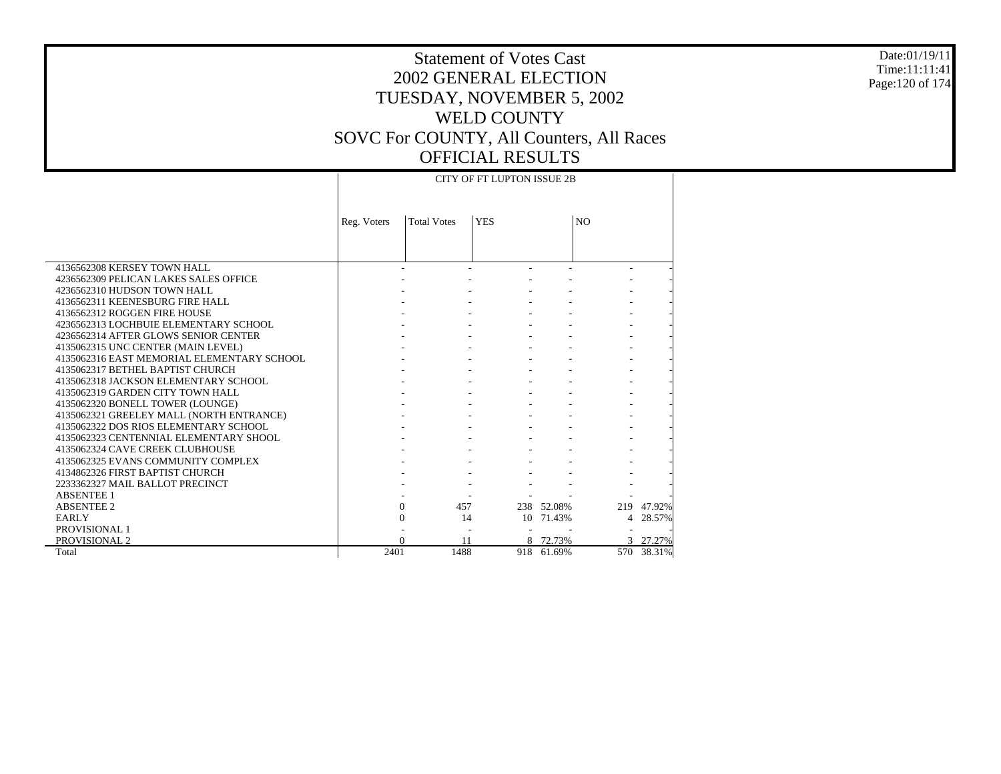#### Date:01/19/11 Time:11:11:41 Page:120 of 174

# Statement of Votes Cast 2002 GENERAL ELECTION TUESDAY, NOVEMBER 5, 2002 WELD COUNTY SOVC For COUNTY, All Counters, All Races OFFICIAL RESULTS

 $\top$ 

|                                            |             |                    | <b>CITY OF FT LUPTON ISSUE 2B</b> |            |                |            |
|--------------------------------------------|-------------|--------------------|-----------------------------------|------------|----------------|------------|
|                                            |             |                    |                                   |            |                |            |
|                                            | Reg. Voters | <b>Total Votes</b> | <b>YES</b>                        |            | N <sub>O</sub> |            |
|                                            |             |                    |                                   |            |                |            |
|                                            |             |                    |                                   |            |                |            |
|                                            |             |                    |                                   |            |                |            |
| 4136562308 KERSEY TOWN HALL                |             |                    |                                   |            |                |            |
| 4236562309 PELICAN LAKES SALES OFFICE      |             |                    |                                   |            |                |            |
| 4236562310 HUDSON TOWN HALL                |             |                    |                                   |            |                |            |
| 4136562311 KEENESBURG FIRE HALL            |             |                    |                                   |            |                |            |
| 4136562312 ROGGEN FIRE HOUSE               |             |                    |                                   |            |                |            |
| 4236562313 LOCHBUIE ELEMENTARY SCHOOL      |             |                    |                                   |            |                |            |
| 4236562314 AFTER GLOWS SENIOR CENTER       |             |                    |                                   |            |                |            |
| 4135062315 UNC CENTER (MAIN LEVEL)         |             |                    |                                   |            |                |            |
| 4135062316 EAST MEMORIAL ELEMENTARY SCHOOL |             |                    |                                   |            |                |            |
| 4135062317 BETHEL BAPTIST CHURCH           |             |                    |                                   |            |                |            |
| 4135062318 JACKSON ELEMENTARY SCHOOL       |             |                    |                                   |            |                |            |
| 4135062319 GARDEN CITY TOWN HALL           |             |                    |                                   |            |                |            |
| 4135062320 BONELL TOWER (LOUNGE)           |             |                    |                                   |            |                |            |
| 4135062321 GREELEY MALL (NORTH ENTRANCE)   |             |                    |                                   |            |                |            |
| 4135062322 DOS RIOS ELEMENTARY SCHOOL      |             |                    |                                   |            |                |            |
| 4135062323 CENTENNIAL ELEMENTARY SHOOL     |             |                    |                                   |            |                |            |
| 4135062324 CAVE CREEK CLUBHOUSE            |             |                    |                                   |            |                |            |
| 4135062325 EVANS COMMUNITY COMPLEX         |             |                    |                                   |            |                |            |
| 4134862326 FIRST BAPTIST CHURCH            |             |                    |                                   |            |                |            |
| 2233362327 MAIL BALLOT PRECINCT            |             |                    |                                   |            |                |            |
| <b>ABSENTEE 1</b>                          |             |                    |                                   |            |                |            |
| <b>ABSENTEE 2</b>                          |             | 0<br>457           |                                   | 238 52.08% |                | 219 47.92% |
| <b>EARLY</b>                               |             | $\overline{0}$     | 14                                | 10 71.43%  | 4              | 28.57%     |
| PROVISIONAL 1                              |             |                    |                                   |            |                |            |
| PROVISIONAL 2                              |             | 11                 |                                   | 8 72.73%   |                | 3 27.27%   |
| Total                                      | 2401        | 1488               |                                   | 918 61.69% |                | 570 38.31% |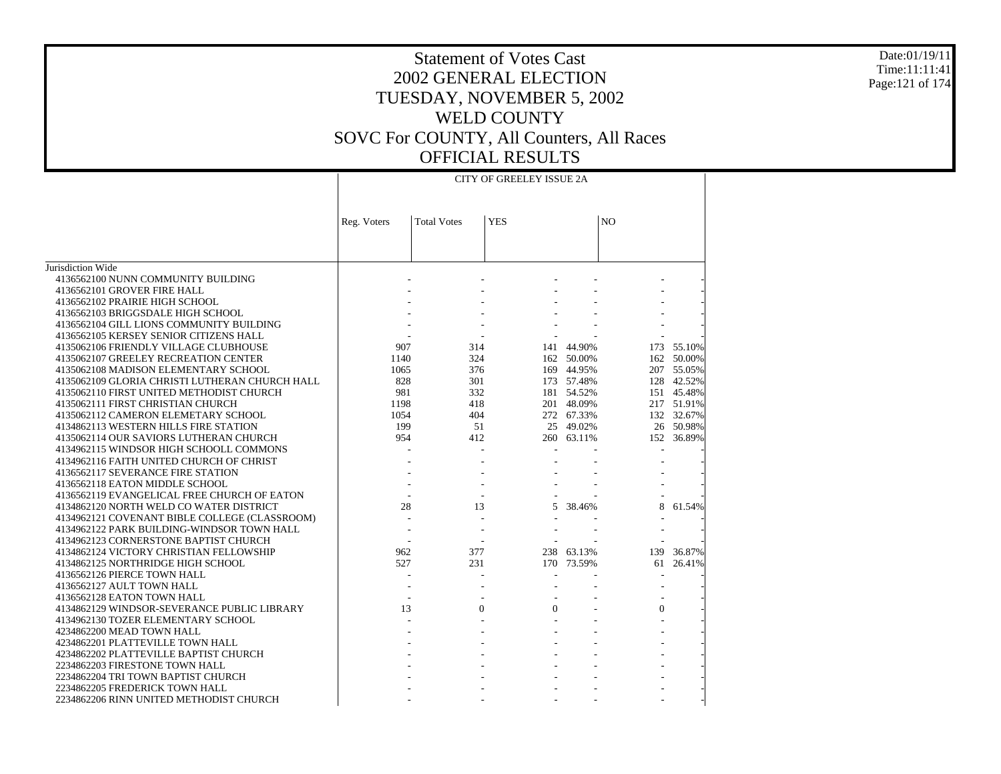#### Date:01/19/11 Time:11:11:41 Page:121 of 174

|                                                | CITY OF GREELEY ISSUE 2A |                    |            |            |                |            |  |  |  |  |  |
|------------------------------------------------|--------------------------|--------------------|------------|------------|----------------|------------|--|--|--|--|--|
|                                                |                          |                    |            |            |                |            |  |  |  |  |  |
|                                                | Reg. Voters              | <b>Total Votes</b> | <b>YES</b> |            | N <sub>O</sub> |            |  |  |  |  |  |
|                                                |                          |                    |            |            |                |            |  |  |  |  |  |
| Jurisdiction Wide                              |                          |                    |            |            |                |            |  |  |  |  |  |
| 4136562100 NUNN COMMUNITY BUILDING             |                          |                    |            |            |                |            |  |  |  |  |  |
| 4136562101 GROVER FIRE HALL                    |                          |                    |            |            |                |            |  |  |  |  |  |
| 4136562102 PRAIRIE HIGH SCHOOL                 |                          |                    |            |            |                |            |  |  |  |  |  |
| 4136562103 BRIGGSDALE HIGH SCHOOL              |                          |                    |            |            |                |            |  |  |  |  |  |
| 4136562104 GILL LIONS COMMUNITY BUILDING       |                          |                    |            |            |                |            |  |  |  |  |  |
| 4136562105 KERSEY SENIOR CITIZENS HALL         |                          |                    |            |            |                |            |  |  |  |  |  |
| 4135062106 FRIENDLY VILLAGE CLUBHOUSE          | 907                      | 314                | 141        | 44.90%     | 173            | 55.10%     |  |  |  |  |  |
| 4135062107 GREELEY RECREATION CENTER           | 1140                     | 324                |            | 162 50.00% | 162            | 50.00%     |  |  |  |  |  |
| 4135062108 MADISON ELEMENTARY SCHOOL           | 1065                     | 376                |            | 169 44.95% |                | 207 55.05% |  |  |  |  |  |
| 4135062109 GLORIA CHRISTI LUTHERAN CHURCH HALL | 828                      | 301                |            | 173 57.48% |                | 128 42.52% |  |  |  |  |  |
| 4135062110 FIRST UNITED METHODIST CHURCH       | 981                      | 332                |            | 181 54.52% |                | 151 45.48% |  |  |  |  |  |
| 4135062111 FIRST CHRISTIAN CHURCH              | 1198                     | 418                |            | 201 48.09% |                | 217 51.91% |  |  |  |  |  |
| 4135062112 CAMERON ELEMETARY SCHOOL            | 1054                     | 404                |            | 272 67.33% |                | 132 32.67% |  |  |  |  |  |
| 4134862113 WESTERN HILLS FIRE STATION          | 199                      | 51                 |            | 25 49.02%  |                | 26 50.98%  |  |  |  |  |  |
| 4135062114 OUR SAVIORS LUTHERAN CHURCH         | 954                      | 412                |            | 260 63.11% |                | 152 36.89% |  |  |  |  |  |
| 4134962115 WINDSOR HIGH SCHOOLL COMMONS        |                          |                    |            |            |                |            |  |  |  |  |  |
| 4134962116 FAITH UNITED CHURCH OF CHRIST       |                          |                    |            |            |                |            |  |  |  |  |  |
| 4136562117 SEVERANCE FIRE STATION              |                          |                    |            |            |                |            |  |  |  |  |  |
| 4136562118 EATON MIDDLE SCHOOL                 |                          |                    |            |            |                |            |  |  |  |  |  |
| 4136562119 EVANGELICAL FREE CHURCH OF EATON    |                          |                    |            |            |                |            |  |  |  |  |  |
| 4134862120 NORTH WELD CO WATER DISTRICT        | 28                       | 13                 | 5          | 38.46%     | 8              | 61.54%     |  |  |  |  |  |
| 4134962121 COVENANT BIBLE COLLEGE (CLASSROOM)  |                          |                    |            |            |                |            |  |  |  |  |  |
| 4134962122 PARK BUILDING-WINDSOR TOWN HALL     |                          |                    |            |            |                |            |  |  |  |  |  |
| 4134962123 CORNERSTONE BAPTIST CHURCH          |                          |                    |            |            |                |            |  |  |  |  |  |
| 4134862124 VICTORY CHRISTIAN FELLOWSHIP        | 962                      | 377                | 238        | 63.13%     | 139            | 36.87%     |  |  |  |  |  |
| 4134862125 NORTHRIDGE HIGH SCHOOL              | 527                      | 231                | 170        | 73.59%     | 61             | 26.41%     |  |  |  |  |  |
| 4136562126 PIERCE TOWN HALL                    |                          |                    |            |            |                |            |  |  |  |  |  |
| 4136562127 AULT TOWN HALL                      |                          |                    |            |            |                |            |  |  |  |  |  |
| 4136562128 EATON TOWN HALL                     |                          |                    |            |            |                |            |  |  |  |  |  |
| 4134862129 WINDSOR-SEVERANCE PUBLIC LIBRARY    | 13                       | $\Omega$           | $\Omega$   |            | $\Omega$       |            |  |  |  |  |  |
| 4134962130 TOZER ELEMENTARY SCHOOL             |                          |                    |            |            |                |            |  |  |  |  |  |
| 4234862200 MEAD TOWN HALL                      |                          |                    |            |            |                |            |  |  |  |  |  |
| 4234862201 PLATTEVILLE TOWN HALL               |                          |                    |            |            |                |            |  |  |  |  |  |
| 4234862202 PLATTEVILLE BAPTIST CHURCH          |                          |                    |            |            |                |            |  |  |  |  |  |
| 2234862203 FIRESTONE TOWN HALL                 |                          |                    |            |            |                |            |  |  |  |  |  |
| 2234862204 TRI TOWN BAPTIST CHURCH             |                          |                    |            |            |                |            |  |  |  |  |  |
| 2234862205 FREDERICK TOWN HALL                 |                          |                    |            |            |                |            |  |  |  |  |  |
| 2234862206 RINN UNITED METHODIST CHURCH        |                          |                    |            |            |                |            |  |  |  |  |  |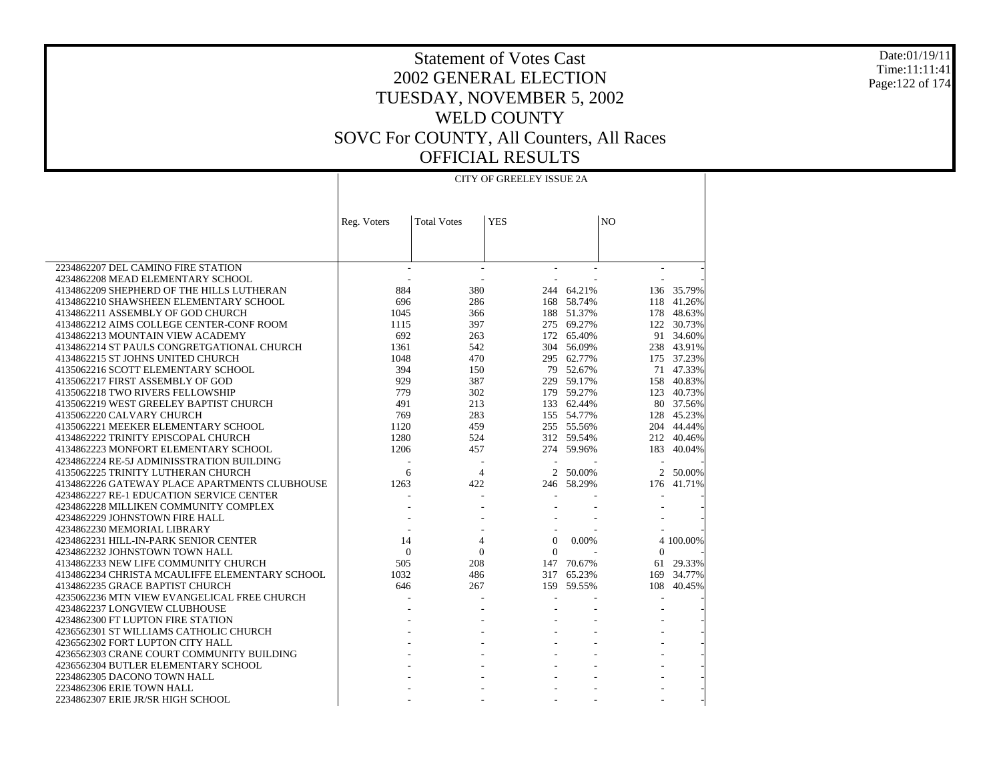Date:01/19/11 Time:11:11:41 Page:122 of 174

|                                                | CITY OF GREELEY ISSUE 2A |                    |                          |            |                |            |  |  |  |  |  |  |
|------------------------------------------------|--------------------------|--------------------|--------------------------|------------|----------------|------------|--|--|--|--|--|--|
|                                                | Reg. Voters              | <b>Total Votes</b> | <b>YES</b>               |            | N <sub>O</sub> |            |  |  |  |  |  |  |
|                                                |                          |                    |                          |            |                |            |  |  |  |  |  |  |
| 2234862207 DEL CAMINO FIRE STATION             |                          |                    |                          |            |                |            |  |  |  |  |  |  |
| 4234862208 MEAD ELEMENTARY SCHOOL              |                          |                    |                          |            |                |            |  |  |  |  |  |  |
| 4134862209 SHEPHERD OF THE HILLS LUTHERAN      | 884                      | 380                |                          | 244 64.21% |                | 136 35.79% |  |  |  |  |  |  |
| 4134862210 SHAWSHEEN ELEMENTARY SCHOOL         | 696                      | 286                |                          | 168 58.74% |                | 118 41.26% |  |  |  |  |  |  |
| 4134862211 ASSEMBLY OF GOD CHURCH              | 1045                     | 366                |                          | 188 51.37% |                | 178 48.63% |  |  |  |  |  |  |
| 4134862212 AIMS COLLEGE CENTER-CONF ROOM       | 1115                     | 397                |                          | 275 69.27% |                | 122 30.73% |  |  |  |  |  |  |
| 4134862213 MOUNTAIN VIEW ACADEMY               | 692                      | 263                |                          | 172 65.40% |                | 91 34.60%  |  |  |  |  |  |  |
| 4134862214 ST PAULS CONGRETGATIONAL CHURCH     | 1361                     | 542                |                          | 304 56.09% |                | 238 43.91% |  |  |  |  |  |  |
| 4134862215 ST JOHNS UNITED CHURCH              | 1048                     | 470                |                          | 295 62.77% |                | 175 37.23% |  |  |  |  |  |  |
| 4135062216 SCOTT ELEMENTARY SCHOOL             | 394                      | 150                |                          | 79 52.67%  |                | 71 47.33%  |  |  |  |  |  |  |
| 4135062217 FIRST ASSEMBLY OF GOD               | 929                      | 387                |                          | 229 59.17% |                | 158 40.83% |  |  |  |  |  |  |
| 4135062218 TWO RIVERS FELLOWSHIP               | 779                      | 302                |                          | 179 59.27% |                | 123 40.73% |  |  |  |  |  |  |
| 4135062219 WEST GREELEY BAPTIST CHURCH         | 491                      | 213                |                          | 133 62.44% |                | 80 37.56%  |  |  |  |  |  |  |
| 4135062220 CALVARY CHURCH                      | 769                      | 283                |                          | 155 54.77% |                | 128 45.23% |  |  |  |  |  |  |
| 4135062221 MEEKER ELEMENTARY SCHOOL            | 1120                     | 459                |                          | 255 55.56% |                | 204 44.44% |  |  |  |  |  |  |
| 4134862222 TRINITY EPISCOPAL CHURCH            | 1280                     | 524                |                          | 312 59.54% |                | 212 40.46% |  |  |  |  |  |  |
| 4134862223 MONFORT ELEMENTARY SCHOOL           | 1206                     | 457                |                          | 274 59.96% | 183            | 40.04%     |  |  |  |  |  |  |
| 4234862224 RE-5J ADMINISSTRATION BUILDING      |                          | ÷,                 | $\overline{\phantom{a}}$ |            |                |            |  |  |  |  |  |  |
| 4135062225 TRINITY LUTHERAN CHURCH             | 6                        | $\overline{4}$     |                          | 2 50.00%   | $\overline{2}$ | 50.00%     |  |  |  |  |  |  |
| 4134862226 GATEWAY PLACE APARTMENTS CLUBHOUSE  | 1263                     | 422                |                          | 246 58.29% | 176            | 41.71%     |  |  |  |  |  |  |
| 4234862227 RE-1 EDUCATION SERVICE CENTER       |                          |                    |                          |            |                |            |  |  |  |  |  |  |
| 4234862228 MILLIKEN COMMUNITY COMPLEX          |                          |                    |                          |            |                |            |  |  |  |  |  |  |
| 4234862229 JOHNSTOWN FIRE HALL                 |                          |                    |                          |            |                |            |  |  |  |  |  |  |
| 4234862230 MEMORIAL LIBRARY                    |                          |                    |                          |            |                |            |  |  |  |  |  |  |
| 4234862231 HILL-IN-PARK SENIOR CENTER          | 14                       | 4                  | $\mathbf{0}$             | 0.00%      |                | 4 100.00%  |  |  |  |  |  |  |
| 4234862232 JOHNSTOWN TOWN HALL                 | $\mathbf{0}$             | $\mathbf{0}$       | $\overline{0}$           |            | $\Omega$       |            |  |  |  |  |  |  |
| 4134862233 NEW LIFE COMMUNITY CHURCH           | 505                      | 208                |                          | 147 70.67% | 61             | 29.33%     |  |  |  |  |  |  |
| 4134862234 CHRISTA MCAULIFFE ELEMENTARY SCHOOL | 1032                     | 486                |                          | 317 65.23% | 169            | 34.77%     |  |  |  |  |  |  |
| 4134862235 GRACE BAPTIST CHURCH                | 646                      | 267                | 159                      | 59.55%     | 108            | 40.45%     |  |  |  |  |  |  |
| 4235062236 MTN VIEW EVANGELICAL FREE CHURCH    |                          |                    |                          |            |                |            |  |  |  |  |  |  |
| 4234862237 LONGVIEW CLUBHOUSE                  |                          |                    |                          |            |                |            |  |  |  |  |  |  |
| 4234862300 FT LUPTON FIRE STATION              |                          |                    |                          |            |                |            |  |  |  |  |  |  |
| 4236562301 ST WILLIAMS CATHOLIC CHURCH         |                          |                    |                          |            |                |            |  |  |  |  |  |  |
| 4236562302 FORT LUPTON CITY HALL               |                          |                    |                          |            |                |            |  |  |  |  |  |  |
| 4236562303 CRANE COURT COMMUNITY BUILDING      |                          |                    |                          |            |                |            |  |  |  |  |  |  |
| 4236562304 BUTLER ELEMENTARY SCHOOL            |                          |                    |                          |            |                |            |  |  |  |  |  |  |
| 2234862305 DACONO TOWN HALL                    |                          |                    |                          |            |                |            |  |  |  |  |  |  |
| 2234862306 ERIE TOWN HALL                      |                          |                    |                          |            |                |            |  |  |  |  |  |  |
| 2234862307 ERIE JR/SR HIGH SCHOOL              |                          |                    |                          |            |                |            |  |  |  |  |  |  |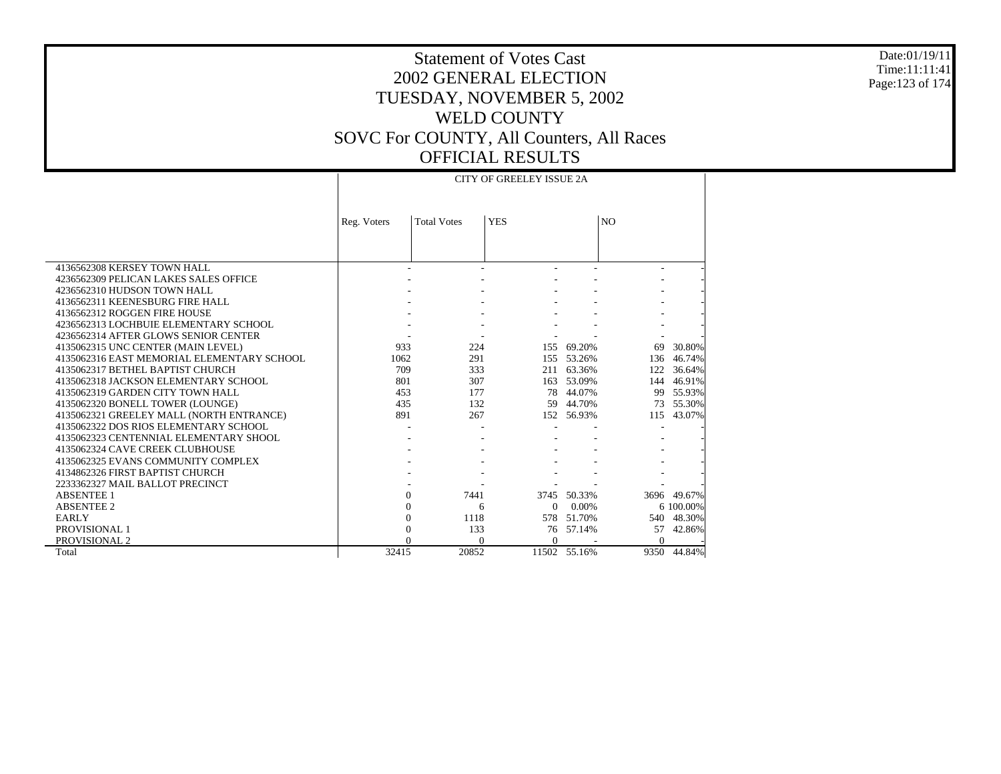#### Date:01/19/11 Time:11:11:41 Page:123 of 174

 $\perp$ 

### Statement of Votes Cast 2002 GENERAL ELECTION TUESDAY, NOVEMBER 5, 2002 WELD COUNTY SOVC For COUNTY, All Counters, All Races OFFICIAL RESULTS

|                                            | <b>CITY OF GREELEY ISSUE 2A</b> |                        |            |              |                |             |  |  |  |  |  |  |
|--------------------------------------------|---------------------------------|------------------------|------------|--------------|----------------|-------------|--|--|--|--|--|--|
|                                            |                                 |                        |            |              |                |             |  |  |  |  |  |  |
|                                            | Reg. Voters                     | <b>Total Votes</b>     | <b>YES</b> |              | N <sub>O</sub> |             |  |  |  |  |  |  |
|                                            |                                 |                        |            |              |                |             |  |  |  |  |  |  |
|                                            |                                 |                        |            |              |                |             |  |  |  |  |  |  |
| 4136562308 KERSEY TOWN HALL                |                                 |                        |            |              |                |             |  |  |  |  |  |  |
| 4236562309 PELICAN LAKES SALES OFFICE      |                                 |                        |            |              |                |             |  |  |  |  |  |  |
| 4236562310 HUDSON TOWN HALL                |                                 |                        |            |              |                |             |  |  |  |  |  |  |
| 4136562311 KEENESBURG FIRE HALL            |                                 |                        |            |              |                |             |  |  |  |  |  |  |
| 4136562312 ROGGEN FIRE HOUSE               |                                 |                        |            |              |                |             |  |  |  |  |  |  |
| 4236562313 LOCHBUIE ELEMENTARY SCHOOL      |                                 |                        |            |              |                |             |  |  |  |  |  |  |
| 4236562314 AFTER GLOWS SENIOR CENTER       |                                 |                        |            |              |                |             |  |  |  |  |  |  |
| 4135062315 UNC CENTER (MAIN LEVEL)         | 933                             | 224                    |            | 155 69.20%   | 69             | 30.80%      |  |  |  |  |  |  |
| 4135062316 EAST MEMORIAL ELEMENTARY SCHOOL | 1062                            | 291                    |            | 155 53.26%   | 136            | 46.74%      |  |  |  |  |  |  |
| 4135062317 BETHEL BAPTIST CHURCH           | 709                             | 333                    |            | 211 63.36%   | 122            | 36.64%      |  |  |  |  |  |  |
| 4135062318 JACKSON ELEMENTARY SCHOOL       | 801                             | 307                    |            | 163 53.09%   | 144            | 46.91%      |  |  |  |  |  |  |
| 4135062319 GARDEN CITY TOWN HALL           | 453                             | 177                    |            | 78 44.07%    | 99             | 55.93%      |  |  |  |  |  |  |
| 4135062320 BONELL TOWER (LOUNGE)           | 435                             | 132                    |            | 59 44.70%    | 73             | 55.30%      |  |  |  |  |  |  |
| 4135062321 GREELEY MALL (NORTH ENTRANCE)   | 891                             | 267                    |            | 152 56.93%   | 115            | 43.07%      |  |  |  |  |  |  |
| 4135062322 DOS RIOS ELEMENTARY SCHOOL      |                                 |                        |            |              |                |             |  |  |  |  |  |  |
| 4135062323 CENTENNIAL ELEMENTARY SHOOL     |                                 |                        |            |              |                |             |  |  |  |  |  |  |
| 4135062324 CAVE CREEK CLUBHOUSE            |                                 |                        |            |              |                |             |  |  |  |  |  |  |
| 4135062325 EVANS COMMUNITY COMPLEX         |                                 |                        |            |              |                |             |  |  |  |  |  |  |
| 4134862326 FIRST BAPTIST CHURCH            |                                 |                        |            |              |                |             |  |  |  |  |  |  |
| 2233362327 MAIL BALLOT PRECINCT            |                                 |                        |            |              |                |             |  |  |  |  |  |  |
| <b>ABSENTEE 1</b>                          |                                 | 7441<br>$\overline{0}$ |            | 3745 50.33%  |                | 3696 49.67% |  |  |  |  |  |  |
| <b>ABSENTEE 2</b>                          |                                 | 0<br>6                 | $\Omega$   | 0.00%        |                | 6 100,00%   |  |  |  |  |  |  |
| <b>EARLY</b>                               | $\Omega$                        | 1118                   |            | 578 51.70%   | 540            | 48.30%      |  |  |  |  |  |  |
| PROVISIONAL 1                              | 0                               | 133                    |            | 76 57.14%    | 57             | 42.86%      |  |  |  |  |  |  |
| PROVISIONAL 2                              |                                 | $\Omega$               | $\Omega$   |              | $\Omega$       |             |  |  |  |  |  |  |
| Total                                      | 32415                           | 20852                  |            | 11502 55.16% | 9350           | 44.84%      |  |  |  |  |  |  |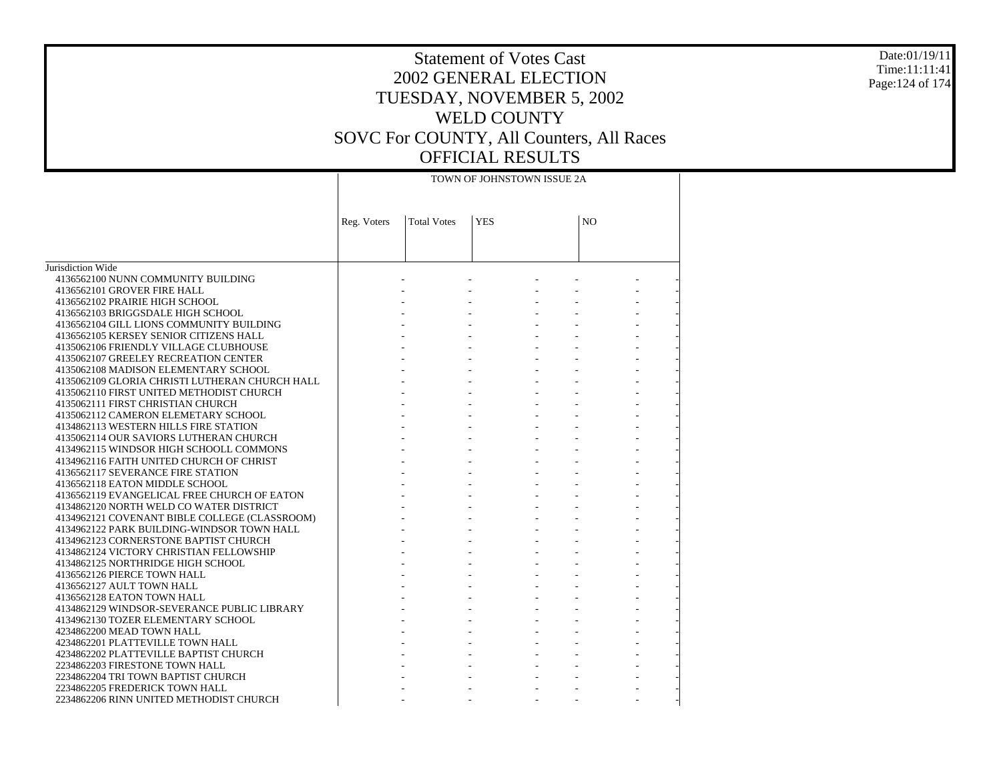#### Date:01/19/11 Time:11:11:41 Page:124 of 174

|                                                | TOWN OF JOHNSTOWN ISSUE 2A |                    |            |  |                |  |  |  |  |  |  |
|------------------------------------------------|----------------------------|--------------------|------------|--|----------------|--|--|--|--|--|--|
|                                                | Reg. Voters                | <b>Total Votes</b> | <b>YES</b> |  | N <sub>O</sub> |  |  |  |  |  |  |
|                                                |                            |                    |            |  |                |  |  |  |  |  |  |
| Jurisdiction Wide                              |                            |                    |            |  |                |  |  |  |  |  |  |
| 4136562100 NUNN COMMUNITY BUILDING             |                            |                    |            |  |                |  |  |  |  |  |  |
| 4136562101 GROVER FIRE HALL                    |                            |                    |            |  |                |  |  |  |  |  |  |
| 4136562102 PRAIRIE HIGH SCHOOL                 |                            |                    |            |  |                |  |  |  |  |  |  |
| 4136562103 BRIGGSDALE HIGH SCHOOL              |                            |                    |            |  |                |  |  |  |  |  |  |
| 4136562104 GILL LIONS COMMUNITY BUILDING       |                            |                    |            |  |                |  |  |  |  |  |  |
| 4136562105 KERSEY SENIOR CITIZENS HALL         |                            |                    |            |  |                |  |  |  |  |  |  |
| 4135062106 FRIENDLY VILLAGE CLUBHOUSE          |                            |                    |            |  |                |  |  |  |  |  |  |
| 4135062107 GREELEY RECREATION CENTER           |                            |                    |            |  |                |  |  |  |  |  |  |
| 4135062108 MADISON ELEMENTARY SCHOOL           |                            |                    |            |  |                |  |  |  |  |  |  |
| 4135062109 GLORIA CHRISTI LUTHERAN CHURCH HALL |                            |                    |            |  |                |  |  |  |  |  |  |
| 4135062110 FIRST UNITED METHODIST CHURCH       |                            |                    |            |  |                |  |  |  |  |  |  |
| 4135062111 FIRST CHRISTIAN CHURCH              |                            |                    |            |  |                |  |  |  |  |  |  |
| 4135062112 CAMERON ELEMETARY SCHOOL            |                            |                    |            |  |                |  |  |  |  |  |  |
| 4134862113 WESTERN HILLS FIRE STATION          |                            |                    |            |  |                |  |  |  |  |  |  |
| 4135062114 OUR SAVIORS LUTHERAN CHURCH         |                            |                    |            |  |                |  |  |  |  |  |  |
| 4134962115 WINDSOR HIGH SCHOOLL COMMONS        |                            |                    |            |  |                |  |  |  |  |  |  |
| 4134962116 FAITH UNITED CHURCH OF CHRIST       |                            |                    |            |  |                |  |  |  |  |  |  |
| 4136562117 SEVERANCE FIRE STATION              |                            |                    |            |  |                |  |  |  |  |  |  |
| 4136562118 EATON MIDDLE SCHOOL                 |                            |                    |            |  |                |  |  |  |  |  |  |
| 4136562119 EVANGELICAL FREE CHURCH OF EATON    |                            |                    |            |  |                |  |  |  |  |  |  |
| 4134862120 NORTH WELD CO WATER DISTRICT        |                            |                    |            |  |                |  |  |  |  |  |  |
| 4134962121 COVENANT BIBLE COLLEGE (CLASSROOM)  |                            |                    |            |  |                |  |  |  |  |  |  |
| 4134962122 PARK BUILDING-WINDSOR TOWN HALL     |                            |                    |            |  |                |  |  |  |  |  |  |
| 4134962123 CORNERSTONE BAPTIST CHURCH          |                            |                    |            |  |                |  |  |  |  |  |  |
| 4134862124 VICTORY CHRISTIAN FELLOWSHIP        |                            |                    |            |  |                |  |  |  |  |  |  |
| 4134862125 NORTHRIDGE HIGH SCHOOL              |                            |                    |            |  |                |  |  |  |  |  |  |
| 4136562126 PIERCE TOWN HALL                    |                            |                    |            |  |                |  |  |  |  |  |  |
| 4136562127 AULT TOWN HALL                      |                            |                    |            |  |                |  |  |  |  |  |  |
| 4136562128 EATON TOWN HALL                     |                            |                    |            |  |                |  |  |  |  |  |  |
| 4134862129 WINDSOR-SEVERANCE PUBLIC LIBRARY    |                            |                    |            |  |                |  |  |  |  |  |  |
| 4134962130 TOZER ELEMENTARY SCHOOL             |                            |                    |            |  |                |  |  |  |  |  |  |
| 4234862200 MEAD TOWN HALL                      |                            |                    |            |  |                |  |  |  |  |  |  |
| 4234862201 PLATTEVILLE TOWN HALL               |                            |                    |            |  |                |  |  |  |  |  |  |
| 4234862202 PLATTEVILLE BAPTIST CHURCH          |                            |                    |            |  |                |  |  |  |  |  |  |
| 2234862203 FIRESTONE TOWN HALL                 |                            |                    |            |  |                |  |  |  |  |  |  |
| 2234862204 TRI TOWN BAPTIST CHURCH             |                            |                    |            |  |                |  |  |  |  |  |  |
| 2234862205 FREDERICK TOWN HALL                 |                            |                    |            |  |                |  |  |  |  |  |  |
| 2234862206 RINN UNITED METHODIST CHURCH        |                            |                    |            |  |                |  |  |  |  |  |  |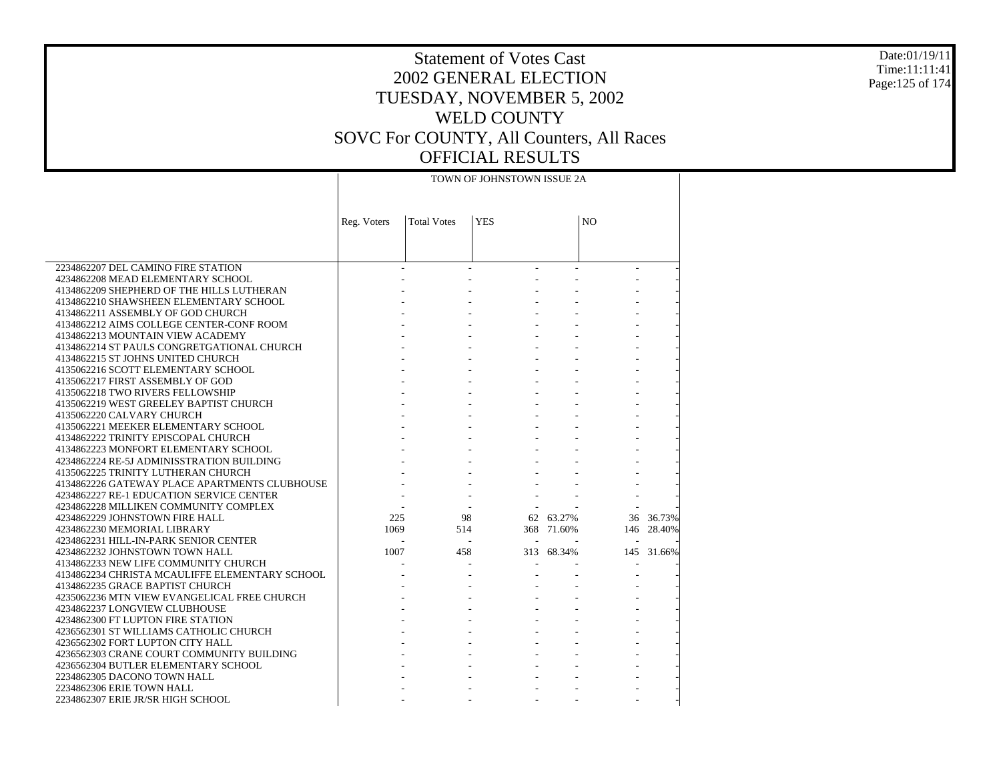#### Date:01/19/11 Time:11:11:41 Page:125 of 174

# Statement of Votes Cast 2002 GENERAL ELECTION TUESDAY, NOVEMBER 5, 2002 WELD COUNTY SOVC For COUNTY, All Counters, All Races OFFICIAL RESULTS

|                                                                                 |             |                    | TOWN OF JOHNSTOWN ISSUE 2A |            |                |            |
|---------------------------------------------------------------------------------|-------------|--------------------|----------------------------|------------|----------------|------------|
|                                                                                 | Reg. Voters | <b>Total Votes</b> | <b>YES</b>                 |            | N <sub>O</sub> |            |
|                                                                                 |             |                    |                            |            |                |            |
| 2234862207 DEL CAMINO FIRE STATION                                              |             |                    |                            |            |                |            |
| 4234862208 MEAD ELEMENTARY SCHOOL                                               |             |                    |                            |            |                |            |
| 4134862209 SHEPHERD OF THE HILLS LUTHERAN                                       |             |                    |                            |            |                |            |
| 4134862210 SHAWSHEEN ELEMENTARY SCHOOL                                          |             |                    |                            |            |                |            |
| 4134862211 ASSEMBLY OF GOD CHURCH                                               |             |                    |                            |            |                |            |
| 4134862212 AIMS COLLEGE CENTER-CONF ROOM                                        |             |                    |                            |            |                |            |
| 4134862213 MOUNTAIN VIEW ACADEMY                                                |             |                    |                            |            |                |            |
| 4134862214 ST PAULS CONGRETGATIONAL CHURCH                                      |             |                    |                            |            |                |            |
| 4134862215 ST JOHNS UNITED CHURCH                                               |             |                    |                            |            |                |            |
| 4135062216 SCOTT ELEMENTARY SCHOOL                                              |             |                    |                            |            |                |            |
| 4135062217 FIRST ASSEMBLY OF GOD                                                |             |                    |                            |            |                |            |
| 4135062218 TWO RIVERS FELLOWSHIP                                                |             |                    |                            |            |                |            |
| 4135062219 WEST GREELEY BAPTIST CHURCH                                          |             |                    |                            |            |                |            |
| 4135062220 CALVARY CHURCH                                                       |             |                    |                            |            |                |            |
| 4135062221 MEEKER ELEMENTARY SCHOOL                                             |             |                    |                            |            |                |            |
| 4134862222 TRINITY EPISCOPAL CHURCH                                             |             |                    |                            |            |                |            |
| 4134862223 MONFORT ELEMENTARY SCHOOL                                            |             |                    |                            |            |                |            |
| 4234862224 RE-5J ADMINISSTRATION BUILDING<br>4135062225 TRINITY LUTHERAN CHURCH |             |                    |                            |            |                |            |
| 4134862226 GATEWAY PLACE APARTMENTS CLUBHOUSE                                   |             |                    |                            |            |                |            |
| 4234862227 RE-1 EDUCATION SERVICE CENTER                                        |             |                    |                            |            |                |            |
| 4234862228 MILLIKEN COMMUNITY COMPLEX                                           |             |                    |                            |            |                |            |
| 4234862229 JOHNSTOWN FIRE HALL                                                  | 225         | 98                 |                            | 62 63.27%  |                | 36 36.73%  |
| 4234862230 MEMORIAL LIBRARY                                                     | 1069        | 514                |                            | 368 71.60% |                | 146 28.40% |
| 4234862231 HILL-IN-PARK SENIOR CENTER                                           |             |                    |                            |            |                |            |
| 4234862232 JOHNSTOWN TOWN HALL                                                  | 1007        | 458                |                            | 313 68.34% |                | 145 31.66% |
| 4134862233 NEW LIFE COMMUNITY CHURCH                                            |             |                    |                            |            |                |            |
| 4134862234 CHRISTA MCAULIFFE ELEMENTARY SCHOOL                                  |             |                    |                            |            |                |            |
| 4134862235 GRACE BAPTIST CHURCH                                                 |             |                    |                            |            |                |            |
| 4235062236 MTN VIEW EVANGELICAL FREE CHURCH                                     |             |                    |                            |            |                |            |
| 4234862237 LONGVIEW CLUBHOUSE                                                   |             |                    |                            |            |                |            |
| 4234862300 FT LUPTON FIRE STATION                                               |             |                    |                            |            |                |            |
| 4236562301 ST WILLIAMS CATHOLIC CHURCH                                          |             |                    |                            |            |                |            |
| 4236562302 FORT LUPTON CITY HALL                                                |             |                    |                            |            |                |            |
| 4236562303 CRANE COURT COMMUNITY BUILDING                                       |             |                    |                            |            |                |            |
| 4236562304 BUTLER ELEMENTARY SCHOOL                                             |             |                    |                            |            |                |            |
| 2234862305 DACONO TOWN HALL                                                     |             |                    |                            |            |                |            |
| 2234862306 ERIE TOWN HALL                                                       |             |                    |                            |            |                |            |
| 2234862307 ERIE JR/SR HIGH SCHOOL                                               |             |                    |                            |            |                |            |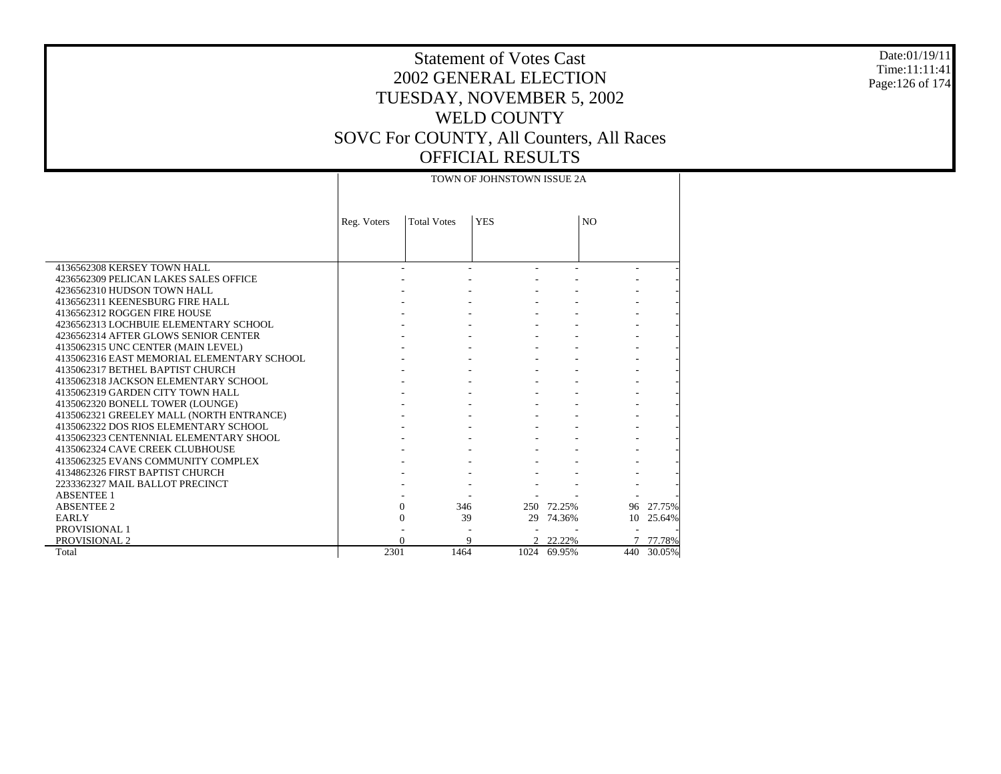#### Date:01/19/11 Time:11:11:41 Page:126 of 174

# Statement of Votes Cast 2002 GENERAL ELECTION TUESDAY, NOVEMBER 5, 2002 WELD COUNTY SOVC For COUNTY, All Counters, All Races OFFICIAL RESULTS

|                                            |             |                     | TOWN OF JOHNSTOWN ISSUE 2A |             |                |            |
|--------------------------------------------|-------------|---------------------|----------------------------|-------------|----------------|------------|
|                                            |             |                     |                            |             |                |            |
|                                            | Reg. Voters | <b>Total Votes</b>  | <b>YES</b>                 |             | N <sub>O</sub> |            |
|                                            |             |                     |                            |             |                |            |
|                                            |             |                     |                            |             |                |            |
| 4136562308 KERSEY TOWN HALL                |             |                     |                            |             |                |            |
| 4236562309 PELICAN LAKES SALES OFFICE      |             |                     |                            |             |                |            |
| 4236562310 HUDSON TOWN HALL                |             |                     |                            |             |                |            |
| 4136562311 KEENESBURG FIRE HALL            |             |                     |                            |             |                |            |
| 4136562312 ROGGEN FIRE HOUSE               |             |                     |                            |             |                |            |
| 4236562313 LOCHBUIE ELEMENTARY SCHOOL      |             |                     |                            |             |                |            |
| 4236562314 AFTER GLOWS SENIOR CENTER       |             |                     |                            |             |                |            |
| 4135062315 UNC CENTER (MAIN LEVEL)         |             |                     |                            |             |                |            |
| 4135062316 EAST MEMORIAL ELEMENTARY SCHOOL |             |                     |                            |             |                |            |
| 4135062317 BETHEL BAPTIST CHURCH           |             |                     |                            |             |                |            |
| 4135062318 JACKSON ELEMENTARY SCHOOL       |             |                     |                            |             |                |            |
| 4135062319 GARDEN CITY TOWN HALL           |             |                     |                            |             |                |            |
| 4135062320 BONELL TOWER (LOUNGE)           |             |                     |                            |             |                |            |
| 4135062321 GREELEY MALL (NORTH ENTRANCE)   |             |                     |                            |             |                |            |
| 4135062322 DOS RIOS ELEMENTARY SCHOOL      |             |                     |                            |             |                |            |
| 4135062323 CENTENNIAL ELEMENTARY SHOOL     |             |                     |                            |             |                |            |
| 4135062324 CAVE CREEK CLUBHOUSE            |             |                     |                            |             |                |            |
| 4135062325 EVANS COMMUNITY COMPLEX         |             |                     |                            |             |                |            |
| 4134862326 FIRST BAPTIST CHURCH            |             |                     |                            |             |                |            |
| 2233362327 MAIL BALLOT PRECINCT            |             |                     |                            |             |                |            |
| <b>ABSENTEE 1</b>                          |             |                     |                            |             |                |            |
| <b>ABSENTEE 2</b>                          |             | $\mathbf{0}$<br>346 |                            | 250 72.25%  |                | 96 27.75%  |
| <b>EARLY</b>                               |             | $\mathbf{0}$        | 39<br>29                   | 74.36%      | 10             | 25.64%     |
| PROVISIONAL 1                              |             |                     |                            |             |                |            |
| <b>PROVISIONAL 2</b>                       |             | $\Omega$            | 9                          | 2 22.22%    |                | 77.78%     |
| Total                                      | 2301        | 1464                |                            | 1024 69.95% |                | 440 30.05% |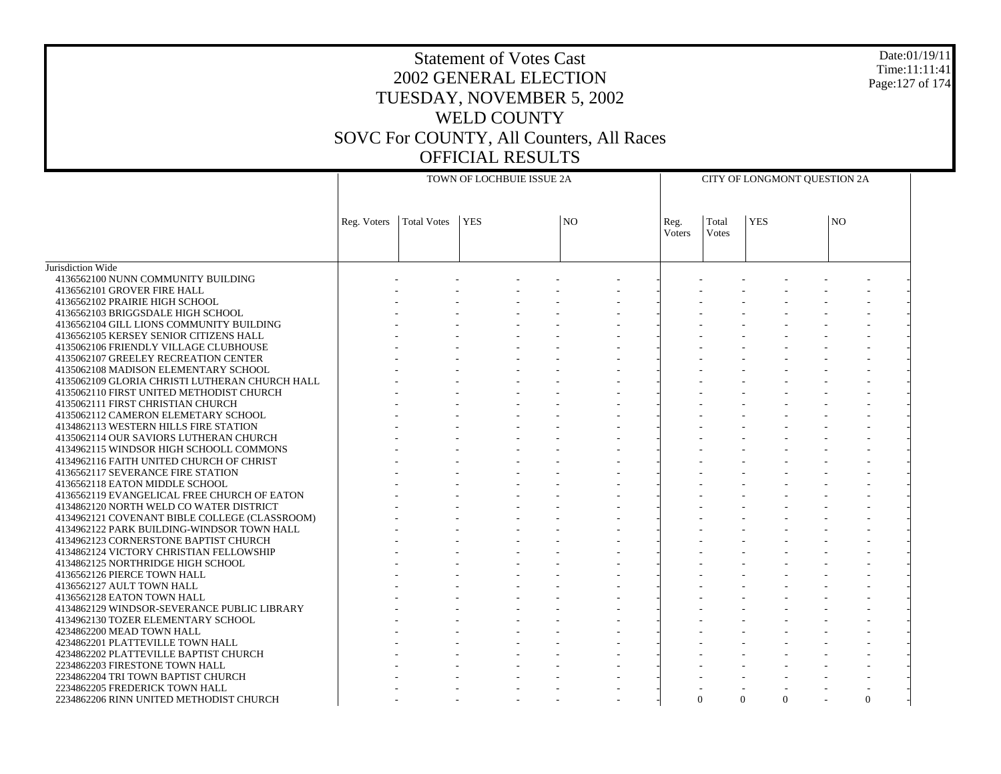# Statement of Votes Cast 2002 GENERAL ELECTION TUESDAY, NOVEMBER 5, 2002 WELD COUNTY SOVC For COUNTY, All Counters, All Races OFFICIAL RESULTS

Date:01/19/11 Time:11:11:41 Page:127 of 174

|                                                |                           | TOWN OF LOCHBUIE ISSUE 2A | CITY OF LONGMONT QUESTION 2A |                |        |       |               |  |                |  |
|------------------------------------------------|---------------------------|---------------------------|------------------------------|----------------|--------|-------|---------------|--|----------------|--|
|                                                |                           |                           |                              |                |        |       |               |  |                |  |
|                                                | Reg. Voters   Total Votes |                           | <b>YES</b>                   | N <sub>O</sub> | Reg.   | Total | <b>YES</b>    |  | N <sub>O</sub> |  |
|                                                |                           |                           |                              |                | Voters | Votes |               |  |                |  |
|                                                |                           |                           |                              |                |        |       |               |  |                |  |
| Jurisdiction Wide                              |                           |                           |                              |                |        |       |               |  |                |  |
| 4136562100 NUNN COMMUNITY BUILDING             |                           |                           |                              |                |        |       |               |  |                |  |
| 4136562101 GROVER FIRE HALL                    |                           |                           |                              |                |        |       |               |  |                |  |
| 4136562102 PRAIRIE HIGH SCHOOL                 |                           |                           |                              |                |        |       |               |  |                |  |
| 4136562103 BRIGGSDALE HIGH SCHOOL              |                           |                           |                              |                |        |       |               |  |                |  |
| 4136562104 GILL LIONS COMMUNITY BUILDING       |                           |                           |                              |                |        |       |               |  |                |  |
| 4136562105 KERSEY SENIOR CITIZENS HALL         |                           |                           |                              |                |        |       |               |  |                |  |
| 4135062106 FRIENDLY VILLAGE CLUBHOUSE          |                           |                           |                              |                |        |       |               |  |                |  |
| 4135062107 GREELEY RECREATION CENTER           |                           |                           |                              |                |        |       |               |  |                |  |
| 4135062108 MADISON ELEMENTARY SCHOOL           |                           |                           |                              |                |        |       |               |  |                |  |
| 4135062109 GLORIA CHRISTI LUTHERAN CHURCH HALL |                           |                           |                              |                |        |       |               |  |                |  |
| 4135062110 FIRST UNITED METHODIST CHURCH       |                           |                           |                              |                |        |       |               |  |                |  |
| 4135062111 FIRST CHRISTIAN CHURCH              |                           |                           |                              |                |        |       |               |  |                |  |
| 4135062112 CAMERON ELEMETARY SCHOOL            |                           |                           |                              |                |        |       |               |  |                |  |
| 4134862113 WESTERN HILLS FIRE STATION          |                           |                           |                              |                |        |       |               |  |                |  |
| 4135062114 OUR SAVIORS LUTHERAN CHURCH         |                           |                           |                              |                |        |       |               |  |                |  |
| 4134962115 WINDSOR HIGH SCHOOLL COMMONS        |                           |                           |                              |                |        |       |               |  |                |  |
| 4134962116 FAITH UNITED CHURCH OF CHRIST       |                           |                           |                              |                |        |       |               |  |                |  |
| 4136562117 SEVERANCE FIRE STATION              |                           |                           |                              |                |        |       |               |  |                |  |
| 4136562118 EATON MIDDLE SCHOOL                 |                           |                           |                              |                |        |       |               |  |                |  |
| 4136562119 EVANGELICAL FREE CHURCH OF EATON    |                           |                           |                              |                |        |       |               |  |                |  |
| 4134862120 NORTH WELD CO WATER DISTRICT        |                           |                           |                              |                |        |       |               |  |                |  |
| 4134962121 COVENANT BIBLE COLLEGE (CLASSROOM)  |                           |                           |                              |                |        |       |               |  |                |  |
| 4134962122 PARK BUILDING-WINDSOR TOWN HALL     |                           |                           |                              |                |        |       |               |  |                |  |
| 4134962123 CORNERSTONE BAPTIST CHURCH          |                           |                           |                              |                |        |       |               |  |                |  |
| 4134862124 VICTORY CHRISTIAN FELLOWSHIP        |                           |                           |                              |                |        |       |               |  |                |  |
| 4134862125 NORTHRIDGE HIGH SCHOOL              |                           |                           |                              |                |        |       |               |  |                |  |
| 4136562126 PIERCE TOWN HALL                    |                           |                           |                              |                |        |       |               |  |                |  |
| 4136562127 AULT TOWN HALL                      |                           |                           |                              |                |        |       |               |  |                |  |
| 4136562128 EATON TOWN HALL                     |                           |                           |                              |                |        |       |               |  |                |  |
| 4134862129 WINDSOR-SEVERANCE PUBLIC LIBRARY    |                           |                           |                              |                |        |       |               |  |                |  |
| 4134962130 TOZER ELEMENTARY SCHOOL             |                           |                           |                              |                |        |       |               |  |                |  |
| 4234862200 MEAD TOWN HALL                      |                           |                           |                              |                |        |       |               |  |                |  |
| 4234862201 PLATTEVILLE TOWN HALL               |                           |                           |                              |                |        |       |               |  |                |  |
| 4234862202 PLATTEVILLE BAPTIST CHURCH          |                           |                           |                              |                |        |       |               |  |                |  |
| 2234862203 FIRESTONE TOWN HALL                 |                           |                           |                              |                |        |       |               |  |                |  |
| 2234862204 TRI TOWN BAPTIST CHURCH             |                           |                           |                              |                |        |       |               |  |                |  |
| 2234862205 FREDERICK TOWN HALL                 |                           |                           |                              |                |        |       |               |  |                |  |
| 2234862206 RINN UNITED METHODIST CHURCH        |                           |                           |                              |                |        |       | $\Omega$<br>0 |  | $\Omega$       |  |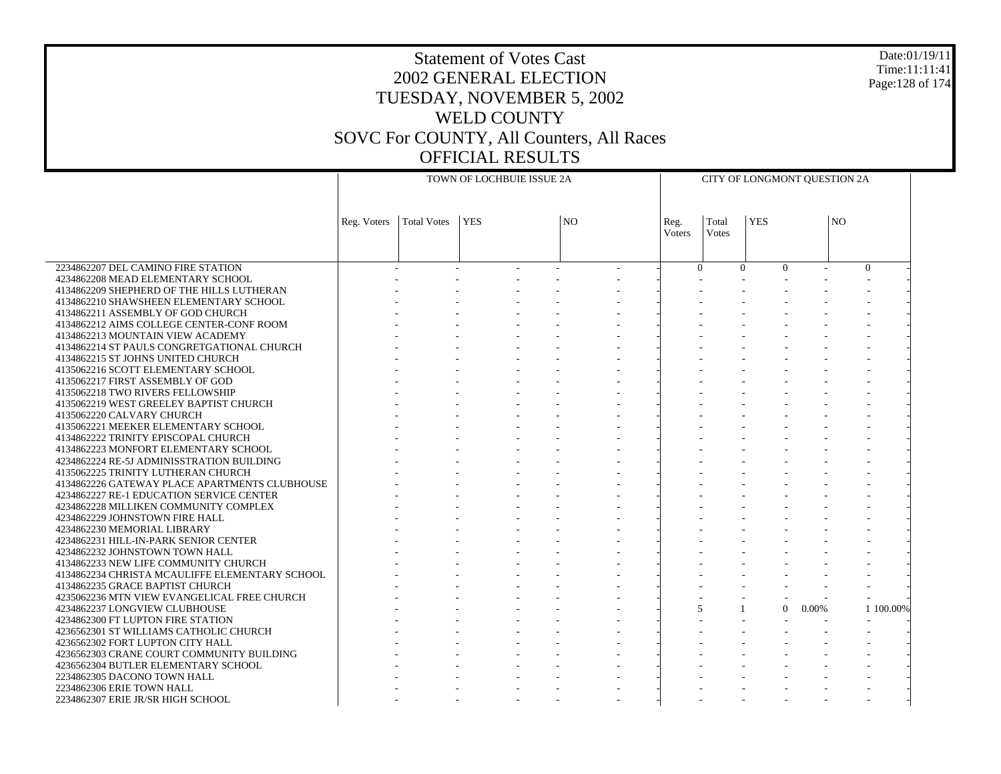#### Date:01/19/11 Time:11:11:41 Page:128 of 174

### Statement of Votes Cast 2002 GENERAL ELECTION TUESDAY, NOVEMBER 5, 2002 WELD COUNTY SOVC For COUNTY, All Counters, All Races OFFICIAL RESULTS

| CITY OF LONGMONT QUESTION 2A |
|------------------------------|

|                                                                                        | TOWN OF LOCHBUIE ISSUE 2A |                    |            |  |           |  |        | CITY OF LONGMONT QUESTION 2A |                      |        |                |           |  |
|----------------------------------------------------------------------------------------|---------------------------|--------------------|------------|--|-----------|--|--------|------------------------------|----------------------|--------|----------------|-----------|--|
|                                                                                        |                           |                    |            |  |           |  |        |                              |                      |        |                |           |  |
|                                                                                        |                           |                    |            |  |           |  |        |                              |                      |        |                |           |  |
|                                                                                        | Reg. Voters               | <b>Total Votes</b> | <b>YES</b> |  | <b>NO</b> |  | Reg.   | Total                        | <b>YES</b>           |        | N <sub>O</sub> |           |  |
|                                                                                        |                           |                    |            |  |           |  | Voters | <b>Votes</b>                 |                      |        |                |           |  |
|                                                                                        |                           |                    |            |  |           |  |        |                              |                      |        |                |           |  |
| 2234862207 DEL CAMINO FIRE STATION                                                     |                           |                    |            |  |           |  |        | $\theta$                     | $\Omega$<br>$\Omega$ | $\sim$ | $\Omega$       |           |  |
| 4234862208 MEAD ELEMENTARY SCHOOL                                                      |                           |                    |            |  |           |  |        |                              |                      |        |                |           |  |
| 4134862209 SHEPHERD OF THE HILLS LUTHERAN                                              |                           |                    |            |  |           |  |        |                              |                      |        |                |           |  |
| 4134862210 SHAWSHEEN ELEMENTARY SCHOOL                                                 |                           |                    |            |  |           |  |        |                              |                      |        |                |           |  |
| 4134862211 ASSEMBLY OF GOD CHURCH                                                      |                           |                    |            |  |           |  |        |                              |                      |        |                |           |  |
| 4134862212 AIMS COLLEGE CENTER-CONF ROOM                                               |                           |                    |            |  |           |  |        |                              |                      |        |                |           |  |
| 4134862213 MOUNTAIN VIEW ACADEMY                                                       |                           |                    |            |  |           |  |        |                              |                      |        |                |           |  |
| 4134862214 ST PAULS CONGRETGATIONAL CHURCH                                             |                           |                    |            |  |           |  |        |                              |                      |        |                |           |  |
| 4134862215 ST JOHNS UNITED CHURCH                                                      |                           |                    |            |  |           |  |        |                              |                      |        |                |           |  |
| 4135062216 SCOTT ELEMENTARY SCHOOL                                                     |                           |                    |            |  |           |  |        |                              |                      |        |                |           |  |
| 4135062217 FIRST ASSEMBLY OF GOD                                                       |                           |                    |            |  |           |  |        |                              |                      |        |                |           |  |
| 4135062218 TWO RIVERS FELLOWSHIP                                                       |                           |                    |            |  |           |  |        |                              |                      |        |                |           |  |
| 4135062219 WEST GREELEY BAPTIST CHURCH                                                 |                           |                    |            |  |           |  |        |                              |                      |        |                |           |  |
| 4135062220 CALVARY CHURCH                                                              |                           |                    |            |  |           |  |        |                              |                      |        |                |           |  |
| 4135062221 MEEKER ELEMENTARY SCHOOL                                                    |                           |                    |            |  |           |  |        |                              |                      |        |                |           |  |
| 4134862222 TRINITY EPISCOPAL CHURCH                                                    |                           |                    |            |  |           |  |        |                              |                      |        |                |           |  |
| 4134862223 MONFORT ELEMENTARY SCHOOL                                                   |                           |                    |            |  |           |  |        |                              |                      |        |                |           |  |
| 4234862224 RE-5J ADMINISSTRATION BUILDING                                              |                           |                    |            |  |           |  |        |                              |                      |        |                |           |  |
| 4135062225 TRINITY LUTHERAN CHURCH                                                     |                           |                    |            |  |           |  |        |                              |                      |        |                |           |  |
| 4134862226 GATEWAY PLACE APARTMENTS CLUBHOUSE                                          |                           |                    |            |  |           |  |        |                              |                      |        |                |           |  |
| 4234862227 RE-1 EDUCATION SERVICE CENTER                                               |                           |                    |            |  |           |  |        |                              |                      |        |                |           |  |
| 4234862228 MILLIKEN COMMUNITY COMPLEX                                                  |                           |                    |            |  |           |  |        |                              |                      |        |                |           |  |
| 4234862229 JOHNSTOWN FIRE HALL                                                         |                           |                    |            |  |           |  |        |                              |                      |        |                |           |  |
| 4234862230 MEMORIAL LIBRARY                                                            |                           |                    |            |  |           |  |        |                              |                      |        |                |           |  |
| 4234862231 HILL-IN-PARK SENIOR CENTER                                                  |                           |                    |            |  |           |  |        |                              |                      |        |                |           |  |
| 4234862232 JOHNSTOWN TOWN HALL                                                         |                           |                    |            |  |           |  |        |                              |                      |        |                |           |  |
| 4134862233 NEW LIFE COMMUNITY CHURCH<br>4134862234 CHRISTA MCAULIFFE ELEMENTARY SCHOOL |                           |                    |            |  |           |  |        |                              |                      |        |                |           |  |
| 4134862235 GRACE BAPTIST CHURCH                                                        |                           |                    |            |  |           |  |        |                              |                      |        |                |           |  |
| 4235062236 MTN VIEW EVANGELICAL FREE CHURCH                                            |                           |                    |            |  |           |  |        |                              |                      |        |                |           |  |
| 4234862237 LONGVIEW CLUBHOUSE                                                          |                           |                    |            |  |           |  |        | 5                            | $\Omega$             | 0.00%  |                | 1 100,00% |  |
| 4234862300 FT LUPTON FIRE STATION                                                      |                           |                    |            |  |           |  |        |                              |                      |        |                |           |  |
| 4236562301 ST WILLIAMS CATHOLIC CHURCH                                                 |                           |                    |            |  |           |  |        |                              |                      |        |                |           |  |
| 4236562302 FORT LUPTON CITY HALL                                                       |                           |                    |            |  |           |  |        |                              |                      |        |                |           |  |
| 4236562303 CRANE COURT COMMUNITY BUILDING                                              |                           |                    |            |  |           |  |        |                              |                      |        |                |           |  |
| 4236562304 BUTLER ELEMENTARY SCHOOL                                                    |                           |                    |            |  |           |  |        |                              |                      |        |                |           |  |
| 2234862305 DACONO TOWN HALL                                                            |                           |                    |            |  |           |  |        |                              |                      |        |                |           |  |
| 2234862306 ERIE TOWN HALL                                                              |                           |                    |            |  |           |  |        |                              |                      |        |                |           |  |
| 2234862307 ERIE JR/SR HIGH SCHOOL                                                      |                           |                    |            |  |           |  |        |                              |                      |        |                |           |  |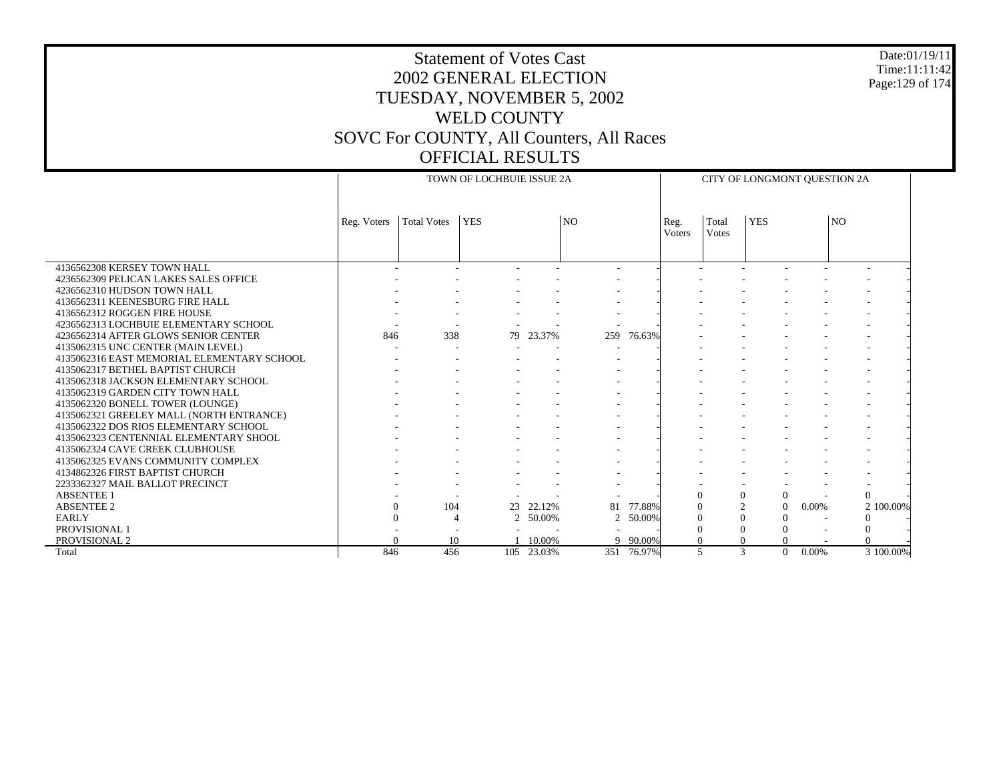#### Date:01/19/11 Time:11:11:42 Page:129 of 174

|                                            |             | TOWN OF LOCHBUIE ISSUE 2A |            | CITY OF LONGMONT OUESTION 2A |           |            |                |                |              |                   |                 |           |
|--------------------------------------------|-------------|---------------------------|------------|------------------------------|-----------|------------|----------------|----------------|--------------|-------------------|-----------------|-----------|
|                                            | Reg. Voters | <b>Total Votes</b>        | <b>YES</b> |                              | <b>NO</b> |            | Reg.<br>Voters | Total<br>Votes | <b>YES</b>   |                   | NO <sub>1</sub> |           |
| 4136562308 KERSEY TOWN HALL                |             |                           |            |                              |           |            |                |                |              |                   |                 |           |
| 4236562309 PELICAN LAKES SALES OFFICE      |             |                           |            |                              |           |            |                |                |              |                   |                 |           |
| 4236562310 HUDSON TOWN HALL                |             |                           |            |                              |           |            |                |                |              |                   |                 |           |
| 4136562311 KEENESBURG FIRE HALL            |             |                           |            |                              |           |            |                |                |              |                   |                 |           |
| 4136562312 ROGGEN FIRE HOUSE               |             |                           |            |                              |           |            |                |                |              |                   |                 |           |
| 4236562313 LOCHBUIE ELEMENTARY SCHOOL      |             |                           |            |                              |           |            |                |                |              |                   |                 |           |
| 4236562314 AFTER GLOWS SENIOR CENTER       | 846         | 338                       | 79         | 23.37%                       | 259       | 76.63%     |                |                |              |                   |                 |           |
| 4135062315 UNC CENTER (MAIN LEVEL)         |             |                           |            |                              |           |            |                |                |              |                   |                 |           |
| 4135062316 EAST MEMORIAL ELEMENTARY SCHOOL |             |                           |            |                              |           |            |                |                |              |                   |                 |           |
| 4135062317 BETHEL BAPTIST CHURCH           |             |                           |            |                              |           |            |                |                |              |                   |                 |           |
| 4135062318 JACKSON ELEMENTARY SCHOOL       |             |                           |            |                              |           |            |                |                |              |                   |                 |           |
| 4135062319 GARDEN CITY TOWN HALL           |             |                           |            |                              |           |            |                |                |              |                   |                 |           |
| 4135062320 BONELL TOWER (LOUNGE)           |             |                           |            |                              |           |            |                |                |              |                   |                 |           |
| 4135062321 GREELEY MALL (NORTH ENTRANCE)   |             |                           |            |                              |           |            |                |                |              |                   |                 |           |
| 4135062322 DOS RIOS ELEMENTARY SCHOOL      |             |                           |            |                              |           |            |                |                |              |                   |                 |           |
| 4135062323 CENTENNIAL ELEMENTARY SHOOL     |             |                           |            |                              |           |            |                |                |              |                   |                 |           |
| 4135062324 CAVE CREEK CLUBHOUSE            |             |                           |            |                              |           |            |                |                |              |                   |                 |           |
| 4135062325 EVANS COMMUNITY COMPLEX         |             |                           |            |                              |           |            |                |                |              |                   |                 |           |
| 4134862326 FIRST BAPTIST CHURCH            |             |                           |            |                              |           |            |                |                |              |                   |                 |           |
| 2233362327 MAIL BALLOT PRECINCT            |             |                           |            |                              |           |            |                |                |              |                   |                 |           |
| <b>ABSENTEE 1</b>                          |             |                           |            |                              |           |            |                | $\Omega$       | $\Omega$     | $\Omega$          | $\Omega$        |           |
| <b>ABSENTEE 2</b>                          |             | 104                       | 23         | 22.12%                       | 81        | 77.88%     |                | $\theta$       |              | $\Omega$<br>0.00% |                 | 2 100.00% |
| <b>EARLY</b>                               |             | 4                         |            | 2 50.00%                     |           | 2 50.00%   |                | $\Omega$       | $\Omega$     | $\Omega$          |                 |           |
| PROVISIONAL 1                              |             |                           |            |                              |           |            |                | $\Omega$       | $\Omega$     | $\Omega$          |                 |           |
| PROVISIONAL 2                              |             | 10                        |            | 10.00%                       |           | 9 90.00%   |                | $\theta$       |              |                   |                 |           |
| Total                                      | 846         | 456                       |            | 105 23.03%                   |           | 351 76.97% |                | 5              | $\mathbf{3}$ | $\Omega$<br>0.00% |                 | 3 100,00% |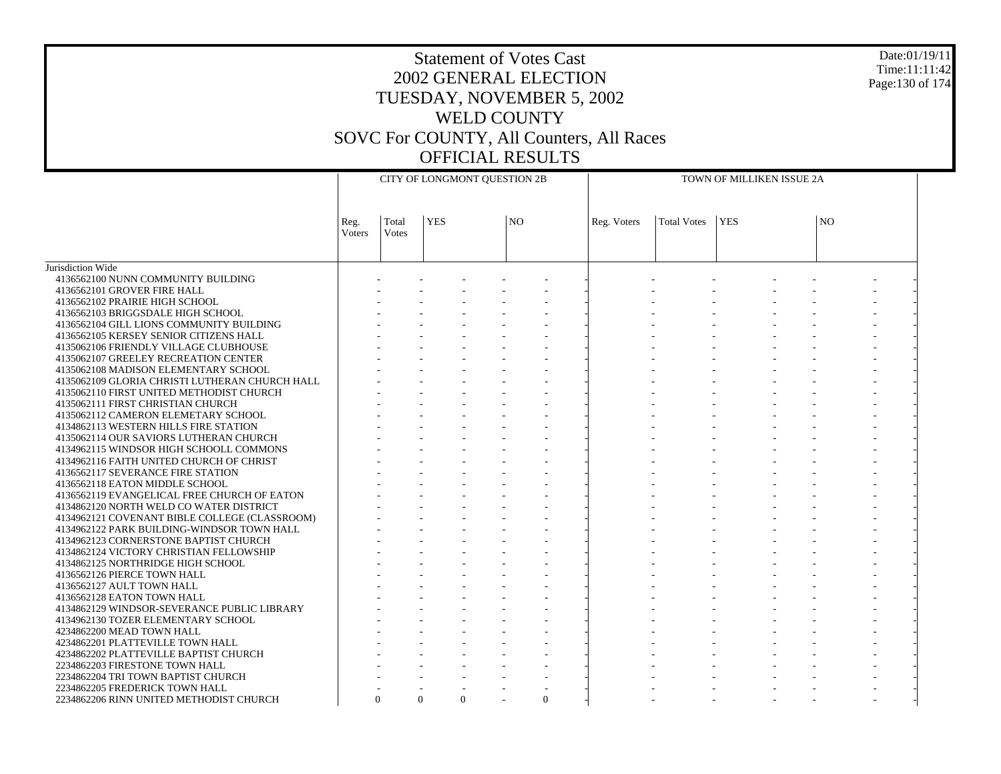# Statement of Votes Cast 2002 GENERAL ELECTION TUESDAY, NOVEMBER 5, 2002 WELD COUNTY SOVC For COUNTY, All Counters, All Races OFFICIAL RESULTS

Date:01/19/11 Time:11:11:42 Page:130 of 174

|                                                |                |                | CITY OF LONGMONT QUESTION 2B |                |             | TOWN OF MILLIKEN ISSUE 2A |            |     |  |  |  |
|------------------------------------------------|----------------|----------------|------------------------------|----------------|-------------|---------------------------|------------|-----|--|--|--|
|                                                | Reg.<br>Voters | Total<br>Votes | <b>YES</b>                   | N <sub>O</sub> | Reg. Voters | <b>Total Votes</b>        | <b>YES</b> | NO. |  |  |  |
| Jurisdiction Wide                              |                |                |                              |                |             |                           |            |     |  |  |  |
| 4136562100 NUNN COMMUNITY BUILDING             |                |                |                              |                |             |                           |            |     |  |  |  |
| 4136562101 GROVER FIRE HALL                    |                |                |                              |                |             |                           |            |     |  |  |  |
| 4136562102 PRAIRIE HIGH SCHOOL                 |                |                |                              |                |             |                           |            |     |  |  |  |
| 4136562103 BRIGGSDALE HIGH SCHOOL              |                |                |                              |                |             |                           |            |     |  |  |  |
| 4136562104 GILL LIONS COMMUNITY BUILDING       |                |                |                              |                |             |                           |            |     |  |  |  |
| 4136562105 KERSEY SENIOR CITIZENS HALL         |                |                |                              |                |             |                           |            |     |  |  |  |
| 4135062106 FRIENDLY VILLAGE CLUBHOUSE          |                |                |                              |                |             |                           |            |     |  |  |  |
| 4135062107 GREELEY RECREATION CENTER           |                |                |                              |                |             |                           |            |     |  |  |  |
| 4135062108 MADISON ELEMENTARY SCHOOL           |                |                |                              |                |             |                           |            |     |  |  |  |
| 4135062109 GLORIA CHRISTI LUTHERAN CHURCH HALL |                |                |                              |                |             |                           |            |     |  |  |  |
| 4135062110 FIRST UNITED METHODIST CHURCH       |                |                |                              |                |             |                           |            |     |  |  |  |
| 4135062111 FIRST CHRISTIAN CHURCH              |                |                |                              |                |             |                           |            |     |  |  |  |
| 4135062112 CAMERON ELEMETARY SCHOOL            |                |                |                              |                |             |                           |            |     |  |  |  |
| 4134862113 WESTERN HILLS FIRE STATION          |                |                |                              |                |             |                           |            |     |  |  |  |
| 4135062114 OUR SAVIORS LUTHERAN CHURCH         |                |                |                              |                |             |                           |            |     |  |  |  |
| 4134962115 WINDSOR HIGH SCHOOLL COMMONS        |                |                |                              |                |             |                           |            |     |  |  |  |
| 4134962116 FAITH UNITED CHURCH OF CHRIST       |                |                |                              |                |             |                           |            |     |  |  |  |
| 4136562117 SEVERANCE FIRE STATION              |                |                |                              |                |             |                           |            |     |  |  |  |
| 4136562118 EATON MIDDLE SCHOOL                 |                |                |                              |                |             |                           |            |     |  |  |  |
| 4136562119 EVANGELICAL FREE CHURCH OF EATON    |                |                |                              |                |             |                           |            |     |  |  |  |
| 4134862120 NORTH WELD CO WATER DISTRICT        |                |                |                              |                |             |                           |            |     |  |  |  |
| 4134962121 COVENANT BIBLE COLLEGE (CLASSROOM)  |                |                |                              |                |             |                           |            |     |  |  |  |
| 4134962122 PARK BUILDING-WINDSOR TOWN HALL     |                |                |                              |                |             |                           |            |     |  |  |  |
| 4134962123 CORNERSTONE BAPTIST CHURCH          |                |                |                              |                |             |                           |            |     |  |  |  |
| 4134862124 VICTORY CHRISTIAN FELLOWSHIP        |                |                |                              |                |             |                           |            |     |  |  |  |
| 4134862125 NORTHRIDGE HIGH SCHOOL              |                |                |                              |                |             |                           |            |     |  |  |  |
| 4136562126 PIERCE TOWN HALL                    |                |                |                              |                |             |                           |            |     |  |  |  |
| 4136562127 AULT TOWN HALL                      |                |                |                              |                |             |                           |            |     |  |  |  |
| 4136562128 EATON TOWN HALL                     |                |                |                              |                |             |                           |            |     |  |  |  |
| 4134862129 WINDSOR-SEVERANCE PUBLIC LIBRARY    |                |                |                              |                |             |                           |            |     |  |  |  |
| 4134962130 TOZER ELEMENTARY SCHOOL             |                |                |                              |                |             |                           |            |     |  |  |  |
| 4234862200 MEAD TOWN HALL                      |                |                |                              |                |             |                           |            |     |  |  |  |
| 4234862201 PLATTEVILLE TOWN HALL               |                |                |                              |                |             |                           |            |     |  |  |  |
| 4234862202 PLATTEVILLE BAPTIST CHURCH          |                |                |                              |                |             |                           |            |     |  |  |  |
| 2234862203 FIRESTONE TOWN HALL                 |                |                |                              |                |             |                           |            |     |  |  |  |
| 2234862204 TRI TOWN BAPTIST CHURCH             |                |                |                              |                |             |                           |            |     |  |  |  |
| 2234862205 FREDERICK TOWN HALL                 |                |                |                              |                |             |                           |            |     |  |  |  |
| 2234862206 RINN UNITED METHODIST CHURCH        |                | $\Omega$       | $\Omega$<br>$\Omega$         | $\Omega$       |             |                           |            |     |  |  |  |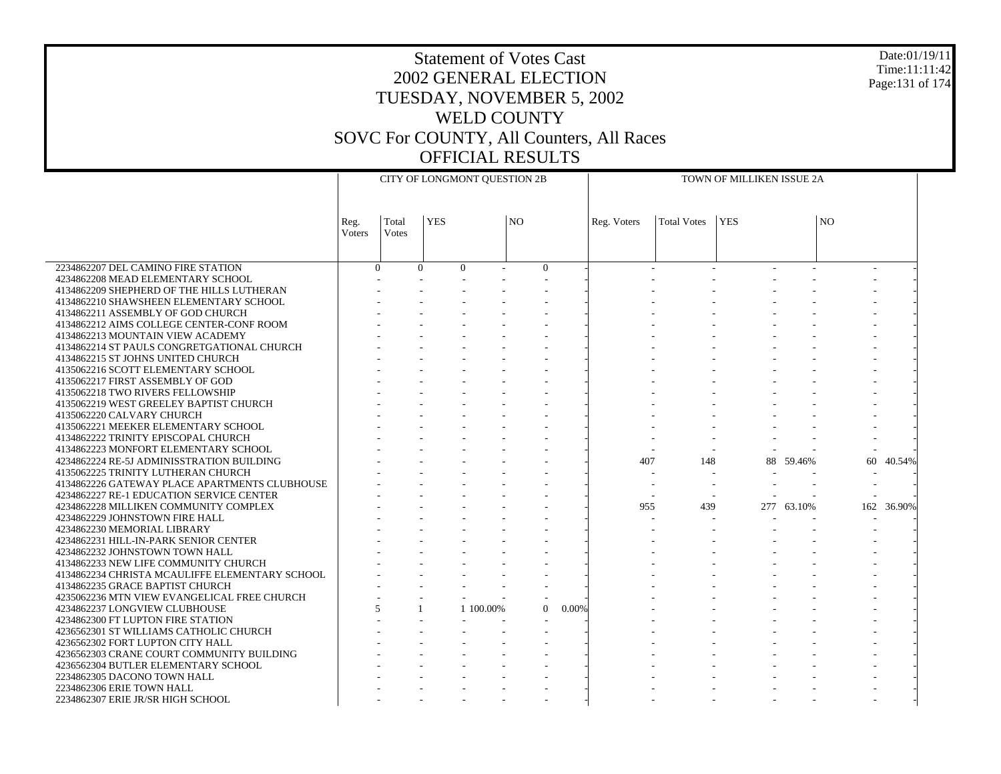### Statement of Votes Cast 2002 GENERAL ELECTION TUESDAY, NOVEMBER 5, 2002 WELD COUNTY SOVC For COUNTY, All Counters, All Races OFFICIAL RESULTS

Date:01/19/11 Time:11:11:42 Page:131 of 174

|                                                                         | CITY OF LONGMONT QUESTION 2B |                          |            |           |                 |          | TOWN OF MILLIKEN ISSUE 2A |                    |            |            |                |            |  |
|-------------------------------------------------------------------------|------------------------------|--------------------------|------------|-----------|-----------------|----------|---------------------------|--------------------|------------|------------|----------------|------------|--|
|                                                                         |                              |                          |            |           |                 |          |                           |                    |            |            |                |            |  |
|                                                                         | Reg.<br>Voters               | Total<br>Votes           | <b>YES</b> |           | NO <sub>1</sub> |          | Reg. Voters               | <b>Total Votes</b> | <b>YES</b> |            | N <sub>O</sub> |            |  |
|                                                                         |                              |                          |            |           |                 |          |                           |                    |            |            |                |            |  |
| 2234862207 DEL CAMINO FIRE STATION                                      |                              | $\Omega$                 | $\Omega$   | $\Omega$  | $\overline{0}$  |          |                           |                    |            |            |                |            |  |
| 4234862208 MEAD ELEMENTARY SCHOOL                                       |                              |                          |            |           |                 |          |                           |                    |            |            |                |            |  |
| 4134862209 SHEPHERD OF THE HILLS LUTHERAN                               |                              |                          |            |           |                 |          |                           |                    |            |            |                |            |  |
| 4134862210 SHAWSHEEN ELEMENTARY SCHOOL                                  |                              |                          |            |           |                 |          |                           |                    |            |            |                |            |  |
| 4134862211 ASSEMBLY OF GOD CHURCH                                       |                              |                          |            |           |                 |          |                           |                    |            |            |                |            |  |
| 4134862212 AIMS COLLEGE CENTER-CONF ROOM                                |                              |                          |            |           |                 |          |                           |                    |            |            |                |            |  |
| 4134862213 MOUNTAIN VIEW ACADEMY                                        |                              |                          |            |           |                 |          |                           |                    |            |            |                |            |  |
| 4134862214 ST PAULS CONGRETGATIONAL CHURCH                              |                              |                          |            |           |                 |          |                           |                    |            |            |                |            |  |
| 4134862215 ST JOHNS UNITED CHURCH<br>4135062216 SCOTT ELEMENTARY SCHOOL |                              |                          |            |           |                 |          |                           |                    |            |            |                |            |  |
| 4135062217 FIRST ASSEMBLY OF GOD                                        |                              |                          |            |           |                 |          |                           |                    |            |            |                |            |  |
| 4135062218 TWO RIVERS FELLOWSHIP                                        |                              |                          |            |           |                 |          |                           |                    |            |            |                |            |  |
| 4135062219 WEST GREELEY BAPTIST CHURCH                                  |                              |                          |            |           |                 |          |                           |                    |            |            |                |            |  |
| 4135062220 CALVARY CHURCH                                               |                              |                          |            |           |                 |          |                           |                    |            |            |                |            |  |
| 4135062221 MEEKER ELEMENTARY SCHOOL                                     |                              |                          |            |           |                 |          |                           |                    |            |            |                |            |  |
| 4134862222 TRINITY EPISCOPAL CHURCH                                     |                              |                          |            |           |                 |          |                           |                    |            |            |                |            |  |
| 4134862223 MONFORT ELEMENTARY SCHOOL                                    |                              |                          |            |           |                 |          |                           |                    |            |            |                |            |  |
| 4234862224 RE-5J ADMINISSTRATION BUILDING                               |                              |                          |            |           |                 |          | 407                       | 148                |            | 88 59.46%  | 60             | 40.54%     |  |
| 4135062225 TRINITY LUTHERAN CHURCH                                      |                              |                          |            |           |                 |          |                           |                    |            |            |                |            |  |
| 4134862226 GATEWAY PLACE APARTMENTS CLUBHOUSE                           |                              |                          |            |           |                 |          |                           |                    |            |            |                |            |  |
| 4234862227 RE-1 EDUCATION SERVICE CENTER                                |                              |                          |            |           |                 |          |                           |                    |            |            |                |            |  |
| 4234862228 MILLIKEN COMMUNITY COMPLEX                                   |                              |                          |            |           |                 |          | 955                       | 439                |            | 277 63.10% |                | 162 36.90% |  |
| 4234862229 JOHNSTOWN FIRE HALL                                          |                              |                          |            |           |                 |          |                           |                    |            |            |                |            |  |
| 4234862230 MEMORIAL LIBRARY                                             |                              |                          |            |           |                 |          |                           |                    |            |            |                |            |  |
| 4234862231 HILL-IN-PARK SENIOR CENTER                                   |                              |                          |            |           |                 |          |                           |                    |            |            |                |            |  |
| 4234862232 JOHNSTOWN TOWN HALL                                          |                              |                          |            |           |                 |          |                           |                    |            |            |                |            |  |
| 4134862233 NEW LIFE COMMUNITY CHURCH                                    |                              |                          |            |           |                 |          |                           |                    |            |            |                |            |  |
| 4134862234 CHRISTA MCAULIFFE ELEMENTARY SCHOOL                          |                              |                          |            |           |                 |          |                           |                    |            |            |                |            |  |
| 4134862235 GRACE BAPTIST CHURCH                                         |                              |                          |            |           |                 |          |                           |                    |            |            |                |            |  |
| 4235062236 MTN VIEW EVANGELICAL FREE CHURCH                             |                              |                          |            |           |                 |          |                           |                    |            |            |                |            |  |
| 4234862237 LONGVIEW CLUBHOUSE                                           |                              | $\overline{\phantom{0}}$ |            | 1 100,00% | $\Omega$        | $0.00\%$ |                           |                    |            |            |                |            |  |
| 4234862300 FT LUPTON FIRE STATION                                       |                              |                          |            |           |                 |          |                           |                    |            |            |                |            |  |
| 4236562301 ST WILLIAMS CATHOLIC CHURCH                                  |                              |                          |            |           |                 |          |                           |                    |            |            |                |            |  |
| 4236562302 FORT LUPTON CITY HALL                                        |                              |                          |            |           |                 |          |                           |                    |            |            |                |            |  |
| 4236562303 CRANE COURT COMMUNITY BUILDING                               |                              |                          |            |           |                 |          |                           |                    |            |            |                |            |  |
| 4236562304 BUTLER ELEMENTARY SCHOOL<br>2234862305 DACONO TOWN HALL      |                              |                          |            |           |                 |          |                           |                    |            |            |                |            |  |
| 2234862306 ERIE TOWN HALL                                               |                              |                          |            |           |                 |          |                           |                    |            |            |                |            |  |
| 2234862307 ERIE JR/SR HIGH SCHOOL                                       |                              |                          |            |           |                 |          |                           |                    |            |            |                |            |  |
|                                                                         |                              |                          |            |           |                 |          |                           |                    |            |            |                |            |  |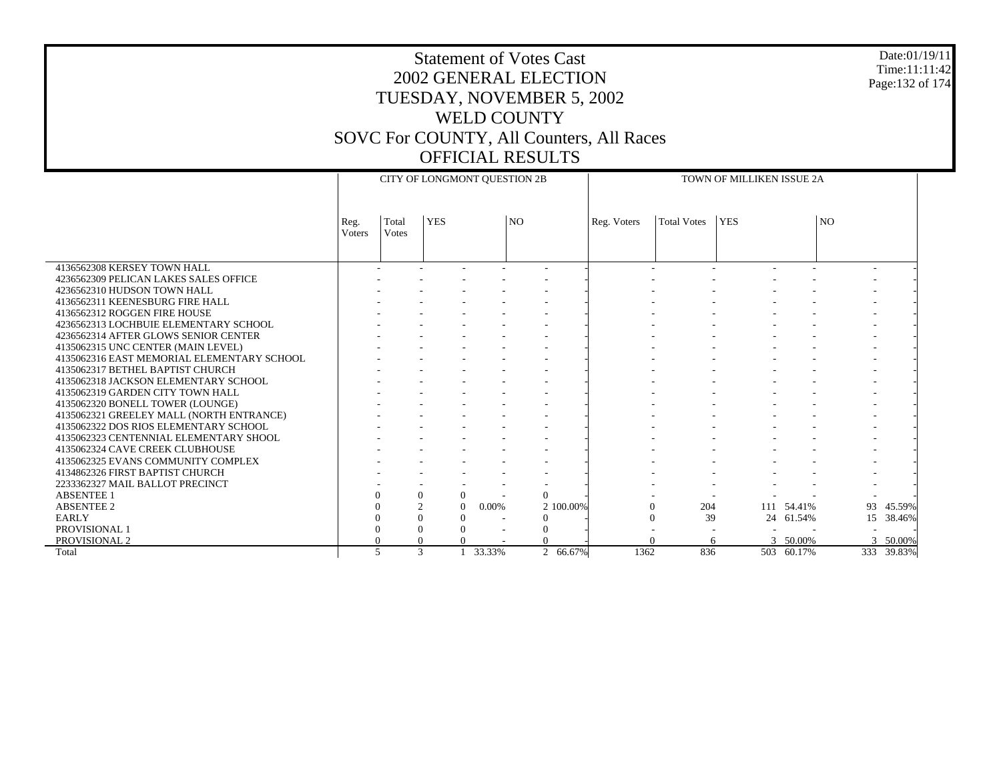# 2002 GENERAL ELECTION TUESDAY, NOVEMBER 5, 2002 Page:132 of 174

Date:01/19/11 Time:11:11:42

### WELD COUNTY SOVC For COUNTY, All Counters, All Races OFFICIAL RESULTS

Statement of Votes Cast

|                                            | CITY OF LONGMONT QUESTION 2B |                |               |        | TOWN OF MILLIKEN ISSUE 2A |             |             |            |            |    |            |
|--------------------------------------------|------------------------------|----------------|---------------|--------|---------------------------|-------------|-------------|------------|------------|----|------------|
|                                            |                              |                |               |        |                           |             |             |            |            |    |            |
|                                            | Reg.<br>Voters               | Total<br>Votes | <b>YES</b>    |        | N <sub>O</sub>            | Reg. Voters | Total Votes | <b>YES</b> |            | NO |            |
|                                            |                              |                |               |        |                           |             |             |            |            |    |            |
|                                            |                              |                |               |        |                           |             |             |            |            |    |            |
| 4136562308 KERSEY TOWN HALL                |                              |                |               |        |                           |             |             |            |            |    |            |
| 4236562309 PELICAN LAKES SALES OFFICE      |                              |                |               |        |                           |             |             |            |            |    |            |
| 4236562310 HUDSON TOWN HALL                |                              |                |               |        |                           |             |             |            |            |    |            |
| 4136562311 KEENESBURG FIRE HALL            |                              |                |               |        |                           |             |             |            |            |    |            |
| 4136562312 ROGGEN FIRE HOUSE               |                              |                |               |        |                           |             |             |            |            |    |            |
| 4236562313 LOCHBUIE ELEMENTARY SCHOOL      |                              |                |               |        |                           |             |             |            |            |    |            |
| 4236562314 AFTER GLOWS SENIOR CENTER       |                              |                |               |        |                           |             |             |            |            |    |            |
| 4135062315 UNC CENTER (MAIN LEVEL)         |                              |                |               |        |                           |             |             |            |            |    |            |
| 4135062316 EAST MEMORIAL ELEMENTARY SCHOOL |                              |                |               |        |                           |             |             |            |            |    |            |
| 4135062317 BETHEL BAPTIST CHURCH           |                              |                |               |        |                           |             |             |            |            |    |            |
| 4135062318 JACKSON ELEMENTARY SCHOOL       |                              |                |               |        |                           |             |             |            |            |    |            |
| 4135062319 GARDEN CITY TOWN HALL           |                              |                |               |        |                           |             |             |            |            |    |            |
| 4135062320 BONELL TOWER (LOUNGE)           |                              |                |               |        |                           |             |             |            |            |    |            |
| 4135062321 GREELEY MALL (NORTH ENTRANCE)   |                              |                |               |        |                           |             |             |            |            |    |            |
| 4135062322 DOS RIOS ELEMENTARY SCHOOL      |                              |                |               |        |                           |             |             |            |            |    |            |
| 4135062323 CENTENNIAL ELEMENTARY SHOOL     |                              |                |               |        |                           |             |             |            |            |    |            |
| 4135062324 CAVE CREEK CLUBHOUSE            |                              |                |               |        |                           |             |             |            |            |    |            |
| 4135062325 EVANS COMMUNITY COMPLEX         |                              |                |               |        |                           |             |             |            |            |    |            |
| 4134862326 FIRST BAPTIST CHURCH            |                              |                |               |        |                           |             |             |            |            |    |            |
| 2233362327 MAIL BALLOT PRECINCT            |                              |                |               |        |                           |             |             |            |            |    |            |
| <b>ABSENTEE 1</b>                          | $\Omega$                     | $\theta$       | $\theta$      |        | $\overline{0}$            |             |             |            |            |    |            |
| <b>ABSENTEE 2</b>                          |                              |                | $\Omega$      | 0.00%  | 2 100,00%                 |             | 204<br>0    |            | 111 54.41% | 93 | 45.59%     |
| <b>EARLY</b>                               | $\Omega$                     |                | $\Omega$<br>0 |        | $\Omega$                  |             | 39<br>0     | 24         | 61.54%     | 15 | 38.46%     |
| PROVISIONAL 1                              |                              | $\Omega$       | 0             |        | $\mathbf{0}$              |             |             |            |            |    |            |
| PROVISIONAL 2                              | $\Omega$                     | $\Omega$       |               |        |                           |             |             | 6          | 3 50.00%   | 3  | 50.00%     |
| Total                                      | $\overline{\phantom{0}}$     |                | 3             | 33.33% | 2 66.67%                  | 1362        | 836         |            | 503 60.17% |    | 333 39.83% |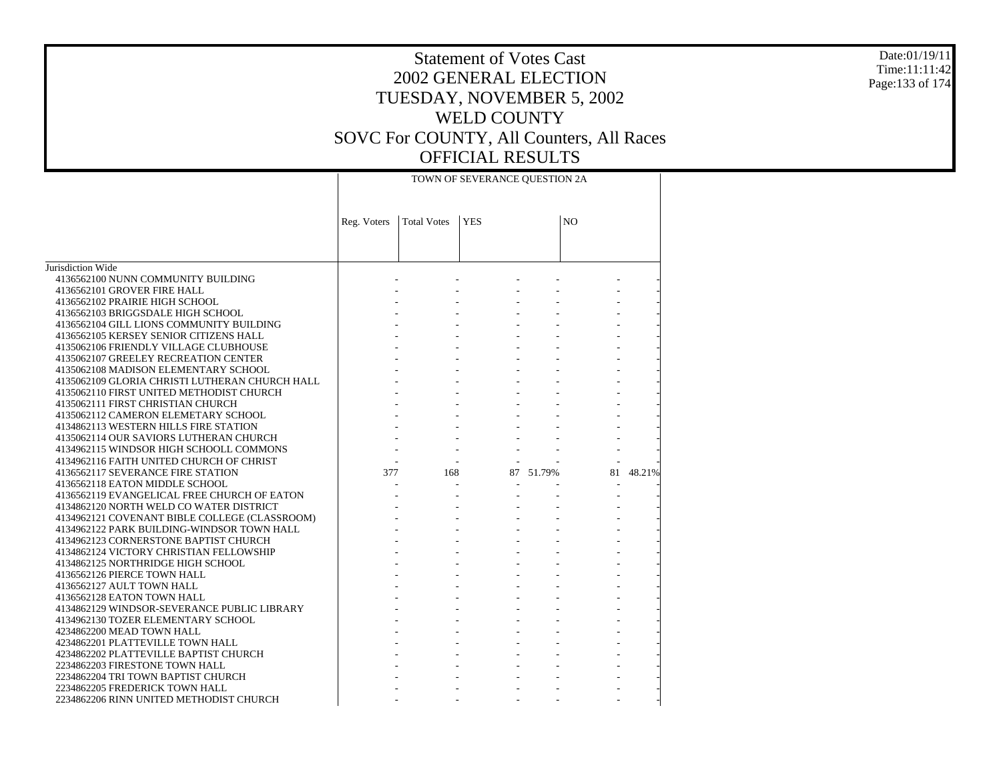#### Date:01/19/11 Time:11:11:42 Page:133 of 174

|                                                                                          | TOWN OF SEVERANCE QUESTION 2A |                    |            |           |    |        |  |  |
|------------------------------------------------------------------------------------------|-------------------------------|--------------------|------------|-----------|----|--------|--|--|
|                                                                                          | Reg. Voters                   | <b>Total Votes</b> | <b>YES</b> | NO        |    |        |  |  |
|                                                                                          |                               |                    |            |           |    |        |  |  |
| Jurisdiction Wide                                                                        |                               |                    |            |           |    |        |  |  |
| 4136562100 NUNN COMMUNITY BUILDING                                                       |                               |                    |            |           |    |        |  |  |
| 4136562101 GROVER FIRE HALL                                                              |                               |                    |            |           |    |        |  |  |
| 4136562102 PRAIRIE HIGH SCHOOL                                                           |                               |                    |            |           |    |        |  |  |
| 4136562103 BRIGGSDALE HIGH SCHOOL                                                        |                               |                    |            |           |    |        |  |  |
| 4136562104 GILL LIONS COMMUNITY BUILDING                                                 |                               |                    |            |           |    |        |  |  |
| 4136562105 KERSEY SENIOR CITIZENS HALL                                                   |                               |                    |            |           |    |        |  |  |
| 4135062106 FRIENDLY VILLAGE CLUBHOUSE                                                    |                               |                    |            |           |    |        |  |  |
| 4135062107 GREELEY RECREATION CENTER                                                     |                               |                    |            |           |    |        |  |  |
| 4135062108 MADISON ELEMENTARY SCHOOL                                                     |                               |                    |            |           |    |        |  |  |
| 4135062109 GLORIA CHRISTI LUTHERAN CHURCH HALL                                           |                               |                    |            |           |    |        |  |  |
| 4135062110 FIRST UNITED METHODIST CHURCH                                                 |                               |                    |            |           |    |        |  |  |
| 4135062111 FIRST CHRISTIAN CHURCH                                                        |                               |                    |            |           |    |        |  |  |
| 4135062112 CAMERON ELEMETARY SCHOOL                                                      |                               |                    |            |           |    |        |  |  |
| 4134862113 WESTERN HILLS FIRE STATION                                                    |                               |                    |            |           |    |        |  |  |
| 4135062114 OUR SAVIORS LUTHERAN CHURCH                                                   |                               |                    |            |           |    |        |  |  |
| 4134962115 WINDSOR HIGH SCHOOLL COMMONS                                                  |                               |                    |            |           |    |        |  |  |
| 4134962116 FAITH UNITED CHURCH OF CHRIST                                                 |                               |                    |            |           |    |        |  |  |
| 4136562117 SEVERANCE FIRE STATION                                                        | 377                           | 168                |            | 87 51.79% | 81 | 48.21% |  |  |
| 4136562118 EATON MIDDLE SCHOOL                                                           |                               |                    |            |           |    |        |  |  |
| 4136562119 EVANGELICAL FREE CHURCH OF EATON                                              |                               |                    |            |           |    |        |  |  |
| 4134862120 NORTH WELD CO WATER DISTRICT<br>4134962121 COVENANT BIBLE COLLEGE (CLASSROOM) |                               |                    |            |           |    |        |  |  |
| 4134962122 PARK BUILDING-WINDSOR TOWN HALL                                               |                               |                    |            |           |    |        |  |  |
| 4134962123 CORNERSTONE BAPTIST CHURCH                                                    |                               |                    |            |           |    |        |  |  |
| 4134862124 VICTORY CHRISTIAN FELLOWSHIP                                                  |                               |                    |            |           |    |        |  |  |
| 4134862125 NORTHRIDGE HIGH SCHOOL                                                        |                               |                    |            |           |    |        |  |  |
| 4136562126 PIERCE TOWN HALL                                                              |                               |                    |            |           |    |        |  |  |
| 4136562127 AULT TOWN HALL                                                                |                               |                    |            |           |    |        |  |  |
| 4136562128 EATON TOWN HALL                                                               |                               |                    |            |           |    |        |  |  |
| 4134862129 WINDSOR-SEVERANCE PUBLIC LIBRARY                                              |                               |                    |            |           |    |        |  |  |
| 4134962130 TOZER ELEMENTARY SCHOOL                                                       |                               |                    |            |           |    |        |  |  |
| 4234862200 MEAD TOWN HALL                                                                |                               |                    |            |           |    |        |  |  |
| 4234862201 PLATTEVILLE TOWN HALL                                                         |                               |                    |            |           |    |        |  |  |
| 4234862202 PLATTEVILLE BAPTIST CHURCH                                                    |                               |                    |            |           |    |        |  |  |
| 2234862203 FIRESTONE TOWN HALL                                                           |                               |                    |            |           |    |        |  |  |
| 2234862204 TRI TOWN BAPTIST CHURCH                                                       |                               |                    |            |           |    |        |  |  |
| 2234862205 FREDERICK TOWN HALL                                                           |                               |                    |            |           |    |        |  |  |
| 2234862206 RINN UNITED METHODIST CHURCH                                                  |                               |                    |            |           |    |        |  |  |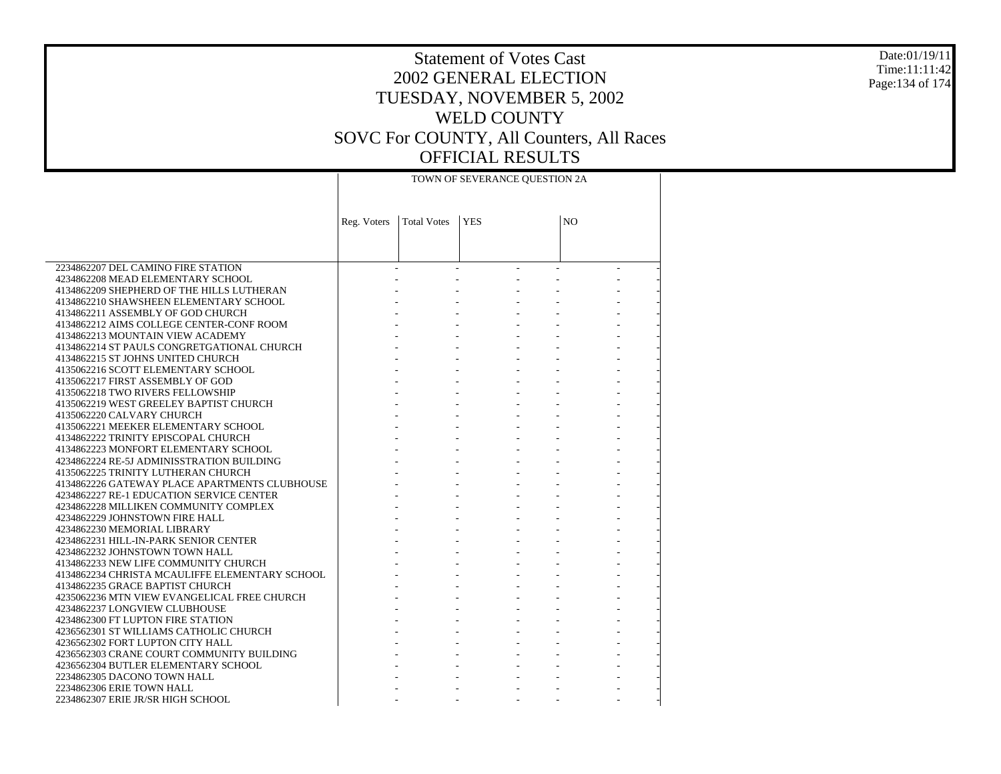#### Date:01/19/11 Time:11:11:42 Page:134 of 174

|                                                                         | TOWN OF SEVERANCE QUESTION 2A |                    |            |                           |    |  |  |  |  |
|-------------------------------------------------------------------------|-------------------------------|--------------------|------------|---------------------------|----|--|--|--|--|
|                                                                         | Reg. Voters                   | <b>Total Votes</b> | <b>YES</b> |                           | NO |  |  |  |  |
|                                                                         |                               |                    |            |                           |    |  |  |  |  |
|                                                                         |                               |                    |            |                           |    |  |  |  |  |
| 2234862207 DEL CAMINO FIRE STATION                                      |                               |                    |            |                           |    |  |  |  |  |
| 4234862208 MEAD ELEMENTARY SCHOOL                                       |                               |                    |            |                           |    |  |  |  |  |
| 4134862209 SHEPHERD OF THE HILLS LUTHERAN                               |                               |                    |            |                           |    |  |  |  |  |
| 4134862210 SHAWSHEEN ELEMENTARY SCHOOL                                  |                               |                    |            |                           |    |  |  |  |  |
| 4134862211 ASSEMBLY OF GOD CHURCH                                       |                               |                    |            |                           |    |  |  |  |  |
| 4134862212 AIMS COLLEGE CENTER-CONF ROOM                                |                               |                    |            |                           |    |  |  |  |  |
| 4134862213 MOUNTAIN VIEW ACADEMY                                        |                               |                    |            |                           |    |  |  |  |  |
| 4134862214 ST PAULS CONGRETGATIONAL CHURCH                              |                               |                    |            | $\omega_{\rm{max}}$       |    |  |  |  |  |
| 4134862215 ST JOHNS UNITED CHURCH                                       |                               |                    |            |                           |    |  |  |  |  |
| 4135062216 SCOTT ELEMENTARY SCHOOL                                      |                               |                    |            |                           |    |  |  |  |  |
| 4135062217 FIRST ASSEMBLY OF GOD                                        |                               |                    |            |                           |    |  |  |  |  |
| 4135062218 TWO RIVERS FELLOWSHIP                                        |                               |                    |            |                           |    |  |  |  |  |
| 4135062219 WEST GREELEY BAPTIST CHURCH                                  |                               |                    |            | $\omega_{\rm{max}}$       |    |  |  |  |  |
| 4135062220 CALVARY CHURCH                                               |                               |                    |            |                           |    |  |  |  |  |
| 4135062221 MEEKER ELEMENTARY SCHOOL                                     |                               |                    |            |                           |    |  |  |  |  |
| 4134862222 TRINITY EPISCOPAL CHURCH                                     |                               |                    |            |                           |    |  |  |  |  |
| 4134862223 MONFORT ELEMENTARY SCHOOL                                    |                               |                    |            | $\omega_{\rm{max}}$       |    |  |  |  |  |
| 4234862224 RE-5J ADMINISSTRATION BUILDING                               |                               |                    |            |                           |    |  |  |  |  |
| 4135062225 TRINITY LUTHERAN CHURCH                                      |                               |                    |            |                           |    |  |  |  |  |
| 4134862226 GATEWAY PLACE APARTMENTS CLUBHOUSE                           |                               |                    |            |                           |    |  |  |  |  |
| 4234862227 RE-1 EDUCATION SERVICE CENTER                                |                               |                    |            |                           |    |  |  |  |  |
| 4234862228 MILLIKEN COMMUNITY COMPLEX                                   |                               |                    |            | $\mathbf{L}^{\text{max}}$ |    |  |  |  |  |
| 4234862229 JOHNSTOWN FIRE HALL                                          |                               |                    |            |                           |    |  |  |  |  |
| 4234862230 MEMORIAL LIBRARY                                             |                               |                    |            |                           |    |  |  |  |  |
| 4234862231 HILL-IN-PARK SENIOR CENTER<br>4234862232 JOHNSTOWN TOWN HALL |                               |                    |            |                           |    |  |  |  |  |
| 4134862233 NEW LIFE COMMUNITY CHURCH                                    |                               |                    |            | $\omega_{\rm{max}}$       |    |  |  |  |  |
| 4134862234 CHRISTA MCAULIFFE ELEMENTARY SCHOOL                          |                               |                    |            |                           |    |  |  |  |  |
| 4134862235 GRACE BAPTIST CHURCH                                         |                               |                    |            |                           |    |  |  |  |  |
| 4235062236 MTN VIEW EVANGELICAL FREE CHURCH                             |                               |                    |            |                           |    |  |  |  |  |
| 4234862237 LONGVIEW CLUBHOUSE                                           |                               |                    |            |                           |    |  |  |  |  |
| 4234862300 FT LUPTON FIRE STATION                                       |                               |                    |            |                           |    |  |  |  |  |
| 4236562301 ST WILLIAMS CATHOLIC CHURCH                                  |                               |                    |            |                           |    |  |  |  |  |
| 4236562302 FORT LUPTON CITY HALL                                        |                               |                    |            |                           |    |  |  |  |  |
| 4236562303 CRANE COURT COMMUNITY BUILDING                               |                               |                    |            |                           |    |  |  |  |  |
| 4236562304 BUTLER ELEMENTARY SCHOOL                                     |                               |                    |            |                           |    |  |  |  |  |
| 2234862305 DACONO TOWN HALL                                             |                               |                    |            |                           |    |  |  |  |  |
| 2234862306 ERIE TOWN HALL                                               |                               |                    |            |                           |    |  |  |  |  |
| 2234862307 ERIE JR/SR HIGH SCHOOL                                       |                               |                    |            |                           |    |  |  |  |  |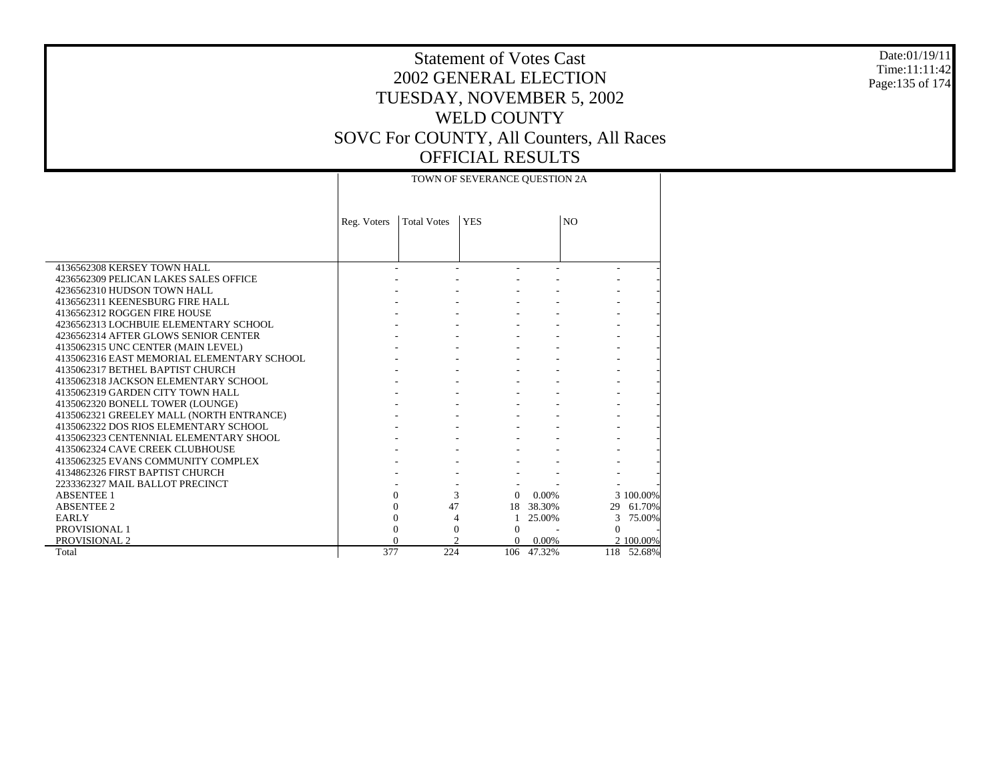#### Date:01/19/11 Time:11:11:42 Page:135 of 174

|                                            |             |                                  | TOWN OF SEVERANCE QUESTION 2A |            |                |           |
|--------------------------------------------|-------------|----------------------------------|-------------------------------|------------|----------------|-----------|
|                                            | Reg. Voters | <b>Total Votes</b><br><b>YES</b> |                               |            | N <sub>O</sub> |           |
|                                            |             |                                  |                               |            |                |           |
| 4136562308 KERSEY TOWN HALL                |             |                                  |                               |            |                |           |
| 4236562309 PELICAN LAKES SALES OFFICE      |             |                                  |                               |            |                |           |
| 4236562310 HUDSON TOWN HALL                |             |                                  |                               |            |                |           |
| 4136562311 KEENESBURG FIRE HALL            |             |                                  |                               |            |                |           |
| 4136562312 ROGGEN FIRE HOUSE               |             |                                  |                               |            |                |           |
| 4236562313 LOCHBUIE ELEMENTARY SCHOOL      |             |                                  |                               |            |                |           |
| 4236562314 AFTER GLOWS SENIOR CENTER       |             |                                  |                               |            |                |           |
| 4135062315 UNC CENTER (MAIN LEVEL)         |             |                                  |                               |            |                |           |
| 4135062316 EAST MEMORIAL ELEMENTARY SCHOOL |             |                                  |                               |            |                |           |
| 4135062317 BETHEL BAPTIST CHURCH           |             |                                  |                               |            |                |           |
| 4135062318 JACKSON ELEMENTARY SCHOOL       |             |                                  |                               |            |                |           |
| 4135062319 GARDEN CITY TOWN HALL           |             |                                  |                               |            |                |           |
| 4135062320 BONELL TOWER (LOUNGE)           |             |                                  |                               |            |                |           |
| 4135062321 GREELEY MALL (NORTH ENTRANCE)   |             |                                  |                               |            |                |           |
| 4135062322 DOS RIOS ELEMENTARY SCHOOL      |             |                                  |                               |            |                |           |
| 4135062323 CENTENNIAL ELEMENTARY SHOOL     |             |                                  |                               |            |                |           |
| 4135062324 CAVE CREEK CLUBHOUSE            |             |                                  |                               |            |                |           |
| 4135062325 EVANS COMMUNITY COMPLEX         |             |                                  |                               |            |                |           |
| 4134862326 FIRST BAPTIST CHURCH            |             |                                  |                               |            |                |           |
| 2233362327 MAIL BALLOT PRECINCT            |             |                                  |                               |            |                |           |
| <b>ABSENTEE 1</b>                          |             | $\Omega$                         | 3<br>$\Omega$                 | $0.00\%$   |                | 3 100,00% |
| <b>ABSENTEE 2</b>                          |             | 47<br>0                          |                               | 18 38.30%  | 29             | 61.70%    |
| EARLY                                      |             | $\mathbf{0}$                     | 4<br>$\mathbf{1}$             | 25.00%     | 3              | 75.00%    |
| PROVISIONAL 1                              |             | $\theta$                         | $\Omega$<br>$\Omega$          |            | $\Omega$       |           |
| PROVISIONAL 2                              |             | 0                                | 2<br>0                        | $0.00\%$   |                | 2 100.00% |
| Total                                      | 377         | 224                              |                               | 106 47.32% | 118            | 52.68%    |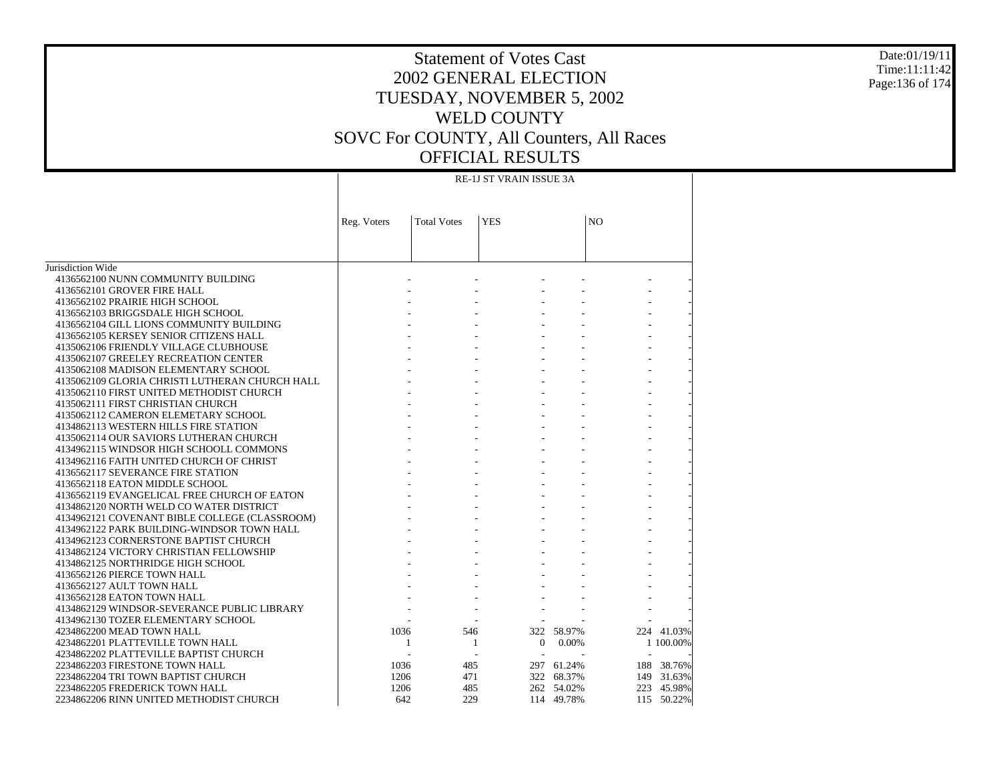# Statement of Votes Cast2002 GENERAL ELECTIONTUESDAY, NOVEMBER 5, 2002 WELD COUNTYSOVC For COUNTY, All Counters, All Races OFFICIAL RESULTS

Jurisdiction Wide 4136562100 NUNN COMMUNITY BUILDING 4136562101 GROVER FIRE HALL 4136562102 PRAIRIE HIGH SCHOOL 4136562103 BRIGGSDALE HIGH SCHOOL 4136562104 GILL LIONS COMMUNITY BUILDING 4136562105 KERSEY SENIOR CITIZENS HALL 4135062106 FRIENDLY VILLAGE CLUBHOUSE 4135062107 GREELEY RECREATION CENTER 4135062108 MADISON ELEMENTARY SCHOOL 4135062109 GLORIA CHRISTI LUTHERAN CHURCH HALL 4135062110 FIRST UNITED METHODIST CHURCH 4135062111 FIRST CHRISTIAN CHURCH 4135062112 CAMERON ELEMETARY SCHOOL 4134862113 WESTERN HILLS FIRE STATION 4135062114 OUR SAVIORS LUTHERAN CHURCH 4134962115 WINDSOR HIGH SCHOOLL COMMONS 4134962116 FAITH UNITED CHURCH OF CHRIST 4136562117 SEVERANCE FIRE STATION 4136562118 EATON MIDDLE SCHOOL 4136562119 EVANGELICAL FREE CHURCH OF EATON 4134862120 NORTH WELD CO WATER DISTRICT 4134962121 COVENANT BIBLE COLLEGE (CLASSROOM) 4134962122 PARK BUILDING-WINDSOR TOWN HALL 4134962123 CORNERSTONE BAPTIST CHURCH 4134862124 VICTORY CHRISTIAN FELLOWSHIP 4134862125 NORTHRIDGE HIGH SCHOOL 4136562126 PIERCE TOWN HALL 4136562127 AULT TOWN HALL 4136562128 EATON TOWN HALL 4134862129 WINDSOR-SEVERANCE PUBLIC LIBRARY 4134962130 TOZER ELEMENTARY SCHOOL 4234862200 MEAD TOWN HALL 4234862201 PLATTEVILLE TOWN HALL 4234862202 PLATTEVILLE BAPTIST CHURCH 2234862203 FIRESTONE TOWN HALL 2234862204 TRI TOWN BAPTIST CHURCH 2234862205 FREDERICK TOWN HALL 2234862206 RINN UNITED METHODIST CHURCHReg. Voters | Total Votes | YES | NO RE-1J ST VRAIN ISSUE 3A - - - - - - - - - - - - - - - - - - - - - - - - - - - - - - - - - - - - - - - - - - - - - - - - - - - - - - - - - - - - - - - - - - - - - - - - - - - - - - - - - - - - - - - - - - - - - - - - - - - - - - - - - - - - - - - - - - - - - - - - - - - - - - - - - - - - - - - - - - - - - - - - - - - - - - - - - - - 1036 546 322 58.97% 224 41.03% 1 1 0 0.00% 1 100.00% - - - - - - 1036 485 297 61.24% 188 38.76% 1206 471 322 68.37% 149 31.63% 1206 485 262 54.02% 223 45.98% 642 229 114 49.78%115 50.22%

Date:01/19/11Time:11:11:42Page:136 of 174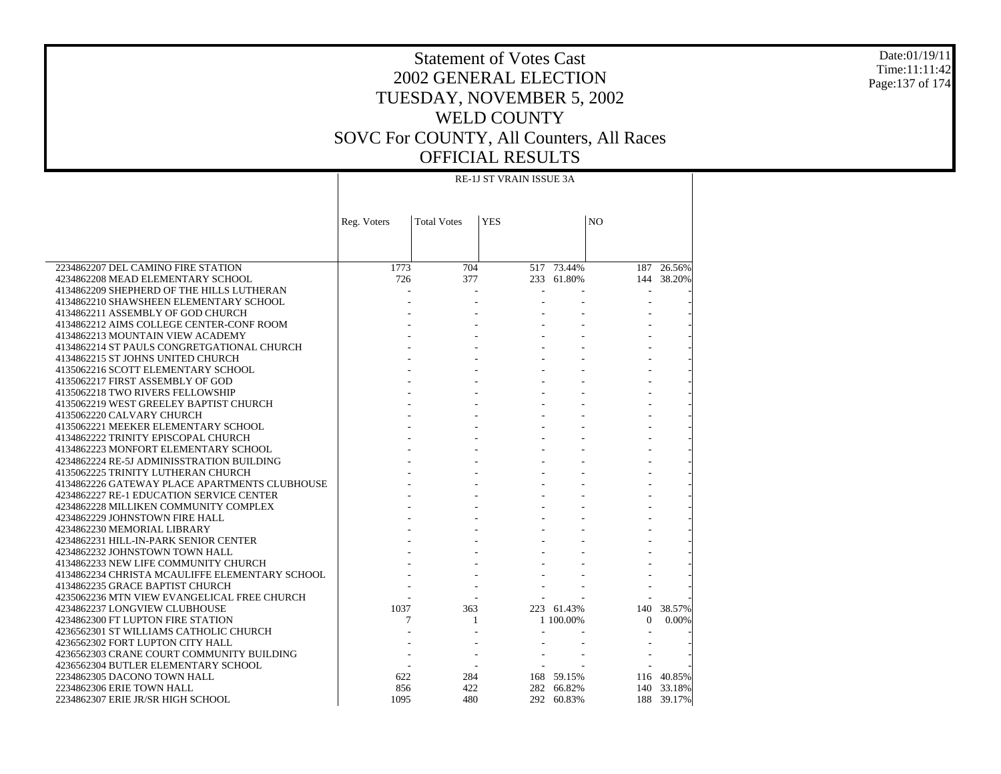#### Date:01/19/11 Time:11:11:42 Page:137 of 174

# Statement of Votes Cast 2002 GENERAL ELECTION TUESDAY, NOVEMBER 5, 2002 WELD COUNTY SOVC For COUNTY, All Counters, All Races OFFICIAL RESULTS

|                                                                               | <b>RE-1J ST VRAIN ISSUE 3A</b> |                    |            |                 |                |            |  |
|-------------------------------------------------------------------------------|--------------------------------|--------------------|------------|-----------------|----------------|------------|--|
|                                                                               |                                |                    |            |                 |                |            |  |
|                                                                               | Reg. Voters                    | <b>Total Votes</b> | <b>YES</b> |                 | N <sub>O</sub> |            |  |
|                                                                               |                                |                    |            |                 |                |            |  |
|                                                                               |                                |                    |            |                 |                |            |  |
|                                                                               |                                |                    |            |                 |                |            |  |
| 2234862207 DEL CAMINO FIRE STATION                                            | 1773                           | 704                |            | $517 - 73.44\%$ | 187            | 26.56%     |  |
| 4234862208 MEAD ELEMENTARY SCHOOL                                             | 726                            | 377                |            | 233 61.80%      |                | 144 38.20% |  |
| 4134862209 SHEPHERD OF THE HILLS LUTHERAN                                     |                                |                    |            |                 |                |            |  |
| 4134862210 SHAWSHEEN ELEMENTARY SCHOOL                                        |                                |                    |            |                 |                |            |  |
| 4134862211 ASSEMBLY OF GOD CHURCH<br>4134862212 AIMS COLLEGE CENTER-CONF ROOM |                                |                    |            |                 |                |            |  |
| 4134862213 MOUNTAIN VIEW ACADEMY                                              |                                |                    |            |                 |                |            |  |
| 4134862214 ST PAULS CONGRETGATIONAL CHURCH                                    |                                |                    |            |                 |                |            |  |
| 4134862215 ST JOHNS UNITED CHURCH                                             |                                |                    |            |                 |                |            |  |
| 4135062216 SCOTT ELEMENTARY SCHOOL                                            |                                |                    |            |                 |                |            |  |
| 4135062217 FIRST ASSEMBLY OF GOD                                              |                                |                    |            |                 |                |            |  |
| 4135062218 TWO RIVERS FELLOWSHIP                                              |                                |                    |            |                 |                |            |  |
| 4135062219 WEST GREELEY BAPTIST CHURCH                                        |                                |                    |            |                 |                |            |  |
| 4135062220 CALVARY CHURCH                                                     |                                |                    |            |                 |                |            |  |
| 4135062221 MEEKER ELEMENTARY SCHOOL                                           |                                |                    |            |                 |                |            |  |
| 4134862222 TRINITY EPISCOPAL CHURCH                                           |                                |                    |            |                 |                |            |  |
| 4134862223 MONFORT ELEMENTARY SCHOOL                                          |                                |                    |            |                 |                |            |  |
| 4234862224 RE-5J ADMINISSTRATION BUILDING                                     |                                |                    |            |                 |                |            |  |
| 4135062225 TRINITY LUTHERAN CHURCH                                            |                                |                    |            |                 |                |            |  |
| 4134862226 GATEWAY PLACE APARTMENTS CLUBHOUSE                                 |                                |                    |            |                 |                |            |  |
| 4234862227 RE-1 EDUCATION SERVICE CENTER                                      |                                |                    |            |                 |                |            |  |
| 4234862228 MILLIKEN COMMUNITY COMPLEX                                         |                                |                    |            |                 |                |            |  |
| 4234862229 JOHNSTOWN FIRE HALL                                                |                                |                    |            |                 |                |            |  |
| 4234862230 MEMORIAL LIBRARY                                                   |                                |                    |            |                 |                |            |  |
| 4234862231 HILL-IN-PARK SENIOR CENTER                                         |                                |                    |            |                 |                |            |  |
| 4234862232 JOHNSTOWN TOWN HALL                                                |                                |                    |            |                 |                |            |  |
| 4134862233 NEW LIFE COMMUNITY CHURCH                                          |                                |                    |            |                 |                |            |  |
| 4134862234 CHRISTA MCAULIFFE ELEMENTARY SCHOOL                                |                                |                    |            |                 |                |            |  |
| 4134862235 GRACE BAPTIST CHURCH                                               |                                |                    |            |                 |                |            |  |
| 4235062236 MTN VIEW EVANGELICAL FREE CHURCH                                   |                                |                    |            |                 |                |            |  |
| 4234862237 LONGVIEW CLUBHOUSE                                                 | 1037                           | 363                |            | 223 61.43%      | 140            | 38.57%     |  |
| 4234862300 FT LUPTON FIRE STATION                                             | 7                              | 1                  |            | 1 100,00%       | $\Omega$       | 0.00%      |  |
| 4236562301 ST WILLIAMS CATHOLIC CHURCH                                        |                                |                    |            |                 |                |            |  |
| 4236562302 FORT LUPTON CITY HALL                                              |                                |                    |            |                 |                |            |  |
| 4236562303 CRANE COURT COMMUNITY BUILDING                                     |                                |                    |            |                 |                |            |  |
| 4236562304 BUTLER ELEMENTARY SCHOOL                                           |                                |                    |            |                 |                |            |  |
| 2234862305 DACONO TOWN HALL                                                   | 622                            | 284                |            | 168 59.15%      |                | 116 40.85% |  |
| 2234862306 ERIE TOWN HALL                                                     | 856                            | 422                |            | 282 66.82%      |                | 140 33.18% |  |
| 2234862307 ERIE JR/SR HIGH SCHOOL                                             | 1095                           | 480                |            | 292 60.83%      |                | 188 39.17% |  |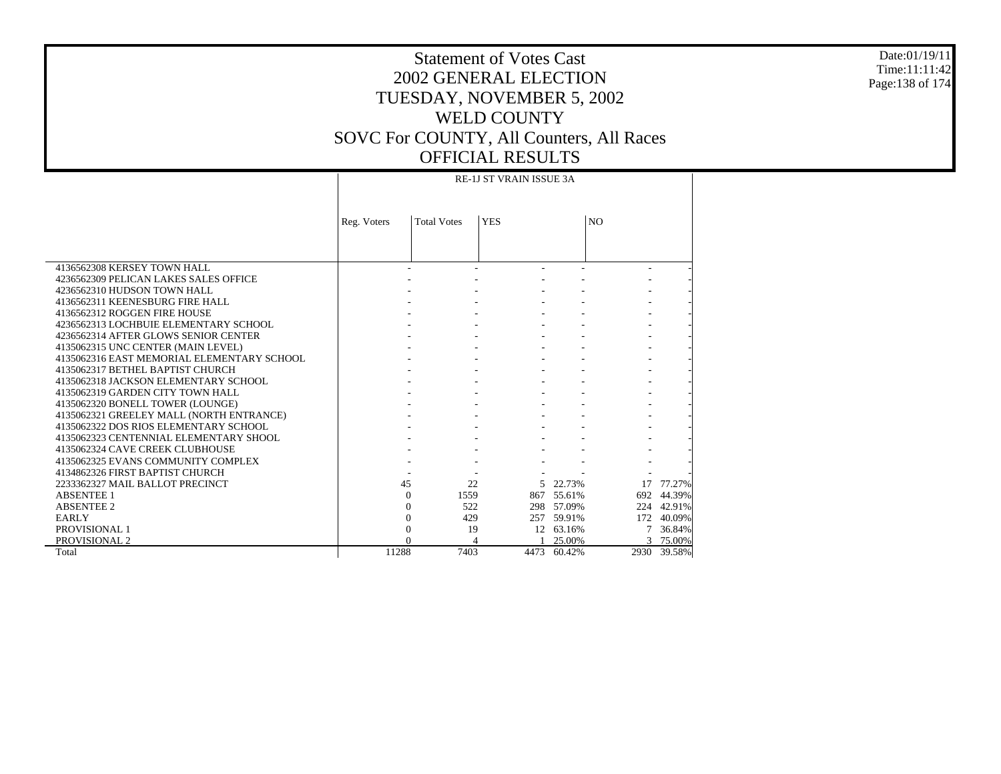#### Date:01/19/11 Time:11:11:42 Page:138 of 174

### Statement of Votes Cast 2002 GENERAL ELECTION TUESDAY, NOVEMBER 5, 2002 WELD COUNTY SOVC For COUNTY, All Counters, All Races OFFICIAL RESULTS RE-1J ST VRAIN ISSUE 3A

Τ

|                                            |             |                    | <b>RE-1J ST VRAIN ISSUE 3A</b> |            |                |             |
|--------------------------------------------|-------------|--------------------|--------------------------------|------------|----------------|-------------|
|                                            | Reg. Voters | <b>Total Votes</b> | <b>YES</b>                     |            | N <sub>O</sub> |             |
|                                            |             |                    |                                |            |                |             |
| 4136562308 KERSEY TOWN HALL                |             |                    |                                |            |                |             |
| 4236562309 PELICAN LAKES SALES OFFICE      |             |                    |                                |            |                |             |
| 4236562310 HUDSON TOWN HALL                |             |                    |                                |            |                |             |
| 4136562311 KEENESBURG FIRE HALL            |             |                    |                                |            |                |             |
| 4136562312 ROGGEN FIRE HOUSE               |             |                    |                                |            |                |             |
| 4236562313 LOCHBUIE ELEMENTARY SCHOOL      |             |                    |                                |            |                |             |
| 4236562314 AFTER GLOWS SENIOR CENTER       |             |                    |                                |            |                |             |
| 4135062315 UNC CENTER (MAIN LEVEL)         |             |                    |                                |            |                |             |
| 4135062316 EAST MEMORIAL ELEMENTARY SCHOOL |             |                    |                                |            |                |             |
| 4135062317 BETHEL BAPTIST CHURCH           |             |                    |                                |            |                |             |
| 4135062318 JACKSON ELEMENTARY SCHOOL       |             |                    |                                |            |                |             |
| 4135062319 GARDEN CITY TOWN HALL           |             |                    |                                |            |                |             |
| 4135062320 BONELL TOWER (LOUNGE)           |             |                    |                                |            |                |             |
| 4135062321 GREELEY MALL (NORTH ENTRANCE)   |             |                    |                                |            |                |             |
| 4135062322 DOS RIOS ELEMENTARY SCHOOL      |             |                    |                                |            |                |             |
| 4135062323 CENTENNIAL ELEMENTARY SHOOL     |             |                    |                                |            |                |             |
| 4135062324 CAVE CREEK CLUBHOUSE            |             |                    |                                |            |                |             |
| 4135062325 EVANS COMMUNITY COMPLEX         |             |                    |                                |            |                |             |
| 4134862326 FIRST BAPTIST CHURCH            |             |                    |                                |            |                |             |
| 2233362327 MAIL BALLOT PRECINCT            |             | 45                 | 22                             | 5 22.73%   |                | 17 77.27%   |
| <b>ABSENTEE 1</b>                          |             | 1559<br>$\Omega$   |                                | 867 55.61% | 692            | 44.39%      |
| <b>ABSENTEE 2</b>                          |             | 522<br>0           |                                | 298 57.09% |                | 224 42.91%  |
| <b>EARLY</b>                               |             | 429<br>0           |                                | 257 59.91% | 172            | 40.09%      |
| PROVISIONAL 1                              |             | 0                  | 19                             | 12 63.16%  |                | 36.84%      |
| PROVISIONAL 2                              |             |                    |                                | 25.00%     |                | 75.00%      |
| Total                                      | 11288       | 7403               | 4473                           | 60.42%     |                | 2930 39.58% |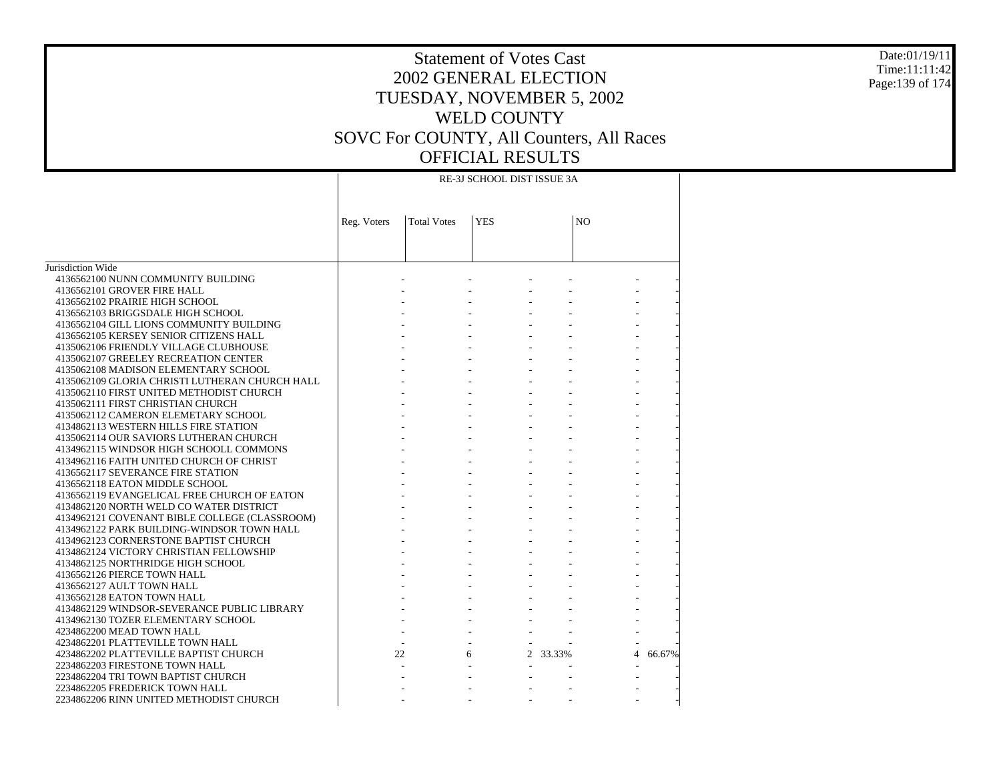#### Date:01/19/11 Time:11:11:42 Page:139 of 174

|                                                |             | RE-3J SCHOOL DIST ISSUE 3A |                            |                |             |  |  |  |
|------------------------------------------------|-------------|----------------------------|----------------------------|----------------|-------------|--|--|--|
|                                                | Reg. Voters | <b>Total Votes</b>         | <b>YES</b>                 | N <sub>O</sub> |             |  |  |  |
|                                                |             |                            |                            |                |             |  |  |  |
|                                                |             |                            |                            |                |             |  |  |  |
|                                                |             |                            |                            |                |             |  |  |  |
| Jurisdiction Wide                              |             |                            |                            |                |             |  |  |  |
| 4136562100 NUNN COMMUNITY BUILDING             |             |                            |                            |                |             |  |  |  |
| 4136562101 GROVER FIRE HALL                    |             |                            |                            |                |             |  |  |  |
| 4136562102 PRAIRIE HIGH SCHOOL                 |             |                            |                            |                |             |  |  |  |
| 4136562103 BRIGGSDALE HIGH SCHOOL              |             |                            |                            |                |             |  |  |  |
| 4136562104 GILL LIONS COMMUNITY BUILDING       |             |                            |                            |                |             |  |  |  |
| 4136562105 KERSEY SENIOR CITIZENS HALL         |             |                            |                            |                |             |  |  |  |
| 4135062106 FRIENDLY VILLAGE CLUBHOUSE          |             |                            |                            |                |             |  |  |  |
| 4135062107 GREELEY RECREATION CENTER           |             |                            |                            |                |             |  |  |  |
| 4135062108 MADISON ELEMENTARY SCHOOL           |             |                            |                            |                |             |  |  |  |
| 4135062109 GLORIA CHRISTI LUTHERAN CHURCH HALL |             |                            |                            |                |             |  |  |  |
| 4135062110 FIRST UNITED METHODIST CHURCH       |             |                            |                            |                |             |  |  |  |
| 4135062111 FIRST CHRISTIAN CHURCH              |             |                            |                            |                |             |  |  |  |
| 4135062112 CAMERON ELEMETARY SCHOOL            |             |                            |                            |                |             |  |  |  |
| 4134862113 WESTERN HILLS FIRE STATION          |             |                            |                            |                |             |  |  |  |
| 4135062114 OUR SAVIORS LUTHERAN CHURCH         |             |                            |                            |                |             |  |  |  |
| 4134962115 WINDSOR HIGH SCHOOLL COMMONS        |             |                            |                            |                |             |  |  |  |
| 4134962116 FAITH UNITED CHURCH OF CHRIST       |             |                            |                            |                |             |  |  |  |
| 4136562117 SEVERANCE FIRE STATION              |             |                            |                            |                |             |  |  |  |
| 4136562118 EATON MIDDLE SCHOOL                 |             |                            |                            |                |             |  |  |  |
| 4136562119 EVANGELICAL FREE CHURCH OF EATON    |             |                            |                            |                |             |  |  |  |
| 4134862120 NORTH WELD CO WATER DISTRICT        |             |                            |                            |                |             |  |  |  |
| 4134962121 COVENANT BIBLE COLLEGE (CLASSROOM)  |             |                            |                            |                |             |  |  |  |
| 4134962122 PARK BUILDING-WINDSOR TOWN HALL     |             |                            |                            |                |             |  |  |  |
| 4134962123 CORNERSTONE BAPTIST CHURCH          |             |                            |                            |                |             |  |  |  |
| 4134862124 VICTORY CHRISTIAN FELLOWSHIP        |             |                            |                            |                |             |  |  |  |
| 4134862125 NORTHRIDGE HIGH SCHOOL              |             |                            |                            |                |             |  |  |  |
| 4136562126 PIERCE TOWN HALL                    |             |                            |                            |                |             |  |  |  |
| 4136562127 AULT TOWN HALL                      |             |                            |                            |                |             |  |  |  |
| 4136562128 EATON TOWN HALL                     |             |                            |                            |                |             |  |  |  |
| 4134862129 WINDSOR-SEVERANCE PUBLIC LIBRARY    |             |                            |                            |                |             |  |  |  |
| 4134962130 TOZER ELEMENTARY SCHOOL             |             |                            |                            |                |             |  |  |  |
| 4234862200 MEAD TOWN HALL                      |             |                            |                            |                |             |  |  |  |
| 4234862201 PLATTEVILLE TOWN HALL               |             |                            |                            |                |             |  |  |  |
| 4234862202 PLATTEVILLE BAPTIST CHURCH          |             | 22                         | $\mathbf{2}^{\prime}$<br>6 | 33.33%         | 4<br>66.67% |  |  |  |
| 2234862203 FIRESTONE TOWN HALL                 |             |                            |                            |                |             |  |  |  |
| 2234862204 TRI TOWN BAPTIST CHURCH             |             |                            |                            |                |             |  |  |  |
| 2234862205 FREDERICK TOWN HALL                 |             |                            |                            |                |             |  |  |  |
| 2234862206 RINN UNITED METHODIST CHURCH        |             |                            |                            |                |             |  |  |  |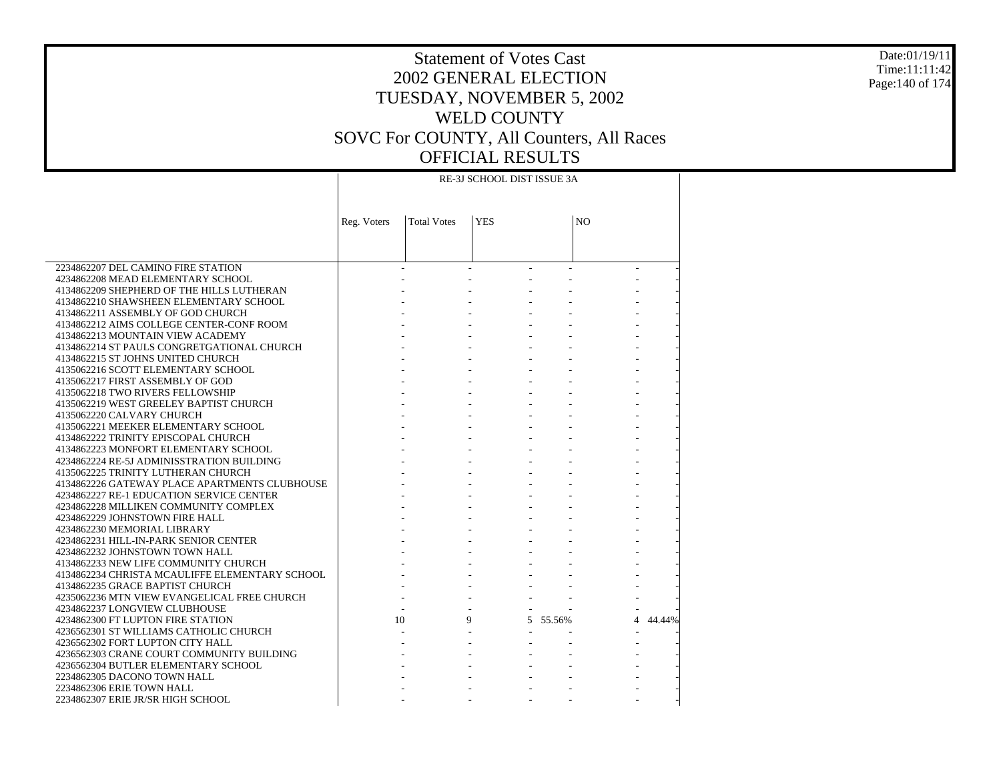#### Date:01/19/11 Time:11:11:42 Page:140 of 174

# Statement of Votes Cast 2002 GENERAL ELECTION TUESDAY, NOVEMBER 5, 2002 WELD COUNTY SOVC For COUNTY, All Counters, All Races OFFICIAL RESULTS

|                                                                                 | RE-3J SCHOOL DIST ISSUE 3A |                    |            |          |                |        |  |  |  |
|---------------------------------------------------------------------------------|----------------------------|--------------------|------------|----------|----------------|--------|--|--|--|
|                                                                                 | Reg. Voters                | <b>Total Votes</b> | <b>YES</b> |          | N <sub>O</sub> |        |  |  |  |
|                                                                                 |                            |                    |            |          |                |        |  |  |  |
| 2234862207 DEL CAMINO FIRE STATION                                              |                            |                    |            |          |                |        |  |  |  |
| 4234862208 MEAD ELEMENTARY SCHOOL                                               |                            |                    |            |          |                |        |  |  |  |
| 4134862209 SHEPHERD OF THE HILLS LUTHERAN                                       |                            |                    |            |          |                |        |  |  |  |
| 4134862210 SHAWSHEEN ELEMENTARY SCHOOL                                          |                            |                    |            |          |                |        |  |  |  |
| 4134862211 ASSEMBLY OF GOD CHURCH                                               |                            |                    |            |          |                |        |  |  |  |
| 4134862212 AIMS COLLEGE CENTER-CONF ROOM                                        |                            |                    |            |          |                |        |  |  |  |
| 4134862213 MOUNTAIN VIEW ACADEMY                                                |                            |                    |            |          |                |        |  |  |  |
| 4134862214 ST PAULS CONGRETGATIONAL CHURCH<br>4134862215 ST JOHNS UNITED CHURCH |                            |                    |            |          |                |        |  |  |  |
| 4135062216 SCOTT ELEMENTARY SCHOOL                                              |                            |                    |            |          |                |        |  |  |  |
| 4135062217 FIRST ASSEMBLY OF GOD                                                |                            |                    |            |          |                |        |  |  |  |
| 4135062218 TWO RIVERS FELLOWSHIP                                                |                            |                    |            |          |                |        |  |  |  |
| 4135062219 WEST GREELEY BAPTIST CHURCH                                          |                            |                    |            |          |                |        |  |  |  |
| 4135062220 CALVARY CHURCH                                                       |                            |                    |            |          |                |        |  |  |  |
| 4135062221 MEEKER ELEMENTARY SCHOOL                                             |                            |                    |            |          |                |        |  |  |  |
| 4134862222 TRINITY EPISCOPAL CHURCH                                             |                            |                    |            |          |                |        |  |  |  |
| 4134862223 MONFORT ELEMENTARY SCHOOL                                            |                            |                    |            |          |                |        |  |  |  |
| 4234862224 RE-5J ADMINISSTRATION BUILDING                                       |                            |                    |            |          |                |        |  |  |  |
| 4135062225 TRINITY LUTHERAN CHURCH                                              |                            |                    |            |          |                |        |  |  |  |
| 4134862226 GATEWAY PLACE APARTMENTS CLUBHOUSE                                   |                            |                    |            |          |                |        |  |  |  |
| 4234862227 RE-1 EDUCATION SERVICE CENTER                                        |                            |                    |            |          |                |        |  |  |  |
| 4234862228 MILLIKEN COMMUNITY COMPLEX                                           |                            |                    |            |          |                |        |  |  |  |
| 4234862229 JOHNSTOWN FIRE HALL                                                  |                            |                    |            |          |                |        |  |  |  |
| 4234862230 MEMORIAL LIBRARY                                                     |                            |                    |            |          |                |        |  |  |  |
| 4234862231 HILL-IN-PARK SENIOR CENTER                                           |                            |                    |            |          |                |        |  |  |  |
| 4234862232 JOHNSTOWN TOWN HALL                                                  |                            |                    |            |          |                |        |  |  |  |
| 4134862233 NEW LIFE COMMUNITY CHURCH                                            |                            |                    |            |          |                |        |  |  |  |
| 4134862234 CHRISTA MCAULIFFE ELEMENTARY SCHOOL                                  |                            |                    |            |          |                |        |  |  |  |
| 4134862235 GRACE BAPTIST CHURCH                                                 |                            |                    |            |          |                |        |  |  |  |
| 4235062236 MTN VIEW EVANGELICAL FREE CHURCH                                     |                            |                    |            |          |                |        |  |  |  |
| 4234862237 LONGVIEW CLUBHOUSE                                                   |                            |                    |            |          |                |        |  |  |  |
| 4234862300 FT LUPTON FIRE STATION                                               | 10                         | 9                  |            | 5 55.56% | $\overline{4}$ | 44.44% |  |  |  |
| 4236562301 ST WILLIAMS CATHOLIC CHURCH                                          |                            |                    |            |          |                |        |  |  |  |
| 4236562302 FORT LUPTON CITY HALL                                                |                            |                    |            |          |                |        |  |  |  |
| 4236562303 CRANE COURT COMMUNITY BUILDING                                       |                            |                    |            |          |                |        |  |  |  |
| 4236562304 BUTLER ELEMENTARY SCHOOL                                             |                            |                    |            |          |                |        |  |  |  |
| 2234862305 DACONO TOWN HALL                                                     |                            |                    |            |          |                |        |  |  |  |
| 2234862306 ERIE TOWN HALL                                                       |                            |                    |            |          |                |        |  |  |  |
| 2234862307 ERIE JR/SR HIGH SCHOOL                                               |                            |                    |            |          |                |        |  |  |  |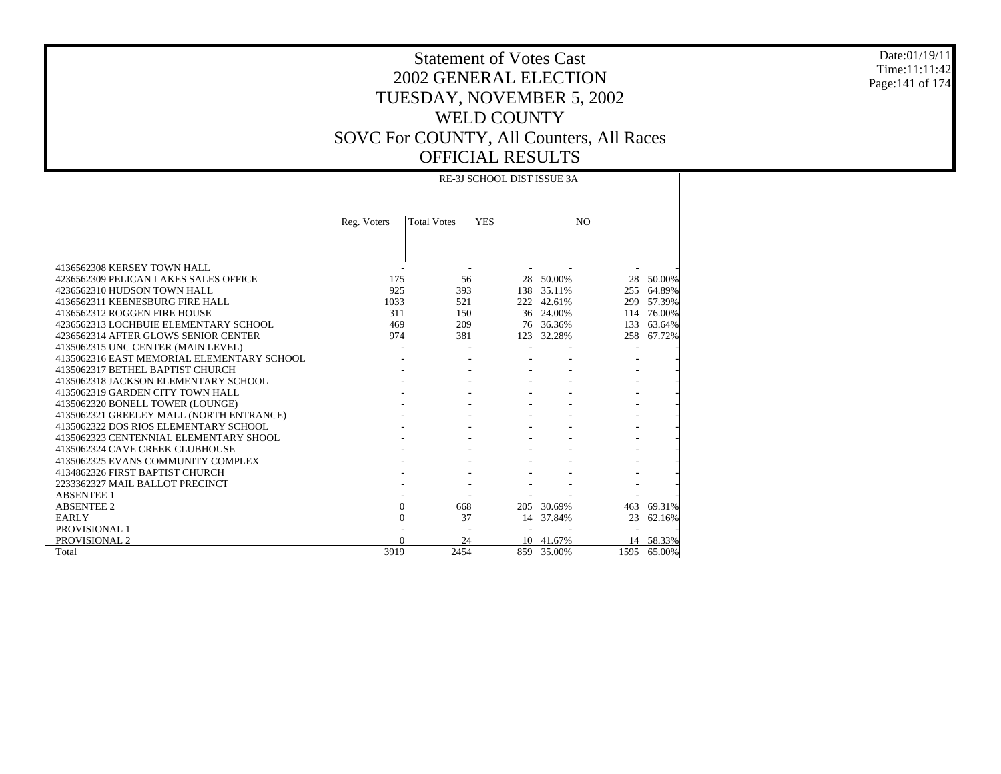Date:01/19/11 Time:11:11:42 Page:141 of 174

### Statement of Votes Cast 2002 GENERAL ELECTION TUESDAY, NOVEMBER 5, 2002 WELD COUNTY SOVC For COUNTY, All Counters, All Races OFFICIAL RESULTS RE-3J SCHOOL DIST ISSUE 3A

|                                            | Reg. Voters  | <b>Total Votes</b> | <b>YES</b> |            | N <sub>O</sub> |           |
|--------------------------------------------|--------------|--------------------|------------|------------|----------------|-----------|
|                                            |              |                    |            |            |                |           |
|                                            |              |                    |            |            |                |           |
| 4136562308 KERSEY TOWN HALL                |              |                    |            |            |                |           |
| 4236562309 PELICAN LAKES SALES OFFICE      | 175          | 56                 | 28         | 50.00%     | 28             | 50.00%    |
| 4236562310 HUDSON TOWN HALL                | 925          | 393                |            | 138 35.11% | 255            | 64.89%    |
| 4136562311 KEENESBURG FIRE HALL            | 1033         | 521                | 222        | 42.61%     | 299            | 57.39%    |
| 4136562312 ROGGEN FIRE HOUSE               | 311          | 150                | 36         | 24.00%     | 114            | 76.00%    |
| 4236562313 LOCHBUIE ELEMENTARY SCHOOL      | 469          | 209                |            | 76 36.36%  | 133            | 63.64%    |
| 4236562314 AFTER GLOWS SENIOR CENTER       | 974          | 381                | 123        | 32.28%     | 258            | 67.72%    |
| 4135062315 UNC CENTER (MAIN LEVEL)         |              |                    |            |            |                |           |
| 4135062316 EAST MEMORIAL ELEMENTARY SCHOOL |              |                    |            |            |                |           |
| 4135062317 BETHEL BAPTIST CHURCH           |              |                    |            |            |                |           |
| 4135062318 JACKSON ELEMENTARY SCHOOL       |              |                    |            |            |                |           |
| 4135062319 GARDEN CITY TOWN HALL           |              |                    |            |            |                |           |
| 4135062320 BONELL TOWER (LOUNGE)           |              |                    |            |            |                |           |
| 4135062321 GREELEY MALL (NORTH ENTRANCE)   |              |                    |            |            |                |           |
| 4135062322 DOS RIOS ELEMENTARY SCHOOL      |              |                    |            |            |                |           |
| 4135062323 CENTENNIAL ELEMENTARY SHOOL     |              |                    |            |            |                |           |
| 4135062324 CAVE CREEK CLUBHOUSE            |              |                    |            |            |                |           |
| 4135062325 EVANS COMMUNITY COMPLEX         |              |                    |            |            |                |           |
| 4134862326 FIRST BAPTIST CHURCH            |              |                    |            |            |                |           |
| 2233362327 MAIL BALLOT PRECINCT            |              |                    |            |            |                |           |
| <b>ABSENTEE 1</b>                          |              |                    |            |            |                |           |
| <b>ABSENTEE 2</b>                          | $\Omega$     | 668                | 205        | 30.69%     | 463            | 69.31%    |
| <b>EARLY</b>                               | $\mathbf{0}$ | 37                 | 14         | 37.84%     | 23             | 62.16%    |
| <b>PROVISIONAL 1</b>                       |              |                    |            |            |                |           |
| PROVISIONAL 2                              |              | 24                 |            | 10 41.67%  |                | 14 58.33% |
| Total                                      | 3919         | 2454               |            | 859 35.00% | 1595           | 65.00%    |

 $\mathbb{R}$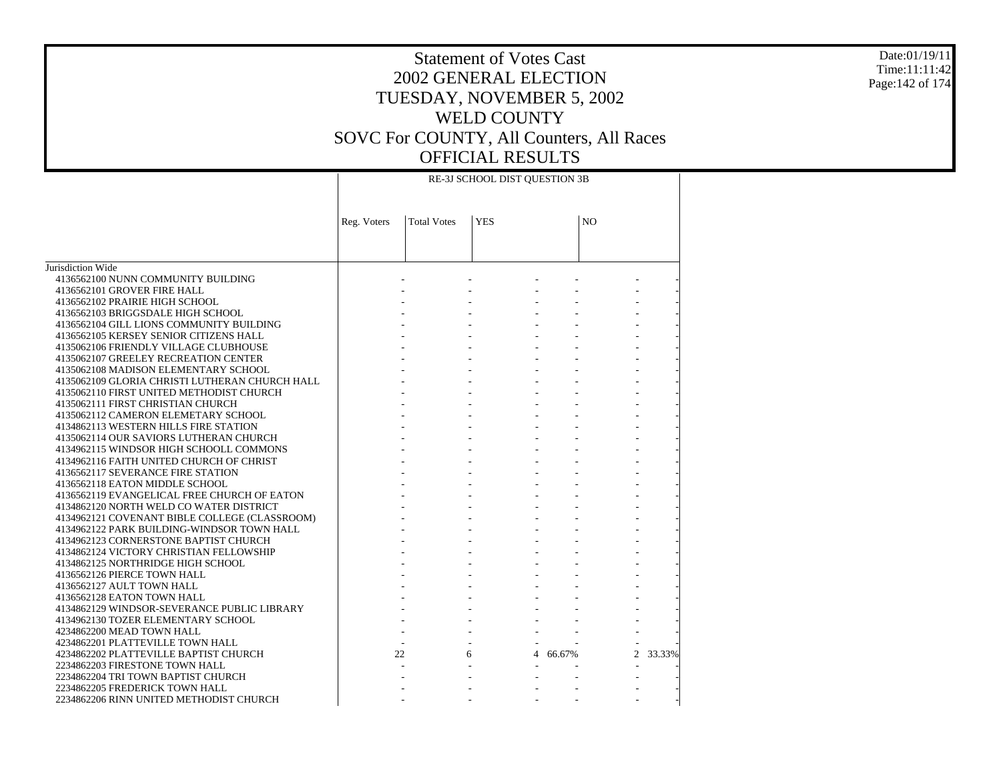#### Date:01/19/11 Time:11:11:42 Page:142 of 174

|                                                                                          | RE-3J SCHOOL DIST QUESTION 3B |                    |            |          |                |        |  |  |  |
|------------------------------------------------------------------------------------------|-------------------------------|--------------------|------------|----------|----------------|--------|--|--|--|
|                                                                                          |                               |                    |            |          |                |        |  |  |  |
|                                                                                          | Reg. Voters                   | <b>Total Votes</b> | <b>YES</b> |          | N <sub>O</sub> |        |  |  |  |
|                                                                                          |                               |                    |            |          |                |        |  |  |  |
| Jurisdiction Wide                                                                        |                               |                    |            |          |                |        |  |  |  |
| 4136562100 NUNN COMMUNITY BUILDING                                                       |                               |                    |            |          |                |        |  |  |  |
| 4136562101 GROVER FIRE HALL                                                              |                               |                    |            |          |                |        |  |  |  |
| 4136562102 PRAIRIE HIGH SCHOOL                                                           |                               |                    |            |          |                |        |  |  |  |
| 4136562103 BRIGGSDALE HIGH SCHOOL                                                        |                               |                    |            |          |                |        |  |  |  |
| 4136562104 GILL LIONS COMMUNITY BUILDING                                                 |                               |                    |            |          |                |        |  |  |  |
| 4136562105 KERSEY SENIOR CITIZENS HALL                                                   |                               |                    |            |          |                |        |  |  |  |
| 4135062106 FRIENDLY VILLAGE CLUBHOUSE                                                    |                               |                    |            |          |                |        |  |  |  |
| 4135062107 GREELEY RECREATION CENTER                                                     |                               |                    |            |          |                |        |  |  |  |
| 4135062108 MADISON ELEMENTARY SCHOOL                                                     |                               |                    |            |          |                |        |  |  |  |
| 4135062109 GLORIA CHRISTI LUTHERAN CHURCH HALL                                           |                               |                    |            |          |                |        |  |  |  |
| 4135062110 FIRST UNITED METHODIST CHURCH                                                 |                               |                    |            |          |                |        |  |  |  |
| 4135062111 FIRST CHRISTIAN CHURCH                                                        |                               |                    |            |          |                |        |  |  |  |
| 4135062112 CAMERON ELEMETARY SCHOOL                                                      |                               |                    |            |          |                |        |  |  |  |
| 4134862113 WESTERN HILLS FIRE STATION                                                    |                               |                    |            |          |                |        |  |  |  |
| 4135062114 OUR SAVIORS LUTHERAN CHURCH                                                   |                               |                    |            |          |                |        |  |  |  |
| 4134962115 WINDSOR HIGH SCHOOLL COMMONS                                                  |                               |                    |            |          |                |        |  |  |  |
| 4134962116 FAITH UNITED CHURCH OF CHRIST                                                 |                               |                    |            |          |                |        |  |  |  |
| 4136562117 SEVERANCE FIRE STATION                                                        |                               |                    |            |          |                |        |  |  |  |
| 4136562118 EATON MIDDLE SCHOOL                                                           |                               |                    |            |          |                |        |  |  |  |
| 4136562119 EVANGELICAL FREE CHURCH OF EATON                                              |                               |                    |            |          |                |        |  |  |  |
| 4134862120 NORTH WELD CO WATER DISTRICT<br>4134962121 COVENANT BIBLE COLLEGE (CLASSROOM) |                               |                    |            |          |                |        |  |  |  |
| 4134962122 PARK BUILDING-WINDSOR TOWN HALL                                               |                               |                    |            |          |                |        |  |  |  |
| 4134962123 CORNERSTONE BAPTIST CHURCH                                                    |                               |                    |            |          |                |        |  |  |  |
| 4134862124 VICTORY CHRISTIAN FELLOWSHIP                                                  |                               |                    |            |          |                |        |  |  |  |
| 4134862125 NORTHRIDGE HIGH SCHOOL                                                        |                               |                    |            |          |                |        |  |  |  |
| 4136562126 PIERCE TOWN HALL                                                              |                               |                    |            |          |                |        |  |  |  |
| 4136562127 AULT TOWN HALL                                                                |                               |                    |            |          |                |        |  |  |  |
| 4136562128 EATON TOWN HALL                                                               |                               |                    |            |          |                |        |  |  |  |
| 4134862129 WINDSOR-SEVERANCE PUBLIC LIBRARY                                              |                               |                    |            |          |                |        |  |  |  |
| 4134962130 TOZER ELEMENTARY SCHOOL                                                       |                               |                    |            |          |                |        |  |  |  |
| 4234862200 MEAD TOWN HALL                                                                |                               |                    |            |          |                |        |  |  |  |
| 4234862201 PLATTEVILLE TOWN HALL                                                         |                               |                    |            |          |                |        |  |  |  |
| 4234862202 PLATTEVILLE BAPTIST CHURCH                                                    | 22                            |                    | 6          | 4 66.67% | $\mathfrak{D}$ | 33.33% |  |  |  |
| 2234862203 FIRESTONE TOWN HALL                                                           |                               |                    |            |          |                |        |  |  |  |
| 2234862204 TRI TOWN BAPTIST CHURCH                                                       |                               |                    |            |          |                |        |  |  |  |
| 2234862205 FREDERICK TOWN HALL                                                           |                               |                    |            |          |                |        |  |  |  |
| 2234862206 RINN UNITED METHODIST CHURCH                                                  |                               |                    |            |          |                |        |  |  |  |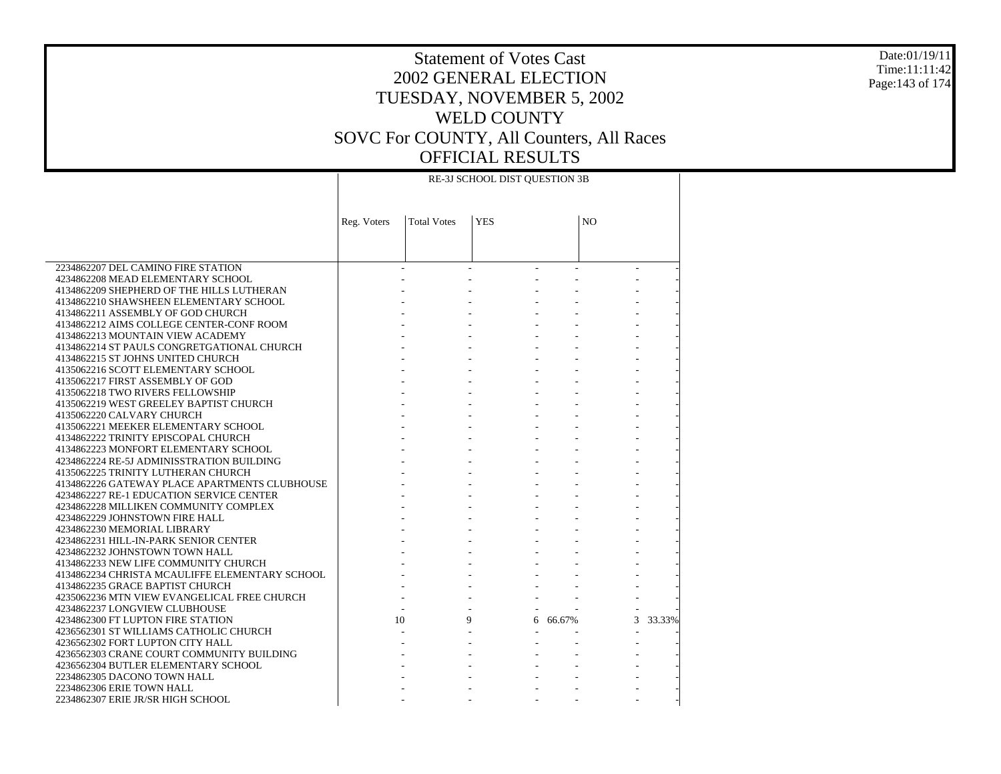#### Date:01/19/11 Time:11:11:42 Page:143 of 174

# Statement of Votes Cast 2002 GENERAL ELECTION TUESDAY, NOVEMBER 5, 2002 WELD COUNTY SOVC For COUNTY, All Counters, All Races OFFICIAL RESULTS

|                                                                     | RE-3J SCHOOL DIST QUESTION 3B |                    |            |          |                |        |  |  |
|---------------------------------------------------------------------|-------------------------------|--------------------|------------|----------|----------------|--------|--|--|
|                                                                     | Reg. Voters                   | <b>Total Votes</b> | <b>YES</b> |          | N <sub>O</sub> |        |  |  |
|                                                                     |                               |                    |            |          |                |        |  |  |
| 2234862207 DEL CAMINO FIRE STATION                                  |                               |                    |            |          |                |        |  |  |
| 4234862208 MEAD ELEMENTARY SCHOOL                                   |                               |                    |            |          |                |        |  |  |
| 4134862209 SHEPHERD OF THE HILLS LUTHERAN                           |                               |                    |            |          |                |        |  |  |
| 4134862210 SHAWSHEEN ELEMENTARY SCHOOL                              |                               |                    |            |          |                |        |  |  |
| 4134862211 ASSEMBLY OF GOD CHURCH                                   |                               |                    |            |          |                |        |  |  |
| 4134862212 AIMS COLLEGE CENTER-CONF ROOM                            |                               |                    |            |          |                |        |  |  |
| 4134862213 MOUNTAIN VIEW ACADEMY                                    |                               |                    |            |          |                |        |  |  |
| 4134862214 ST PAULS CONGRETGATIONAL CHURCH                          |                               |                    |            |          |                |        |  |  |
| 4134862215 ST JOHNS UNITED CHURCH                                   |                               |                    |            |          |                |        |  |  |
| 4135062216 SCOTT ELEMENTARY SCHOOL                                  |                               |                    |            |          |                |        |  |  |
| 4135062217 FIRST ASSEMBLY OF GOD                                    |                               |                    |            |          |                |        |  |  |
| 4135062218 TWO RIVERS FELLOWSHIP                                    |                               |                    |            |          |                |        |  |  |
| 4135062219 WEST GREELEY BAPTIST CHURCH<br>4135062220 CALVARY CHURCH |                               |                    |            |          |                |        |  |  |
| 4135062221 MEEKER ELEMENTARY SCHOOL                                 |                               |                    |            |          |                |        |  |  |
| 4134862222 TRINITY EPISCOPAL CHURCH                                 |                               |                    |            |          |                |        |  |  |
| 4134862223 MONFORT ELEMENTARY SCHOOL                                |                               |                    |            |          |                |        |  |  |
| 4234862224 RE-5J ADMINISSTRATION BUILDING                           |                               |                    |            |          |                |        |  |  |
| 4135062225 TRINITY LUTHERAN CHURCH                                  |                               |                    |            |          |                |        |  |  |
| 4134862226 GATEWAY PLACE APARTMENTS CLUBHOUSE                       |                               |                    |            |          |                |        |  |  |
| 4234862227 RE-1 EDUCATION SERVICE CENTER                            |                               |                    |            |          |                |        |  |  |
| 4234862228 MILLIKEN COMMUNITY COMPLEX                               |                               |                    |            |          |                |        |  |  |
| 4234862229 JOHNSTOWN FIRE HALL                                      |                               |                    |            |          |                |        |  |  |
| 4234862230 MEMORIAL LIBRARY                                         |                               |                    |            |          |                |        |  |  |
| 4234862231 HILL-IN-PARK SENIOR CENTER                               |                               |                    |            |          |                |        |  |  |
| 4234862232 JOHNSTOWN TOWN HALL                                      |                               |                    |            |          |                |        |  |  |
| 4134862233 NEW LIFE COMMUNITY CHURCH                                |                               |                    |            |          |                |        |  |  |
| 4134862234 CHRISTA MCAULIFFE ELEMENTARY SCHOOL                      |                               |                    |            |          |                |        |  |  |
| 4134862235 GRACE BAPTIST CHURCH                                     |                               |                    |            |          |                |        |  |  |
| 4235062236 MTN VIEW EVANGELICAL FREE CHURCH                         |                               |                    |            |          |                |        |  |  |
| 4234862237 LONGVIEW CLUBHOUSE                                       |                               |                    |            |          |                |        |  |  |
| 4234862300 FT LUPTON FIRE STATION                                   | 10                            |                    | 9          | 6 66.67% | 3              | 33.33% |  |  |
| 4236562301 ST WILLIAMS CATHOLIC CHURCH                              |                               |                    |            |          |                |        |  |  |
| 4236562302 FORT LUPTON CITY HALL                                    |                               |                    |            |          |                |        |  |  |
| 4236562303 CRANE COURT COMMUNITY BUILDING                           |                               |                    |            |          |                |        |  |  |
| 4236562304 BUTLER ELEMENTARY SCHOOL                                 |                               |                    |            |          |                |        |  |  |
| 2234862305 DACONO TOWN HALL                                         |                               |                    |            |          |                |        |  |  |
| 2234862306 ERIE TOWN HALL                                           |                               |                    |            |          |                |        |  |  |
| 2234862307 ERIE JR/SR HIGH SCHOOL                                   |                               |                    |            |          |                |        |  |  |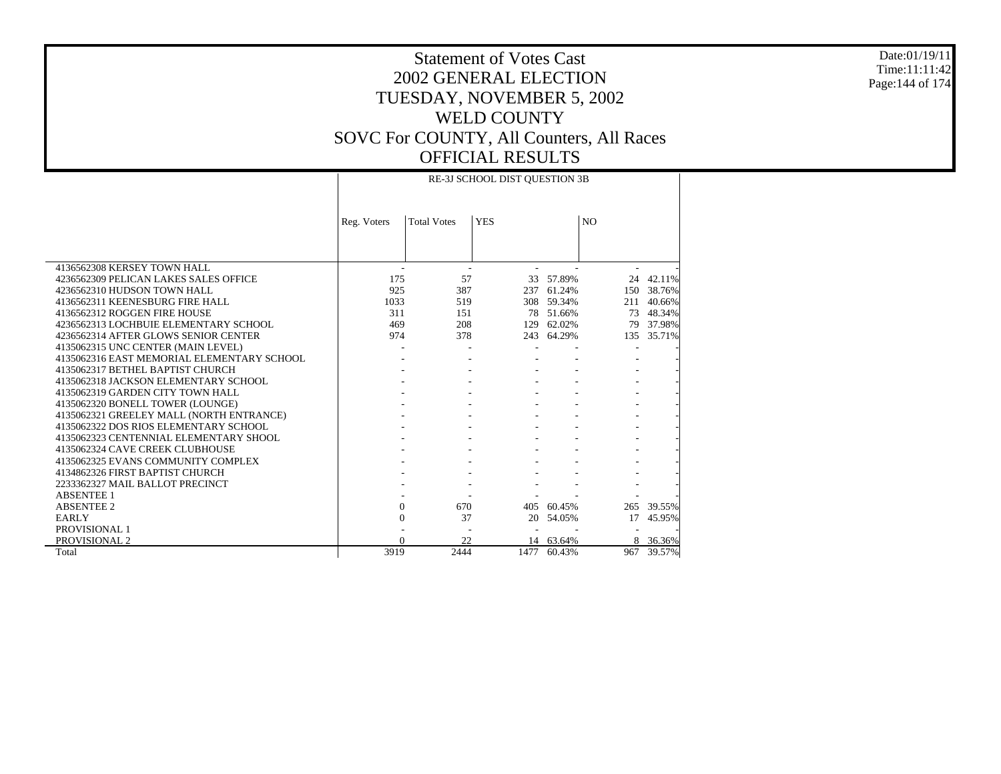#### Date:01/19/11 Time:11:11:42 Page:144 of 174

### Statement of Votes Cast 2002 GENERAL ELECTION TUESDAY, NOVEMBER 5, 2002 WELD COUNTY SOVC For COUNTY, All Counters, All Races OFFICIAL RESULTS RE-3J SCHOOL DIST QUESTION 3B

|                                            | Reg. Voters              | <b>Total Votes</b> | <b>YES</b> |            | N <sub>O</sub> |          |  |  |
|--------------------------------------------|--------------------------|--------------------|------------|------------|----------------|----------|--|--|
|                                            |                          |                    |            |            |                |          |  |  |
| 4136562308 KERSEY TOWN HALL                | $\overline{\phantom{a}}$ |                    |            |            |                |          |  |  |
| 4236562309 PELICAN LAKES SALES OFFICE      | 175                      | 57                 |            | 33 57.89%  | 24             | 42.11%   |  |  |
| 4236562310 HUDSON TOWN HALL                | 925                      | 387                | 237        | 61.24%     | 150            | 38.76%   |  |  |
| 4136562311 KEENESBURG FIRE HALL            | 1033                     | 519                |            | 308 59.34% | 211            | 40.66%   |  |  |
| 4136562312 ROGGEN FIRE HOUSE               | 311                      | 151                | 78         | 51.66%     | 73             | 48.34%   |  |  |
| 4236562313 LOCHBUIE ELEMENTARY SCHOOL      | 469                      | 208                | 129        | 62.02%     | 79             | 37.98%   |  |  |
| 4236562314 AFTER GLOWS SENIOR CENTER       | 974                      | 378                |            | 243 64.29% | 135            | 35.71%   |  |  |
| 4135062315 UNC CENTER (MAIN LEVEL)         |                          |                    |            |            |                |          |  |  |
| 4135062316 EAST MEMORIAL ELEMENTARY SCHOOL |                          |                    |            |            |                |          |  |  |
| 4135062317 BETHEL BAPTIST CHURCH           |                          |                    |            |            |                |          |  |  |
| 4135062318 JACKSON ELEMENTARY SCHOOL       |                          |                    |            |            |                |          |  |  |
| 4135062319 GARDEN CITY TOWN HALL           |                          |                    |            |            |                |          |  |  |
| 4135062320 BONELL TOWER (LOUNGE)           |                          |                    |            |            |                |          |  |  |
| 4135062321 GREELEY MALL (NORTH ENTRANCE)   |                          |                    |            |            |                |          |  |  |
| 4135062322 DOS RIOS ELEMENTARY SCHOOL      |                          |                    |            |            |                |          |  |  |
| 4135062323 CENTENNIAL ELEMENTARY SHOOL     |                          |                    |            |            |                |          |  |  |
| 4135062324 CAVE CREEK CLUBHOUSE            |                          |                    |            |            |                |          |  |  |
| 4135062325 EVANS COMMUNITY COMPLEX         |                          |                    |            |            |                |          |  |  |
| 4134862326 FIRST BAPTIST CHURCH            |                          |                    |            |            |                |          |  |  |
| 2233362327 MAIL BALLOT PRECINCT            |                          |                    |            |            |                |          |  |  |
| <b>ABSENTEE 1</b>                          |                          |                    |            |            |                |          |  |  |
| <b>ABSENTEE 2</b>                          | $\Omega$                 | 670                | 405        | 60.45%     | 265            | 39.55%   |  |  |
| <b>EARLY</b>                               | $\Omega$                 | 37                 | 20         | 54.05%     | 17             | 45.95%   |  |  |
| PROVISIONAL 1                              |                          |                    |            |            |                |          |  |  |
| PROVISIONAL 2                              | $\Omega$                 | 22                 |            | 14 63.64%  |                | 8 36.36% |  |  |
| Total                                      | 3919                     | 2444               | 1477       | 60.43%     | 967            | 39.57%   |  |  |

 $\top$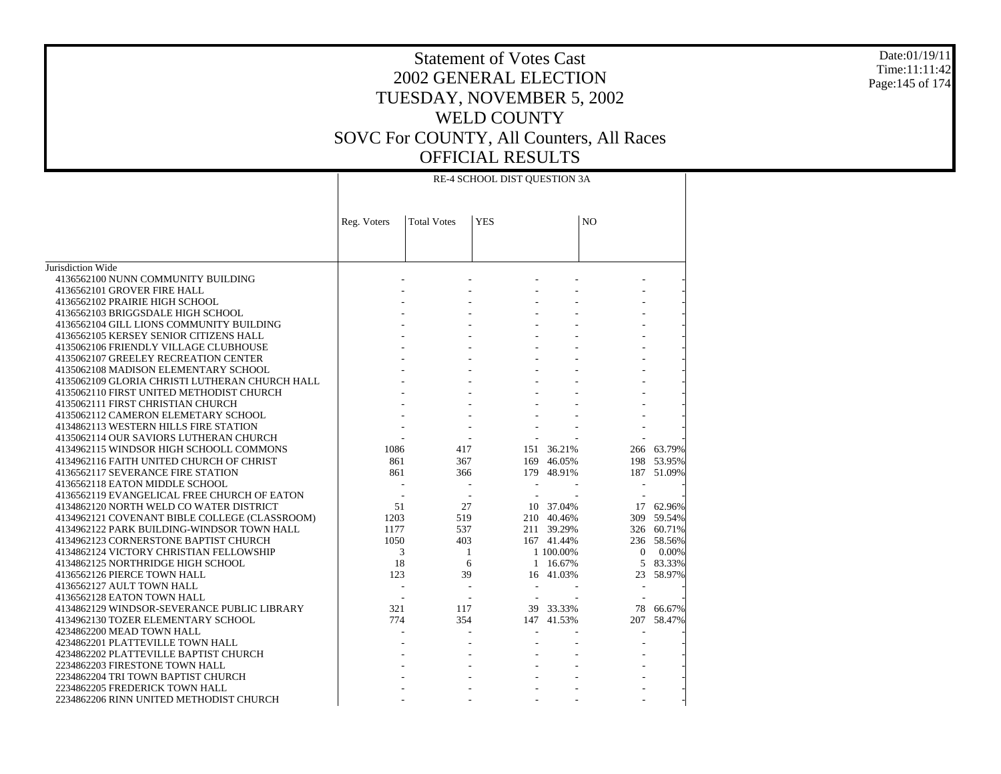#### Date:01/19/11 Time:11:11:42 Page:145 of 174

| <b>YES</b><br>NO<br><b>Total Votes</b><br>Reg. Voters<br>Jurisdiction Wide<br>4136562100 NUNN COMMUNITY BUILDING<br>4136562101 GROVER FIRE HALL<br>4136562102 PRAIRIE HIGH SCHOOL<br>4136562103 BRIGGSDALE HIGH SCHOOL<br>4136562104 GILL LIONS COMMUNITY BUILDING<br>4136562105 KERSEY SENIOR CITIZENS HALL<br>4135062106 FRIENDLY VILLAGE CLUBHOUSE<br>4135062107 GREELEY RECREATION CENTER<br>4135062108 MADISON ELEMENTARY SCHOOL<br>4135062109 GLORIA CHRISTI LUTHERAN CHURCH HALL<br>4135062110 FIRST UNITED METHODIST CHURCH<br>4135062111 FIRST CHRISTIAN CHURCH<br>4135062112 CAMERON ELEMETARY SCHOOL<br>4134862113 WESTERN HILLS FIRE STATION<br>4135062114 OUR SAVIORS LUTHERAN CHURCH<br>1086<br>151 36.21%<br>4134962115 WINDSOR HIGH SCHOOLL COMMONS<br>417<br>266 63.79%<br>4134962116 FAITH UNITED CHURCH OF CHRIST<br>861<br>367<br>169 46.05%<br>198<br>53.95%<br>861<br>4136562117 SEVERANCE FIRE STATION<br>366<br>179 48.91%<br>187<br>51.09%<br>4136562118 EATON MIDDLE SCHOOL<br>4136562119 EVANGELICAL FREE CHURCH OF EATON<br>$\overline{\phantom{a}}$<br>10 37.04%<br>4134862120 NORTH WELD CO WATER DISTRICT<br>51<br>27<br>17 62.96%<br>4134962121 COVENANT BIBLE COLLEGE (CLASSROOM)<br>1203<br>519<br>210 40.46%<br>59.54%<br>309<br>537<br>4134962122 PARK BUILDING-WINDSOR TOWN HALL<br>1177<br>211 39.29%<br>326 60.71%<br>4134962123 CORNERSTONE BAPTIST CHURCH<br>1050<br>403<br>167 41.44%<br>236 58.56%<br>4134862124 VICTORY CHRISTIAN FELLOWSHIP<br>3<br>-1<br>1 100.00%<br>$\overline{0}$<br>0.00%<br>18<br>5<br>4134862125 NORTHRIDGE HIGH SCHOOL<br>6<br>1 16.67%<br>83.33%<br>123<br>39<br>58.97%<br>4136562126 PIERCE TOWN HALL<br>16 41.03%<br>23<br>4136562127 AULT TOWN HALL<br>4136562128 EATON TOWN HALL<br>$\overline{\phantom{a}}$<br>321<br>39 33.33%<br>4134862129 WINDSOR-SEVERANCE PUBLIC LIBRARY<br>117<br>78<br>66.67%<br>774<br>354<br>207<br>4134962130 TOZER ELEMENTARY SCHOOL<br>147 41.53%<br>58.47%<br>4234862200 MEAD TOWN HALL<br>4234862201 PLATTEVILLE TOWN HALL<br>4234862202 PLATTEVILLE BAPTIST CHURCH<br>2234862203 FIRESTONE TOWN HALL<br>2234862204 TRI TOWN BAPTIST CHURCH<br>2234862205 FREDERICK TOWN HALL |                                         | RE-4 SCHOOL DIST QUESTION 3A |  |  |  |  |  |  |
|-----------------------------------------------------------------------------------------------------------------------------------------------------------------------------------------------------------------------------------------------------------------------------------------------------------------------------------------------------------------------------------------------------------------------------------------------------------------------------------------------------------------------------------------------------------------------------------------------------------------------------------------------------------------------------------------------------------------------------------------------------------------------------------------------------------------------------------------------------------------------------------------------------------------------------------------------------------------------------------------------------------------------------------------------------------------------------------------------------------------------------------------------------------------------------------------------------------------------------------------------------------------------------------------------------------------------------------------------------------------------------------------------------------------------------------------------------------------------------------------------------------------------------------------------------------------------------------------------------------------------------------------------------------------------------------------------------------------------------------------------------------------------------------------------------------------------------------------------------------------------------------------------------------------------------------------------------------------------------------------------------------------------------------------------------------------------------------------------------------------------------------------------------------------------------------------|-----------------------------------------|------------------------------|--|--|--|--|--|--|
|                                                                                                                                                                                                                                                                                                                                                                                                                                                                                                                                                                                                                                                                                                                                                                                                                                                                                                                                                                                                                                                                                                                                                                                                                                                                                                                                                                                                                                                                                                                                                                                                                                                                                                                                                                                                                                                                                                                                                                                                                                                                                                                                                                                         |                                         |                              |  |  |  |  |  |  |
|                                                                                                                                                                                                                                                                                                                                                                                                                                                                                                                                                                                                                                                                                                                                                                                                                                                                                                                                                                                                                                                                                                                                                                                                                                                                                                                                                                                                                                                                                                                                                                                                                                                                                                                                                                                                                                                                                                                                                                                                                                                                                                                                                                                         |                                         |                              |  |  |  |  |  |  |
|                                                                                                                                                                                                                                                                                                                                                                                                                                                                                                                                                                                                                                                                                                                                                                                                                                                                                                                                                                                                                                                                                                                                                                                                                                                                                                                                                                                                                                                                                                                                                                                                                                                                                                                                                                                                                                                                                                                                                                                                                                                                                                                                                                                         |                                         |                              |  |  |  |  |  |  |
|                                                                                                                                                                                                                                                                                                                                                                                                                                                                                                                                                                                                                                                                                                                                                                                                                                                                                                                                                                                                                                                                                                                                                                                                                                                                                                                                                                                                                                                                                                                                                                                                                                                                                                                                                                                                                                                                                                                                                                                                                                                                                                                                                                                         |                                         |                              |  |  |  |  |  |  |
|                                                                                                                                                                                                                                                                                                                                                                                                                                                                                                                                                                                                                                                                                                                                                                                                                                                                                                                                                                                                                                                                                                                                                                                                                                                                                                                                                                                                                                                                                                                                                                                                                                                                                                                                                                                                                                                                                                                                                                                                                                                                                                                                                                                         |                                         |                              |  |  |  |  |  |  |
|                                                                                                                                                                                                                                                                                                                                                                                                                                                                                                                                                                                                                                                                                                                                                                                                                                                                                                                                                                                                                                                                                                                                                                                                                                                                                                                                                                                                                                                                                                                                                                                                                                                                                                                                                                                                                                                                                                                                                                                                                                                                                                                                                                                         |                                         |                              |  |  |  |  |  |  |
|                                                                                                                                                                                                                                                                                                                                                                                                                                                                                                                                                                                                                                                                                                                                                                                                                                                                                                                                                                                                                                                                                                                                                                                                                                                                                                                                                                                                                                                                                                                                                                                                                                                                                                                                                                                                                                                                                                                                                                                                                                                                                                                                                                                         |                                         |                              |  |  |  |  |  |  |
|                                                                                                                                                                                                                                                                                                                                                                                                                                                                                                                                                                                                                                                                                                                                                                                                                                                                                                                                                                                                                                                                                                                                                                                                                                                                                                                                                                                                                                                                                                                                                                                                                                                                                                                                                                                                                                                                                                                                                                                                                                                                                                                                                                                         |                                         |                              |  |  |  |  |  |  |
|                                                                                                                                                                                                                                                                                                                                                                                                                                                                                                                                                                                                                                                                                                                                                                                                                                                                                                                                                                                                                                                                                                                                                                                                                                                                                                                                                                                                                                                                                                                                                                                                                                                                                                                                                                                                                                                                                                                                                                                                                                                                                                                                                                                         |                                         |                              |  |  |  |  |  |  |
|                                                                                                                                                                                                                                                                                                                                                                                                                                                                                                                                                                                                                                                                                                                                                                                                                                                                                                                                                                                                                                                                                                                                                                                                                                                                                                                                                                                                                                                                                                                                                                                                                                                                                                                                                                                                                                                                                                                                                                                                                                                                                                                                                                                         |                                         |                              |  |  |  |  |  |  |
|                                                                                                                                                                                                                                                                                                                                                                                                                                                                                                                                                                                                                                                                                                                                                                                                                                                                                                                                                                                                                                                                                                                                                                                                                                                                                                                                                                                                                                                                                                                                                                                                                                                                                                                                                                                                                                                                                                                                                                                                                                                                                                                                                                                         |                                         |                              |  |  |  |  |  |  |
|                                                                                                                                                                                                                                                                                                                                                                                                                                                                                                                                                                                                                                                                                                                                                                                                                                                                                                                                                                                                                                                                                                                                                                                                                                                                                                                                                                                                                                                                                                                                                                                                                                                                                                                                                                                                                                                                                                                                                                                                                                                                                                                                                                                         |                                         |                              |  |  |  |  |  |  |
|                                                                                                                                                                                                                                                                                                                                                                                                                                                                                                                                                                                                                                                                                                                                                                                                                                                                                                                                                                                                                                                                                                                                                                                                                                                                                                                                                                                                                                                                                                                                                                                                                                                                                                                                                                                                                                                                                                                                                                                                                                                                                                                                                                                         |                                         |                              |  |  |  |  |  |  |
|                                                                                                                                                                                                                                                                                                                                                                                                                                                                                                                                                                                                                                                                                                                                                                                                                                                                                                                                                                                                                                                                                                                                                                                                                                                                                                                                                                                                                                                                                                                                                                                                                                                                                                                                                                                                                                                                                                                                                                                                                                                                                                                                                                                         |                                         |                              |  |  |  |  |  |  |
|                                                                                                                                                                                                                                                                                                                                                                                                                                                                                                                                                                                                                                                                                                                                                                                                                                                                                                                                                                                                                                                                                                                                                                                                                                                                                                                                                                                                                                                                                                                                                                                                                                                                                                                                                                                                                                                                                                                                                                                                                                                                                                                                                                                         |                                         |                              |  |  |  |  |  |  |
|                                                                                                                                                                                                                                                                                                                                                                                                                                                                                                                                                                                                                                                                                                                                                                                                                                                                                                                                                                                                                                                                                                                                                                                                                                                                                                                                                                                                                                                                                                                                                                                                                                                                                                                                                                                                                                                                                                                                                                                                                                                                                                                                                                                         |                                         |                              |  |  |  |  |  |  |
|                                                                                                                                                                                                                                                                                                                                                                                                                                                                                                                                                                                                                                                                                                                                                                                                                                                                                                                                                                                                                                                                                                                                                                                                                                                                                                                                                                                                                                                                                                                                                                                                                                                                                                                                                                                                                                                                                                                                                                                                                                                                                                                                                                                         |                                         |                              |  |  |  |  |  |  |
|                                                                                                                                                                                                                                                                                                                                                                                                                                                                                                                                                                                                                                                                                                                                                                                                                                                                                                                                                                                                                                                                                                                                                                                                                                                                                                                                                                                                                                                                                                                                                                                                                                                                                                                                                                                                                                                                                                                                                                                                                                                                                                                                                                                         |                                         |                              |  |  |  |  |  |  |
|                                                                                                                                                                                                                                                                                                                                                                                                                                                                                                                                                                                                                                                                                                                                                                                                                                                                                                                                                                                                                                                                                                                                                                                                                                                                                                                                                                                                                                                                                                                                                                                                                                                                                                                                                                                                                                                                                                                                                                                                                                                                                                                                                                                         |                                         |                              |  |  |  |  |  |  |
|                                                                                                                                                                                                                                                                                                                                                                                                                                                                                                                                                                                                                                                                                                                                                                                                                                                                                                                                                                                                                                                                                                                                                                                                                                                                                                                                                                                                                                                                                                                                                                                                                                                                                                                                                                                                                                                                                                                                                                                                                                                                                                                                                                                         |                                         |                              |  |  |  |  |  |  |
|                                                                                                                                                                                                                                                                                                                                                                                                                                                                                                                                                                                                                                                                                                                                                                                                                                                                                                                                                                                                                                                                                                                                                                                                                                                                                                                                                                                                                                                                                                                                                                                                                                                                                                                                                                                                                                                                                                                                                                                                                                                                                                                                                                                         |                                         |                              |  |  |  |  |  |  |
|                                                                                                                                                                                                                                                                                                                                                                                                                                                                                                                                                                                                                                                                                                                                                                                                                                                                                                                                                                                                                                                                                                                                                                                                                                                                                                                                                                                                                                                                                                                                                                                                                                                                                                                                                                                                                                                                                                                                                                                                                                                                                                                                                                                         |                                         |                              |  |  |  |  |  |  |
|                                                                                                                                                                                                                                                                                                                                                                                                                                                                                                                                                                                                                                                                                                                                                                                                                                                                                                                                                                                                                                                                                                                                                                                                                                                                                                                                                                                                                                                                                                                                                                                                                                                                                                                                                                                                                                                                                                                                                                                                                                                                                                                                                                                         |                                         |                              |  |  |  |  |  |  |
|                                                                                                                                                                                                                                                                                                                                                                                                                                                                                                                                                                                                                                                                                                                                                                                                                                                                                                                                                                                                                                                                                                                                                                                                                                                                                                                                                                                                                                                                                                                                                                                                                                                                                                                                                                                                                                                                                                                                                                                                                                                                                                                                                                                         |                                         |                              |  |  |  |  |  |  |
|                                                                                                                                                                                                                                                                                                                                                                                                                                                                                                                                                                                                                                                                                                                                                                                                                                                                                                                                                                                                                                                                                                                                                                                                                                                                                                                                                                                                                                                                                                                                                                                                                                                                                                                                                                                                                                                                                                                                                                                                                                                                                                                                                                                         |                                         |                              |  |  |  |  |  |  |
|                                                                                                                                                                                                                                                                                                                                                                                                                                                                                                                                                                                                                                                                                                                                                                                                                                                                                                                                                                                                                                                                                                                                                                                                                                                                                                                                                                                                                                                                                                                                                                                                                                                                                                                                                                                                                                                                                                                                                                                                                                                                                                                                                                                         |                                         |                              |  |  |  |  |  |  |
|                                                                                                                                                                                                                                                                                                                                                                                                                                                                                                                                                                                                                                                                                                                                                                                                                                                                                                                                                                                                                                                                                                                                                                                                                                                                                                                                                                                                                                                                                                                                                                                                                                                                                                                                                                                                                                                                                                                                                                                                                                                                                                                                                                                         |                                         |                              |  |  |  |  |  |  |
|                                                                                                                                                                                                                                                                                                                                                                                                                                                                                                                                                                                                                                                                                                                                                                                                                                                                                                                                                                                                                                                                                                                                                                                                                                                                                                                                                                                                                                                                                                                                                                                                                                                                                                                                                                                                                                                                                                                                                                                                                                                                                                                                                                                         |                                         |                              |  |  |  |  |  |  |
|                                                                                                                                                                                                                                                                                                                                                                                                                                                                                                                                                                                                                                                                                                                                                                                                                                                                                                                                                                                                                                                                                                                                                                                                                                                                                                                                                                                                                                                                                                                                                                                                                                                                                                                                                                                                                                                                                                                                                                                                                                                                                                                                                                                         |                                         |                              |  |  |  |  |  |  |
|                                                                                                                                                                                                                                                                                                                                                                                                                                                                                                                                                                                                                                                                                                                                                                                                                                                                                                                                                                                                                                                                                                                                                                                                                                                                                                                                                                                                                                                                                                                                                                                                                                                                                                                                                                                                                                                                                                                                                                                                                                                                                                                                                                                         |                                         |                              |  |  |  |  |  |  |
|                                                                                                                                                                                                                                                                                                                                                                                                                                                                                                                                                                                                                                                                                                                                                                                                                                                                                                                                                                                                                                                                                                                                                                                                                                                                                                                                                                                                                                                                                                                                                                                                                                                                                                                                                                                                                                                                                                                                                                                                                                                                                                                                                                                         |                                         |                              |  |  |  |  |  |  |
|                                                                                                                                                                                                                                                                                                                                                                                                                                                                                                                                                                                                                                                                                                                                                                                                                                                                                                                                                                                                                                                                                                                                                                                                                                                                                                                                                                                                                                                                                                                                                                                                                                                                                                                                                                                                                                                                                                                                                                                                                                                                                                                                                                                         |                                         |                              |  |  |  |  |  |  |
|                                                                                                                                                                                                                                                                                                                                                                                                                                                                                                                                                                                                                                                                                                                                                                                                                                                                                                                                                                                                                                                                                                                                                                                                                                                                                                                                                                                                                                                                                                                                                                                                                                                                                                                                                                                                                                                                                                                                                                                                                                                                                                                                                                                         |                                         |                              |  |  |  |  |  |  |
|                                                                                                                                                                                                                                                                                                                                                                                                                                                                                                                                                                                                                                                                                                                                                                                                                                                                                                                                                                                                                                                                                                                                                                                                                                                                                                                                                                                                                                                                                                                                                                                                                                                                                                                                                                                                                                                                                                                                                                                                                                                                                                                                                                                         |                                         |                              |  |  |  |  |  |  |
|                                                                                                                                                                                                                                                                                                                                                                                                                                                                                                                                                                                                                                                                                                                                                                                                                                                                                                                                                                                                                                                                                                                                                                                                                                                                                                                                                                                                                                                                                                                                                                                                                                                                                                                                                                                                                                                                                                                                                                                                                                                                                                                                                                                         |                                         |                              |  |  |  |  |  |  |
|                                                                                                                                                                                                                                                                                                                                                                                                                                                                                                                                                                                                                                                                                                                                                                                                                                                                                                                                                                                                                                                                                                                                                                                                                                                                                                                                                                                                                                                                                                                                                                                                                                                                                                                                                                                                                                                                                                                                                                                                                                                                                                                                                                                         |                                         |                              |  |  |  |  |  |  |
|                                                                                                                                                                                                                                                                                                                                                                                                                                                                                                                                                                                                                                                                                                                                                                                                                                                                                                                                                                                                                                                                                                                                                                                                                                                                                                                                                                                                                                                                                                                                                                                                                                                                                                                                                                                                                                                                                                                                                                                                                                                                                                                                                                                         |                                         |                              |  |  |  |  |  |  |
|                                                                                                                                                                                                                                                                                                                                                                                                                                                                                                                                                                                                                                                                                                                                                                                                                                                                                                                                                                                                                                                                                                                                                                                                                                                                                                                                                                                                                                                                                                                                                                                                                                                                                                                                                                                                                                                                                                                                                                                                                                                                                                                                                                                         |                                         |                              |  |  |  |  |  |  |
|                                                                                                                                                                                                                                                                                                                                                                                                                                                                                                                                                                                                                                                                                                                                                                                                                                                                                                                                                                                                                                                                                                                                                                                                                                                                                                                                                                                                                                                                                                                                                                                                                                                                                                                                                                                                                                                                                                                                                                                                                                                                                                                                                                                         |                                         |                              |  |  |  |  |  |  |
|                                                                                                                                                                                                                                                                                                                                                                                                                                                                                                                                                                                                                                                                                                                                                                                                                                                                                                                                                                                                                                                                                                                                                                                                                                                                                                                                                                                                                                                                                                                                                                                                                                                                                                                                                                                                                                                                                                                                                                                                                                                                                                                                                                                         |                                         |                              |  |  |  |  |  |  |
|                                                                                                                                                                                                                                                                                                                                                                                                                                                                                                                                                                                                                                                                                                                                                                                                                                                                                                                                                                                                                                                                                                                                                                                                                                                                                                                                                                                                                                                                                                                                                                                                                                                                                                                                                                                                                                                                                                                                                                                                                                                                                                                                                                                         | 2234862206 RINN UNITED METHODIST CHURCH |                              |  |  |  |  |  |  |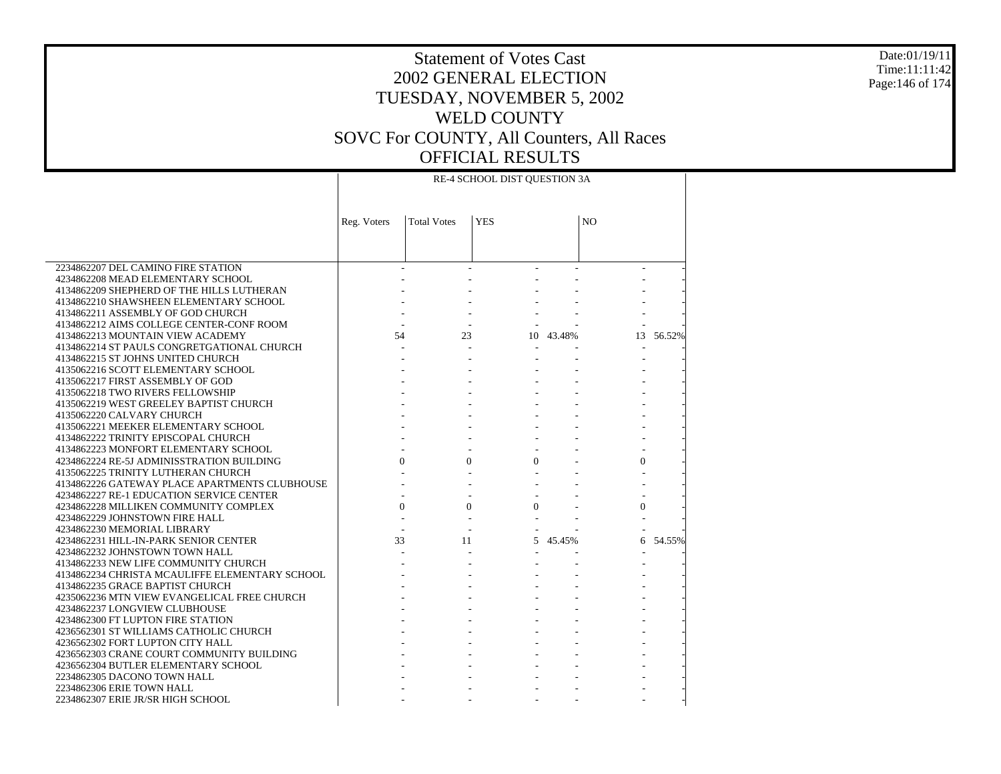#### Date:01/19/11 Time:11:11:42 Page:146 of 174

# Statement of Votes Cast 2002 GENERAL ELECTION TUESDAY, NOVEMBER 5, 2002 WELD COUNTY SOVC For COUNTY, All Counters, All Races OFFICIAL RESULTS

|                                                                                           | RE-4 SCHOOL DIST QUESTION 3A |                    |            |           |                |        |
|-------------------------------------------------------------------------------------------|------------------------------|--------------------|------------|-----------|----------------|--------|
|                                                                                           |                              | <b>Total Votes</b> | <b>YES</b> |           | N <sub>O</sub> |        |
|                                                                                           | Reg. Voters                  |                    |            |           |                |        |
|                                                                                           |                              |                    |            |           |                |        |
|                                                                                           |                              |                    |            |           |                |        |
| 2234862207 DEL CAMINO FIRE STATION                                                        |                              | $\mathbf{r}$       |            |           |                |        |
| 4234862208 MEAD ELEMENTARY SCHOOL                                                         |                              |                    |            |           |                |        |
| 4134862209 SHEPHERD OF THE HILLS LUTHERAN                                                 |                              |                    |            |           |                |        |
| 4134862210 SHAWSHEEN ELEMENTARY SCHOOL                                                    |                              |                    |            |           |                |        |
| 4134862211 ASSEMBLY OF GOD CHURCH                                                         |                              |                    |            |           |                |        |
| 4134862212 AIMS COLLEGE CENTER-CONF ROOM                                                  |                              |                    |            |           |                |        |
| 4134862213 MOUNTAIN VIEW ACADEMY                                                          | 54                           | 23                 |            | 10 43.48% | 13             | 56.52% |
| 4134862214 ST PAULS CONGRETGATIONAL CHURCH                                                |                              |                    |            |           | $\sim$         |        |
| 4134862215 ST JOHNS UNITED CHURCH                                                         |                              |                    |            |           |                |        |
| 4135062216 SCOTT ELEMENTARY SCHOOL                                                        |                              |                    |            |           |                |        |
| 4135062217 FIRST ASSEMBLY OF GOD                                                          |                              |                    |            |           |                |        |
| 4135062218 TWO RIVERS FELLOWSHIP                                                          |                              |                    |            |           |                |        |
| 4135062219 WEST GREELEY BAPTIST CHURCH                                                    |                              |                    |            |           |                |        |
| 4135062220 CALVARY CHURCH                                                                 |                              |                    |            |           |                |        |
| 4135062221 MEEKER ELEMENTARY SCHOOL                                                       |                              |                    |            |           |                |        |
| 4134862222 TRINITY EPISCOPAL CHURCH                                                       |                              |                    |            |           |                |        |
| 4134862223 MONFORT ELEMENTARY SCHOOL                                                      |                              |                    |            |           |                |        |
| 4234862224 RE-5J ADMINISSTRATION BUILDING                                                 | $\Omega$                     | $\Omega$           | $\Omega$   |           | $\Omega$       |        |
| 4135062225 TRINITY LUTHERAN CHURCH                                                        |                              |                    |            |           |                |        |
| 4134862226 GATEWAY PLACE APARTMENTS CLUBHOUSE<br>4234862227 RE-1 EDUCATION SERVICE CENTER |                              |                    |            |           |                |        |
| 4234862228 MILLIKEN COMMUNITY COMPLEX                                                     | $\theta$                     | $\Omega$           | $\Omega$   |           | $\mathbf{0}$   |        |
| 4234862229 JOHNSTOWN FIRE HALL                                                            |                              |                    |            |           |                |        |
| 4234862230 MEMORIAL LIBRARY                                                               |                              |                    |            |           |                |        |
| 4234862231 HILL-IN-PARK SENIOR CENTER                                                     | 33                           | 11                 |            | 5 45.45%  | 6              | 54.55% |
| 4234862232 JOHNSTOWN TOWN HALL                                                            |                              |                    |            |           |                |        |
| 4134862233 NEW LIFE COMMUNITY CHURCH                                                      |                              |                    |            |           |                |        |
| 4134862234 CHRISTA MCAULIFFE ELEMENTARY SCHOOL                                            |                              |                    |            |           |                |        |
| 4134862235 GRACE BAPTIST CHURCH                                                           |                              |                    |            |           |                |        |
| 4235062236 MTN VIEW EVANGELICAL FREE CHURCH                                               |                              |                    |            |           |                |        |
| 4234862237 LONGVIEW CLUBHOUSE                                                             |                              |                    |            |           |                |        |
| 4234862300 FT LUPTON FIRE STATION                                                         |                              |                    |            |           |                |        |
| 4236562301 ST WILLIAMS CATHOLIC CHURCH                                                    |                              |                    |            |           |                |        |
| 4236562302 FORT LUPTON CITY HALL                                                          |                              |                    |            |           |                |        |
| 4236562303 CRANE COURT COMMUNITY BUILDING                                                 |                              |                    |            |           |                |        |
| 4236562304 BUTLER ELEMENTARY SCHOOL                                                       |                              |                    |            |           |                |        |
| 2234862305 DACONO TOWN HALL                                                               |                              |                    |            |           |                |        |
| 2234862306 ERIE TOWN HALL                                                                 |                              |                    |            |           |                |        |
| 2234862307 ERIE JR/SR HIGH SCHOOL                                                         |                              |                    |            |           |                |        |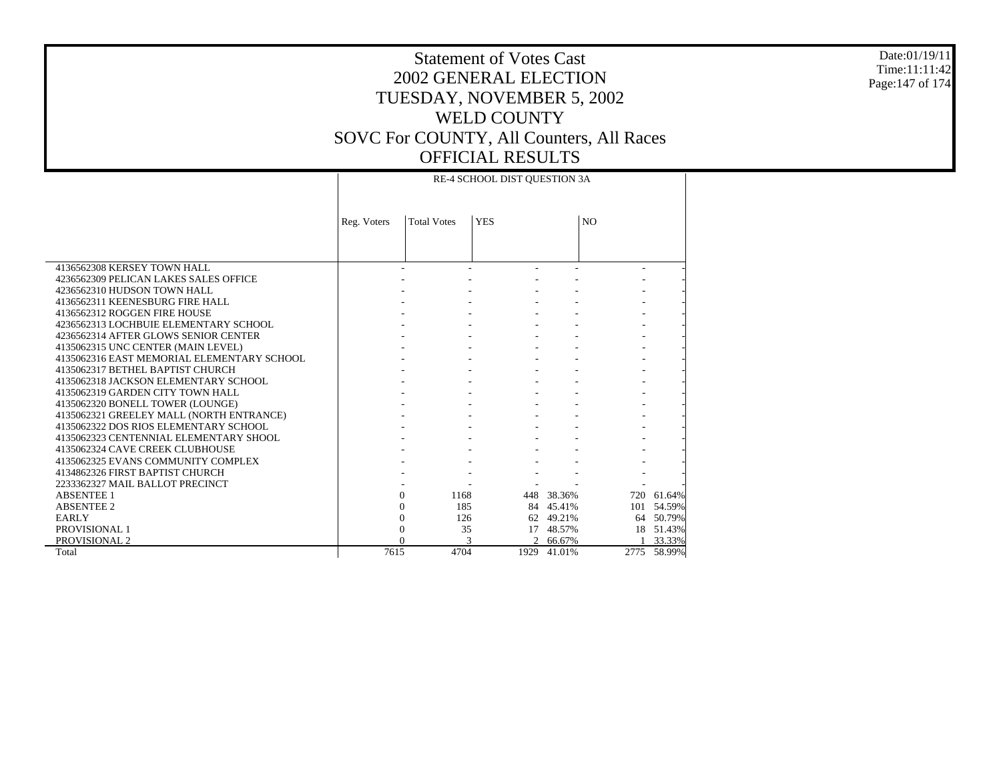#### Date:01/19/11 Time:11:11:42 Page:147 of 174

|                                            |             |                    | RE-4 SCHOOL DIST OUESTION 3A |            |                |             |
|--------------------------------------------|-------------|--------------------|------------------------------|------------|----------------|-------------|
|                                            | Reg. Voters | <b>Total Votes</b> | <b>YES</b>                   |            | N <sub>O</sub> |             |
|                                            |             |                    |                              |            |                |             |
| 4136562308 KERSEY TOWN HALL                |             |                    |                              |            |                |             |
| 4236562309 PELICAN LAKES SALES OFFICE      |             |                    |                              |            |                |             |
| 4236562310 HUDSON TOWN HALL                |             |                    |                              |            |                |             |
| 4136562311 KEENESBURG FIRE HALL            |             |                    |                              |            |                |             |
| 4136562312 ROGGEN FIRE HOUSE               |             |                    |                              |            |                |             |
| 4236562313 LOCHBUIE ELEMENTARY SCHOOL      |             |                    |                              |            |                |             |
| 4236562314 AFTER GLOWS SENIOR CENTER       |             |                    |                              |            |                |             |
| 4135062315 UNC CENTER (MAIN LEVEL)         |             |                    |                              |            |                |             |
| 4135062316 EAST MEMORIAL ELEMENTARY SCHOOL |             |                    |                              |            |                |             |
| 4135062317 BETHEL BAPTIST CHURCH           |             |                    |                              |            |                |             |
| 4135062318 JACKSON ELEMENTARY SCHOOL       |             |                    |                              |            |                |             |
| 4135062319 GARDEN CITY TOWN HALL           |             |                    |                              |            |                |             |
| 4135062320 BONELL TOWER (LOUNGE)           |             |                    |                              |            |                |             |
| 4135062321 GREELEY MALL (NORTH ENTRANCE)   |             |                    |                              |            |                |             |
| 4135062322 DOS RIOS ELEMENTARY SCHOOL      |             |                    |                              |            |                |             |
| 4135062323 CENTENNIAL ELEMENTARY SHOOL     |             |                    |                              |            |                |             |
| 4135062324 CAVE CREEK CLUBHOUSE            |             |                    |                              |            |                |             |
| 4135062325 EVANS COMMUNITY COMPLEX         |             |                    |                              |            |                |             |
| 4134862326 FIRST BAPTIST CHURCH            |             |                    |                              |            |                |             |
| 2233362327 MAIL BALLOT PRECINCT            |             |                    |                              |            |                |             |
| <b>ABSENTEE 1</b>                          |             | 1168<br>0          |                              | 448 38.36% | 720            | 61.64%      |
| <b>ABSENTEE 2</b>                          |             | 185<br>$\Omega$    |                              | 84 45.41%  | 101            | 54.59%      |
| <b>EARLY</b>                               |             | $\theta$<br>126    |                              | 62 49.21%  |                | 64 50.79%   |
| PROVISIONAL 1                              |             | 35<br>0            | 17                           | 48.57%     |                | 18 51.43%   |
| PROVISIONAL 2                              |             |                    | 2                            | 66.67%     |                | 33.33%      |
| Total                                      | 7615        | 4704               | 1929                         | 41.01%     |                | 2775 58.99% |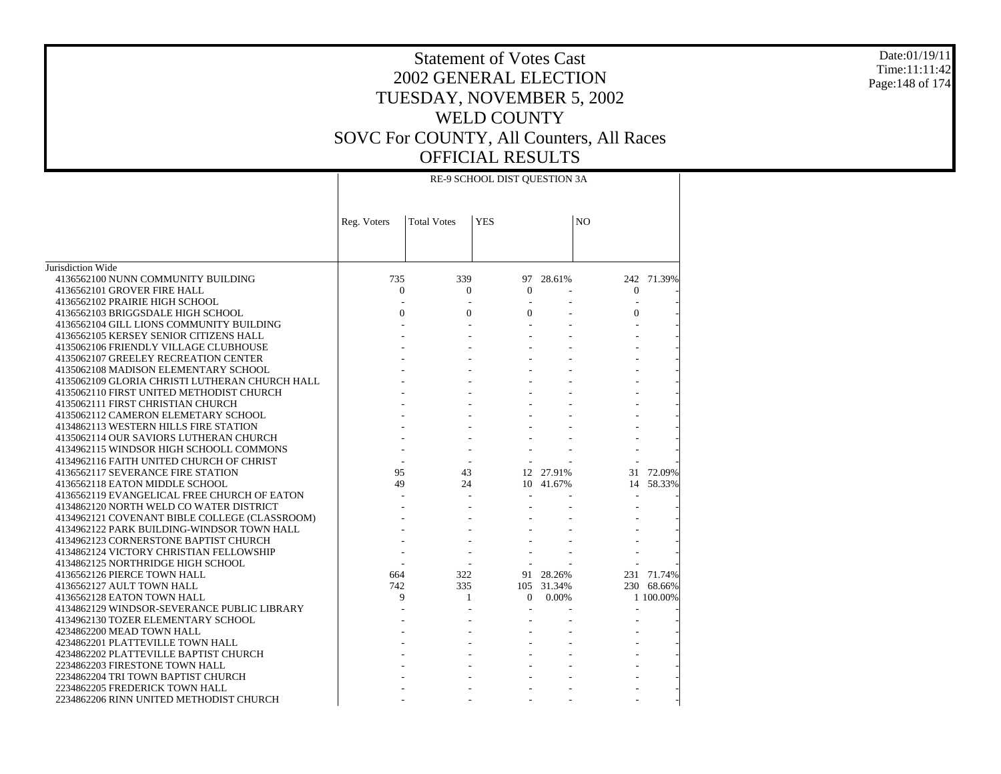#### Date:01/19/11 Time:11:11:42 Page:148 of 174

|                                                | RE-9 SCHOOL DIST QUESTION 3A |                    |            |            |                |            |
|------------------------------------------------|------------------------------|--------------------|------------|------------|----------------|------------|
|                                                | Reg. Voters                  | <b>Total Votes</b> | <b>YES</b> |            | N <sub>O</sub> |            |
|                                                |                              |                    |            |            |                |            |
| Jurisdiction Wide                              |                              |                    |            |            |                |            |
| 4136562100 NUNN COMMUNITY BUILDING             | 735                          | 339                |            | 97 28.61%  |                | 242 71.39% |
| 4136562101 GROVER FIRE HALL                    | $\Omega$                     | $\Omega$           | $\Omega$   |            | $\Omega$       |            |
| 4136562102 PRAIRIE HIGH SCHOOL                 |                              |                    |            |            |                |            |
| 4136562103 BRIGGSDALE HIGH SCHOOL              | $\Omega$                     | $\Omega$           | $\Omega$   |            | $\Omega$       |            |
| 4136562104 GILL LIONS COMMUNITY BUILDING       |                              |                    |            |            |                |            |
| 4136562105 KERSEY SENIOR CITIZENS HALL         |                              |                    |            |            |                |            |
| 4135062106 FRIENDLY VILLAGE CLUBHOUSE          |                              |                    |            |            |                |            |
| 4135062107 GREELEY RECREATION CENTER           |                              |                    |            |            |                |            |
| 4135062108 MADISON ELEMENTARY SCHOOL           |                              |                    |            |            |                |            |
| 4135062109 GLORIA CHRISTI LUTHERAN CHURCH HALL |                              |                    |            |            |                |            |
| 4135062110 FIRST UNITED METHODIST CHURCH       |                              |                    |            |            |                |            |
| 4135062111 FIRST CHRISTIAN CHURCH              |                              |                    |            |            |                |            |
| 4135062112 CAMERON ELEMETARY SCHOOL            |                              |                    |            |            |                |            |
| 4134862113 WESTERN HILLS FIRE STATION          |                              |                    |            |            |                |            |
| 4135062114 OUR SAVIORS LUTHERAN CHURCH         |                              |                    |            |            |                |            |
| 4134962115 WINDSOR HIGH SCHOOLL COMMONS        |                              |                    |            |            |                |            |
| 4134962116 FAITH UNITED CHURCH OF CHRIST       |                              |                    |            |            |                |            |
| 4136562117 SEVERANCE FIRE STATION              | 95                           | 43                 |            | 12 27.91%  | 31             | 72.09%     |
| 4136562118 EATON MIDDLE SCHOOL                 | 49                           | 24                 |            | 10 41.67%  | 14             | 58.33%     |
| 4136562119 EVANGELICAL FREE CHURCH OF EATON    |                              |                    |            |            |                |            |
| 4134862120 NORTH WELD CO WATER DISTRICT        |                              |                    |            |            |                |            |
| 4134962121 COVENANT BIBLE COLLEGE (CLASSROOM)  |                              |                    |            |            |                |            |
| 4134962122 PARK BUILDING-WINDSOR TOWN HALL     |                              |                    |            |            |                |            |
| 4134962123 CORNERSTONE BAPTIST CHURCH          |                              |                    |            |            |                |            |
| 4134862124 VICTORY CHRISTIAN FELLOWSHIP        |                              |                    |            |            |                |            |
| 4134862125 NORTHRIDGE HIGH SCHOOL              |                              |                    |            |            |                |            |
| 4136562126 PIERCE TOWN HALL                    | 664                          | 322                |            | 91 28.26%  |                | 231 71.74% |
| 4136562127 AULT TOWN HALL                      | 742                          | 335                |            | 105 31.34% |                | 230 68.66% |
| 4136562128 EATON TOWN HALL                     | 9                            | 1                  | $\Omega$   | 0.00%      |                | 1 100,00%  |
| 4134862129 WINDSOR-SEVERANCE PUBLIC LIBRARY    |                              |                    |            |            |                |            |
| 4134962130 TOZER ELEMENTARY SCHOOL             |                              |                    |            |            |                |            |
| 4234862200 MEAD TOWN HALL                      |                              |                    |            |            |                |            |
| 4234862201 PLATTEVILLE TOWN HALL               |                              |                    |            |            |                |            |
| 4234862202 PLATTEVILLE BAPTIST CHURCH          |                              |                    |            |            |                |            |
| 2234862203 FIRESTONE TOWN HALL                 |                              |                    |            |            |                |            |
| 2234862204 TRI TOWN BAPTIST CHURCH             |                              |                    |            |            |                |            |
| 2234862205 FREDERICK TOWN HALL                 |                              |                    |            |            |                |            |
| 2234862206 RINN UNITED METHODIST CHURCH        |                              |                    |            |            |                |            |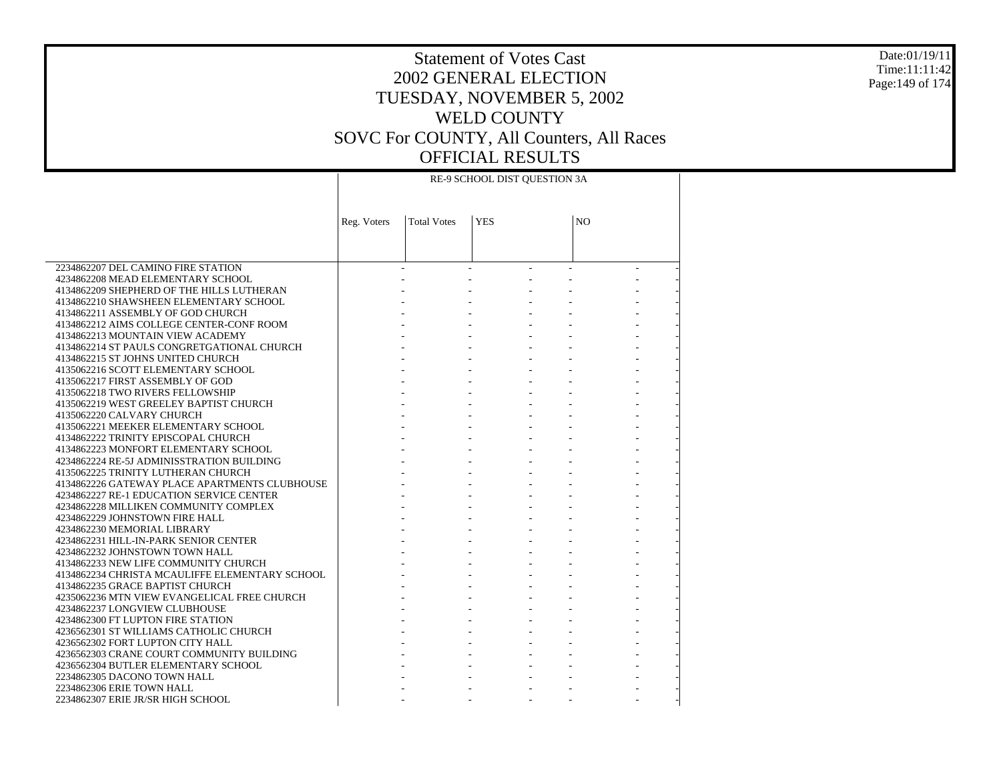#### Date:01/19/11 Time:11:11:42 Page:149 of 174

# Statement of Votes Cast 2002 GENERAL ELECTION TUESDAY, NOVEMBER 5, 2002 WELD COUNTY SOVC For COUNTY, All Counters, All Races OFFICIAL RESULTS

|                                                                                  | RE-9 SCHOOL DIST QUESTION 3A |                    |                        |    |  |  |
|----------------------------------------------------------------------------------|------------------------------|--------------------|------------------------|----|--|--|
|                                                                                  | Reg. Voters                  | <b>Total Votes</b> | <b>YES</b>             | NO |  |  |
|                                                                                  |                              |                    |                        |    |  |  |
| 2234862207 DEL CAMINO FIRE STATION                                               |                              |                    | $\Delta \sim 10^{-10}$ |    |  |  |
| 4234862208 MEAD ELEMENTARY SCHOOL                                                |                              |                    |                        |    |  |  |
| 4134862209 SHEPHERD OF THE HILLS LUTHERAN                                        |                              |                    |                        |    |  |  |
| 4134862210 SHAWSHEEN ELEMENTARY SCHOOL                                           |                              |                    |                        |    |  |  |
| 4134862211 ASSEMBLY OF GOD CHURCH                                                |                              |                    |                        |    |  |  |
| 4134862212 AIMS COLLEGE CENTER-CONF ROOM                                         |                              |                    |                        |    |  |  |
| 4134862213 MOUNTAIN VIEW ACADEMY                                                 |                              |                    |                        |    |  |  |
| 4134862214 ST PAULS CONGRETGATIONAL CHURCH                                       |                              |                    |                        |    |  |  |
| 4134862215 ST JOHNS UNITED CHURCH                                                |                              |                    |                        |    |  |  |
| 4135062216 SCOTT ELEMENTARY SCHOOL                                               |                              |                    |                        |    |  |  |
| 4135062217 FIRST ASSEMBLY OF GOD                                                 |                              |                    |                        |    |  |  |
| 4135062218 TWO RIVERS FELLOWSHIP                                                 |                              |                    |                        |    |  |  |
| 4135062219 WEST GREELEY BAPTIST CHURCH<br>4135062220 CALVARY CHURCH              |                              |                    |                        |    |  |  |
| 4135062221 MEEKER ELEMENTARY SCHOOL                                              |                              |                    |                        |    |  |  |
| 4134862222 TRINITY EPISCOPAL CHURCH                                              |                              |                    |                        |    |  |  |
| 4134862223 MONFORT ELEMENTARY SCHOOL                                             |                              |                    |                        |    |  |  |
| 4234862224 RE-5J ADMINISSTRATION BUILDING                                        |                              |                    |                        |    |  |  |
| 4135062225 TRINITY LUTHERAN CHURCH                                               |                              |                    |                        |    |  |  |
| 4134862226 GATEWAY PLACE APARTMENTS CLUBHOUSE                                    |                              |                    |                        |    |  |  |
| 4234862227 RE-1 EDUCATION SERVICE CENTER                                         |                              |                    |                        |    |  |  |
| 4234862228 MILLIKEN COMMUNITY COMPLEX                                            |                              |                    |                        |    |  |  |
| 4234862229 JOHNSTOWN FIRE HALL                                                   |                              |                    |                        |    |  |  |
| 4234862230 MEMORIAL LIBRARY                                                      |                              |                    |                        |    |  |  |
| 4234862231 HILL-IN-PARK SENIOR CENTER                                            |                              |                    |                        |    |  |  |
| 4234862232 JOHNSTOWN TOWN HALL                                                   |                              |                    |                        |    |  |  |
| 4134862233 NEW LIFE COMMUNITY CHURCH                                             |                              |                    |                        |    |  |  |
| 4134862234 CHRISTA MCAULIFFE ELEMENTARY SCHOOL                                   |                              |                    |                        |    |  |  |
| 4134862235 GRACE BAPTIST CHURCH                                                  |                              |                    |                        |    |  |  |
| 4235062236 MTN VIEW EVANGELICAL FREE CHURCH                                      |                              |                    |                        |    |  |  |
| 4234862237 LONGVIEW CLUBHOUSE                                                    |                              |                    |                        |    |  |  |
| 4234862300 FT LUPTON FIRE STATION                                                |                              |                    |                        |    |  |  |
| 4236562301 ST WILLIAMS CATHOLIC CHURCH                                           |                              |                    |                        |    |  |  |
| 4236562302 FORT LUPTON CITY HALL                                                 |                              |                    |                        |    |  |  |
| 4236562303 CRANE COURT COMMUNITY BUILDING<br>4236562304 BUTLER ELEMENTARY SCHOOL |                              |                    |                        |    |  |  |
| 2234862305 DACONO TOWN HALL                                                      |                              |                    |                        |    |  |  |
| 2234862306 ERIE TOWN HALL                                                        |                              |                    |                        |    |  |  |
| 2234862307 ERIE JR/SR HIGH SCHOOL                                                |                              |                    |                        |    |  |  |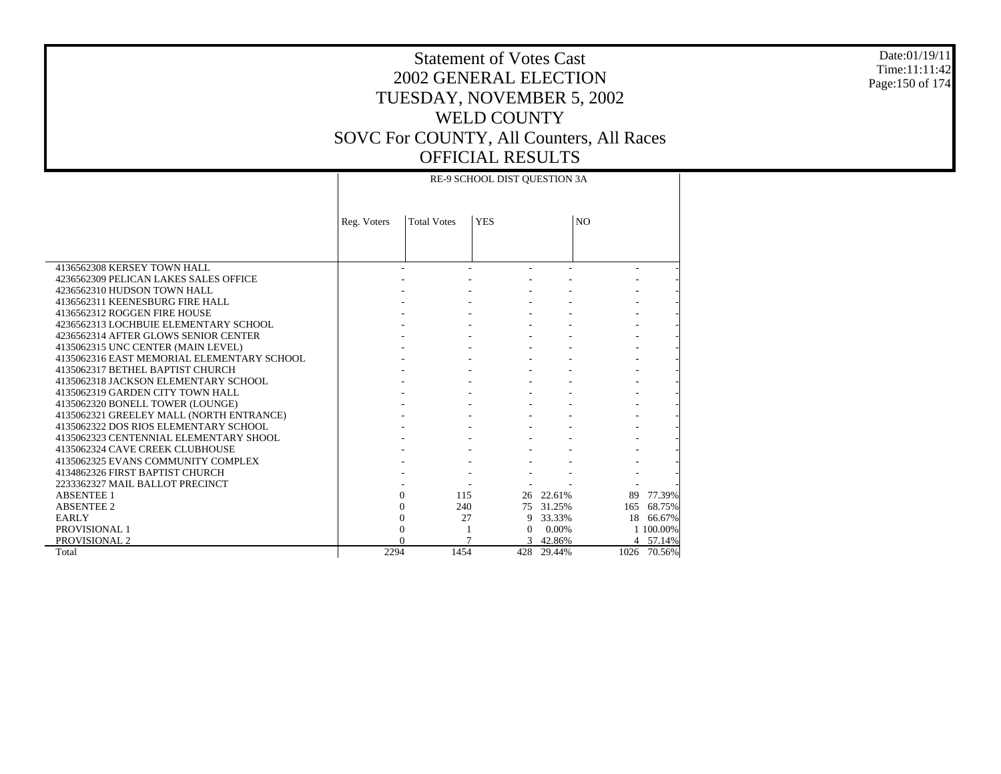#### Date:01/19/11 Time:11:11:42 Page:150 of 174

### Statement of Votes Cast 2002 GENERAL ELECTION TUESDAY, NOVEMBER 5, 2002 WELD COUNTY SOVC For COUNTY, All Counters, All Races OFFICIAL RESULTS RE-9 SCHOOL DIST QUESTION 3A

|                                            | Reg. Voters | <b>Total Votes</b> | <b>YES</b> |            | N <sub>O</sub> |             |  |
|--------------------------------------------|-------------|--------------------|------------|------------|----------------|-------------|--|
|                                            |             |                    |            |            |                |             |  |
| 4136562308 KERSEY TOWN HALL                |             |                    |            |            |                |             |  |
| 4236562309 PELICAN LAKES SALES OFFICE      |             |                    |            |            |                |             |  |
| 4236562310 HUDSON TOWN HALL                |             |                    |            |            |                |             |  |
| 4136562311 KEENESBURG FIRE HALL            |             |                    |            |            |                |             |  |
| 4136562312 ROGGEN FIRE HOUSE               |             |                    |            |            |                |             |  |
| 4236562313 LOCHBUIE ELEMENTARY SCHOOL      |             |                    |            |            |                |             |  |
| 4236562314 AFTER GLOWS SENIOR CENTER       |             |                    |            |            |                |             |  |
| 4135062315 UNC CENTER (MAIN LEVEL)         |             |                    |            |            |                |             |  |
| 4135062316 EAST MEMORIAL ELEMENTARY SCHOOL |             |                    |            |            |                |             |  |
| 4135062317 BETHEL BAPTIST CHURCH           |             |                    |            |            |                |             |  |
| 4135062318 JACKSON ELEMENTARY SCHOOL       |             |                    |            |            |                |             |  |
| 4135062319 GARDEN CITY TOWN HALL           |             |                    |            |            |                |             |  |
| 4135062320 BONELL TOWER (LOUNGE)           |             |                    |            |            |                |             |  |
| 4135062321 GREELEY MALL (NORTH ENTRANCE)   |             |                    |            |            |                |             |  |
| 4135062322 DOS RIOS ELEMENTARY SCHOOL      |             |                    |            |            |                |             |  |
| 4135062323 CENTENNIAL ELEMENTARY SHOOL     |             |                    |            |            |                |             |  |
| 4135062324 CAVE CREEK CLUBHOUSE            |             |                    |            |            |                |             |  |
| 4135062325 EVANS COMMUNITY COMPLEX         |             |                    |            |            |                |             |  |
| 4134862326 FIRST BAPTIST CHURCH            |             |                    |            |            |                |             |  |
| 2233362327 MAIL BALLOT PRECINCT            |             |                    |            |            |                |             |  |
| <b>ABSENTEE 1</b>                          |             | 115<br>$\Omega$    |            | 26 22.61%  |                | 89 77.39%   |  |
| <b>ABSENTEE 2</b>                          |             | 240<br>$\Omega$    |            | 75 31.25%  | 165            | 68.75%      |  |
| <b>EARLY</b>                               |             | $\theta$<br>27     |            | 9 33.33%   |                | 18 66.67%   |  |
| <b>PROVISIONAL 1</b>                       |             | 0                  | $\Omega$   | 0.00%      |                | 1 100.00%   |  |
| PROVISIONAL 2                              |             |                    |            | 3 42.86%   |                | 4 57.14%    |  |
| Total                                      | 2294        | 1454               |            | 428 29.44% |                | 1026 70.56% |  |

 $\top$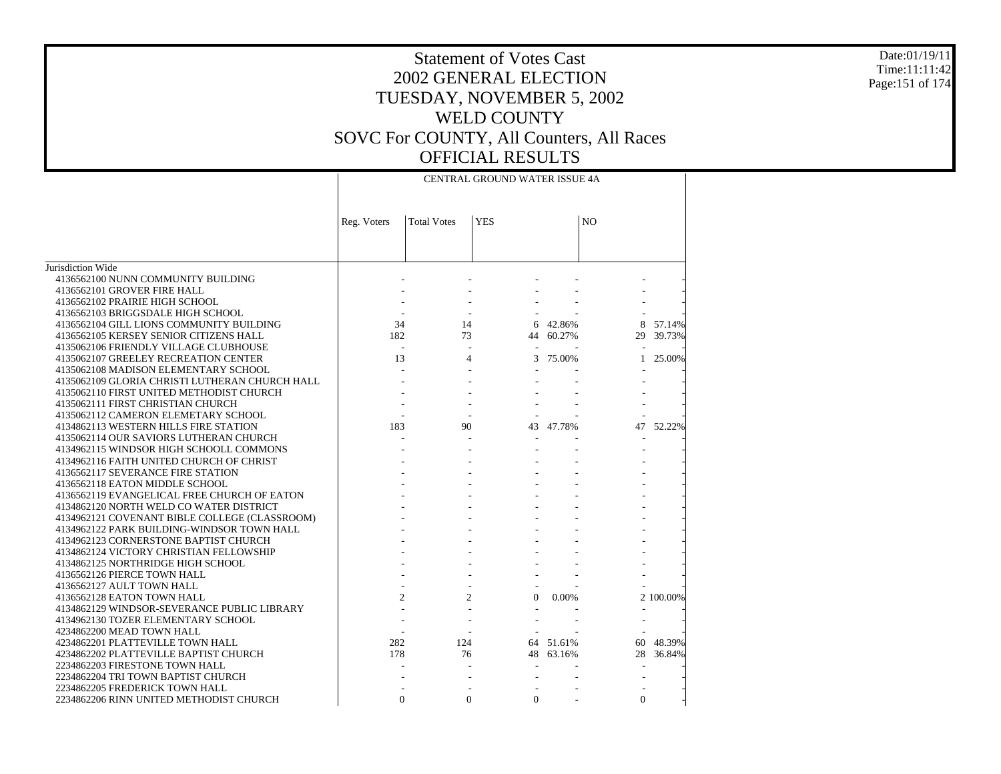#### Date:01/19/11 Time:11:11:42 Page:151 of 174

|                                                |                |                    | CENTRAL GROUND WATER ISSUE 4A |        |                |           |
|------------------------------------------------|----------------|--------------------|-------------------------------|--------|----------------|-----------|
|                                                | Reg. Voters    | <b>Total Votes</b> | <b>YES</b>                    |        | N <sub>O</sub> |           |
|                                                |                |                    |                               |        |                |           |
| Jurisdiction Wide                              |                |                    |                               |        |                |           |
| 4136562100 NUNN COMMUNITY BUILDING             |                |                    |                               |        |                |           |
| 4136562101 GROVER FIRE HALL                    |                |                    |                               |        |                |           |
| 4136562102 PRAIRIE HIGH SCHOOL                 |                |                    |                               |        |                |           |
| 4136562103 BRIGGSDALE HIGH SCHOOL              |                |                    |                               |        |                |           |
| 4136562104 GILL LIONS COMMUNITY BUILDING       | 34             | 14                 | 6                             | 42.86% | 8              | 57.14%    |
| 4136562105 KERSEY SENIOR CITIZENS HALL         | 182            | 73                 | 44                            | 60.27% | 29             | 39.73%    |
| 4135062106 FRIENDLY VILLAGE CLUBHOUSE          |                |                    |                               |        |                |           |
| 4135062107 GREELEY RECREATION CENTER           | 13             | 4                  | 3                             | 75.00% | 1              | 25.00%    |
| 4135062108 MADISON ELEMENTARY SCHOOL           |                |                    |                               |        |                |           |
| 4135062109 GLORIA CHRISTI LUTHERAN CHURCH HALL |                |                    |                               |        |                |           |
| 4135062110 FIRST UNITED METHODIST CHURCH       |                |                    |                               |        |                |           |
| 4135062111 FIRST CHRISTIAN CHURCH              |                |                    |                               |        |                |           |
| 4135062112 CAMERON ELEMETARY SCHOOL            |                |                    |                               |        |                |           |
| 4134862113 WESTERN HILLS FIRE STATION          | 183            | 90                 | 43                            | 47.78% | 47             | 52.22%    |
| 4135062114 OUR SAVIORS LUTHERAN CHURCH         |                |                    |                               |        |                |           |
| 4134962115 WINDSOR HIGH SCHOOLL COMMONS        |                |                    |                               |        |                |           |
| 4134962116 FAITH UNITED CHURCH OF CHRIST       |                |                    |                               |        |                |           |
| 4136562117 SEVERANCE FIRE STATION              |                |                    |                               |        |                |           |
| 4136562118 EATON MIDDLE SCHOOL                 |                |                    |                               |        |                |           |
| 4136562119 EVANGELICAL FREE CHURCH OF EATON    |                |                    |                               |        |                |           |
| 4134862120 NORTH WELD CO WATER DISTRICT        |                |                    |                               |        |                |           |
| 4134962121 COVENANT BIBLE COLLEGE (CLASSROOM)  |                |                    |                               |        |                |           |
| 4134962122 PARK BUILDING-WINDSOR TOWN HALL     |                |                    |                               |        |                |           |
| 4134962123 CORNERSTONE BAPTIST CHURCH          |                |                    |                               |        |                |           |
| 4134862124 VICTORY CHRISTIAN FELLOWSHIP        |                |                    |                               |        |                |           |
| 4134862125 NORTHRIDGE HIGH SCHOOL              |                |                    |                               |        |                |           |
| 4136562126 PIERCE TOWN HALL                    |                |                    |                               |        |                |           |
| 4136562127 AULT TOWN HALL                      |                |                    |                               |        |                |           |
| 4136562128 EATON TOWN HALL                     | $\overline{c}$ | $\overline{c}$     | $\theta$                      | 0.00%  |                | 2 100.00% |
| 4134862129 WINDSOR-SEVERANCE PUBLIC LIBRARY    |                |                    |                               |        |                |           |
| 4134962130 TOZER ELEMENTARY SCHOOL             |                |                    |                               |        |                |           |
| 4234862200 MEAD TOWN HALL                      |                |                    |                               |        |                |           |
| 4234862201 PLATTEVILLE TOWN HALL               | 282            | 124                | 64                            | 51.61% | 60             | 48.39%    |
| 4234862202 PLATTEVILLE BAPTIST CHURCH          | 178            | 76                 | 48                            | 63.16% | 28             | 36.84%    |
| 2234862203 FIRESTONE TOWN HALL                 |                |                    |                               |        |                |           |
| 2234862204 TRI TOWN BAPTIST CHURCH             |                |                    |                               |        |                |           |
| 2234862205 FREDERICK TOWN HALL                 |                |                    |                               |        |                |           |
| 2234862206 RINN UNITED METHODIST CHURCH        | $\Omega$       | $\Omega$           | $\Omega$                      |        | $\theta$       |           |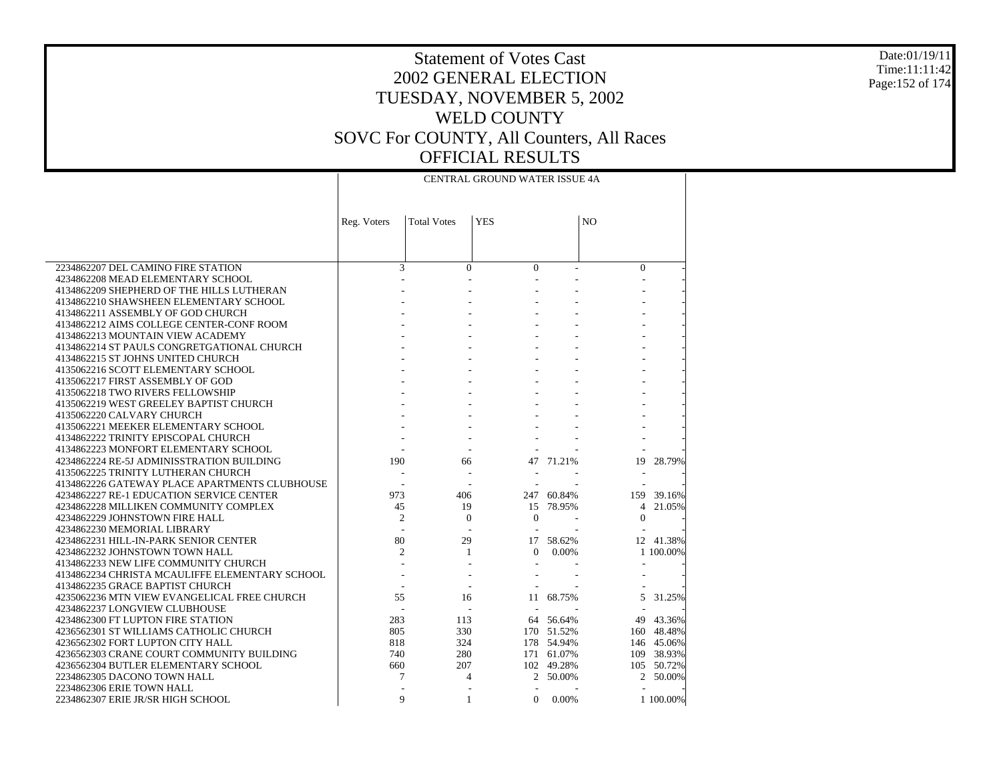#### Date:01/19/11 Time:11:11:42 Page:152 of 174

|                                                                         | CENTRAL GROUND WATER ISSUE 4A |                    |                    |            |                |            |
|-------------------------------------------------------------------------|-------------------------------|--------------------|--------------------|------------|----------------|------------|
|                                                                         |                               |                    |                    |            |                |            |
|                                                                         | Reg. Voters                   | <b>Total Votes</b> | <b>YES</b>         |            | N <sub>O</sub> |            |
|                                                                         |                               |                    |                    |            |                |            |
|                                                                         |                               |                    |                    |            |                |            |
| 2234862207 DEL CAMINO FIRE STATION                                      | 3                             | $\Omega$           | $\Omega$           |            | $\overline{0}$ |            |
| 4234862208 MEAD ELEMENTARY SCHOOL                                       |                               |                    |                    |            |                |            |
| 4134862209 SHEPHERD OF THE HILLS LUTHERAN                               |                               |                    |                    |            |                |            |
| 4134862210 SHAWSHEEN ELEMENTARY SCHOOL                                  |                               |                    |                    |            |                |            |
| 4134862211 ASSEMBLY OF GOD CHURCH                                       |                               |                    |                    |            |                |            |
| 4134862212 AIMS COLLEGE CENTER-CONF ROOM                                |                               |                    |                    |            |                |            |
| 4134862213 MOUNTAIN VIEW ACADEMY                                        |                               |                    |                    |            |                |            |
| 4134862214 ST PAULS CONGRETGATIONAL CHURCH                              |                               |                    |                    |            |                |            |
| 4134862215 ST JOHNS UNITED CHURCH                                       |                               |                    |                    |            |                |            |
| 4135062216 SCOTT ELEMENTARY SCHOOL                                      |                               |                    |                    |            |                |            |
| 4135062217 FIRST ASSEMBLY OF GOD                                        |                               |                    |                    |            |                |            |
| 4135062218 TWO RIVERS FELLOWSHIP                                        |                               |                    |                    |            |                |            |
| 4135062219 WEST GREELEY BAPTIST CHURCH                                  |                               |                    |                    |            |                |            |
| 4135062220 CALVARY CHURCH                                               |                               |                    |                    |            |                |            |
| 4135062221 MEEKER ELEMENTARY SCHOOL                                     |                               |                    |                    |            |                |            |
| 4134862222 TRINITY EPISCOPAL CHURCH                                     |                               |                    |                    |            |                |            |
| 4134862223 MONFORT ELEMENTARY SCHOOL                                    |                               |                    |                    |            |                |            |
| 4234862224 RE-5J ADMINISSTRATION BUILDING                               | 190                           | 66                 |                    | 47 71.21%  | 19             | 28.79%     |
| 4135062225 TRINITY LUTHERAN CHURCH                                      |                               |                    |                    |            |                |            |
| 4134862226 GATEWAY PLACE APARTMENTS CLUBHOUSE                           | 973                           |                    |                    | 247 60.84% |                |            |
| 4234862227 RE-1 EDUCATION SERVICE CENTER                                |                               | 406<br>19          |                    | 78.95%     | 159            | 39.16%     |
| 4234862228 MILLIKEN COMMUNITY COMPLEX<br>4234862229 JOHNSTOWN FIRE HALL | 45<br>$\overline{c}$          | $\Omega$           | 15<br>$\mathbf{0}$ |            | 4<br>$\Omega$  | 21.05%     |
| 4234862230 MEMORIAL LIBRARY                                             | L,                            |                    |                    |            |                |            |
| 4234862231 HILL-IN-PARK SENIOR CENTER                                   | 80                            | 29                 | 17                 | 58.62%     |                | 12 41.38%  |
| 4234862232 JOHNSTOWN TOWN HALL                                          | $\overline{c}$                | $\mathbf{1}$       | $\Omega$           | 0.00%      |                | 1 100,00%  |
| 4134862233 NEW LIFE COMMUNITY CHURCH                                    |                               |                    |                    |            |                |            |
| 4134862234 CHRISTA MCAULIFFE ELEMENTARY SCHOOL                          |                               |                    |                    |            |                |            |
| 4134862235 GRACE BAPTIST CHURCH                                         |                               |                    |                    |            |                |            |
| 4235062236 MTN VIEW EVANGELICAL FREE CHURCH                             | 55                            | 16                 | 11                 | 68.75%     | 5              | 31.25%     |
| 4234862237 LONGVIEW CLUBHOUSE                                           |                               | $\sim$             |                    |            |                |            |
| 4234862300 FT LUPTON FIRE STATION                                       | 283                           | 113                |                    | 64 56.64%  | 49             | 43.36%     |
| 4236562301 ST WILLIAMS CATHOLIC CHURCH                                  | 805                           | 330                |                    | 170 51.52% |                | 160 48.48% |
| 4236562302 FORT LUPTON CITY HALL                                        | 818                           | 324                |                    | 178 54.94% |                | 146 45.06% |
| 4236562303 CRANE COURT COMMUNITY BUILDING                               | 740                           | 280                |                    | 171 61.07% | 109            | 38.93%     |
| 4236562304 BUTLER ELEMENTARY SCHOOL                                     | 660                           | 207                |                    | 102 49.28% |                | 105 50.72% |
| 2234862305 DACONO TOWN HALL                                             | 7                             | 4                  | 2                  | 50.00%     | $\overline{2}$ | 50.00%     |
| 2234862306 ERIE TOWN HALL                                               |                               |                    | $\overline{a}$     |            |                |            |
| 2234862307 ERIE JR/SR HIGH SCHOOL                                       | 9                             | 1                  | $\mathbf{0}$       | 0.00%      |                | 1 100.00%  |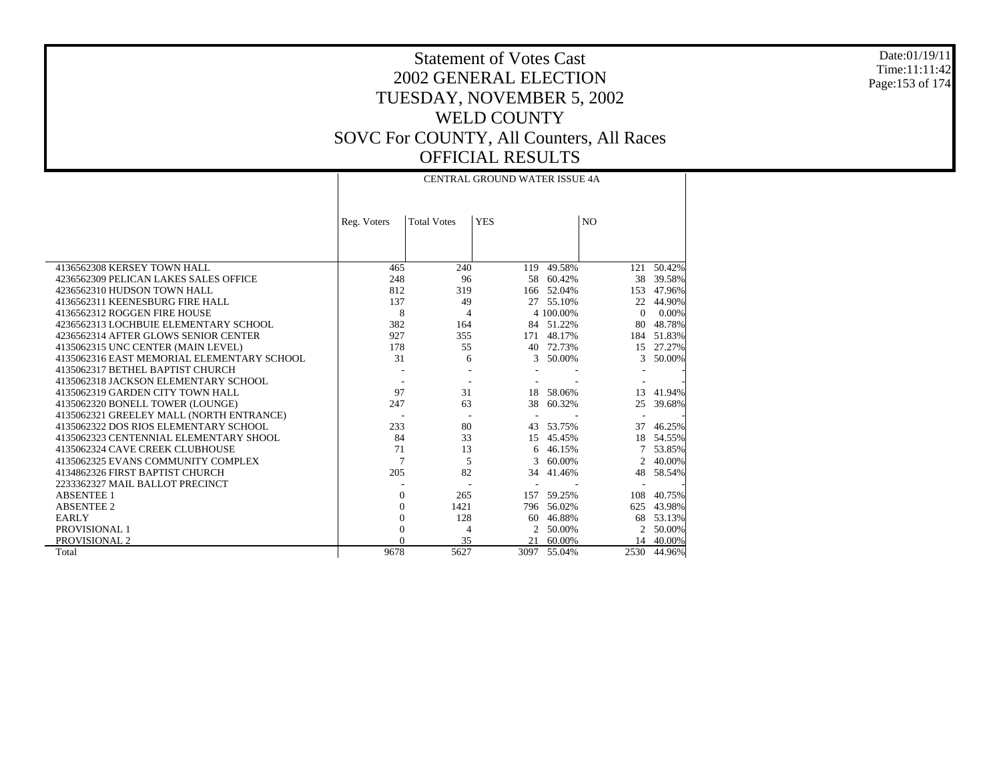Date:01/19/11 Time:11:11:42 Page:153 of 174

|                                            | Reg. Voters              | <b>Total Votes</b> | <b>YES</b> |            | N <sub>O</sub>              |        |
|--------------------------------------------|--------------------------|--------------------|------------|------------|-----------------------------|--------|
|                                            |                          |                    |            |            |                             |        |
| 4136562308 KERSEY TOWN HALL                | 465                      | 240                | 119        | 49.58%     | 121                         | 50.42% |
| 4236562309 PELICAN LAKES SALES OFFICE      | 248                      | 96                 |            | 58 60.42%  | 38                          | 39.58% |
| 4236562310 HUDSON TOWN HALL                | 812                      | 319                |            | 166 52.04% | 153                         | 47.96% |
| 4136562311 KEENESBURG FIRE HALL            | 137                      | 49                 | 27         | 55.10%     | 22                          | 44.90% |
| 4136562312 ROGGEN FIRE HOUSE               | 8                        | $\overline{4}$     |            | 4 100.00%  | $\Omega$                    | 0.00%  |
| 4236562313 LOCHBUIE ELEMENTARY SCHOOL      | 382                      | 164                |            | 84 51.22%  | 80                          | 48.78% |
| 4236562314 AFTER GLOWS SENIOR CENTER       | 927                      | 355                | 171        | 48.17%     | 184                         | 51.83% |
| 4135062315 UNC CENTER (MAIN LEVEL)         | 178                      | 55                 | 40         | 72.73%     | 15                          | 27.27% |
| 4135062316 EAST MEMORIAL ELEMENTARY SCHOOL | 31                       | 6                  | 3          | 50.00%     | 3                           | 50.00% |
| 4135062317 BETHEL BAPTIST CHURCH           |                          |                    |            |            |                             |        |
| 4135062318 JACKSON ELEMENTARY SCHOOL       |                          |                    |            |            |                             |        |
| 4135062319 GARDEN CITY TOWN HALL           | 97                       | 31                 | 18         | 58.06%     | 13                          | 41.94% |
| 4135062320 BONELL TOWER (LOUNGE)           | 247                      | 63                 | 38         | 60.32%     | 25                          | 39.68% |
| 4135062321 GREELEY MALL (NORTH ENTRANCE)   | $\overline{\phantom{a}}$ |                    |            |            |                             |        |
| 4135062322 DOS RIOS ELEMENTARY SCHOOL      | 233                      | 80                 | 43         | 53.75%     | 37                          | 46.25% |
| 4135062323 CENTENNIAL ELEMENTARY SHOOL     | 84                       | 33                 | 15         | 45.45%     | 18                          | 54.55% |
| 4135062324 CAVE CREEK CLUBHOUSE            | 71                       | 13                 | 6.         | 46.15%     |                             | 53.85% |
| 4135062325 EVANS COMMUNITY COMPLEX         | $\overline{7}$           | 5                  | 3          | 60.00%     | $\mathcal{D}_{\mathcal{L}}$ | 40.00% |
| 4134862326 FIRST BAPTIST CHURCH            | 205                      | 82                 | 34         | 41.46%     | 48                          | 58.54% |
| 2233362327 MAIL BALLOT PRECINCT            |                          |                    |            |            |                             |        |
| <b>ABSENTEE 1</b>                          | $\Omega$                 | 265                | 157        | 59.25%     | 108                         | 40.75% |
| <b>ABSENTEE 2</b>                          | $\Omega$                 | 1421               |            | 796 56.02% | 625                         | 43.98% |
| <b>EARLY</b>                               | $\theta$                 | 128                | 60         | 46.88%     | 68                          | 53.13% |
| <b>PROVISIONAL 1</b>                       | $\Omega$                 | 4                  | 2          | 50.00%     | 2                           | 50.00% |
| PROVISIONAL 2                              |                          | 35                 | 21         | 60.00%     | 14                          | 40.00% |
| Total                                      | 9678                     | 5627               | 3097       | 55.04%     | 2530                        | 44.96% |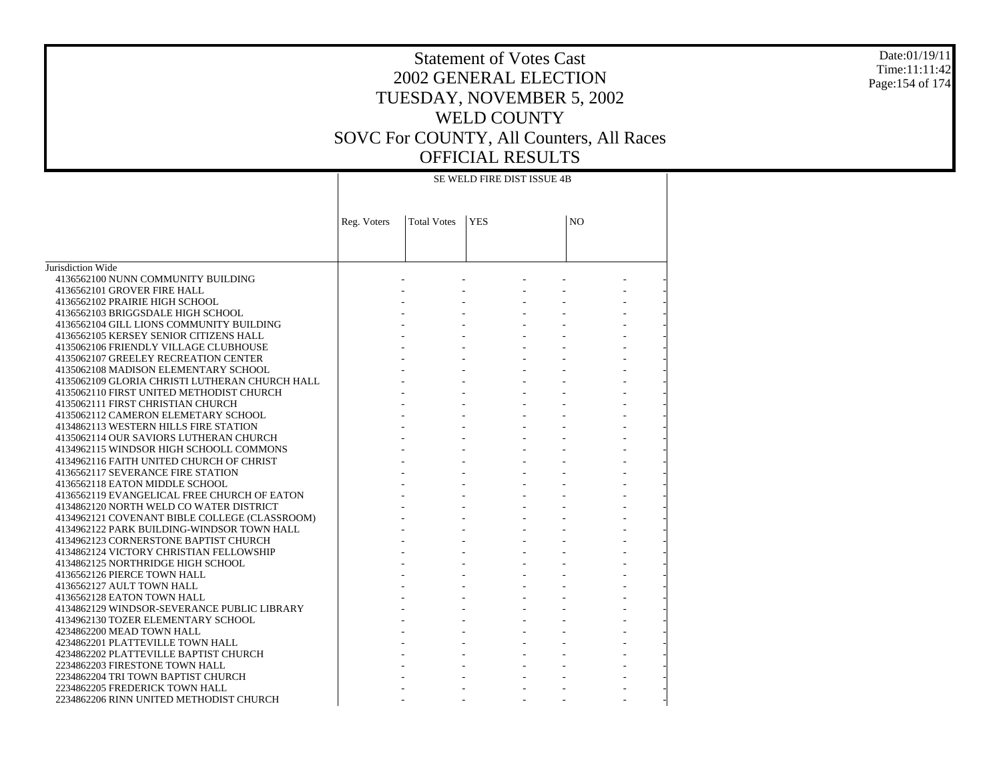### Date:01/19/11 Time:11:11:42 Page:154 of 174

# Statement of Votes Cast 2002 GENERAL ELECTION TUESDAY, NOVEMBER 5, 2002 WELD COUNTY SOVC For COUNTY, All Counters, All Races OFFICIAL RESULTS

SE WELD FIRE DIST ISSUE 4B

|                                                | Reg. Voters | <b>Total Votes</b> | <b>YES</b> | N <sub>O</sub> |  |
|------------------------------------------------|-------------|--------------------|------------|----------------|--|
|                                                |             |                    |            |                |  |
|                                                |             |                    |            |                |  |
|                                                |             |                    |            |                |  |
| Jurisdiction Wide                              |             |                    |            |                |  |
| 4136562100 NUNN COMMUNITY BUILDING             |             |                    |            |                |  |
| 4136562101 GROVER FIRE HALL                    |             |                    |            |                |  |
| 4136562102 PRAIRIE HIGH SCHOOL                 |             |                    |            |                |  |
| 4136562103 BRIGGSDALE HIGH SCHOOL              |             |                    |            |                |  |
| 4136562104 GILL LIONS COMMUNITY BUILDING       |             |                    |            |                |  |
| 4136562105 KERSEY SENIOR CITIZENS HALL         |             |                    |            |                |  |
| 4135062106 FRIENDLY VILLAGE CLUBHOUSE          |             |                    |            |                |  |
| 4135062107 GREELEY RECREATION CENTER           |             |                    |            |                |  |
| 4135062108 MADISON ELEMENTARY SCHOOL           |             |                    |            |                |  |
| 4135062109 GLORIA CHRISTI LUTHERAN CHURCH HALL |             |                    |            |                |  |
| 4135062110 FIRST UNITED METHODIST CHURCH       |             |                    |            |                |  |
| 4135062111 FIRST CHRISTIAN CHURCH              |             |                    |            |                |  |
| 4135062112 CAMERON ELEMETARY SCHOOL            |             |                    |            |                |  |
| 4134862113 WESTERN HILLS FIRE STATION          |             |                    |            |                |  |
| 4135062114 OUR SAVIORS LUTHERAN CHURCH         |             |                    |            |                |  |
| 4134962115 WINDSOR HIGH SCHOOLL COMMONS        |             |                    |            |                |  |
| 4134962116 FAITH UNITED CHURCH OF CHRIST       |             |                    |            |                |  |
| 4136562117 SEVERANCE FIRE STATION              |             |                    |            |                |  |
| 4136562118 EATON MIDDLE SCHOOL                 |             |                    |            |                |  |
| 4136562119 EVANGELICAL FREE CHURCH OF EATON    |             |                    |            |                |  |
| 4134862120 NORTH WELD CO WATER DISTRICT        |             |                    |            |                |  |
| 4134962121 COVENANT BIBLE COLLEGE (CLASSROOM)  |             |                    |            |                |  |
| 4134962122 PARK BUILDING-WINDSOR TOWN HALL     |             |                    |            |                |  |
| 4134962123 CORNERSTONE BAPTIST CHURCH          |             |                    |            |                |  |
| 4134862124 VICTORY CHRISTIAN FELLOWSHIP        |             |                    |            |                |  |
| 4134862125 NORTHRIDGE HIGH SCHOOL              |             |                    |            |                |  |
| 4136562126 PIERCE TOWN HALL                    |             |                    |            |                |  |
| 4136562127 AULT TOWN HALL                      |             |                    |            |                |  |
| 4136562128 EATON TOWN HALL                     |             |                    |            |                |  |
| 4134862129 WINDSOR-SEVERANCE PUBLIC LIBRARY    |             |                    |            |                |  |
| 4134962130 TOZER ELEMENTARY SCHOOL             |             |                    |            |                |  |
| 4234862200 MEAD TOWN HALL                      |             |                    |            |                |  |
| 4234862201 PLATTEVILLE TOWN HALL               |             |                    |            |                |  |
| 4234862202 PLATTEVILLE BAPTIST CHURCH          |             |                    |            |                |  |
| 2234862203 FIRESTONE TOWN HALL                 |             |                    |            |                |  |
| 2234862204 TRI TOWN BAPTIST CHURCH             |             |                    |            |                |  |
| 2234862205 FREDERICK TOWN HALL                 |             |                    |            |                |  |
| 2234862206 RINN UNITED METHODIST CHURCH        |             |                    |            |                |  |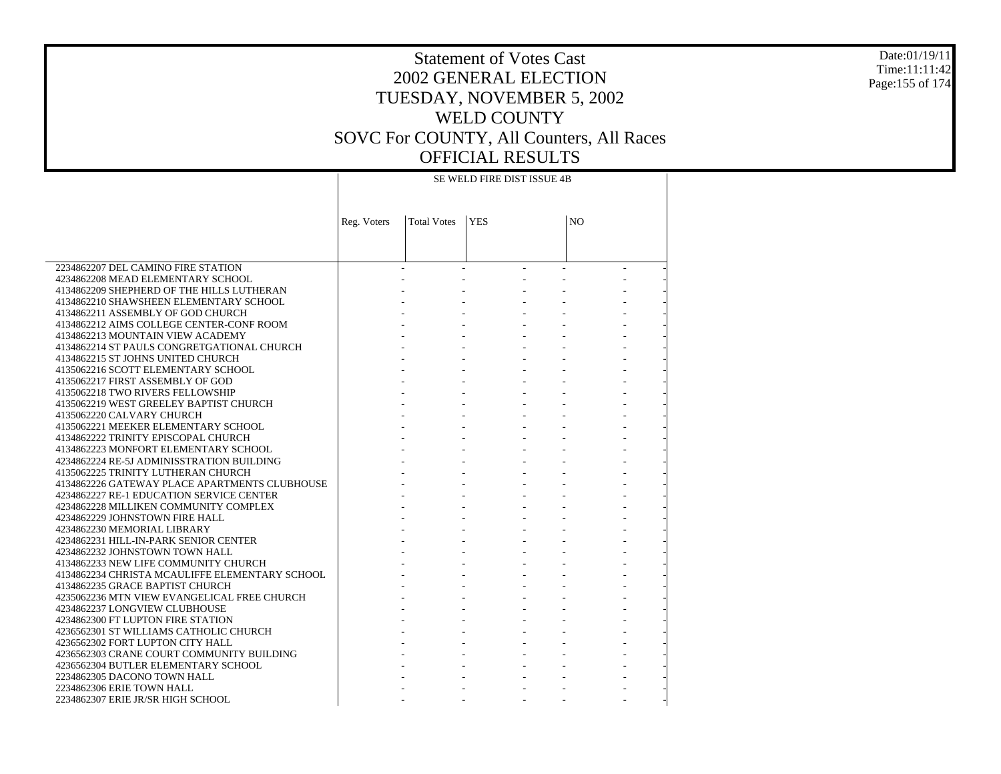#### Date:01/19/11 Time:11:11:42 Page:155 of 174

# Statement of Votes Cast 2002 GENERAL ELECTION TUESDAY, NOVEMBER 5, 2002 WELD COUNTY SOVC For COUNTY, All Counters, All Races OFFICIAL RESULTS

SE WELD FIRE DIST ISSUE 4B

|                                                | Reg. Voters | <b>Total Votes</b> | <b>YES</b> | N <sub>O</sub> |  |
|------------------------------------------------|-------------|--------------------|------------|----------------|--|
|                                                |             |                    |            |                |  |
|                                                |             |                    |            |                |  |
|                                                |             |                    |            |                |  |
| 2234862207 DEL CAMINO FIRE STATION             |             |                    |            |                |  |
| 4234862208 MEAD ELEMENTARY SCHOOL              |             |                    |            |                |  |
| 4134862209 SHEPHERD OF THE HILLS LUTHERAN      |             |                    |            |                |  |
| 4134862210 SHAWSHEEN ELEMENTARY SCHOOL         |             |                    |            |                |  |
| 4134862211 ASSEMBLY OF GOD CHURCH              |             |                    |            |                |  |
| 4134862212 AIMS COLLEGE CENTER-CONF ROOM       |             |                    |            |                |  |
| 4134862213 MOUNTAIN VIEW ACADEMY               |             |                    |            |                |  |
| 4134862214 ST PAULS CONGRETGATIONAL CHURCH     |             |                    |            |                |  |
| 4134862215 ST JOHNS UNITED CHURCH              |             |                    |            |                |  |
| 4135062216 SCOTT ELEMENTARY SCHOOL             |             |                    |            |                |  |
| 4135062217 FIRST ASSEMBLY OF GOD               |             |                    |            |                |  |
| 4135062218 TWO RIVERS FELLOWSHIP               |             |                    |            |                |  |
| 4135062219 WEST GREELEY BAPTIST CHURCH         |             |                    |            |                |  |
| 4135062220 CALVARY CHURCH                      |             |                    |            |                |  |
| 4135062221 MEEKER ELEMENTARY SCHOOL            |             |                    |            |                |  |
| 4134862222 TRINITY EPISCOPAL CHURCH            |             |                    |            |                |  |
| 4134862223 MONFORT ELEMENTARY SCHOOL           |             |                    |            |                |  |
| 4234862224 RE-5J ADMINISSTRATION BUILDING      |             |                    |            |                |  |
| 4135062225 TRINITY LUTHERAN CHURCH             |             |                    |            |                |  |
| 4134862226 GATEWAY PLACE APARTMENTS CLUBHOUSE  |             |                    |            |                |  |
| 4234862227 RE-1 EDUCATION SERVICE CENTER       |             |                    |            |                |  |
| 4234862228 MILLIKEN COMMUNITY COMPLEX          |             |                    |            |                |  |
| 4234862229 JOHNSTOWN FIRE HALL                 |             |                    |            |                |  |
| 4234862230 MEMORIAL LIBRARY                    |             |                    |            |                |  |
| 4234862231 HILL-IN-PARK SENIOR CENTER          |             |                    |            |                |  |
| 4234862232 JOHNSTOWN TOWN HALL                 |             |                    |            |                |  |
| 4134862233 NEW LIFE COMMUNITY CHURCH           |             |                    |            |                |  |
| 4134862234 CHRISTA MCAULIFFE ELEMENTARY SCHOOL |             |                    |            |                |  |
| 4134862235 GRACE BAPTIST CHURCH                |             |                    |            |                |  |
| 4235062236 MTN VIEW EVANGELICAL FREE CHURCH    |             |                    |            |                |  |
| 4234862237 LONGVIEW CLUBHOUSE                  |             |                    |            |                |  |
| 4234862300 FT LUPTON FIRE STATION              |             |                    |            |                |  |
| 4236562301 ST WILLIAMS CATHOLIC CHURCH         |             |                    |            |                |  |
| 4236562302 FORT LUPTON CITY HALL               |             |                    |            |                |  |
| 4236562303 CRANE COURT COMMUNITY BUILDING      |             |                    |            |                |  |
| 4236562304 BUTLER ELEMENTARY SCHOOL            |             |                    |            |                |  |
| 2234862305 DACONO TOWN HALL                    |             |                    |            |                |  |
| 2234862306 ERIE TOWN HALL                      |             |                    |            |                |  |
| 2234862307 ERIE JR/SR HIGH SCHOOL              |             |                    |            |                |  |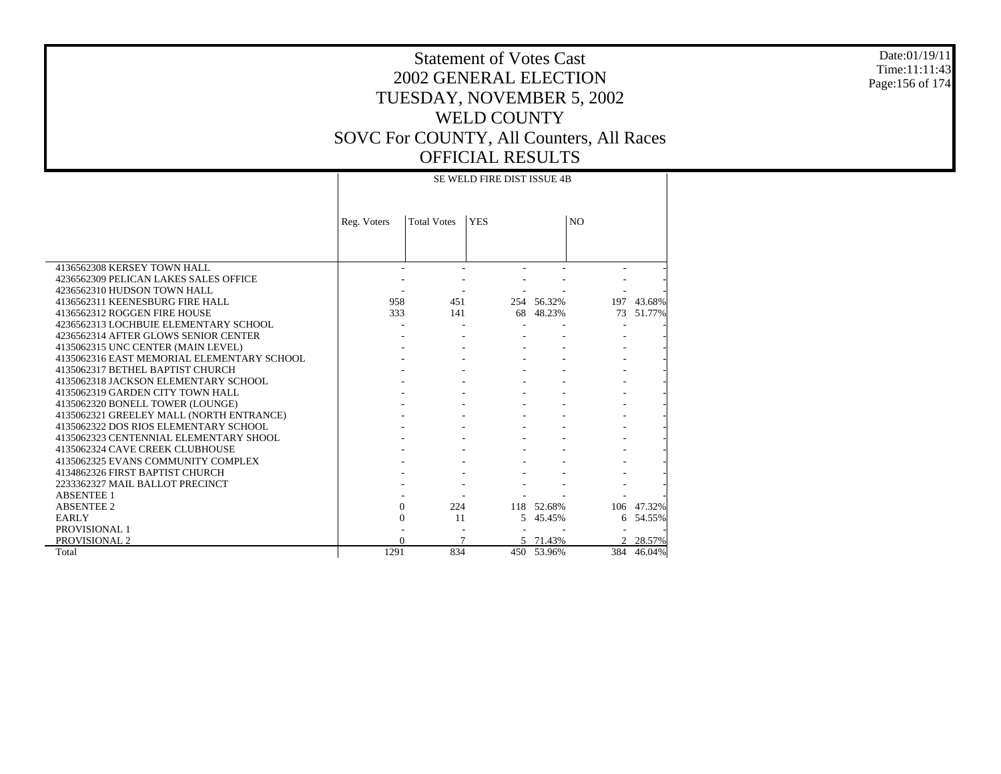#### Date:01/19/11 Time:11:11:43 Page:156 of 174

# Statement of Votes Cast 2002 GENERAL ELECTION TUESDAY, NOVEMBER 5, 2002 WELD COUNTY SOVC For COUNTY, All Counters, All Races OFFICIAL RESULTS

### SE WELD FIRE DIST ISSUE 4B

|                                            | Reg. Voters | <b>Total Votes</b> | <b>YES</b> |            | N <sub>O</sub> |        |
|--------------------------------------------|-------------|--------------------|------------|------------|----------------|--------|
|                                            |             |                    |            |            |                |        |
|                                            |             |                    |            |            |                |        |
| 4136562308 KERSEY TOWN HALL                |             |                    |            |            |                |        |
| 4236562309 PELICAN LAKES SALES OFFICE      |             |                    |            |            |                |        |
| 4236562310 HUDSON TOWN HALL                |             |                    |            |            |                |        |
| 4136562311 KEENESBURG FIRE HALL            | 958         | 451                |            | 254 56.32% | 197            | 43.68% |
| 4136562312 ROGGEN FIRE HOUSE               | 333         | 141                |            | 68 48.23%  | 73             | 51.77% |
| 4236562313 LOCHBUIE ELEMENTARY SCHOOL      |             |                    |            |            |                |        |
| 4236562314 AFTER GLOWS SENIOR CENTER       |             |                    |            |            |                |        |
| 4135062315 UNC CENTER (MAIN LEVEL)         |             |                    |            |            |                |        |
| 4135062316 EAST MEMORIAL ELEMENTARY SCHOOL |             |                    |            |            |                |        |
| 4135062317 BETHEL BAPTIST CHURCH           |             |                    |            |            |                |        |
| 4135062318 JACKSON ELEMENTARY SCHOOL       |             |                    |            |            |                |        |
| 4135062319 GARDEN CITY TOWN HALL           |             |                    |            |            |                |        |
| 4135062320 BONELL TOWER (LOUNGE)           |             |                    |            |            |                |        |
| 4135062321 GREELEY MALL (NORTH ENTRANCE)   |             |                    |            |            |                |        |
| 4135062322 DOS RIOS ELEMENTARY SCHOOL      |             |                    |            |            |                |        |
| 4135062323 CENTENNIAL ELEMENTARY SHOOL     |             |                    |            |            |                |        |
| 4135062324 CAVE CREEK CLUBHOUSE            |             |                    |            |            |                |        |
| 4135062325 EVANS COMMUNITY COMPLEX         |             |                    |            |            |                |        |
| 4134862326 FIRST BAPTIST CHURCH            |             |                    |            |            |                |        |
| 2233362327 MAIL BALLOT PRECINCT            |             |                    |            |            |                |        |
| <b>ABSENTEE 1</b>                          |             |                    |            |            |                |        |
| <b>ABSENTEE 2</b>                          | $\Omega$    | 224                |            | 118 52.68% | 106            | 47.32% |
| <b>EARLY</b>                               | 0           | 11                 | 5          | 45.45%     | 6              | 54.55% |
| PROVISIONAL 1                              |             |                    |            |            |                |        |
| <b>PROVISIONAL 2</b>                       | $\Omega$    | $\overline{7}$     |            | 71.43%     |                | 28.57% |
| Total                                      | 1291        | 834                |            | 450 53.96% | 384            | 46.04% |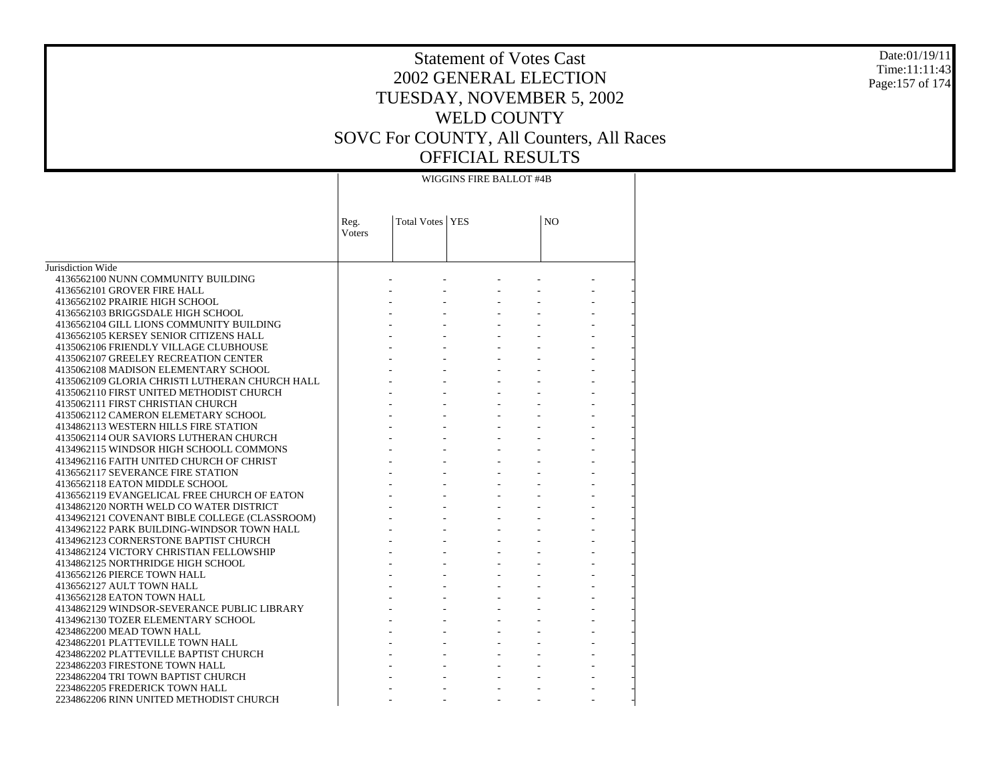#### Date:01/19/11 Time:11:11:43 Page:157 of 174

|                                                                           | WIGGINS FIRE BALLOT #4B |                   |  |                |  |  |  |  |
|---------------------------------------------------------------------------|-------------------------|-------------------|--|----------------|--|--|--|--|
|                                                                           | Reg.<br>Voters          | Total Votes   YES |  | N <sub>O</sub> |  |  |  |  |
|                                                                           |                         |                   |  |                |  |  |  |  |
| Jurisdiction Wide                                                         |                         |                   |  |                |  |  |  |  |
| 4136562100 NUNN COMMUNITY BUILDING                                        |                         |                   |  |                |  |  |  |  |
| 4136562101 GROVER FIRE HALL                                               |                         |                   |  |                |  |  |  |  |
| 4136562102 PRAIRIE HIGH SCHOOL                                            |                         |                   |  |                |  |  |  |  |
| 4136562103 BRIGGSDALE HIGH SCHOOL                                         |                         |                   |  |                |  |  |  |  |
| 4136562104 GILL LIONS COMMUNITY BUILDING                                  |                         |                   |  |                |  |  |  |  |
| 4136562105 KERSEY SENIOR CITIZENS HALL                                    |                         |                   |  |                |  |  |  |  |
| 4135062106 FRIENDLY VILLAGE CLUBHOUSE                                     |                         |                   |  |                |  |  |  |  |
| 4135062107 GREELEY RECREATION CENTER                                      |                         |                   |  |                |  |  |  |  |
| 4135062108 MADISON ELEMENTARY SCHOOL                                      |                         |                   |  |                |  |  |  |  |
| 4135062109 GLORIA CHRISTI LUTHERAN CHURCH HALL                            |                         |                   |  |                |  |  |  |  |
| 4135062110 FIRST UNITED METHODIST CHURCH                                  |                         |                   |  |                |  |  |  |  |
| 4135062111 FIRST CHRISTIAN CHURCH                                         |                         |                   |  |                |  |  |  |  |
| 4135062112 CAMERON ELEMETARY SCHOOL                                       |                         |                   |  |                |  |  |  |  |
| 4134862113 WESTERN HILLS FIRE STATION                                     |                         |                   |  |                |  |  |  |  |
| 4135062114 OUR SAVIORS LUTHERAN CHURCH                                    |                         |                   |  |                |  |  |  |  |
| 4134962115 WINDSOR HIGH SCHOOLL COMMONS                                   |                         |                   |  |                |  |  |  |  |
| 4134962116 FAITH UNITED CHURCH OF CHRIST                                  |                         |                   |  |                |  |  |  |  |
| 4136562117 SEVERANCE FIRE STATION                                         |                         |                   |  |                |  |  |  |  |
| 4136562118 EATON MIDDLE SCHOOL                                            |                         |                   |  |                |  |  |  |  |
| 4136562119 EVANGELICAL FREE CHURCH OF EATON                               |                         |                   |  |                |  |  |  |  |
| 4134862120 NORTH WELD CO WATER DISTRICT                                   |                         |                   |  |                |  |  |  |  |
| 4134962121 COVENANT BIBLE COLLEGE (CLASSROOM)                             |                         |                   |  |                |  |  |  |  |
| 4134962122 PARK BUILDING-WINDSOR TOWN HALL                                |                         |                   |  |                |  |  |  |  |
| 4134962123 CORNERSTONE BAPTIST CHURCH                                     |                         |                   |  |                |  |  |  |  |
| 4134862124 VICTORY CHRISTIAN FELLOWSHIP                                   |                         |                   |  |                |  |  |  |  |
| 4134862125 NORTHRIDGE HIGH SCHOOL                                         |                         |                   |  |                |  |  |  |  |
| 4136562126 PIERCE TOWN HALL                                               |                         |                   |  |                |  |  |  |  |
| 4136562127 AULT TOWN HALL                                                 |                         |                   |  |                |  |  |  |  |
| 4136562128 EATON TOWN HALL<br>4134862129 WINDSOR-SEVERANCE PUBLIC LIBRARY |                         |                   |  |                |  |  |  |  |
| 4134962130 TOZER ELEMENTARY SCHOOL                                        |                         |                   |  |                |  |  |  |  |
| 4234862200 MEAD TOWN HALL                                                 |                         |                   |  |                |  |  |  |  |
| 4234862201 PLATTEVILLE TOWN HALL                                          |                         |                   |  |                |  |  |  |  |
| 4234862202 PLATTEVILLE BAPTIST CHURCH                                     |                         |                   |  |                |  |  |  |  |
| 2234862203 FIRESTONE TOWN HALL                                            |                         |                   |  |                |  |  |  |  |
| 2234862204 TRI TOWN BAPTIST CHURCH                                        |                         |                   |  |                |  |  |  |  |
| 2234862205 FREDERICK TOWN HALL                                            |                         |                   |  |                |  |  |  |  |
| 2234862206 RINN UNITED METHODIST CHURCH                                   |                         |                   |  |                |  |  |  |  |
|                                                                           |                         |                   |  |                |  |  |  |  |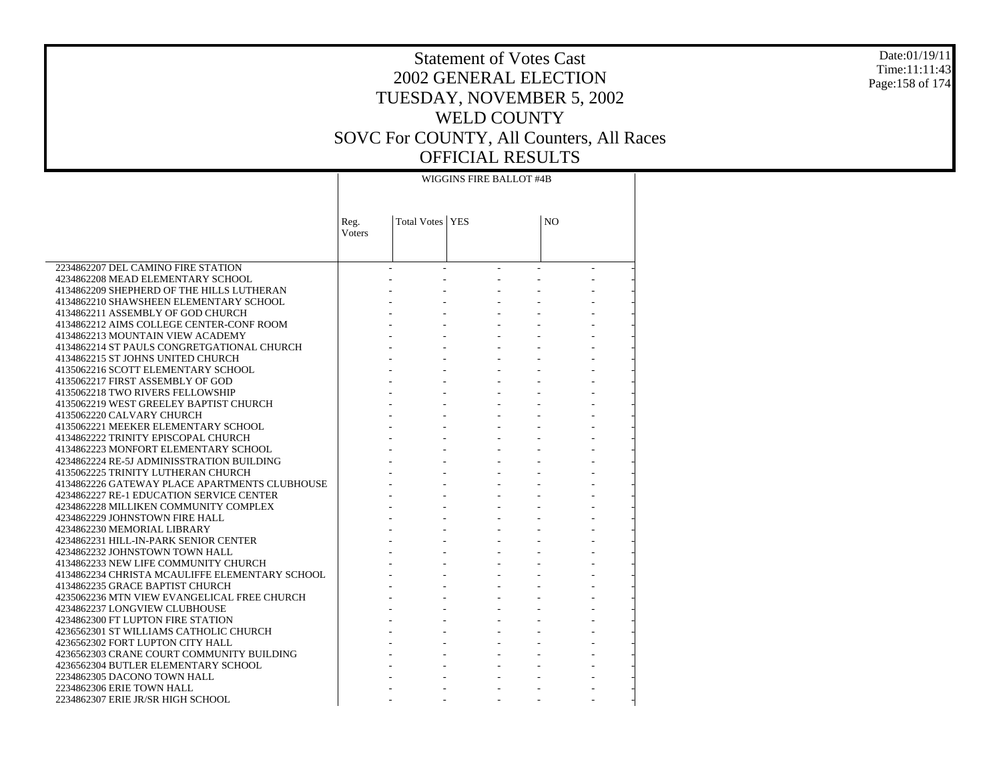#### Date:01/19/11 Time:11:11:43 Page:158 of 174

# Statement of Votes Cast 2002 GENERAL ELECTION TUESDAY, NOVEMBER 5, 2002 WELD COUNTY SOVC For COUNTY, All Counters, All Races OFFICIAL RESULTS

### WIGGINS FIRE BALLOT #4B

|                                                | Reg.                     | Total Votes   YES |        | N <sub>O</sub> |                |
|------------------------------------------------|--------------------------|-------------------|--------|----------------|----------------|
|                                                | Voters                   |                   |        |                |                |
|                                                |                          |                   |        |                |                |
| 2234862207 DEL CAMINO FIRE STATION             | $\overline{\phantom{a}}$ | $\sim$            | $\sim$ |                | $\overline{a}$ |
| 4234862208 MEAD ELEMENTARY SCHOOL              |                          |                   |        |                |                |
| 4134862209 SHEPHERD OF THE HILLS LUTHERAN      |                          |                   |        |                |                |
| 4134862210 SHAWSHEEN ELEMENTARY SCHOOL         |                          |                   |        |                |                |
| 4134862211 ASSEMBLY OF GOD CHURCH              |                          |                   |        |                |                |
| 4134862212 AIMS COLLEGE CENTER-CONF ROOM       |                          |                   |        |                |                |
| 4134862213 MOUNTAIN VIEW ACADEMY               |                          |                   |        |                |                |
| 4134862214 ST PAULS CONGRETGATIONAL CHURCH     |                          |                   |        |                |                |
| 4134862215 ST JOHNS UNITED CHURCH              |                          |                   |        |                |                |
| 4135062216 SCOTT ELEMENTARY SCHOOL             |                          |                   |        |                |                |
| 4135062217 FIRST ASSEMBLY OF GOD               |                          |                   |        |                |                |
| 4135062218 TWO RIVERS FELLOWSHIP               |                          |                   |        |                |                |
| 4135062219 WEST GREELEY BAPTIST CHURCH         |                          |                   |        |                |                |
| 4135062220 CALVARY CHURCH                      |                          |                   |        |                |                |
| 4135062221 MEEKER ELEMENTARY SCHOOL            |                          |                   |        |                |                |
| 4134862222 TRINITY EPISCOPAL CHURCH            |                          |                   |        |                |                |
| 4134862223 MONFORT ELEMENTARY SCHOOL           |                          |                   |        |                |                |
| 4234862224 RE-5J ADMINISSTRATION BUILDING      |                          |                   |        |                |                |
| 4135062225 TRINITY LUTHERAN CHURCH             |                          |                   |        |                |                |
| 4134862226 GATEWAY PLACE APARTMENTS CLUBHOUSE  |                          |                   |        |                |                |
| 4234862227 RE-1 EDUCATION SERVICE CENTER       |                          |                   |        |                |                |
| 4234862228 MILLIKEN COMMUNITY COMPLEX          |                          |                   |        |                |                |
| 4234862229 JOHNSTOWN FIRE HALL                 |                          |                   |        |                |                |
| 4234862230 MEMORIAL LIBRARY                    |                          |                   |        |                |                |
| 4234862231 HILL-IN-PARK SENIOR CENTER          |                          |                   |        |                |                |
| 4234862232 JOHNSTOWN TOWN HALL                 |                          |                   |        |                |                |
| 4134862233 NEW LIFE COMMUNITY CHURCH           |                          |                   |        |                |                |
| 4134862234 CHRISTA MCAULIFFE ELEMENTARY SCHOOL |                          |                   |        |                |                |
| 4134862235 GRACE BAPTIST CHURCH                |                          |                   |        |                |                |
| 4235062236 MTN VIEW EVANGELICAL FREE CHURCH    |                          |                   |        |                |                |
| 4234862237 LONGVIEW CLUBHOUSE                  |                          |                   |        |                |                |
| 4234862300 FT LUPTON FIRE STATION              |                          |                   |        |                |                |
| 4236562301 ST WILLIAMS CATHOLIC CHURCH         |                          |                   |        |                |                |
| 4236562302 FORT LUPTON CITY HALL               |                          |                   |        |                |                |
| 4236562303 CRANE COURT COMMUNITY BUILDING      |                          |                   |        |                |                |
| 4236562304 BUTLER ELEMENTARY SCHOOL            |                          |                   |        |                |                |
| 2234862305 DACONO TOWN HALL                    |                          |                   |        |                |                |
| 2234862306 ERIE TOWN HALL                      |                          |                   |        |                |                |
| 2234862307 ERIE JR/SR HIGH SCHOOL              |                          |                   |        |                |                |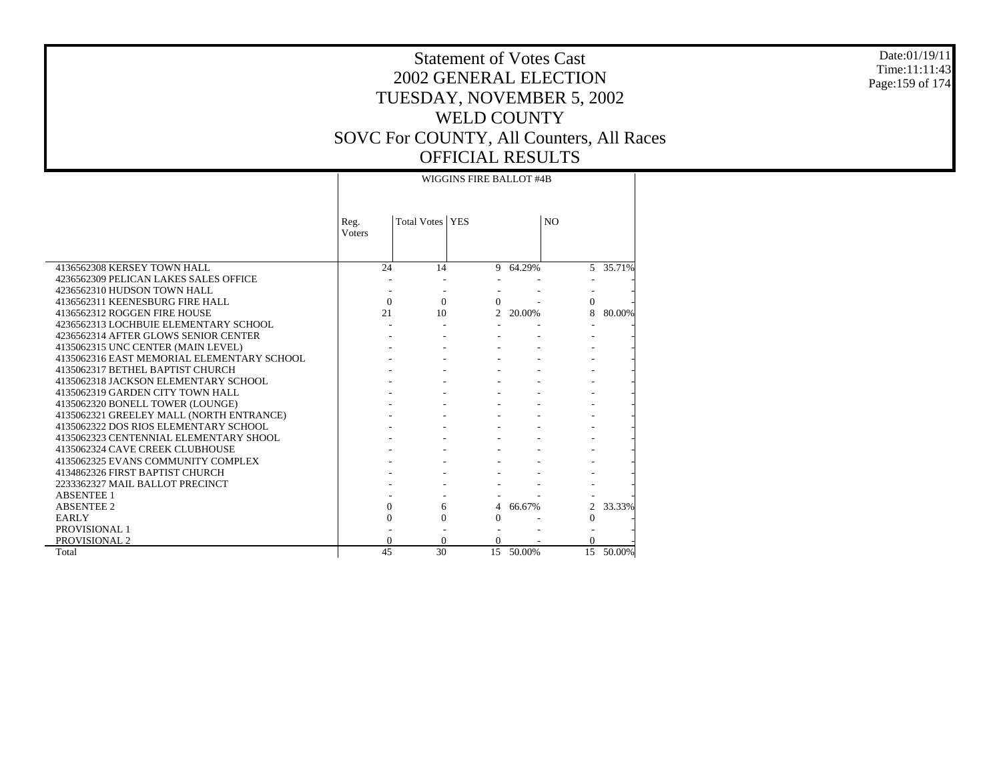#### Date:01/19/11 Time:11:11:43 Page:159 of 174

|                                            | WIGGINS FIRE BALLOT #4B |                    |                |          |                |          |  |  |
|--------------------------------------------|-------------------------|--------------------|----------------|----------|----------------|----------|--|--|
|                                            | Reg.<br>Voters          | <b>Total Votes</b> | <b>YES</b>     |          | N <sub>O</sub> |          |  |  |
| 4136562308 KERSEY TOWN HALL                | 24                      | 14                 |                | 9 64.29% |                | 5 35.71% |  |  |
| 4236562309 PELICAN LAKES SALES OFFICE      |                         |                    |                |          |                |          |  |  |
| 4236562310 HUDSON TOWN HALL                |                         |                    |                |          |                |          |  |  |
| 4136562311 KEENESBURG FIRE HALL            | $\Omega$                | $\Omega$           | $\Omega$       |          | $\Omega$       |          |  |  |
| 4136562312 ROGGEN FIRE HOUSE               | 21                      | 10                 | $\mathfrak{D}$ | 20.00%   | 8              | 80.00%   |  |  |
| 4236562313 LOCHBUIE ELEMENTARY SCHOOL      |                         |                    |                |          |                |          |  |  |
| 4236562314 AFTER GLOWS SENIOR CENTER       |                         |                    |                |          |                |          |  |  |
| 4135062315 UNC CENTER (MAIN LEVEL)         |                         |                    |                |          |                |          |  |  |
| 4135062316 EAST MEMORIAL ELEMENTARY SCHOOL |                         |                    |                |          |                |          |  |  |
| 4135062317 BETHEL BAPTIST CHURCH           |                         |                    |                |          |                |          |  |  |
| 4135062318 JACKSON ELEMENTARY SCHOOL       |                         |                    |                |          |                |          |  |  |
| 4135062319 GARDEN CITY TOWN HALL           |                         |                    |                |          |                |          |  |  |
| 4135062320 BONELL TOWER (LOUNGE)           |                         |                    |                |          |                |          |  |  |
| 4135062321 GREELEY MALL (NORTH ENTRANCE)   |                         |                    |                |          |                |          |  |  |
| 4135062322 DOS RIOS ELEMENTARY SCHOOL      |                         |                    |                |          |                |          |  |  |
| 4135062323 CENTENNIAL ELEMENTARY SHOOL     |                         |                    |                |          |                |          |  |  |
| 4135062324 CAVE CREEK CLUBHOUSE            |                         |                    |                |          |                |          |  |  |
| 4135062325 EVANS COMMUNITY COMPLEX         |                         |                    |                |          |                |          |  |  |
| 4134862326 FIRST BAPTIST CHURCH            |                         |                    |                |          |                |          |  |  |
| 2233362327 MAIL BALLOT PRECINCT            |                         |                    |                |          |                |          |  |  |
| <b>ABSENTEE 1</b>                          |                         |                    |                |          |                |          |  |  |
| <b>ABSENTEE 2</b>                          | $\Omega$                | 6                  | 4              | 66.67%   | $\overline{2}$ | 33.33%   |  |  |
| <b>EARLY</b>                               | $\Omega$                | $\Omega$           | $\theta$       |          | $\Omega$       |          |  |  |
| PROVISIONAL 1                              |                         |                    |                |          |                |          |  |  |
| PROVISIONAL 2                              | $\Omega$                | $\Omega$           | $\Omega$       |          | 0              |          |  |  |
| Total                                      | 45                      | 30                 | 15             | 50.00%   | 15             | 50.00%   |  |  |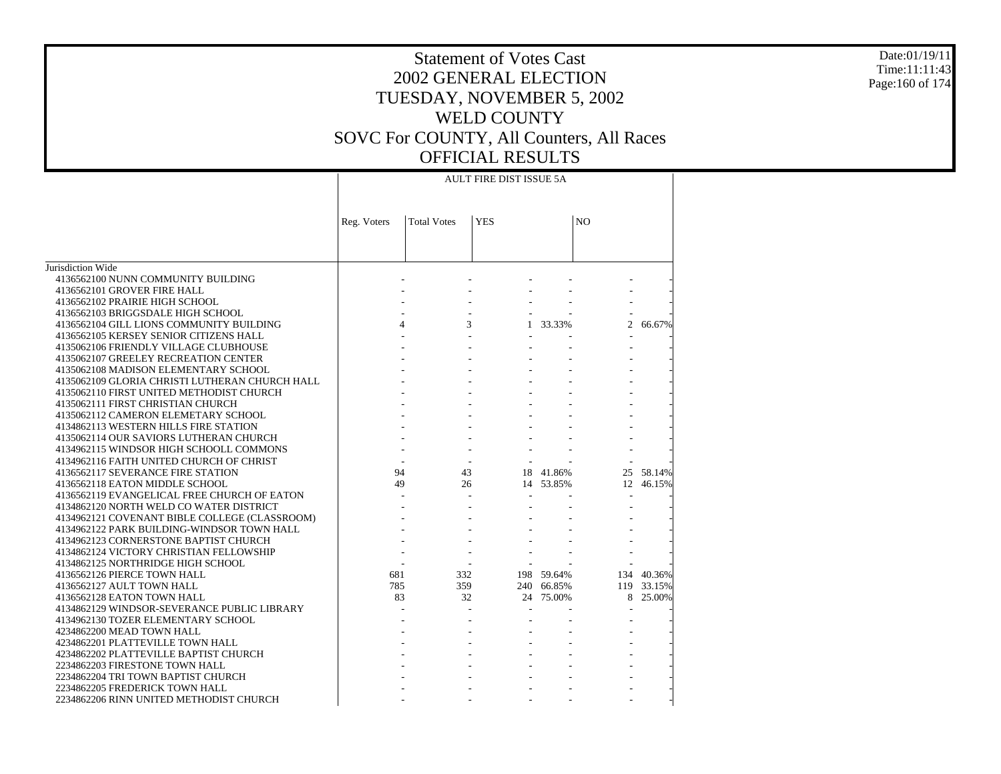#### Date:01/19/11 Time:11:11:43 Page:160 of 174

|                                                                               | <b>AULT FIRE DIST ISSUE 5A</b> |                    |            |            |                |            |  |  |  |
|-------------------------------------------------------------------------------|--------------------------------|--------------------|------------|------------|----------------|------------|--|--|--|
|                                                                               | Reg. Voters                    | <b>Total Votes</b> | <b>YES</b> |            | NO             |            |  |  |  |
|                                                                               |                                |                    |            |            |                |            |  |  |  |
| Jurisdiction Wide                                                             |                                |                    |            |            |                |            |  |  |  |
| 4136562100 NUNN COMMUNITY BUILDING                                            |                                |                    |            |            |                |            |  |  |  |
| 4136562101 GROVER FIRE HALL                                                   |                                |                    |            |            |                |            |  |  |  |
| 4136562102 PRAIRIE HIGH SCHOOL                                                |                                |                    |            |            |                |            |  |  |  |
| 4136562103 BRIGGSDALE HIGH SCHOOL                                             |                                |                    |            |            | $\overline{c}$ |            |  |  |  |
| 4136562104 GILL LIONS COMMUNITY BUILDING                                      | $\overline{4}$                 |                    | 3          | 1 33.33%   |                | 66.67%     |  |  |  |
| 4136562105 KERSEY SENIOR CITIZENS HALL                                        |                                |                    |            |            |                |            |  |  |  |
| 4135062106 FRIENDLY VILLAGE CLUBHOUSE<br>4135062107 GREELEY RECREATION CENTER |                                |                    |            |            |                |            |  |  |  |
| 4135062108 MADISON ELEMENTARY SCHOOL                                          |                                |                    |            |            |                |            |  |  |  |
| 4135062109 GLORIA CHRISTI LUTHERAN CHURCH HALL                                |                                |                    |            |            |                |            |  |  |  |
| 4135062110 FIRST UNITED METHODIST CHURCH                                      |                                |                    |            |            |                |            |  |  |  |
| 4135062111 FIRST CHRISTIAN CHURCH                                             |                                |                    |            |            |                |            |  |  |  |
| 4135062112 CAMERON ELEMETARY SCHOOL                                           |                                |                    |            |            |                |            |  |  |  |
| 4134862113 WESTERN HILLS FIRE STATION                                         |                                |                    |            |            |                |            |  |  |  |
| 4135062114 OUR SAVIORS LUTHERAN CHURCH                                        |                                |                    |            |            |                |            |  |  |  |
| 4134962115 WINDSOR HIGH SCHOOLL COMMONS                                       |                                |                    |            |            |                |            |  |  |  |
| 4134962116 FAITH UNITED CHURCH OF CHRIST                                      |                                |                    |            |            |                |            |  |  |  |
| 4136562117 SEVERANCE FIRE STATION                                             | 94                             | 43                 |            | 18 41.86%  |                | 25 58.14%  |  |  |  |
| 4136562118 EATON MIDDLE SCHOOL                                                | 49                             | 26                 |            | 14 53.85%  | 12             | 46.15%     |  |  |  |
| 4136562119 EVANGELICAL FREE CHURCH OF EATON                                   |                                |                    |            |            | $\blacksquare$ |            |  |  |  |
| 4134862120 NORTH WELD CO WATER DISTRICT                                       |                                |                    |            |            |                |            |  |  |  |
| 4134962121 COVENANT BIBLE COLLEGE (CLASSROOM)                                 |                                |                    |            |            |                |            |  |  |  |
| 4134962122 PARK BUILDING-WINDSOR TOWN HALL                                    |                                |                    |            |            |                |            |  |  |  |
| 4134962123 CORNERSTONE BAPTIST CHURCH                                         |                                |                    |            |            |                |            |  |  |  |
| 4134862124 VICTORY CHRISTIAN FELLOWSHIP                                       |                                |                    |            |            |                |            |  |  |  |
| 4134862125 NORTHRIDGE HIGH SCHOOL                                             |                                |                    |            |            |                |            |  |  |  |
| 4136562126 PIERCE TOWN HALL                                                   | 681                            | 332                |            | 198 59.64% |                | 134 40.36% |  |  |  |
| 4136562127 AULT TOWN HALL                                                     | 785                            | 359                |            | 240 66.85% |                | 119 33.15% |  |  |  |
| 4136562128 EATON TOWN HALL                                                    | 83                             | 32                 |            | 24 75.00%  |                | 8 25.00%   |  |  |  |
| 4134862129 WINDSOR-SEVERANCE PUBLIC LIBRARY                                   |                                |                    |            |            |                |            |  |  |  |
| 4134962130 TOZER ELEMENTARY SCHOOL                                            |                                |                    |            |            |                |            |  |  |  |
| 4234862200 MEAD TOWN HALL                                                     |                                |                    |            |            |                |            |  |  |  |
| 4234862201 PLATTEVILLE TOWN HALL                                              |                                |                    |            |            |                |            |  |  |  |
| 4234862202 PLATTEVILLE BAPTIST CHURCH                                         |                                |                    |            |            |                |            |  |  |  |
| 2234862203 FIRESTONE TOWN HALL                                                |                                |                    |            |            |                |            |  |  |  |
| 2234862204 TRI TOWN BAPTIST CHURCH                                            |                                |                    |            |            |                |            |  |  |  |
| 2234862205 FREDERICK TOWN HALL                                                |                                |                    |            |            |                |            |  |  |  |
| 2234862206 RINN UNITED METHODIST CHURCH                                       |                                |                    |            |            |                |            |  |  |  |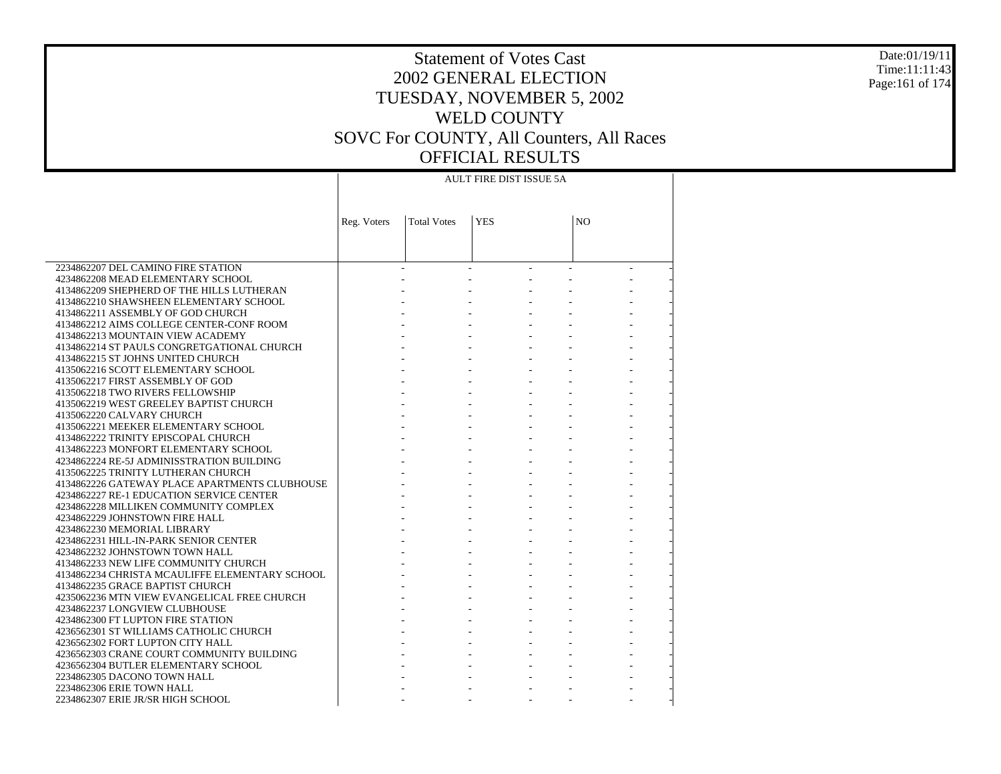#### Date:01/19/11 Time:11:11:43 Page:161 of 174

|                                                                                        | <b>AULT FIRE DIST ISSUE 5A</b> |                    |                     |                |  |  |  |  |
|----------------------------------------------------------------------------------------|--------------------------------|--------------------|---------------------|----------------|--|--|--|--|
|                                                                                        | Reg. Voters                    | <b>Total Votes</b> | <b>YES</b>          | N <sub>O</sub> |  |  |  |  |
|                                                                                        |                                |                    |                     |                |  |  |  |  |
| 2234862207 DEL CAMINO FIRE STATION                                                     |                                |                    |                     |                |  |  |  |  |
| 4234862208 MEAD ELEMENTARY SCHOOL                                                      |                                |                    |                     |                |  |  |  |  |
| 4134862209 SHEPHERD OF THE HILLS LUTHERAN                                              |                                |                    |                     |                |  |  |  |  |
| 4134862210 SHAWSHEEN ELEMENTARY SCHOOL                                                 |                                |                    |                     |                |  |  |  |  |
| 4134862211 ASSEMBLY OF GOD CHURCH                                                      |                                |                    |                     |                |  |  |  |  |
| 4134862212 AIMS COLLEGE CENTER-CONF ROOM                                               |                                |                    |                     |                |  |  |  |  |
| 4134862213 MOUNTAIN VIEW ACADEMY                                                       |                                |                    |                     |                |  |  |  |  |
| 4134862214 ST PAULS CONGRETGATIONAL CHURCH                                             |                                |                    |                     |                |  |  |  |  |
| 4134862215 ST JOHNS UNITED CHURCH                                                      |                                |                    |                     |                |  |  |  |  |
| 4135062216 SCOTT ELEMENTARY SCHOOL                                                     |                                |                    |                     |                |  |  |  |  |
| 4135062217 FIRST ASSEMBLY OF GOD                                                       |                                |                    |                     |                |  |  |  |  |
| 4135062218 TWO RIVERS FELLOWSHIP                                                       |                                |                    | $\omega_{\rm{max}}$ |                |  |  |  |  |
| 4135062219 WEST GREELEY BAPTIST CHURCH                                                 |                                |                    |                     |                |  |  |  |  |
| 4135062220 CALVARY CHURCH                                                              |                                |                    |                     |                |  |  |  |  |
| 4135062221 MEEKER ELEMENTARY SCHOOL                                                    |                                |                    |                     |                |  |  |  |  |
| 4134862222 TRINITY EPISCOPAL CHURCH                                                    |                                |                    |                     |                |  |  |  |  |
| 4134862223 MONFORT ELEMENTARY SCHOOL                                                   |                                |                    | $\omega_{\rm{eff}}$ |                |  |  |  |  |
| 4234862224 RE-5J ADMINISSTRATION BUILDING                                              |                                |                    |                     |                |  |  |  |  |
| 4135062225 TRINITY LUTHERAN CHURCH                                                     |                                |                    |                     |                |  |  |  |  |
| 4134862226 GATEWAY PLACE APARTMENTS CLUBHOUSE                                          |                                |                    |                     |                |  |  |  |  |
| 4234862227 RE-1 EDUCATION SERVICE CENTER                                               |                                |                    |                     |                |  |  |  |  |
| 4234862228 MILLIKEN COMMUNITY COMPLEX                                                  |                                |                    | $\omega_{\rm{max}}$ |                |  |  |  |  |
| 4234862229 JOHNSTOWN FIRE HALL                                                         |                                |                    | $\omega_{\rm{max}}$ |                |  |  |  |  |
| 4234862230 MEMORIAL LIBRARY                                                            |                                |                    |                     |                |  |  |  |  |
| 4234862231 HILL-IN-PARK SENIOR CENTER                                                  |                                |                    |                     |                |  |  |  |  |
| 4234862232 JOHNSTOWN TOWN HALL                                                         |                                |                    |                     |                |  |  |  |  |
| 4134862233 NEW LIFE COMMUNITY CHURCH<br>4134862234 CHRISTA MCAULIFFE ELEMENTARY SCHOOL |                                |                    | $\omega_{\rm{max}}$ |                |  |  |  |  |
| 4134862235 GRACE BAPTIST CHURCH                                                        |                                |                    |                     |                |  |  |  |  |
|                                                                                        |                                |                    |                     |                |  |  |  |  |
| 4235062236 MTN VIEW EVANGELICAL FREE CHURCH<br>4234862237 LONGVIEW CLUBHOUSE           |                                |                    |                     |                |  |  |  |  |
|                                                                                        |                                |                    |                     |                |  |  |  |  |
| 4234862300 FT LUPTON FIRE STATION<br>4236562301 ST WILLIAMS CATHOLIC CHURCH            |                                |                    | $\omega_{\rm{max}}$ |                |  |  |  |  |
| 4236562302 FORT LUPTON CITY HALL                                                       |                                |                    |                     |                |  |  |  |  |
| 4236562303 CRANE COURT COMMUNITY BUILDING                                              |                                |                    |                     |                |  |  |  |  |
| 4236562304 BUTLER ELEMENTARY SCHOOL                                                    |                                |                    |                     |                |  |  |  |  |
| 2234862305 DACONO TOWN HALL                                                            |                                |                    |                     |                |  |  |  |  |
| 2234862306 ERIE TOWN HALL                                                              |                                |                    |                     |                |  |  |  |  |
| 2234862307 ERIE JR/SR HIGH SCHOOL                                                      |                                |                    |                     |                |  |  |  |  |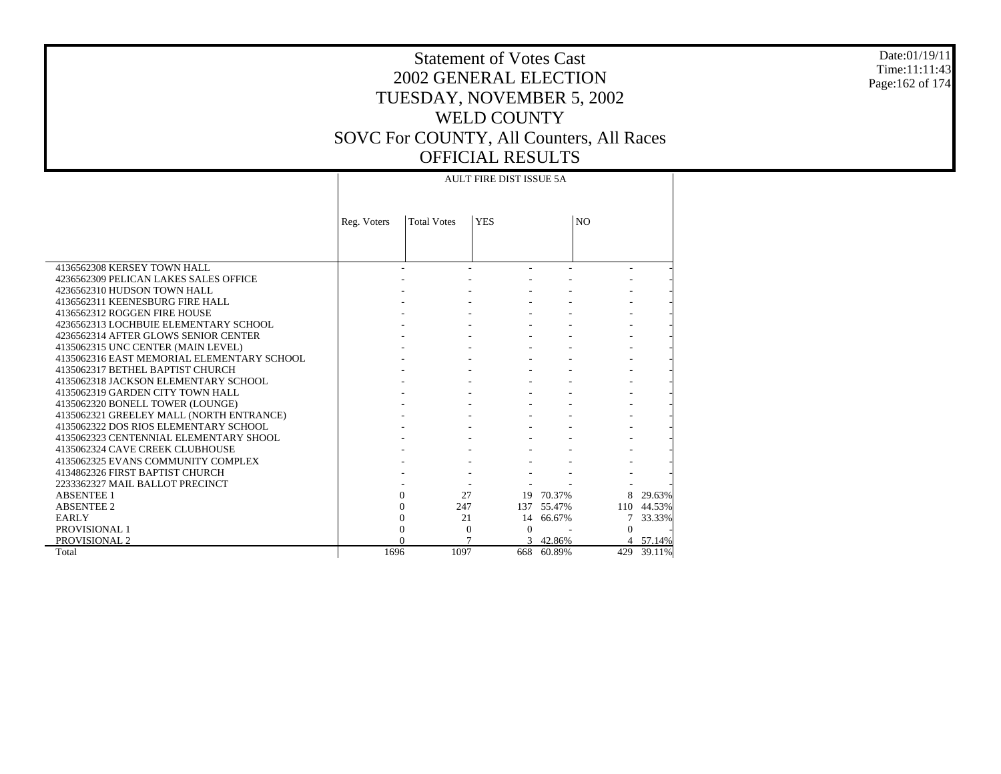#### Date:01/19/11 Time:11:11:43 Page:162 of 174

# Statement of Votes Cast 2002 GENERAL ELECTION TUESDAY, NOVEMBER 5, 2002 WELD COUNTY SOVC For COUNTY, All Counters, All Races OFFICIAL RESULTS

|                                            |             |                    | <b>AULT FIRE DIST ISSUE 5A</b> |            |                |            |
|--------------------------------------------|-------------|--------------------|--------------------------------|------------|----------------|------------|
|                                            |             |                    |                                |            |                |            |
|                                            | Reg. Voters | <b>Total Votes</b> | <b>YES</b>                     |            | N <sub>O</sub> |            |
|                                            |             |                    |                                |            |                |            |
|                                            |             |                    |                                |            |                |            |
|                                            |             |                    |                                |            |                |            |
| 4136562308 KERSEY TOWN HALL                |             |                    | $\overline{\phantom{a}}$       |            |                |            |
| 4236562309 PELICAN LAKES SALES OFFICE      |             |                    |                                |            |                |            |
| 4236562310 HUDSON TOWN HALL                |             |                    |                                |            |                |            |
| 4136562311 KEENESBURG FIRE HALL            |             |                    |                                |            |                |            |
| 4136562312 ROGGEN FIRE HOUSE               |             |                    |                                |            |                |            |
| 4236562313 LOCHBUIE ELEMENTARY SCHOOL      |             |                    |                                |            |                |            |
| 4236562314 AFTER GLOWS SENIOR CENTER       |             |                    |                                |            |                |            |
| 4135062315 UNC CENTER (MAIN LEVEL)         |             |                    |                                |            |                |            |
| 4135062316 EAST MEMORIAL ELEMENTARY SCHOOL |             |                    |                                |            |                |            |
| 4135062317 BETHEL BAPTIST CHURCH           |             |                    |                                |            |                |            |
| 4135062318 JACKSON ELEMENTARY SCHOOL       |             |                    |                                |            |                |            |
| 4135062319 GARDEN CITY TOWN HALL           |             |                    |                                |            |                |            |
| 4135062320 BONELL TOWER (LOUNGE)           |             |                    |                                |            |                |            |
| 4135062321 GREELEY MALL (NORTH ENTRANCE)   |             |                    |                                |            |                |            |
| 4135062322 DOS RIOS ELEMENTARY SCHOOL      |             |                    |                                |            |                |            |
| 4135062323 CENTENNIAL ELEMENTARY SHOOL     |             |                    |                                |            |                |            |
| 4135062324 CAVE CREEK CLUBHOUSE            |             |                    |                                |            |                |            |
| 4135062325 EVANS COMMUNITY COMPLEX         |             |                    |                                |            |                |            |
| 4134862326 FIRST BAPTIST CHURCH            |             |                    |                                |            |                |            |
| 2233362327 MAIL BALLOT PRECINCT            |             |                    |                                |            |                |            |
| <b>ABSENTEE 1</b>                          |             | $\Omega$           | 27                             | 19 70.37%  | 8              | 29.63%     |
| <b>ABSENTEE 2</b>                          |             | $\theta$<br>247    |                                | 137 55.47% |                | 110 44.53% |
| <b>EARLY</b>                               |             | $\Omega$           | 21                             | 14 66.67%  |                | 33.33%     |
| PROVISIONAL 1                              |             | $\theta$           | $\overline{0}$<br>$\Omega$     |            | $\Omega$       |            |
| PROVISIONAL 2                              |             | $\Omega$           | 7                              | 3 42.86%   |                | 4 57.14%   |
| Total                                      | 1696        | 1097               |                                | 668 60.89% | 429            | 39.11%     |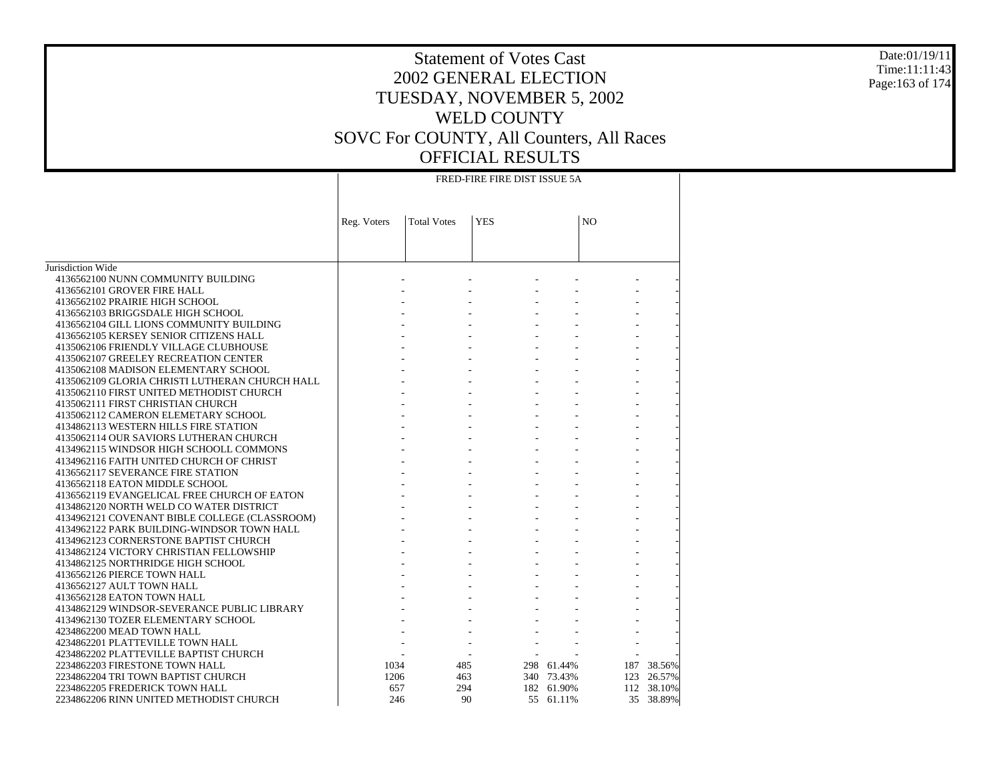#### Date:01/19/11 Time:11:11:43 Page:163 of 174

|                                                | FRED-FIRE FIRE DIST ISSUE 5A |                    |            |            |                |            |  |  |
|------------------------------------------------|------------------------------|--------------------|------------|------------|----------------|------------|--|--|
|                                                |                              |                    |            |            |                |            |  |  |
|                                                | Reg. Voters                  | <b>Total Votes</b> | <b>YES</b> |            | N <sub>O</sub> |            |  |  |
|                                                |                              |                    |            |            |                |            |  |  |
|                                                |                              |                    |            |            |                |            |  |  |
| Jurisdiction Wide                              |                              |                    |            |            |                |            |  |  |
| 4136562100 NUNN COMMUNITY BUILDING             |                              |                    |            |            |                |            |  |  |
| 4136562101 GROVER FIRE HALL                    |                              |                    |            |            |                |            |  |  |
| 4136562102 PRAIRIE HIGH SCHOOL                 |                              |                    |            |            |                |            |  |  |
| 4136562103 BRIGGSDALE HIGH SCHOOL              |                              |                    |            |            |                |            |  |  |
| 4136562104 GILL LIONS COMMUNITY BUILDING       |                              |                    |            |            |                |            |  |  |
| 4136562105 KERSEY SENIOR CITIZENS HALL         |                              |                    |            |            |                |            |  |  |
| 4135062106 FRIENDLY VILLAGE CLUBHOUSE          |                              |                    |            |            |                |            |  |  |
| 4135062107 GREELEY RECREATION CENTER           |                              |                    |            |            |                |            |  |  |
| 4135062108 MADISON ELEMENTARY SCHOOL           |                              |                    |            |            |                |            |  |  |
| 4135062109 GLORIA CHRISTI LUTHERAN CHURCH HALL |                              |                    |            |            |                |            |  |  |
| 4135062110 FIRST UNITED METHODIST CHURCH       |                              |                    |            |            |                |            |  |  |
| 4135062111 FIRST CHRISTIAN CHURCH              |                              |                    |            |            |                |            |  |  |
| 4135062112 CAMERON ELEMETARY SCHOOL            |                              |                    |            |            |                |            |  |  |
| 4134862113 WESTERN HILLS FIRE STATION          |                              |                    |            |            |                |            |  |  |
| 4135062114 OUR SAVIORS LUTHERAN CHURCH         |                              |                    |            |            |                |            |  |  |
| 4134962115 WINDSOR HIGH SCHOOLL COMMONS        |                              |                    |            |            |                |            |  |  |
| 4134962116 FAITH UNITED CHURCH OF CHRIST       |                              |                    |            |            |                |            |  |  |
| 4136562117 SEVERANCE FIRE STATION              |                              |                    |            |            |                |            |  |  |
| 4136562118 EATON MIDDLE SCHOOL                 |                              |                    |            |            |                |            |  |  |
| 4136562119 EVANGELICAL FREE CHURCH OF EATON    |                              |                    |            |            |                |            |  |  |
| 4134862120 NORTH WELD CO WATER DISTRICT        |                              |                    |            |            |                |            |  |  |
| 4134962121 COVENANT BIBLE COLLEGE (CLASSROOM)  |                              |                    |            |            |                |            |  |  |
| 4134962122 PARK BUILDING-WINDSOR TOWN HALL     |                              |                    |            |            |                |            |  |  |
| 4134962123 CORNERSTONE BAPTIST CHURCH          |                              |                    |            |            |                |            |  |  |
| 4134862124 VICTORY CHRISTIAN FELLOWSHIP        |                              |                    |            |            |                |            |  |  |
| 4134862125 NORTHRIDGE HIGH SCHOOL              |                              |                    |            |            |                |            |  |  |
| 4136562126 PIERCE TOWN HALL                    |                              |                    |            |            |                |            |  |  |
| 4136562127 AULT TOWN HALL                      |                              |                    |            |            |                |            |  |  |
| 4136562128 EATON TOWN HALL                     |                              |                    |            |            |                |            |  |  |
| 4134862129 WINDSOR-SEVERANCE PUBLIC LIBRARY    |                              |                    |            |            |                |            |  |  |
| 4134962130 TOZER ELEMENTARY SCHOOL             |                              |                    |            |            |                |            |  |  |
| 4234862200 MEAD TOWN HALL                      |                              |                    |            |            |                |            |  |  |
| 4234862201 PLATTEVILLE TOWN HALL               |                              |                    |            |            |                |            |  |  |
| 4234862202 PLATTEVILLE BAPTIST CHURCH          |                              |                    |            |            |                |            |  |  |
| 2234862203 FIRESTONE TOWN HALL                 | 1034                         | 485                |            | 298 61.44% | 187            | 38.56%     |  |  |
| 2234862204 TRI TOWN BAPTIST CHURCH             | 1206                         | 463                |            | 340 73.43% | 123            | 26.57%     |  |  |
| 2234862205 FREDERICK TOWN HALL                 | 657                          | 294                |            | 182 61.90% |                | 112 38.10% |  |  |
| 2234862206 RINN UNITED METHODIST CHURCH        | 246                          | 90                 |            | 55 61.11%  | 35             | 38.89%     |  |  |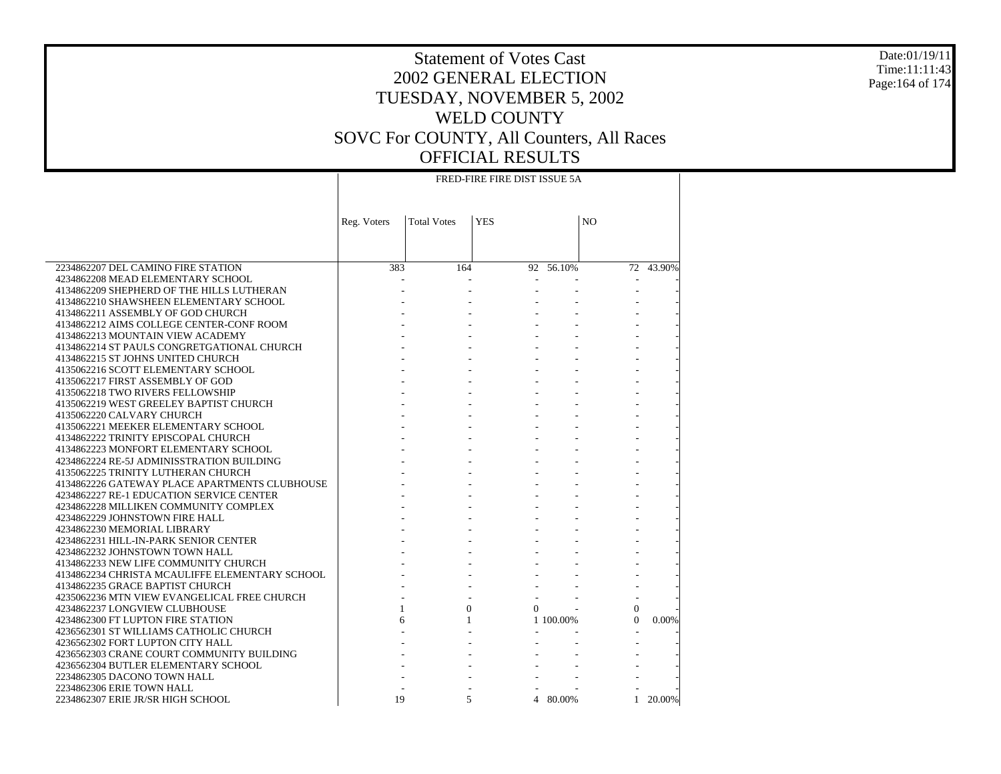#### Date:01/19/11 Time:11:11:43 Page:164 of 174

# Statement of Votes Cast 2002 GENERAL ELECTION TUESDAY, NOVEMBER 5, 2002 WELD COUNTY SOVC For COUNTY, All Counters, All Races OFFICIAL RESULTS

|                                                | FRED-FIRE FIRE DIST ISSUE 5A |                    |                          |                |                          |           |  |
|------------------------------------------------|------------------------------|--------------------|--------------------------|----------------|--------------------------|-----------|--|
|                                                | Reg. Voters                  | <b>Total Votes</b> | <b>YES</b>               |                | N <sub>O</sub>           |           |  |
|                                                |                              |                    |                          |                |                          |           |  |
| 2234862207 DEL CAMINO FIRE STATION             | 383                          | 164                |                          | $92 - 56.10\%$ |                          | 72 43.90% |  |
| 4234862208 MEAD ELEMENTARY SCHOOL              |                              |                    | $\overline{\phantom{a}}$ |                | $\overline{\phantom{a}}$ |           |  |
| 4134862209 SHEPHERD OF THE HILLS LUTHERAN      |                              |                    |                          |                |                          |           |  |
| 4134862210 SHAWSHEEN ELEMENTARY SCHOOL         |                              |                    |                          |                |                          |           |  |
| 4134862211 ASSEMBLY OF GOD CHURCH              |                              |                    |                          |                |                          |           |  |
| 4134862212 AIMS COLLEGE CENTER-CONF ROOM       |                              |                    |                          |                |                          |           |  |
| 4134862213 MOUNTAIN VIEW ACADEMY               |                              |                    |                          |                |                          |           |  |
| 4134862214 ST PAULS CONGRETGATIONAL CHURCH     |                              |                    |                          |                |                          |           |  |
| 4134862215 ST JOHNS UNITED CHURCH              |                              |                    |                          |                |                          |           |  |
| 4135062216 SCOTT ELEMENTARY SCHOOL             |                              |                    |                          |                |                          |           |  |
| 4135062217 FIRST ASSEMBLY OF GOD               |                              |                    |                          |                |                          |           |  |
| 4135062218 TWO RIVERS FELLOWSHIP               |                              |                    |                          |                |                          |           |  |
| 4135062219 WEST GREELEY BAPTIST CHURCH         |                              |                    |                          |                |                          |           |  |
| 4135062220 CALVARY CHURCH                      |                              |                    |                          |                |                          |           |  |
| 4135062221 MEEKER ELEMENTARY SCHOOL            |                              |                    |                          |                |                          |           |  |
| 4134862222 TRINITY EPISCOPAL CHURCH            |                              |                    |                          |                |                          |           |  |
| 4134862223 MONFORT ELEMENTARY SCHOOL           |                              |                    |                          |                |                          |           |  |
| 4234862224 RE-5J ADMINISSTRATION BUILDING      |                              |                    |                          |                |                          |           |  |
| 4135062225 TRINITY LUTHERAN CHURCH             |                              |                    |                          |                |                          |           |  |
| 4134862226 GATEWAY PLACE APARTMENTS CLUBHOUSE  |                              |                    |                          |                |                          |           |  |
| 4234862227 RE-1 EDUCATION SERVICE CENTER       |                              |                    |                          |                |                          |           |  |
| 4234862228 MILLIKEN COMMUNITY COMPLEX          |                              |                    |                          |                |                          |           |  |
| 4234862229 JOHNSTOWN FIRE HALL                 |                              |                    |                          |                |                          |           |  |
| 4234862230 MEMORIAL LIBRARY                    |                              |                    |                          |                |                          |           |  |
| 4234862231 HILL-IN-PARK SENIOR CENTER          |                              |                    |                          |                |                          |           |  |
| 4234862232 JOHNSTOWN TOWN HALL                 |                              |                    |                          |                |                          |           |  |
| 4134862233 NEW LIFE COMMUNITY CHURCH           |                              |                    |                          |                |                          |           |  |
| 4134862234 CHRISTA MCAULIFFE ELEMENTARY SCHOOL |                              |                    |                          |                |                          |           |  |
| 4134862235 GRACE BAPTIST CHURCH                |                              |                    |                          |                |                          |           |  |
| 4235062236 MTN VIEW EVANGELICAL FREE CHURCH    |                              |                    |                          |                |                          |           |  |
| 4234862237 LONGVIEW CLUBHOUSE                  | 1                            | $\Omega$           | $\Omega$                 |                | $\Omega$                 |           |  |
| 4234862300 FT LUPTON FIRE STATION              | 6                            | $\mathbf{1}$       |                          | 1 100,00%      | $\Omega$                 | 0.00%     |  |
| 4236562301 ST WILLIAMS CATHOLIC CHURCH         |                              |                    |                          |                |                          |           |  |
| 4236562302 FORT LUPTON CITY HALL               |                              |                    |                          |                |                          |           |  |
| 4236562303 CRANE COURT COMMUNITY BUILDING      |                              |                    |                          |                |                          |           |  |
| 4236562304 BUTLER ELEMENTARY SCHOOL            |                              |                    |                          |                |                          |           |  |
| 2234862305 DACONO TOWN HALL                    |                              |                    |                          |                |                          |           |  |
| 2234862306 ERIE TOWN HALL                      |                              | 5                  |                          |                |                          | 20.00%    |  |
| 2234862307 ERIE JR/SR HIGH SCHOOL              | 19                           |                    |                          | 4 80.00%       | 1                        |           |  |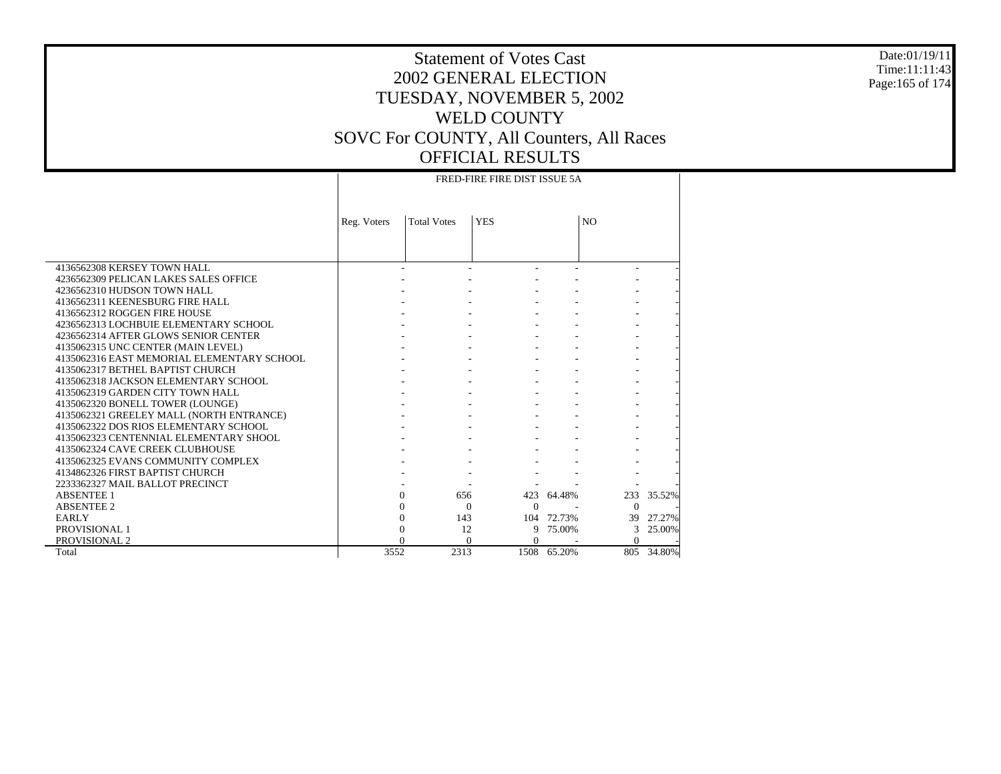#### Date:01/19/11 Time:11:11:43 Page:165 of 174

### Statement of Votes Cast 2002 GENERAL ELECTION TUESDAY, NOVEMBER 5, 2002 WELD COUNTY SOVC For COUNTY, All Counters, All Races OFFICIAL RESULTS FRED-FIRE FIRE DIST ISSUE 5A

|                                            | <b>Total Votes</b><br>Reg. Voters |      | <b>YES</b>           |             | N <sub>O</sub> |        |  |  |  |
|--------------------------------------------|-----------------------------------|------|----------------------|-------------|----------------|--------|--|--|--|
|                                            |                                   |      |                      |             |                |        |  |  |  |
| 4136562308 KERSEY TOWN HALL                |                                   |      |                      |             |                |        |  |  |  |
| 4236562309 PELICAN LAKES SALES OFFICE      |                                   |      |                      |             |                |        |  |  |  |
| 4236562310 HUDSON TOWN HALL                |                                   |      |                      |             |                |        |  |  |  |
| 4136562311 KEENESBURG FIRE HALL            |                                   |      |                      |             |                |        |  |  |  |
| 4136562312 ROGGEN FIRE HOUSE               |                                   |      |                      |             |                |        |  |  |  |
| 4236562313 LOCHBUIE ELEMENTARY SCHOOL      |                                   |      |                      |             |                |        |  |  |  |
| 4236562314 AFTER GLOWS SENIOR CENTER       |                                   |      |                      |             |                |        |  |  |  |
| 4135062315 UNC CENTER (MAIN LEVEL)         |                                   |      |                      |             |                |        |  |  |  |
| 4135062316 EAST MEMORIAL ELEMENTARY SCHOOL |                                   |      |                      |             |                |        |  |  |  |
| 4135062317 BETHEL BAPTIST CHURCH           |                                   |      |                      |             |                |        |  |  |  |
| 4135062318 JACKSON ELEMENTARY SCHOOL       |                                   |      |                      |             |                |        |  |  |  |
| 4135062319 GARDEN CITY TOWN HALL           |                                   |      |                      |             |                |        |  |  |  |
| 4135062320 BONELL TOWER (LOUNGE)           |                                   |      |                      |             |                |        |  |  |  |
| 4135062321 GREELEY MALL (NORTH ENTRANCE)   |                                   |      |                      |             |                |        |  |  |  |
| 4135062322 DOS RIOS ELEMENTARY SCHOOL      |                                   |      |                      |             |                |        |  |  |  |
| 4135062323 CENTENNIAL ELEMENTARY SHOOL     |                                   |      |                      |             |                |        |  |  |  |
| 4135062324 CAVE CREEK CLUBHOUSE            |                                   |      |                      |             |                |        |  |  |  |
| 4135062325 EVANS COMMUNITY COMPLEX         |                                   |      |                      |             |                |        |  |  |  |
| 4134862326 FIRST BAPTIST CHURCH            |                                   |      |                      |             |                |        |  |  |  |
| 2233362327 MAIL BALLOT PRECINCT            |                                   |      |                      |             |                |        |  |  |  |
| <b>ABSENTEE 1</b>                          | $\Omega$                          | 656  |                      | 423 64.48%  | 233            | 35.52% |  |  |  |
| <b>ABSENTEE 2</b>                          | 0                                 |      | $\Omega$<br>$\Omega$ |             | $\Omega$       |        |  |  |  |
| <b>EARLY</b>                               | $\theta$                          | 143  |                      | 104 72.73%  | 39             | 27.27% |  |  |  |
| PROVISIONAL 1                              | 0                                 | 12   | 9                    | 75.00%      | 3              | 25.00% |  |  |  |
| PROVISIONAL 2                              |                                   |      | $\Omega$             |             | $\Omega$       |        |  |  |  |
| Total                                      | 3552                              | 2313 |                      | 1508 65.20% | 805            | 34.80% |  |  |  |

 $\top$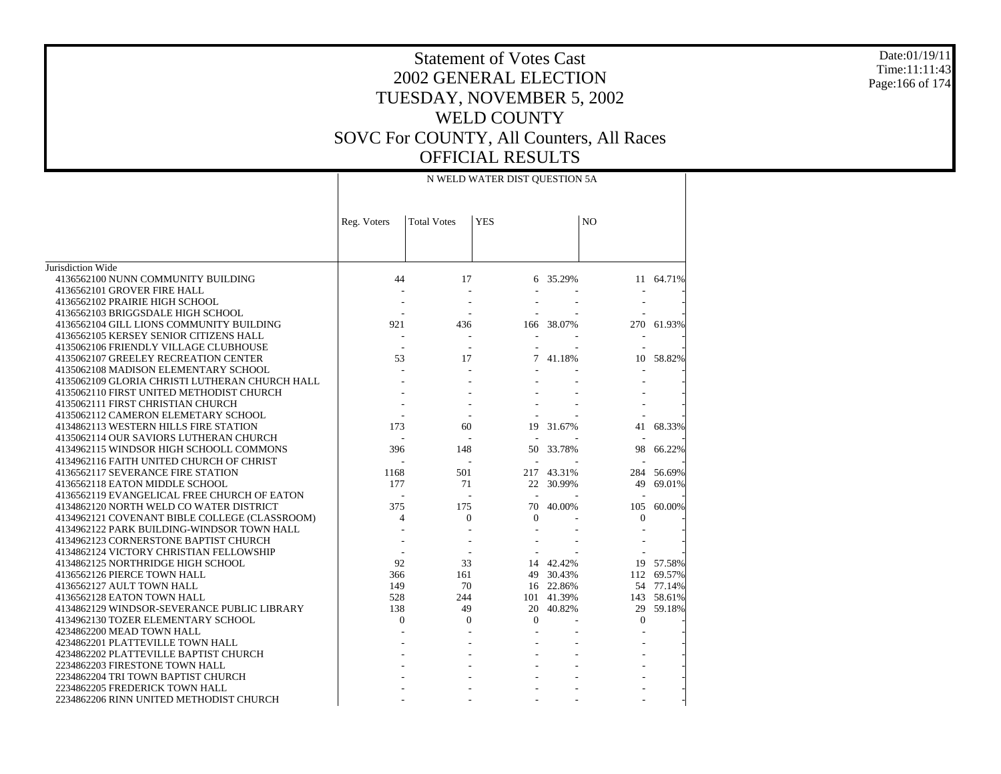#### Date:01/19/11 Time:11:11:43 Page:166 of 174

|                                                | N WELD WATER DIST QUESTION 5A |                    |              |            |              |           |  |
|------------------------------------------------|-------------------------------|--------------------|--------------|------------|--------------|-----------|--|
|                                                | Reg. Voters                   | <b>Total Votes</b> | <b>YES</b>   |            | NO           |           |  |
|                                                |                               |                    |              |            |              |           |  |
| Jurisdiction Wide                              |                               |                    |              |            |              |           |  |
| 4136562100 NUNN COMMUNITY BUILDING             | 44                            | 17                 |              | 6 35.29%   |              | 11 64.71% |  |
| 4136562101 GROVER FIRE HALL                    |                               |                    |              |            |              |           |  |
| 4136562102 PRAIRIE HIGH SCHOOL                 |                               |                    |              |            |              |           |  |
| 4136562103 BRIGGSDALE HIGH SCHOOL              |                               |                    |              |            |              |           |  |
| 4136562104 GILL LIONS COMMUNITY BUILDING       | 921                           | 436                |              | 166 38.07% | 270          | 61.93%    |  |
| 4136562105 KERSEY SENIOR CITIZENS HALL         |                               |                    |              |            |              |           |  |
| 4135062106 FRIENDLY VILLAGE CLUBHOUSE          |                               |                    |              |            |              |           |  |
| 4135062107 GREELEY RECREATION CENTER           | 53                            | 17                 | 7            | 41.18%     | 10           | 58.82%    |  |
| 4135062108 MADISON ELEMENTARY SCHOOL           |                               |                    |              |            |              |           |  |
| 4135062109 GLORIA CHRISTI LUTHERAN CHURCH HALL |                               |                    |              |            |              |           |  |
| 4135062110 FIRST UNITED METHODIST CHURCH       |                               |                    |              |            |              |           |  |
| 4135062111 FIRST CHRISTIAN CHURCH              |                               |                    |              |            |              |           |  |
| 4135062112 CAMERON ELEMETARY SCHOOL            |                               |                    |              |            |              |           |  |
| 4134862113 WESTERN HILLS FIRE STATION          | 173                           | 60                 | 19           | 31.67%     | 41           | 68.33%    |  |
| 4135062114 OUR SAVIORS LUTHERAN CHURCH         |                               |                    |              |            |              |           |  |
| 4134962115 WINDSOR HIGH SCHOOLL COMMONS        | 396                           | 148                | 50           | 33.78%     | 98           | 66.22%    |  |
| 4134962116 FAITH UNITED CHURCH OF CHRIST       |                               |                    |              |            |              |           |  |
| 4136562117 SEVERANCE FIRE STATION              | 1168                          | 501                |              | 217 43.31% | 284          | 56.69%    |  |
| 4136562118 EATON MIDDLE SCHOOL                 | 177                           | 71                 |              | 22 30.99%  | 49           | 69.01%    |  |
| 4136562119 EVANGELICAL FREE CHURCH OF EATON    |                               |                    |              |            |              |           |  |
| 4134862120 NORTH WELD CO WATER DISTRICT        | 375                           | 175                | 70           | 40.00%     | 105          | 60.00%    |  |
| 4134962121 COVENANT BIBLE COLLEGE (CLASSROOM)  | $\overline{4}$                | $\Omega$           | $\Omega$     |            | $\Omega$     |           |  |
| 4134962122 PARK BUILDING-WINDSOR TOWN HALL     |                               |                    |              |            |              |           |  |
| 4134962123 CORNERSTONE BAPTIST CHURCH          |                               |                    |              |            |              |           |  |
| 4134862124 VICTORY CHRISTIAN FELLOWSHIP        |                               |                    |              |            |              |           |  |
| 4134862125 NORTHRIDGE HIGH SCHOOL              | 92                            | 33                 |              | 14 42.42%  | 19           | 57.58%    |  |
| 4136562126 PIERCE TOWN HALL                    | 366                           | 161                |              | 49 30.43%  | 112          | 69.57%    |  |
| 4136562127 AULT TOWN HALL                      | 149                           | 70                 |              | 16 22.86%  |              | 54 77.14% |  |
| 4136562128 EATON TOWN HALL                     | 528                           | 244                |              | 101 41.39% | 143          | 58.61%    |  |
| 4134862129 WINDSOR-SEVERANCE PUBLIC LIBRARY    | 138                           | 49                 |              | 20 40.82%  |              | 29 59.18% |  |
| 4134962130 TOZER ELEMENTARY SCHOOL             | $\mathbf{0}$                  | $\overline{0}$     | $\mathbf{0}$ |            | $\mathbf{0}$ |           |  |
| 4234862200 MEAD TOWN HALL                      |                               |                    |              |            |              |           |  |
| 4234862201 PLATTEVILLE TOWN HALL               |                               |                    |              |            |              |           |  |
| 4234862202 PLATTEVILLE BAPTIST CHURCH          |                               |                    |              |            |              |           |  |
| 2234862203 FIRESTONE TOWN HALL                 |                               |                    |              |            |              |           |  |
| 2234862204 TRI TOWN BAPTIST CHURCH             |                               |                    |              |            |              |           |  |
| 2234862205 FREDERICK TOWN HALL                 |                               |                    |              |            |              |           |  |
| 2234862206 RINN UNITED METHODIST CHURCH        |                               |                    |              |            |              |           |  |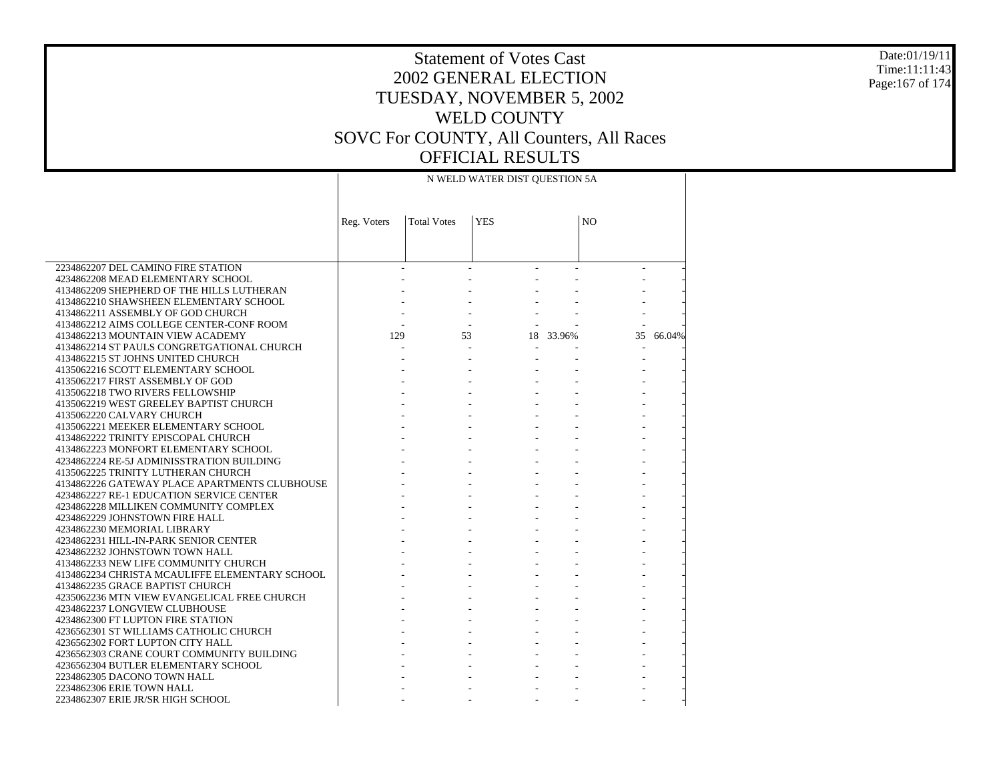#### Date:01/19/11 Time:11:11:43 Page:167 of 174

# Statement of Votes Cast 2002 GENERAL ELECTION TUESDAY, NOVEMBER 5, 2002 WELD COUNTY SOVC For COUNTY, All Counters, All Races OFFICIAL RESULTS

|                                                                         | N WELD WATER DIST QUESTION 5A |                    |            |                |    |        |  |  |
|-------------------------------------------------------------------------|-------------------------------|--------------------|------------|----------------|----|--------|--|--|
|                                                                         |                               |                    |            |                |    |        |  |  |
|                                                                         |                               |                    |            |                |    |        |  |  |
|                                                                         | Reg. Voters                   | <b>Total Votes</b> | <b>YES</b> | N <sub>O</sub> |    |        |  |  |
|                                                                         |                               |                    |            |                |    |        |  |  |
|                                                                         |                               |                    |            |                |    |        |  |  |
|                                                                         |                               |                    |            |                |    |        |  |  |
| 2234862207 DEL CAMINO FIRE STATION                                      |                               |                    |            |                |    |        |  |  |
| 4234862208 MEAD ELEMENTARY SCHOOL                                       |                               |                    |            |                |    |        |  |  |
| 4134862209 SHEPHERD OF THE HILLS LUTHERAN                               |                               |                    |            |                |    |        |  |  |
| 4134862210 SHAWSHEEN ELEMENTARY SCHOOL                                  |                               |                    |            |                |    |        |  |  |
| 4134862211 ASSEMBLY OF GOD CHURCH                                       |                               |                    |            |                |    |        |  |  |
| 4134862212 AIMS COLLEGE CENTER-CONF ROOM                                |                               |                    |            |                |    |        |  |  |
| 4134862213 MOUNTAIN VIEW ACADEMY                                        | 129                           | 53                 |            | 18 33.96%      | 35 | 66.04% |  |  |
| 4134862214 ST PAULS CONGRETGATIONAL CHURCH                              |                               |                    |            |                |    |        |  |  |
| 4134862215 ST JOHNS UNITED CHURCH                                       |                               |                    |            |                |    |        |  |  |
| 4135062216 SCOTT ELEMENTARY SCHOOL                                      |                               |                    |            |                |    |        |  |  |
| 4135062217 FIRST ASSEMBLY OF GOD                                        |                               |                    |            |                |    |        |  |  |
| 4135062218 TWO RIVERS FELLOWSHIP                                        |                               |                    |            |                |    |        |  |  |
| 4135062219 WEST GREELEY BAPTIST CHURCH                                  |                               |                    |            |                |    |        |  |  |
| 4135062220 CALVARY CHURCH                                               |                               |                    |            |                |    |        |  |  |
| 4135062221 MEEKER ELEMENTARY SCHOOL                                     |                               |                    |            |                |    |        |  |  |
| 4134862222 TRINITY EPISCOPAL CHURCH                                     |                               |                    |            |                |    |        |  |  |
| 4134862223 MONFORT ELEMENTARY SCHOOL                                    |                               |                    |            |                |    |        |  |  |
| 4234862224 RE-5J ADMINISSTRATION BUILDING                               |                               |                    |            |                |    |        |  |  |
| 4135062225 TRINITY LUTHERAN CHURCH                                      |                               |                    |            |                |    |        |  |  |
| 4134862226 GATEWAY PLACE APARTMENTS CLUBHOUSE                           |                               |                    |            |                |    |        |  |  |
| 4234862227 RE-1 EDUCATION SERVICE CENTER                                |                               |                    |            |                |    |        |  |  |
| 4234862228 MILLIKEN COMMUNITY COMPLEX                                   |                               |                    |            |                |    |        |  |  |
| 4234862229 JOHNSTOWN FIRE HALL<br>4234862230 MEMORIAL LIBRARY           |                               |                    |            |                |    |        |  |  |
|                                                                         |                               |                    |            |                |    |        |  |  |
| 4234862231 HILL-IN-PARK SENIOR CENTER<br>4234862232 JOHNSTOWN TOWN HALL |                               |                    |            |                |    |        |  |  |
| 4134862233 NEW LIFE COMMUNITY CHURCH                                    |                               |                    |            |                |    |        |  |  |
| 4134862234 CHRISTA MCAULIFFE ELEMENTARY SCHOOL                          |                               |                    |            |                |    |        |  |  |
| 4134862235 GRACE BAPTIST CHURCH                                         |                               |                    |            |                |    |        |  |  |
| 4235062236 MTN VIEW EVANGELICAL FREE CHURCH                             |                               |                    |            |                |    |        |  |  |
| 4234862237 LONGVIEW CLUBHOUSE                                           |                               |                    |            |                |    |        |  |  |
| 4234862300 FT LUPTON FIRE STATION                                       |                               |                    |            |                |    |        |  |  |
| 4236562301 ST WILLIAMS CATHOLIC CHURCH                                  |                               |                    |            |                |    |        |  |  |
| 4236562302 FORT LUPTON CITY HALL                                        |                               |                    |            |                |    |        |  |  |
| 4236562303 CRANE COURT COMMUNITY BUILDING                               |                               |                    |            |                |    |        |  |  |
| 4236562304 BUTLER ELEMENTARY SCHOOL                                     |                               |                    |            |                |    |        |  |  |
| 2234862305 DACONO TOWN HALL                                             |                               |                    |            |                |    |        |  |  |
| 2234862306 ERIE TOWN HALL                                               |                               |                    |            |                |    |        |  |  |
| 2234862307 ERIE JR/SR HIGH SCHOOL                                       |                               |                    |            |                |    |        |  |  |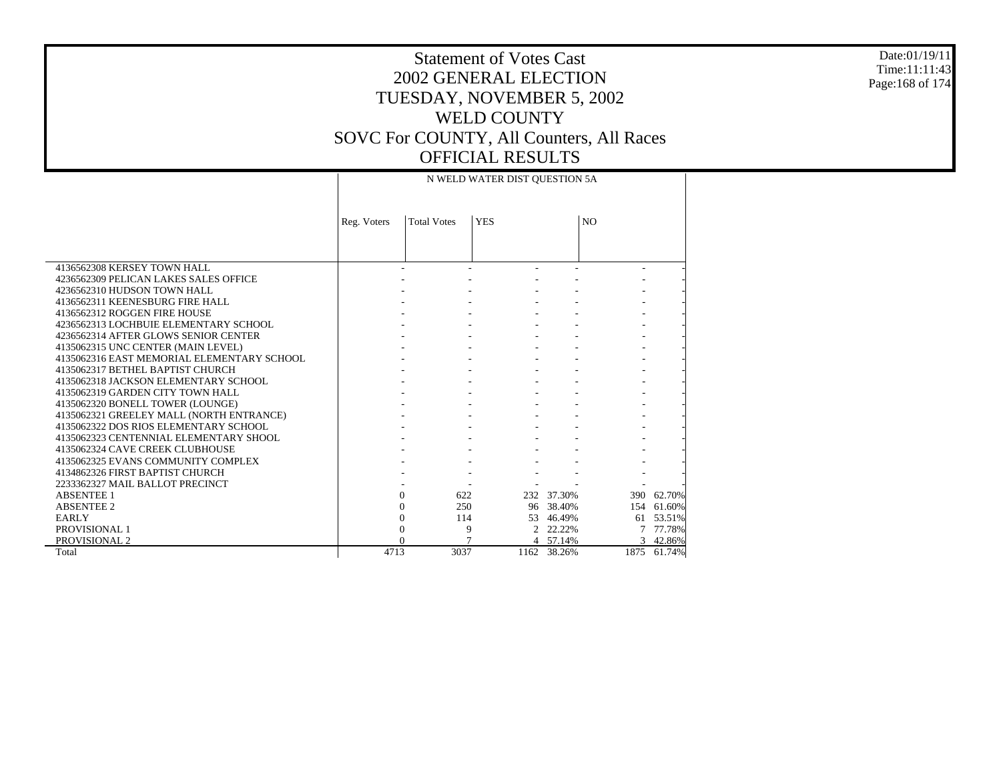#### Date:01/19/11 Time:11:11:43 Page:168 of 174

|                                            |             |                    | N WELD WATER DIST QUESTION 5A |             |                |             |
|--------------------------------------------|-------------|--------------------|-------------------------------|-------------|----------------|-------------|
|                                            |             |                    |                               |             |                |             |
|                                            |             |                    |                               |             |                |             |
|                                            | Reg. Voters | <b>Total Votes</b> | <b>YES</b>                    |             | N <sub>O</sub> |             |
|                                            |             |                    |                               |             |                |             |
|                                            |             |                    |                               |             |                |             |
| 4136562308 KERSEY TOWN HALL                |             |                    |                               |             |                |             |
| 4236562309 PELICAN LAKES SALES OFFICE      |             |                    |                               |             |                |             |
| 4236562310 HUDSON TOWN HALL                |             |                    |                               |             |                |             |
| 4136562311 KEENESBURG FIRE HALL            |             |                    |                               |             |                |             |
| 4136562312 ROGGEN FIRE HOUSE               |             |                    |                               |             |                |             |
| 4236562313 LOCHBUIE ELEMENTARY SCHOOL      |             |                    |                               |             |                |             |
| 4236562314 AFTER GLOWS SENIOR CENTER       |             |                    |                               |             |                |             |
| 4135062315 UNC CENTER (MAIN LEVEL)         |             |                    |                               |             |                |             |
| 4135062316 EAST MEMORIAL ELEMENTARY SCHOOL |             |                    |                               |             |                |             |
| 4135062317 BETHEL BAPTIST CHURCH           |             |                    |                               |             |                |             |
| 4135062318 JACKSON ELEMENTARY SCHOOL       |             |                    |                               |             |                |             |
| 4135062319 GARDEN CITY TOWN HALL           |             |                    |                               |             |                |             |
| 4135062320 BONELL TOWER (LOUNGE)           |             |                    |                               |             |                |             |
| 4135062321 GREELEY MALL (NORTH ENTRANCE)   |             |                    |                               |             |                |             |
| 4135062322 DOS RIOS ELEMENTARY SCHOOL      |             |                    |                               |             |                |             |
| 4135062323 CENTENNIAL ELEMENTARY SHOOL     |             |                    |                               |             |                |             |
| 4135062324 CAVE CREEK CLUBHOUSE            |             |                    |                               |             |                |             |
| 4135062325 EVANS COMMUNITY COMPLEX         |             |                    |                               |             |                |             |
| 4134862326 FIRST BAPTIST CHURCH            |             |                    |                               |             |                |             |
| 2233362327 MAIL BALLOT PRECINCT            |             |                    |                               |             |                |             |
| <b>ABSENTEE 1</b>                          |             | 622<br>$\Omega$    |                               | 232 37.30%  | 390            | 62.70%      |
| <b>ABSENTEE 2</b>                          |             | 250<br>0           |                               | 96 38.40%   | 154            | 61.60%      |
| <b>EARLY</b>                               |             | 114<br>$\theta$    |                               | 53 46.49%   | 61             | 53.51%      |
| PROVISIONAL 1                              |             | 0                  | 9                             | 2 22.22%    |                | 77.78%      |
| PROVISIONAL 2                              |             |                    |                               | 4 57.14%    | 3              | 42.86%      |
| Total                                      | 4713        | 3037               |                               | 1162 38.26% |                | 1875 61.74% |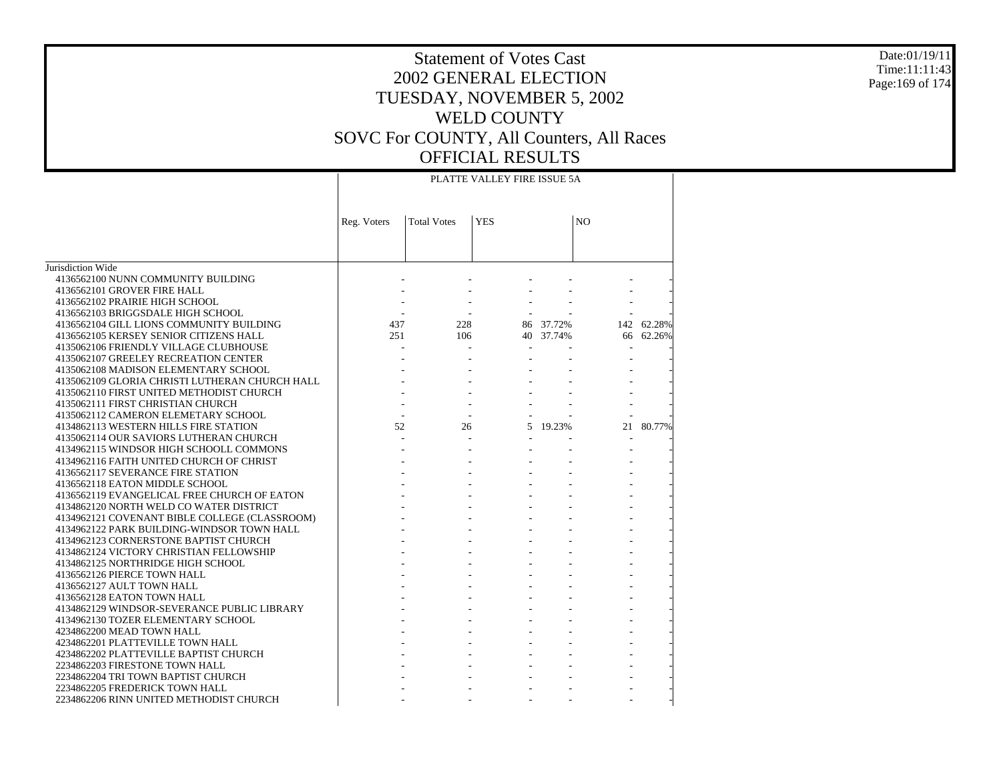#### Date:01/19/11 Time:11:11:43 Page:169 of 174

|                                                                                     | PLATTE VALLEY FIRE ISSUE 5A |                    |            |           |                |            |
|-------------------------------------------------------------------------------------|-----------------------------|--------------------|------------|-----------|----------------|------------|
|                                                                                     | Reg. Voters                 | <b>Total Votes</b> | <b>YES</b> |           | N <sub>O</sub> |            |
|                                                                                     |                             |                    |            |           |                |            |
| Jurisdiction Wide                                                                   |                             |                    |            |           |                |            |
| 4136562100 NUNN COMMUNITY BUILDING                                                  |                             |                    |            |           |                |            |
| 4136562101 GROVER FIRE HALL                                                         |                             |                    |            |           |                |            |
| 4136562102 PRAIRIE HIGH SCHOOL                                                      |                             |                    |            |           |                |            |
| 4136562103 BRIGGSDALE HIGH SCHOOL                                                   |                             |                    |            |           |                |            |
| 4136562104 GILL LIONS COMMUNITY BUILDING                                            | 437                         | 228                |            | 86 37.72% |                | 142 62.28% |
| 4136562105 KERSEY SENIOR CITIZENS HALL                                              | 251                         | 106                |            | 40 37.74% |                | 66 62.26%  |
| 4135062106 FRIENDLY VILLAGE CLUBHOUSE                                               |                             |                    |            |           | ÷              |            |
| 4135062107 GREELEY RECREATION CENTER                                                |                             |                    |            |           |                |            |
| 4135062108 MADISON ELEMENTARY SCHOOL                                                |                             |                    |            |           |                |            |
| 4135062109 GLORIA CHRISTI LUTHERAN CHURCH HALL                                      |                             |                    |            |           |                |            |
| 4135062110 FIRST UNITED METHODIST CHURCH                                            |                             |                    |            |           |                |            |
| 4135062111 FIRST CHRISTIAN CHURCH                                                   |                             |                    |            |           |                |            |
| 4135062112 CAMERON ELEMETARY SCHOOL                                                 | $\mathbf{r}$                | $\sim$             |            |           |                |            |
| 4134862113 WESTERN HILLS FIRE STATION<br>4135062114 OUR SAVIORS LUTHERAN CHURCH     | 52                          | 26                 |            | 5 19.23%  | 21             | 80.77%     |
|                                                                                     |                             |                    |            |           |                |            |
| 4134962115 WINDSOR HIGH SCHOOLL COMMONS<br>4134962116 FAITH UNITED CHURCH OF CHRIST |                             |                    |            |           |                |            |
| 4136562117 SEVERANCE FIRE STATION                                                   |                             |                    |            |           |                |            |
| 4136562118 EATON MIDDLE SCHOOL                                                      |                             |                    |            |           |                |            |
| 4136562119 EVANGELICAL FREE CHURCH OF EATON                                         |                             |                    |            |           |                |            |
| 4134862120 NORTH WELD CO WATER DISTRICT                                             |                             |                    |            |           |                |            |
| 4134962121 COVENANT BIBLE COLLEGE (CLASSROOM)                                       |                             |                    |            |           |                |            |
| 4134962122 PARK BUILDING-WINDSOR TOWN HALL                                          |                             |                    |            |           |                |            |
| 4134962123 CORNERSTONE BAPTIST CHURCH                                               |                             |                    |            |           |                |            |
| 4134862124 VICTORY CHRISTIAN FELLOWSHIP                                             |                             |                    |            |           |                |            |
| 4134862125 NORTHRIDGE HIGH SCHOOL                                                   |                             |                    |            |           |                |            |
| 4136562126 PIERCE TOWN HALL                                                         |                             |                    |            |           |                |            |
| 4136562127 AULT TOWN HALL                                                           |                             |                    |            |           |                |            |
| 4136562128 EATON TOWN HALL                                                          |                             |                    |            |           |                |            |
| 4134862129 WINDSOR-SEVERANCE PUBLIC LIBRARY                                         |                             |                    |            |           |                |            |
| 4134962130 TOZER ELEMENTARY SCHOOL                                                  |                             |                    |            |           |                |            |
| 4234862200 MEAD TOWN HALL                                                           |                             |                    |            |           |                |            |
| 4234862201 PLATTEVILLE TOWN HALL                                                    |                             |                    |            |           |                |            |
| 4234862202 PLATTEVILLE BAPTIST CHURCH                                               |                             |                    |            |           |                |            |
| 2234862203 FIRESTONE TOWN HALL                                                      |                             |                    |            |           |                |            |
| 2234862204 TRI TOWN BAPTIST CHURCH                                                  |                             |                    |            |           |                |            |
| 2234862205 FREDERICK TOWN HALL                                                      |                             |                    |            |           |                |            |
| 2234862206 RINN UNITED METHODIST CHURCH                                             |                             |                    |            |           |                |            |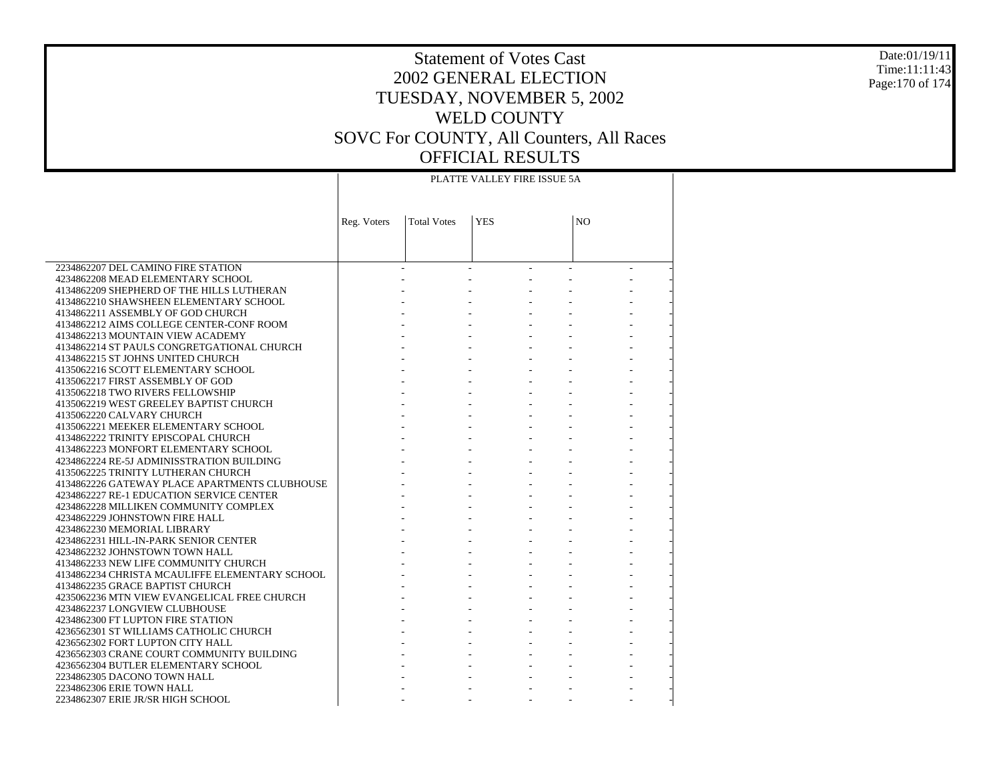#### Date:01/19/11 Time:11:11:43 Page:170 of 174

# Statement of Votes Cast 2002 GENERAL ELECTION TUESDAY, NOVEMBER 5, 2002 WELD COUNTY SOVC For COUNTY, All Counters, All Races OFFICIAL RESULTS

 $\top$ 

|                                                                                   | PLATTE VALLEY FIRE ISSUE 5A |                    |            |  |                |  |
|-----------------------------------------------------------------------------------|-----------------------------|--------------------|------------|--|----------------|--|
|                                                                                   | Reg. Voters                 | <b>Total Votes</b> | <b>YES</b> |  | N <sub>O</sub> |  |
|                                                                                   |                             |                    |            |  |                |  |
| 2234862207 DEL CAMINO FIRE STATION                                                |                             |                    |            |  |                |  |
| 4234862208 MEAD ELEMENTARY SCHOOL                                                 |                             |                    |            |  |                |  |
| 4134862209 SHEPHERD OF THE HILLS LUTHERAN                                         |                             |                    |            |  |                |  |
| 4134862210 SHAWSHEEN ELEMENTARY SCHOOL                                            |                             |                    |            |  |                |  |
| 4134862211 ASSEMBLY OF GOD CHURCH                                                 |                             |                    |            |  |                |  |
| 4134862212 AIMS COLLEGE CENTER-CONF ROOM                                          |                             |                    |            |  |                |  |
| 4134862213 MOUNTAIN VIEW ACADEMY                                                  |                             |                    |            |  |                |  |
| 4134862214 ST PAULS CONGRETGATIONAL CHURCH                                        |                             |                    |            |  |                |  |
| 4134862215 ST JOHNS UNITED CHURCH                                                 |                             |                    |            |  |                |  |
| 4135062216 SCOTT ELEMENTARY SCHOOL<br>4135062217 FIRST ASSEMBLY OF GOD            |                             |                    |            |  |                |  |
| 4135062218 TWO RIVERS FELLOWSHIP                                                  |                             |                    |            |  |                |  |
| 4135062219 WEST GREELEY BAPTIST CHURCH                                            |                             |                    |            |  |                |  |
| 4135062220 CALVARY CHURCH                                                         |                             |                    |            |  |                |  |
| 4135062221 MEEKER ELEMENTARY SCHOOL                                               |                             |                    |            |  |                |  |
| 4134862222 TRINITY EPISCOPAL CHURCH                                               |                             |                    |            |  |                |  |
| 4134862223 MONFORT ELEMENTARY SCHOOL                                              |                             |                    |            |  |                |  |
| 4234862224 RE-5J ADMINISSTRATION BUILDING                                         |                             |                    |            |  |                |  |
| 4135062225 TRINITY LUTHERAN CHURCH                                                |                             |                    |            |  |                |  |
| 4134862226 GATEWAY PLACE APARTMENTS CLUBHOUSE                                     |                             |                    |            |  |                |  |
| 4234862227 RE-1 EDUCATION SERVICE CENTER                                          |                             |                    |            |  |                |  |
| 4234862228 MILLIKEN COMMUNITY COMPLEX                                             |                             |                    |            |  |                |  |
| 4234862229 JOHNSTOWN FIRE HALL                                                    |                             |                    |            |  |                |  |
| 4234862230 MEMORIAL LIBRARY                                                       |                             |                    |            |  |                |  |
| 4234862231 HILL-IN-PARK SENIOR CENTER                                             |                             |                    |            |  |                |  |
| 4234862232 JOHNSTOWN TOWN HALL                                                    |                             |                    |            |  |                |  |
| 4134862233 NEW LIFE COMMUNITY CHURCH                                              |                             |                    |            |  |                |  |
| 4134862234 CHRISTA MCAULIFFE ELEMENTARY SCHOOL<br>4134862235 GRACE BAPTIST CHURCH |                             |                    |            |  |                |  |
| 4235062236 MTN VIEW EVANGELICAL FREE CHURCH                                       |                             |                    |            |  |                |  |
| 4234862237 LONGVIEW CLUBHOUSE                                                     |                             |                    |            |  |                |  |
| 4234862300 FT LUPTON FIRE STATION                                                 |                             |                    |            |  |                |  |
| 4236562301 ST WILLIAMS CATHOLIC CHURCH                                            |                             |                    |            |  |                |  |
| 4236562302 FORT LUPTON CITY HALL                                                  |                             |                    |            |  |                |  |
| 4236562303 CRANE COURT COMMUNITY BUILDING                                         |                             |                    |            |  |                |  |
| 4236562304 BUTLER ELEMENTARY SCHOOL                                               |                             |                    |            |  |                |  |
| 2234862305 DACONO TOWN HALL                                                       |                             |                    |            |  |                |  |
| 2234862306 ERIE TOWN HALL                                                         |                             |                    |            |  |                |  |
| 2234862307 ERIE JR/SR HIGH SCHOOL                                                 |                             |                    |            |  |                |  |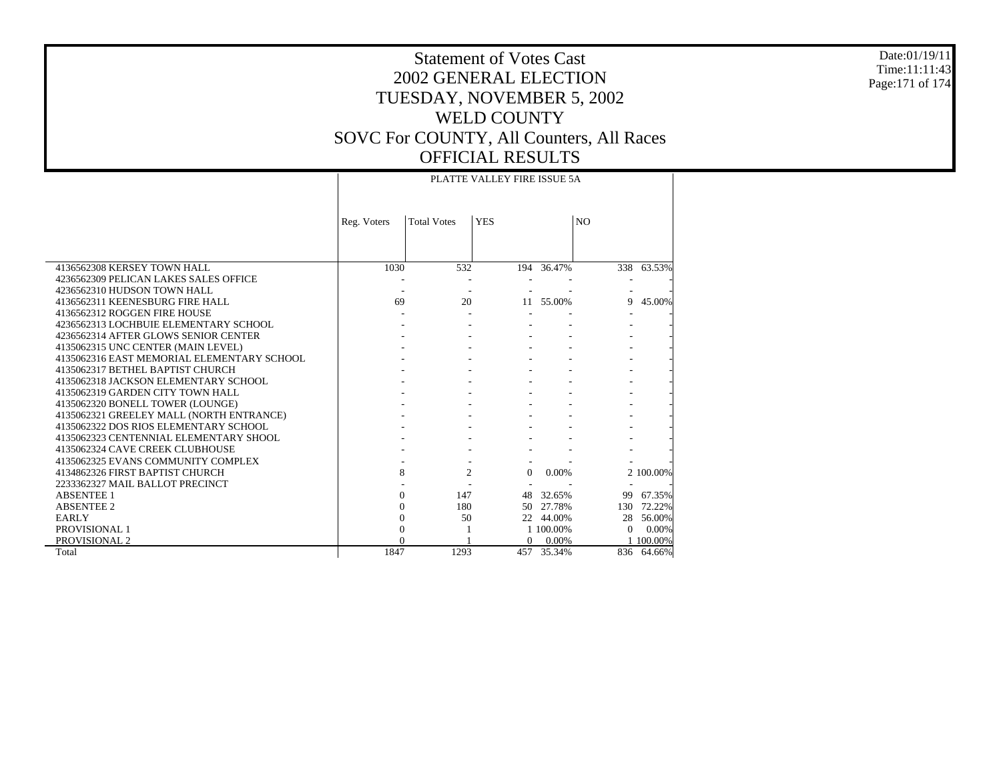#### Date:01/19/11 Time:11:11:43 Page:171 of 174

### Statement of Votes Cast 2002 GENERAL ELECTION TUESDAY, NOVEMBER 5, 2002 WELD COUNTY SOVC For COUNTY, All Counters, All Races OFFICIAL RESULTS PLATTE VALLEY FIRE ISSUE 5A

 $\overline{\phantom{a}}$ 

|                                                                                | Reg. Voters | <b>Total Votes</b> | <b>YES</b> |            | N <sub>O</sub> |            |
|--------------------------------------------------------------------------------|-------------|--------------------|------------|------------|----------------|------------|
|                                                                                |             |                    |            |            |                |            |
| 4136562308 KERSEY TOWN HALL                                                    | 1030        | 532                |            | 194 36.47% |                | 338 63.53% |
| 4236562309 PELICAN LAKES SALES OFFICE                                          |             |                    |            |            |                |            |
| 4236562310 HUDSON TOWN HALL                                                    |             |                    |            |            |                |            |
| 4136562311 KEENESBURG FIRE HALL                                                | 69          | 20                 |            | 11 55.00%  | 9              | 45.00%     |
| 4136562312 ROGGEN FIRE HOUSE                                                   |             |                    |            |            |                |            |
| 4236562313 LOCHBUIE ELEMENTARY SCHOOL                                          |             |                    |            |            |                |            |
| 4236562314 AFTER GLOWS SENIOR CENTER                                           |             |                    |            |            |                |            |
| 4135062315 UNC CENTER (MAIN LEVEL)                                             |             |                    |            |            |                |            |
| 4135062316 EAST MEMORIAL ELEMENTARY SCHOOL<br>4135062317 BETHEL BAPTIST CHURCH |             |                    |            |            |                |            |
| 4135062318 JACKSON ELEMENTARY SCHOOL                                           |             |                    |            |            |                |            |
| 4135062319 GARDEN CITY TOWN HALL                                               |             |                    |            |            |                |            |
| 4135062320 BONELL TOWER (LOUNGE)                                               |             |                    |            |            |                |            |
| 4135062321 GREELEY MALL (NORTH ENTRANCE)                                       |             |                    |            |            |                |            |
| 4135062322 DOS RIOS ELEMENTARY SCHOOL                                          |             |                    |            |            |                |            |
| 4135062323 CENTENNIAL ELEMENTARY SHOOL                                         |             |                    |            |            |                |            |
| 4135062324 CAVE CREEK CLUBHOUSE                                                |             |                    |            |            |                |            |
| 4135062325 EVANS COMMUNITY COMPLEX                                             |             |                    |            |            |                |            |
| 4134862326 FIRST BAPTIST CHURCH                                                | 8           | 2                  | $\Omega$   | 0.00%      |                | 2 100,00%  |
| 2233362327 MAIL BALLOT PRECINCT                                                |             |                    |            |            |                |            |
| <b>ABSENTEE 1</b>                                                              | $\Omega$    | 147                | 48         | 32.65%     | 99             | 67.35%     |
| <b>ABSENTEE 2</b>                                                              | $\Omega$    | 180                | 50         | 27.78%     | 130            | 72.22%     |
| EARLY                                                                          | $\Omega$    | 50                 |            | 22 44.00%  | 28             | 56.00%     |
| <b>PROVISIONAL 1</b>                                                           | $\Omega$    |                    |            | 1 100.00%  | $\Omega$       | 0.00%      |
| <b>PROVISIONAL 2</b>                                                           |             |                    | $\Omega$   | 0.00%      |                | 1 100.00%  |
| Total                                                                          | 1847        | 1293               | 457        | 35.34%     |                | 836 64.66% |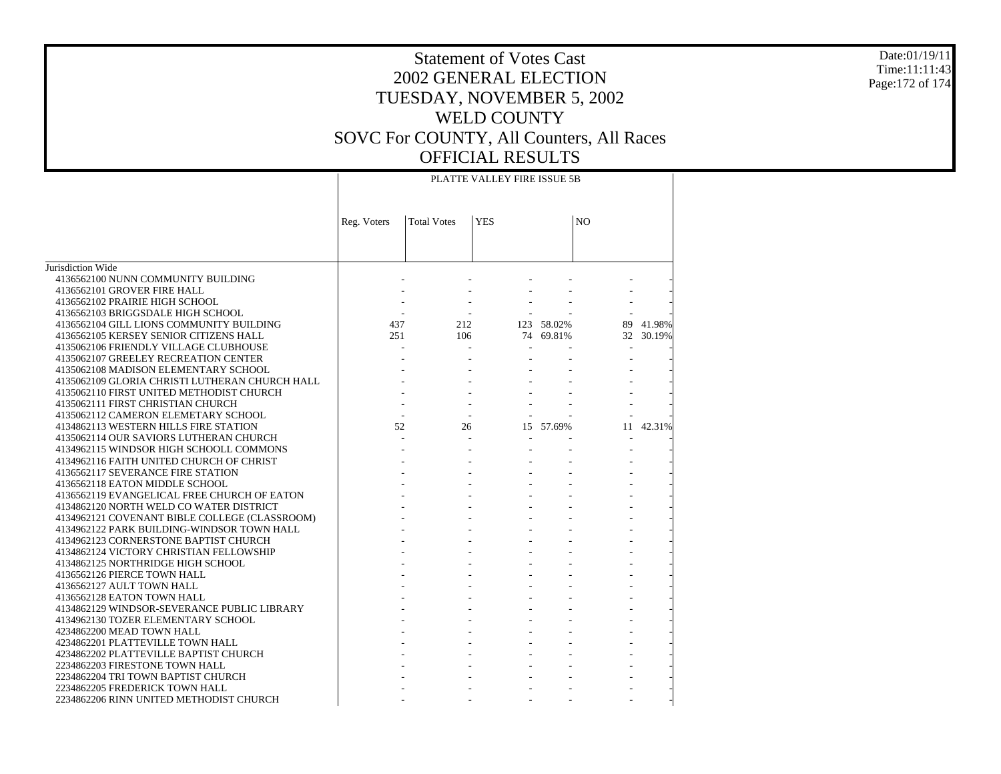#### Date:01/19/11 Time:11:11:43 Page:172 of 174

# Statement of Votes Cast 2002 GENERAL ELECTION TUESDAY, NOVEMBER 5, 2002 WELD COUNTY SOVC For COUNTY, All Counters, All Races OFFICIAL RESULTS

|                                                | PLATTE VALLEY FIRE ISSUE 5B |                    |               |            |                          |           |
|------------------------------------------------|-----------------------------|--------------------|---------------|------------|--------------------------|-----------|
|                                                | Reg. Voters                 | <b>Total Votes</b> | <b>YES</b>    |            | N <sub>O</sub>           |           |
|                                                |                             |                    |               |            |                          |           |
| Jurisdiction Wide                              |                             |                    |               |            |                          |           |
| 4136562100 NUNN COMMUNITY BUILDING             |                             |                    |               |            |                          |           |
| 4136562101 GROVER FIRE HALL                    |                             |                    |               |            |                          |           |
| 4136562102 PRAIRIE HIGH SCHOOL                 |                             |                    |               |            |                          |           |
| 4136562103 BRIGGSDALE HIGH SCHOOL              |                             |                    |               |            |                          |           |
| 4136562104 GILL LIONS COMMUNITY BUILDING       | 437                         | 212                |               | 123 58.02% |                          | 89 41.98% |
| 4136562105 KERSEY SENIOR CITIZENS HALL         | 251                         | 106                |               | 74 69.81%  |                          | 32 30.19% |
| 4135062106 FRIENDLY VILLAGE CLUBHOUSE          |                             |                    | $\mathcal{L}$ |            | $\overline{\phantom{a}}$ |           |
| 4135062107 GREELEY RECREATION CENTER           |                             |                    |               |            |                          |           |
| 4135062108 MADISON ELEMENTARY SCHOOL           |                             |                    |               |            |                          |           |
| 4135062109 GLORIA CHRISTI LUTHERAN CHURCH HALL |                             |                    |               |            |                          |           |
| 4135062110 FIRST UNITED METHODIST CHURCH       |                             |                    |               |            |                          |           |
| 4135062111 FIRST CHRISTIAN CHURCH              |                             |                    |               |            |                          |           |
| 4135062112 CAMERON ELEMETARY SCHOOL            | $\sim$                      |                    |               |            |                          |           |
| 4134862113 WESTERN HILLS FIRE STATION          | 52                          | 26                 |               | 15 57.69%  | 11                       | 42.31%    |
| 4135062114 OUR SAVIORS LUTHERAN CHURCH         |                             |                    |               |            |                          |           |
| 4134962115 WINDSOR HIGH SCHOOLL COMMONS        |                             |                    |               |            |                          |           |
| 4134962116 FAITH UNITED CHURCH OF CHRIST       |                             |                    |               |            |                          |           |
| 4136562117 SEVERANCE FIRE STATION              |                             |                    |               |            |                          |           |
| 4136562118 EATON MIDDLE SCHOOL                 |                             |                    |               |            |                          |           |
| 4136562119 EVANGELICAL FREE CHURCH OF EATON    |                             |                    |               |            |                          |           |
| 4134862120 NORTH WELD CO WATER DISTRICT        |                             |                    |               |            |                          |           |
| 4134962121 COVENANT BIBLE COLLEGE (CLASSROOM)  |                             |                    |               |            |                          |           |
| 4134962122 PARK BUILDING-WINDSOR TOWN HALL     |                             |                    | $\mathcal{L}$ |            |                          |           |
| 4134962123 CORNERSTONE BAPTIST CHURCH          |                             |                    |               |            |                          |           |
| 4134862124 VICTORY CHRISTIAN FELLOWSHIP        |                             |                    |               |            |                          |           |
| 4134862125 NORTHRIDGE HIGH SCHOOL              |                             |                    |               |            |                          |           |
| 4136562126 PIERCE TOWN HALL                    |                             |                    |               |            |                          |           |
| 4136562127 AULT TOWN HALL                      |                             |                    |               |            |                          |           |
| 4136562128 EATON TOWN HALL                     |                             |                    |               |            |                          |           |
| 4134862129 WINDSOR-SEVERANCE PUBLIC LIBRARY    |                             |                    |               |            |                          |           |
| 4134962130 TOZER ELEMENTARY SCHOOL             |                             |                    |               |            |                          |           |
| 4234862200 MEAD TOWN HALL                      |                             |                    |               |            |                          |           |
| 4234862201 PLATTEVILLE TOWN HALL               |                             |                    |               |            |                          |           |
| 4234862202 PLATTEVILLE BAPTIST CHURCH          |                             |                    |               |            |                          |           |
| 2234862203 FIRESTONE TOWN HALL                 |                             |                    |               |            |                          |           |
| 2234862204 TRI TOWN BAPTIST CHURCH             |                             |                    |               |            |                          |           |
| 2234862205 FREDERICK TOWN HALL                 |                             |                    |               |            |                          |           |
| 2234862206 RINN UNITED METHODIST CHURCH        |                             |                    |               |            |                          |           |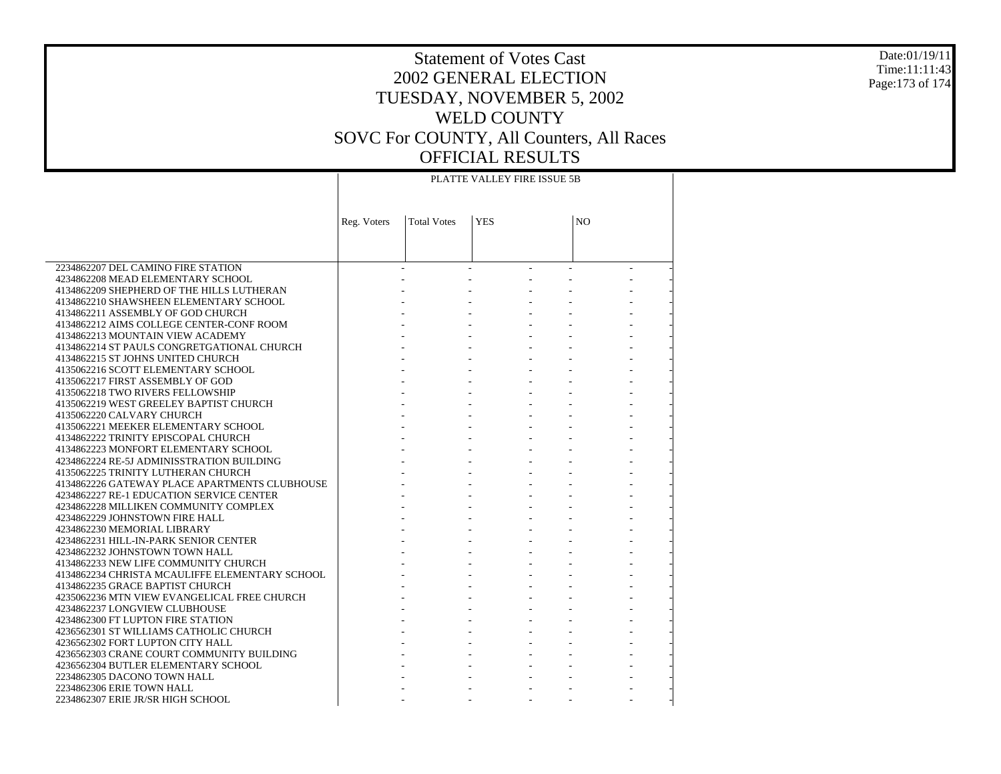#### Date:01/19/11 Time:11:11:43 Page:173 of 174

# Statement of Votes Cast 2002 GENERAL ELECTION TUESDAY, NOVEMBER 5, 2002 WELD COUNTY SOVC For COUNTY, All Counters, All Races OFFICIAL RESULTS

 $\top$ 

|                                                                      | PLATTE VALLEY FIRE ISSUE 5B |                    |            |  |    |  |
|----------------------------------------------------------------------|-----------------------------|--------------------|------------|--|----|--|
|                                                                      |                             |                    |            |  |    |  |
|                                                                      | Reg. Voters                 | <b>Total Votes</b> | <b>YES</b> |  | NO |  |
|                                                                      |                             |                    |            |  |    |  |
|                                                                      |                             |                    |            |  |    |  |
| 2234862207 DEL CAMINO FIRE STATION                                   |                             |                    |            |  |    |  |
| 4234862208 MEAD ELEMENTARY SCHOOL                                    |                             |                    |            |  |    |  |
| 4134862209 SHEPHERD OF THE HILLS LUTHERAN                            |                             |                    |            |  |    |  |
| 4134862210 SHAWSHEEN ELEMENTARY SCHOOL                               |                             |                    |            |  |    |  |
| 4134862211 ASSEMBLY OF GOD CHURCH                                    |                             |                    |            |  |    |  |
| 4134862212 AIMS COLLEGE CENTER-CONF ROOM                             |                             |                    |            |  |    |  |
| 4134862213 MOUNTAIN VIEW ACADEMY                                     |                             |                    |            |  |    |  |
| 4134862214 ST PAULS CONGRETGATIONAL CHURCH                           |                             |                    |            |  |    |  |
| 4134862215 ST JOHNS UNITED CHURCH                                    |                             |                    |            |  |    |  |
| 4135062216 SCOTT ELEMENTARY SCHOOL                                   |                             |                    |            |  |    |  |
| 4135062217 FIRST ASSEMBLY OF GOD                                     |                             |                    |            |  |    |  |
| 4135062218 TWO RIVERS FELLOWSHIP                                     |                             |                    |            |  |    |  |
| 4135062219 WEST GREELEY BAPTIST CHURCH                               |                             |                    |            |  |    |  |
| 4135062220 CALVARY CHURCH                                            |                             |                    |            |  |    |  |
| 4135062221 MEEKER ELEMENTARY SCHOOL                                  |                             |                    |            |  |    |  |
| 4134862222 TRINITY EPISCOPAL CHURCH                                  |                             |                    |            |  |    |  |
| 4134862223 MONFORT ELEMENTARY SCHOOL                                 |                             |                    |            |  |    |  |
| 4234862224 RE-5J ADMINISSTRATION BUILDING                            |                             |                    |            |  |    |  |
| 4135062225 TRINITY LUTHERAN CHURCH                                   |                             |                    |            |  |    |  |
| 4134862226 GATEWAY PLACE APARTMENTS CLUBHOUSE                        |                             |                    |            |  |    |  |
| 4234862227 RE-1 EDUCATION SERVICE CENTER                             |                             |                    |            |  |    |  |
| 4234862228 MILLIKEN COMMUNITY COMPLEX                                |                             |                    |            |  |    |  |
| 4234862229 JOHNSTOWN FIRE HALL                                       |                             |                    |            |  |    |  |
| 4234862230 MEMORIAL LIBRARY<br>4234862231 HILL-IN-PARK SENIOR CENTER |                             |                    |            |  |    |  |
| 4234862232 JOHNSTOWN TOWN HALL                                       |                             |                    |            |  |    |  |
| 4134862233 NEW LIFE COMMUNITY CHURCH                                 |                             |                    |            |  |    |  |
| 4134862234 CHRISTA MCAULIFFE ELEMENTARY SCHOOL                       |                             |                    |            |  |    |  |
| 4134862235 GRACE BAPTIST CHURCH                                      |                             |                    |            |  |    |  |
| 4235062236 MTN VIEW EVANGELICAL FREE CHURCH                          |                             |                    |            |  |    |  |
| 4234862237 LONGVIEW CLUBHOUSE                                        |                             |                    |            |  |    |  |
| 4234862300 FT LUPTON FIRE STATION                                    |                             |                    |            |  |    |  |
| 4236562301 ST WILLIAMS CATHOLIC CHURCH                               |                             |                    |            |  |    |  |
| 4236562302 FORT LUPTON CITY HALL                                     |                             |                    |            |  |    |  |
| 4236562303 CRANE COURT COMMUNITY BUILDING                            |                             |                    |            |  |    |  |
| 4236562304 BUTLER ELEMENTARY SCHOOL                                  |                             |                    |            |  |    |  |
| 2234862305 DACONO TOWN HALL                                          |                             |                    |            |  |    |  |
| 2234862306 ERIE TOWN HALL                                            |                             |                    |            |  |    |  |
| 2234862307 ERIE JR/SR HIGH SCHOOL                                    |                             |                    |            |  |    |  |